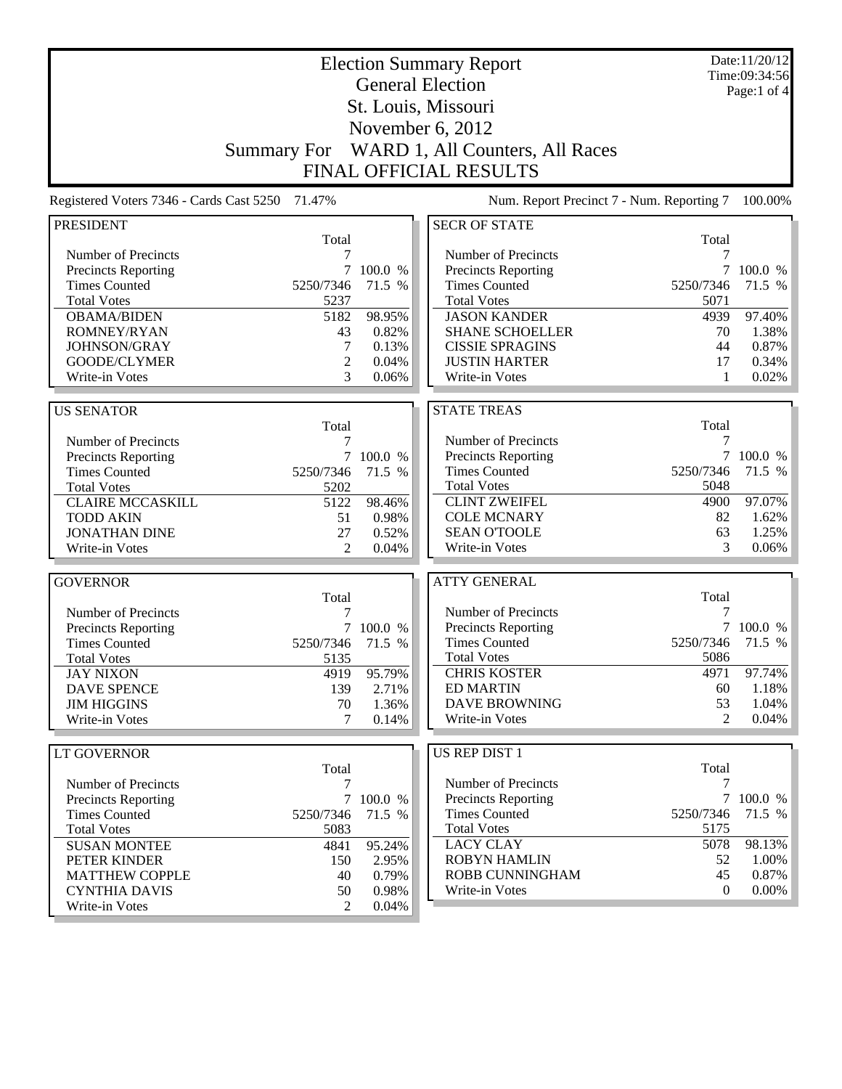|                                                 |                    |           | <b>Election Summary Report</b>              |                 | Date:11/20/12<br>Time:09:34:56 |
|-------------------------------------------------|--------------------|-----------|---------------------------------------------|-----------------|--------------------------------|
|                                                 |                    |           | <b>General Election</b>                     |                 | Page:1 of $4$                  |
|                                                 |                    |           | St. Louis, Missouri                         |                 |                                |
|                                                 |                    |           |                                             |                 |                                |
|                                                 |                    |           | November 6, 2012                            |                 |                                |
|                                                 | <b>Summary For</b> |           | WARD 1, All Counters, All Races             |                 |                                |
|                                                 |                    |           | <b>FINAL OFFICIAL RESULTS</b>               |                 |                                |
| Registered Voters 7346 - Cards Cast 5250 71.47% |                    |           | Num. Report Precinct 7 - Num. Reporting 7   |                 | 100.00%                        |
| <b>PRESIDENT</b>                                |                    |           | <b>SECR OF STATE</b>                        |                 |                                |
|                                                 | Total              |           |                                             | Total           |                                |
| Number of Precincts                             | 7                  |           | Number of Precincts                         | 7               |                                |
| Precincts Reporting                             | $7\overline{ }$    | 100.0 %   | Precincts Reporting                         | $7\overline{ }$ | 100.0 %                        |
| <b>Times Counted</b>                            | 5250/7346          | 71.5 %    | <b>Times Counted</b>                        | 5250/7346       | 71.5 %                         |
| <b>Total Votes</b>                              | 5237               |           | <b>Total Votes</b>                          | 5071            |                                |
| <b>OBAMA/BIDEN</b>                              | 5182               | 98.95%    | <b>JASON KANDER</b>                         | 4939            | 97.40%                         |
| ROMNEY/RYAN                                     | 43                 | 0.82%     | <b>SHANE SCHOELLER</b>                      | 70              | 1.38%                          |
| JOHNSON/GRAY                                    | 7                  | 0.13%     | <b>CISSIE SPRAGINS</b>                      | 44              | 0.87%                          |
| GOODE/CLYMER                                    | $\overline{2}$     | 0.04%     | <b>JUSTIN HARTER</b>                        | 17              | 0.34%                          |
| Write-in Votes                                  | 3                  | 0.06%     | Write-in Votes                              | 1               | 0.02%                          |
|                                                 |                    |           |                                             |                 |                                |
| <b>US SENATOR</b>                               |                    |           | <b>STATE TREAS</b>                          |                 |                                |
|                                                 | Total              |           |                                             | Total           |                                |
| Number of Precincts                             | 7                  |           | Number of Precincts                         | 7               |                                |
| <b>Precincts Reporting</b>                      |                    | 7 100.0 % | Precincts Reporting<br><b>Times Counted</b> | 7<br>5250/7346  | 100.0 %                        |
| <b>Times Counted</b>                            | 5250/7346<br>5202  | 71.5 %    | <b>Total Votes</b>                          | 5048            | 71.5 %                         |
| <b>Total Votes</b><br><b>CLAIRE MCCASKILL</b>   | 5122               | 98.46%    | <b>CLINT ZWEIFEL</b>                        | 4900            | 97.07%                         |
| <b>TODD AKIN</b>                                | 51                 | 0.98%     | <b>COLE MCNARY</b>                          | 82              | 1.62%                          |
| <b>JONATHAN DINE</b>                            | 27                 | 0.52%     | <b>SEAN O'TOOLE</b>                         | 63              | 1.25%                          |
| Write-in Votes                                  | $\overline{2}$     | 0.04%     | Write-in Votes                              | 3               | $0.06\%$                       |
|                                                 |                    |           |                                             |                 |                                |
| <b>GOVERNOR</b>                                 |                    |           | <b>ATTY GENERAL</b>                         |                 |                                |
|                                                 | Total              |           |                                             | Total           |                                |
| Number of Precincts                             | 7                  |           | Number of Precincts                         | 7               |                                |
| <b>Precincts Reporting</b>                      |                    | 100.0 %   | Precincts Reporting                         | $7\overline{ }$ | 100.0 %                        |
| <b>Times Counted</b>                            | 5250/7346          | 71.5 %    | <b>Times Counted</b>                        | 5250/7346       | 71.5 %                         |
| <b>Total Votes</b>                              | 5135               |           | <b>Total Votes</b>                          | 5086            |                                |
| <b>JAY NIXON</b>                                | 4919               | 95.79%    | <b>CHRIS KOSTER</b>                         | 4971            | 97.74%                         |
| <b>DAVE SPENCE</b>                              | 139                | 2.71%     | <b>ED MARTIN</b>                            | 60              | $1.18\%$                       |
| <b>JIM HIGGINS</b>                              | 70                 | 1.36%     | DAVE BROWNING                               | 53              | 1.04%                          |
| Write-in Votes                                  | 7                  | 0.14%     | Write-in Votes                              | $\mathfrak{D}$  | $0.04\%$                       |
|                                                 |                    |           |                                             |                 |                                |
| <b>LT GOVERNOR</b>                              |                    |           | <b>US REP DIST 1</b>                        |                 |                                |
|                                                 | Total              |           |                                             | Total           |                                |
| Number of Precincts                             | 7                  |           | Number of Precincts                         | 7               |                                |
| <b>Precincts Reporting</b>                      |                    | 7 100.0 % | <b>Precincts Reporting</b>                  |                 | 7 100.0 %                      |
| <b>Times Counted</b>                            | 5250/7346          | 71.5 %    | <b>Times Counted</b>                        | 5250/7346       | 71.5 %                         |
| <b>Total Votes</b>                              | 5083               |           | <b>Total Votes</b>                          | 5175            |                                |
| <b>SUSAN MONTEE</b>                             | 4841               | 95.24%    | <b>LACY CLAY</b>                            | 5078            | 98.13%                         |
| PETER KINDER                                    | 150                | 2.95%     | <b>ROBYN HAMLIN</b>                         | 52              | 1.00%                          |
| <b>MATTHEW COPPLE</b>                           | 40                 | 0.79%     | ROBB CUNNINGHAM                             | 45              | 0.87%                          |
| <b>CYNTHIA DAVIS</b>                            | 50                 | 0.98%     | Write-in Votes                              | 0               | $0.00\%$                       |
| Write-in Votes                                  | $\mathfrak{D}$     | 0.04%     |                                             |                 |                                |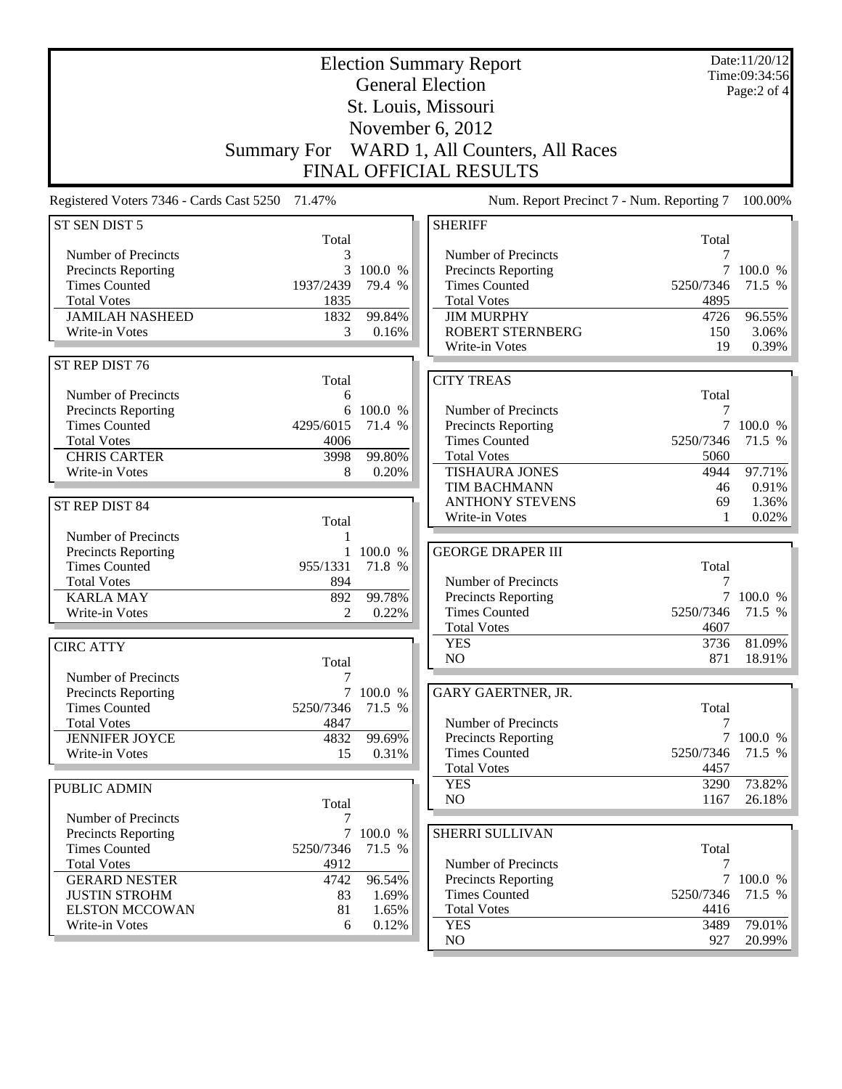|                                                 |                          |                   | <b>Election Summary Report</b><br><b>General Election</b> |                   | Date:11/20/12<br>Time:09:34:56<br>Page:2 of 4 |
|-------------------------------------------------|--------------------------|-------------------|-----------------------------------------------------------|-------------------|-----------------------------------------------|
|                                                 |                          |                   | St. Louis, Missouri                                       |                   |                                               |
|                                                 |                          |                   | November 6, 2012                                          |                   |                                               |
|                                                 | <b>Summary For</b>       |                   | WARD 1, All Counters, All Races                           |                   |                                               |
|                                                 |                          |                   | <b>FINAL OFFICIAL RESULTS</b>                             |                   |                                               |
| Registered Voters 7346 - Cards Cast 5250 71.47% |                          |                   | Num. Report Precinct 7 - Num. Reporting 7                 |                   | 100.00%                                       |
| ST SEN DIST 5                                   |                          |                   | <b>SHERIFF</b>                                            |                   |                                               |
| Number of Precincts                             | Total<br>3               |                   | Number of Precincts                                       | Total<br>7        |                                               |
| Precincts Reporting                             | 3                        | 100.0 %           | Precincts Reporting                                       |                   | 100.0 %                                       |
| <b>Times Counted</b>                            | 1937/2439                | 79.4 %            | <b>Times Counted</b>                                      | 5250/7346         | 71.5 %                                        |
| <b>Total Votes</b>                              | 1835                     |                   | <b>Total Votes</b>                                        | 4895              |                                               |
| <b>JAMILAH NASHEED</b>                          | 1832                     | 99.84%            | <b>JIM MURPHY</b>                                         | 4726              | 96.55%                                        |
| Write-in Votes                                  | 3                        | 0.16%             | <b>ROBERT STERNBERG</b><br>Write-in Votes                 | 150<br>19         | 3.06%<br>0.39%                                |
| ST REP DIST 76                                  |                          |                   |                                                           |                   |                                               |
|                                                 | Total                    |                   | <b>CITY TREAS</b>                                         |                   |                                               |
| Number of Precincts                             | 6                        |                   |                                                           | Total             |                                               |
| Precincts Reporting                             | 6                        | 100.0 %           | Number of Precincts                                       | 7                 |                                               |
| <b>Times Counted</b>                            | 4295/6015                | 71.4 %            | <b>Precincts Reporting</b>                                | 7                 | 100.0 %                                       |
| <b>Total Votes</b><br><b>CHRIS CARTER</b>       | 4006<br>3998             | 99.80%            | <b>Times Counted</b><br><b>Total Votes</b>                | 5250/7346<br>5060 | 71.5 %                                        |
| Write-in Votes                                  | 8                        | 0.20%             | <b>TISHAURA JONES</b>                                     | 4944              | 97.71%                                        |
|                                                 |                          |                   | TIM BACHMANN                                              | 46                | 0.91%                                         |
| ST REP DIST 84                                  |                          |                   | <b>ANTHONY STEVENS</b>                                    | 69                | 1.36%                                         |
|                                                 | Total                    |                   | Write-in Votes                                            |                   | 0.02%                                         |
| Number of Precincts                             | 1                        |                   |                                                           |                   |                                               |
| Precincts Reporting<br><b>Times Counted</b>     | $\mathbf{1}$<br>955/1331 | 100.0 %<br>71.8 % | <b>GEORGE DRAPER III</b>                                  | Total             |                                               |
| <b>Total Votes</b>                              | 894                      |                   | Number of Precincts                                       | 7                 |                                               |
| <b>KARLA MAY</b>                                | 892                      | 99.78%            | <b>Precincts Reporting</b>                                |                   | 7 100.0 %                                     |
| Write-in Votes                                  | $\overline{2}$           | 0.22%             | <b>Times Counted</b>                                      | 5250/7346         | 71.5 %                                        |
|                                                 |                          |                   | <b>Total Votes</b>                                        | 4607              |                                               |
| <b>CIRC ATTY</b>                                |                          |                   | <b>YES</b><br>NO                                          | 3736<br>871       | 81.09%                                        |
|                                                 | Total                    |                   |                                                           |                   | 18.91%                                        |
| Number of Precincts<br>Precincts Reporting      | 7                        | 7 100.0 %         | GARY GAERTNER, JR.                                        |                   |                                               |
| <b>Times Counted</b>                            | 5250/7346                | 71.5 %            |                                                           | Total             |                                               |
| <b>Total Votes</b>                              | 4847                     |                   | Number of Precincts                                       | 7                 |                                               |
| <b>JENNIFER JOYCE</b>                           | 4832                     | 99.69%            | Precincts Reporting                                       |                   | 7 100.0 %                                     |
| Write-in Votes                                  | 15                       | 0.31%             | <b>Times Counted</b>                                      | 5250/7346         | 71.5 %                                        |
|                                                 |                          |                   | <b>Total Votes</b><br><b>YES</b>                          | 4457<br>3290      | 73.82%                                        |
| PUBLIC ADMIN                                    | Total                    |                   | NO                                                        | 1167              | 26.18%                                        |
| Number of Precincts                             | 7                        |                   |                                                           |                   |                                               |
| Precincts Reporting                             |                          | 7 100.0 %         | SHERRI SULLIVAN                                           |                   |                                               |
| <b>Times Counted</b>                            | 5250/7346                | 71.5 %            |                                                           | Total             |                                               |
| <b>Total Votes</b>                              | 4912                     |                   | Number of Precincts                                       | 7                 |                                               |
| <b>GERARD NESTER</b><br><b>JUSTIN STROHM</b>    | 4742                     | 96.54%            | <b>Precincts Reporting</b><br><b>Times Counted</b>        | 5250/7346         | 7 100.0 %<br>71.5 %                           |
| <b>ELSTON MCCOWAN</b>                           | 83<br>81                 | 1.69%<br>1.65%    | <b>Total Votes</b>                                        | 4416              |                                               |
| Write-in Votes                                  | 6                        | 0.12%             | <b>YES</b>                                                | 3489              | 79.01%                                        |
|                                                 |                          |                   | NO                                                        | 927               | 20.99%                                        |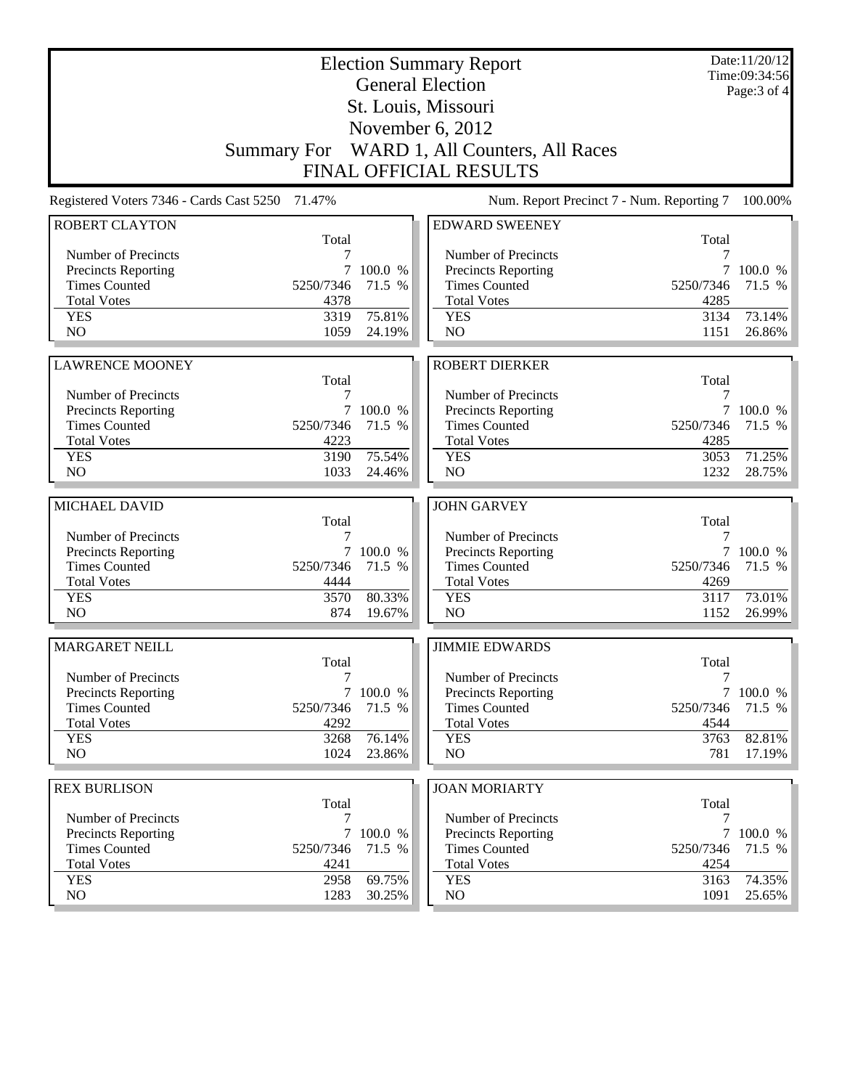|                                          |                    |           | <b>Election Summary Report</b><br><b>General Election</b> |              | Date:11/20/12<br>Time:09:34:56 |
|------------------------------------------|--------------------|-----------|-----------------------------------------------------------|--------------|--------------------------------|
|                                          |                    |           | St. Louis, Missouri                                       |              | Page: 3 of 4                   |
|                                          |                    |           | November 6, 2012                                          |              |                                |
|                                          |                    |           | WARD 1, All Counters, All Races                           |              |                                |
|                                          | <b>Summary For</b> |           |                                                           |              |                                |
|                                          |                    |           | <b>FINAL OFFICIAL RESULTS</b>                             |              |                                |
| Registered Voters 7346 - Cards Cast 5250 | 71.47%             |           | Num. Report Precinct 7 - Num. Reporting 7                 |              | 100.00%                        |
| <b>ROBERT CLAYTON</b>                    | Total              |           | <b>EDWARD SWEENEY</b>                                     | Total        |                                |
| Number of Precincts                      | 7                  |           | Number of Precincts                                       | 7            |                                |
| <b>Precincts Reporting</b>               | 7                  | 100.0 %   | <b>Precincts Reporting</b>                                | 7            | 100.0 %                        |
| <b>Times Counted</b>                     | 5250/7346          | 71.5 %    | <b>Times Counted</b>                                      | 5250/7346    | 71.5 %                         |
| <b>Total Votes</b>                       | 4378               |           | <b>Total Votes</b>                                        | 4285         |                                |
| <b>YES</b>                               | 3319               | 75.81%    | <b>YES</b>                                                | 3134         | 73.14%                         |
| NO                                       | 1059               | 24.19%    | NO                                                        | 1151         | 26.86%                         |
|                                          |                    |           |                                                           |              |                                |
| <b>LAWRENCE MOONEY</b>                   | Total              |           | <b>ROBERT DIERKER</b>                                     | Total        |                                |
| Number of Precincts                      | 7                  |           | Number of Precincts                                       | 7            |                                |
| Precincts Reporting                      | 7                  | 100.0 %   | <b>Precincts Reporting</b>                                | 7            | 100.0 %                        |
| <b>Times Counted</b>                     | 5250/7346          | 71.5 %    | <b>Times Counted</b>                                      | 5250/7346    | 71.5 %                         |
| <b>Total Votes</b>                       | 4223               |           | <b>Total Votes</b>                                        | 4285         |                                |
| <b>YES</b>                               | 3190               | 75.54%    | <b>YES</b>                                                | 3053         | 71.25%                         |
| N <sub>O</sub>                           | 1033               | 24.46%    | NO                                                        | 1232         | 28.75%                         |
|                                          |                    |           |                                                           |              |                                |
| MICHAEL DAVID                            | Total              |           | <b>JOHN GARVEY</b>                                        | Total        |                                |
| Number of Precincts                      | 7                  |           | Number of Precincts                                       | 7            |                                |
| <b>Precincts Reporting</b>               |                    | 7 100.0 % | Precincts Reporting                                       |              | 7 100.0 %                      |
| <b>Times Counted</b>                     | 5250/7346          | 71.5 %    | <b>Times Counted</b>                                      | 5250/7346    | 71.5 %                         |
| <b>Total Votes</b>                       | 4444               |           | <b>Total Votes</b>                                        | 4269         |                                |
| <b>YES</b>                               | 3570               | 80.33%    | <b>YES</b>                                                | 3117         | 73.01%                         |
| N <sub>O</sub>                           | 874                | 19.67%    | NO                                                        | 1152         | 26.99%                         |
| <b>MARGARET NEILL</b>                    |                    |           | <b>JIMMIE EDWARDS</b>                                     |              |                                |
|                                          | Total              |           |                                                           | Total        |                                |
| Number of Precincts                      | 7                  |           | Number of Precincts                                       | 7            |                                |
| <b>Precincts Reporting</b>               |                    | 7 100.0 % | Precincts Reporting                                       |              | 7 100.0 %                      |
| <b>Times Counted</b>                     | 5250/7346          | 71.5 %    | <b>Times Counted</b>                                      | 5250/7346    | 71.5 %                         |
| <b>Total Votes</b><br><b>YES</b>         | 4292<br>3268       | 76.14%    | <b>Total Votes</b><br><b>YES</b>                          | 4544<br>3763 | 82.81%                         |
| NO                                       | 1024               | 23.86%    | NO                                                        | 781          | $17.19\%$                      |
|                                          |                    |           |                                                           |              |                                |
| <b>REX BURLISON</b>                      |                    |           | <b>JOAN MORIARTY</b>                                      |              |                                |
|                                          | Total              |           |                                                           | Total        |                                |
| Number of Precincts                      | 7                  |           | Number of Precincts                                       | 7            |                                |
| <b>Precincts Reporting</b>               | 7                  | 100.0 %   | <b>Precincts Reporting</b>                                |              | 100.0 %                        |
| <b>Times Counted</b>                     | 5250/7346          | 71.5 %    | <b>Times Counted</b>                                      | 5250/7346    | 71.5 %                         |
| <b>Total Votes</b><br><b>YES</b>         | 4241<br>2958       | 69.75%    | <b>Total Votes</b><br><b>YES</b>                          | 4254<br>3163 | 74.35%                         |
| NO                                       | 1283               | 30.25%    | NO                                                        | 1091         | 25.65%                         |
|                                          |                    |           |                                                           |              |                                |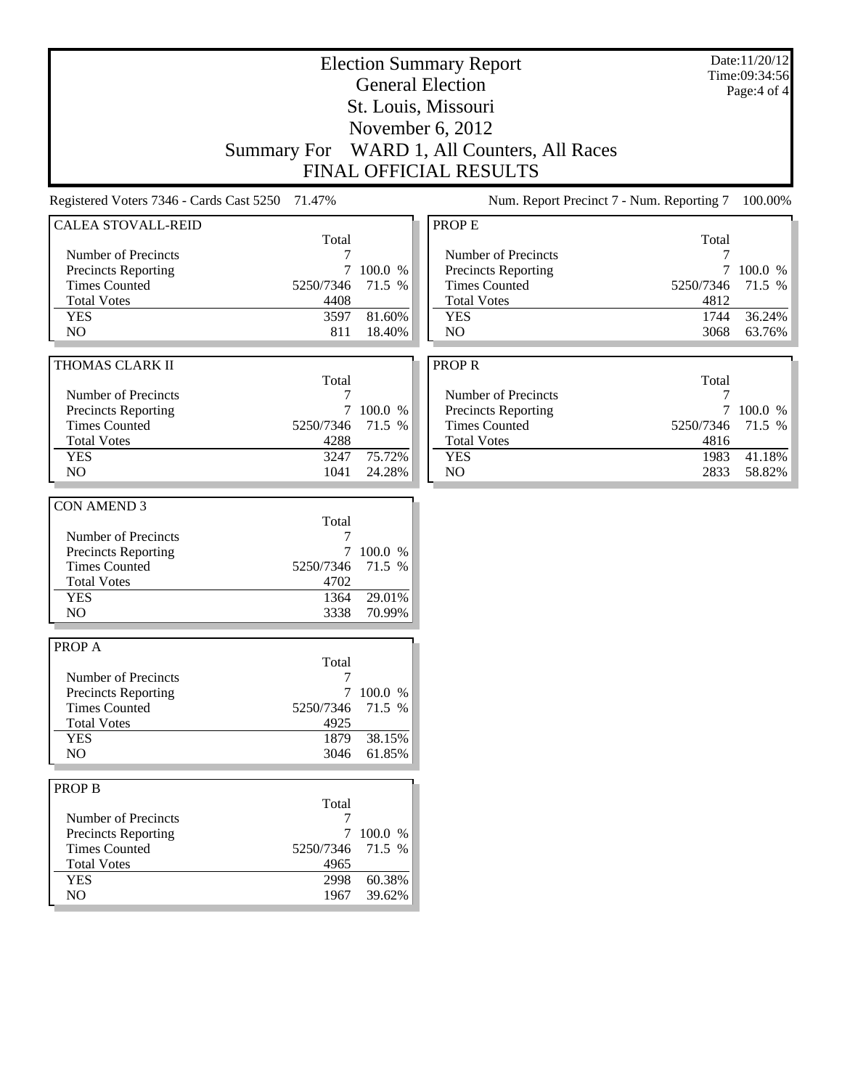|                                                 |                    |           | <b>Election Summary Report</b><br><b>General Election</b> |             | Date:11/20/12<br>Time:09:34:56<br>Page:4 of 4 |
|-------------------------------------------------|--------------------|-----------|-----------------------------------------------------------|-------------|-----------------------------------------------|
|                                                 |                    |           | St. Louis, Missouri                                       |             |                                               |
|                                                 |                    |           | November 6, 2012                                          |             |                                               |
|                                                 | <b>Summary For</b> |           | WARD 1, All Counters, All Races                           |             |                                               |
|                                                 |                    |           | FINAL OFFICIAL RESULTS                                    |             |                                               |
| Registered Voters 7346 - Cards Cast 5250 71.47% |                    |           | Num. Report Precinct 7 - Num. Reporting 7                 |             | 100.00%                                       |
| <b>CALEA STOVALL-REID</b>                       |                    |           | <b>PROPE</b>                                              |             |                                               |
|                                                 | Total              |           |                                                           | Total       |                                               |
| Number of Precincts<br>Precincts Reporting      | 7<br>$\tau$        | 100.0 %   | Number of Precincts<br>Precincts Reporting                | 7<br>$\tau$ | 100.0 %                                       |
| <b>Times Counted</b>                            | 5250/7346          | 71.5 %    | <b>Times Counted</b>                                      | 5250/7346   | 71.5 %                                        |
| <b>Total Votes</b>                              | 4408               |           | <b>Total Votes</b>                                        | 4812        |                                               |
| <b>YES</b>                                      | 3597               | 81.60%    | <b>YES</b>                                                | 1744        | 36.24%                                        |
| NO                                              | 811                | 18.40%    | NO                                                        | 3068        | 63.76%                                        |
|                                                 |                    |           |                                                           |             |                                               |
| THOMAS CLARK II                                 |                    |           | <b>PROPR</b>                                              |             |                                               |
|                                                 | Total              |           |                                                           | Total       |                                               |
| Number of Precincts                             | 7                  |           | Number of Precincts                                       | 7           |                                               |
| Precincts Reporting                             | 7                  | 100.0 %   | Precincts Reporting                                       | 7           | 100.0 %                                       |
| <b>Times Counted</b>                            | 5250/7346          | 71.5 %    | <b>Times Counted</b>                                      | 5250/7346   | 71.5 %                                        |
| <b>Total Votes</b>                              | 4288               |           | <b>Total Votes</b>                                        | 4816        |                                               |
| <b>YES</b>                                      | 3247               | 75.72%    | <b>YES</b>                                                | 1983        | 41.18%                                        |
| NO.                                             | 1041               | 24.28%    | NO                                                        | 2833        | 58.82%                                        |
|                                                 |                    |           |                                                           |             |                                               |
| CON AMEND 3                                     |                    |           |                                                           |             |                                               |
| Number of Precincts                             | Total<br>7         |           |                                                           |             |                                               |
| Precincts Reporting                             | 7                  | 100.0 %   |                                                           |             |                                               |
| <b>Times Counted</b>                            | 5250/7346          | 71.5 %    |                                                           |             |                                               |
| <b>Total Votes</b>                              | 4702               |           |                                                           |             |                                               |
| <b>YES</b>                                      | 1364               | 29.01%    |                                                           |             |                                               |
| NO                                              | 3338               | 70.99%    |                                                           |             |                                               |
|                                                 |                    |           |                                                           |             |                                               |
| <b>PROPA</b>                                    |                    |           |                                                           |             |                                               |
|                                                 | Total              |           |                                                           |             |                                               |
| Number of Precincts                             | 7                  |           |                                                           |             |                                               |
| Precincts Reporting                             |                    | 7 100.0 % |                                                           |             |                                               |
| <b>Times Counted</b><br><b>Total Votes</b>      | 5250/7346          | 71.5 %    |                                                           |             |                                               |
| <b>YES</b>                                      | 4925<br>1879       | 38.15%    |                                                           |             |                                               |
| NO.                                             | 3046               | 61.85%    |                                                           |             |                                               |
|                                                 |                    |           |                                                           |             |                                               |
| <b>PROP B</b>                                   |                    |           |                                                           |             |                                               |
|                                                 | Total              |           |                                                           |             |                                               |
| Number of Precincts                             | 7                  |           |                                                           |             |                                               |
| Precincts Reporting                             | 7                  | 100.0 %   |                                                           |             |                                               |
| <b>Times Counted</b>                            | 5250/7346          | 71.5 %    |                                                           |             |                                               |
| <b>Total Votes</b>                              | 4965               |           |                                                           |             |                                               |
| <b>YES</b>                                      | 2998               | 60.38%    |                                                           |             |                                               |
| NO                                              | 1967               | 39.62%    |                                                           |             |                                               |
|                                                 |                    |           |                                                           |             |                                               |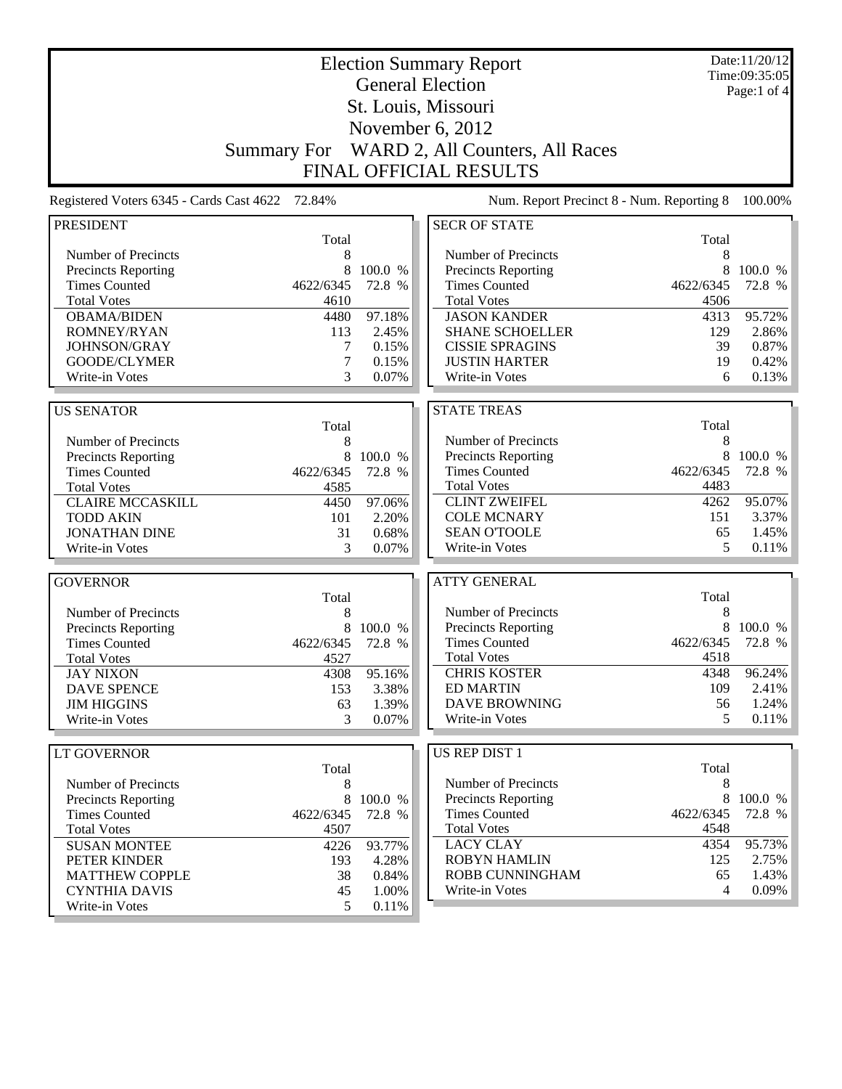| <b>General Election</b><br>Page:1 of $4$<br>St. Louis, Missouri<br>November 6, 2012<br>WARD 2, All Counters, All Races<br><b>Summary For</b><br><b>FINAL OFFICIAL RESULTS</b><br>72.84%<br>Num. Report Precinct 8 - Num. Reporting 8<br>Registered Voters 6345 - Cards Cast 4622<br>100.00%<br><b>SECR OF STATE</b><br>Total<br>Total<br>Number of Precincts<br>Number of Precincts<br>8<br>8<br>8<br>100.0 %<br>8<br>100.0 %<br>Precincts Reporting<br><b>Precincts Reporting</b><br><b>Times Counted</b><br><b>Times Counted</b><br>4622/6345<br>72.8 %<br>4622/6345<br>72.8 %<br><b>Total Votes</b><br><b>Total Votes</b><br>4610<br>4506<br>97.18%<br>95.72%<br><b>OBAMA/BIDEN</b><br>4480<br><b>JASON KANDER</b><br>4313<br>ROMNEY/RYAN<br>113<br>2.45%<br><b>SHANE SCHOELLER</b><br>129<br>2.86%<br>JOHNSON/GRAY<br>7<br>0.15%<br><b>CISSIE SPRAGINS</b><br>39<br>0.87%<br>7<br>GOODE/CLYMER<br>0.15%<br><b>JUSTIN HARTER</b><br>19<br>0.42%<br>3<br>0.07%<br>0.13%<br>Write-in Votes<br>Write-in Votes<br>6<br><b>STATE TREAS</b><br><b>US SENATOR</b><br>Total<br>Total<br>Number of Precincts<br>8<br>Number of Precincts<br>8<br>8<br><b>Precincts Reporting</b><br>8<br>100.0 %<br>Precincts Reporting<br>100.0 %<br><b>Times Counted</b><br>4622/6345<br>72.8 %<br><b>Times Counted</b><br>4622/6345<br>72.8 %<br><b>Total Votes</b><br>4483<br><b>Total Votes</b><br>4585<br>95.07%<br><b>CLINT ZWEIFEL</b><br><b>CLAIRE MCCASKILL</b><br>97.06%<br>4262<br>4450<br>3.37%<br><b>COLE MCNARY</b><br>151<br><b>TODD AKIN</b><br>101<br>2.20%<br><b>SEAN O'TOOLE</b><br>65<br>1.45%<br><b>JONATHAN DINE</b><br>31<br>0.68%<br>Write-in Votes<br>5<br>0.11%<br>Write-in Votes<br>3<br>0.07%<br><b>ATTY GENERAL</b><br>Total<br>Total<br>Number of Precincts<br>8<br>Number of Precincts<br>8<br>8<br><b>Precincts Reporting</b><br>100.0 %<br>8<br>Precincts Reporting<br>100.0 %<br><b>Times Counted</b><br>4622/6345<br>72.8 %<br><b>Times Counted</b><br>72.8 %<br>4622/6345<br>4518<br><b>Total Votes</b><br>4527<br><b>Total Votes</b><br><b>CHRIS KOSTER</b><br><b>JAY NIXON</b><br>4308<br>95.16%<br>4348<br><b>ED MARTIN</b><br>109<br><b>DAVE SPENCE</b><br>153<br>3.38%<br><b>DAVE BROWNING</b><br>56<br><b>JIM HIGGINS</b><br>63<br>1.39%<br>Write-in Votes<br>5<br>0.11%<br>Write-in Votes<br>0.07%<br>3<br><b>US REP DIST 1</b><br><b>LT GOVERNOR</b><br>Total<br>Total<br>Number of Precincts<br>8<br>Number of Precincts<br>8<br>8<br>$\,8\,$<br>100.0 %<br><b>Precincts Reporting</b><br>100.0 %<br><b>Precincts Reporting</b><br><b>Times Counted</b><br>4622/6345<br>72.8 %<br><b>Times Counted</b><br>4622/6345<br>72.8 %<br><b>Total Votes</b><br>4548<br><b>Total Votes</b><br>4507<br><b>LACY CLAY</b><br>95.73%<br>93.77%<br>4354<br><b>SUSAN MONTEE</b><br>4226<br><b>ROBYN HAMLIN</b><br>125<br>2.75%<br>4.28%<br>PETER KINDER<br>193<br>ROBB CUNNINGHAM<br>1.43%<br><b>MATTHEW COPPLE</b><br>38<br>0.84%<br>65<br><b>CYNTHIA DAVIS</b><br>Write-in Votes<br>4<br>45<br>1.00% |                  |   |       | <b>Election Summary Report</b> | Date:11/20/12<br>Time:09:35:05 |
|-----------------------------------------------------------------------------------------------------------------------------------------------------------------------------------------------------------------------------------------------------------------------------------------------------------------------------------------------------------------------------------------------------------------------------------------------------------------------------------------------------------------------------------------------------------------------------------------------------------------------------------------------------------------------------------------------------------------------------------------------------------------------------------------------------------------------------------------------------------------------------------------------------------------------------------------------------------------------------------------------------------------------------------------------------------------------------------------------------------------------------------------------------------------------------------------------------------------------------------------------------------------------------------------------------------------------------------------------------------------------------------------------------------------------------------------------------------------------------------------------------------------------------------------------------------------------------------------------------------------------------------------------------------------------------------------------------------------------------------------------------------------------------------------------------------------------------------------------------------------------------------------------------------------------------------------------------------------------------------------------------------------------------------------------------------------------------------------------------------------------------------------------------------------------------------------------------------------------------------------------------------------------------------------------------------------------------------------------------------------------------------------------------------------------------------------------------------------------------------------------------------------------------------------------------------------------------------------------------------------------------------------------------------------------------------------------------------------------------------------------------------------------------------------------------------------------------------------------------------------------------------------------------------------------------------------------------------------------------------------------------------------|------------------|---|-------|--------------------------------|--------------------------------|
|                                                                                                                                                                                                                                                                                                                                                                                                                                                                                                                                                                                                                                                                                                                                                                                                                                                                                                                                                                                                                                                                                                                                                                                                                                                                                                                                                                                                                                                                                                                                                                                                                                                                                                                                                                                                                                                                                                                                                                                                                                                                                                                                                                                                                                                                                                                                                                                                                                                                                                                                                                                                                                                                                                                                                                                                                                                                                                                                                                                                                 |                  |   |       |                                |                                |
|                                                                                                                                                                                                                                                                                                                                                                                                                                                                                                                                                                                                                                                                                                                                                                                                                                                                                                                                                                                                                                                                                                                                                                                                                                                                                                                                                                                                                                                                                                                                                                                                                                                                                                                                                                                                                                                                                                                                                                                                                                                                                                                                                                                                                                                                                                                                                                                                                                                                                                                                                                                                                                                                                                                                                                                                                                                                                                                                                                                                                 |                  |   |       |                                |                                |
|                                                                                                                                                                                                                                                                                                                                                                                                                                                                                                                                                                                                                                                                                                                                                                                                                                                                                                                                                                                                                                                                                                                                                                                                                                                                                                                                                                                                                                                                                                                                                                                                                                                                                                                                                                                                                                                                                                                                                                                                                                                                                                                                                                                                                                                                                                                                                                                                                                                                                                                                                                                                                                                                                                                                                                                                                                                                                                                                                                                                                 |                  |   |       |                                |                                |
|                                                                                                                                                                                                                                                                                                                                                                                                                                                                                                                                                                                                                                                                                                                                                                                                                                                                                                                                                                                                                                                                                                                                                                                                                                                                                                                                                                                                                                                                                                                                                                                                                                                                                                                                                                                                                                                                                                                                                                                                                                                                                                                                                                                                                                                                                                                                                                                                                                                                                                                                                                                                                                                                                                                                                                                                                                                                                                                                                                                                                 |                  |   |       |                                |                                |
|                                                                                                                                                                                                                                                                                                                                                                                                                                                                                                                                                                                                                                                                                                                                                                                                                                                                                                                                                                                                                                                                                                                                                                                                                                                                                                                                                                                                                                                                                                                                                                                                                                                                                                                                                                                                                                                                                                                                                                                                                                                                                                                                                                                                                                                                                                                                                                                                                                                                                                                                                                                                                                                                                                                                                                                                                                                                                                                                                                                                                 |                  |   |       |                                |                                |
|                                                                                                                                                                                                                                                                                                                                                                                                                                                                                                                                                                                                                                                                                                                                                                                                                                                                                                                                                                                                                                                                                                                                                                                                                                                                                                                                                                                                                                                                                                                                                                                                                                                                                                                                                                                                                                                                                                                                                                                                                                                                                                                                                                                                                                                                                                                                                                                                                                                                                                                                                                                                                                                                                                                                                                                                                                                                                                                                                                                                                 |                  |   |       |                                |                                |
|                                                                                                                                                                                                                                                                                                                                                                                                                                                                                                                                                                                                                                                                                                                                                                                                                                                                                                                                                                                                                                                                                                                                                                                                                                                                                                                                                                                                                                                                                                                                                                                                                                                                                                                                                                                                                                                                                                                                                                                                                                                                                                                                                                                                                                                                                                                                                                                                                                                                                                                                                                                                                                                                                                                                                                                                                                                                                                                                                                                                                 |                  |   |       |                                |                                |
|                                                                                                                                                                                                                                                                                                                                                                                                                                                                                                                                                                                                                                                                                                                                                                                                                                                                                                                                                                                                                                                                                                                                                                                                                                                                                                                                                                                                                                                                                                                                                                                                                                                                                                                                                                                                                                                                                                                                                                                                                                                                                                                                                                                                                                                                                                                                                                                                                                                                                                                                                                                                                                                                                                                                                                                                                                                                                                                                                                                                                 | <b>PRESIDENT</b> |   |       |                                |                                |
|                                                                                                                                                                                                                                                                                                                                                                                                                                                                                                                                                                                                                                                                                                                                                                                                                                                                                                                                                                                                                                                                                                                                                                                                                                                                                                                                                                                                                                                                                                                                                                                                                                                                                                                                                                                                                                                                                                                                                                                                                                                                                                                                                                                                                                                                                                                                                                                                                                                                                                                                                                                                                                                                                                                                                                                                                                                                                                                                                                                                                 |                  |   |       |                                |                                |
|                                                                                                                                                                                                                                                                                                                                                                                                                                                                                                                                                                                                                                                                                                                                                                                                                                                                                                                                                                                                                                                                                                                                                                                                                                                                                                                                                                                                                                                                                                                                                                                                                                                                                                                                                                                                                                                                                                                                                                                                                                                                                                                                                                                                                                                                                                                                                                                                                                                                                                                                                                                                                                                                                                                                                                                                                                                                                                                                                                                                                 |                  |   |       |                                |                                |
|                                                                                                                                                                                                                                                                                                                                                                                                                                                                                                                                                                                                                                                                                                                                                                                                                                                                                                                                                                                                                                                                                                                                                                                                                                                                                                                                                                                                                                                                                                                                                                                                                                                                                                                                                                                                                                                                                                                                                                                                                                                                                                                                                                                                                                                                                                                                                                                                                                                                                                                                                                                                                                                                                                                                                                                                                                                                                                                                                                                                                 |                  |   |       |                                |                                |
|                                                                                                                                                                                                                                                                                                                                                                                                                                                                                                                                                                                                                                                                                                                                                                                                                                                                                                                                                                                                                                                                                                                                                                                                                                                                                                                                                                                                                                                                                                                                                                                                                                                                                                                                                                                                                                                                                                                                                                                                                                                                                                                                                                                                                                                                                                                                                                                                                                                                                                                                                                                                                                                                                                                                                                                                                                                                                                                                                                                                                 |                  |   |       |                                |                                |
|                                                                                                                                                                                                                                                                                                                                                                                                                                                                                                                                                                                                                                                                                                                                                                                                                                                                                                                                                                                                                                                                                                                                                                                                                                                                                                                                                                                                                                                                                                                                                                                                                                                                                                                                                                                                                                                                                                                                                                                                                                                                                                                                                                                                                                                                                                                                                                                                                                                                                                                                                                                                                                                                                                                                                                                                                                                                                                                                                                                                                 |                  |   |       |                                |                                |
|                                                                                                                                                                                                                                                                                                                                                                                                                                                                                                                                                                                                                                                                                                                                                                                                                                                                                                                                                                                                                                                                                                                                                                                                                                                                                                                                                                                                                                                                                                                                                                                                                                                                                                                                                                                                                                                                                                                                                                                                                                                                                                                                                                                                                                                                                                                                                                                                                                                                                                                                                                                                                                                                                                                                                                                                                                                                                                                                                                                                                 |                  |   |       |                                |                                |
|                                                                                                                                                                                                                                                                                                                                                                                                                                                                                                                                                                                                                                                                                                                                                                                                                                                                                                                                                                                                                                                                                                                                                                                                                                                                                                                                                                                                                                                                                                                                                                                                                                                                                                                                                                                                                                                                                                                                                                                                                                                                                                                                                                                                                                                                                                                                                                                                                                                                                                                                                                                                                                                                                                                                                                                                                                                                                                                                                                                                                 |                  |   |       |                                |                                |
|                                                                                                                                                                                                                                                                                                                                                                                                                                                                                                                                                                                                                                                                                                                                                                                                                                                                                                                                                                                                                                                                                                                                                                                                                                                                                                                                                                                                                                                                                                                                                                                                                                                                                                                                                                                                                                                                                                                                                                                                                                                                                                                                                                                                                                                                                                                                                                                                                                                                                                                                                                                                                                                                                                                                                                                                                                                                                                                                                                                                                 |                  |   |       |                                |                                |
|                                                                                                                                                                                                                                                                                                                                                                                                                                                                                                                                                                                                                                                                                                                                                                                                                                                                                                                                                                                                                                                                                                                                                                                                                                                                                                                                                                                                                                                                                                                                                                                                                                                                                                                                                                                                                                                                                                                                                                                                                                                                                                                                                                                                                                                                                                                                                                                                                                                                                                                                                                                                                                                                                                                                                                                                                                                                                                                                                                                                                 |                  |   |       |                                |                                |
|                                                                                                                                                                                                                                                                                                                                                                                                                                                                                                                                                                                                                                                                                                                                                                                                                                                                                                                                                                                                                                                                                                                                                                                                                                                                                                                                                                                                                                                                                                                                                                                                                                                                                                                                                                                                                                                                                                                                                                                                                                                                                                                                                                                                                                                                                                                                                                                                                                                                                                                                                                                                                                                                                                                                                                                                                                                                                                                                                                                                                 |                  |   |       |                                |                                |
|                                                                                                                                                                                                                                                                                                                                                                                                                                                                                                                                                                                                                                                                                                                                                                                                                                                                                                                                                                                                                                                                                                                                                                                                                                                                                                                                                                                                                                                                                                                                                                                                                                                                                                                                                                                                                                                                                                                                                                                                                                                                                                                                                                                                                                                                                                                                                                                                                                                                                                                                                                                                                                                                                                                                                                                                                                                                                                                                                                                                                 |                  |   |       |                                |                                |
|                                                                                                                                                                                                                                                                                                                                                                                                                                                                                                                                                                                                                                                                                                                                                                                                                                                                                                                                                                                                                                                                                                                                                                                                                                                                                                                                                                                                                                                                                                                                                                                                                                                                                                                                                                                                                                                                                                                                                                                                                                                                                                                                                                                                                                                                                                                                                                                                                                                                                                                                                                                                                                                                                                                                                                                                                                                                                                                                                                                                                 |                  |   |       |                                |                                |
|                                                                                                                                                                                                                                                                                                                                                                                                                                                                                                                                                                                                                                                                                                                                                                                                                                                                                                                                                                                                                                                                                                                                                                                                                                                                                                                                                                                                                                                                                                                                                                                                                                                                                                                                                                                                                                                                                                                                                                                                                                                                                                                                                                                                                                                                                                                                                                                                                                                                                                                                                                                                                                                                                                                                                                                                                                                                                                                                                                                                                 |                  |   |       |                                |                                |
|                                                                                                                                                                                                                                                                                                                                                                                                                                                                                                                                                                                                                                                                                                                                                                                                                                                                                                                                                                                                                                                                                                                                                                                                                                                                                                                                                                                                                                                                                                                                                                                                                                                                                                                                                                                                                                                                                                                                                                                                                                                                                                                                                                                                                                                                                                                                                                                                                                                                                                                                                                                                                                                                                                                                                                                                                                                                                                                                                                                                                 |                  |   |       |                                |                                |
|                                                                                                                                                                                                                                                                                                                                                                                                                                                                                                                                                                                                                                                                                                                                                                                                                                                                                                                                                                                                                                                                                                                                                                                                                                                                                                                                                                                                                                                                                                                                                                                                                                                                                                                                                                                                                                                                                                                                                                                                                                                                                                                                                                                                                                                                                                                                                                                                                                                                                                                                                                                                                                                                                                                                                                                                                                                                                                                                                                                                                 |                  |   |       |                                |                                |
|                                                                                                                                                                                                                                                                                                                                                                                                                                                                                                                                                                                                                                                                                                                                                                                                                                                                                                                                                                                                                                                                                                                                                                                                                                                                                                                                                                                                                                                                                                                                                                                                                                                                                                                                                                                                                                                                                                                                                                                                                                                                                                                                                                                                                                                                                                                                                                                                                                                                                                                                                                                                                                                                                                                                                                                                                                                                                                                                                                                                                 |                  |   |       |                                |                                |
|                                                                                                                                                                                                                                                                                                                                                                                                                                                                                                                                                                                                                                                                                                                                                                                                                                                                                                                                                                                                                                                                                                                                                                                                                                                                                                                                                                                                                                                                                                                                                                                                                                                                                                                                                                                                                                                                                                                                                                                                                                                                                                                                                                                                                                                                                                                                                                                                                                                                                                                                                                                                                                                                                                                                                                                                                                                                                                                                                                                                                 |                  |   |       |                                |                                |
|                                                                                                                                                                                                                                                                                                                                                                                                                                                                                                                                                                                                                                                                                                                                                                                                                                                                                                                                                                                                                                                                                                                                                                                                                                                                                                                                                                                                                                                                                                                                                                                                                                                                                                                                                                                                                                                                                                                                                                                                                                                                                                                                                                                                                                                                                                                                                                                                                                                                                                                                                                                                                                                                                                                                                                                                                                                                                                                                                                                                                 |                  |   |       |                                |                                |
|                                                                                                                                                                                                                                                                                                                                                                                                                                                                                                                                                                                                                                                                                                                                                                                                                                                                                                                                                                                                                                                                                                                                                                                                                                                                                                                                                                                                                                                                                                                                                                                                                                                                                                                                                                                                                                                                                                                                                                                                                                                                                                                                                                                                                                                                                                                                                                                                                                                                                                                                                                                                                                                                                                                                                                                                                                                                                                                                                                                                                 |                  |   |       |                                |                                |
|                                                                                                                                                                                                                                                                                                                                                                                                                                                                                                                                                                                                                                                                                                                                                                                                                                                                                                                                                                                                                                                                                                                                                                                                                                                                                                                                                                                                                                                                                                                                                                                                                                                                                                                                                                                                                                                                                                                                                                                                                                                                                                                                                                                                                                                                                                                                                                                                                                                                                                                                                                                                                                                                                                                                                                                                                                                                                                                                                                                                                 |                  |   |       |                                |                                |
|                                                                                                                                                                                                                                                                                                                                                                                                                                                                                                                                                                                                                                                                                                                                                                                                                                                                                                                                                                                                                                                                                                                                                                                                                                                                                                                                                                                                                                                                                                                                                                                                                                                                                                                                                                                                                                                                                                                                                                                                                                                                                                                                                                                                                                                                                                                                                                                                                                                                                                                                                                                                                                                                                                                                                                                                                                                                                                                                                                                                                 |                  |   |       |                                |                                |
|                                                                                                                                                                                                                                                                                                                                                                                                                                                                                                                                                                                                                                                                                                                                                                                                                                                                                                                                                                                                                                                                                                                                                                                                                                                                                                                                                                                                                                                                                                                                                                                                                                                                                                                                                                                                                                                                                                                                                                                                                                                                                                                                                                                                                                                                                                                                                                                                                                                                                                                                                                                                                                                                                                                                                                                                                                                                                                                                                                                                                 | <b>GOVERNOR</b>  |   |       |                                |                                |
|                                                                                                                                                                                                                                                                                                                                                                                                                                                                                                                                                                                                                                                                                                                                                                                                                                                                                                                                                                                                                                                                                                                                                                                                                                                                                                                                                                                                                                                                                                                                                                                                                                                                                                                                                                                                                                                                                                                                                                                                                                                                                                                                                                                                                                                                                                                                                                                                                                                                                                                                                                                                                                                                                                                                                                                                                                                                                                                                                                                                                 |                  |   |       |                                |                                |
|                                                                                                                                                                                                                                                                                                                                                                                                                                                                                                                                                                                                                                                                                                                                                                                                                                                                                                                                                                                                                                                                                                                                                                                                                                                                                                                                                                                                                                                                                                                                                                                                                                                                                                                                                                                                                                                                                                                                                                                                                                                                                                                                                                                                                                                                                                                                                                                                                                                                                                                                                                                                                                                                                                                                                                                                                                                                                                                                                                                                                 |                  |   |       |                                |                                |
| 96.24%<br>2.41%<br>1.24%<br>0.09%                                                                                                                                                                                                                                                                                                                                                                                                                                                                                                                                                                                                                                                                                                                                                                                                                                                                                                                                                                                                                                                                                                                                                                                                                                                                                                                                                                                                                                                                                                                                                                                                                                                                                                                                                                                                                                                                                                                                                                                                                                                                                                                                                                                                                                                                                                                                                                                                                                                                                                                                                                                                                                                                                                                                                                                                                                                                                                                                                                               |                  |   |       |                                |                                |
|                                                                                                                                                                                                                                                                                                                                                                                                                                                                                                                                                                                                                                                                                                                                                                                                                                                                                                                                                                                                                                                                                                                                                                                                                                                                                                                                                                                                                                                                                                                                                                                                                                                                                                                                                                                                                                                                                                                                                                                                                                                                                                                                                                                                                                                                                                                                                                                                                                                                                                                                                                                                                                                                                                                                                                                                                                                                                                                                                                                                                 |                  |   |       |                                |                                |
|                                                                                                                                                                                                                                                                                                                                                                                                                                                                                                                                                                                                                                                                                                                                                                                                                                                                                                                                                                                                                                                                                                                                                                                                                                                                                                                                                                                                                                                                                                                                                                                                                                                                                                                                                                                                                                                                                                                                                                                                                                                                                                                                                                                                                                                                                                                                                                                                                                                                                                                                                                                                                                                                                                                                                                                                                                                                                                                                                                                                                 |                  |   |       |                                |                                |
|                                                                                                                                                                                                                                                                                                                                                                                                                                                                                                                                                                                                                                                                                                                                                                                                                                                                                                                                                                                                                                                                                                                                                                                                                                                                                                                                                                                                                                                                                                                                                                                                                                                                                                                                                                                                                                                                                                                                                                                                                                                                                                                                                                                                                                                                                                                                                                                                                                                                                                                                                                                                                                                                                                                                                                                                                                                                                                                                                                                                                 |                  |   |       |                                |                                |
|                                                                                                                                                                                                                                                                                                                                                                                                                                                                                                                                                                                                                                                                                                                                                                                                                                                                                                                                                                                                                                                                                                                                                                                                                                                                                                                                                                                                                                                                                                                                                                                                                                                                                                                                                                                                                                                                                                                                                                                                                                                                                                                                                                                                                                                                                                                                                                                                                                                                                                                                                                                                                                                                                                                                                                                                                                                                                                                                                                                                                 |                  |   |       |                                |                                |
|                                                                                                                                                                                                                                                                                                                                                                                                                                                                                                                                                                                                                                                                                                                                                                                                                                                                                                                                                                                                                                                                                                                                                                                                                                                                                                                                                                                                                                                                                                                                                                                                                                                                                                                                                                                                                                                                                                                                                                                                                                                                                                                                                                                                                                                                                                                                                                                                                                                                                                                                                                                                                                                                                                                                                                                                                                                                                                                                                                                                                 |                  |   |       |                                |                                |
|                                                                                                                                                                                                                                                                                                                                                                                                                                                                                                                                                                                                                                                                                                                                                                                                                                                                                                                                                                                                                                                                                                                                                                                                                                                                                                                                                                                                                                                                                                                                                                                                                                                                                                                                                                                                                                                                                                                                                                                                                                                                                                                                                                                                                                                                                                                                                                                                                                                                                                                                                                                                                                                                                                                                                                                                                                                                                                                                                                                                                 |                  |   |       |                                |                                |
|                                                                                                                                                                                                                                                                                                                                                                                                                                                                                                                                                                                                                                                                                                                                                                                                                                                                                                                                                                                                                                                                                                                                                                                                                                                                                                                                                                                                                                                                                                                                                                                                                                                                                                                                                                                                                                                                                                                                                                                                                                                                                                                                                                                                                                                                                                                                                                                                                                                                                                                                                                                                                                                                                                                                                                                                                                                                                                                                                                                                                 |                  |   |       |                                |                                |
|                                                                                                                                                                                                                                                                                                                                                                                                                                                                                                                                                                                                                                                                                                                                                                                                                                                                                                                                                                                                                                                                                                                                                                                                                                                                                                                                                                                                                                                                                                                                                                                                                                                                                                                                                                                                                                                                                                                                                                                                                                                                                                                                                                                                                                                                                                                                                                                                                                                                                                                                                                                                                                                                                                                                                                                                                                                                                                                                                                                                                 |                  |   |       |                                |                                |
|                                                                                                                                                                                                                                                                                                                                                                                                                                                                                                                                                                                                                                                                                                                                                                                                                                                                                                                                                                                                                                                                                                                                                                                                                                                                                                                                                                                                                                                                                                                                                                                                                                                                                                                                                                                                                                                                                                                                                                                                                                                                                                                                                                                                                                                                                                                                                                                                                                                                                                                                                                                                                                                                                                                                                                                                                                                                                                                                                                                                                 |                  |   |       |                                |                                |
|                                                                                                                                                                                                                                                                                                                                                                                                                                                                                                                                                                                                                                                                                                                                                                                                                                                                                                                                                                                                                                                                                                                                                                                                                                                                                                                                                                                                                                                                                                                                                                                                                                                                                                                                                                                                                                                                                                                                                                                                                                                                                                                                                                                                                                                                                                                                                                                                                                                                                                                                                                                                                                                                                                                                                                                                                                                                                                                                                                                                                 |                  |   |       |                                |                                |
|                                                                                                                                                                                                                                                                                                                                                                                                                                                                                                                                                                                                                                                                                                                                                                                                                                                                                                                                                                                                                                                                                                                                                                                                                                                                                                                                                                                                                                                                                                                                                                                                                                                                                                                                                                                                                                                                                                                                                                                                                                                                                                                                                                                                                                                                                                                                                                                                                                                                                                                                                                                                                                                                                                                                                                                                                                                                                                                                                                                                                 |                  |   |       |                                |                                |
|                                                                                                                                                                                                                                                                                                                                                                                                                                                                                                                                                                                                                                                                                                                                                                                                                                                                                                                                                                                                                                                                                                                                                                                                                                                                                                                                                                                                                                                                                                                                                                                                                                                                                                                                                                                                                                                                                                                                                                                                                                                                                                                                                                                                                                                                                                                                                                                                                                                                                                                                                                                                                                                                                                                                                                                                                                                                                                                                                                                                                 |                  |   |       |                                |                                |
|                                                                                                                                                                                                                                                                                                                                                                                                                                                                                                                                                                                                                                                                                                                                                                                                                                                                                                                                                                                                                                                                                                                                                                                                                                                                                                                                                                                                                                                                                                                                                                                                                                                                                                                                                                                                                                                                                                                                                                                                                                                                                                                                                                                                                                                                                                                                                                                                                                                                                                                                                                                                                                                                                                                                                                                                                                                                                                                                                                                                                 |                  |   |       |                                |                                |
|                                                                                                                                                                                                                                                                                                                                                                                                                                                                                                                                                                                                                                                                                                                                                                                                                                                                                                                                                                                                                                                                                                                                                                                                                                                                                                                                                                                                                                                                                                                                                                                                                                                                                                                                                                                                                                                                                                                                                                                                                                                                                                                                                                                                                                                                                                                                                                                                                                                                                                                                                                                                                                                                                                                                                                                                                                                                                                                                                                                                                 |                  |   |       |                                |                                |
|                                                                                                                                                                                                                                                                                                                                                                                                                                                                                                                                                                                                                                                                                                                                                                                                                                                                                                                                                                                                                                                                                                                                                                                                                                                                                                                                                                                                                                                                                                                                                                                                                                                                                                                                                                                                                                                                                                                                                                                                                                                                                                                                                                                                                                                                                                                                                                                                                                                                                                                                                                                                                                                                                                                                                                                                                                                                                                                                                                                                                 |                  |   |       |                                |                                |
|                                                                                                                                                                                                                                                                                                                                                                                                                                                                                                                                                                                                                                                                                                                                                                                                                                                                                                                                                                                                                                                                                                                                                                                                                                                                                                                                                                                                                                                                                                                                                                                                                                                                                                                                                                                                                                                                                                                                                                                                                                                                                                                                                                                                                                                                                                                                                                                                                                                                                                                                                                                                                                                                                                                                                                                                                                                                                                                                                                                                                 |                  |   |       |                                |                                |
|                                                                                                                                                                                                                                                                                                                                                                                                                                                                                                                                                                                                                                                                                                                                                                                                                                                                                                                                                                                                                                                                                                                                                                                                                                                                                                                                                                                                                                                                                                                                                                                                                                                                                                                                                                                                                                                                                                                                                                                                                                                                                                                                                                                                                                                                                                                                                                                                                                                                                                                                                                                                                                                                                                                                                                                                                                                                                                                                                                                                                 | Write-in Votes   | 5 | 0.11% |                                |                                |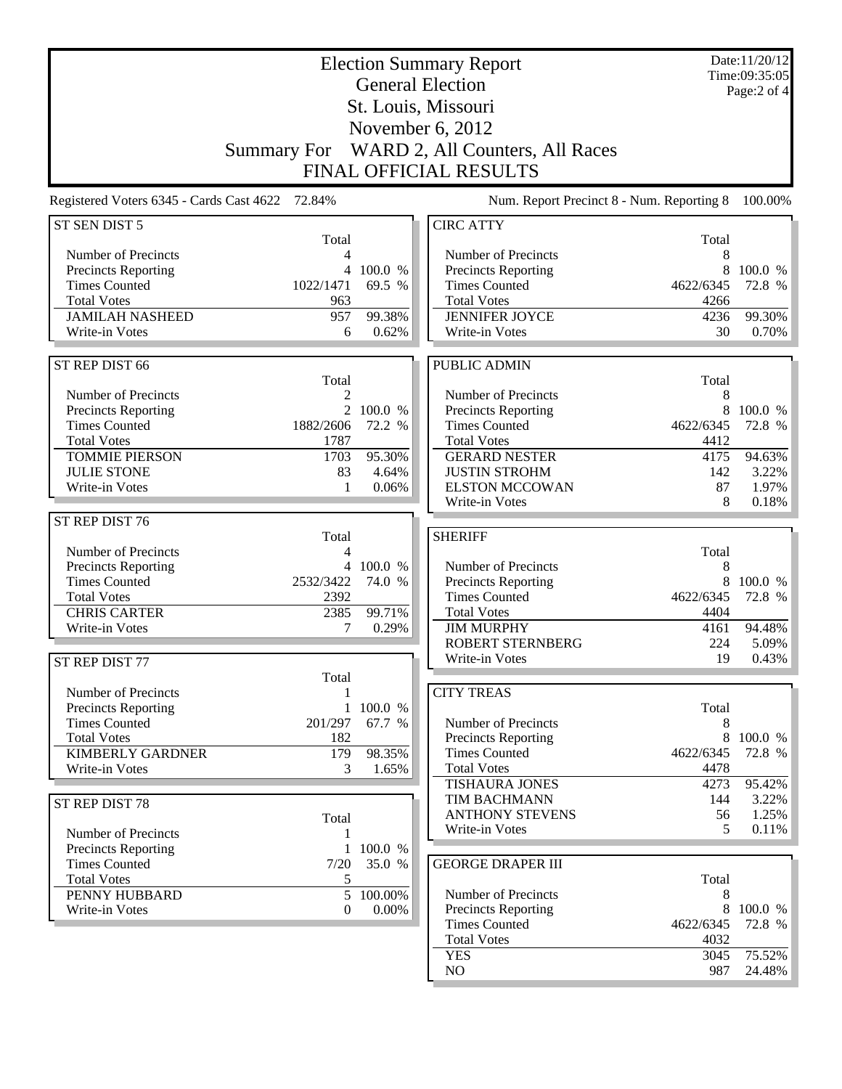|                                                 |                    |                 | <b>Election Summary Report</b>              |                | Date:11/20/12<br>Time:09:35:05                   |
|-------------------------------------------------|--------------------|-----------------|---------------------------------------------|----------------|--------------------------------------------------|
|                                                 |                    |                 | <b>General Election</b>                     |                | Page:2 of 4                                      |
|                                                 |                    |                 | St. Louis, Missouri                         |                |                                                  |
|                                                 |                    |                 | November 6, 2012                            |                |                                                  |
|                                                 | <b>Summary For</b> |                 | WARD 2, All Counters, All Races             |                |                                                  |
|                                                 |                    |                 | <b>FINAL OFFICIAL RESULTS</b>               |                |                                                  |
| Registered Voters 6345 - Cards Cast 4622 72.84% |                    |                 | Num. Report Precinct 8 - Num. Reporting 8   |                | 100.00%                                          |
| ST SEN DIST 5                                   | Total              |                 | <b>CIRC ATTY</b>                            | Total          |                                                  |
| Number of Precincts                             | 4                  |                 | Number of Precincts                         | 8              |                                                  |
| <b>Precincts Reporting</b>                      |                    | 4 100.0 %       | Precincts Reporting                         | 8              | 100.0 %                                          |
| <b>Times Counted</b>                            | 1022/1471          | 69.5 %          | <b>Times Counted</b>                        | 4622/6345      | 72.8 %                                           |
| <b>Total Votes</b>                              | 963                |                 | <b>Total Votes</b>                          | 4266           |                                                  |
| <b>JAMILAH NASHEED</b><br>Write-in Votes        | 957<br>6           | 99.38%<br>0.62% | <b>JENNIFER JOYCE</b><br>Write-in Votes     | 4236<br>30     | 99.30%<br>0.70%                                  |
|                                                 |                    |                 |                                             |                |                                                  |
| ST REP DIST 66                                  |                    |                 | PUBLIC ADMIN                                |                |                                                  |
| Number of Precincts                             | Total<br>2         |                 | Number of Precincts                         | Total<br>8     |                                                  |
| Precincts Reporting                             |                    | 2 100.0 $\%$    | Precincts Reporting                         |                | 8 100.0 %                                        |
| <b>Times Counted</b>                            | 1882/2606          | 72.2 %          | <b>Times Counted</b>                        | 4622/6345      | 72.8 %                                           |
| <b>Total Votes</b>                              | 1787               |                 | <b>Total Votes</b>                          | 4412           |                                                  |
| <b>TOMMIE PIERSON</b>                           | 1703               | 95.30%          | <b>GERARD NESTER</b>                        | 4175           | 94.63%                                           |
| <b>JULIE STONE</b>                              | 83                 | 4.64%           | <b>JUSTIN STROHM</b>                        | 142            | 3.22%                                            |
| Write-in Votes                                  | 1                  | 0.06%           | <b>ELSTON MCCOWAN</b><br>Write-in Votes     | 87<br>8        | 1.97%<br>0.18%                                   |
| ST REP DIST 76                                  |                    |                 |                                             |                |                                                  |
|                                                 | Total              |                 | <b>SHERIFF</b>                              |                |                                                  |
| Number of Precincts                             | 4                  |                 |                                             | Total          |                                                  |
| <b>Precincts Reporting</b>                      |                    | 4 100.0 %       | Number of Precincts                         | 8              |                                                  |
|                                                 |                    |                 |                                             |                |                                                  |
| <b>Times Counted</b>                            | 2532/3422          | 74.0 %          | Precincts Reporting                         | 8              |                                                  |
| <b>Total Votes</b>                              | 2392               |                 | <b>Times Counted</b>                        | 4622/6345      |                                                  |
| <b>CHRIS CARTER</b><br>Write-in Votes           | 2385<br>7          | 99.71%<br>0.29% | <b>Total Votes</b><br><b>JIM MURPHY</b>     | 4404<br>4161   |                                                  |
|                                                 |                    |                 | <b>ROBERT STERNBERG</b>                     | 224            |                                                  |
| ST REP DIST 77                                  |                    |                 | Write-in Votes                              | 19             |                                                  |
|                                                 | Total              |                 |                                             |                |                                                  |
| Number of Precincts                             |                    |                 | <b>CITY TREAS</b>                           |                |                                                  |
| <b>Precincts Reporting</b>                      | $\mathbf{1}$       | 100.0 %         |                                             | Total          |                                                  |
| <b>Times Counted</b>                            | 201/297            | 67.7 %          | Number of Precincts                         | 8              | 100.0 %<br>0.43%                                 |
| <b>Total Votes</b><br>KIMBERLY GARDNER          | 182<br>179         | 98.35%          | Precincts Reporting<br><b>Times Counted</b> | 8<br>4622/6345 |                                                  |
| Write-in Votes                                  | 3                  | 1.65%           | <b>Total Votes</b>                          | 4478           | 72.8 %<br>94.48%<br>5.09%<br>72.8 %              |
|                                                 |                    |                 | TISHAURA JONES                              | 4273           | 95.42%                                           |
| ST REP DIST 78                                  |                    |                 | <b>TIM BACHMANN</b>                         | 144            |                                                  |
|                                                 | Total              |                 | <b>ANTHONY STEVENS</b>                      | 56             |                                                  |
| Number of Precincts                             | 1                  |                 | Write-in Votes                              | 5              |                                                  |
| Precincts Reporting                             |                    | 1 100.0 %       |                                             |                |                                                  |
| <b>Times Counted</b><br><b>Total Votes</b>      | 7/20<br>5          | 35.0 %          | <b>GEORGE DRAPER III</b>                    | Total          |                                                  |
| PENNY HUBBARD                                   | 5                  | 100.00%         | Number of Precincts                         | 8              |                                                  |
| Write-in Votes                                  | 0                  | 0.00%           | Precincts Reporting                         | 8              | 100.0 %<br>3.22%<br>1.25%<br>$0.11\%$<br>100.0 % |
|                                                 |                    |                 | <b>Times Counted</b>                        | 4622/6345      | 72.8 %                                           |
|                                                 |                    |                 | <b>Total Votes</b><br><b>YES</b>            | 4032<br>3045   | 75.52%                                           |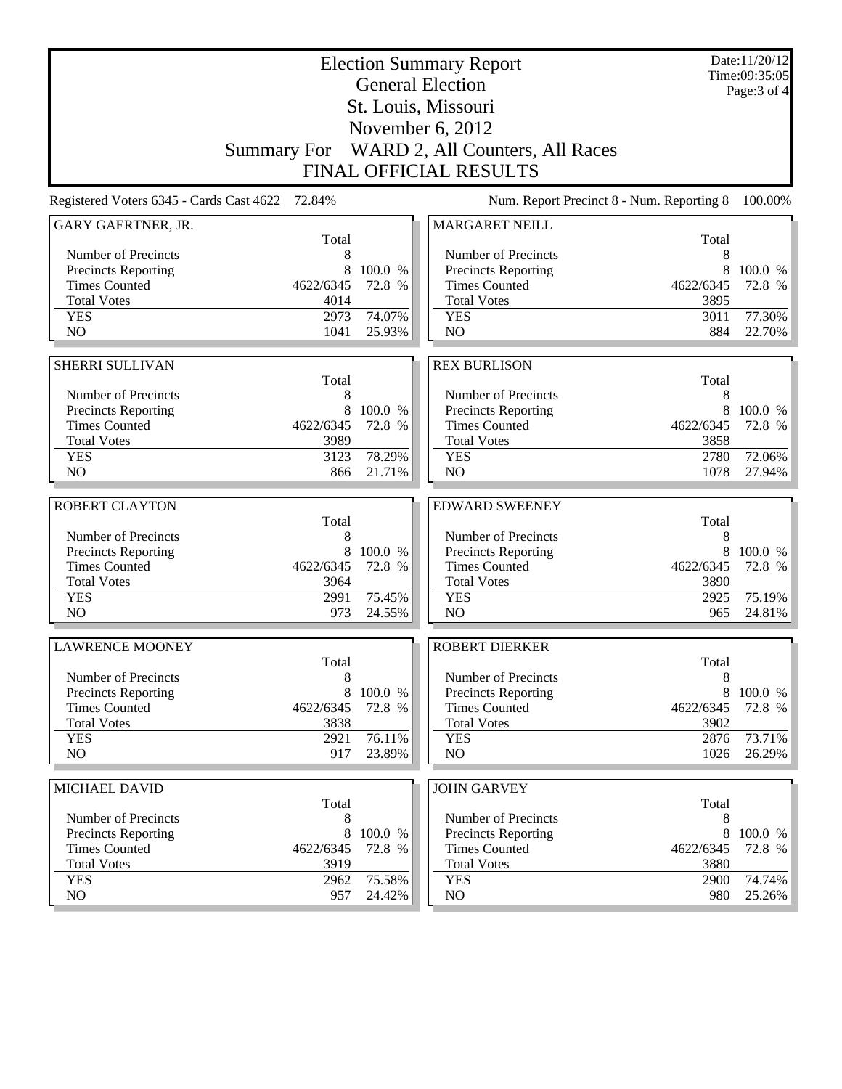|                                          |                    |                  | <b>Election Summary Report</b><br><b>General Election</b> |              | Date:11/20/12<br>Time:09:35:05 |
|------------------------------------------|--------------------|------------------|-----------------------------------------------------------|--------------|--------------------------------|
|                                          |                    |                  | St. Louis, Missouri                                       |              | Page: 3 of 4                   |
|                                          |                    |                  | November 6, 2012                                          |              |                                |
|                                          |                    |                  |                                                           |              |                                |
|                                          | <b>Summary For</b> |                  | WARD 2, All Counters, All Races                           |              |                                |
|                                          |                    |                  | <b>FINAL OFFICIAL RESULTS</b>                             |              |                                |
| Registered Voters 6345 - Cards Cast 4622 | 72.84%             |                  | Num. Report Precinct 8 - Num. Reporting 8                 |              | 100.00%                        |
| GARY GAERTNER, JR.                       | Total              |                  | <b>MARGARET NEILL</b>                                     | Total        |                                |
| Number of Precincts                      | 8                  |                  | Number of Precincts                                       | 8            |                                |
| <b>Precincts Reporting</b>               | 8                  | 100.0 %          | Precincts Reporting                                       | 8            | 100.0 %                        |
| <b>Times Counted</b>                     | 4622/6345          | 72.8 %           | <b>Times Counted</b>                                      | 4622/6345    | 72.8 %                         |
| <b>Total Votes</b>                       | 4014               |                  | <b>Total Votes</b>                                        | 3895         |                                |
| <b>YES</b>                               | 2973               | 74.07%           | <b>YES</b>                                                | 3011         | 77.30%                         |
| N <sub>O</sub>                           | 1041               | 25.93%           | NO                                                        | 884          | 22.70%                         |
|                                          |                    |                  |                                                           |              |                                |
| <b>SHERRI SULLIVAN</b>                   |                    |                  | <b>REX BURLISON</b>                                       |              |                                |
| Number of Precincts                      | Total              |                  |                                                           | Total        |                                |
| <b>Precincts Reporting</b>               | 8<br>8             | 100.0 %          | Number of Precincts<br>Precincts Reporting                | 8<br>8       | 100.0 %                        |
| <b>Times Counted</b>                     | 4622/6345          | 72.8 %           | <b>Times Counted</b>                                      | 4622/6345    | 72.8 %                         |
| <b>Total Votes</b>                       | 3989               |                  | <b>Total Votes</b>                                        | 3858         |                                |
| <b>YES</b>                               | 3123               | 78.29%           | <b>YES</b>                                                | 2780         | 72.06%                         |
| N <sub>O</sub>                           | 866                | 21.71%           | NO                                                        | 1078         | 27.94%                         |
|                                          |                    |                  |                                                           |              |                                |
| <b>ROBERT CLAYTON</b>                    | Total              |                  | <b>EDWARD SWEENEY</b>                                     | Total        |                                |
| Number of Precincts                      | 8                  |                  | Number of Precincts                                       | 8            |                                |
| <b>Precincts Reporting</b>               | 8                  | 100.0 %          | Precincts Reporting                                       | 8            | 100.0 %                        |
| <b>Times Counted</b>                     | 4622/6345          | 72.8 %           | <b>Times Counted</b>                                      | 4622/6345    | 72.8 %                         |
| <b>Total Votes</b>                       | 3964               |                  | <b>Total Votes</b>                                        | 3890         |                                |
| <b>YES</b>                               | 2991               | 75.45%           | <b>YES</b>                                                | 2925         | 75.19%                         |
| N <sub>O</sub>                           | 973                | 24.55%           | N <sub>O</sub>                                            | 965          | 24.81%                         |
| <b>LAWRENCE MOONEY</b>                   |                    |                  | <b>ROBERT DIERKER</b>                                     |              |                                |
|                                          | Total              |                  |                                                           | Total        |                                |
| Number of Precincts                      | 8                  |                  | Number of Precincts                                       | 8            |                                |
| <b>Precincts Reporting</b>               | 8                  | 100.0 %          | Precincts Reporting                                       | 8            | 100.0 %                        |
| <b>Times Counted</b>                     | 4622/6345          | 72.8 %           | <b>Times Counted</b>                                      | 4622/6345    | 72.8 %                         |
| <b>Total Votes</b>                       | 3838               |                  | <b>Total Votes</b>                                        | 3902         |                                |
| <b>YES</b><br>NO.                        | 2921<br>917        | 76.11%<br>23.89% | <b>YES</b><br>NO                                          | 2876<br>1026 | 73.71%<br>26.29%               |
|                                          |                    |                  |                                                           |              |                                |
| MICHAEL DAVID                            |                    |                  | <b>JOHN GARVEY</b>                                        |              |                                |
|                                          | Total              |                  |                                                           | Total        |                                |
| Number of Precincts                      | 8                  |                  | Number of Precincts                                       | 8            |                                |
| Precincts Reporting                      | 8                  | 100.0 %          | <b>Precincts Reporting</b>                                | 8            | 100.0 %                        |
| <b>Times Counted</b>                     | 4622/6345          | 72.8 %           | <b>Times Counted</b>                                      | 4622/6345    | 72.8 %                         |
| <b>Total Votes</b>                       | 3919               |                  | <b>Total Votes</b>                                        | 3880         |                                |
| <b>YES</b><br>NO                         | 2962<br>957        | 75.58%<br>24.42% | <b>YES</b><br>NO                                          | 2900<br>980  | 74.74%<br>25.26%               |
|                                          |                    |                  |                                                           |              |                                |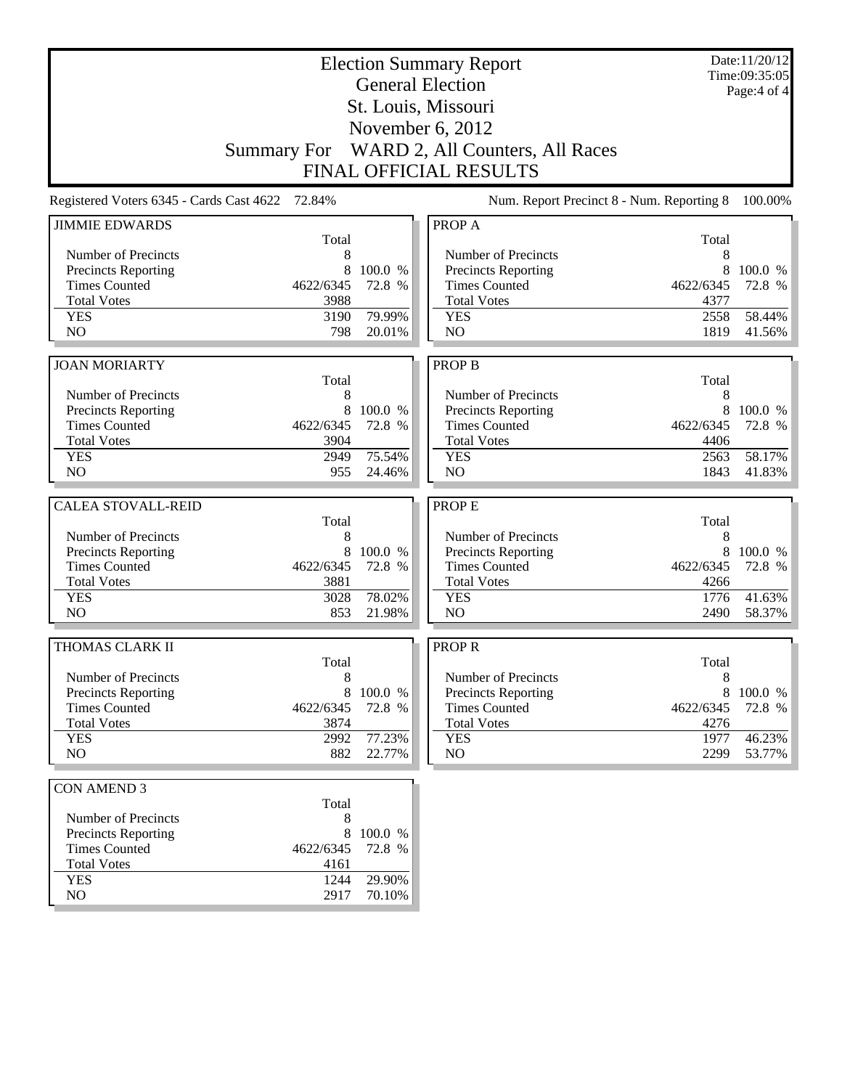| <b>Election Summary Report</b><br><b>General Election</b>                                 |                                           | Date:11/20/12<br>Time:09:35:05 |
|-------------------------------------------------------------------------------------------|-------------------------------------------|--------------------------------|
|                                                                                           |                                           | Page:4 of 4                    |
| St. Louis, Missouri                                                                       |                                           |                                |
| November 6, 2012                                                                          |                                           |                                |
| WARD 2, All Counters, All Races<br><b>Summary For</b>                                     |                                           |                                |
| <b>FINAL OFFICIAL RESULTS</b>                                                             |                                           |                                |
| Registered Voters 6345 - Cards Cast 4622<br>72.84%                                        | Num. Report Precinct 8 - Num. Reporting 8 | 100.00%                        |
| <b>JIMMIE EDWARDS</b><br>PROP A                                                           |                                           |                                |
| Total<br>Number of Precincts<br>Number of Precincts<br>8                                  | Total<br>8                                |                                |
| 8<br>100.0 %<br><b>Precincts Reporting</b><br><b>Precincts Reporting</b>                  | 8                                         | 100.0 %                        |
| <b>Times Counted</b><br>4622/6345<br>72.8 %<br><b>Times Counted</b>                       | 4622/6345                                 | 72.8 %                         |
| <b>Total Votes</b><br>3988<br><b>Total Votes</b>                                          | 4377                                      |                                |
| 79.99%<br><b>YES</b><br>3190<br><b>YES</b>                                                | 2558                                      | 58.44%                         |
| NO<br>N <sub>O</sub><br>798<br>20.01%                                                     | 1819                                      | 41.56%                         |
| <b>PROP B</b><br><b>JOAN MORIARTY</b>                                                     |                                           |                                |
| Total                                                                                     | Total                                     |                                |
| Number of Precincts<br>8<br>Number of Precincts                                           | 8                                         |                                |
| 8<br>100.0 %<br><b>Precincts Reporting</b><br>Precincts Reporting                         | 8                                         | 100.0 %                        |
| <b>Times Counted</b><br>4622/6345<br>72.8 %<br><b>Times Counted</b>                       | 4622/6345                                 | 72.8 %                         |
| <b>Total Votes</b><br>3904<br><b>Total Votes</b>                                          | 4406                                      |                                |
| 75.54%<br><b>YES</b><br>2949<br><b>YES</b>                                                | 2563                                      | 58.17%                         |
| NO<br>955<br>N <sub>O</sub><br>24.46%                                                     | 1843                                      | 41.83%                         |
| <b>CALEA STOVALL-REID</b><br>PROP E                                                       |                                           |                                |
|                                                                                           |                                           |                                |
|                                                                                           |                                           |                                |
| Total<br>Number of Precincts<br>Number of Precincts<br>8                                  | Total<br>8                                |                                |
| 8<br>Precincts Reporting<br>100.0 %<br><b>Precincts Reporting</b>                         | 8                                         | 100.0 %                        |
| <b>Times Counted</b><br>4622/6345<br><b>Times Counted</b><br>72.8 %                       | 4622/6345                                 | 72.8 %                         |
| <b>Total Votes</b><br>3881<br><b>Total Votes</b>                                          | 4266                                      |                                |
| 78.02%<br>3028<br><b>YES</b><br><b>YES</b>                                                | 1776                                      | 41.63%                         |
| N <sub>O</sub><br>853<br>N <sub>O</sub><br>21.98%                                         | 2490                                      | 58.37%                         |
| THOMAS CLARK II<br><b>PROPR</b>                                                           |                                           |                                |
| Total                                                                                     | Total                                     |                                |
| 8<br>Number of Precincts<br>Number of Precincts                                           | $\,8\,$                                   |                                |
| 8<br><b>Precincts Reporting</b><br>100.0 %<br>Precincts Reporting                         |                                           | 8 100.0 %                      |
| <b>Times Counted</b><br><b>Times Counted</b><br>4622/6345<br>72.8 %                       | 4622/6345                                 | 72.8 %                         |
| <b>Total Votes</b><br>3874<br><b>Total Votes</b>                                          | 4276                                      |                                |
| 77.23%<br><b>YES</b><br>2992<br><b>YES</b><br>NO.<br>882<br>NO.<br>22.77%                 | 1977<br>2299                              | 46.23%<br>53.77%               |
|                                                                                           |                                           |                                |
| <b>CON AMEND 3</b>                                                                        |                                           |                                |
| Total                                                                                     |                                           |                                |
| Number of Precincts<br>8                                                                  |                                           |                                |
| 8<br><b>Precincts Reporting</b><br>100.0 %<br><b>Times Counted</b><br>4622/6345<br>72.8 % |                                           |                                |
| <b>Total Votes</b><br>4161                                                                |                                           |                                |
| 29.90%<br><b>YES</b><br>1244<br>NO<br>2917<br>70.10%                                      |                                           |                                |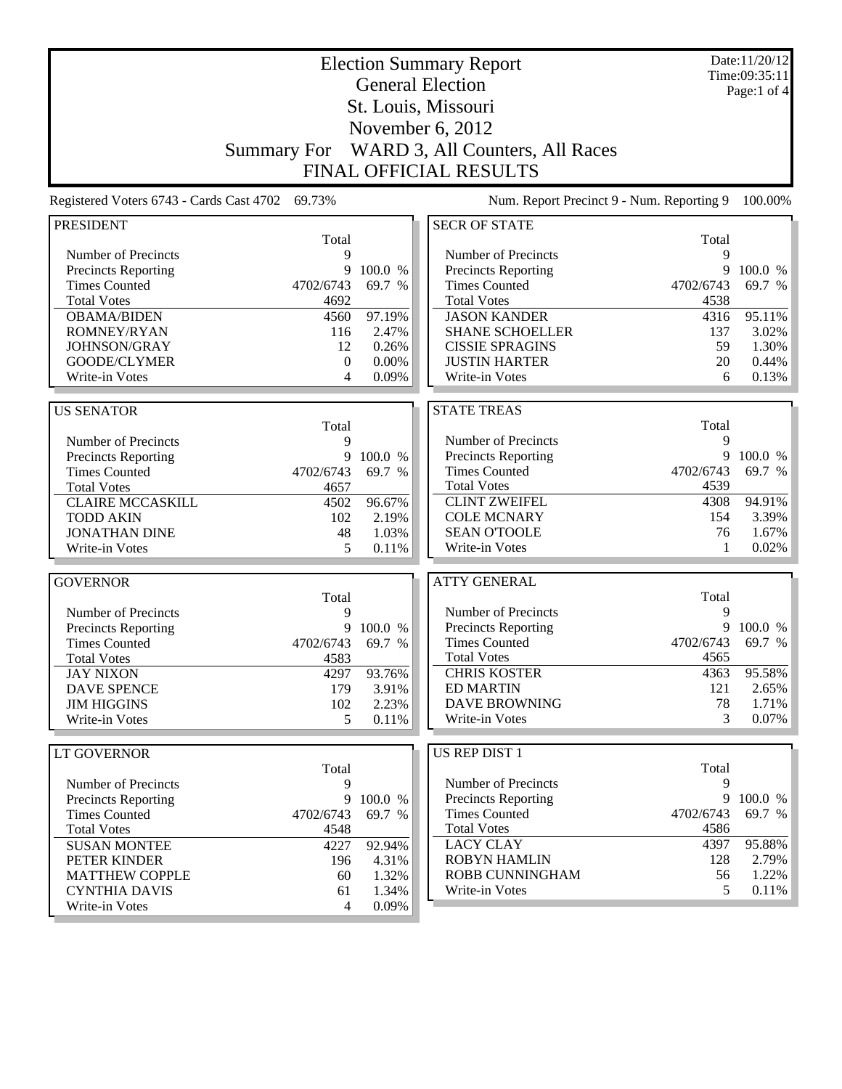|                                          |                    |         | <b>Election Summary Report</b>            |           | Date:11/20/12<br>Time:09:35:11 |
|------------------------------------------|--------------------|---------|-------------------------------------------|-----------|--------------------------------|
|                                          |                    |         | <b>General Election</b>                   |           | Page:1 of $4$                  |
|                                          |                    |         | St. Louis, Missouri                       |           |                                |
|                                          |                    |         | November 6, 2012                          |           |                                |
|                                          |                    |         |                                           |           |                                |
|                                          | <b>Summary For</b> |         | WARD 3, All Counters, All Races           |           |                                |
|                                          |                    |         | <b>FINAL OFFICIAL RESULTS</b>             |           |                                |
| Registered Voters 6743 - Cards Cast 4702 | 69.73%             |         | Num. Report Precinct 9 - Num. Reporting 9 |           | 100.00%                        |
| <b>PRESIDENT</b>                         |                    |         | <b>SECR OF STATE</b>                      |           |                                |
|                                          | Total              |         |                                           | Total     |                                |
| Number of Precincts                      | 9                  |         | Number of Precincts                       | 9         |                                |
| Precincts Reporting                      | 9                  | 100.0 % | Precincts Reporting                       | 9         | 100.0 %                        |
| <b>Times Counted</b>                     | 4702/6743          | 69.7 %  | <b>Times Counted</b>                      | 4702/6743 | 69.7 %                         |
| <b>Total Votes</b>                       | 4692               |         | <b>Total Votes</b>                        | 4538      |                                |
| <b>OBAMA/BIDEN</b>                       | 4560               | 97.19%  | <b>JASON KANDER</b>                       | 4316      | 95.11%                         |
| ROMNEY/RYAN                              | 116                | 2.47%   | <b>SHANE SCHOELLER</b>                    | 137       | 3.02%                          |
| JOHNSON/GRAY                             | 12                 | 0.26%   | <b>CISSIE SPRAGINS</b>                    | 59        | 1.30%                          |
| GOODE/CLYMER                             | $\mathbf{0}$       | 0.00%   | <b>JUSTIN HARTER</b>                      | 20        | 0.44%                          |
| Write-in Votes                           | 4                  | 0.09%   | Write-in Votes                            | 6         | 0.13%                          |
| <b>US SENATOR</b>                        |                    |         | <b>STATE TREAS</b>                        |           |                                |
|                                          | Total              |         |                                           | Total     |                                |
| Number of Precincts                      | 9                  |         | Number of Precincts                       | 9         |                                |
| Precincts Reporting                      | 9                  | 100.0 % | <b>Precincts Reporting</b>                | 9         | 100.0 %                        |
| <b>Times Counted</b>                     | 4702/6743          | 69.7 %  | <b>Times Counted</b>                      | 4702/6743 | 69.7 %                         |
| <b>Total Votes</b>                       | 4657               |         | <b>Total Votes</b>                        | 4539      |                                |
| <b>CLAIRE MCCASKILL</b>                  | 4502               | 96.67%  | <b>CLINT ZWEIFEL</b>                      | 4308      | 94.91%                         |
| <b>TODD AKIN</b>                         | 102                | 2.19%   | <b>COLE MCNARY</b>                        | 154       | 3.39%                          |
| <b>JONATHAN DINE</b>                     | 48                 | 1.03%   | <b>SEAN O'TOOLE</b>                       | 76        | 1.67%                          |
| Write-in Votes                           | 5                  | 0.11%   | Write-in Votes                            | 1         | 0.02%                          |
|                                          |                    |         |                                           |           |                                |
| <b>GOVERNOR</b>                          |                    |         | <b>ATTY GENERAL</b>                       |           |                                |
|                                          | Total              |         |                                           | Total     |                                |
| Number of Precincts                      | 9                  |         | Number of Precincts                       | 9         |                                |
| Precincts Reporting                      | 9                  | 100.0 % | Precincts Reporting                       | 9         | 100.0 %                        |
| <b>Times Counted</b>                     | 4702/6743          | 69.7 %  | <b>Times Counted</b>                      | 4702/6743 | 69.7 %                         |
| <b>Total Votes</b>                       | 4583               |         | <b>Total Votes</b>                        | 4565      |                                |
| <b>JAY NIXON</b>                         | 4297               | 93.76%  | <b>CHRIS KOSTER</b>                       | 4363      | 95.58%                         |
| <b>DAVE SPENCE</b>                       | 179                | 3.91%   | <b>ED MARTIN</b>                          | 121       | $2.65\%$                       |
| <b>JIM HIGGINS</b>                       | 102                | 2.23%   | <b>DAVE BROWNING</b>                      | 78        | 1.71%                          |
| Write-in Votes                           | 5                  | 0.11%   | Write-in Votes                            | 3         | $0.07\%$                       |
| <b>LT GOVERNOR</b>                       |                    |         | US REP DIST 1                             |           |                                |
|                                          | Total              |         |                                           | Total     |                                |
| Number of Precincts                      | 9                  |         | Number of Precincts                       | 9         |                                |
| <b>Precincts Reporting</b>               | 9                  | 100.0 % | <b>Precincts Reporting</b>                | 9         | 100.0 %                        |
| <b>Times Counted</b>                     | 4702/6743          | 69.7 %  | <b>Times Counted</b>                      | 4702/6743 | 69.7 %                         |
| <b>Total Votes</b>                       | 4548               |         | <b>Total Votes</b>                        | 4586      |                                |
| <b>SUSAN MONTEE</b>                      | 4227               | 92.94%  | <b>LACY CLAY</b>                          | 4397      | 95.88%                         |
| PETER KINDER                             | 196                | 4.31%   | <b>ROBYN HAMLIN</b>                       | 128       | 2.79%                          |
| <b>MATTHEW COPPLE</b>                    | 60                 | 1.32%   | ROBB CUNNINGHAM                           | 56        | 1.22%                          |
| <b>CYNTHIA DAVIS</b>                     | 61                 | 1.34%   | Write-in Votes                            | 5         | $0.11\%$                       |
| Write-in Votes                           | 4                  | 0.09%   |                                           |           |                                |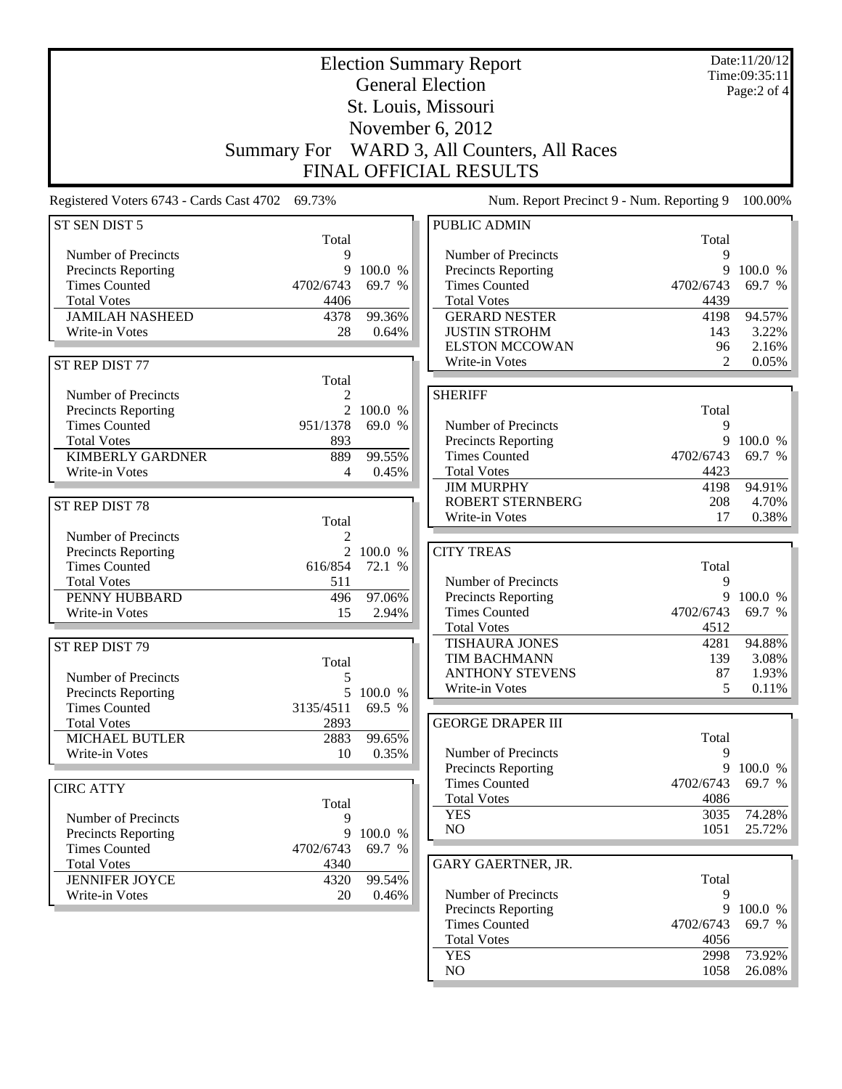|                                                 |                    |              | <b>Election Summary Report</b><br><b>General Election</b> |                | Date:11/20/12<br>Time:09:35:11<br>Page:2 of 4 |
|-------------------------------------------------|--------------------|--------------|-----------------------------------------------------------|----------------|-----------------------------------------------|
|                                                 |                    |              | St. Louis, Missouri                                       |                |                                               |
|                                                 |                    |              |                                                           |                |                                               |
|                                                 |                    |              | November 6, 2012                                          |                |                                               |
|                                                 | <b>Summary For</b> |              | WARD 3, All Counters, All Races                           |                |                                               |
|                                                 |                    |              | FINAL OFFICIAL RESULTS                                    |                |                                               |
| Registered Voters 6743 - Cards Cast 4702 69.73% |                    |              | Num. Report Precinct 9 - Num. Reporting 9                 |                | 100.00%                                       |
| ST SEN DIST 5                                   |                    |              | <b>PUBLIC ADMIN</b>                                       |                |                                               |
|                                                 | Total              |              |                                                           | Total          |                                               |
| Number of Precincts                             | 9                  |              | Number of Precincts                                       | 9              |                                               |
| Precincts Reporting                             | 9                  | 100.0 %      | <b>Precincts Reporting</b>                                | 9              | 100.0 %                                       |
| <b>Times Counted</b>                            | 4702/6743          | 69.7 %       | <b>Times Counted</b>                                      | 4702/6743      | 69.7 %                                        |
| <b>Total Votes</b>                              | 4406               |              | <b>Total Votes</b>                                        | 4439           |                                               |
| <b>JAMILAH NASHEED</b>                          | 4378               | 99.36%       | <b>GERARD NESTER</b>                                      | 4198           | 94.57%                                        |
| Write-in Votes                                  | 28                 | 0.64%        | <b>JUSTIN STROHM</b><br><b>ELSTON MCCOWAN</b>             | 143<br>96      | 3.22%                                         |
|                                                 |                    |              | Write-in Votes                                            | $\overline{2}$ | 2.16%<br>0.05%                                |
| ST REP DIST 77                                  |                    |              |                                                           |                |                                               |
| Number of Precincts                             | Total<br>2         |              | <b>SHERIFF</b>                                            |                |                                               |
| Precincts Reporting                             | $\overline{2}$     | 100.0 %      |                                                           | Total          |                                               |
| <b>Times Counted</b>                            | 951/1378           | 69.0 %       | Number of Precincts                                       | 9              |                                               |
| <b>Total Votes</b>                              | 893                |              | <b>Precincts Reporting</b>                                | 9              | 100.0 %                                       |
| <b>KIMBERLY GARDNER</b>                         | 889                | 99.55%       | <b>Times Counted</b>                                      | 4702/6743      | 69.7 %                                        |
| Write-in Votes                                  | $\overline{4}$     | 0.45%        | <b>Total Votes</b>                                        | 4423           |                                               |
|                                                 |                    |              | <b>JIM MURPHY</b>                                         | 4198           | 94.91%                                        |
|                                                 |                    |              | <b>ROBERT STERNBERG</b>                                   | 208            | 4.70%                                         |
| ST REP DIST 78                                  | Total              |              | Write-in Votes                                            | 17             | 0.38%                                         |
| Number of Precincts                             | 2                  |              |                                                           |                |                                               |
| Precincts Reporting                             | $\overline{2}$     | 100.0 %      | <b>CITY TREAS</b>                                         |                |                                               |
| <b>Times Counted</b>                            | 616/854            | 72.1 %       |                                                           | Total          |                                               |
| <b>Total Votes</b>                              | 511                |              | Number of Precincts                                       | 9              |                                               |
| PENNY HUBBARD                                   | 496                | 97.06%       | Precincts Reporting                                       | 9              | 100.0 %                                       |
| Write-in Votes                                  | 15                 | 2.94%        | <b>Times Counted</b>                                      | 4702/6743      | 69.7 %                                        |
|                                                 |                    |              | <b>Total Votes</b>                                        | 4512           |                                               |
| ST REP DIST 79                                  |                    |              | <b>TISHAURA JONES</b>                                     | 4281           | 94.88%                                        |
|                                                 | Total              |              | <b>TIM BACHMANN</b>                                       | 139            | 3.08%                                         |
| Number of Precincts                             | $\mathfrak s$      |              | <b>ANTHONY STEVENS</b>                                    | 87             | 1.93%                                         |
| Precincts Reporting                             |                    | 5 100.0 $\%$ | Write-in Votes                                            | 5              | 0.11%                                         |
| <b>Times Counted</b>                            | 3135/4511          | 69.5 %       |                                                           |                |                                               |
| <b>Total Votes</b>                              | 2893               |              | <b>GEORGE DRAPER III</b>                                  |                |                                               |
| <b>MICHAEL BUTLER</b>                           | 2883               | 99.65%       |                                                           | Total          |                                               |
| Write-in Votes                                  | 10                 | 0.35%        | Number of Precincts                                       | 9              |                                               |
|                                                 |                    |              | Precincts Reporting                                       |                | 9 100.0 %                                     |
| <b>CIRC ATTY</b>                                |                    |              | <b>Times Counted</b>                                      | 4702/6743      | 69.7 %                                        |
|                                                 | Total              |              | <b>Total Votes</b>                                        | 4086           |                                               |
| Number of Precincts                             | 9                  |              | <b>YES</b>                                                | 3035           | 74.28%                                        |
| Precincts Reporting                             | 9                  | 100.0 %      | NO                                                        | 1051           | 25.72%                                        |
| <b>Times Counted</b>                            | 4702/6743          | 69.7 %       |                                                           |                |                                               |
| <b>Total Votes</b>                              | 4340               |              | GARY GAERTNER, JR.                                        |                |                                               |
| <b>JENNIFER JOYCE</b>                           | 4320               | 99.54%       |                                                           | Total          |                                               |
| Write-in Votes                                  | 20                 | 0.46%        | Number of Precincts                                       | 9              |                                               |
|                                                 |                    |              | <b>Precincts Reporting</b>                                | 9              | 100.0 %                                       |
|                                                 |                    |              | <b>Times Counted</b>                                      | 4702/6743      | 69.7 %                                        |
|                                                 |                    |              | <b>Total Votes</b>                                        | 4056           |                                               |
|                                                 |                    |              | <b>YES</b>                                                | 2998           | 73.92%                                        |
|                                                 |                    |              | NO                                                        | 1058           | 26.08%                                        |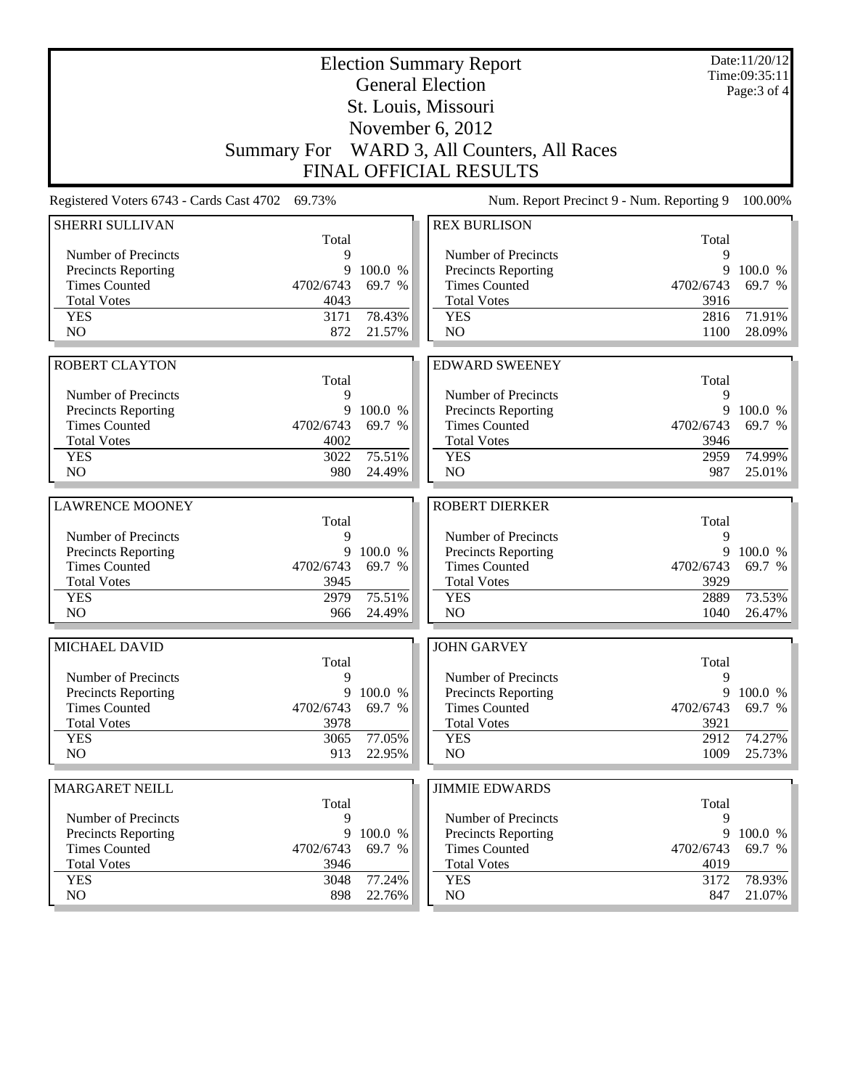|                                                 |                    |         | <b>Election Summary Report</b><br><b>General Election</b> |            | Date:11/20/12<br>Time:09:35:11<br>Page: $3$ of $4$ |
|-------------------------------------------------|--------------------|---------|-----------------------------------------------------------|------------|----------------------------------------------------|
|                                                 |                    |         | St. Louis, Missouri                                       |            |                                                    |
|                                                 |                    |         | November 6, 2012                                          |            |                                                    |
|                                                 | <b>Summary For</b> |         | WARD 3, All Counters, All Races                           |            |                                                    |
|                                                 |                    |         | <b>FINAL OFFICIAL RESULTS</b>                             |            |                                                    |
|                                                 |                    |         |                                                           |            |                                                    |
| Registered Voters 6743 - Cards Cast 4702 69.73% |                    |         | Num. Report Precinct 9 - Num. Reporting 9                 |            | 100.00%                                            |
| SHERRI SULLIVAN                                 | Total              |         | <b>REX BURLISON</b>                                       | Total      |                                                    |
| Number of Precincts                             | 9                  |         | Number of Precincts                                       | 9          |                                                    |
| Precincts Reporting                             | 9                  | 100.0 % | <b>Precincts Reporting</b>                                | 9          | 100.0 %                                            |
| <b>Times Counted</b>                            | 4702/6743          | 69.7 %  | <b>Times Counted</b>                                      | 4702/6743  | 69.7 %                                             |
| <b>Total Votes</b>                              | 4043               |         | <b>Total Votes</b>                                        | 3916       |                                                    |
| <b>YES</b>                                      | 3171               | 78.43%  | <b>YES</b>                                                | 2816       | 71.91%                                             |
| NO                                              | 872                | 21.57%  | NO                                                        | 1100       | 28.09%                                             |
|                                                 |                    |         |                                                           |            |                                                    |
| <b>ROBERT CLAYTON</b>                           |                    |         | <b>EDWARD SWEENEY</b>                                     |            |                                                    |
| Number of Precincts                             | Total<br>9         |         | Number of Precincts                                       | Total<br>9 |                                                    |
| Precincts Reporting                             | 9                  | 100.0 % | Precincts Reporting                                       | 9          | 100.0 %                                            |
| <b>Times Counted</b>                            | 4702/6743          | 69.7 %  | <b>Times Counted</b>                                      | 4702/6743  | 69.7 %                                             |
| <b>Total Votes</b>                              | 4002               |         | <b>Total Votes</b>                                        | 3946       |                                                    |
| <b>YES</b>                                      | 3022               | 75.51%  | <b>YES</b>                                                | 2959       | 74.99%                                             |
| NO                                              | 980                | 24.49%  | N <sub>O</sub>                                            | 987        | 25.01%                                             |
|                                                 |                    |         |                                                           |            |                                                    |
| <b>LAWRENCE MOONEY</b>                          | Total              |         | <b>ROBERT DIERKER</b>                                     |            |                                                    |
| Number of Precincts                             | 9                  |         | Number of Precincts                                       | Total<br>9 |                                                    |
| Precincts Reporting                             | 9                  | 100.0 % | Precincts Reporting                                       | 9          | 100.0 %                                            |
| <b>Times Counted</b>                            | 4702/6743          | 69.7 %  | <b>Times Counted</b>                                      | 4702/6743  | 69.7 %                                             |
| <b>Total Votes</b>                              | 3945               |         | <b>Total Votes</b>                                        | 3929       |                                                    |
| <b>YES</b>                                      | 2979               | 75.51%  | <b>YES</b>                                                | 2889       | 73.53%                                             |
| N <sub>O</sub>                                  | 966                | 24.49%  | NO                                                        | 1040       | 26.47%                                             |
|                                                 |                    |         |                                                           |            |                                                    |
| MICHAEL DAVID                                   | Total              |         | <b>JOHN GARVEY</b>                                        | Total      |                                                    |
| Number of Precincts                             | 9                  |         | Number of Precincts                                       | 9          |                                                    |
| <b>Precincts Reporting</b>                      | 9                  | 100.0 % | Precincts Reporting                                       | 9          | 100.0 %                                            |
| <b>Times Counted</b>                            | 4702/6743          | 69.7 %  | <b>Times Counted</b>                                      | 4702/6743  | 69.7 %                                             |
| <b>Total Votes</b>                              | 3978               |         | <b>Total Votes</b>                                        | 3921       |                                                    |
| <b>YES</b>                                      | 3065               | 77.05%  | <b>YES</b>                                                | 2912       | 74.27%                                             |
| NO                                              | 913                | 22.95%  | NO                                                        | 1009       | 25.73%                                             |
| <b>MARGARET NEILL</b>                           |                    |         | <b>JIMMIE EDWARDS</b>                                     |            |                                                    |
|                                                 | Total              |         |                                                           | Total      |                                                    |
| Number of Precincts                             | 9                  |         | Number of Precincts                                       | 9          |                                                    |
| <b>Precincts Reporting</b>                      | 9                  | 100.0 % | <b>Precincts Reporting</b>                                | 9          | 100.0 %                                            |
| <b>Times Counted</b>                            | 4702/6743          | 69.7 %  | <b>Times Counted</b>                                      | 4702/6743  | 69.7 %                                             |
| <b>Total Votes</b>                              | 3946               |         | <b>Total Votes</b>                                        | 4019       |                                                    |
| <b>YES</b>                                      | 3048               | 77.24%  | <b>YES</b>                                                | 3172       | 78.93%                                             |
| NO                                              | 898                | 22.76%  | NO.                                                       | 847        | 21.07%                                             |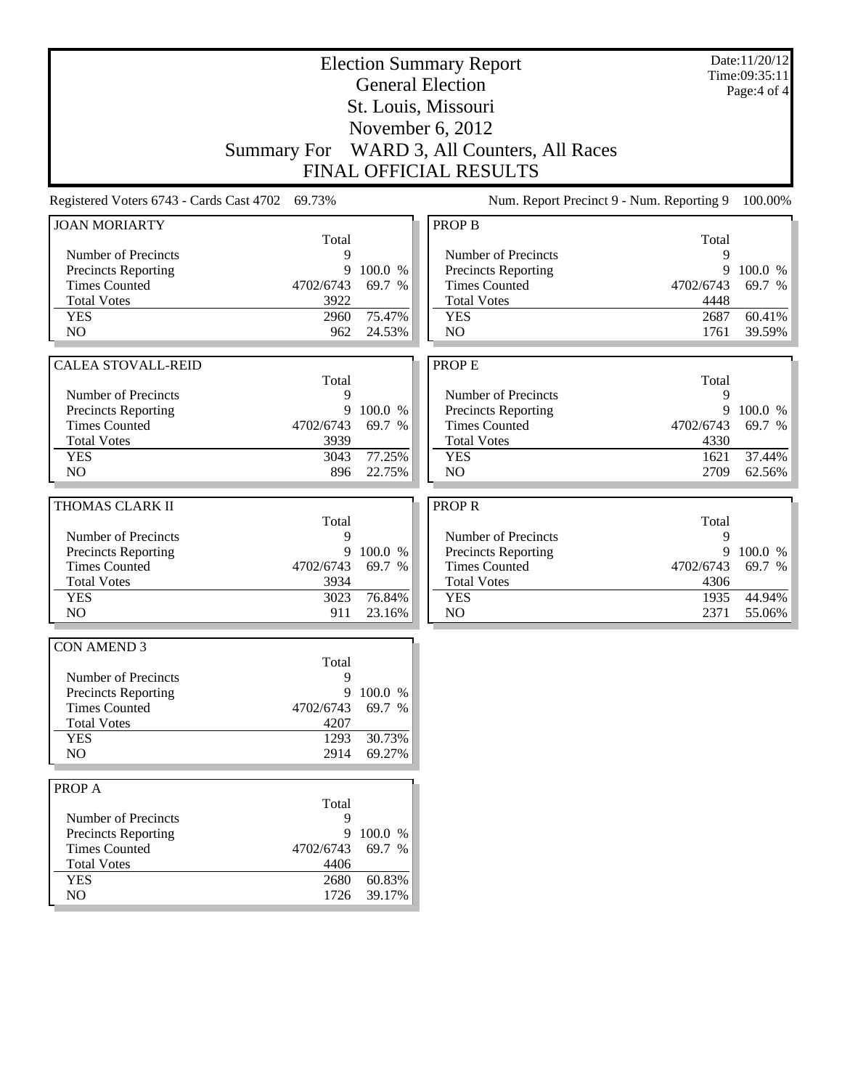|                                             |                                                 |                  | <b>Election Summary Report</b>              |           | Date:11/20/12<br>Time:09:35:11 |
|---------------------------------------------|-------------------------------------------------|------------------|---------------------------------------------|-----------|--------------------------------|
|                                             |                                                 |                  | <b>General Election</b>                     |           | Page: 4 of 4                   |
|                                             |                                                 |                  | St. Louis, Missouri                         |           |                                |
|                                             |                                                 |                  | November 6, 2012                            |           |                                |
|                                             |                                                 |                  |                                             |           |                                |
|                                             | <b>Summary For</b>                              |                  | WARD 3, All Counters, All Races             |           |                                |
|                                             |                                                 |                  | <b>FINAL OFFICIAL RESULTS</b>               |           |                                |
|                                             | Registered Voters 6743 - Cards Cast 4702 69.73% |                  | Num. Report Precinct 9 - Num. Reporting 9   |           | 100.00%                        |
| <b>JOAN MORIARTY</b>                        |                                                 |                  | <b>PROP B</b>                               |           |                                |
|                                             | Total                                           |                  |                                             | Total     |                                |
| Number of Precincts                         | 9                                               | 100.0 %          | Number of Precincts                         | 9<br>9    |                                |
| Precincts Reporting<br><b>Times Counted</b> | 9<br>4702/6743                                  | 69.7 %           | Precincts Reporting<br><b>Times Counted</b> | 4702/6743 | 100.0 %<br>69.7 %              |
| <b>Total Votes</b>                          | 3922                                            |                  | <b>Total Votes</b>                          | 4448      |                                |
| <b>YES</b>                                  | 2960                                            | 75.47%           | <b>YES</b>                                  | 2687      | 60.41%                         |
| N <sub>O</sub>                              | 962                                             | 24.53%           | N <sub>O</sub>                              | 1761      | 39.59%                         |
|                                             |                                                 |                  |                                             |           |                                |
| <b>CALEA STOVALL-REID</b>                   |                                                 |                  | PROP E                                      |           |                                |
|                                             | Total                                           |                  |                                             | Total     |                                |
| Number of Precincts                         | 9                                               |                  | Number of Precincts                         | 9         |                                |
| <b>Precincts Reporting</b>                  | 9                                               | 100.0 %          | Precincts Reporting                         | 9         | 100.0 %                        |
| <b>Times Counted</b>                        | 4702/6743                                       | 69.7 %           | <b>Times Counted</b>                        | 4702/6743 | 69.7 %                         |
| <b>Total Votes</b>                          | 3939                                            |                  | <b>Total Votes</b>                          | 4330      |                                |
| <b>YES</b>                                  | 3043                                            | 77.25%           | <b>YES</b>                                  | 1621      | 37.44%                         |
| N <sub>O</sub>                              | 896                                             | 22.75%           | N <sub>O</sub>                              | 2709      | 62.56%                         |
| THOMAS CLARK II                             |                                                 |                  | <b>PROPR</b>                                |           |                                |
|                                             | Total                                           |                  |                                             | Total     |                                |
|                                             |                                                 |                  |                                             |           |                                |
| Number of Precincts                         | 9                                               |                  | Number of Precincts                         | 9         |                                |
| Precincts Reporting                         | 9                                               | 100.0 %          | Precincts Reporting                         | 9         | 100.0 %                        |
| <b>Times Counted</b>                        | 4702/6743                                       | 69.7 %           | <b>Times Counted</b>                        | 4702/6743 | 69.7 %                         |
| <b>Total Votes</b>                          | 3934                                            |                  | <b>Total Votes</b>                          | 4306      |                                |
| <b>YES</b>                                  | 3023                                            | 76.84%           | <b>YES</b>                                  | 1935      | 44.94%                         |
| N <sub>O</sub>                              | 911                                             | 23.16%           | NO                                          | 2371      | 55.06%                         |
| <b>CON AMEND 3</b>                          |                                                 |                  |                                             |           |                                |
|                                             | Total                                           |                  |                                             |           |                                |
| Number of Precincts                         | 9                                               |                  |                                             |           |                                |
| Precincts Reporting                         | 9                                               | 100.0 %          |                                             |           |                                |
| <b>Times Counted</b>                        | 4702/6743                                       | 69.7 %           |                                             |           |                                |
| <b>Total Votes</b>                          | 4207                                            |                  |                                             |           |                                |
| <b>YES</b>                                  | 1293                                            | 30.73%           |                                             |           |                                |
| N <sub>O</sub>                              | 2914                                            | 69.27%           |                                             |           |                                |
| PROP A                                      |                                                 |                  |                                             |           |                                |
|                                             | Total                                           |                  |                                             |           |                                |
| Number of Precincts                         | 9                                               |                  |                                             |           |                                |
| Precincts Reporting                         | 9                                               | 100.0 %          |                                             |           |                                |
| <b>Times Counted</b>                        | 4702/6743                                       | 69.7 %           |                                             |           |                                |
| <b>Total Votes</b>                          | 4406                                            |                  |                                             |           |                                |
| <b>YES</b><br>NO                            | 2680<br>1726                                    | 60.83%<br>39.17% |                                             |           |                                |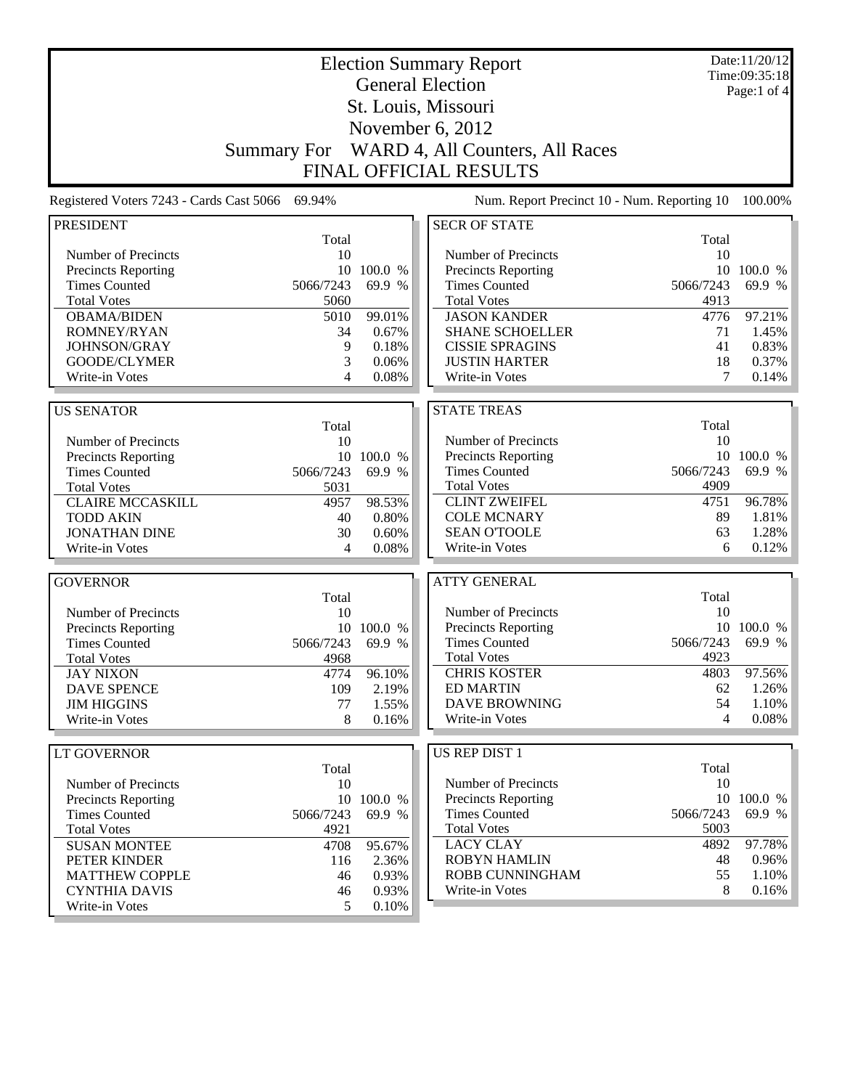| <b>Election Summary Report</b><br><b>General Election</b> |                    |                   |                                             |                 | Date:11/20/12<br>Time:09:35:18<br>Page:1 of 4 |  |
|-----------------------------------------------------------|--------------------|-------------------|---------------------------------------------|-----------------|-----------------------------------------------|--|
|                                                           |                    |                   | St. Louis, Missouri                         |                 |                                               |  |
|                                                           |                    |                   | November 6, 2012                            |                 |                                               |  |
|                                                           | <b>Summary For</b> |                   | WARD 4, All Counters, All Races             |                 |                                               |  |
|                                                           |                    |                   | <b>FINAL OFFICIAL RESULTS</b>               |                 |                                               |  |
| Registered Voters 7243 - Cards Cast 5066                  | 69.94%             |                   | Num. Report Precinct 10 - Num. Reporting 10 |                 | 100.00%                                       |  |
| <b>PRESIDENT</b>                                          |                    |                   | <b>SECR OF STATE</b>                        |                 |                                               |  |
|                                                           | Total              |                   |                                             | Total           |                                               |  |
| Number of Precincts                                       | 10<br>10           |                   | Number of Precincts                         | 10              |                                               |  |
| Precincts Reporting<br><b>Times Counted</b>               | 5066/7243          | 100.0 %<br>69.9 % | Precincts Reporting<br><b>Times Counted</b> | 10<br>5066/7243 | 100.0 %<br>69.9 %                             |  |
| <b>Total Votes</b>                                        | 5060               |                   | <b>Total Votes</b>                          | 4913            |                                               |  |
| <b>OBAMA/BIDEN</b>                                        | 5010               | 99.01%            | <b>JASON KANDER</b>                         | 4776            | 97.21%                                        |  |
| <b>ROMNEY/RYAN</b>                                        | 34                 | 0.67%             | <b>SHANE SCHOELLER</b>                      | 71              | 1.45%                                         |  |
| <b>JOHNSON/GRAY</b>                                       | 9                  | 0.18%             | <b>CISSIE SPRAGINS</b>                      | 41              | 0.83%                                         |  |
| GOODE/CLYMER                                              | 3                  | 0.06%             | <b>JUSTIN HARTER</b>                        | 18              | 0.37%                                         |  |
| Write-in Votes                                            | 4                  | 0.08%             | Write-in Votes                              | 7               | 0.14%                                         |  |
| <b>US SENATOR</b>                                         |                    |                   | <b>STATE TREAS</b>                          |                 |                                               |  |
|                                                           | Total              |                   |                                             | Total           |                                               |  |
| Number of Precincts                                       | 10                 |                   | Number of Precincts                         | 10              |                                               |  |
| Precincts Reporting                                       |                    | 10 100.0 %        | <b>Precincts Reporting</b>                  | 10              | 100.0 %                                       |  |
| <b>Times Counted</b>                                      | 5066/7243          | 69.9 %            | <b>Times Counted</b>                        | 5066/7243       | 69.9 %                                        |  |
| <b>Total Votes</b>                                        | 5031               |                   | <b>Total Votes</b>                          | 4909            |                                               |  |
| <b>CLAIRE MCCASKILL</b>                                   | 4957               | 98.53%            | <b>CLINT ZWEIFEL</b>                        | 4751            | 96.78%                                        |  |
| <b>TODD AKIN</b>                                          | 40                 | 0.80%             | <b>COLE MCNARY</b>                          | 89              | 1.81%                                         |  |
| <b>JONATHAN DINE</b>                                      | 30                 | 0.60%             | <b>SEAN O'TOOLE</b>                         | 63              | 1.28%                                         |  |
| Write-in Votes                                            | 4                  | 0.08%             | Write-in Votes                              | 6               | 0.12%                                         |  |
| <b>GOVERNOR</b>                                           |                    |                   | <b>ATTY GENERAL</b>                         |                 |                                               |  |
|                                                           | Total              |                   |                                             | Total           |                                               |  |
| Number of Precincts                                       | 10                 |                   | Number of Precincts                         | 10              |                                               |  |
| <b>Precincts Reporting</b>                                | 10                 | 100.0 %           | Precincts Reporting                         | 10              | 100.0 %                                       |  |
| <b>Times Counted</b>                                      | 5066/7243          | 69.9 %            | <b>Times Counted</b>                        | 5066/7243       | 69.9 %                                        |  |
| <b>Total Votes</b>                                        | 4968               |                   | <b>Total Votes</b>                          | 4923            |                                               |  |
| <b>JAY NIXON</b><br><b>DAVE SPENCE</b>                    | 4774               | 96.10%            | <b>CHRIS KOSTER</b><br><b>ED MARTIN</b>     | 4803<br>62      | 97.56%<br>1.26%                               |  |
| <b>JIM HIGGINS</b>                                        | 109<br>77          | 2.19%<br>1.55%    | <b>DAVE BROWNING</b>                        | 54              | 1.10%                                         |  |
| Write-in Votes                                            | 8                  | 0.16%             | Write-in Votes                              | 4               | 0.08%                                         |  |
|                                                           |                    |                   |                                             |                 |                                               |  |
| LT GOVERNOR                                               | Total              |                   | US REP DIST 1                               | Total           |                                               |  |
| Number of Precincts                                       | 10                 |                   | Number of Precincts                         | 10              |                                               |  |
| <b>Precincts Reporting</b>                                | 10                 | 100.0 %           | <b>Precincts Reporting</b>                  | 10              | 100.0 %                                       |  |
| <b>Times Counted</b>                                      | 5066/7243          | 69.9 %            | <b>Times Counted</b>                        | 5066/7243       | 69.9 %                                        |  |
| <b>Total Votes</b>                                        | 4921               |                   | <b>Total Votes</b>                          | 5003            |                                               |  |
| <b>SUSAN MONTEE</b>                                       | 4708               | 95.67%            | <b>LACY CLAY</b>                            | 4892            | 97.78%                                        |  |
| PETER KINDER                                              | 116                | 2.36%             | <b>ROBYN HAMLIN</b>                         | 48              | 0.96%                                         |  |
| <b>MATTHEW COPPLE</b>                                     | 46                 | 0.93%             | ROBB CUNNINGHAM                             | 55              | 1.10%                                         |  |
| <b>CYNTHIA DAVIS</b>                                      | 46                 | 0.93%             | Write-in Votes                              | 8               | 0.16%                                         |  |
| Write-in Votes                                            | 5                  | 0.10%             |                                             |                 |                                               |  |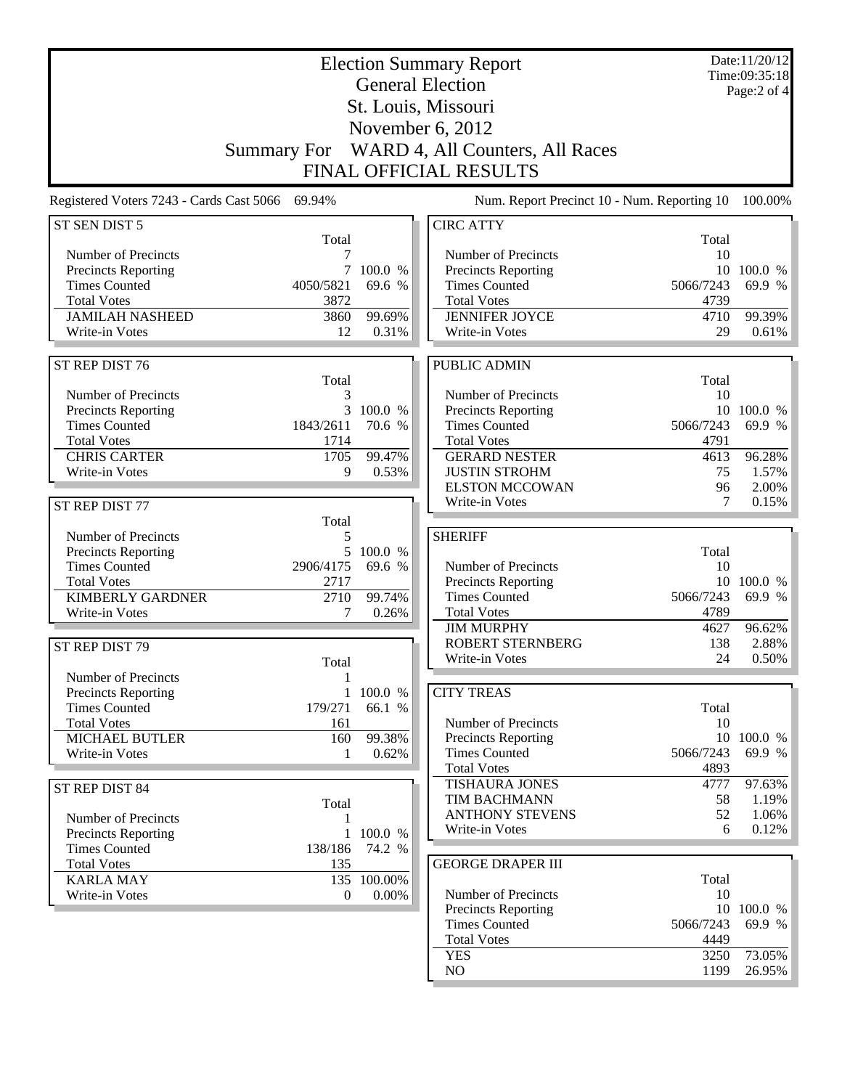|                                                 |                    |                 | <b>Election Summary Report</b>              |                   | Date:11/20/12<br>Time:09:35:18 |
|-------------------------------------------------|--------------------|-----------------|---------------------------------------------|-------------------|--------------------------------|
|                                                 |                    |                 | <b>General Election</b>                     |                   | Page:2 of 4                    |
|                                                 |                    |                 | St. Louis, Missouri                         |                   |                                |
|                                                 |                    |                 | November 6, 2012                            |                   |                                |
|                                                 |                    |                 |                                             |                   |                                |
|                                                 | <b>Summary For</b> |                 | WARD 4, All Counters, All Races             |                   |                                |
|                                                 |                    |                 | <b>FINAL OFFICIAL RESULTS</b>               |                   |                                |
| Registered Voters 7243 - Cards Cast 5066 69.94% |                    |                 | Num. Report Precinct 10 - Num. Reporting 10 |                   | 100.00%                        |
| ST SEN DIST 5                                   |                    |                 | <b>CIRC ATTY</b>                            |                   |                                |
|                                                 | Total              |                 |                                             | Total             |                                |
| Number of Precincts                             | 7                  |                 | Number of Precincts                         | 10                |                                |
| <b>Precincts Reporting</b>                      | 7                  | 100.0 %         | <b>Precincts Reporting</b>                  |                   | 10 100.0 %                     |
| <b>Times Counted</b>                            | 4050/5821          | 69.6 %          | <b>Times Counted</b>                        | 5066/7243         | 69.9 %                         |
| <b>Total Votes</b>                              | 3872               |                 | <b>Total Votes</b>                          | 4739              |                                |
| <b>JAMILAH NASHEED</b><br>Write-in Votes        | 3860<br>12         | 99.69%<br>0.31% | <b>JENNIFER JOYCE</b><br>Write-in Votes     | 4710<br>29        | 99.39%<br>0.61%                |
|                                                 |                    |                 |                                             |                   |                                |
| ST REP DIST 76                                  |                    |                 | PUBLIC ADMIN                                |                   |                                |
|                                                 | Total              |                 |                                             | Total             |                                |
| Number of Precincts                             | 3                  |                 | Number of Precincts                         | 10                |                                |
| Precincts Reporting                             | 3                  | 100.0 %         | Precincts Reporting                         |                   | 10 100.0 %                     |
| <b>Times Counted</b>                            | 1843/2611          | 70.6 %          | <b>Times Counted</b>                        | 5066/7243         | 69.9 %                         |
| <b>Total Votes</b>                              | 1714               |                 | <b>Total Votes</b>                          | 4791              |                                |
| <b>CHRIS CARTER</b>                             | 1705               | 99.47%          | <b>GERARD NESTER</b>                        | 4613              | 96.28%                         |
| Write-in Votes                                  | 9                  | 0.53%           | <b>JUSTIN STROHM</b>                        | 75                | 1.57%                          |
|                                                 |                    |                 | <b>ELSTON MCCOWAN</b>                       | 96                | 2.00%                          |
| ST REP DIST 77                                  |                    |                 | Write-in Votes                              | 7                 | 0.15%                          |
|                                                 | Total              |                 |                                             |                   |                                |
| Number of Precincts                             | 5                  |                 | <b>SHERIFF</b>                              |                   |                                |
| <b>Precincts Reporting</b>                      | 5                  | 100.0 %         |                                             | Total             |                                |
| <b>Times Counted</b>                            | 2906/4175          | 69.6 %          | Number of Precincts                         | 10                |                                |
| <b>Total Votes</b>                              | 2717               |                 | Precincts Reporting                         |                   | 10 100.0 %                     |
| <b>KIMBERLY GARDNER</b>                         | 2710               | 99.74%          | <b>Times Counted</b>                        | 5066/7243<br>4789 | 69.9 %                         |
| Write-in Votes                                  | 7                  | 0.26%           | <b>Total Votes</b><br><b>JIM MURPHY</b>     | 4627              | 96.62%                         |
|                                                 |                    |                 | <b>ROBERT STERNBERG</b>                     | 138               | 2.88%                          |
| ST REP DIST 79                                  |                    |                 | Write-in Votes                              | 24                | 0.50%                          |
|                                                 | Total              |                 |                                             |                   |                                |
| Number of Precincts                             | $\mathbf{1}$       |                 |                                             |                   |                                |
| Precincts Reporting                             |                    | 1 100.0 %       | <b>CITY TREAS</b>                           |                   |                                |
| <b>Times Counted</b><br><b>Total Votes</b>      | 179/271            | 66.1 %          | Number of Precincts                         | Total<br>10       |                                |
| <b>MICHAEL BUTLER</b>                           | 161                | 99.38%          | Precincts Reporting                         |                   | 10 100.0 %                     |
| Write-in Votes                                  | 160<br>1           | 0.62%           | <b>Times Counted</b>                        | 5066/7243         | 69.9 %                         |
|                                                 |                    |                 | <b>Total Votes</b>                          | 4893              |                                |
|                                                 |                    |                 | <b>TISHAURA JONES</b>                       | 4777              | 97.63%                         |
| ST REP DIST 84                                  |                    |                 | TIM BACHMANN                                | 58                | 1.19%                          |
|                                                 | Total              |                 | <b>ANTHONY STEVENS</b>                      | 52                | 1.06%                          |
| Number of Precincts                             | 1                  | 1 100.0 %       | Write-in Votes                              | 6                 | 0.12%                          |
| Precincts Reporting<br><b>Times Counted</b>     | 138/186            | 74.2 %          |                                             |                   |                                |
| <b>Total Votes</b>                              | 135                |                 | <b>GEORGE DRAPER III</b>                    |                   |                                |
| <b>KARLA MAY</b>                                |                    | 135 100.00%     |                                             | Total             |                                |
| Write-in Votes                                  | 0                  | 0.00%           | Number of Precincts                         | 10                |                                |
|                                                 |                    |                 | Precincts Reporting                         |                   | 10 100.0 %                     |
|                                                 |                    |                 | <b>Times Counted</b>                        | 5066/7243         | 69.9 %                         |
|                                                 |                    |                 | <b>Total Votes</b>                          | 4449              |                                |
|                                                 |                    |                 | <b>YES</b>                                  | 3250              | 73.05%                         |
|                                                 |                    |                 | NO                                          | 1199              | 26.95%                         |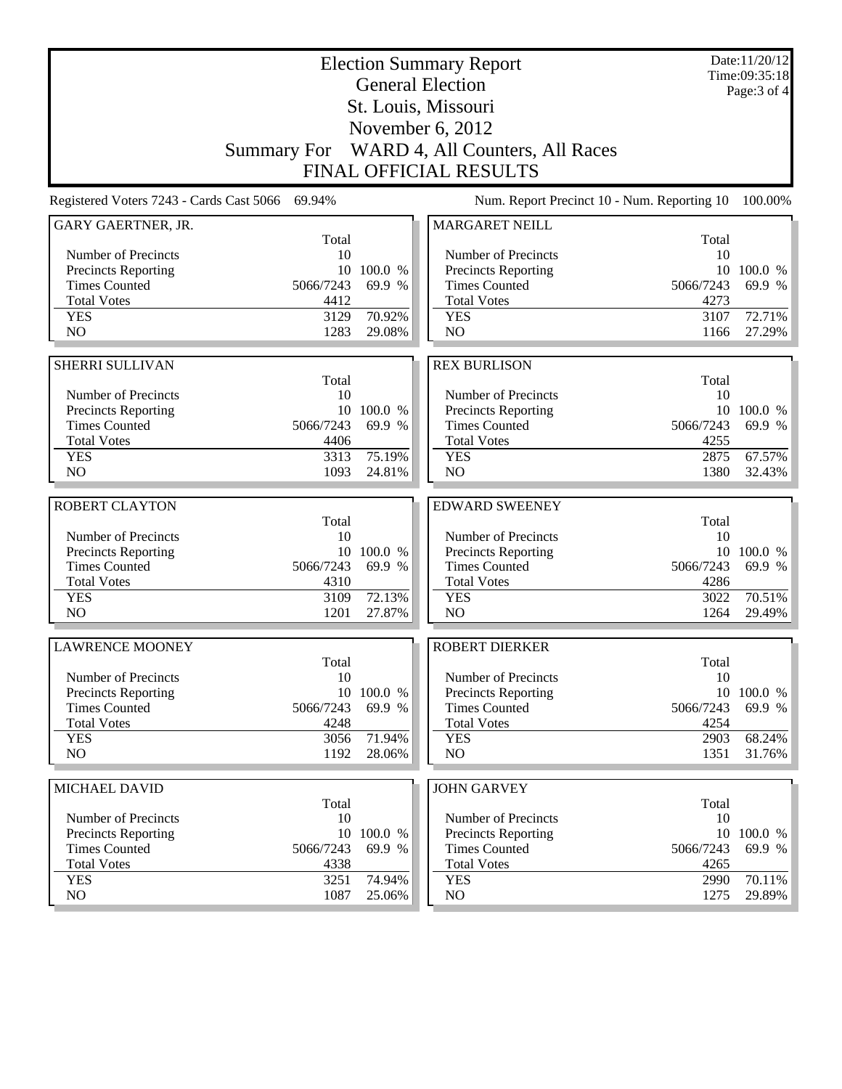|                                                    |                    |                   | <b>Election Summary Report</b><br><b>General Election</b> |                   | Date:11/20/12<br>Time:09:35:18 |
|----------------------------------------------------|--------------------|-------------------|-----------------------------------------------------------|-------------------|--------------------------------|
|                                                    |                    |                   | St. Louis, Missouri                                       |                   | Page: 3 of 4                   |
|                                                    |                    |                   | November 6, 2012                                          |                   |                                |
|                                                    |                    |                   |                                                           |                   |                                |
|                                                    | <b>Summary For</b> |                   | WARD 4, All Counters, All Races                           |                   |                                |
|                                                    |                    |                   | <b>FINAL OFFICIAL RESULTS</b>                             |                   |                                |
| Registered Voters 7243 - Cards Cast 5066           | 69.94%             |                   | Num. Report Precinct 10 - Num. Reporting 10               |                   | 100.00%                        |
| GARY GAERTNER, JR.                                 | Total              |                   | <b>MARGARET NEILL</b>                                     | Total             |                                |
| Number of Precincts                                | 10                 |                   | Number of Precincts                                       | 10                |                                |
| <b>Precincts Reporting</b>                         |                    | 10 100.0 %        | Precincts Reporting                                       |                   | 10 100.0 %                     |
| <b>Times Counted</b>                               | 5066/7243          | 69.9 %            | <b>Times Counted</b>                                      | 5066/7243         | 69.9 %                         |
| <b>Total Votes</b>                                 | 4412               |                   | <b>Total Votes</b>                                        | 4273              |                                |
| <b>YES</b>                                         | 3129               | 70.92%            | <b>YES</b>                                                | 3107              | 72.71%                         |
| N <sub>O</sub>                                     | 1283               | 29.08%            | NO                                                        | 1166              | 27.29%                         |
|                                                    |                    |                   |                                                           |                   |                                |
| <b>SHERRI SULLIVAN</b>                             | Total              |                   | <b>REX BURLISON</b>                                       | Total             |                                |
| Number of Precincts                                | 10                 |                   | Number of Precincts                                       | 10                |                                |
| <b>Precincts Reporting</b>                         |                    | 10 100.0 %        | Precincts Reporting                                       |                   | 10 100.0 %                     |
| <b>Times Counted</b>                               | 5066/7243          | 69.9 %            | <b>Times Counted</b>                                      | 5066/7243         | 69.9 %                         |
| <b>Total Votes</b>                                 | 4406               |                   | <b>Total Votes</b>                                        | 4255              |                                |
| <b>YES</b>                                         | 3313               | 75.19%            | <b>YES</b>                                                | 2875              | 67.57%                         |
| N <sub>O</sub>                                     | 1093               | 24.81%            | NO                                                        | 1380              | 32.43%                         |
|                                                    |                    |                   |                                                           |                   |                                |
| <b>ROBERT CLAYTON</b>                              | Total              |                   | <b>EDWARD SWEENEY</b>                                     | Total             |                                |
| Number of Precincts                                | 10                 |                   | Number of Precincts                                       | 10                |                                |
| <b>Precincts Reporting</b>                         |                    | 10 100.0 %        | Precincts Reporting                                       |                   | 10 100.0 %                     |
| <b>Times Counted</b>                               | 5066/7243          | 69.9 %            | <b>Times Counted</b>                                      | 5066/7243         | 69.9 %                         |
| <b>Total Votes</b>                                 | 4310               |                   | <b>Total Votes</b>                                        | 4286              |                                |
| <b>YES</b>                                         | 3109               | 72.13%            | <b>YES</b>                                                | 3022              | 70.51%                         |
| N <sub>O</sub>                                     | 1201               | 27.87%            | NO                                                        | 1264              | 29.49%                         |
| <b>LAWRENCE MOONEY</b>                             |                    |                   | <b>ROBERT DIERKER</b>                                     |                   |                                |
|                                                    | Total              |                   |                                                           | Total             |                                |
| Number of Precincts                                | 10                 |                   | Number of Precincts                                       | 10                |                                |
| <b>Precincts Reporting</b>                         |                    | 10 100.0 %        | Precincts Reporting                                       |                   | 10 100.0 %                     |
| <b>Times Counted</b>                               | 5066/7243          | 69.9 %            | <b>Times Counted</b>                                      | 5066/7243         | 69.9 %                         |
| <b>Total Votes</b><br><b>YES</b>                   | 4248<br>3056       | 71.94%            | <b>Total Votes</b><br><b>YES</b>                          | 4254<br>2903      | 68.24%                         |
| NO.                                                | 1192               | 28.06%            | NO                                                        | 1351              | 31.76%                         |
|                                                    |                    |                   |                                                           |                   |                                |
| MICHAEL DAVID                                      |                    |                   | <b>JOHN GARVEY</b>                                        |                   |                                |
|                                                    | Total              |                   |                                                           | Total             |                                |
| Number of Precincts                                | 10                 |                   | Number of Precincts                                       | 10                |                                |
| <b>Precincts Reporting</b><br><b>Times Counted</b> | 10                 | 100.0 %<br>69.9 % | <b>Precincts Reporting</b><br><b>Times Counted</b>        | 10                | 100.0 %<br>69.9 %              |
| <b>Total Votes</b>                                 | 5066/7243<br>4338  |                   | <b>Total Votes</b>                                        | 5066/7243<br>4265 |                                |
| <b>YES</b>                                         | 3251               | 74.94%            | <b>YES</b>                                                | 2990              | 70.11%                         |
| NO                                                 | 1087               | 25.06%            | NO                                                        | 1275              | 29.89%                         |
|                                                    |                    |                   |                                                           |                   |                                |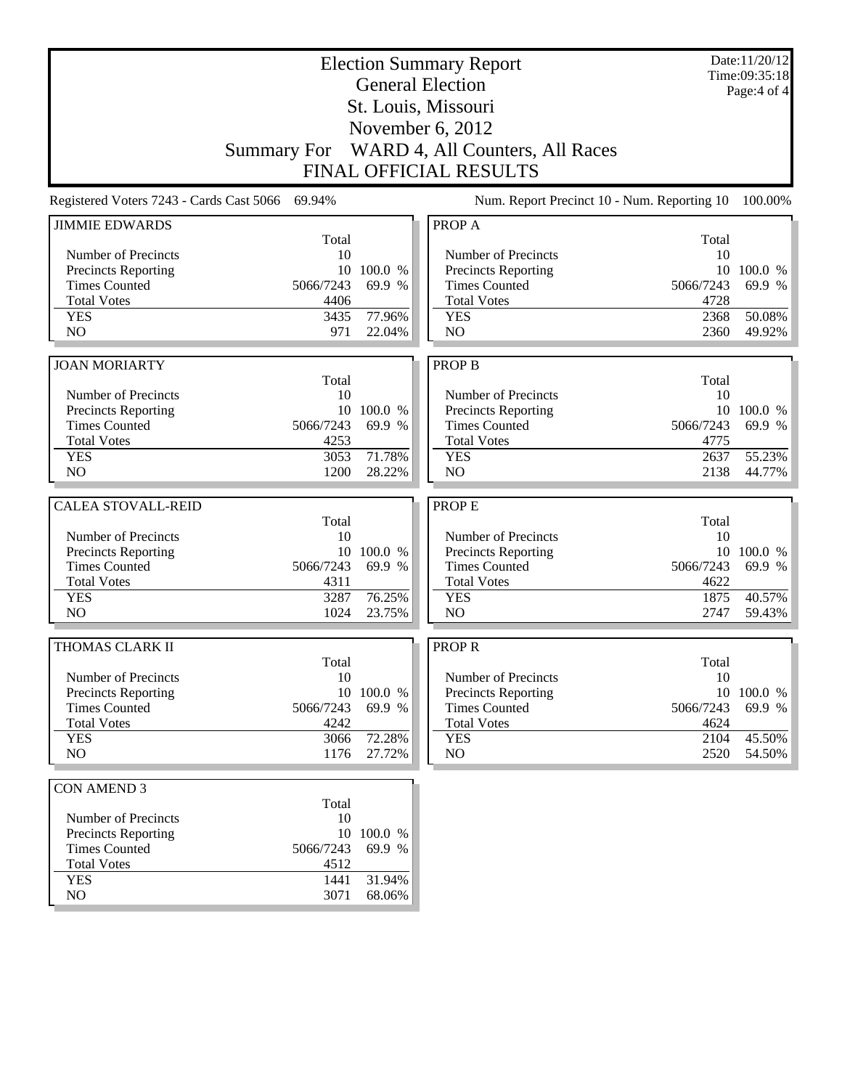|                            |                                                 |            | <b>Election Summary Report</b>              |              | Date:11/20/12<br>Time:09:35:18 |
|----------------------------|-------------------------------------------------|------------|---------------------------------------------|--------------|--------------------------------|
|                            |                                                 |            | <b>General Election</b>                     |              | Page:4 of 4                    |
|                            |                                                 |            | St. Louis, Missouri                         |              |                                |
|                            |                                                 |            | November 6, 2012                            |              |                                |
|                            |                                                 |            | Summary For WARD 4, All Counters, All Races |              |                                |
|                            |                                                 |            | <b>FINAL OFFICIAL RESULTS</b>               |              |                                |
|                            |                                                 |            |                                             |              |                                |
|                            | Registered Voters 7243 - Cards Cast 5066 69.94% |            | Num. Report Precinct 10 - Num. Reporting 10 |              | 100.00%                        |
| <b>JIMMIE EDWARDS</b>      | Total                                           |            | PROP A                                      | Total        |                                |
| Number of Precincts        | 10                                              |            | Number of Precincts                         | 10           |                                |
| <b>Precincts Reporting</b> | 10                                              | 100.0 %    | Precincts Reporting                         | 10           | 100.0 %                        |
| <b>Times Counted</b>       | 5066/7243                                       | 69.9 %     | <b>Times Counted</b>                        | 5066/7243    | 69.9 %                         |
| <b>Total Votes</b>         | 4406                                            |            | <b>Total Votes</b>                          | 4728         |                                |
| <b>YES</b>                 | 3435                                            | 77.96%     | <b>YES</b>                                  | 2368         | 50.08%                         |
| N <sub>O</sub>             | 971                                             | 22.04%     | NO                                          | 2360         | 49.92%                         |
|                            |                                                 |            |                                             |              |                                |
| <b>JOAN MORIARTY</b>       |                                                 |            | <b>PROP B</b>                               |              |                                |
|                            | Total                                           |            |                                             | Total        |                                |
| Number of Precincts        | 10                                              |            | Number of Precincts                         | 10           |                                |
| <b>Precincts Reporting</b> |                                                 | 10 100.0 % | <b>Precincts Reporting</b>                  | 10           | 100.0 %<br>69.9 %              |
| <b>Times Counted</b>       | 5066/7243                                       | 69.9 %     | <b>Times Counted</b>                        | 5066/7243    |                                |
| <b>Total Votes</b>         | 4253                                            | 71.78%     | <b>Total Votes</b>                          | 4775         | 55.23%                         |
| <b>YES</b><br>NO           | 3053<br>1200                                    | 28.22%     | <b>YES</b><br>NO                            | 2637<br>2138 | 44.77%                         |
|                            |                                                 |            |                                             |              |                                |
| <b>CALEA STOVALL-REID</b>  |                                                 |            | <b>PROPE</b>                                |              |                                |
|                            | Total                                           |            |                                             | Total        |                                |
| Number of Precincts        | 10                                              |            | Number of Precincts                         | 10           |                                |
| Precincts Reporting        |                                                 | 10 100.0 % | <b>Precincts Reporting</b>                  |              | 10 100.0 %                     |
| <b>Times Counted</b>       | 5066/7243                                       | 69.9 %     | <b>Times Counted</b>                        | 5066/7243    | 69.9 %                         |
| <b>Total Votes</b>         | 4311                                            |            | <b>Total Votes</b>                          | 4622         |                                |
| <b>YES</b>                 | 3287                                            | 76.25%     | <b>YES</b>                                  | 1875         | 40.57%                         |
| N <sub>O</sub>             | 1024                                            | 23.75%     | N <sub>O</sub>                              | 2747         | 59.43%                         |
| THOMAS CLARK II            |                                                 |            | <b>PROPR</b>                                |              |                                |
|                            | Total                                           |            |                                             | Total        |                                |
| Number of Precincts        | 10                                              |            | Number of Precincts                         | 10           |                                |
| <b>Precincts Reporting</b> |                                                 | 10 100.0 % | Precincts Reporting                         |              | 10 100.0 %                     |
| <b>Times Counted</b>       | 5066/7243                                       | 69.9 %     | <b>Times Counted</b>                        | 5066/7243    | 69.9 %                         |
| <b>Total Votes</b>         | 4242                                            |            | <b>Total Votes</b>                          | 4624         |                                |
| <b>YES</b>                 | 3066                                            | 72.28%     | <b>YES</b>                                  | 2104         | 45.50%                         |
| NO.                        | 1176                                            | 27.72%     | NO                                          | 2520         | 54.50%                         |
| <b>CON AMEND 3</b>         |                                                 |            |                                             |              |                                |
|                            | Total                                           |            |                                             |              |                                |
| Number of Precincts        | 10                                              |            |                                             |              |                                |
| <b>Precincts Reporting</b> |                                                 | 10 100.0 % |                                             |              |                                |
| <b>Times Counted</b>       | 5066/7243                                       | 69.9 %     |                                             |              |                                |
| <b>Total Votes</b>         | 4512                                            |            |                                             |              |                                |
| <b>YES</b>                 | 1441                                            | 31.94%     |                                             |              |                                |
| NO                         | 3071                                            | 68.06%     |                                             |              |                                |
|                            |                                                 |            |                                             |              |                                |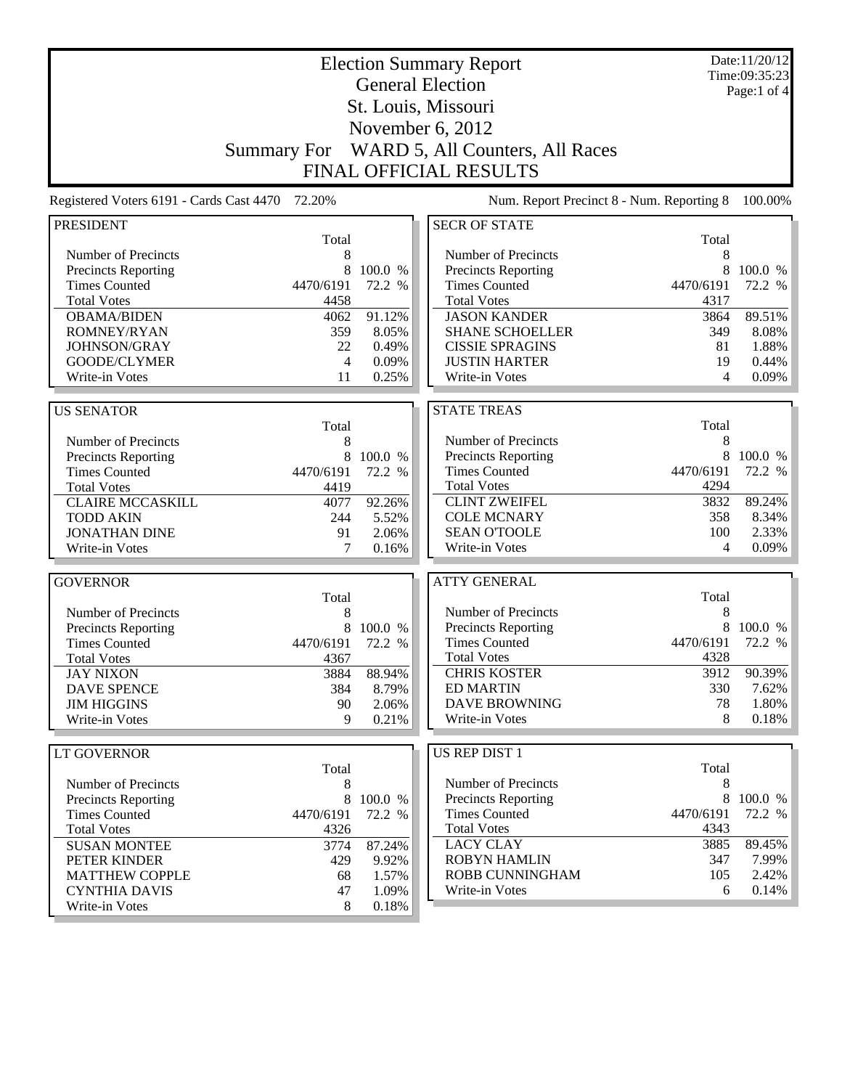| <b>Election Summary Report</b>                  |                    |         |                                           |            | Date:11/20/12<br>Time:09:35:23 |
|-------------------------------------------------|--------------------|---------|-------------------------------------------|------------|--------------------------------|
|                                                 |                    |         | <b>General Election</b>                   |            | Page:1 of $4$                  |
|                                                 |                    |         | St. Louis, Missouri                       |            |                                |
|                                                 |                    |         | November 6, 2012                          |            |                                |
|                                                 | <b>Summary For</b> |         | WARD 5, All Counters, All Races           |            |                                |
|                                                 |                    |         | <b>FINAL OFFICIAL RESULTS</b>             |            |                                |
|                                                 |                    |         |                                           |            |                                |
| Registered Voters 6191 - Cards Cast 4470 72.20% |                    |         | Num. Report Precinct 8 - Num. Reporting 8 |            | 100.00%                        |
| <b>PRESIDENT</b>                                |                    |         | <b>SECR OF STATE</b>                      |            |                                |
| Number of Precincts                             | Total<br>8         |         | Number of Precincts                       | Total<br>8 |                                |
| Precincts Reporting                             | 8                  | 100.0 % | Precincts Reporting                       | 8          | 100.0 %                        |
| <b>Times Counted</b>                            | 4470/6191          | 72.2 %  | <b>Times Counted</b>                      | 4470/6191  | 72.2 %                         |
| <b>Total Votes</b>                              | 4458               |         | <b>Total Votes</b>                        | 4317       |                                |
| <b>OBAMA/BIDEN</b>                              | 4062               | 91.12%  | <b>JASON KANDER</b>                       | 3864       | 89.51%                         |
| ROMNEY/RYAN                                     | 359                | 8.05%   | <b>SHANE SCHOELLER</b>                    | 349        | 8.08%                          |
| JOHNSON/GRAY                                    | 22                 | 0.49%   | <b>CISSIE SPRAGINS</b>                    | 81         | 1.88%                          |
| GOODE/CLYMER                                    | 4                  | 0.09%   | <b>JUSTIN HARTER</b>                      | 19         | $0.44\%$                       |
| Write-in Votes                                  | 11                 | 0.25%   | Write-in Votes                            | 4          | 0.09%                          |
|                                                 |                    |         | <b>STATE TREAS</b>                        |            |                                |
| <b>US SENATOR</b>                               | Total              |         |                                           | Total      |                                |
| Number of Precincts                             | 8                  |         | Number of Precincts                       | 8          |                                |
| Precincts Reporting                             | 8                  | 100.0 % | Precincts Reporting                       | 8          | 100.0 %                        |
| <b>Times Counted</b>                            | 4470/6191          | 72.2 %  | <b>Times Counted</b>                      | 4470/6191  | 72.2 %                         |
| <b>Total Votes</b>                              | 4419               |         | <b>Total Votes</b>                        | 4294       |                                |
| <b>CLAIRE MCCASKILL</b>                         | 4077               | 92.26%  | <b>CLINT ZWEIFEL</b>                      | 3832       | 89.24%                         |
| <b>TODD AKIN</b>                                | 244                | 5.52%   | <b>COLE MCNARY</b>                        | 358        | 8.34%                          |
| <b>JONATHAN DINE</b>                            | 91                 | 2.06%   | <b>SEAN O'TOOLE</b>                       | 100        | 2.33%                          |
| Write-in Votes                                  | 7                  | 0.16%   | Write-in Votes                            | 4          | $0.09\%$                       |
| <b>GOVERNOR</b>                                 |                    |         | <b>ATTY GENERAL</b>                       |            |                                |
|                                                 | Total              |         |                                           | Total      |                                |
| Number of Precincts                             | 8                  |         | Number of Precincts                       | 8          |                                |
| <b>Precincts Reporting</b>                      | 8                  | 100.0 % | <b>Precincts Reporting</b>                | 8          | 100.0 %                        |
| <b>Times Counted</b>                            | 4470/6191          | 72.2 %  | <b>Times Counted</b>                      | 4470/6191  | 72.2 %                         |
| <b>Total Votes</b>                              | 4367               |         | <b>Total Votes</b>                        | 4328       |                                |
| <b>JAY NIXON</b>                                | 3884               | 88.94%  | <b>CHRIS KOSTER</b>                       | 3912       | 90.39%                         |
| <b>DAVE SPENCE</b>                              | 384                | 8.79%   | <b>ED MARTIN</b>                          | 330        | 7.62%                          |
| <b>JIM HIGGINS</b>                              | 90                 | 2.06%   | <b>DAVE BROWNING</b>                      | 78         | 1.80%                          |
| Write-in Votes                                  | 9                  | 0.21%   | Write-in Votes                            | 8          | 0.18%                          |
| LT GOVERNOR                                     |                    |         | US REP DIST 1                             |            |                                |
|                                                 | Total              |         |                                           | Total      |                                |
| Number of Precincts                             | 8                  |         | Number of Precincts                       | 8          |                                |
| <b>Precincts Reporting</b>                      | 8                  | 100.0 % | <b>Precincts Reporting</b>                | 8          | 100.0 %                        |
| <b>Times Counted</b>                            | 4470/6191          | 72.2 %  | <b>Times Counted</b>                      | 4470/6191  | 72.2 %                         |
| <b>Total Votes</b>                              | 4326               |         | <b>Total Votes</b>                        | 4343       |                                |
| <b>SUSAN MONTEE</b>                             | 3774               | 87.24%  | <b>LACY CLAY</b>                          | 3885       | 89.45%                         |
| PETER KINDER                                    | 429                | 9.92%   | <b>ROBYN HAMLIN</b>                       | 347        | 7.99%                          |
| <b>MATTHEW COPPLE</b>                           | 68                 | 1.57%   | ROBB CUNNINGHAM                           | 105        | 2.42%                          |
| <b>CYNTHIA DAVIS</b>                            | 47                 | 1.09%   | Write-in Votes                            | 6          | 0.14%                          |
| Write-in Votes                                  | 8                  | 0.18%   |                                           |            |                                |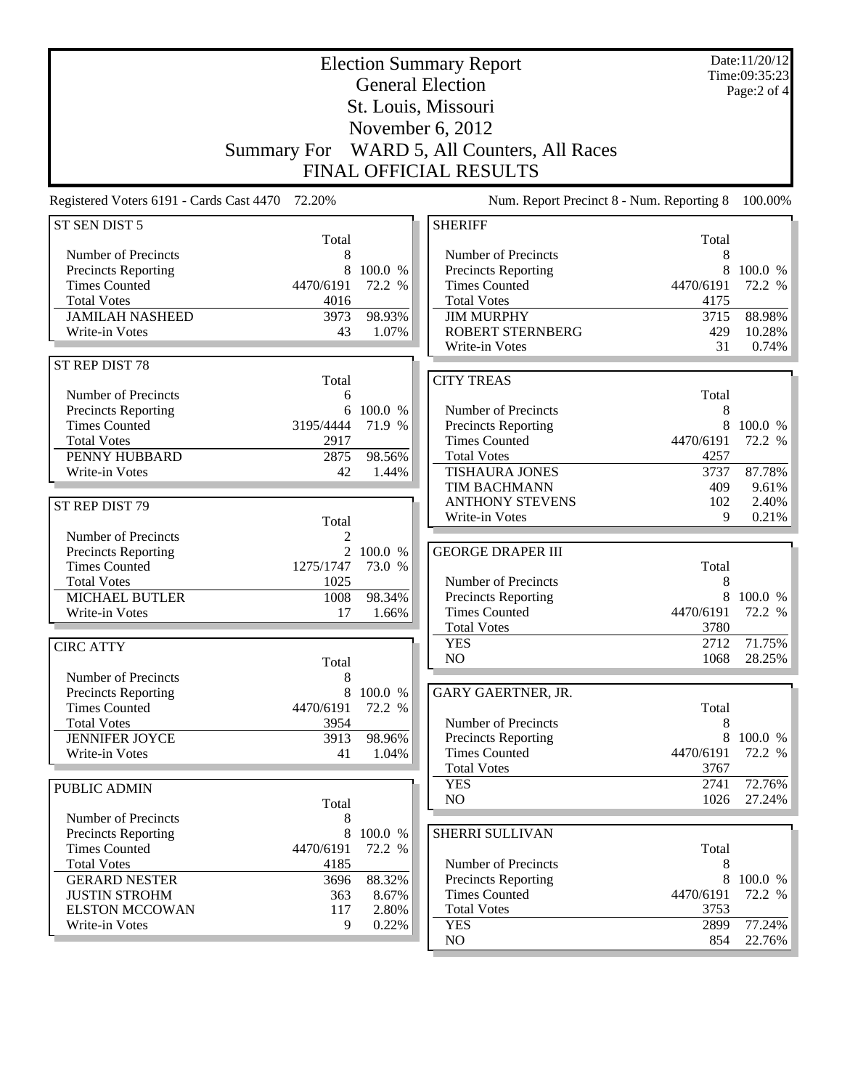|                                                 |                             | Date:11/20/12<br>Time:09:35:23<br>Page:2 of 4 |                                                    |            |         |
|-------------------------------------------------|-----------------------------|-----------------------------------------------|----------------------------------------------------|------------|---------|
|                                                 |                             |                                               | St. Louis, Missouri                                |            |         |
|                                                 |                             |                                               | November 6, 2012                                   |            |         |
|                                                 |                             |                                               |                                                    |            |         |
|                                                 | <b>Summary For</b>          |                                               | WARD 5, All Counters, All Races                    |            |         |
|                                                 |                             |                                               | FINAL OFFICIAL RESULTS                             |            |         |
| Registered Voters 6191 - Cards Cast 4470 72.20% |                             |                                               | Num. Report Precinct 8 - Num. Reporting 8          |            | 100.00% |
| ST SEN DIST 5                                   |                             |                                               | <b>SHERIFF</b>                                     |            |         |
| Number of Precincts                             | Total<br>8                  |                                               | Number of Precincts                                | Total<br>8 |         |
| Precincts Reporting                             | 8                           | 100.0 %                                       | Precincts Reporting                                | 8          | 100.0 % |
| <b>Times Counted</b>                            | 4470/6191                   | 72.2 %                                        | <b>Times Counted</b>                               | 4470/6191  | 72.2 %  |
| <b>Total Votes</b>                              | 4016                        |                                               | <b>Total Votes</b>                                 | 4175       |         |
| <b>JAMILAH NASHEED</b>                          | 3973                        | 98.93%                                        | <b>JIM MURPHY</b>                                  | 3715       | 88.98%  |
| Write-in Votes                                  | 43                          | 1.07%                                         | <b>ROBERT STERNBERG</b>                            | 429        | 10.28%  |
|                                                 |                             |                                               | Write-in Votes                                     | 31         | 0.74%   |
| ST REP DIST 78                                  |                             |                                               |                                                    |            |         |
| Number of Precincts                             | Total                       |                                               | <b>CITY TREAS</b>                                  |            |         |
| Precincts Reporting                             | 6<br>6                      | 100.0 %                                       | Number of Precincts                                | Total<br>8 |         |
| <b>Times Counted</b>                            | 3195/4444                   | 71.9 %                                        | Precincts Reporting                                | 8          | 100.0 % |
| <b>Total Votes</b>                              | 2917                        |                                               | <b>Times Counted</b>                               | 4470/6191  | 72.2 %  |
| PENNY HUBBARD                                   | 2875                        | 98.56%                                        | <b>Total Votes</b>                                 | 4257       |         |
| Write-in Votes                                  | 42                          | 1.44%                                         | <b>TISHAURA JONES</b>                              | 3737       | 87.78%  |
|                                                 |                             |                                               | TIM BACHMANN                                       | 409        | 9.61%   |
| ST REP DIST 79                                  |                             |                                               | <b>ANTHONY STEVENS</b>                             | 102        | 2.40%   |
|                                                 | Total                       |                                               | Write-in Votes                                     | 9          | 0.21%   |
| Number of Precincts                             | 2                           |                                               |                                                    |            |         |
| Precincts Reporting<br><b>Times Counted</b>     | $\overline{2}$<br>1275/1747 | 100.0 %<br>73.0 %                             | <b>GEORGE DRAPER III</b>                           | Total      |         |
| <b>Total Votes</b>                              | 1025                        |                                               | Number of Precincts                                | 8          |         |
| <b>MICHAEL BUTLER</b>                           | 1008                        | 98.34%                                        | <b>Precincts Reporting</b>                         | 8          | 100.0 % |
| Write-in Votes                                  | 17                          | 1.66%                                         | <b>Times Counted</b>                               | 4470/6191  | 72.2 %  |
|                                                 |                             |                                               | <b>Total Votes</b>                                 | 3780       |         |
| <b>CIRC ATTY</b>                                |                             |                                               | <b>YES</b>                                         | 2712       | 71.75%  |
|                                                 | Total                       |                                               | NO                                                 | 1068       | 28.25%  |
| Number of Precincts                             | $\,$ 8 $\,$                 |                                               |                                                    |            |         |
| Precincts Reporting                             | 8                           | 100.0 %                                       | GARY GAERTNER, JR.                                 |            |         |
| <b>Times Counted</b>                            | 4470/6191                   | 72.2 %                                        | Number of Precincts                                | Total      |         |
| <b>Total Votes</b><br><b>JENNIFER JOYCE</b>     | 3954<br>3913                | 98.96%                                        | Precincts Reporting                                | 8<br>8     | 100.0 % |
| Write-in Votes                                  | 41                          | 1.04%                                         | <b>Times Counted</b>                               | 4470/6191  | 72.2 %  |
|                                                 |                             |                                               | <b>Total Votes</b>                                 | 3767       |         |
| PUBLIC ADMIN                                    |                             |                                               | <b>YES</b>                                         | 2741       | 72.76%  |
|                                                 | Total                       |                                               | NO                                                 | 1026       | 27.24%  |
| Number of Precincts                             | 8                           |                                               |                                                    |            |         |
| Precincts Reporting                             | 8                           | 100.0 %                                       | SHERRI SULLIVAN                                    |            |         |
| <b>Times Counted</b>                            | 4470/6191                   | 72.2 %                                        |                                                    | Total      |         |
| <b>Total Votes</b>                              | 4185                        |                                               | Number of Precincts                                | 8<br>8     | 100.0 % |
| <b>GERARD NESTER</b><br><b>JUSTIN STROHM</b>    | 3696<br>363                 | 88.32%<br>8.67%                               | <b>Precincts Reporting</b><br><b>Times Counted</b> | 4470/6191  | 72.2 %  |
| <b>ELSTON MCCOWAN</b>                           | 117                         | 2.80%                                         | <b>Total Votes</b>                                 | 3753       |         |
| Write-in Votes                                  | 9                           | 0.22%                                         | <b>YES</b>                                         | 2899       | 77.24%  |
|                                                 |                             |                                               | NO                                                 | 854        | 22.76%  |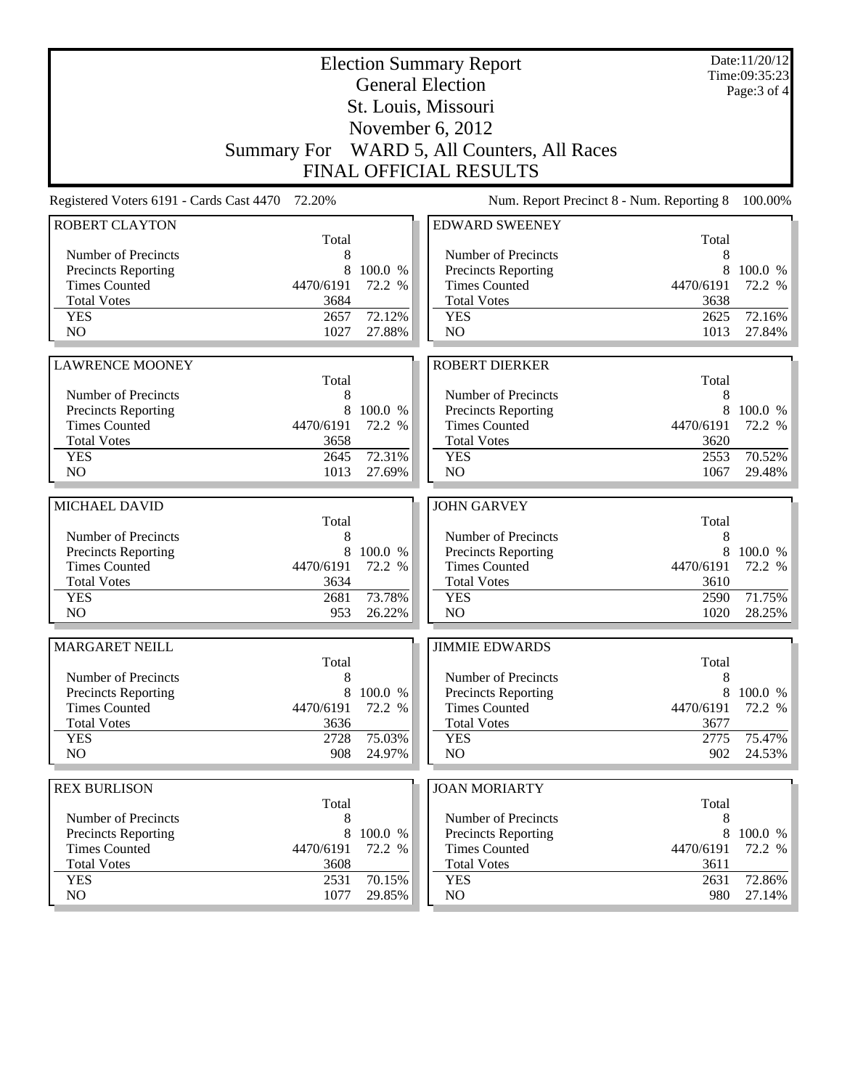|                                                    |                    |                   | <b>Election Summary Report</b><br><b>General Election</b> |             | Date:11/20/12<br>Time:09:35:23<br>Page: 3 of 4 |
|----------------------------------------------------|--------------------|-------------------|-----------------------------------------------------------|-------------|------------------------------------------------|
|                                                    |                    |                   | St. Louis, Missouri                                       |             |                                                |
|                                                    |                    |                   | November 6, 2012                                          |             |                                                |
|                                                    | <b>Summary For</b> |                   | WARD 5, All Counters, All Races                           |             |                                                |
|                                                    |                    |                   | <b>FINAL OFFICIAL RESULTS</b>                             |             |                                                |
| Registered Voters 6191 - Cards Cast 4470           | 72.20%             |                   | Num. Report Precinct 8 - Num. Reporting 8                 |             | 100.00%                                        |
| <b>ROBERT CLAYTON</b>                              |                    |                   | <b>EDWARD SWEENEY</b>                                     |             |                                                |
|                                                    | Total              |                   |                                                           | Total       |                                                |
| Number of Precincts<br><b>Precincts Reporting</b>  | 8<br>8             | 100.0 %           | Number of Precincts<br><b>Precincts Reporting</b>         | 8<br>8      |                                                |
| <b>Times Counted</b>                               | 4470/6191          | 72.2 %            | <b>Times Counted</b>                                      | 4470/6191   | 100.0 %<br>72.2 %                              |
| <b>Total Votes</b>                                 | 3684               |                   | <b>Total Votes</b>                                        | 3638        |                                                |
| <b>YES</b>                                         | 2657               | 72.12%            | <b>YES</b>                                                | 2625        | 72.16%                                         |
| NO                                                 | 1027               | 27.88%            | NO                                                        | 1013        | 27.84%                                         |
|                                                    |                    |                   |                                                           |             |                                                |
| <b>LAWRENCE MOONEY</b>                             |                    |                   | <b>ROBERT DIERKER</b>                                     |             |                                                |
| Number of Precincts                                | Total<br>8         |                   | Number of Precincts                                       | Total<br>8  |                                                |
| Precincts Reporting                                | 8                  | 100.0 %           | Precincts Reporting                                       | 8           | 100.0 %                                        |
| <b>Times Counted</b>                               | 4470/6191          | 72.2 %            | <b>Times Counted</b>                                      | 4470/6191   | 72.2 %                                         |
| <b>Total Votes</b>                                 | 3658               |                   | <b>Total Votes</b>                                        | 3620        |                                                |
| <b>YES</b>                                         | 2645               | 72.31%            | <b>YES</b>                                                | 2553        | 70.52%                                         |
| NO                                                 | 1013               | 27.69%            | NO                                                        | 1067        | 29.48%                                         |
| MICHAEL DAVID                                      |                    |                   | <b>JOHN GARVEY</b>                                        |             |                                                |
|                                                    | Total              |                   |                                                           | Total       |                                                |
| Number of Precincts                                | 8                  |                   | Number of Precincts                                       | 8           |                                                |
| <b>Precincts Reporting</b>                         | 8                  | 100.0 %           | Precincts Reporting                                       | 8           | 100.0 %                                        |
| <b>Times Counted</b>                               | 4470/6191          | 72.2 %            | <b>Times Counted</b>                                      | 4470/6191   | 72.2 %                                         |
| <b>Total Votes</b>                                 | 3634               |                   | <b>Total Votes</b>                                        | 3610        |                                                |
| <b>YES</b>                                         | 2681               | 73.78%            | <b>YES</b><br>NO                                          | 2590        | 71.75%<br>28.25%                               |
| N <sub>O</sub>                                     | 953                | 26.22%            |                                                           | 1020        |                                                |
| <b>MARGARET NEILL</b>                              |                    |                   | <b>JIMMIE EDWARDS</b>                                     |             |                                                |
|                                                    | Total              |                   |                                                           | Total       |                                                |
| Number of Precincts                                | 8<br>8             | 100.0 %           | Number of Precincts<br><b>Precincts Reporting</b>         | 8<br>8      |                                                |
| <b>Precincts Reporting</b>                         |                    |                   |                                                           |             | 100.0 %                                        |
|                                                    |                    |                   |                                                           |             |                                                |
| <b>Times Counted</b>                               | 4470/6191          | 72.2 %            | <b>Times Counted</b>                                      | 4470/6191   | 72.2 %                                         |
| <b>Total Votes</b>                                 | 3636               |                   | <b>Total Votes</b>                                        | 3677        |                                                |
| <b>YES</b><br>NO                                   | 2728<br>908        | 75.03%<br>24.97%  | <b>YES</b><br>NO                                          | 2775<br>902 | 75.47%<br>24.53%                               |
|                                                    |                    |                   |                                                           |             |                                                |
| <b>REX BURLISON</b>                                |                    |                   | <b>JOAN MORIARTY</b>                                      |             |                                                |
|                                                    | Total              |                   |                                                           | Total       |                                                |
| Number of Precincts                                | 8<br>8             |                   | Number of Precincts                                       | 8<br>8      |                                                |
| <b>Precincts Reporting</b><br><b>Times Counted</b> | 4470/6191          | 100.0 %<br>72.2 % | Precincts Reporting<br><b>Times Counted</b>               | 4470/6191   | 100.0 %<br>72.2 %                              |
| <b>Total Votes</b>                                 | 3608               |                   | <b>Total Votes</b>                                        | 3611        |                                                |
| <b>YES</b><br>NO                                   | 2531<br>1077       | 70.15%<br>29.85%  | <b>YES</b><br>NO                                          | 2631<br>980 | 72.86%<br>27.14%                               |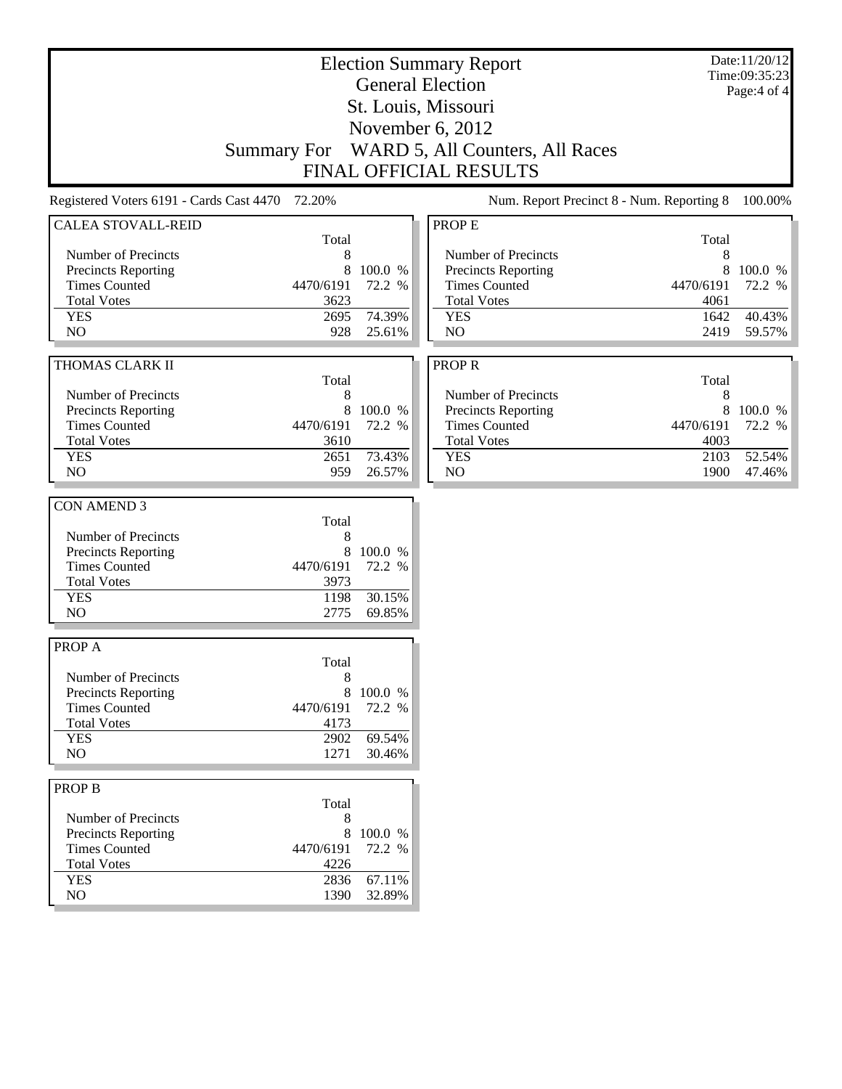| <b>Election Summary Report</b>                  |                    |                  |                                           |           | Date:11/20/12<br>Time:09:35:23 |
|-------------------------------------------------|--------------------|------------------|-------------------------------------------|-----------|--------------------------------|
|                                                 |                    |                  | <b>General Election</b>                   |           | Page:4 of 4                    |
|                                                 |                    |                  | St. Louis, Missouri                       |           |                                |
|                                                 |                    |                  | November 6, 2012                          |           |                                |
|                                                 | <b>Summary For</b> |                  | WARD 5, All Counters, All Races           |           |                                |
|                                                 |                    |                  | <b>FINAL OFFICIAL RESULTS</b>             |           |                                |
| Registered Voters 6191 - Cards Cast 4470 72.20% |                    |                  | Num. Report Precinct 8 - Num. Reporting 8 |           | 100.00%                        |
|                                                 |                    |                  |                                           |           |                                |
| <b>CALEA STOVALL-REID</b>                       | Total              |                  | <b>PROPE</b>                              | Total     |                                |
| Number of Precincts                             | 8                  |                  | Number of Precincts                       | 8         |                                |
| Precincts Reporting                             | 8                  | 100.0 %          | <b>Precincts Reporting</b>                | 8         | 100.0 %                        |
| <b>Times Counted</b>                            | 4470/6191          | 72.2 %           | <b>Times Counted</b>                      | 4470/6191 | 72.2 %                         |
| <b>Total Votes</b>                              | 3623               |                  | <b>Total Votes</b>                        | 4061      |                                |
| <b>YES</b>                                      | 2695               | 74.39%           | <b>YES</b>                                | 1642      | 40.43%                         |
| NO                                              | 928                | 25.61%           | NO                                        | 2419      | 59.57%                         |
|                                                 |                    |                  |                                           |           |                                |
| THOMAS CLARK II                                 |                    |                  | <b>PROPR</b>                              |           |                                |
|                                                 | Total              |                  |                                           | Total     |                                |
| Number of Precincts                             | 8                  |                  | Number of Precincts                       | 8         |                                |
| Precincts Reporting                             | 8                  | 100.0 %          | Precincts Reporting                       | 8         | 100.0 %                        |
| <b>Times Counted</b>                            | 4470/6191          | 72.2 %           | <b>Times Counted</b>                      | 4470/6191 | 72.2 %                         |
| <b>Total Votes</b>                              | 3610               |                  | <b>Total Votes</b>                        | 4003      |                                |
| <b>YES</b>                                      | 2651               | 73.43%           | <b>YES</b>                                | 2103      | 52.54%                         |
| N <sub>O</sub>                                  | 959                | 26.57%           | N <sub>O</sub>                            | 1900      | 47.46%                         |
|                                                 |                    |                  |                                           |           |                                |
| <b>CON AMEND 3</b>                              |                    |                  |                                           |           |                                |
|                                                 | Total              |                  |                                           |           |                                |
| Number of Precincts                             | 8                  |                  |                                           |           |                                |
| Precincts Reporting                             | 8                  | 100.0 %          |                                           |           |                                |
| <b>Times Counted</b>                            | 4470/6191          | 72.2 %           |                                           |           |                                |
| <b>Total Votes</b>                              | 3973               |                  |                                           |           |                                |
| <b>YES</b>                                      | 1198               | 30.15%           |                                           |           |                                |
| NO                                              | 2775               | 69.85%           |                                           |           |                                |
|                                                 |                    |                  |                                           |           |                                |
| PROP A                                          |                    |                  |                                           |           |                                |
|                                                 | Total              |                  |                                           |           |                                |
| Number of Precincts                             | 8                  |                  |                                           |           |                                |
| <b>Precincts Reporting</b>                      | 8                  | 100.0 %          |                                           |           |                                |
| <b>Times Counted</b>                            | 4470/6191          | 72.2 %           |                                           |           |                                |
| <b>Total Votes</b>                              | 4173               |                  |                                           |           |                                |
| <b>YES</b><br>NO                                | 2902<br>1271       | 69.54%<br>30.46% |                                           |           |                                |
|                                                 |                    |                  |                                           |           |                                |
| <b>PROP B</b>                                   |                    |                  |                                           |           |                                |
|                                                 | Total              |                  |                                           |           |                                |
| Number of Precincts                             | 8                  |                  |                                           |           |                                |
| <b>Precincts Reporting</b>                      | 8                  | 100.0 %          |                                           |           |                                |
| <b>Times Counted</b>                            | 4470/6191          | 72.2 %           |                                           |           |                                |
| <b>Total Votes</b>                              | 4226               |                  |                                           |           |                                |
| <b>YES</b>                                      | 2836               | 67.11%           |                                           |           |                                |
| $\rm NO$                                        | 1390               | 32.89%           |                                           |           |                                |
|                                                 |                    |                  |                                           |           |                                |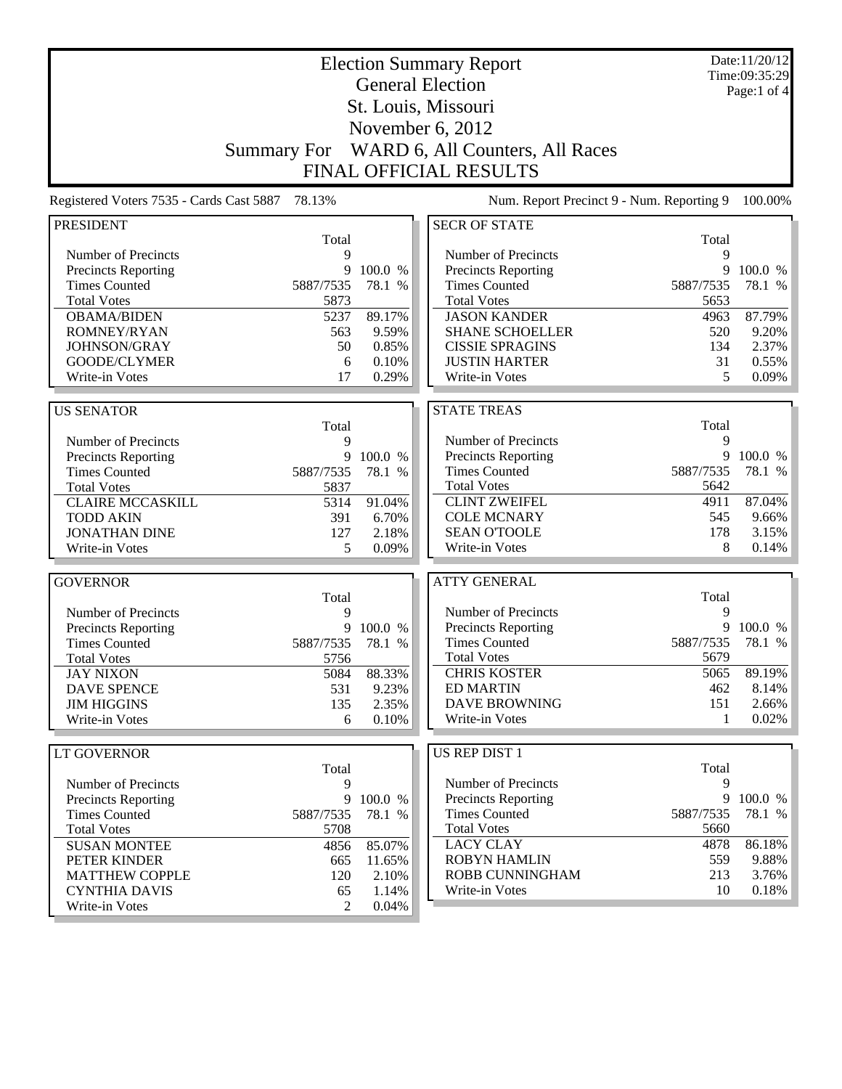| <b>Election Summary Report</b>           |                    |              |                                           |           | Date:11/20/12<br>Time:09:35:29 |  |
|------------------------------------------|--------------------|--------------|-------------------------------------------|-----------|--------------------------------|--|
|                                          |                    |              | <b>General Election</b>                   |           | Page:1 of $4$                  |  |
|                                          |                    |              | St. Louis, Missouri                       |           |                                |  |
|                                          |                    |              | November 6, 2012                          |           |                                |  |
|                                          |                    |              |                                           |           |                                |  |
|                                          | <b>Summary For</b> |              | WARD 6, All Counters, All Races           |           |                                |  |
|                                          |                    |              | <b>FINAL OFFICIAL RESULTS</b>             |           |                                |  |
| Registered Voters 7535 - Cards Cast 5887 | 78.13%             |              | Num. Report Precinct 9 - Num. Reporting 9 |           | 100.00%                        |  |
| <b>PRESIDENT</b>                         |                    |              | <b>SECR OF STATE</b>                      |           |                                |  |
|                                          | Total              |              |                                           | Total     |                                |  |
| Number of Precincts                      | 9                  |              | Number of Precincts                       | 9         |                                |  |
| Precincts Reporting                      | 9                  | 100.0 %      | <b>Precincts Reporting</b>                | 9         | 100.0 %                        |  |
| <b>Times Counted</b>                     | 5887/7535          | 78.1 %       | <b>Times Counted</b>                      | 5887/7535 | 78.1 %                         |  |
| <b>Total Votes</b>                       | 5873               |              | <b>Total Votes</b>                        | 5653      |                                |  |
| <b>OBAMA/BIDEN</b>                       | 5237               | 89.17%       | <b>JASON KANDER</b>                       | 4963      | 87.79%                         |  |
| ROMNEY/RYAN                              | 563                | 9.59%        | <b>SHANE SCHOELLER</b>                    | 520       | 9.20%                          |  |
| JOHNSON/GRAY                             | 50                 | 0.85%        | <b>CISSIE SPRAGINS</b>                    | 134       | 2.37%                          |  |
| GOODE/CLYMER                             | 6                  | 0.10%        | <b>JUSTIN HARTER</b>                      | 31        | 0.55%                          |  |
| Write-in Votes                           | 17                 | 0.29%        | Write-in Votes                            | 5         | 0.09%                          |  |
|                                          |                    |              |                                           |           |                                |  |
| <b>US SENATOR</b>                        |                    |              | <b>STATE TREAS</b>                        |           |                                |  |
|                                          | Total              |              |                                           | Total     |                                |  |
| Number of Precincts                      | 9                  |              | Number of Precincts                       | 9         |                                |  |
| Precincts Reporting                      | 9                  | 100.0 %      | Precincts Reporting                       | 9         | 100.0 %                        |  |
| <b>Times Counted</b>                     | 5887/7535          | 78.1 %       | <b>Times Counted</b>                      | 5887/7535 | 78.1 %                         |  |
| <b>Total Votes</b>                       | 5837               |              | <b>Total Votes</b>                        | 5642      |                                |  |
| <b>CLAIRE MCCASKILL</b>                  | 5314               | 91.04%       | <b>CLINT ZWEIFEL</b>                      | 4911      | 87.04%                         |  |
| <b>TODD AKIN</b>                         | 391                | 6.70%        | <b>COLE MCNARY</b>                        | 545       | 9.66%                          |  |
| <b>JONATHAN DINE</b>                     | 127                | 2.18%        | <b>SEAN O'TOOLE</b>                       | 178       | 3.15%                          |  |
| Write-in Votes                           | 5                  | 0.09%        | Write-in Votes                            | 8         | 0.14%                          |  |
|                                          |                    |              |                                           |           |                                |  |
| <b>GOVERNOR</b>                          |                    |              | <b>ATTY GENERAL</b>                       |           |                                |  |
|                                          | Total              |              |                                           | Total     |                                |  |
| Number of Precincts                      | 9                  |              | Number of Precincts                       | 9         |                                |  |
| <b>Precincts Reporting</b>               | 9                  | 100.0 %      | Precincts Reporting                       | 9         | 100.0 %                        |  |
| <b>Times Counted</b>                     | 5887/7535          | 78.1<br>$\%$ | <b>Times Counted</b>                      | 5887/7535 | 78.1 %                         |  |
| <b>Total Votes</b>                       | 5756               |              | <b>Total Votes</b>                        | 5679      |                                |  |
| <b>JAY NIXON</b>                         | 5084               | 88.33%       | <b>CHRIS KOSTER</b>                       | 5065      | 89.19%                         |  |
| <b>DAVE SPENCE</b>                       | 531                | 9.23%        | <b>ED MARTIN</b>                          | 462       | 8.14%                          |  |
| <b>JIM HIGGINS</b>                       | 135                | 2.35%        | <b>DAVE BROWNING</b>                      | 151       | 2.66%                          |  |
| Write-in Votes                           | 6                  | 0.10%        | Write-in Votes                            | 1         | 0.02%                          |  |
|                                          |                    |              |                                           |           |                                |  |
| LT GOVERNOR                              |                    |              | <b>US REP DIST 1</b>                      |           |                                |  |
|                                          | Total              |              |                                           | Total     |                                |  |
| Number of Precincts                      | 9                  |              | Number of Precincts                       | 9         |                                |  |
| Precincts Reporting                      |                    | 9 100.0 %    | <b>Precincts Reporting</b>                | 9         | 100.0 %                        |  |
| <b>Times Counted</b>                     | 5887/7535          | 78.1 %       | <b>Times Counted</b>                      | 5887/7535 | 78.1 %                         |  |
| <b>Total Votes</b>                       | 5708               |              | <b>Total Votes</b>                        | 5660      |                                |  |
| <b>SUSAN MONTEE</b>                      | 4856               | 85.07%       | <b>LACY CLAY</b>                          | 4878      | 86.18%                         |  |
| PETER KINDER                             | 665                | 11.65%       | <b>ROBYN HAMLIN</b>                       | 559       | 9.88%                          |  |
| <b>MATTHEW COPPLE</b>                    | 120                | 2.10%        | ROBB CUNNINGHAM                           | 213       | 3.76%                          |  |
| <b>CYNTHIA DAVIS</b>                     | 65                 | 1.14%        | Write-in Votes                            | 10        | 0.18%                          |  |
| Write-in Votes                           | 2                  | 0.04%        |                                           |           |                                |  |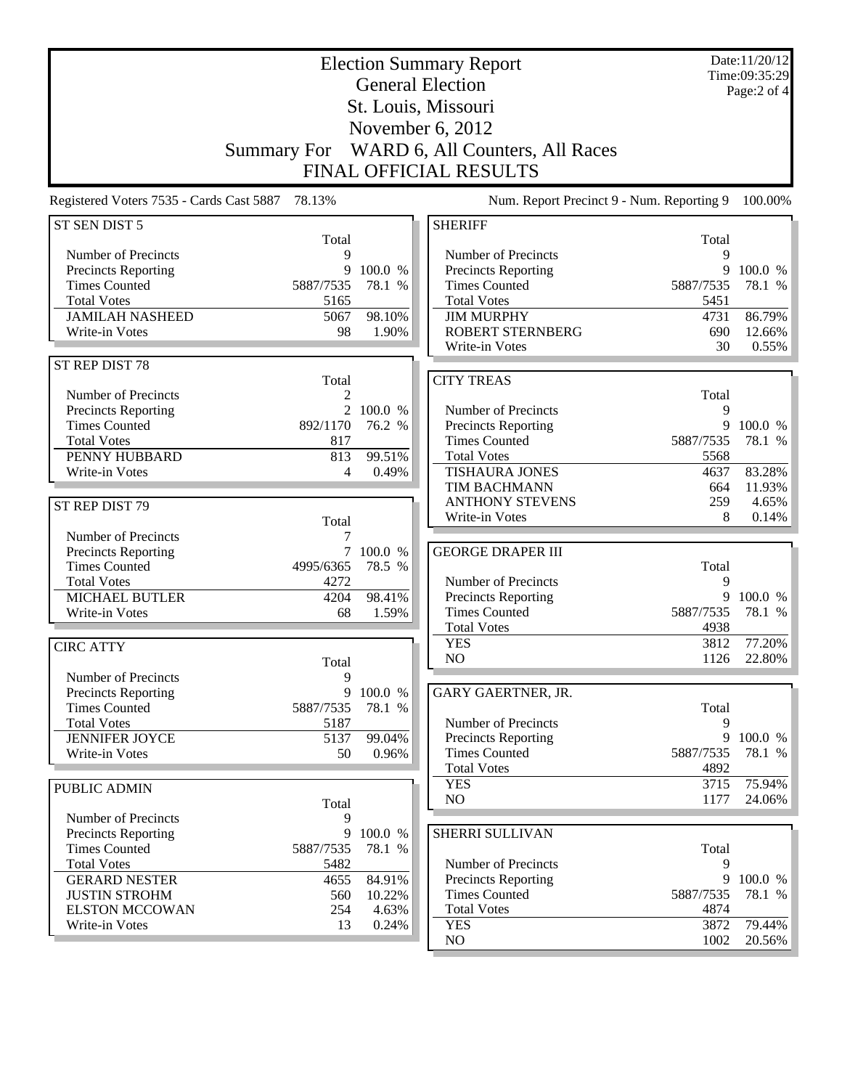| <b>Election Summary Report</b><br><b>General Election</b> |                    |                 |                                                    |                   | Date:11/20/12<br>Time:09:35:29<br>Page:2 of 4 |
|-----------------------------------------------------------|--------------------|-----------------|----------------------------------------------------|-------------------|-----------------------------------------------|
|                                                           |                    |                 | St. Louis, Missouri                                |                   |                                               |
|                                                           |                    |                 | November 6, 2012                                   |                   |                                               |
|                                                           |                    |                 |                                                    |                   |                                               |
|                                                           | <b>Summary For</b> |                 | WARD 6, All Counters, All Races                    |                   |                                               |
|                                                           |                    |                 | FINAL OFFICIAL RESULTS                             |                   |                                               |
| Registered Voters 7535 - Cards Cast 5887                  | 78.13%             |                 | Num. Report Precinct 9 - Num. Reporting 9          |                   | 100.00%                                       |
| ST SEN DIST 5                                             |                    |                 | <b>SHERIFF</b>                                     |                   |                                               |
|                                                           | Total              |                 |                                                    | Total             |                                               |
| Number of Precincts<br><b>Precincts Reporting</b>         | $\mathbf Q$<br>9   | 100.0 %         | Number of Precincts<br>Precincts Reporting         | 9<br>9            | 100.0 %                                       |
| <b>Times Counted</b>                                      | 5887/7535          | 78.1 %          | <b>Times Counted</b>                               | 5887/7535         | 78.1 %                                        |
| <b>Total Votes</b>                                        | 5165               |                 | <b>Total Votes</b>                                 | 5451              |                                               |
| <b>JAMILAH NASHEED</b>                                    | 5067               | 98.10%          | <b>JIM MURPHY</b>                                  | 4731              | 86.79%                                        |
| Write-in Votes                                            | 98                 | 1.90%           | <b>ROBERT STERNBERG</b>                            | 690               | 12.66%                                        |
|                                                           |                    |                 | Write-in Votes                                     | 30                | 0.55%                                         |
| ST REP DIST 78                                            |                    |                 | <b>CITY TREAS</b>                                  |                   |                                               |
| Number of Precincts                                       | Total<br>2         |                 |                                                    | Total             |                                               |
| <b>Precincts Reporting</b>                                | $\overline{2}$     | 100.0 %         | Number of Precincts                                | 9                 |                                               |
| <b>Times Counted</b>                                      | 892/1170           | 76.2 %          | <b>Precincts Reporting</b>                         | 9                 | 100.0 %                                       |
| <b>Total Votes</b>                                        | 817                |                 | <b>Times Counted</b>                               | 5887/7535         | 78.1 %                                        |
| PENNY HUBBARD                                             | 813                | 99.51%          | <b>Total Votes</b>                                 | 5568              |                                               |
| Write-in Votes                                            | $\overline{4}$     | 0.49%           | <b>TISHAURA JONES</b>                              | 4637              | 83.28%                                        |
|                                                           |                    |                 | TIM BACHMANN<br><b>ANTHONY STEVENS</b>             | 664<br>259        | 11.93%<br>4.65%                               |
| ST REP DIST 79                                            | Total              |                 | Write-in Votes                                     | 8                 | 0.14%                                         |
| Number of Precincts                                       | 7                  |                 |                                                    |                   |                                               |
| <b>Precincts Reporting</b>                                | 7                  | 100.0 %         | <b>GEORGE DRAPER III</b>                           |                   |                                               |
| <b>Times Counted</b>                                      | 4995/6365          | 78.5 %          |                                                    | Total             |                                               |
| <b>Total Votes</b>                                        | 4272               |                 | Number of Precincts                                | 9                 |                                               |
| <b>MICHAEL BUTLER</b>                                     | 4204               | 98.41%          | Precincts Reporting                                | 9                 | 100.0 %                                       |
| Write-in Votes                                            | 68                 | 1.59%           | <b>Times Counted</b><br><b>Total Votes</b>         | 5887/7535<br>4938 | 78.1 %                                        |
|                                                           |                    |                 | <b>YES</b>                                         | 3812              | 77.20%                                        |
| <b>CIRC ATTY</b>                                          | Total              |                 | NO                                                 | 1126              | 22.80%                                        |
| Number of Precincts                                       | 9                  |                 |                                                    |                   |                                               |
| <b>Precincts Reporting</b>                                | 9                  | 100.0 %         | GARY GAERTNER, JR.                                 |                   |                                               |
| <b>Times Counted</b>                                      | 5887/7535          | 78.1 %          |                                                    | Total             |                                               |
| <b>Total Votes</b>                                        | 5187               |                 | Number of Precincts                                | 9                 |                                               |
| <b>JENNIFER JOYCE</b>                                     | 5137               | 99.04%          | Precincts Reporting                                | 9                 | 100.0 %                                       |
| Write-in Votes                                            | 50                 | 0.96%           | <b>Times Counted</b><br><b>Total Votes</b>         | 5887/7535<br>4892 | 78.1 %                                        |
|                                                           |                    |                 | <b>YES</b>                                         | 3715              | 75.94%                                        |
| PUBLIC ADMIN                                              | Total              |                 | NO                                                 | 1177              | 24.06%                                        |
| Number of Precincts                                       | 9                  |                 |                                                    |                   |                                               |
| <b>Precincts Reporting</b>                                | 9                  | 100.0 %         | SHERRI SULLIVAN                                    |                   |                                               |
| <b>Times Counted</b>                                      | 5887/7535          | 78.1 %          |                                                    | Total             |                                               |
| <b>Total Votes</b>                                        | 5482               |                 | Number of Precincts                                | 9                 |                                               |
| <b>GERARD NESTER</b>                                      | 4655               | 84.91%          | <b>Precincts Reporting</b><br><b>Times Counted</b> | 9                 | 100.0 %                                       |
| <b>JUSTIN STROHM</b><br><b>ELSTON MCCOWAN</b>             | 560<br>254         | 10.22%<br>4.63% | <b>Total Votes</b>                                 | 5887/7535<br>4874 | 78.1 %                                        |
| Write-in Votes                                            | 13                 | 0.24%           | <b>YES</b>                                         | 3872              | 79.44%                                        |
|                                                           |                    |                 | NO                                                 | 1002              | 20.56%                                        |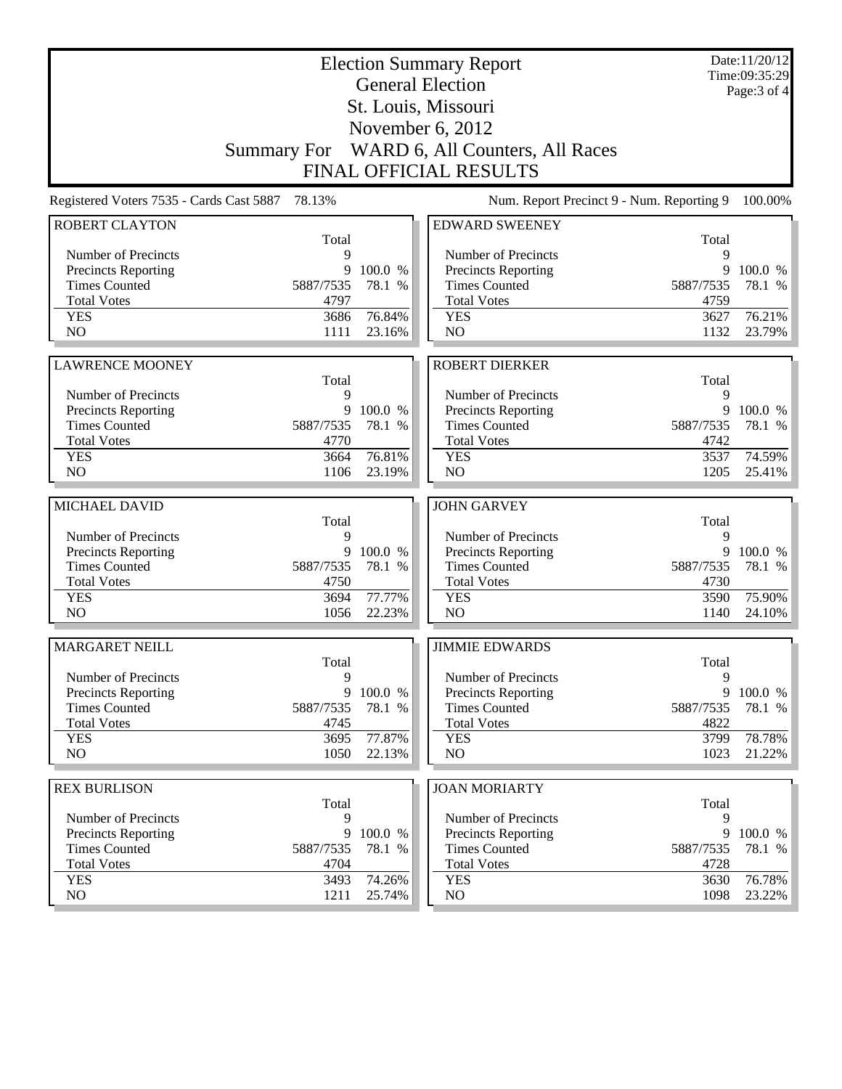| St. Louis, Missouri<br>November 6, 2012<br>WARD 6, All Counters, All Races<br><b>Summary For</b><br><b>FINAL OFFICIAL RESULTS</b><br>78.13%<br>Num. Report Precinct 9 - Num. Reporting 9<br>Registered Voters 7535 - Cards Cast 5887<br><b>ROBERT CLAYTON</b><br><b>EDWARD SWEENEY</b><br>Total<br>Total<br>9<br>Number of Precincts<br>9<br>Number of Precincts<br>9<br>Precincts Reporting<br>9<br>100.0 %<br>Precincts Reporting<br><b>Times Counted</b><br><b>Times Counted</b><br>5887/7535<br>78.1 %<br>5887/7535<br>78.1 %<br><b>Total Votes</b><br>4797<br><b>Total Votes</b><br>4759<br>76.21%<br><b>YES</b><br>3686<br>76.84%<br><b>YES</b><br>3627<br>NO<br>NO<br>1111<br>23.16%<br>1132<br><b>ROBERT DIERKER</b><br><b>LAWRENCE MOONEY</b><br>Total<br>Total<br>Number of Precincts<br>9<br>Number of Precincts<br>9<br>9<br>9<br>Precincts Reporting<br>100.0 %<br>Precincts Reporting<br><b>Times Counted</b><br><b>Times Counted</b><br>5887/7535<br>78.1 %<br>5887/7535<br>78.1 %<br><b>Total Votes</b><br><b>Total Votes</b><br>4770<br>4742<br>76.81%<br><b>YES</b><br>3664<br><b>YES</b><br>3537<br>74.59%<br>NO<br>NO<br>1106<br>23.19%<br>1205<br><b>JOHN GARVEY</b><br>MICHAEL DAVID<br>Total<br>Total<br>Number of Precincts<br>9<br>Number of Precincts<br>9<br>Precincts Reporting<br>9<br>100.0 %<br>Precincts Reporting<br>9<br>100.0 %<br><b>Times Counted</b><br><b>Times Counted</b><br>5887/7535<br>78.1 %<br>5887/7535<br>78.1 %<br><b>Total Votes</b><br>4750<br><b>Total Votes</b><br>4730<br>77.77%<br><b>YES</b><br>3694<br><b>YES</b><br>3590<br>75.90%<br>NO<br>NO<br>1056<br>22.23%<br>1140<br><b>MARGARET NEILL</b><br><b>JIMMIE EDWARDS</b><br>Total<br>Total<br>Number of Precincts<br>9<br>Number of Precincts<br>9<br>Precincts Reporting<br>9<br>100.0 %<br>9<br><b>Precincts Reporting</b><br><b>Times Counted</b><br><b>Times Counted</b><br>5887/7535<br>78.1 %<br>5887/7535<br><b>Total Votes</b><br><b>Total Votes</b><br>4745<br>4822<br><b>YES</b><br>77.87%<br>3695<br><b>YES</b><br>3799<br>NO<br>1050<br>NO<br>1023<br>22.13%<br><b>REX BURLISON</b><br><b>JOAN MORIARTY</b><br>Total<br>Total<br>Number of Precincts<br>9<br>Number of Precincts<br>9<br>9<br>100.0 %<br>9<br><b>Precincts Reporting</b><br><b>Precincts Reporting</b><br><b>Times Counted</b><br><b>Times Counted</b><br>5887/7535<br>78.1 %<br>5887/7535<br><b>Total Votes</b><br><b>Total Votes</b><br>4704<br>4728<br><b>YES</b><br>3493<br>74.26%<br><b>YES</b><br>3630<br>NO<br>NO<br>1211<br>1098<br>25.74% |  | <b>Election Summary Report</b><br><b>General Election</b> | Date:11/20/12<br>Time:09:35:29 |
|--------------------------------------------------------------------------------------------------------------------------------------------------------------------------------------------------------------------------------------------------------------------------------------------------------------------------------------------------------------------------------------------------------------------------------------------------------------------------------------------------------------------------------------------------------------------------------------------------------------------------------------------------------------------------------------------------------------------------------------------------------------------------------------------------------------------------------------------------------------------------------------------------------------------------------------------------------------------------------------------------------------------------------------------------------------------------------------------------------------------------------------------------------------------------------------------------------------------------------------------------------------------------------------------------------------------------------------------------------------------------------------------------------------------------------------------------------------------------------------------------------------------------------------------------------------------------------------------------------------------------------------------------------------------------------------------------------------------------------------------------------------------------------------------------------------------------------------------------------------------------------------------------------------------------------------------------------------------------------------------------------------------------------------------------------------------------------------------------------------------------------------------------------------------------------------------------------------------------------------------------------------------------------------------------------------------------------------------------------------------------------------------------------------------------------------------------------------------------------------------------------------------------------------------|--|-----------------------------------------------------------|--------------------------------|
|                                                                                                                                                                                                                                                                                                                                                                                                                                                                                                                                                                                                                                                                                                                                                                                                                                                                                                                                                                                                                                                                                                                                                                                                                                                                                                                                                                                                                                                                                                                                                                                                                                                                                                                                                                                                                                                                                                                                                                                                                                                                                                                                                                                                                                                                                                                                                                                                                                                                                                                                            |  |                                                           | Page: 3 of 4                   |
|                                                                                                                                                                                                                                                                                                                                                                                                                                                                                                                                                                                                                                                                                                                                                                                                                                                                                                                                                                                                                                                                                                                                                                                                                                                                                                                                                                                                                                                                                                                                                                                                                                                                                                                                                                                                                                                                                                                                                                                                                                                                                                                                                                                                                                                                                                                                                                                                                                                                                                                                            |  |                                                           |                                |
| 100.00%                                                                                                                                                                                                                                                                                                                                                                                                                                                                                                                                                                                                                                                                                                                                                                                                                                                                                                                                                                                                                                                                                                                                                                                                                                                                                                                                                                                                                                                                                                                                                                                                                                                                                                                                                                                                                                                                                                                                                                                                                                                                                                                                                                                                                                                                                                                                                                                                                                                                                                                                    |  |                                                           |                                |
|                                                                                                                                                                                                                                                                                                                                                                                                                                                                                                                                                                                                                                                                                                                                                                                                                                                                                                                                                                                                                                                                                                                                                                                                                                                                                                                                                                                                                                                                                                                                                                                                                                                                                                                                                                                                                                                                                                                                                                                                                                                                                                                                                                                                                                                                                                                                                                                                                                                                                                                                            |  |                                                           |                                |
|                                                                                                                                                                                                                                                                                                                                                                                                                                                                                                                                                                                                                                                                                                                                                                                                                                                                                                                                                                                                                                                                                                                                                                                                                                                                                                                                                                                                                                                                                                                                                                                                                                                                                                                                                                                                                                                                                                                                                                                                                                                                                                                                                                                                                                                                                                                                                                                                                                                                                                                                            |  |                                                           |                                |
| 100.0 %<br>23.79%<br>100.0 %<br>78.78%<br>78.1 %<br>76.78%                                                                                                                                                                                                                                                                                                                                                                                                                                                                                                                                                                                                                                                                                                                                                                                                                                                                                                                                                                                                                                                                                                                                                                                                                                                                                                                                                                                                                                                                                                                                                                                                                                                                                                                                                                                                                                                                                                                                                                                                                                                                                                                                                                                                                                                                                                                                                                                                                                                                                 |  |                                                           |                                |
|                                                                                                                                                                                                                                                                                                                                                                                                                                                                                                                                                                                                                                                                                                                                                                                                                                                                                                                                                                                                                                                                                                                                                                                                                                                                                                                                                                                                                                                                                                                                                                                                                                                                                                                                                                                                                                                                                                                                                                                                                                                                                                                                                                                                                                                                                                                                                                                                                                                                                                                                            |  |                                                           |                                |
|                                                                                                                                                                                                                                                                                                                                                                                                                                                                                                                                                                                                                                                                                                                                                                                                                                                                                                                                                                                                                                                                                                                                                                                                                                                                                                                                                                                                                                                                                                                                                                                                                                                                                                                                                                                                                                                                                                                                                                                                                                                                                                                                                                                                                                                                                                                                                                                                                                                                                                                                            |  |                                                           |                                |
|                                                                                                                                                                                                                                                                                                                                                                                                                                                                                                                                                                                                                                                                                                                                                                                                                                                                                                                                                                                                                                                                                                                                                                                                                                                                                                                                                                                                                                                                                                                                                                                                                                                                                                                                                                                                                                                                                                                                                                                                                                                                                                                                                                                                                                                                                                                                                                                                                                                                                                                                            |  |                                                           |                                |
|                                                                                                                                                                                                                                                                                                                                                                                                                                                                                                                                                                                                                                                                                                                                                                                                                                                                                                                                                                                                                                                                                                                                                                                                                                                                                                                                                                                                                                                                                                                                                                                                                                                                                                                                                                                                                                                                                                                                                                                                                                                                                                                                                                                                                                                                                                                                                                                                                                                                                                                                            |  |                                                           |                                |
| 100.0 %                                                                                                                                                                                                                                                                                                                                                                                                                                                                                                                                                                                                                                                                                                                                                                                                                                                                                                                                                                                                                                                                                                                                                                                                                                                                                                                                                                                                                                                                                                                                                                                                                                                                                                                                                                                                                                                                                                                                                                                                                                                                                                                                                                                                                                                                                                                                                                                                                                                                                                                                    |  |                                                           |                                |
|                                                                                                                                                                                                                                                                                                                                                                                                                                                                                                                                                                                                                                                                                                                                                                                                                                                                                                                                                                                                                                                                                                                                                                                                                                                                                                                                                                                                                                                                                                                                                                                                                                                                                                                                                                                                                                                                                                                                                                                                                                                                                                                                                                                                                                                                                                                                                                                                                                                                                                                                            |  |                                                           |                                |
| 25.41%<br>24.10%<br>100.0 %<br>78.1 %<br>21.22%<br>23.22%                                                                                                                                                                                                                                                                                                                                                                                                                                                                                                                                                                                                                                                                                                                                                                                                                                                                                                                                                                                                                                                                                                                                                                                                                                                                                                                                                                                                                                                                                                                                                                                                                                                                                                                                                                                                                                                                                                                                                                                                                                                                                                                                                                                                                                                                                                                                                                                                                                                                                  |  |                                                           |                                |
|                                                                                                                                                                                                                                                                                                                                                                                                                                                                                                                                                                                                                                                                                                                                                                                                                                                                                                                                                                                                                                                                                                                                                                                                                                                                                                                                                                                                                                                                                                                                                                                                                                                                                                                                                                                                                                                                                                                                                                                                                                                                                                                                                                                                                                                                                                                                                                                                                                                                                                                                            |  |                                                           |                                |
|                                                                                                                                                                                                                                                                                                                                                                                                                                                                                                                                                                                                                                                                                                                                                                                                                                                                                                                                                                                                                                                                                                                                                                                                                                                                                                                                                                                                                                                                                                                                                                                                                                                                                                                                                                                                                                                                                                                                                                                                                                                                                                                                                                                                                                                                                                                                                                                                                                                                                                                                            |  |                                                           |                                |
|                                                                                                                                                                                                                                                                                                                                                                                                                                                                                                                                                                                                                                                                                                                                                                                                                                                                                                                                                                                                                                                                                                                                                                                                                                                                                                                                                                                                                                                                                                                                                                                                                                                                                                                                                                                                                                                                                                                                                                                                                                                                                                                                                                                                                                                                                                                                                                                                                                                                                                                                            |  |                                                           |                                |
|                                                                                                                                                                                                                                                                                                                                                                                                                                                                                                                                                                                                                                                                                                                                                                                                                                                                                                                                                                                                                                                                                                                                                                                                                                                                                                                                                                                                                                                                                                                                                                                                                                                                                                                                                                                                                                                                                                                                                                                                                                                                                                                                                                                                                                                                                                                                                                                                                                                                                                                                            |  |                                                           |                                |
|                                                                                                                                                                                                                                                                                                                                                                                                                                                                                                                                                                                                                                                                                                                                                                                                                                                                                                                                                                                                                                                                                                                                                                                                                                                                                                                                                                                                                                                                                                                                                                                                                                                                                                                                                                                                                                                                                                                                                                                                                                                                                                                                                                                                                                                                                                                                                                                                                                                                                                                                            |  |                                                           |                                |
|                                                                                                                                                                                                                                                                                                                                                                                                                                                                                                                                                                                                                                                                                                                                                                                                                                                                                                                                                                                                                                                                                                                                                                                                                                                                                                                                                                                                                                                                                                                                                                                                                                                                                                                                                                                                                                                                                                                                                                                                                                                                                                                                                                                                                                                                                                                                                                                                                                                                                                                                            |  |                                                           |                                |
|                                                                                                                                                                                                                                                                                                                                                                                                                                                                                                                                                                                                                                                                                                                                                                                                                                                                                                                                                                                                                                                                                                                                                                                                                                                                                                                                                                                                                                                                                                                                                                                                                                                                                                                                                                                                                                                                                                                                                                                                                                                                                                                                                                                                                                                                                                                                                                                                                                                                                                                                            |  |                                                           |                                |
|                                                                                                                                                                                                                                                                                                                                                                                                                                                                                                                                                                                                                                                                                                                                                                                                                                                                                                                                                                                                                                                                                                                                                                                                                                                                                                                                                                                                                                                                                                                                                                                                                                                                                                                                                                                                                                                                                                                                                                                                                                                                                                                                                                                                                                                                                                                                                                                                                                                                                                                                            |  |                                                           |                                |
|                                                                                                                                                                                                                                                                                                                                                                                                                                                                                                                                                                                                                                                                                                                                                                                                                                                                                                                                                                                                                                                                                                                                                                                                                                                                                                                                                                                                                                                                                                                                                                                                                                                                                                                                                                                                                                                                                                                                                                                                                                                                                                                                                                                                                                                                                                                                                                                                                                                                                                                                            |  |                                                           |                                |
|                                                                                                                                                                                                                                                                                                                                                                                                                                                                                                                                                                                                                                                                                                                                                                                                                                                                                                                                                                                                                                                                                                                                                                                                                                                                                                                                                                                                                                                                                                                                                                                                                                                                                                                                                                                                                                                                                                                                                                                                                                                                                                                                                                                                                                                                                                                                                                                                                                                                                                                                            |  |                                                           |                                |
|                                                                                                                                                                                                                                                                                                                                                                                                                                                                                                                                                                                                                                                                                                                                                                                                                                                                                                                                                                                                                                                                                                                                                                                                                                                                                                                                                                                                                                                                                                                                                                                                                                                                                                                                                                                                                                                                                                                                                                                                                                                                                                                                                                                                                                                                                                                                                                                                                                                                                                                                            |  |                                                           |                                |
|                                                                                                                                                                                                                                                                                                                                                                                                                                                                                                                                                                                                                                                                                                                                                                                                                                                                                                                                                                                                                                                                                                                                                                                                                                                                                                                                                                                                                                                                                                                                                                                                                                                                                                                                                                                                                                                                                                                                                                                                                                                                                                                                                                                                                                                                                                                                                                                                                                                                                                                                            |  |                                                           |                                |
|                                                                                                                                                                                                                                                                                                                                                                                                                                                                                                                                                                                                                                                                                                                                                                                                                                                                                                                                                                                                                                                                                                                                                                                                                                                                                                                                                                                                                                                                                                                                                                                                                                                                                                                                                                                                                                                                                                                                                                                                                                                                                                                                                                                                                                                                                                                                                                                                                                                                                                                                            |  |                                                           |                                |
|                                                                                                                                                                                                                                                                                                                                                                                                                                                                                                                                                                                                                                                                                                                                                                                                                                                                                                                                                                                                                                                                                                                                                                                                                                                                                                                                                                                                                                                                                                                                                                                                                                                                                                                                                                                                                                                                                                                                                                                                                                                                                                                                                                                                                                                                                                                                                                                                                                                                                                                                            |  |                                                           |                                |
|                                                                                                                                                                                                                                                                                                                                                                                                                                                                                                                                                                                                                                                                                                                                                                                                                                                                                                                                                                                                                                                                                                                                                                                                                                                                                                                                                                                                                                                                                                                                                                                                                                                                                                                                                                                                                                                                                                                                                                                                                                                                                                                                                                                                                                                                                                                                                                                                                                                                                                                                            |  |                                                           |                                |
|                                                                                                                                                                                                                                                                                                                                                                                                                                                                                                                                                                                                                                                                                                                                                                                                                                                                                                                                                                                                                                                                                                                                                                                                                                                                                                                                                                                                                                                                                                                                                                                                                                                                                                                                                                                                                                                                                                                                                                                                                                                                                                                                                                                                                                                                                                                                                                                                                                                                                                                                            |  |                                                           |                                |
|                                                                                                                                                                                                                                                                                                                                                                                                                                                                                                                                                                                                                                                                                                                                                                                                                                                                                                                                                                                                                                                                                                                                                                                                                                                                                                                                                                                                                                                                                                                                                                                                                                                                                                                                                                                                                                                                                                                                                                                                                                                                                                                                                                                                                                                                                                                                                                                                                                                                                                                                            |  |                                                           |                                |
|                                                                                                                                                                                                                                                                                                                                                                                                                                                                                                                                                                                                                                                                                                                                                                                                                                                                                                                                                                                                                                                                                                                                                                                                                                                                                                                                                                                                                                                                                                                                                                                                                                                                                                                                                                                                                                                                                                                                                                                                                                                                                                                                                                                                                                                                                                                                                                                                                                                                                                                                            |  |                                                           |                                |
|                                                                                                                                                                                                                                                                                                                                                                                                                                                                                                                                                                                                                                                                                                                                                                                                                                                                                                                                                                                                                                                                                                                                                                                                                                                                                                                                                                                                                                                                                                                                                                                                                                                                                                                                                                                                                                                                                                                                                                                                                                                                                                                                                                                                                                                                                                                                                                                                                                                                                                                                            |  |                                                           |                                |
|                                                                                                                                                                                                                                                                                                                                                                                                                                                                                                                                                                                                                                                                                                                                                                                                                                                                                                                                                                                                                                                                                                                                                                                                                                                                                                                                                                                                                                                                                                                                                                                                                                                                                                                                                                                                                                                                                                                                                                                                                                                                                                                                                                                                                                                                                                                                                                                                                                                                                                                                            |  |                                                           |                                |
|                                                                                                                                                                                                                                                                                                                                                                                                                                                                                                                                                                                                                                                                                                                                                                                                                                                                                                                                                                                                                                                                                                                                                                                                                                                                                                                                                                                                                                                                                                                                                                                                                                                                                                                                                                                                                                                                                                                                                                                                                                                                                                                                                                                                                                                                                                                                                                                                                                                                                                                                            |  |                                                           |                                |
|                                                                                                                                                                                                                                                                                                                                                                                                                                                                                                                                                                                                                                                                                                                                                                                                                                                                                                                                                                                                                                                                                                                                                                                                                                                                                                                                                                                                                                                                                                                                                                                                                                                                                                                                                                                                                                                                                                                                                                                                                                                                                                                                                                                                                                                                                                                                                                                                                                                                                                                                            |  |                                                           |                                |
|                                                                                                                                                                                                                                                                                                                                                                                                                                                                                                                                                                                                                                                                                                                                                                                                                                                                                                                                                                                                                                                                                                                                                                                                                                                                                                                                                                                                                                                                                                                                                                                                                                                                                                                                                                                                                                                                                                                                                                                                                                                                                                                                                                                                                                                                                                                                                                                                                                                                                                                                            |  |                                                           |                                |
|                                                                                                                                                                                                                                                                                                                                                                                                                                                                                                                                                                                                                                                                                                                                                                                                                                                                                                                                                                                                                                                                                                                                                                                                                                                                                                                                                                                                                                                                                                                                                                                                                                                                                                                                                                                                                                                                                                                                                                                                                                                                                                                                                                                                                                                                                                                                                                                                                                                                                                                                            |  |                                                           |                                |
|                                                                                                                                                                                                                                                                                                                                                                                                                                                                                                                                                                                                                                                                                                                                                                                                                                                                                                                                                                                                                                                                                                                                                                                                                                                                                                                                                                                                                                                                                                                                                                                                                                                                                                                                                                                                                                                                                                                                                                                                                                                                                                                                                                                                                                                                                                                                                                                                                                                                                                                                            |  |                                                           |                                |
|                                                                                                                                                                                                                                                                                                                                                                                                                                                                                                                                                                                                                                                                                                                                                                                                                                                                                                                                                                                                                                                                                                                                                                                                                                                                                                                                                                                                                                                                                                                                                                                                                                                                                                                                                                                                                                                                                                                                                                                                                                                                                                                                                                                                                                                                                                                                                                                                                                                                                                                                            |  |                                                           |                                |
|                                                                                                                                                                                                                                                                                                                                                                                                                                                                                                                                                                                                                                                                                                                                                                                                                                                                                                                                                                                                                                                                                                                                                                                                                                                                                                                                                                                                                                                                                                                                                                                                                                                                                                                                                                                                                                                                                                                                                                                                                                                                                                                                                                                                                                                                                                                                                                                                                                                                                                                                            |  |                                                           |                                |
|                                                                                                                                                                                                                                                                                                                                                                                                                                                                                                                                                                                                                                                                                                                                                                                                                                                                                                                                                                                                                                                                                                                                                                                                                                                                                                                                                                                                                                                                                                                                                                                                                                                                                                                                                                                                                                                                                                                                                                                                                                                                                                                                                                                                                                                                                                                                                                                                                                                                                                                                            |  |                                                           |                                |
|                                                                                                                                                                                                                                                                                                                                                                                                                                                                                                                                                                                                                                                                                                                                                                                                                                                                                                                                                                                                                                                                                                                                                                                                                                                                                                                                                                                                                                                                                                                                                                                                                                                                                                                                                                                                                                                                                                                                                                                                                                                                                                                                                                                                                                                                                                                                                                                                                                                                                                                                            |  |                                                           |                                |
|                                                                                                                                                                                                                                                                                                                                                                                                                                                                                                                                                                                                                                                                                                                                                                                                                                                                                                                                                                                                                                                                                                                                                                                                                                                                                                                                                                                                                                                                                                                                                                                                                                                                                                                                                                                                                                                                                                                                                                                                                                                                                                                                                                                                                                                                                                                                                                                                                                                                                                                                            |  |                                                           |                                |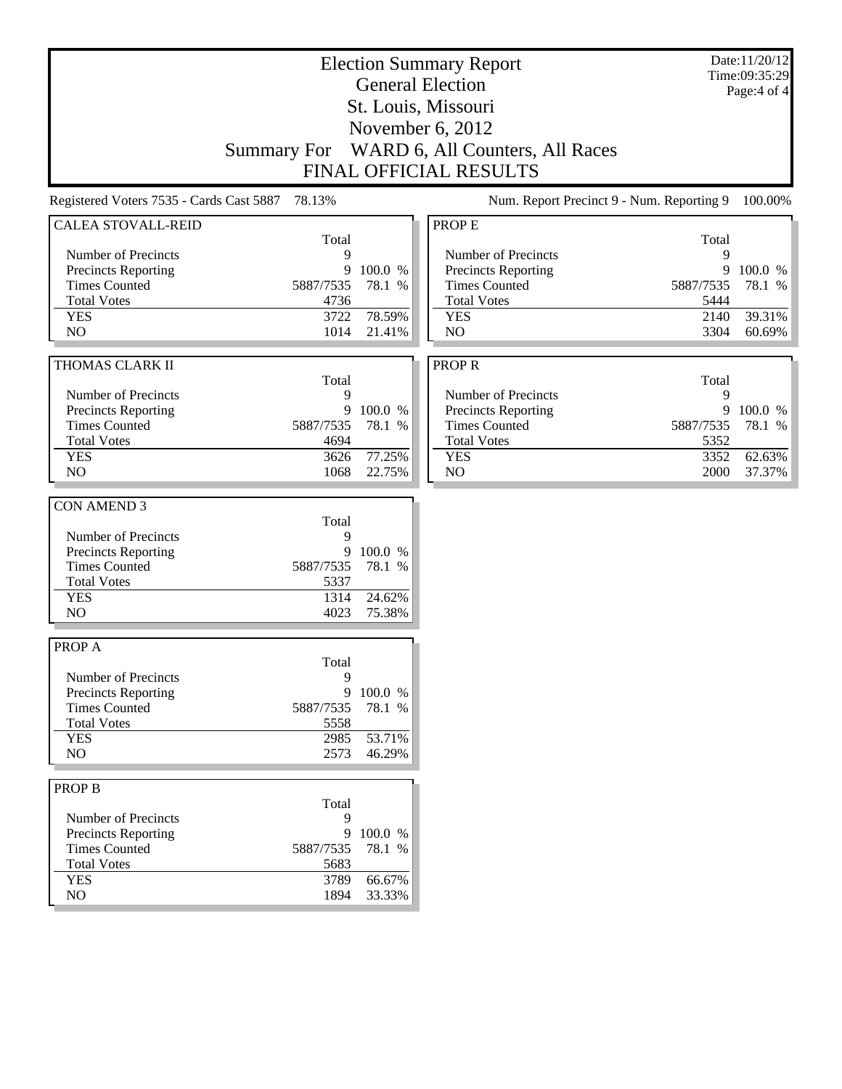| <b>Election Summary Report</b><br><b>General Election</b><br>St. Louis, Missouri |              |                  |                                           |              | Date:11/20/12<br>Time:09:35:29<br>Page:4 of 4 |
|----------------------------------------------------------------------------------|--------------|------------------|-------------------------------------------|--------------|-----------------------------------------------|
|                                                                                  |              |                  | November 6, 2012                          |              |                                               |
| <b>Summary For</b>                                                               |              |                  | WARD 6, All Counters, All Races           |              |                                               |
|                                                                                  |              |                  | <b>FINAL OFFICIAL RESULTS</b>             |              |                                               |
| Registered Voters 7535 - Cards Cast 5887 78.13%                                  |              |                  | Num. Report Precinct 9 - Num. Reporting 9 |              |                                               |
|                                                                                  |              |                  |                                           |              | 100.00%                                       |
| <b>CALEA STOVALL-REID</b>                                                        | Total        |                  | PROP E                                    | Total        |                                               |
| Number of Precincts                                                              | 9            |                  | Number of Precincts                       | 9            |                                               |
| Precincts Reporting                                                              | 9            | 100.0 %          | Precincts Reporting                       | 9            | 100.0 %                                       |
| <b>Times Counted</b>                                                             | 5887/7535    | 78.1 %           | <b>Times Counted</b>                      | 5887/7535    | 78.1 %                                        |
| <b>Total Votes</b>                                                               | 4736         |                  | <b>Total Votes</b>                        | 5444         |                                               |
| <b>YES</b>                                                                       | 3722         | 78.59%           | <b>YES</b>                                | 2140         | 39.31%                                        |
| NO                                                                               | 1014         | 21.41%           | N <sub>O</sub>                            | 3304         | 60.69%                                        |
|                                                                                  |              |                  |                                           |              |                                               |
| THOMAS CLARK II                                                                  |              |                  | <b>PROPR</b>                              |              |                                               |
|                                                                                  | Total        |                  |                                           | Total        |                                               |
| Number of Precincts                                                              | 9            |                  | Number of Precincts                       | 9            |                                               |
| Precincts Reporting                                                              | 9            | 100.0 %          | Precincts Reporting                       | 9            | 100.0 %                                       |
| <b>Times Counted</b>                                                             | 5887/7535    | 78.1 %           | <b>Times Counted</b>                      | 5887/7535    | 78.1 %                                        |
| <b>Total Votes</b>                                                               | 4694         |                  | <b>Total Votes</b>                        | 5352         |                                               |
| <b>YES</b><br>NO                                                                 | 3626<br>1068 | 77.25%<br>22.75% | <b>YES</b><br>NO                          | 3352<br>2000 | 62.63%<br>37.37%                              |
|                                                                                  |              |                  |                                           |              |                                               |
| <b>CON AMEND 3</b>                                                               |              |                  |                                           |              |                                               |
|                                                                                  | Total        |                  |                                           |              |                                               |
| Number of Precincts                                                              | 9            |                  |                                           |              |                                               |
| Precincts Reporting                                                              | 9            | 100.0 %          |                                           |              |                                               |
| <b>Times Counted</b>                                                             | 5887/7535    | 78.1 %           |                                           |              |                                               |
| <b>Total Votes</b>                                                               | 5337         |                  |                                           |              |                                               |
| <b>YES</b>                                                                       | 1314         | 24.62%           |                                           |              |                                               |
| NO                                                                               | 4023         | 75.38%           |                                           |              |                                               |
|                                                                                  |              |                  |                                           |              |                                               |
| PROP A                                                                           |              |                  |                                           |              |                                               |
|                                                                                  | Total        |                  |                                           |              |                                               |
| Number of Precincts                                                              | 9            |                  |                                           |              |                                               |
| <b>Precincts Reporting</b>                                                       | 9            | 100.0 %          |                                           |              |                                               |
| <b>Times Counted</b>                                                             | 5887/7535    | 78.1 %           |                                           |              |                                               |
| <b>Total Votes</b>                                                               | 5558         |                  |                                           |              |                                               |
| <b>YES</b><br>NO                                                                 | 2985<br>2573 | 53.71%<br>46.29% |                                           |              |                                               |
|                                                                                  |              |                  |                                           |              |                                               |
| <b>PROP B</b>                                                                    |              |                  |                                           |              |                                               |
|                                                                                  | Total        |                  |                                           |              |                                               |
| Number of Precincts                                                              | 9            |                  |                                           |              |                                               |
| Precincts Reporting                                                              | 9            | 100.0 %          |                                           |              |                                               |
| <b>Times Counted</b>                                                             | 5887/7535    | 78.1 %           |                                           |              |                                               |
| <b>Total Votes</b>                                                               | 5683         |                  |                                           |              |                                               |
| <b>YES</b>                                                                       | 3789         | 66.67%           |                                           |              |                                               |
| $\rm NO$                                                                         | 1894         | 33.33%           |                                           |              |                                               |
|                                                                                  |              |                  |                                           |              |                                               |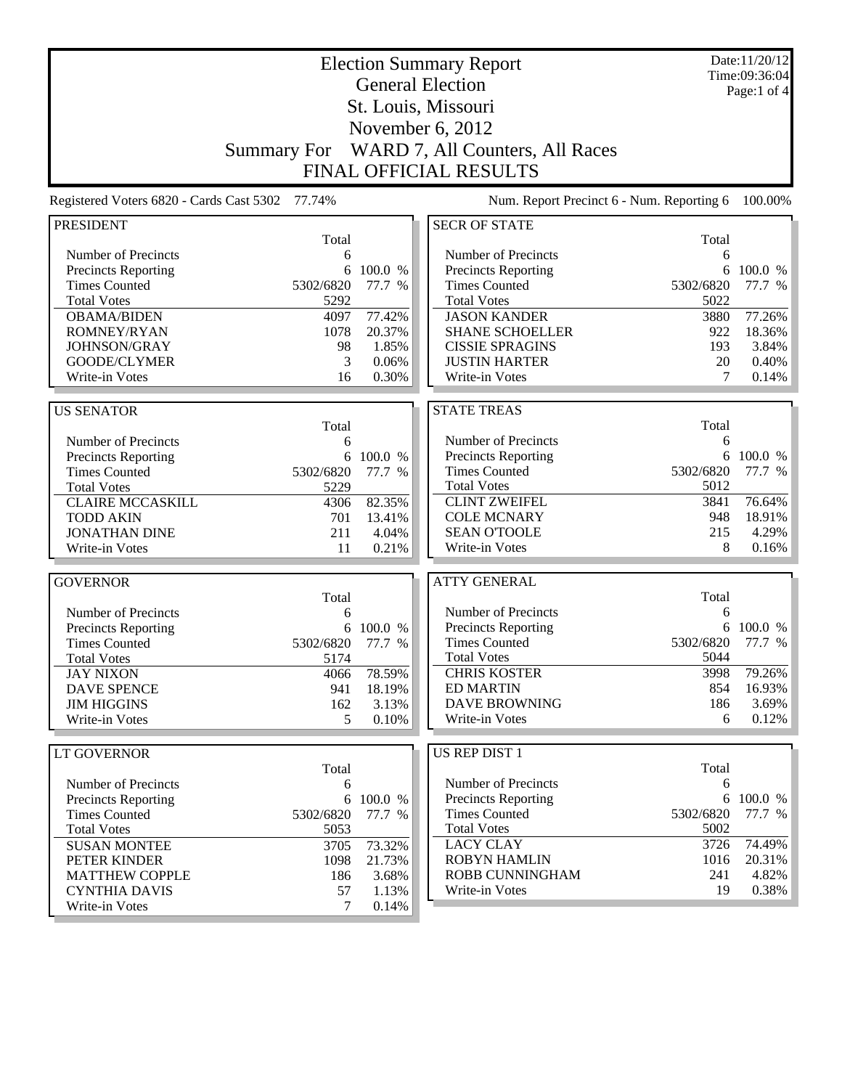| <b>Election Summary Report</b>                  |                    |           |                                           |           | Date:11/20/12<br>Time:09:36:04 |
|-------------------------------------------------|--------------------|-----------|-------------------------------------------|-----------|--------------------------------|
|                                                 |                    |           | <b>General Election</b>                   |           | Page:1 of 4                    |
|                                                 |                    |           | St. Louis, Missouri                       |           |                                |
|                                                 |                    |           |                                           |           |                                |
|                                                 |                    |           | November 6, 2012                          |           |                                |
|                                                 | <b>Summary For</b> |           | WARD 7, All Counters, All Races           |           |                                |
|                                                 |                    |           | <b>FINAL OFFICIAL RESULTS</b>             |           |                                |
| Registered Voters 6820 - Cards Cast 5302 77.74% |                    |           | Num. Report Precinct 6 - Num. Reporting 6 |           | 100.00%                        |
| <b>PRESIDENT</b>                                |                    |           | <b>SECR OF STATE</b>                      |           |                                |
|                                                 | Total              |           |                                           | Total     |                                |
| Number of Precincts                             | 6                  |           | Number of Precincts                       | 6         |                                |
| Precincts Reporting                             | 6                  | 100.0 %   | Precincts Reporting                       | 6         | 100.0 %                        |
| <b>Times Counted</b>                            | 5302/6820          | 77.7 %    | <b>Times Counted</b>                      | 5302/6820 | 77.7 %                         |
| <b>Total Votes</b>                              | 5292               |           | <b>Total Votes</b>                        | 5022      |                                |
| <b>OBAMA/BIDEN</b>                              | 4097               | 77.42%    | <b>JASON KANDER</b>                       | 3880      | 77.26%                         |
| ROMNEY/RYAN                                     | 1078               | 20.37%    | <b>SHANE SCHOELLER</b>                    | 922       | 18.36%                         |
| JOHNSON/GRAY                                    | 98                 | 1.85%     | <b>CISSIE SPRAGINS</b>                    | 193       | 3.84%                          |
| <b>GOODE/CLYMER</b>                             | 3                  | 0.06%     | <b>JUSTIN HARTER</b>                      | 20        | 0.40%                          |
| Write-in Votes                                  | 16                 | 0.30%     | Write-in Votes                            | 7         | 0.14%                          |
|                                                 |                    |           | <b>STATE TREAS</b>                        |           |                                |
| <b>US SENATOR</b>                               | Total              |           |                                           | Total     |                                |
| Number of Precincts                             | 6                  |           | Number of Precincts                       | 6         |                                |
| Precincts Reporting                             | 6                  | 100.0 %   | Precincts Reporting                       | 6         | 100.0 %                        |
| <b>Times Counted</b>                            | 5302/6820          | 77.7 %    | <b>Times Counted</b>                      | 5302/6820 | 77.7 %                         |
| <b>Total Votes</b>                              | 5229               |           | <b>Total Votes</b>                        | 5012      |                                |
| <b>CLAIRE MCCASKILL</b>                         | 4306               | 82.35%    | <b>CLINT ZWEIFEL</b>                      | 3841      | 76.64%                         |
| <b>TODD AKIN</b>                                | 701                | 13.41%    | <b>COLE MCNARY</b>                        | 948       | 18.91%                         |
| <b>JONATHAN DINE</b>                            | 211                | 4.04%     | <b>SEAN O'TOOLE</b>                       | 215       | 4.29%                          |
| Write-in Votes                                  | 11                 | 0.21%     | Write-in Votes                            | 8         | 0.16%                          |
|                                                 |                    |           |                                           |           |                                |
| <b>GOVERNOR</b>                                 |                    |           | <b>ATTY GENERAL</b>                       |           |                                |
|                                                 | Total              |           |                                           | Total     |                                |
| Number of Precincts                             | 6                  |           | Number of Precincts                       | 6         |                                |
| <b>Precincts Reporting</b>                      | 6                  | 100.0 %   | Precincts Reporting                       |           | 6 100.0 %                      |
| <b>Times Counted</b>                            | 5302/6820          | 77.7 %    | <b>Times Counted</b>                      | 5302/6820 | 77.7 %                         |
| <b>Total Votes</b>                              | 5174               |           | <b>Total Votes</b>                        | 5044      |                                |
| <b>JAY NIXON</b>                                | 4066               | 78.59%    | <b>CHRIS KOSTER</b>                       | 3998      | 79.26%                         |
| <b>DAVE SPENCE</b>                              | 941                | 18.19%    | <b>ED MARTIN</b>                          | 854       | 16.93%                         |
| <b>JIM HIGGINS</b>                              | 162                | 3.13%     | <b>DAVE BROWNING</b>                      | 186       | $3.69\%$                       |
| Write-in Votes                                  | 5                  | 0.10%     | Write-in Votes                            | 6         | 0.12%                          |
|                                                 |                    |           |                                           |           |                                |
| <b>LT GOVERNOR</b>                              |                    |           | <b>US REP DIST 1</b>                      |           |                                |
|                                                 | Total              |           |                                           | Total     |                                |
| Number of Precincts                             | 6                  |           | Number of Precincts                       | 6         |                                |
| <b>Precincts Reporting</b>                      |                    | 6 100.0 % | <b>Precincts Reporting</b>                |           | 6 100.0 %                      |
| <b>Times Counted</b>                            | 5302/6820          | 77.7 %    | <b>Times Counted</b>                      | 5302/6820 | 77.7 %                         |
| <b>Total Votes</b>                              | 5053               |           | <b>Total Votes</b>                        | 5002      |                                |
| <b>SUSAN MONTEE</b>                             | 3705               | 73.32%    | <b>LACY CLAY</b>                          | 3726      | 74.49%                         |
| PETER KINDER                                    | 1098               | 21.73%    | <b>ROBYN HAMLIN</b>                       | 1016      | 20.31%                         |
| <b>MATTHEW COPPLE</b>                           | 186                | 3.68%     | ROBB CUNNINGHAM                           | 241       | 4.82%                          |
| <b>CYNTHIA DAVIS</b>                            | 57                 | 1.13%     | Write-in Votes                            | 19        | 0.38%                          |
| Write-in Votes                                  | 7                  | 0.14%     |                                           |           |                                |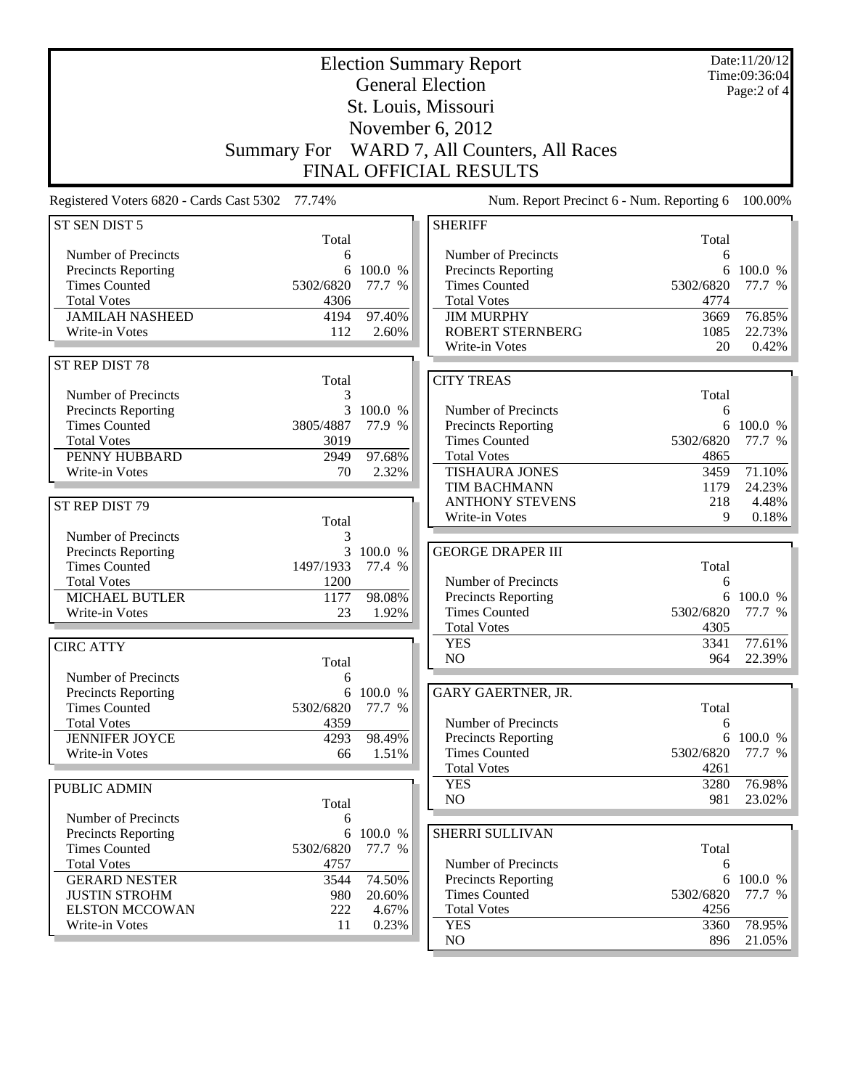| <b>Election Summary Report</b>                  |                    |                  |                                                    |                   | Date:11/20/12<br>Time:09:36:04 |
|-------------------------------------------------|--------------------|------------------|----------------------------------------------------|-------------------|--------------------------------|
|                                                 |                    |                  | <b>General Election</b>                            |                   | Page:2 of 4                    |
|                                                 |                    |                  | St. Louis, Missouri                                |                   |                                |
|                                                 |                    |                  | November 6, 2012                                   |                   |                                |
|                                                 | <b>Summary For</b> |                  | WARD 7, All Counters, All Races                    |                   |                                |
|                                                 |                    |                  |                                                    |                   |                                |
|                                                 |                    |                  | FINAL OFFICIAL RESULTS                             |                   |                                |
| Registered Voters 6820 - Cards Cast 5302 77.74% |                    |                  | Num. Report Precinct 6 - Num. Reporting 6          |                   | 100.00%                        |
| ST SEN DIST 5                                   | Total              |                  | <b>SHERIFF</b>                                     | Total             |                                |
| Number of Precincts                             | 6                  |                  | Number of Precincts                                | 6                 |                                |
| <b>Precincts Reporting</b>                      | 6                  | 100.0 %          | Precincts Reporting                                | 6                 | 100.0 %                        |
| <b>Times Counted</b>                            | 5302/6820          | 77.7 %           | <b>Times Counted</b>                               | 5302/6820         | 77.7 %                         |
| <b>Total Votes</b>                              | 4306               |                  | <b>Total Votes</b>                                 | 4774              |                                |
| <b>JAMILAH NASHEED</b><br>Write-in Votes        | 4194<br>112        | 97.40%<br>2.60%  | <b>JIM MURPHY</b><br><b>ROBERT STERNBERG</b>       | 3669<br>1085      | 76.85%<br>22.73%               |
|                                                 |                    |                  | Write-in Votes                                     | 20                | 0.42%                          |
| ST REP DIST 78                                  |                    |                  |                                                    |                   |                                |
|                                                 | Total              |                  | <b>CITY TREAS</b>                                  |                   |                                |
| Number of Precincts                             | 3                  |                  |                                                    | Total             |                                |
| Precincts Reporting                             | 3                  | 100.0 %          | Number of Precincts                                | 6                 |                                |
| <b>Times Counted</b>                            | 3805/4887          | 77.9 %           | <b>Precincts Reporting</b>                         | 6                 | 100.0 %                        |
| <b>Total Votes</b><br>PENNY HUBBARD             | 3019<br>2949       | 97.68%           | <b>Times Counted</b><br><b>Total Votes</b>         | 5302/6820<br>4865 | 77.7 %                         |
| Write-in Votes                                  | 70                 | 2.32%            | <b>TISHAURA JONES</b>                              | 3459              | 71.10%                         |
|                                                 |                    |                  | TIM BACHMANN                                       | 1179              | 24.23%                         |
| ST REP DIST 79                                  |                    |                  | <b>ANTHONY STEVENS</b>                             | 218               | 4.48%                          |
|                                                 | Total              |                  | Write-in Votes                                     | 9                 | 0.18%                          |
| Number of Precincts                             | 3                  |                  |                                                    |                   |                                |
| Precincts Reporting                             | 3                  | 100.0 %          | <b>GEORGE DRAPER III</b>                           |                   |                                |
| <b>Times Counted</b>                            | 1497/1933          | 77.4 %           |                                                    | Total             |                                |
| <b>Total Votes</b><br>MICHAEL BUTLER            | 1200<br>1177       | 98.08%           | Number of Precincts<br><b>Precincts Reporting</b>  | 6<br>6            | 100.0 %                        |
| Write-in Votes                                  | 23                 | 1.92%            | <b>Times Counted</b>                               | 5302/6820         | 77.7 %                         |
|                                                 |                    |                  | <b>Total Votes</b>                                 | 4305              |                                |
| <b>CIRC ATTY</b>                                |                    |                  | <b>YES</b>                                         | 3341              | 77.61%                         |
|                                                 | Total              |                  | NO                                                 | 964               | 22.39%                         |
| Number of Precincts                             | 6                  |                  |                                                    |                   |                                |
| <b>Precincts Reporting</b>                      | 6                  | 100.0 %          | GARY GAERTNER, JR.                                 |                   |                                |
| <b>Times Counted</b>                            | 5302/6820          | 77.7 %           |                                                    | Total             |                                |
| <b>Total Votes</b>                              | 4359               |                  | Number of Precincts                                | 6<br>6            | 100.0 %                        |
| <b>JENNIFER JOYCE</b><br>Write-in Votes         | 4293<br>66         | 98.49%<br>1.51%  | <b>Precincts Reporting</b><br><b>Times Counted</b> | 5302/6820         | 77.7 %                         |
|                                                 |                    |                  | <b>Total Votes</b>                                 | 4261              |                                |
| PUBLIC ADMIN                                    |                    |                  | <b>YES</b>                                         | 3280              | 76.98%                         |
|                                                 | Total              |                  | NO                                                 | 981               | $23.02\%$                      |
| Number of Precincts                             | 6                  |                  |                                                    |                   |                                |
| Precincts Reporting                             | 6                  | 100.0 %          | SHERRI SULLIVAN                                    |                   |                                |
| <b>Times Counted</b>                            | 5302/6820          | 77.7 %           |                                                    | Total             |                                |
| <b>Total Votes</b>                              | 4757               |                  | Number of Precincts                                | 6                 |                                |
| <b>GERARD NESTER</b><br><b>JUSTIN STROHM</b>    | 3544<br>980        | 74.50%<br>20.60% | <b>Precincts Reporting</b><br><b>Times Counted</b> | 6<br>5302/6820    | 100.0 %<br>77.7 %              |
| <b>ELSTON MCCOWAN</b>                           | 222                | 4.67%            | <b>Total Votes</b>                                 | 4256              |                                |
| Write-in Votes                                  | 11                 | 0.23%            | <b>YES</b>                                         | 3360              | 78.95%                         |
|                                                 |                    |                  | NO                                                 | 896               | $21.05\%$                      |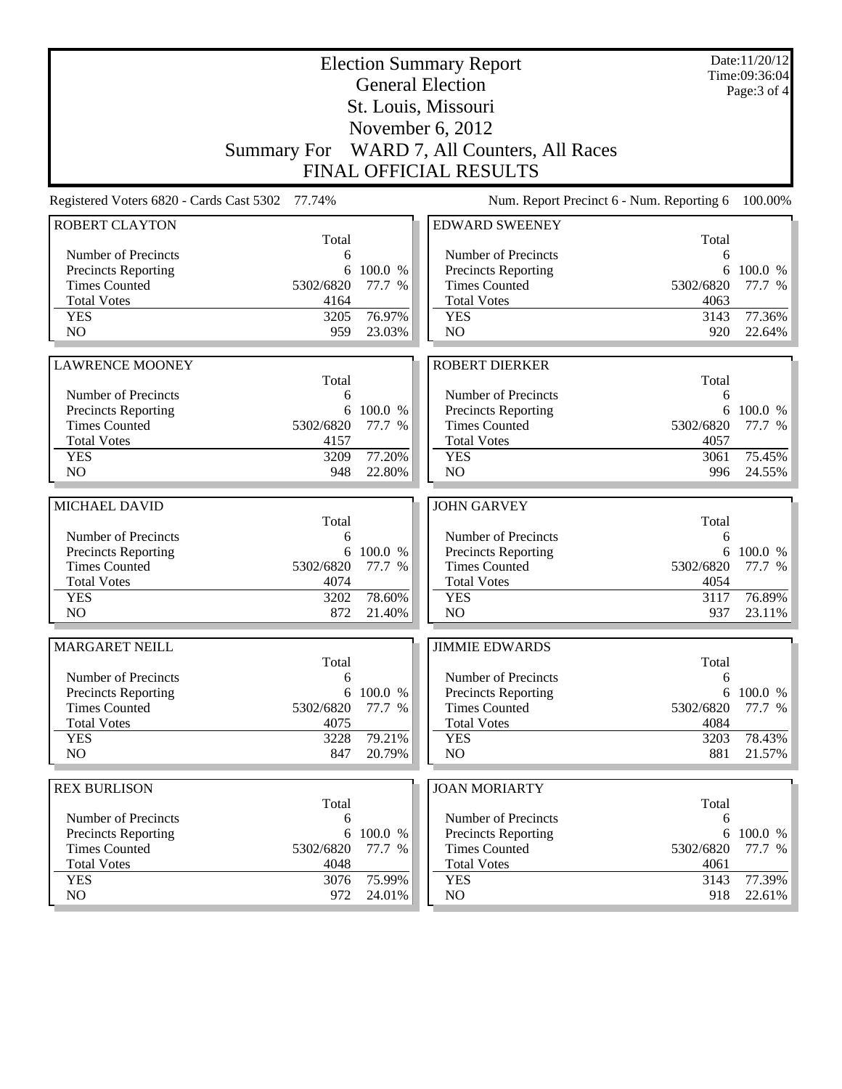|                                                 |             | Date:11/20/12<br>Time:09:36:04<br>Page: 3 of 4 |                                                                  |             |                  |  |  |
|-------------------------------------------------|-------------|------------------------------------------------|------------------------------------------------------------------|-------------|------------------|--|--|
|                                                 |             |                                                | <b>General Election</b><br>St. Louis, Missouri                   |             |                  |  |  |
|                                                 |             |                                                | November $6, 2012$                                               |             |                  |  |  |
| <b>Summary For</b>                              |             |                                                |                                                                  |             |                  |  |  |
|                                                 |             |                                                | WARD 7, All Counters, All Races<br><b>FINAL OFFICIAL RESULTS</b> |             |                  |  |  |
| Num. Report Precinct 6 - Num. Reporting 6       |             |                                                |                                                                  |             |                  |  |  |
| Registered Voters 6820 - Cards Cast 5302 77.74% |             |                                                |                                                                  |             | 100.00%          |  |  |
| <b>ROBERT CLAYTON</b>                           | Total       |                                                | <b>EDWARD SWEENEY</b>                                            | Total       |                  |  |  |
| Number of Precincts                             | 6           |                                                | Number of Precincts                                              | 6           |                  |  |  |
| Precincts Reporting                             | 6           | 100.0 %                                        | <b>Precincts Reporting</b>                                       | 6           | 100.0 %          |  |  |
| <b>Times Counted</b>                            | 5302/6820   | 77.7 %                                         | <b>Times Counted</b>                                             | 5302/6820   | 77.7 %           |  |  |
| <b>Total Votes</b>                              | 4164        |                                                | <b>Total Votes</b>                                               | 4063        |                  |  |  |
| <b>YES</b>                                      | 3205        | 76.97%                                         | <b>YES</b>                                                       | 3143        | 77.36%           |  |  |
| NO                                              | 959         | 23.03%                                         | NO                                                               | 920         | 22.64%           |  |  |
|                                                 |             |                                                | <b>ROBERT DIERKER</b>                                            |             |                  |  |  |
| <b>LAWRENCE MOONEY</b>                          | Total       |                                                |                                                                  | Total       |                  |  |  |
| Number of Precincts                             | 6           |                                                | Number of Precincts                                              | 6           |                  |  |  |
| <b>Precincts Reporting</b>                      | 6           | 100.0 %                                        | Precincts Reporting                                              | 6           | 100.0 %          |  |  |
| <b>Times Counted</b>                            | 5302/6820   | 77.7 %                                         | <b>Times Counted</b>                                             | 5302/6820   | 77.7 %           |  |  |
| <b>Total Votes</b>                              | 4157        |                                                | <b>Total Votes</b>                                               | 4057        |                  |  |  |
| <b>YES</b>                                      | 3209        | 77.20%                                         | <b>YES</b>                                                       | 3061        | 75.45%           |  |  |
| NO                                              | 948         | 22.80%                                         | NO                                                               | 996         | 24.55%           |  |  |
|                                                 |             |                                                |                                                                  |             |                  |  |  |
| MICHAEL DAVID                                   | Total       |                                                | <b>JOHN GARVEY</b>                                               | Total       |                  |  |  |
| Number of Precincts                             | 6           |                                                | Number of Precincts                                              | 6           |                  |  |  |
| <b>Precincts Reporting</b>                      | 6           | 100.0 %                                        | Precincts Reporting                                              | 6           | 100.0 %          |  |  |
| <b>Times Counted</b>                            | 5302/6820   | 77.7 %                                         | <b>Times Counted</b>                                             | 5302/6820   | 77.7 %           |  |  |
| <b>Total Votes</b>                              | 4074        |                                                | <b>Total Votes</b>                                               | 4054        |                  |  |  |
| <b>YES</b>                                      | 3202        | 78.60%                                         |                                                                  |             |                  |  |  |
| N <sub>O</sub>                                  |             |                                                | <b>YES</b>                                                       | 3117        | 76.89%           |  |  |
|                                                 | 872         | 21.40%                                         | N <sub>O</sub>                                                   | 937         | 23.11%           |  |  |
|                                                 |             |                                                |                                                                  |             |                  |  |  |
| <b>MARGARET NEILL</b>                           | Total       |                                                | <b>JIMMIE EDWARDS</b>                                            | Total       |                  |  |  |
| Number of Precincts                             | 6           |                                                | Number of Precincts                                              | 6           |                  |  |  |
| <b>Precincts Reporting</b>                      | 6           | 100.0 %                                        | Precincts Reporting                                              | 6           | 100.0 %          |  |  |
| <b>Times Counted</b>                            | 5302/6820   | 77.7 %                                         | <b>Times Counted</b>                                             | 5302/6820   | 77.7 %           |  |  |
| <b>Total Votes</b>                              | 4075        |                                                | <b>Total Votes</b>                                               | 4084        |                  |  |  |
| <b>YES</b>                                      | 3228        | 79.21%                                         | <b>YES</b>                                                       | 3203        | 78.43%           |  |  |
| NO                                              | 847         | 20.79%                                         | NO                                                               | 881         | 21.57%           |  |  |
|                                                 |             |                                                |                                                                  |             |                  |  |  |
| <b>REX BURLISON</b>                             | Total       |                                                | <b>JOAN MORIARTY</b>                                             | Total       |                  |  |  |
| Number of Precincts                             | 6           |                                                | Number of Precincts                                              | 6           |                  |  |  |
| <b>Precincts Reporting</b>                      | 6           | 100.0 %                                        | Precincts Reporting                                              | 6           | 100.0 %          |  |  |
| <b>Times Counted</b>                            | 5302/6820   | 77.7 %                                         | <b>Times Counted</b>                                             | 5302/6820   | 77.7 %           |  |  |
| <b>Total Votes</b>                              | 4048        |                                                | <b>Total Votes</b>                                               | 4061        |                  |  |  |
| <b>YES</b><br>NO                                | 3076<br>972 | 75.99%<br>24.01%                               | <b>YES</b><br>NO.                                                | 3143<br>918 | 77.39%<br>22.61% |  |  |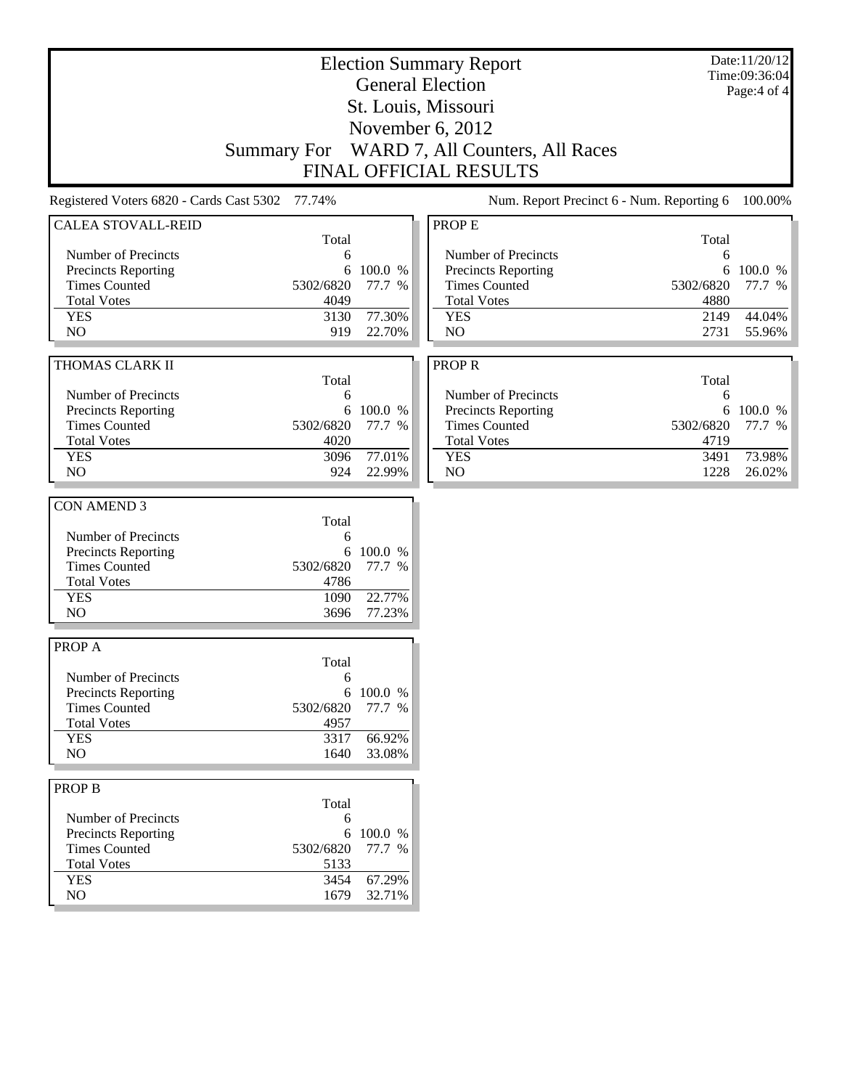| <b>Election Summary Report</b><br><b>General Election</b><br>St. Louis, Missouri<br>November 6, 2012                            |                                                      |                                       |                                                                                                                          |                                                      | Date:11/20/12<br>Time:09:36:04<br>Page: $4$ of $4$ |
|---------------------------------------------------------------------------------------------------------------------------------|------------------------------------------------------|---------------------------------------|--------------------------------------------------------------------------------------------------------------------------|------------------------------------------------------|----------------------------------------------------|
|                                                                                                                                 | <b>Summary For</b>                                   |                                       | WARD 7, All Counters, All Races<br>FINAL OFFICIAL RESULTS                                                                |                                                      |                                                    |
| Registered Voters 6820 - Cards Cast 5302 77.74%                                                                                 |                                                      |                                       | Num. Report Precinct 6 - Num. Reporting 6                                                                                |                                                      | 100.00%                                            |
| <b>CALEA STOVALL-REID</b>                                                                                                       | Total                                                |                                       | PROP E                                                                                                                   | Total                                                |                                                    |
| Number of Precincts<br>Precincts Reporting<br><b>Times Counted</b><br><b>Total Votes</b><br><b>YES</b><br>N <sub>O</sub>        | 6<br>6<br>5302/6820<br>4049<br>3130<br>919           | 100.0 %<br>77.7 %<br>77.30%<br>22.70% | Number of Precincts<br>Precincts Reporting<br><b>Times Counted</b><br><b>Total Votes</b><br><b>YES</b><br>N <sub>O</sub> | 6<br>6<br>5302/6820<br>4880<br>2149<br>2731          | 100.0 %<br>77.7 %<br>44.04%<br>55.96%              |
| THOMAS CLARK II                                                                                                                 |                                                      |                                       | <b>PROPR</b>                                                                                                             |                                                      |                                                    |
| Number of Precincts<br><b>Precincts Reporting</b><br><b>Times Counted</b><br><b>Total Votes</b><br><b>YES</b><br>N <sub>O</sub> | Total<br>6<br>6<br>5302/6820<br>4020<br>3096<br>924  | 100.0 %<br>77.7 %<br>77.01%<br>22.99% | Number of Precincts<br>Precincts Reporting<br><b>Times Counted</b><br><b>Total Votes</b><br><b>YES</b><br>NO             | Total<br>6<br>6<br>5302/6820<br>4719<br>3491<br>1228 | 100.0 %<br>77.7 %<br>73.98%<br>26.02%              |
| <b>CON AMEND 3</b>                                                                                                              |                                                      |                                       |                                                                                                                          |                                                      |                                                    |
| Number of Precincts<br>Precincts Reporting<br><b>Times Counted</b><br><b>Total Votes</b><br><b>YES</b><br>NO                    | Total<br>6<br>6<br>5302/6820<br>4786<br>1090<br>3696 | 100.0 %<br>77.7 %<br>22.77%<br>77.23% |                                                                                                                          |                                                      |                                                    |
| PROP A                                                                                                                          |                                                      |                                       |                                                                                                                          |                                                      |                                                    |
| Number of Precincts<br><b>Precincts Reporting</b><br><b>Times Counted</b><br><b>Total Votes</b><br><b>YES</b>                   | Total<br>6<br>5302/6820<br>4957<br>3317              | 6 100.0 %<br>77.7 %<br>66.92%         |                                                                                                                          |                                                      |                                                    |
| NO                                                                                                                              | 1640                                                 | 33.08%                                |                                                                                                                          |                                                      |                                                    |
| <b>PROP B</b><br>Number of Precincts<br><b>Precincts Reporting</b><br><b>Times Counted</b><br><b>Total Votes</b>                | Total<br>6<br>6<br>5302/6820<br>5133                 | 100.0 %<br>77.7 %                     |                                                                                                                          |                                                      |                                                    |
| <b>YES</b><br>$\rm NO$                                                                                                          | 3454<br>1679                                         | 67.29%<br>32.71%                      |                                                                                                                          |                                                      |                                                    |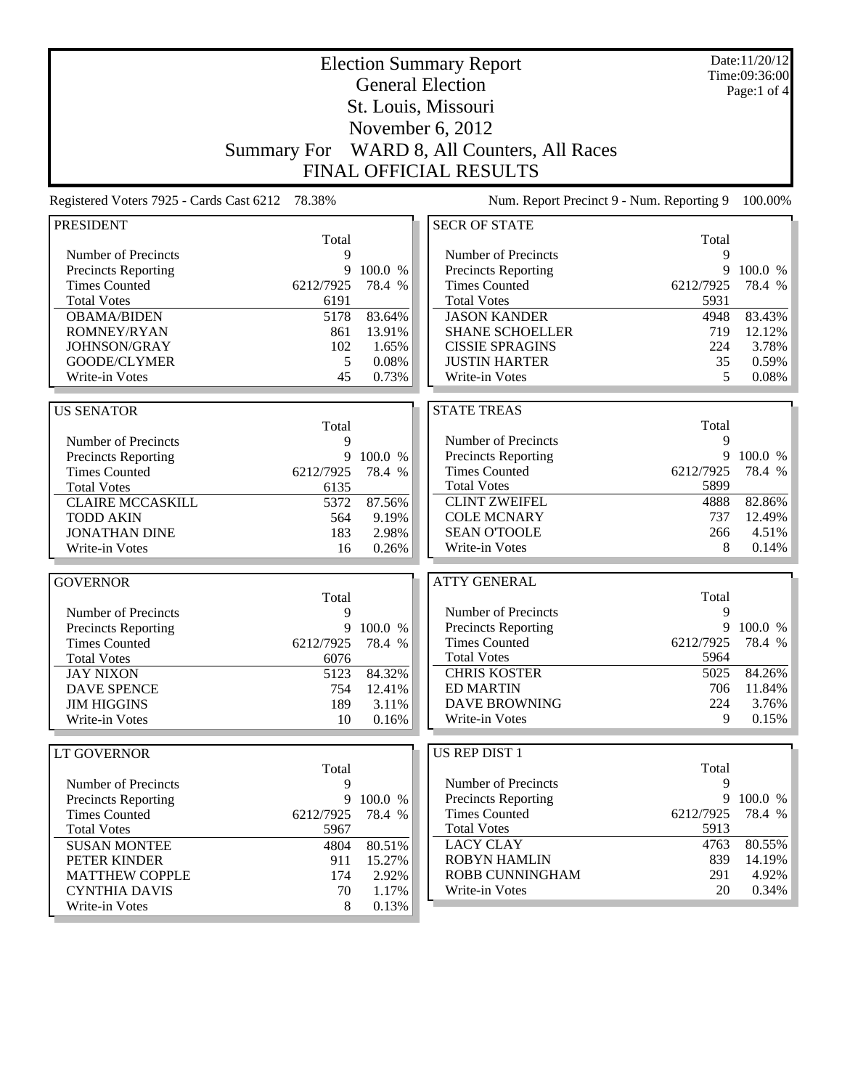| <b>Election Summary Report</b>           |                    |           |                                             | Date:11/20/12<br>Time:09:36:00 |                  |
|------------------------------------------|--------------------|-----------|---------------------------------------------|--------------------------------|------------------|
|                                          |                    |           | <b>General Election</b>                     |                                | Page:1 of $4$    |
|                                          |                    |           | St. Louis, Missouri                         |                                |                  |
|                                          |                    |           | November 6, 2012                            |                                |                  |
|                                          |                    |           |                                             |                                |                  |
|                                          | <b>Summary For</b> |           | WARD 8, All Counters, All Races             |                                |                  |
|                                          |                    |           | <b>FINAL OFFICIAL RESULTS</b>               |                                |                  |
| Registered Voters 7925 - Cards Cast 6212 | 78.38%             |           | Num. Report Precinct 9 - Num. Reporting 9   |                                | 100.00%          |
| <b>PRESIDENT</b>                         |                    |           | <b>SECR OF STATE</b>                        |                                |                  |
|                                          | Total              |           |                                             | Total                          |                  |
| Number of Precincts                      | 9                  |           | Number of Precincts                         | 9                              |                  |
| Precincts Reporting                      | 9                  | 100.0 %   | Precincts Reporting                         | 9                              | 100.0 %          |
| <b>Times Counted</b>                     | 6212/7925          | 78.4 %    | <b>Times Counted</b>                        | 6212/7925                      | 78.4 %           |
| <b>Total Votes</b>                       | 6191               |           | <b>Total Votes</b>                          | 5931                           |                  |
| <b>OBAMA/BIDEN</b>                       | 5178               | 83.64%    | <b>JASON KANDER</b>                         | 4948                           | 83.43%           |
| ROMNEY/RYAN                              | 861                | 13.91%    | <b>SHANE SCHOELLER</b>                      | 719                            | 12.12%           |
| JOHNSON/GRAY                             | 102                | 1.65%     | <b>CISSIE SPRAGINS</b>                      | 224                            | 3.78%            |
| GOODE/CLYMER                             | 5                  | 0.08%     | <b>JUSTIN HARTER</b>                        | 35                             | 0.59%            |
| Write-in Votes                           | 45                 | 0.73%     | Write-in Votes                              | 5                              | 0.08%            |
|                                          |                    |           |                                             |                                |                  |
| <b>US SENATOR</b>                        |                    |           | <b>STATE TREAS</b>                          |                                |                  |
|                                          | Total              |           |                                             | Total                          |                  |
| Number of Precincts                      | 9                  |           | Number of Precincts                         | 9<br>9                         |                  |
| Precincts Reporting                      |                    | 9 100.0 % | Precincts Reporting<br><b>Times Counted</b> | 6212/7925                      | 100.0 %          |
| <b>Times Counted</b>                     | 6212/7925          | 78.4 %    |                                             | 5899                           | 78.4 %           |
| <b>Total Votes</b>                       | 6135               |           | <b>Total Votes</b><br><b>CLINT ZWEIFEL</b>  | 4888                           |                  |
| <b>CLAIRE MCCASKILL</b>                  | 5372               | 87.56%    | <b>COLE MCNARY</b>                          | 737                            | 82.86%<br>12.49% |
| <b>TODD AKIN</b>                         | 564                | 9.19%     | <b>SEAN O'TOOLE</b>                         |                                | 4.51%            |
| <b>JONATHAN DINE</b>                     | 183                | 2.98%     |                                             | 266<br>8                       |                  |
| Write-in Votes                           | 16                 | 0.26%     | Write-in Votes                              |                                | 0.14%            |
| <b>GOVERNOR</b>                          |                    |           | <b>ATTY GENERAL</b>                         |                                |                  |
|                                          | Total              |           |                                             | Total                          |                  |
| Number of Precincts                      | 9                  |           | Number of Precincts                         | 9                              |                  |
| <b>Precincts Reporting</b>               | 9                  | 100.0 %   | Precincts Reporting                         | 9                              | 100.0 %          |
| <b>Times Counted</b>                     | 6212/7925          | 78.4 %    | <b>Times Counted</b>                        | 6212/7925                      | 78.4 %           |
| <b>Total Votes</b>                       | 6076               |           | <b>Total Votes</b>                          | 5964                           |                  |
| <b>JAY NIXON</b>                         | 5123               | 84.32%    | <b>CHRIS KOSTER</b>                         | 5025                           | 84.26%           |
| <b>DAVE SPENCE</b>                       | 754                | 12.41%    | <b>ED MARTIN</b>                            | 706                            | 11.84%           |
| <b>JIM HIGGINS</b>                       | 189                | 3.11%     | <b>DAVE BROWNING</b>                        | 224                            | 3.76%            |
| Write-in Votes                           | 10                 | 0.16%     | Write-in Votes                              | 9                              | 0.15%            |
|                                          |                    |           |                                             |                                |                  |
| <b>LT GOVERNOR</b>                       |                    |           | US REP DIST 1                               |                                |                  |
|                                          | Total              |           |                                             | Total                          |                  |
| Number of Precincts                      | 9                  |           | Number of Precincts                         | 9                              |                  |
| <b>Precincts Reporting</b>               |                    | 9 100.0 % | <b>Precincts Reporting</b>                  | 9                              | 100.0 %          |
| <b>Times Counted</b>                     | 6212/7925          | 78.4 %    | <b>Times Counted</b>                        | 6212/7925                      | 78.4 %           |
| <b>Total Votes</b>                       | 5967               |           | <b>Total Votes</b>                          | 5913                           |                  |
| <b>SUSAN MONTEE</b>                      | 4804               | 80.51%    | <b>LACY CLAY</b>                            | 4763                           | 80.55%           |
| PETER KINDER                             | 911                | 15.27%    | <b>ROBYN HAMLIN</b>                         | 839                            | 14.19%           |
| <b>MATTHEW COPPLE</b>                    | 174                | 2.92%     | ROBB CUNNINGHAM                             | 291                            | 4.92%            |
| <b>CYNTHIA DAVIS</b>                     | 70                 | 1.17%     | Write-in Votes                              | 20                             | 0.34%            |
| Write-in Votes                           | 8                  | 0.13%     |                                             |                                |                  |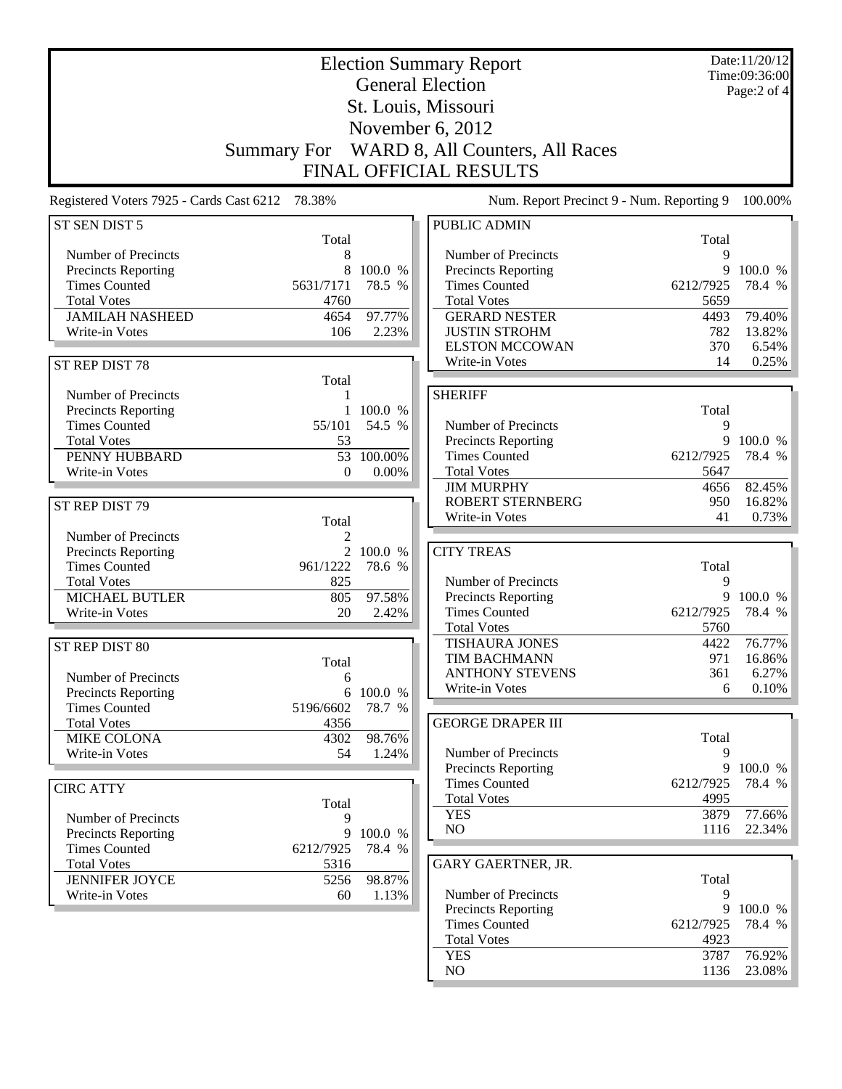|                                                   | <b>Election Summary Report</b><br><b>General Election</b> |           |                                           |            |             |
|---------------------------------------------------|-----------------------------------------------------------|-----------|-------------------------------------------|------------|-------------|
|                                                   |                                                           |           |                                           |            | Page:2 of 4 |
|                                                   |                                                           |           | St. Louis, Missouri                       |            |             |
|                                                   |                                                           |           | November 6, 2012                          |            |             |
|                                                   | <b>Summary For</b>                                        |           | WARD 8, All Counters, All Races           |            |             |
|                                                   |                                                           |           | <b>FINAL OFFICIAL RESULTS</b>             |            |             |
|                                                   |                                                           |           |                                           |            |             |
| Registered Voters 7925 - Cards Cast 6212          | 78.38%                                                    |           | Num. Report Precinct 9 - Num. Reporting 9 |            | 100.00%     |
| ST SEN DIST 5                                     | Total                                                     |           | <b>PUBLIC ADMIN</b>                       | Total      |             |
| Number of Precincts                               | 8                                                         |           | Number of Precincts                       | 9          |             |
| Precincts Reporting                               | 8                                                         | 100.0 %   | Precincts Reporting                       | 9          | 100.0 %     |
| <b>Times Counted</b>                              | 5631/7171                                                 | 78.5 %    | <b>Times Counted</b>                      | 6212/7925  | 78.4 %      |
| <b>Total Votes</b>                                | 4760                                                      |           | <b>Total Votes</b>                        | 5659       |             |
| <b>JAMILAH NASHEED</b>                            | 4654                                                      | 97.77%    | <b>GERARD NESTER</b>                      | 4493       | 79.40%      |
| Write-in Votes                                    | 106                                                       | 2.23%     | <b>JUSTIN STROHM</b>                      | 782        | 13.82%      |
|                                                   |                                                           |           | <b>ELSTON MCCOWAN</b>                     | 370        | 6.54%       |
| ST REP DIST 78                                    |                                                           |           | Write-in Votes                            | 14         | 0.25%       |
|                                                   | Total                                                     |           |                                           |            |             |
| Number of Precincts<br><b>Precincts Reporting</b> | 1<br>$\mathbf{1}$                                         | 100.0 %   | <b>SHERIFF</b>                            |            |             |
| <b>Times Counted</b>                              | 55/101                                                    | 54.5 %    | Number of Precincts                       | Total<br>9 |             |
| <b>Total Votes</b>                                | 53                                                        |           | Precincts Reporting                       | 9          | 100.0 %     |
| PENNY HUBBARD                                     | 53                                                        | 100.00%   | <b>Times Counted</b>                      | 6212/7925  | 78.4 %      |
| Write-in Votes                                    | $\theta$                                                  | $0.00\%$  | <b>Total Votes</b>                        | 5647       |             |
|                                                   |                                                           |           | <b>JIM MURPHY</b>                         | 4656       | 82.45%      |
| ST REP DIST 79                                    |                                                           |           | <b>ROBERT STERNBERG</b>                   | 950        | 16.82%      |
|                                                   | Total                                                     |           | Write-in Votes                            | 41         | 0.73%       |
| Number of Precincts                               | $\overline{c}$                                            |           |                                           |            |             |
| Precincts Reporting                               | $\overline{2}$                                            | 100.0 %   | <b>CITY TREAS</b>                         |            |             |
| <b>Times Counted</b>                              | 961/1222                                                  | 78.6 %    |                                           | Total      |             |
| <b>Total Votes</b>                                | 825                                                       |           | Number of Precincts                       | 9          |             |
| <b>MICHAEL BUTLER</b>                             | 805                                                       | 97.58%    | <b>Precincts Reporting</b>                | 9          | 100.0 %     |
| Write-in Votes                                    | 20                                                        | 2.42%     | <b>Times Counted</b>                      | 6212/7925  | 78.4 %      |
|                                                   |                                                           |           | <b>Total Votes</b>                        | 5760       |             |
| ST REP DIST 80                                    |                                                           |           | <b>TISHAURA JONES</b>                     | 4422       | 76.77%      |
|                                                   | Total                                                     |           | <b>TIM BACHMANN</b>                       | 971        | 16.86%      |
| Number of Precincts                               | 6                                                         |           | <b>ANTHONY STEVENS</b>                    | 361        | 6.27%       |
| Precincts Reporting                               |                                                           | 6 100.0 % | Write-in Votes                            | 6          | 0.10%       |
| <b>Times Counted</b>                              | 5196/6602                                                 | 78.7 %    |                                           |            |             |
| <b>Total Votes</b>                                | 4356                                                      |           | <b>GEORGE DRAPER III</b>                  |            |             |
| MIKE COLONA                                       | 4302                                                      | 98.76%    |                                           | Total      |             |
| Write-in Votes                                    | 54                                                        | 1.24%     | Number of Precincts                       | 9          |             |
|                                                   |                                                           |           | <b>Precincts Reporting</b>                |            | 9 100.0 %   |
| <b>CIRC ATTY</b>                                  |                                                           |           | <b>Times Counted</b>                      | 6212/7925  | 78.4 %      |
|                                                   | Total                                                     |           | <b>Total Votes</b>                        | 4995       |             |
| Number of Precincts                               | 9                                                         |           | <b>YES</b>                                | 3879       | 77.66%      |
| Precincts Reporting                               | $\overline{9}$                                            | 100.0 %   | NO                                        | 1116       | 22.34%      |
| <b>Times Counted</b>                              | 6212/7925                                                 | 78.4 %    |                                           |            |             |
| <b>Total Votes</b>                                | 5316                                                      |           | GARY GAERTNER, JR.                        |            |             |
| <b>JENNIFER JOYCE</b>                             | 5256                                                      | 98.87%    |                                           | Total      |             |
| Write-in Votes                                    | 60                                                        | 1.13%     | Number of Precincts                       | 9          |             |
|                                                   |                                                           |           | Precincts Reporting                       |            | 9 100.0 %   |
|                                                   |                                                           |           | <b>Times Counted</b>                      | 6212/7925  | 78.4 %      |
|                                                   |                                                           |           | <b>Total Votes</b>                        | 4923       |             |
|                                                   |                                                           |           | <b>YES</b>                                | 3787       | 76.92%      |
|                                                   |                                                           |           | NO                                        | 1136       | 23.08%      |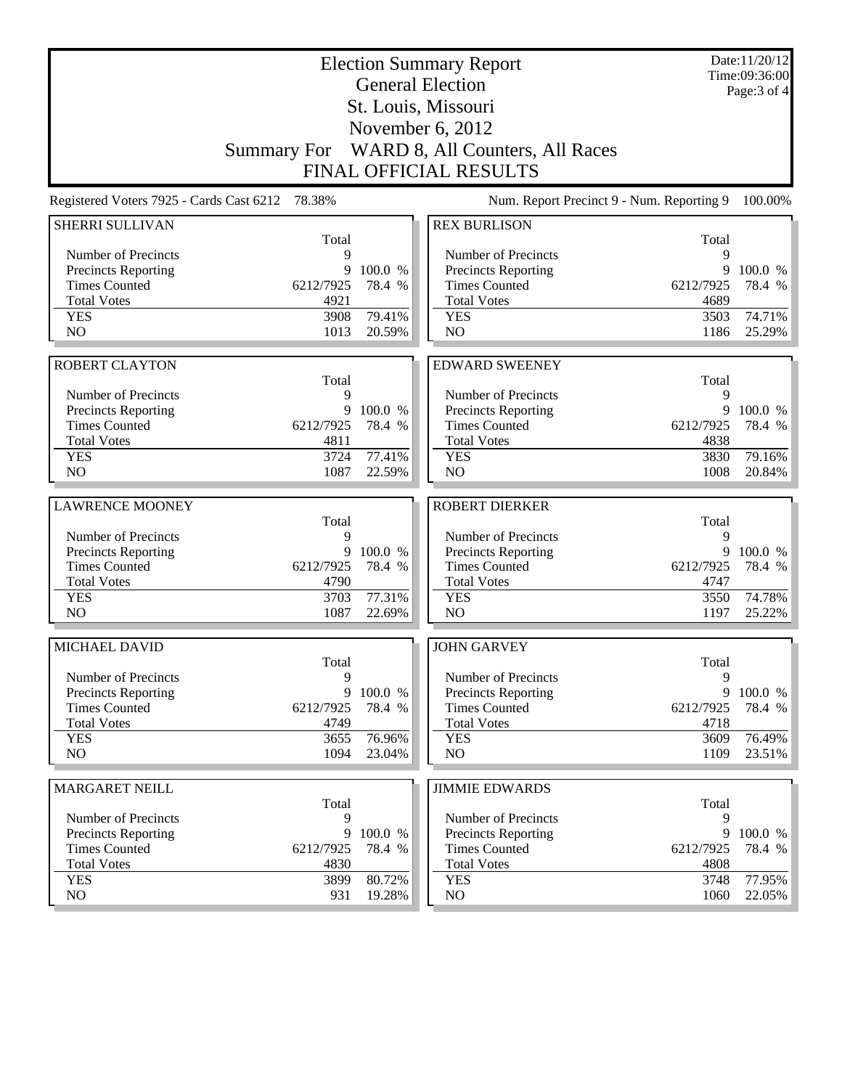|                                                 |                    | Date:11/20/12<br>Time:09:36:00<br>Page: $3$ of $4$ |                                                |                |                   |  |
|-------------------------------------------------|--------------------|----------------------------------------------------|------------------------------------------------|----------------|-------------------|--|
|                                                 |                    |                                                    | <b>General Election</b><br>St. Louis, Missouri |                |                   |  |
|                                                 | November 6, 2012   |                                                    |                                                |                |                   |  |
|                                                 | <b>Summary For</b> |                                                    | WARD 8, All Counters, All Races                |                |                   |  |
|                                                 |                    |                                                    | <b>FINAL OFFICIAL RESULTS</b>                  |                |                   |  |
| Registered Voters 7925 - Cards Cast 6212 78.38% |                    |                                                    | Num. Report Precinct 9 - Num. Reporting 9      |                | 100.00%           |  |
| SHERRI SULLIVAN                                 |                    |                                                    | <b>REX BURLISON</b>                            |                |                   |  |
|                                                 | Total              |                                                    |                                                | Total          |                   |  |
| Number of Precincts                             | 9<br>9             | 100.0 %                                            | Number of Precincts                            | 9<br>9         |                   |  |
| Precincts Reporting<br><b>Times Counted</b>     | 6212/7925          | 78.4 %                                             | Precincts Reporting<br><b>Times Counted</b>    | 6212/7925      | 100.0 %<br>78.4 % |  |
| <b>Total Votes</b>                              | 4921               |                                                    | <b>Total Votes</b>                             | 4689           |                   |  |
| <b>YES</b>                                      | 3908               | 79.41%                                             | <b>YES</b>                                     | 3503           | 74.71%            |  |
| N <sub>O</sub>                                  | 1013               | 20.59%                                             | N <sub>O</sub>                                 | 1186           | 25.29%            |  |
|                                                 |                    |                                                    |                                                |                |                   |  |
| <b>ROBERT CLAYTON</b>                           |                    |                                                    | <b>EDWARD SWEENEY</b>                          |                |                   |  |
| Number of Precincts                             | Total              |                                                    | Number of Precincts                            | Total<br>9     |                   |  |
| Precincts Reporting                             | 9<br>9             | 100.0 %                                            | <b>Precincts Reporting</b>                     | 9              | 100.0 %           |  |
| <b>Times Counted</b>                            | 6212/7925          | 78.4 %                                             | <b>Times Counted</b>                           | 6212/7925      | 78.4 %            |  |
| <b>Total Votes</b>                              | 4811               |                                                    | <b>Total Votes</b>                             | 4838           |                   |  |
| <b>YES</b>                                      | 3724               | 77.41%                                             | <b>YES</b>                                     | 3830           | 79.16%            |  |
| NO                                              | 1087               | 22.59%                                             | NO                                             | 1008           | 20.84%            |  |
|                                                 |                    |                                                    |                                                |                |                   |  |
| <b>LAWRENCE MOONEY</b>                          | Total              |                                                    | <b>ROBERT DIERKER</b>                          | Total          |                   |  |
| Number of Precincts                             | 9                  |                                                    | Number of Precincts                            | 9              |                   |  |
| Precincts Reporting                             | 9                  | 100.0 %                                            | Precincts Reporting                            | 9              | 100.0 %           |  |
| <b>Times Counted</b>                            | 6212/7925          | 78.4 %                                             | <b>Times Counted</b>                           | 6212/7925      | 78.4 %            |  |
| <b>Total Votes</b>                              | 4790               |                                                    | <b>Total Votes</b>                             | 4747           |                   |  |
| <b>YES</b>                                      | 3703               | 77.31%                                             | <b>YES</b>                                     | 3550           | 74.78%            |  |
| NO                                              | 1087               | 22.69%                                             | NO                                             | 1197           | 25.22%            |  |
| MICHAEL DAVID                                   |                    |                                                    | <b>JOHN GARVEY</b>                             |                |                   |  |
|                                                 | Total              |                                                    |                                                | Total          |                   |  |
| Number of Precincts                             | 9                  |                                                    | Number of Precincts                            | 9              |                   |  |
| Precincts Reporting<br><b>Times Counted</b>     | 9<br>6212/7925     | 100.0 %<br>78.4 %                                  | Precincts Reporting<br><b>Times Counted</b>    | 9<br>6212/7925 | 100.0 %<br>78.4 % |  |
| <b>Total Votes</b>                              | 4749               |                                                    | <b>Total Votes</b>                             | 4718           |                   |  |
| <b>YES</b>                                      | 3655               | 76.96%                                             | <b>YES</b>                                     | 3609           | 76.49%            |  |
| NO                                              | 1094               | 23.04%                                             | NO                                             | 1109           | 23.51%            |  |
|                                                 |                    |                                                    |                                                |                |                   |  |
| <b>MARGARET NEILL</b>                           | Total              |                                                    | <b>JIMMIE EDWARDS</b>                          | Total          |                   |  |
| Number of Precincts                             | 9                  |                                                    | Number of Precincts                            | 9              |                   |  |
| <b>Precincts Reporting</b>                      | 9                  | 100.0 %                                            | <b>Precincts Reporting</b>                     | 9              | 100.0 %           |  |
| <b>Times Counted</b>                            | 6212/7925          | 78.4 %                                             | <b>Times Counted</b>                           | 6212/7925      | 78.4 %            |  |
| <b>Total Votes</b>                              | 4830               |                                                    | <b>Total Votes</b>                             | 4808           |                   |  |
| <b>YES</b>                                      | 3899               | 80.72%                                             | <b>YES</b>                                     | 3748           | 77.95%            |  |
| NO                                              | 931                | 19.28%                                             | NO                                             | 1060           | 22.05%            |  |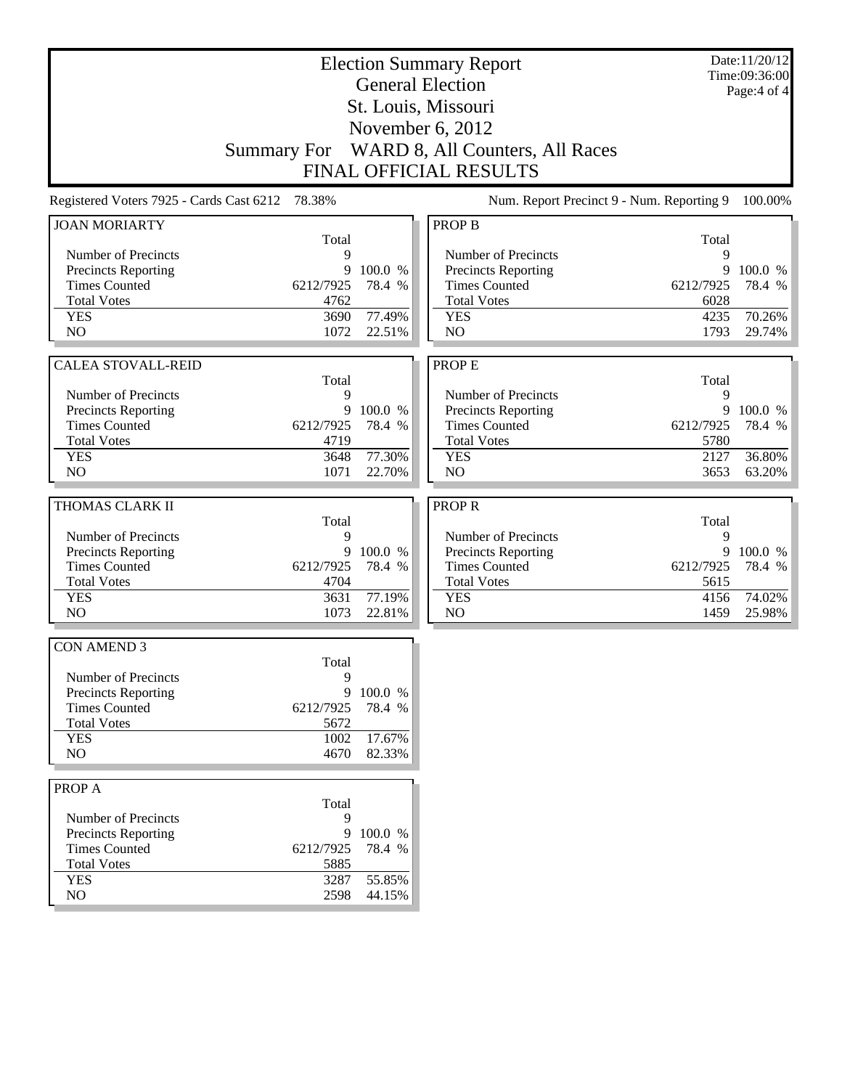|                                                   |                                                 | Date:11/20/12<br>Time:09:36:00 |                                            |           |             |
|---------------------------------------------------|-------------------------------------------------|--------------------------------|--------------------------------------------|-----------|-------------|
|                                                   |                                                 |                                | <b>General Election</b>                    |           | Page:4 of 4 |
|                                                   |                                                 |                                | St. Louis, Missouri                        |           |             |
|                                                   |                                                 |                                | November 6, 2012                           |           |             |
|                                                   | <b>Summary For</b>                              |                                | WARD 8, All Counters, All Races            |           |             |
|                                                   |                                                 |                                | <b>FINAL OFFICIAL RESULTS</b>              |           |             |
|                                                   | Registered Voters 7925 - Cards Cast 6212 78.38% |                                | Num. Report Precinct 9 - Num. Reporting 9  |           | 100.00%     |
| <b>JOAN MORIARTY</b>                              |                                                 |                                | <b>PROP B</b>                              |           |             |
|                                                   | Total                                           |                                |                                            | Total     |             |
| Number of Precincts                               | 9                                               |                                | Number of Precincts                        | 9         |             |
| <b>Precincts Reporting</b>                        | 9                                               | 100.0 %                        | Precincts Reporting                        | 9         | 100.0 %     |
| <b>Times Counted</b>                              | 6212/7925                                       | 78.4 %                         | <b>Times Counted</b>                       | 6212/7925 | 78.4 %      |
| <b>Total Votes</b>                                | 4762                                            |                                | <b>Total Votes</b>                         | 6028      |             |
| <b>YES</b>                                        | 3690                                            | 77.49%                         | <b>YES</b>                                 | 4235      | 70.26%      |
| N <sub>O</sub>                                    | 1072                                            | 22.51%                         | NO                                         | 1793      | 29.74%      |
|                                                   |                                                 |                                |                                            |           |             |
| <b>CALEA STOVALL-REID</b>                         |                                                 |                                | <b>PROPE</b>                               |           |             |
|                                                   | Total                                           |                                |                                            | Total     |             |
| Number of Precincts<br><b>Precincts Reporting</b> | 9                                               | 9 100.0 %                      | Number of Precincts<br>Precincts Reporting | 9<br>9    | 100.0 %     |
| <b>Times Counted</b>                              | 6212/7925                                       | 78.4 %                         | <b>Times Counted</b>                       | 6212/7925 | 78.4 %      |
| <b>Total Votes</b>                                | 4719                                            |                                | <b>Total Votes</b>                         | 5780      |             |
| <b>YES</b>                                        | 3648                                            | 77.30%                         | <b>YES</b>                                 | 2127      | 36.80%      |
| NO.                                               | 1071                                            | 22.70%                         | N <sub>O</sub>                             | 3653      | 63.20%      |
|                                                   |                                                 |                                |                                            |           |             |
|                                                   |                                                 |                                |                                            |           |             |
| THOMAS CLARK II                                   |                                                 |                                | <b>PROPR</b>                               |           |             |
|                                                   | Total                                           |                                |                                            | Total     |             |
| Number of Precincts                               | 9                                               |                                | Number of Precincts                        | 9         |             |
| Precincts Reporting                               | 9                                               | 100.0 %                        | Precincts Reporting                        | 9         | 100.0 %     |
| <b>Times Counted</b>                              | 6212/7925                                       | 78.4 %                         | <b>Times Counted</b>                       | 6212/7925 | 78.4 %      |
| <b>Total Votes</b>                                | 4704                                            |                                | <b>Total Votes</b>                         | 5615      |             |
| <b>YES</b>                                        | 3631                                            | 77.19%                         | <b>YES</b>                                 | 4156      | 74.02%      |
| N <sub>O</sub>                                    | 1073                                            | 22.81%                         | NO                                         | 1459      | 25.98%      |
| <b>CON AMEND 3</b>                                |                                                 |                                |                                            |           |             |
|                                                   | Total                                           |                                |                                            |           |             |
| Number of Precincts                               | 9                                               |                                |                                            |           |             |
| <b>Precincts Reporting</b>                        |                                                 | 9 100.0 %                      |                                            |           |             |
| <b>Times Counted</b>                              | 6212/7925                                       | 78.4 %                         |                                            |           |             |
| <b>Total Votes</b>                                | 5672                                            |                                |                                            |           |             |
| <b>YES</b>                                        | 1002                                            | 17.67%                         |                                            |           |             |
| NO                                                | 4670                                            | 82.33%                         |                                            |           |             |
|                                                   |                                                 |                                |                                            |           |             |
| PROP A                                            | Total                                           |                                |                                            |           |             |
| Number of Precincts                               | 9                                               |                                |                                            |           |             |
| Precincts Reporting                               | 9                                               | 100.0 %                        |                                            |           |             |
| <b>Times Counted</b>                              | 6212/7925                                       | 78.4 %                         |                                            |           |             |
| <b>Total Votes</b>                                | 5885                                            |                                |                                            |           |             |
| <b>YES</b><br>NO                                  | 3287<br>2598                                    | 55.85%<br>44.15%               |                                            |           |             |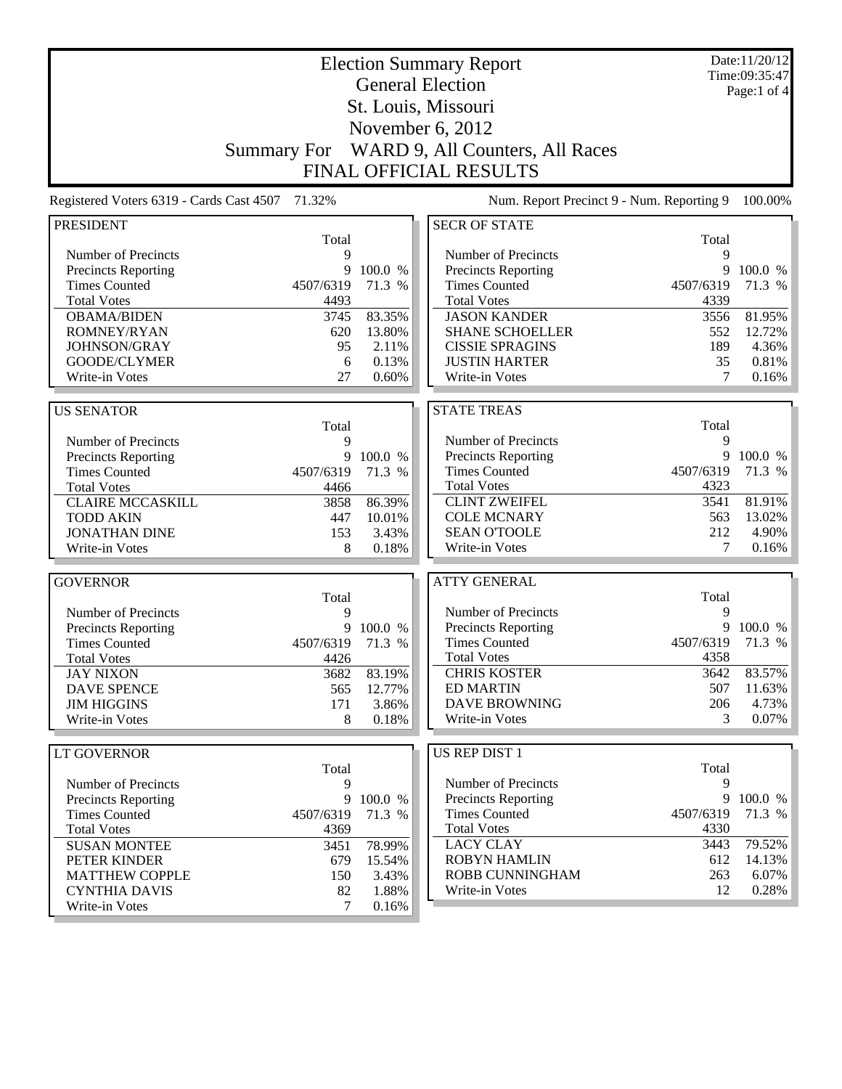| <b>Election Summary Report</b>                  |                    |           |                                           |           | Date:11/20/12<br>Time:09:35:47 |
|-------------------------------------------------|--------------------|-----------|-------------------------------------------|-----------|--------------------------------|
|                                                 |                    |           | <b>General Election</b>                   |           | Page:1 of 4                    |
|                                                 |                    |           | St. Louis, Missouri                       |           |                                |
|                                                 |                    |           |                                           |           |                                |
|                                                 |                    |           | November 6, 2012                          |           |                                |
|                                                 | <b>Summary For</b> |           | WARD 9, All Counters, All Races           |           |                                |
|                                                 |                    |           | <b>FINAL OFFICIAL RESULTS</b>             |           |                                |
| Registered Voters 6319 - Cards Cast 4507 71.32% |                    |           | Num. Report Precinct 9 - Num. Reporting 9 |           | 100.00%                        |
| <b>PRESIDENT</b>                                |                    |           | <b>SECR OF STATE</b>                      |           |                                |
|                                                 | Total              |           |                                           | Total     |                                |
| Number of Precincts                             | 9                  |           | Number of Precincts                       | 9         |                                |
| Precincts Reporting                             | 9                  | 100.0 %   | Precincts Reporting                       | 9         | 100.0 %                        |
| <b>Times Counted</b>                            | 4507/6319          | 71.3 %    | <b>Times Counted</b>                      | 4507/6319 | 71.3 %                         |
| <b>Total Votes</b>                              | 4493               |           | <b>Total Votes</b>                        | 4339      |                                |
| <b>OBAMA/BIDEN</b>                              | 3745               | 83.35%    | <b>JASON KANDER</b>                       | 3556      | 81.95%                         |
| ROMNEY/RYAN                                     | 620                | 13.80%    | <b>SHANE SCHOELLER</b>                    | 552       | 12.72%                         |
| JOHNSON/GRAY                                    | 95                 | 2.11%     | <b>CISSIE SPRAGINS</b>                    | 189       | 4.36%                          |
| GOODE/CLYMER                                    | 6                  | 0.13%     | <b>JUSTIN HARTER</b>                      | 35        | $0.81\%$                       |
| Write-in Votes                                  | 27                 | 0.60%     | Write-in Votes                            | 7         | $0.16\%$                       |
|                                                 |                    |           |                                           |           |                                |
| <b>US SENATOR</b>                               |                    |           | <b>STATE TREAS</b>                        | Total     |                                |
| Number of Precincts                             | Total<br>9         |           | Number of Precincts                       | 9         |                                |
| <b>Precincts Reporting</b>                      | 9                  | 100.0 %   | Precincts Reporting                       | 9         | 100.0 %                        |
| <b>Times Counted</b>                            | 4507/6319          | 71.3 %    | <b>Times Counted</b>                      | 4507/6319 | 71.3 %                         |
| <b>Total Votes</b>                              | 4466               |           | <b>Total Votes</b>                        | 4323      |                                |
| <b>CLAIRE MCCASKILL</b>                         | 3858               | 86.39%    | <b>CLINT ZWEIFEL</b>                      | 3541      | 81.91%                         |
| <b>TODD AKIN</b>                                | 447                | 10.01%    | <b>COLE MCNARY</b>                        | 563       | 13.02%                         |
| <b>JONATHAN DINE</b>                            | 153                | 3.43%     | <b>SEAN O'TOOLE</b>                       | 212       | 4.90%                          |
| Write-in Votes                                  | 8                  | 0.18%     | Write-in Votes                            | 7         | 0.16%                          |
|                                                 |                    |           |                                           |           |                                |
| <b>GOVERNOR</b>                                 |                    |           | <b>ATTY GENERAL</b>                       |           |                                |
|                                                 | Total              |           |                                           | Total     |                                |
| Number of Precincts                             | 9                  |           | Number of Precincts                       | 9         |                                |
| Precincts Reporting                             | 9                  | 100.0 %   | Precincts Reporting                       | 9         | 100.0 %                        |
| <b>Times Counted</b>                            | 4507/6319          | 71.3 %    | <b>Times Counted</b>                      | 4507/6319 | 71.3 %                         |
| <b>Total Votes</b>                              | 4426               |           | <b>Total Votes</b>                        | 4358      |                                |
| <b>JAY NIXON</b>                                | 3682               | 83.19%    | <b>CHRIS KOSTER</b>                       | 3642      | 83.57%                         |
| <b>DAVE SPENCE</b>                              | 565                | 12.77%    | <b>ED MARTIN</b>                          | 507       | 11.63%                         |
| <b>JIM HIGGINS</b>                              | 171                | 3.86%     | <b>DAVE BROWNING</b>                      | 206       | 4.73%                          |
| Write-in Votes                                  | 8                  | 0.18%     | Write-in Votes                            | 3         | 0.07%                          |
|                                                 |                    |           |                                           |           |                                |
| LT GOVERNOR                                     |                    |           | US REP DIST 1                             |           |                                |
|                                                 | Total              |           |                                           | Total     |                                |
| Number of Precincts                             | 9                  |           | Number of Precincts                       | 9         |                                |
| <b>Precincts Reporting</b>                      |                    | 9 100.0 % | <b>Precincts Reporting</b>                | 9         | 100.0 %                        |
| <b>Times Counted</b>                            | 4507/6319          | 71.3 %    | <b>Times Counted</b>                      | 4507/6319 | 71.3 %                         |
| <b>Total Votes</b>                              | 4369               |           | <b>Total Votes</b>                        | 4330      |                                |
| <b>SUSAN MONTEE</b>                             | 3451               | 78.99%    | <b>LACY CLAY</b>                          | 3443      | 79.52%                         |
| PETER KINDER                                    | 679                | 15.54%    | <b>ROBYN HAMLIN</b>                       | 612       | 14.13%                         |
| <b>MATTHEW COPPLE</b>                           | 150                | 3.43%     | ROBB CUNNINGHAM                           | 263       | 6.07%                          |
| <b>CYNTHIA DAVIS</b>                            | 82                 | 1.88%     | Write-in Votes                            | 12        | 0.28%                          |
| Write-in Votes                                  | 7                  | 0.16%     |                                           |           |                                |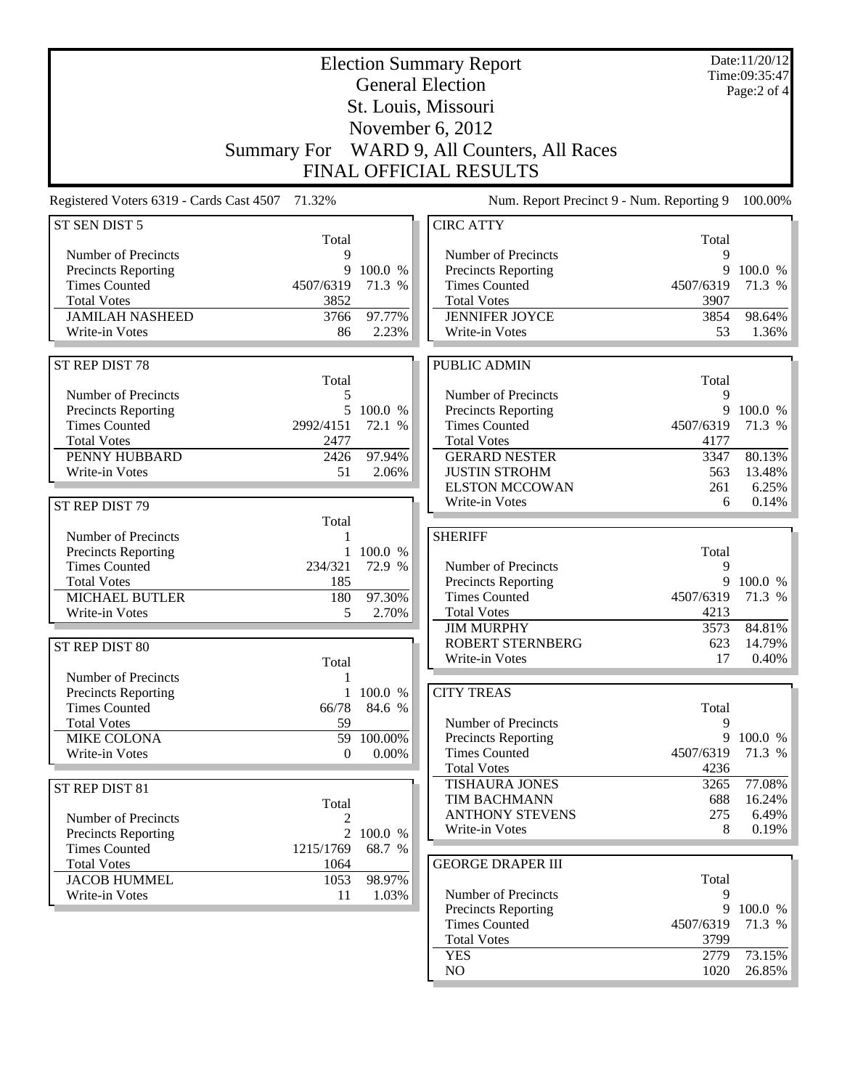|                                                                                                                       |              | Date:11/20/12<br>Time:09:35:47                                     |
|-----------------------------------------------------------------------------------------------------------------------|--------------|--------------------------------------------------------------------|
| <b>General Election</b>                                                                                               |              | Page: 2 of 4                                                       |
| St. Louis, Missouri                                                                                                   |              |                                                                    |
| November 6, 2012                                                                                                      |              |                                                                    |
| WARD 9, All Counters, All Races<br><b>Summary For</b>                                                                 |              |                                                                    |
| <b>FINAL OFFICIAL RESULTS</b>                                                                                         |              |                                                                    |
| Registered Voters 6319 - Cards Cast 4507 71.32%<br>Num. Report Precinct 9 - Num. Reporting 9                          |              | 100.00%                                                            |
| <b>CIRC ATTY</b><br>ST SEN DIST 5<br>Total                                                                            | Total        |                                                                    |
| Number of Precincts<br>Number of Precincts<br>9                                                                       | 9            |                                                                    |
| 9<br>100.0 %<br><b>Precincts Reporting</b><br>Precincts Reporting                                                     | 9            | 100.0 %                                                            |
| <b>Times Counted</b><br>4507/6319<br>71.3 %<br><b>Times Counted</b>                                                   | 4507/6319    | 71.3 %                                                             |
| <b>Total Votes</b><br>3852<br><b>Total Votes</b>                                                                      | 3907         |                                                                    |
| <b>JAMILAH NASHEED</b><br>97.77%<br><b>JENNIFER JOYCE</b><br>3766<br>Write-in Votes<br>86<br>2.23%<br>Write-in Votes  | 3854<br>53   | 98.64%                                                             |
|                                                                                                                       |              | 1.36%                                                              |
| ST REP DIST 78<br>PUBLIC ADMIN                                                                                        |              |                                                                    |
| Total<br>Number of Precincts<br>Number of Precincts                                                                   | Total<br>9   |                                                                    |
| 5<br>5 100.0 %<br><b>Precincts Reporting</b><br>Precincts Reporting                                                   | 9            | 100.0 %                                                            |
| <b>Times Counted</b><br>2992/4151<br>72.1 %<br><b>Times Counted</b>                                                   | 4507/6319    | 71.3 %                                                             |
| <b>Total Votes</b><br>2477<br><b>Total Votes</b>                                                                      | 4177         |                                                                    |
| PENNY HUBBARD<br>97.94%<br><b>GERARD NESTER</b><br>2426                                                               | 3347         | 80.13%                                                             |
| 51<br><b>JUSTIN STROHM</b><br>Write-in Votes<br>2.06%                                                                 | 563          | 13.48%                                                             |
| <b>ELSTON MCCOWAN</b>                                                                                                 | 261          | 6.25%                                                              |
| Write-in Votes                                                                                                        | 6            | 0.14%                                                              |
| ST REP DIST 79                                                                                                        |              |                                                                    |
| Total                                                                                                                 |              |                                                                    |
| <b>SHERIFF</b><br>Number of Precincts                                                                                 |              |                                                                    |
| Precincts Reporting<br>1 100.0 %                                                                                      | Total        |                                                                    |
| <b>Times Counted</b><br>234/321<br>72.9 %<br>Number of Precincts                                                      | 9<br>9       |                                                                    |
| <b>Total Votes</b><br>185<br>Precincts Reporting<br><b>MICHAEL BUTLER</b><br><b>Times Counted</b><br>180<br>97.30%    | 4507/6319    |                                                                    |
| <b>Total Votes</b><br>Write-in Votes<br>5<br>2.70%                                                                    | 4213         |                                                                    |
| <b>JIM MURPHY</b>                                                                                                     | 3573         |                                                                    |
| ROBERT STERNBERG<br>ST REP DIST 80                                                                                    | 623          |                                                                    |
| Write-in Votes<br>Total                                                                                               | 17           |                                                                    |
| Number of Precincts<br>1                                                                                              |              |                                                                    |
| 1 100.0 %<br><b>CITY TREAS</b><br><b>Precincts Reporting</b>                                                          |              |                                                                    |
| <b>Times Counted</b><br>66/78<br>84.6 %                                                                               | Total        |                                                                    |
| Number of Precincts<br><b>Total Votes</b><br>59                                                                       | 9<br>9       |                                                                    |
| 59<br>100.00%<br>Precincts Reporting<br>MIKE COLONA<br><b>Times Counted</b><br>Write-in Votes<br>$0.00\%$<br>$\theta$ | 4507/6319    |                                                                    |
| <b>Total Votes</b>                                                                                                    | 4236         |                                                                    |
| <b>TISHAURA JONES</b><br>ST REP DIST 81                                                                               | 3265         |                                                                    |
| <b>TIM BACHMANN</b><br>Total                                                                                          | 688          | 100.0 %<br>84.81%<br>0.40%<br>71.3 %<br>77.08%                     |
| <b>ANTHONY STEVENS</b><br>Number of Precincts<br>2                                                                    | 275          |                                                                    |
| Write-in Votes<br>$\overline{2}$<br>Precincts Reporting<br>100.0 %                                                    | 8            |                                                                    |
| <b>Times Counted</b><br>1215/1769<br>68.7 %                                                                           |              |                                                                    |
| <b>GEORGE DRAPER III</b><br><b>Total Votes</b><br>1064                                                                |              |                                                                    |
| 98.97%<br><b>JACOB HUMMEL</b><br>1053                                                                                 | Total        |                                                                    |
| Number of Precincts<br>Write-in Votes<br>11<br>1.03%                                                                  | 9<br>9       |                                                                    |
| Precincts Reporting<br><b>Times Counted</b>                                                                           | 4507/6319    | 71.3 %<br>14.79%<br>100.0 %<br>16.24%<br>6.49%<br>0.19%<br>100.0 % |
| <b>Total Votes</b>                                                                                                    | 3799         | 71.3 %                                                             |
| <b>YES</b><br>NO                                                                                                      | 2779<br>1020 | 73.15%<br>26.85%                                                   |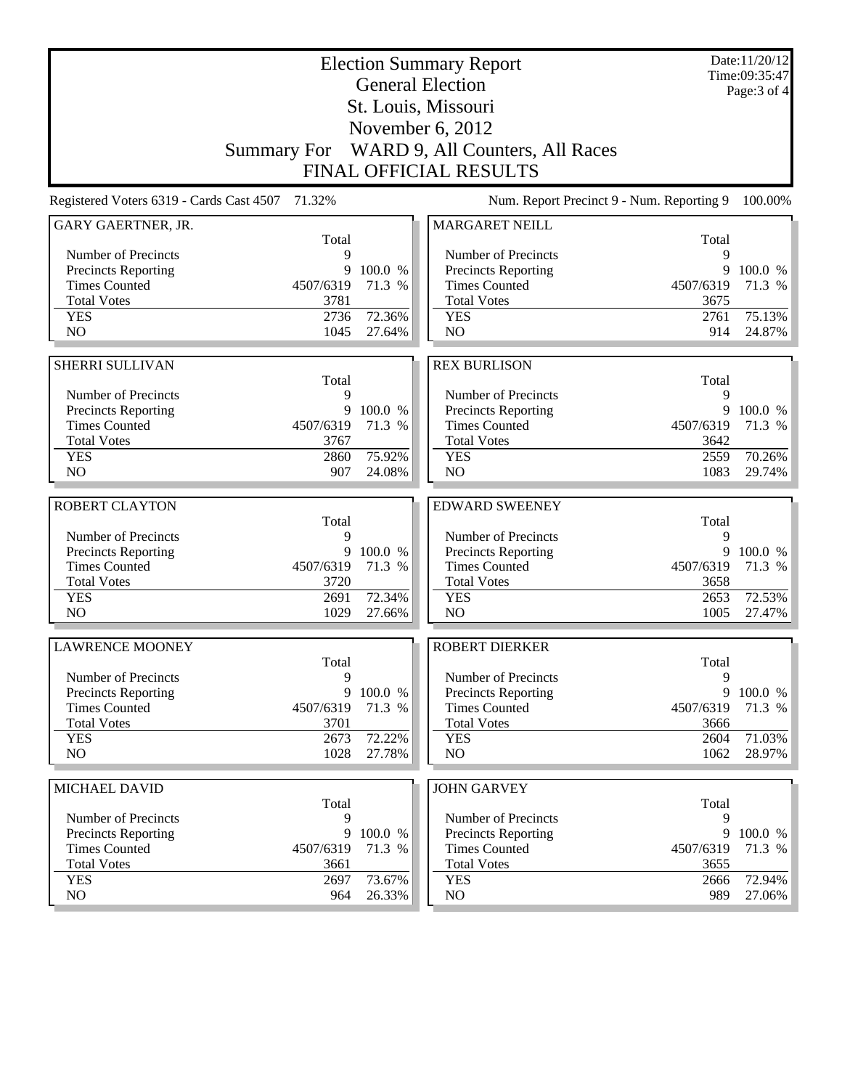|                                                 |                   | Date:11/20/12<br>Time:09:35:47 |                                             |                   |              |
|-------------------------------------------------|-------------------|--------------------------------|---------------------------------------------|-------------------|--------------|
|                                                 |                   |                                | <b>General Election</b>                     |                   | Page: 3 of 4 |
|                                                 |                   |                                | St. Louis, Missouri                         |                   |              |
|                                                 |                   |                                | November 6, 2012                            |                   |              |
|                                                 |                   |                                | Summary For WARD 9, All Counters, All Races |                   |              |
|                                                 |                   |                                | <b>FINAL OFFICIAL RESULTS</b>               |                   |              |
| Registered Voters 6319 - Cards Cast 4507 71.32% |                   |                                | Num. Report Precinct 9 - Num. Reporting 9   |                   | 100.00%      |
| GARY GAERTNER, JR.                              |                   |                                | <b>MARGARET NEILL</b>                       |                   |              |
| Number of Precincts                             | Total<br>9        |                                | Number of Precincts                         | Total<br>9        |              |
| <b>Precincts Reporting</b>                      | 9                 | 100.0 %                        | Precincts Reporting                         | 9                 | 100.0 %      |
| <b>Times Counted</b>                            | 4507/6319         | 71.3 %                         | <b>Times Counted</b>                        | 4507/6319         | 71.3 %       |
| <b>Total Votes</b>                              | 3781              |                                | <b>Total Votes</b>                          | 3675              |              |
| <b>YES</b>                                      | 2736              | 72.36%                         | <b>YES</b>                                  | 2761              | 75.13%       |
| NO                                              | 1045              | 27.64%                         | NO                                          | 914               | 24.87%       |
|                                                 |                   |                                |                                             |                   |              |
| <b>SHERRI SULLIVAN</b>                          | Total             |                                | <b>REX BURLISON</b>                         | Total             |              |
| Number of Precincts                             | 9                 |                                | Number of Precincts                         | 9                 |              |
| <b>Precincts Reporting</b>                      | 9                 | 100.0 %                        | Precincts Reporting                         | 9                 | 100.0 %      |
| <b>Times Counted</b>                            | 4507/6319         | 71.3 %                         | <b>Times Counted</b>                        | 4507/6319         | 71.3 %       |
| <b>Total Votes</b>                              | 3767              |                                | <b>Total Votes</b>                          | 3642              |              |
| <b>YES</b>                                      | 2860              | 75.92%                         | <b>YES</b>                                  | 2559              | 70.26%       |
| NO                                              | 907               | 24.08%                         | NO                                          | 1083              | 29.74%       |
| <b>ROBERT CLAYTON</b>                           |                   |                                | <b>EDWARD SWEENEY</b>                       |                   |              |
|                                                 | Total             |                                |                                             | Total             |              |
| Number of Precincts                             | 9                 |                                | Number of Precincts                         | 9                 |              |
| <b>Precincts Reporting</b>                      | 9                 | 100.0 %                        | Precincts Reporting                         | 9                 | 100.0 %      |
| <b>Times Counted</b>                            | 4507/6319         | 71.3 %                         | <b>Times Counted</b>                        | 4507/6319         | 71.3 %       |
| <b>Total Votes</b>                              | 3720              |                                | <b>Total Votes</b>                          | 3658              |              |
| <b>YES</b>                                      | 2691              | 72.34%                         | <b>YES</b>                                  | 2653              | 72.53%       |
| N <sub>O</sub>                                  | 1029              | 27.66%                         | N <sub>O</sub>                              | 1005              | 27.47%       |
| <b>LAWRENCE MOONEY</b>                          |                   |                                | <b>ROBERT DIERKER</b>                       |                   |              |
|                                                 | Total             |                                |                                             | Total             |              |
| Number of Precincts                             | 9                 |                                | Number of Precincts                         | 9                 |              |
| <b>Precincts Reporting</b>                      | 9                 | 100.0 %                        | <b>Precincts Reporting</b>                  | 9                 | 100.0 %      |
| <b>Times Counted</b><br><b>Total Votes</b>      | 4507/6319<br>3701 | 71.3 %                         | <b>Times Counted</b><br><b>Total Votes</b>  | 4507/6319<br>3666 | 71.3 %       |
| <b>YES</b>                                      | 2673              | 72.22%                         | <b>YES</b>                                  | 2604              | 71.03%       |
| NO.                                             | 1028              | 27.78%                         | NO                                          | 1062              | 28.97%       |
|                                                 |                   |                                |                                             |                   |              |
| MICHAEL DAVID                                   |                   |                                | <b>JOHN GARVEY</b>                          |                   |              |
|                                                 | Total             |                                |                                             | Total             |              |
| Number of Precincts                             | 9                 |                                | Number of Precincts                         | 9                 |              |
| <b>Precincts Reporting</b>                      | 9                 | 100.0 %                        | <b>Precincts Reporting</b>                  | 9                 | 100.0 %      |
| <b>Times Counted</b><br><b>Total Votes</b>      | 4507/6319<br>3661 | 71.3 %                         | <b>Times Counted</b><br><b>Total Votes</b>  | 4507/6319<br>3655 | 71.3 %       |
| <b>YES</b>                                      |                   | 73.67%                         | <b>YES</b>                                  | 2666              | 72.94%       |
|                                                 |                   |                                |                                             |                   |              |
| NO                                              | 2697<br>964       | 26.33%                         | NO                                          | 989               | 27.06%       |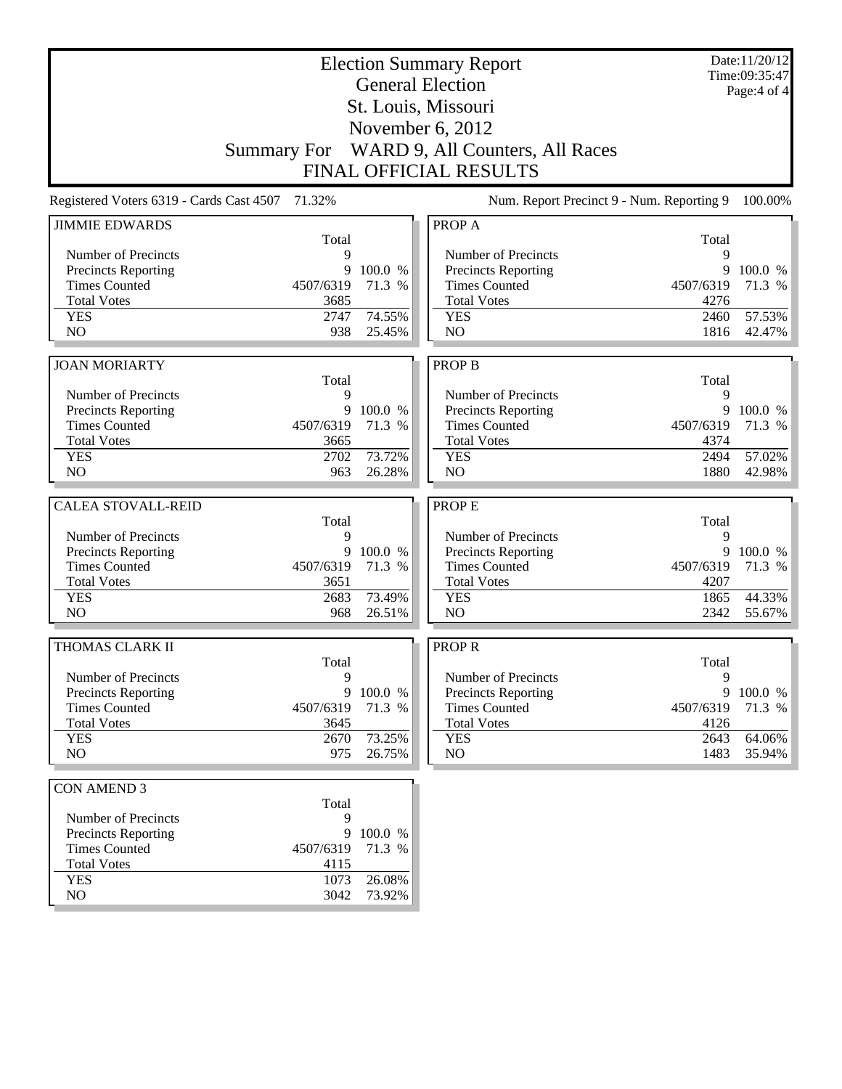| <b>Election Summary Report</b>                  |                    |         |                                                   |           | Date:11/20/12<br>Time:09:35:47 |
|-------------------------------------------------|--------------------|---------|---------------------------------------------------|-----------|--------------------------------|
|                                                 |                    |         | <b>General Election</b>                           |           | Page:4 of 4                    |
|                                                 |                    |         | St. Louis, Missouri                               |           |                                |
|                                                 |                    |         | November 6, 2012                                  |           |                                |
|                                                 |                    |         |                                                   |           |                                |
|                                                 | <b>Summary For</b> |         | WARD 9, All Counters, All Races                   |           |                                |
|                                                 |                    |         | <b>FINAL OFFICIAL RESULTS</b>                     |           |                                |
| Registered Voters 6319 - Cards Cast 4507 71.32% |                    |         | Num. Report Precinct 9 - Num. Reporting 9         |           | 100.00%                        |
| <b>JIMMIE EDWARDS</b>                           |                    |         | PROP A                                            |           |                                |
|                                                 | Total              |         |                                                   | Total     |                                |
| Number of Precincts<br>Precincts Reporting      | 9<br>9             | 100.0 % | Number of Precincts<br><b>Precincts Reporting</b> | 9         | 9 100.0 %                      |
| <b>Times Counted</b>                            | 4507/6319          | 71.3 %  | <b>Times Counted</b>                              | 4507/6319 | 71.3 %                         |
| <b>Total Votes</b>                              | 3685               |         | <b>Total Votes</b>                                | 4276      |                                |
| <b>YES</b>                                      | 2747               | 74.55%  | <b>YES</b>                                        | 2460      | 57.53%                         |
| N <sub>O</sub>                                  | 938                | 25.45%  | N <sub>O</sub>                                    | 1816      | 42.47%                         |
|                                                 |                    |         |                                                   |           |                                |
| <b>JOAN MORIARTY</b>                            |                    |         | <b>PROP B</b>                                     |           |                                |
|                                                 | Total              |         |                                                   | Total     |                                |
| Number of Precincts                             | 9                  |         | Number of Precincts                               | 9         |                                |
| Precincts Reporting                             | 9                  | 100.0 % | Precincts Reporting                               |           | 9 100.0 %                      |
| <b>Times Counted</b>                            | 4507/6319          | 71.3 %  | <b>Times Counted</b>                              | 4507/6319 | 71.3 %                         |
| <b>Total Votes</b>                              | 3665               |         | <b>Total Votes</b>                                | 4374      |                                |
| <b>YES</b>                                      | 2702               | 73.72%  | <b>YES</b>                                        | 2494      | 57.02%                         |
| NO.                                             | 963                | 26.28%  | N <sub>O</sub>                                    | 1880      | 42.98%                         |
| <b>CALEA STOVALL-REID</b>                       |                    |         | <b>PROPE</b>                                      |           |                                |
|                                                 | Total              |         |                                                   | Total     |                                |
| Number of Precincts                             | 9                  |         | Number of Precincts                               | 9         |                                |
| <b>Precincts Reporting</b>                      | 9                  | 100.0 % | <b>Precincts Reporting</b>                        |           | 9 100.0 %                      |
| <b>Times Counted</b>                            | 4507/6319          | 71.3 %  | <b>Times Counted</b>                              | 4507/6319 | 71.3 %                         |
| <b>Total Votes</b>                              | 3651               |         | <b>Total Votes</b>                                | 4207      |                                |
| <b>YES</b>                                      | 2683               | 73.49%  | <b>YES</b>                                        | 1865      | 44.33%                         |
| N <sub>O</sub>                                  | 968                | 26.51%  | N <sub>O</sub>                                    | 2342      | 55.67%                         |
| THOMAS CLARK II                                 |                    |         | <b>PROPR</b>                                      |           |                                |
|                                                 | Total              |         |                                                   | Total     |                                |
| Number of Precincts                             | 9                  |         | Number of Precincts                               | 9         |                                |
| <b>Precincts Reporting</b>                      | 9                  | 100.0 % | <b>Precincts Reporting</b>                        |           | 9 100.0 %                      |
| <b>Times Counted</b>                            | 4507/6319          | 71.3 %  | <b>Times Counted</b>                              | 4507/6319 | 71.3 %                         |
| <b>Total Votes</b>                              | 3645               |         | <b>Total Votes</b>                                | 4126      |                                |
| <b>YES</b>                                      | 2670               | 73.25%  | <b>YES</b>                                        | 2643      | 64.06%                         |
| NO                                              | 975                | 26.75%  | NO                                                | 1483      | 35.94%                         |
|                                                 |                    |         |                                                   |           |                                |
| <b>CON AMEND 3</b>                              | Total              |         |                                                   |           |                                |
| Number of Precincts                             | 9                  |         |                                                   |           |                                |
| Precincts Reporting                             | 9                  | 100.0 % |                                                   |           |                                |
| <b>Times Counted</b>                            | 4507/6319          | 71.3 %  |                                                   |           |                                |
| <b>Total Votes</b>                              | 4115               |         |                                                   |           |                                |
| <b>YES</b>                                      | 1073               | 26.08%  |                                                   |           |                                |
| NO                                              | 3042               | 73.92%  |                                                   |           |                                |
|                                                 |                    |         |                                                   |           |                                |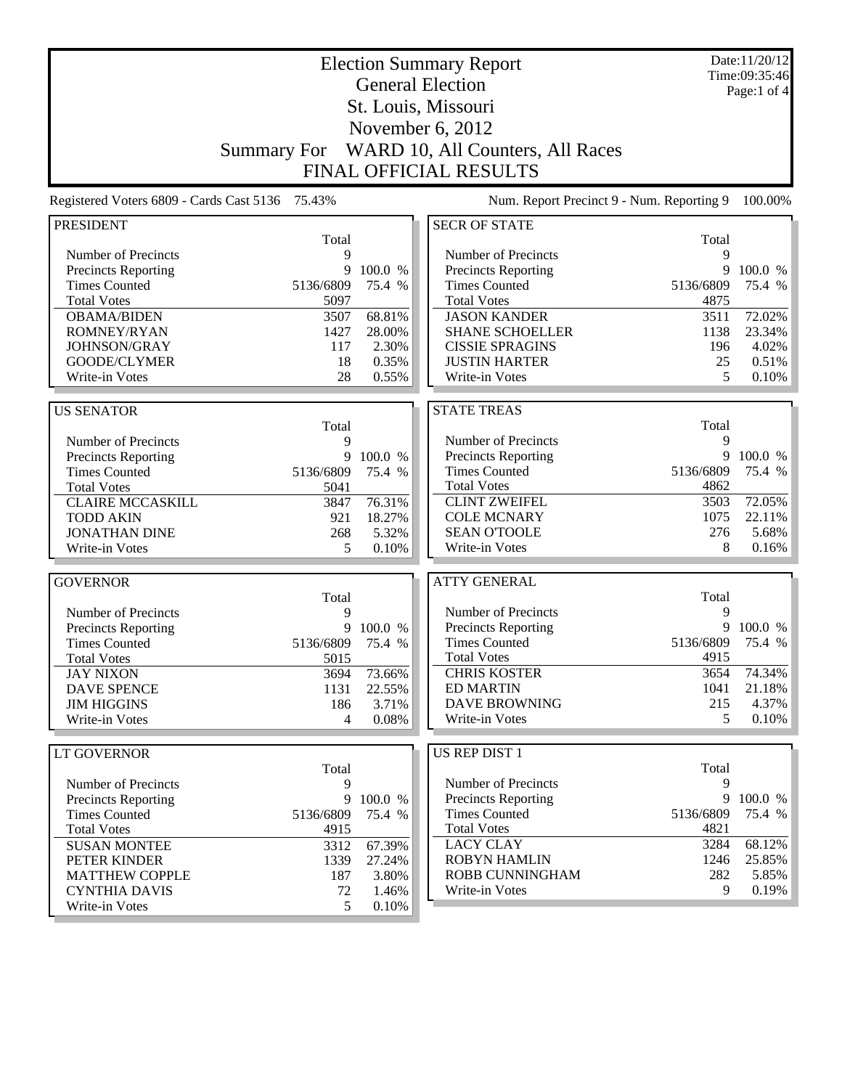| <b>Election Summary Report</b>                  |                    |           |                                           | Date:11/20/12<br>Time:09:35:46 |             |
|-------------------------------------------------|--------------------|-----------|-------------------------------------------|--------------------------------|-------------|
|                                                 |                    |           | <b>General Election</b>                   |                                | Page:1 of 4 |
|                                                 |                    |           | St. Louis, Missouri                       |                                |             |
|                                                 |                    |           |                                           |                                |             |
|                                                 |                    |           | November 6, 2012                          |                                |             |
|                                                 | <b>Summary For</b> |           | WARD 10, All Counters, All Races          |                                |             |
|                                                 |                    |           | <b>FINAL OFFICIAL RESULTS</b>             |                                |             |
| Registered Voters 6809 - Cards Cast 5136 75.43% |                    |           | Num. Report Precinct 9 - Num. Reporting 9 |                                | 100.00%     |
| <b>PRESIDENT</b>                                |                    |           | <b>SECR OF STATE</b>                      |                                |             |
|                                                 | Total              |           |                                           | Total                          |             |
| Number of Precincts                             | 9                  |           | Number of Precincts                       | 9                              |             |
| Precincts Reporting                             | 9                  | 100.0 %   | Precincts Reporting                       | 9                              | 100.0 %     |
| <b>Times Counted</b>                            | 5136/6809          | 75.4 %    | <b>Times Counted</b>                      | 5136/6809                      | 75.4 %      |
| <b>Total Votes</b>                              | 5097               |           | <b>Total Votes</b>                        | 4875                           |             |
| <b>OBAMA/BIDEN</b>                              | 3507               | 68.81%    | <b>JASON KANDER</b>                       | 3511                           | 72.02%      |
| ROMNEY/RYAN                                     | 1427               | 28.00%    | <b>SHANE SCHOELLER</b>                    | 1138                           | 23.34%      |
| JOHNSON/GRAY                                    | 117                | 2.30%     | <b>CISSIE SPRAGINS</b>                    | 196                            | 4.02%       |
| GOODE/CLYMER                                    | 18                 | 0.35%     | <b>JUSTIN HARTER</b>                      | 25                             | 0.51%       |
| Write-in Votes                                  | 28                 | 0.55%     | Write-in Votes                            | 5                              | 0.10%       |
|                                                 |                    |           |                                           |                                |             |
| <b>US SENATOR</b>                               |                    |           | <b>STATE TREAS</b>                        |                                |             |
|                                                 | Total              |           |                                           | Total                          |             |
| Number of Precincts                             | 9                  |           | Number of Precincts                       | 9                              |             |
| Precincts Reporting                             |                    | 9 100.0 % | <b>Precincts Reporting</b>                | 9                              | 100.0 %     |
| <b>Times Counted</b>                            | 5136/6809          | 75.4 %    | <b>Times Counted</b>                      | 5136/6809                      | 75.4 %      |
| <b>Total Votes</b>                              | 5041               |           | <b>Total Votes</b>                        | 4862                           |             |
| <b>CLAIRE MCCASKILL</b>                         | 3847               | 76.31%    | <b>CLINT ZWEIFEL</b>                      | 3503                           | 72.05%      |
| <b>TODD AKIN</b>                                | 921                | 18.27%    | <b>COLE MCNARY</b>                        | 1075                           | 22.11%      |
| <b>JONATHAN DINE</b>                            | 268                | 5.32%     | <b>SEAN O'TOOLE</b>                       | 276                            | 5.68%       |
| Write-in Votes                                  | 5                  | 0.10%     | Write-in Votes                            | 8                              | 0.16%       |
|                                                 |                    |           |                                           |                                |             |
| <b>GOVERNOR</b>                                 |                    |           | <b>ATTY GENERAL</b>                       |                                |             |
|                                                 | Total              |           |                                           | Total                          |             |
| Number of Precincts                             | 9                  |           | Number of Precincts                       | 9                              |             |
| Precincts Reporting                             | 9                  | 100.0 %   | Precincts Reporting                       |                                | 9 100.0 %   |
| <b>Times Counted</b>                            | 5136/6809          | 75.4 %    | <b>Times Counted</b>                      | 5136/6809                      | 75.4 %      |
| <b>Total Votes</b>                              | 5015               |           | <b>Total Votes</b>                        | 4915                           |             |
| <b>JAY NIXON</b>                                | 3694               | 73.66%    | <b>CHRIS KOSTER</b>                       | 3654                           | 74.34%      |
| <b>DAVE SPENCE</b>                              | 1131               | 22.55%    | <b>ED MARTIN</b>                          | 1041                           | 21.18%      |
| <b>JIM HIGGINS</b>                              | 186                | 3.71%     | <b>DAVE BROWNING</b>                      | 215                            | 4.37%       |
| Write-in Votes                                  | 4                  | 0.08%     | Write-in Votes                            | 5                              | 0.10%       |
|                                                 |                    |           |                                           |                                |             |
| <b>LT GOVERNOR</b>                              |                    |           | US REP DIST 1                             |                                |             |
|                                                 | Total              |           |                                           | Total                          |             |
| Number of Precincts                             | 9                  |           | Number of Precincts                       | 9                              |             |
| Precincts Reporting                             |                    | 9 100.0 % | <b>Precincts Reporting</b>                | 9                              | 100.0 %     |
| <b>Times Counted</b>                            | 5136/6809          | 75.4 %    | <b>Times Counted</b>                      | 5136/6809                      | 75.4 %      |
| <b>Total Votes</b>                              | 4915               |           | <b>Total Votes</b>                        | 4821                           |             |
| <b>SUSAN MONTEE</b>                             | 3312               | 67.39%    | <b>LACY CLAY</b>                          | 3284                           | 68.12%      |
| PETER KINDER                                    | 1339               | 27.24%    | <b>ROBYN HAMLIN</b>                       | 1246                           | 25.85%      |
| <b>MATTHEW COPPLE</b>                           | 187                | 3.80%     | ROBB CUNNINGHAM                           | 282                            | 5.85%       |
| <b>CYNTHIA DAVIS</b>                            | 72                 | 1.46%     | Write-in Votes                            | 9                              | 0.19%       |
| Write-in Votes                                  | 5                  | 0.10%     |                                           |                                |             |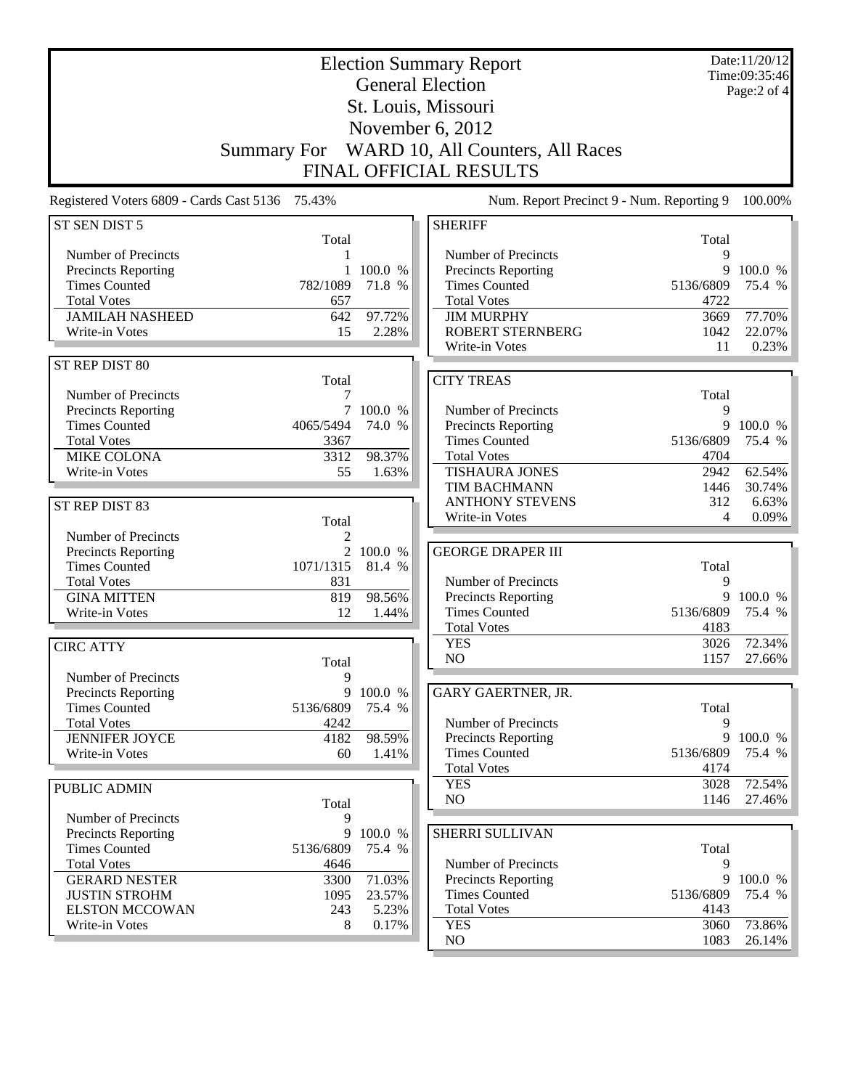| <b>Election Summary Report</b><br><b>General Election</b> |                    |                 |                                                   |                   | Date:11/20/12<br>Time:09:35:46 |
|-----------------------------------------------------------|--------------------|-----------------|---------------------------------------------------|-------------------|--------------------------------|
|                                                           |                    |                 | St. Louis, Missouri                               |                   | Page:2 of 4                    |
|                                                           |                    |                 |                                                   |                   |                                |
|                                                           |                    |                 | November 6, 2012                                  |                   |                                |
|                                                           | <b>Summary For</b> |                 | WARD 10, All Counters, All Races                  |                   |                                |
|                                                           |                    |                 | <b>FINAL OFFICIAL RESULTS</b>                     |                   |                                |
| Registered Voters 6809 - Cards Cast 5136 75.43%           |                    |                 | Num. Report Precinct 9 - Num. Reporting 9         |                   | 100.00%                        |
| ST SEN DIST 5                                             | Total              |                 | <b>SHERIFF</b>                                    | Total             |                                |
| Number of Precincts                                       | 1                  |                 | Number of Precincts                               | 9                 |                                |
| Precincts Reporting                                       |                    | 100.0 %         | Precincts Reporting                               | 9                 | 100.0 %                        |
| <b>Times Counted</b>                                      | 782/1089           | 71.8 %          | <b>Times Counted</b>                              | 5136/6809         | 75.4 %                         |
| <b>Total Votes</b>                                        | 657                |                 | <b>Total Votes</b>                                | 4722              |                                |
| <b>JAMILAH NASHEED</b><br>Write-in Votes                  | 642<br>15          | 97.72%<br>2.28% | <b>JIM MURPHY</b><br><b>ROBERT STERNBERG</b>      | 3669<br>1042      | 77.70%<br>22.07%               |
|                                                           |                    |                 | Write-in Votes                                    | 11                | 0.23%                          |
| ST REP DIST 80                                            |                    |                 |                                                   |                   |                                |
|                                                           | Total              |                 | <b>CITY TREAS</b>                                 |                   |                                |
| Number of Precincts                                       | 7                  |                 |                                                   | Total             |                                |
| Precincts Reporting                                       | 7                  | 100.0 %         | Number of Precincts                               | 9                 |                                |
| <b>Times Counted</b>                                      | 4065/5494          | 74.0 %          | Precincts Reporting                               | 9                 | 100.0 %                        |
| <b>Total Votes</b><br><b>MIKE COLONA</b>                  | 3367<br>3312       | 98.37%          | <b>Times Counted</b><br><b>Total Votes</b>        | 5136/6809<br>4704 | 75.4 %                         |
| Write-in Votes                                            | 55                 | 1.63%           | <b>TISHAURA JONES</b>                             | 2942              | 62.54%                         |
|                                                           |                    |                 | TIM BACHMANN                                      | 1446              | 30.74%                         |
| ST REP DIST 83                                            |                    |                 | <b>ANTHONY STEVENS</b>                            | 312               | 6.63%                          |
|                                                           | Total              |                 | Write-in Votes                                    | 4                 | 0.09%                          |
| Number of Precincts                                       | 2                  |                 |                                                   |                   |                                |
| Precincts Reporting                                       | 2                  | 100.0 %         | <b>GEORGE DRAPER III</b>                          |                   |                                |
| <b>Times Counted</b>                                      | 1071/1315          | 81.4 %          |                                                   | Total             |                                |
| <b>Total Votes</b><br><b>GINA MITTEN</b>                  | 831<br>819         | 98.56%          | Number of Precincts<br>Precincts Reporting        | 9<br>9            | 100.0 %                        |
| Write-in Votes                                            | 12                 | 1.44%           | <b>Times Counted</b>                              | 5136/6809         | 75.4 %                         |
|                                                           |                    |                 | <b>Total Votes</b>                                | 4183              |                                |
| <b>CIRC ATTY</b>                                          |                    |                 | <b>YES</b>                                        | 3026              | 72.34%                         |
|                                                           | Total              |                 | NO                                                | 1157              | 27.66%                         |
| Number of Precincts                                       | 9                  |                 |                                                   |                   |                                |
| Precincts Reporting                                       | 9                  | 100.0 %         | GARY GAERTNER, JR.                                |                   |                                |
| <b>Times Counted</b>                                      | 5136/6809          | 75.4 %          |                                                   | Total             |                                |
| <b>Total Votes</b><br><b>JENNIFER JOYCE</b>               | 4242<br>4182       | 98.59%          | Number of Precincts<br>Precincts Reporting        | 9<br>9            | 100.0 %                        |
| Write-in Votes                                            | 60                 | 1.41%           | <b>Times Counted</b>                              | 5136/6809         | 75.4 %                         |
|                                                           |                    |                 | <b>Total Votes</b>                                | 4174              |                                |
| <b>PUBLIC ADMIN</b>                                       |                    |                 | <b>YES</b>                                        | 3028              | 72.54%                         |
|                                                           | Total              |                 | NO                                                | 1146              | 27.46%                         |
| Number of Precincts                                       | 9                  |                 |                                                   |                   |                                |
| Precincts Reporting                                       | 9                  | 100.0 %         | SHERRI SULLIVAN                                   |                   |                                |
| <b>Times Counted</b>                                      | 5136/6809          | 75.4 %          |                                                   | Total             |                                |
| <b>Total Votes</b><br><b>GERARD NESTER</b>                | 4646<br>3300       | 71.03%          | Number of Precincts<br><b>Precincts Reporting</b> | 9<br>9            | 100.0 %                        |
| <b>JUSTIN STROHM</b>                                      | 1095               | 23.57%          | <b>Times Counted</b>                              | 5136/6809         | 75.4 %                         |
| <b>ELSTON MCCOWAN</b>                                     | 243                | 5.23%           | <b>Total Votes</b>                                | 4143              |                                |
| Write-in Votes                                            | 8                  | 0.17%           | <b>YES</b>                                        | 3060              | 73.86%                         |
|                                                           |                    |                 | NO                                                | 1083              | $26.14\%$                      |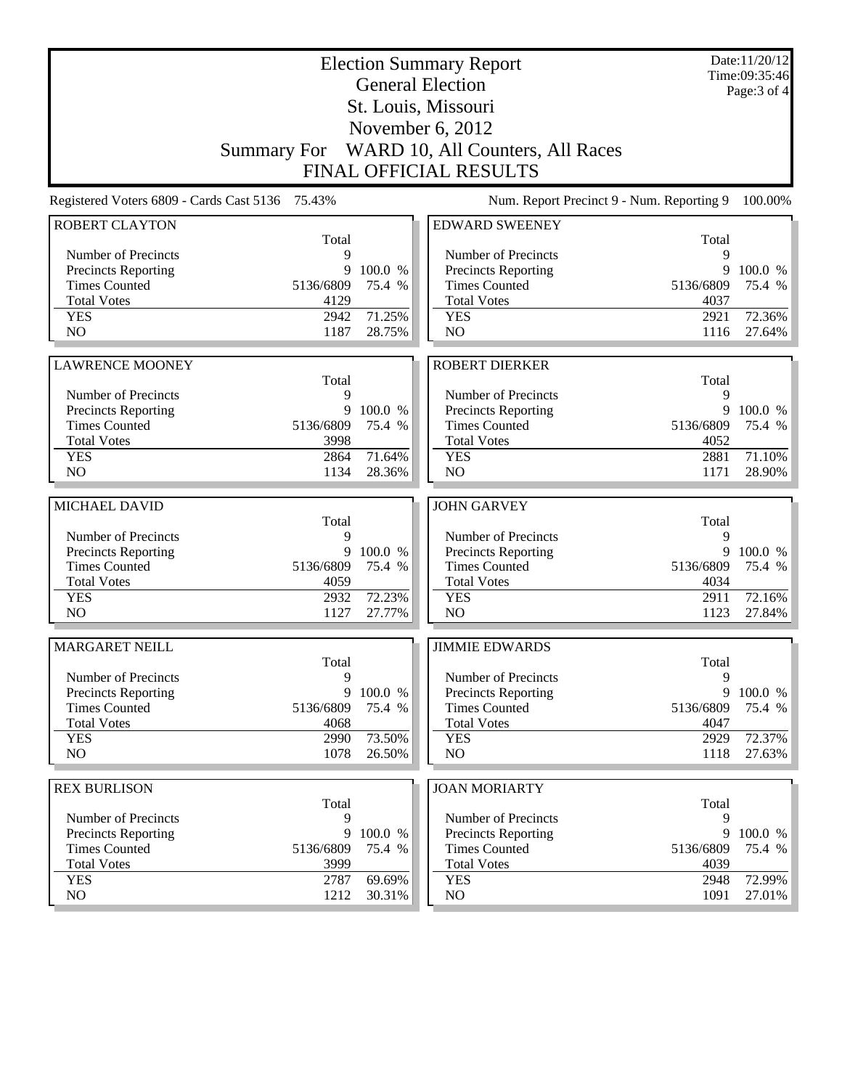|                                                    |                   |                   | <b>Election Summary Report</b><br><b>General Election</b> |                   | Date:11/20/12<br>Time:09:35:46 |
|----------------------------------------------------|-------------------|-------------------|-----------------------------------------------------------|-------------------|--------------------------------|
|                                                    |                   |                   | St. Louis, Missouri                                       |                   | Page: 3 of 4                   |
|                                                    |                   |                   | November $6, 2012$                                        |                   |                                |
|                                                    |                   |                   | Summary For WARD 10, All Counters, All Races              |                   |                                |
|                                                    |                   |                   | <b>FINAL OFFICIAL RESULTS</b>                             |                   |                                |
| Registered Voters 6809 - Cards Cast 5136 75.43%    |                   |                   | Num. Report Precinct 9 - Num. Reporting 9                 |                   | 100.00%                        |
| <b>ROBERT CLAYTON</b>                              |                   |                   | <b>EDWARD SWEENEY</b>                                     |                   |                                |
|                                                    | Total             |                   |                                                           | Total             |                                |
| Number of Precincts                                | 9                 |                   | Number of Precincts                                       | 9                 |                                |
| <b>Precincts Reporting</b>                         | 9                 | 100.0 %           | <b>Precincts Reporting</b>                                | 9                 | 100.0 %                        |
| <b>Times Counted</b><br><b>Total Votes</b>         | 5136/6809<br>4129 | 75.4 %            | <b>Times Counted</b><br><b>Total Votes</b>                | 5136/6809<br>4037 | 75.4 %                         |
| <b>YES</b>                                         | 2942              | 71.25%            | <b>YES</b>                                                | 2921              | 72.36%                         |
| NO                                                 | 1187              | 28.75%            | NO                                                        | 1116              | 27.64%                         |
|                                                    |                   |                   |                                                           |                   |                                |
| <b>LAWRENCE MOONEY</b>                             |                   |                   | <b>ROBERT DIERKER</b>                                     |                   |                                |
|                                                    | Total             |                   |                                                           | Total             |                                |
| Number of Precincts                                | 9                 |                   | Number of Precincts                                       | 9<br>9            |                                |
| Precincts Reporting<br><b>Times Counted</b>        | 9<br>5136/6809    | 100.0 %<br>75.4 % | Precincts Reporting<br><b>Times Counted</b>               | 5136/6809         | 100.0 %<br>75.4 %              |
| <b>Total Votes</b>                                 | 3998              |                   | <b>Total Votes</b>                                        | 4052              |                                |
| <b>YES</b>                                         | 2864              | 71.64%            | <b>YES</b>                                                | 2881              | 71.10%                         |
| N <sub>O</sub>                                     | 1134              | 28.36%            | NO                                                        | 1171              | 28.90%                         |
| MICHAEL DAVID                                      |                   |                   | <b>JOHN GARVEY</b>                                        |                   |                                |
|                                                    | Total             |                   |                                                           | Total             |                                |
| Number of Precincts                                | 9                 |                   | Number of Precincts                                       | 9                 |                                |
| <b>Precincts Reporting</b>                         | 9                 | 100.0 %           | Precincts Reporting                                       | 9                 | 100.0 %                        |
| <b>Times Counted</b>                               | 5136/6809         | 75.4 %            | <b>Times Counted</b>                                      | 5136/6809         | 75.4 %                         |
| <b>Total Votes</b>                                 | 4059              |                   | <b>Total Votes</b>                                        | 4034              |                                |
| <b>YES</b><br>N <sub>O</sub>                       | 2932<br>1127      | 72.23%<br>27.77%  | <b>YES</b><br>NO                                          | 2911<br>1123      | 72.16%<br>27.84%               |
|                                                    |                   |                   |                                                           |                   |                                |
| <b>MARGARET NEILL</b>                              |                   |                   | <b>JIMMIE EDWARDS</b>                                     |                   |                                |
| Number of Precincts                                | Total<br>9        |                   | Number of Precincts                                       | Total<br>9        |                                |
| <b>Precincts Reporting</b>                         | 9                 | 100.0 %           | Precincts Reporting                                       | 9                 | 100.0 %                        |
| <b>Times Counted</b>                               | 5136/6809         | 75.4 %            | <b>Times Counted</b>                                      | 5136/6809         | 75.4 %                         |
| <b>Total Votes</b>                                 |                   |                   |                                                           |                   |                                |
|                                                    | 4068              |                   | <b>Total Votes</b>                                        | 4047              |                                |
| <b>YES</b>                                         | 2990              | 73.50%            | <b>YES</b>                                                | 2929              | 72.37%                         |
| NO                                                 | 1078              | 26.50%            | NO                                                        | 1118              | 27.63%                         |
|                                                    |                   |                   |                                                           |                   |                                |
| <b>REX BURLISON</b>                                |                   |                   | <b>JOAN MORIARTY</b>                                      |                   |                                |
|                                                    | Total<br>9        |                   |                                                           | Total<br>9        |                                |
| Number of Precincts                                | 9                 | 100.0 %           | Number of Precincts                                       | 9                 | 100.0 %                        |
| <b>Precincts Reporting</b><br><b>Times Counted</b> | 5136/6809         | 75.4 %            | Precincts Reporting<br><b>Times Counted</b>               | 5136/6809         | 75.4 %                         |
| <b>Total Votes</b>                                 | 3999              |                   | <b>Total Votes</b>                                        | 4039              |                                |
| <b>YES</b><br>NO                                   | 2787<br>1212      | 69.69%<br>30.31%  | <b>YES</b><br>NO                                          | 2948<br>1091      | 72.99%<br>27.01%               |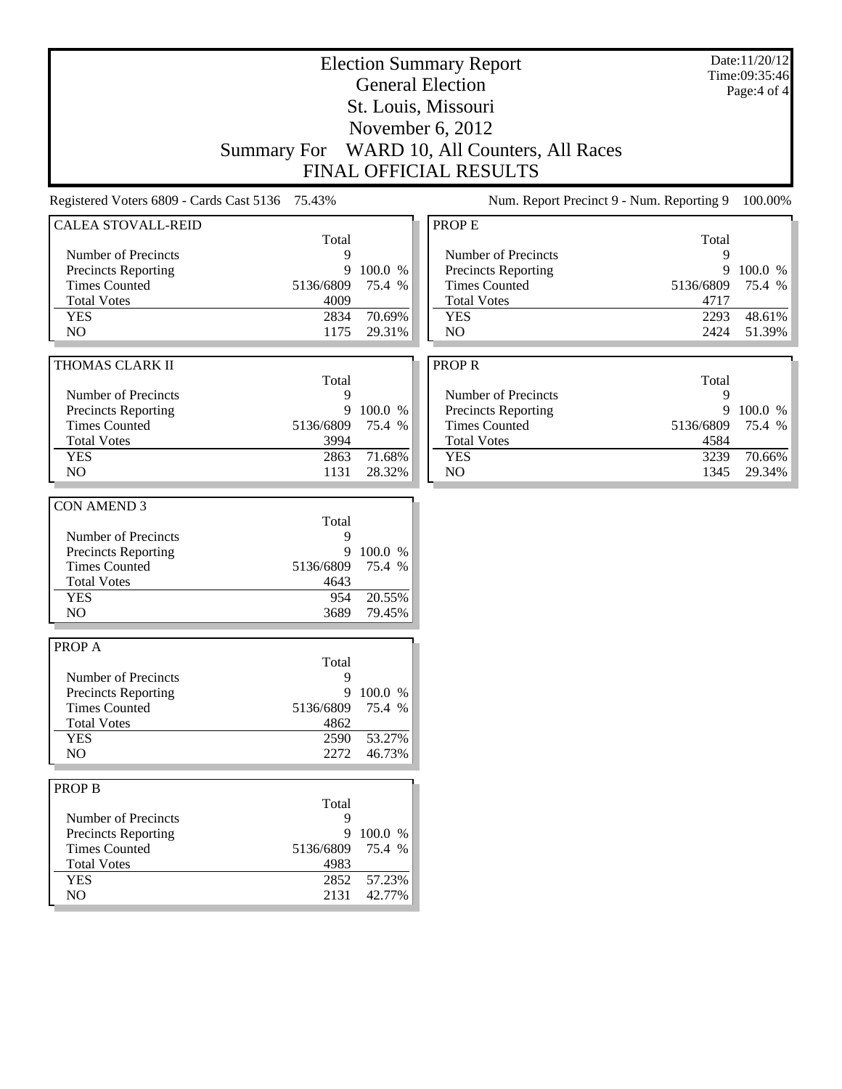| <b>Election Summary Report</b>                  |                    |         |                                           |            | Date:11/20/12<br>Time:09:35:46 |  |
|-------------------------------------------------|--------------------|---------|-------------------------------------------|------------|--------------------------------|--|
|                                                 |                    |         | <b>General Election</b>                   |            | Page:4 of 4                    |  |
|                                                 |                    |         | St. Louis, Missouri                       |            |                                |  |
|                                                 |                    |         | November 6, 2012                          |            |                                |  |
|                                                 |                    |         | WARD 10, All Counters, All Races          |            |                                |  |
|                                                 | <b>Summary For</b> |         |                                           |            |                                |  |
|                                                 |                    |         | <b>FINAL OFFICIAL RESULTS</b>             |            |                                |  |
| Registered Voters 6809 - Cards Cast 5136 75.43% |                    |         | Num. Report Precinct 9 - Num. Reporting 9 |            | 100.00%                        |  |
| <b>CALEA STOVALL-REID</b>                       |                    |         | <b>PROPE</b>                              |            |                                |  |
| Number of Precincts                             | Total<br>9         |         | Number of Precincts                       | Total<br>9 |                                |  |
| Precincts Reporting                             | 9                  | 100.0 % | Precincts Reporting                       | 9          | 100.0 %                        |  |
| <b>Times Counted</b>                            | 5136/6809          | 75.4 %  | <b>Times Counted</b>                      | 5136/6809  | 75.4 %                         |  |
| <b>Total Votes</b>                              | 4009               |         | <b>Total Votes</b>                        | 4717       |                                |  |
| <b>YES</b>                                      | 2834               | 70.69%  | <b>YES</b>                                | 2293       | 48.61%                         |  |
| NO                                              | 1175               | 29.31%  | NO                                        | 2424       | 51.39%                         |  |
|                                                 |                    |         |                                           |            |                                |  |
| THOMAS CLARK II                                 |                    |         | <b>PROPR</b>                              |            |                                |  |
|                                                 | Total              |         |                                           | Total      |                                |  |
| Number of Precincts                             | 9                  |         | Number of Precincts                       | 9          |                                |  |
| Precincts Reporting                             | 9                  | 100.0 % | Precincts Reporting                       | 9          | 100.0 %                        |  |
| <b>Times Counted</b>                            | 5136/6809          | 75.4 %  | <b>Times Counted</b>                      | 5136/6809  | 75.4 %                         |  |
| <b>Total Votes</b>                              | 3994               |         | <b>Total Votes</b>                        | 4584       |                                |  |
| <b>YES</b>                                      | 2863               | 71.68%  | <b>YES</b>                                | 3239       | 70.66%                         |  |
| NO                                              | 1131               | 28.32%  | NO                                        | 1345       | 29.34%                         |  |
|                                                 |                    |         |                                           |            |                                |  |
| <b>CON AMEND 3</b>                              |                    |         |                                           |            |                                |  |
|                                                 | Total              |         |                                           |            |                                |  |
| Number of Precincts                             | 9                  |         |                                           |            |                                |  |
| Precincts Reporting                             | 9                  | 100.0 % |                                           |            |                                |  |
| <b>Times Counted</b>                            | 5136/6809          | 75.4 %  |                                           |            |                                |  |
| <b>Total Votes</b>                              | 4643               |         |                                           |            |                                |  |
| <b>YES</b>                                      | 954                | 20.55%  |                                           |            |                                |  |
| N <sub>O</sub>                                  | 3689               | 79.45%  |                                           |            |                                |  |
| <b>PROPA</b>                                    |                    |         |                                           |            |                                |  |
|                                                 | Total              |         |                                           |            |                                |  |
| Number of Precincts                             | 9                  |         |                                           |            |                                |  |
| <b>Precincts Reporting</b>                      | 9                  | 100.0 % |                                           |            |                                |  |
| <b>Times Counted</b>                            | 5136/6809          | 75.4 %  |                                           |            |                                |  |
| <b>Total Votes</b>                              | 4862               |         |                                           |            |                                |  |
| <b>YES</b>                                      | 2590               | 53.27%  |                                           |            |                                |  |
| NO                                              | 2272               | 46.73%  |                                           |            |                                |  |
|                                                 |                    |         |                                           |            |                                |  |
| <b>PROP B</b>                                   |                    |         |                                           |            |                                |  |
|                                                 | Total              |         |                                           |            |                                |  |
| Number of Precincts                             | 9                  |         |                                           |            |                                |  |
| Precincts Reporting                             | 9                  | 100.0 % |                                           |            |                                |  |
| <b>Times Counted</b>                            | 5136/6809          | 75.4 %  |                                           |            |                                |  |
| <b>Total Votes</b>                              | 4983               |         |                                           |            |                                |  |
| <b>YES</b>                                      | 2852               | 57.23%  |                                           |            |                                |  |
| NO.                                             | 2131               | 42.77%  |                                           |            |                                |  |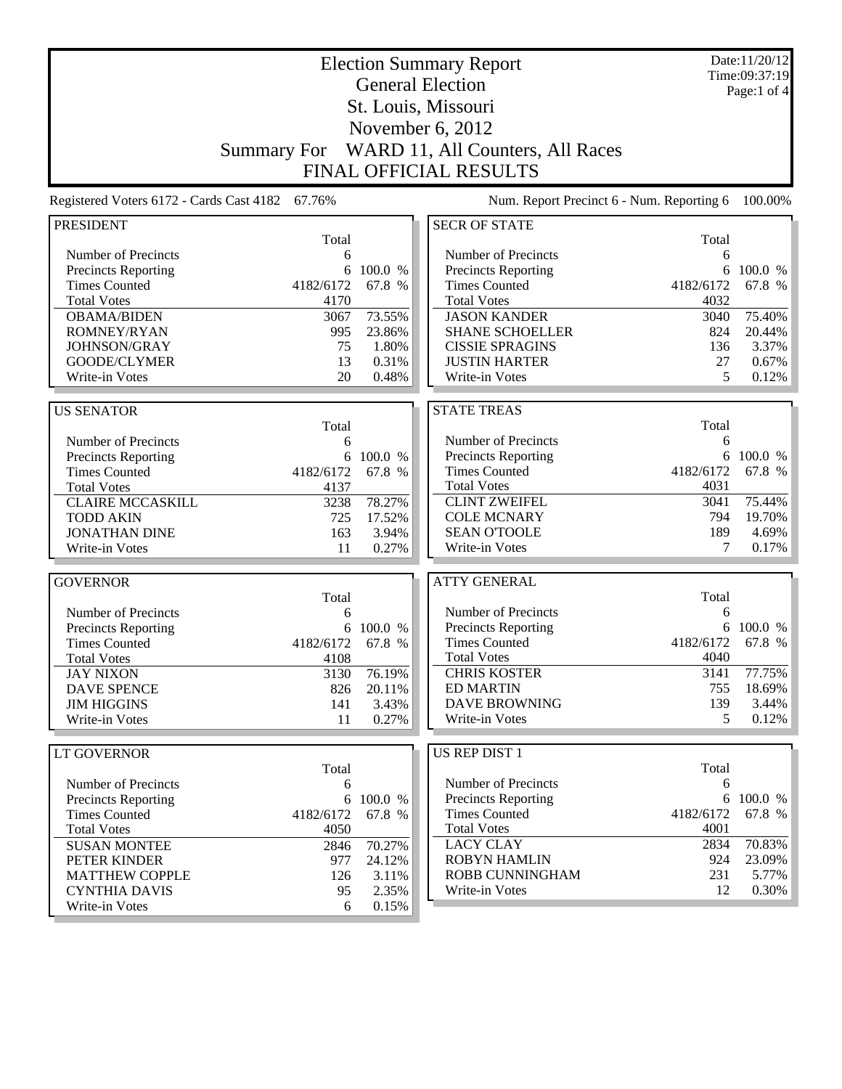| <b>Election Summary Report</b><br><b>General Election</b> |                    |           |                                           | Date:11/20/12<br>Time:09:37:19 |             |
|-----------------------------------------------------------|--------------------|-----------|-------------------------------------------|--------------------------------|-------------|
|                                                           |                    |           |                                           |                                | Page:1 of 4 |
|                                                           |                    |           | St. Louis, Missouri                       |                                |             |
|                                                           |                    |           | November 6, 2012                          |                                |             |
|                                                           | <b>Summary For</b> |           | WARD 11, All Counters, All Races          |                                |             |
|                                                           |                    |           | <b>FINAL OFFICIAL RESULTS</b>             |                                |             |
| Registered Voters 6172 - Cards Cast 4182                  | 67.76%             |           | Num. Report Precinct 6 - Num. Reporting 6 |                                | 100.00%     |
| <b>PRESIDENT</b>                                          |                    |           | <b>SECR OF STATE</b>                      |                                |             |
|                                                           | Total              |           |                                           | Total                          |             |
| Number of Precincts                                       | 6                  |           | Number of Precincts                       | 6                              |             |
| Precincts Reporting                                       | 6                  | 100.0 %   | Precincts Reporting                       | 6                              | 100.0 %     |
| <b>Times Counted</b>                                      | 4182/6172          | 67.8 %    | <b>Times Counted</b>                      | 4182/6172                      | 67.8 %      |
| <b>Total Votes</b>                                        | 4170               |           | <b>Total Votes</b>                        | 4032                           |             |
| <b>OBAMA/BIDEN</b>                                        | 3067               | 73.55%    | <b>JASON KANDER</b>                       | 3040                           | 75.40%      |
| ROMNEY/RYAN                                               | 995                | 23.86%    | <b>SHANE SCHOELLER</b>                    | 824                            | 20.44%      |
| JOHNSON/GRAY                                              | 75                 | 1.80%     | <b>CISSIE SPRAGINS</b>                    | 136                            | 3.37%       |
| GOODE/CLYMER                                              | 13                 | 0.31%     | <b>JUSTIN HARTER</b>                      | 27                             | 0.67%       |
| Write-in Votes                                            | 20                 | 0.48%     | Write-in Votes                            | 5                              | 0.12%       |
| <b>US SENATOR</b>                                         |                    |           | <b>STATE TREAS</b>                        |                                |             |
|                                                           | Total              |           |                                           | Total                          |             |
| Number of Precincts                                       | 6                  |           | Number of Precincts                       | 6                              |             |
| Precincts Reporting                                       |                    | 6 100.0 % | <b>Precincts Reporting</b>                | 6                              | 100.0 %     |
| <b>Times Counted</b>                                      | 4182/6172          | 67.8 %    | <b>Times Counted</b>                      | 4182/6172                      | 67.8 %      |
| <b>Total Votes</b>                                        | 4137               |           | <b>Total Votes</b>                        | 4031                           |             |
| <b>CLAIRE MCCASKILL</b>                                   | 3238               | 78.27%    | <b>CLINT ZWEIFEL</b>                      | 3041                           | 75.44%      |
| <b>TODD AKIN</b>                                          | 725                | 17.52%    | <b>COLE MCNARY</b>                        | 794                            | 19.70%      |
| <b>JONATHAN DINE</b>                                      | 163                | 3.94%     | <b>SEAN O'TOOLE</b>                       | 189                            | 4.69%       |
| Write-in Votes                                            | 11                 | 0.27%     | Write-in Votes                            | 7                              | 0.17%       |
|                                                           |                    |           |                                           |                                |             |
| <b>GOVERNOR</b>                                           |                    |           | <b>ATTY GENERAL</b>                       |                                |             |
|                                                           | Total              |           |                                           | Total                          |             |
| Number of Precincts                                       | 6                  |           | Number of Precincts                       | 6                              |             |
| Precincts Reporting                                       | 6                  | 100.0 %   | Precincts Reporting                       |                                | 6 100.0 %   |
| <b>Times Counted</b>                                      | 4182/6172          | 67.8 %    | <b>Times Counted</b>                      | 4182/6172                      | 67.8 %      |
| <b>Total Votes</b>                                        | 4108               |           | <b>Total Votes</b>                        | 4040                           |             |
| <b>JAY NIXON</b>                                          | 3130               | 76.19%    | <b>CHRIS KOSTER</b>                       | 3141                           | 77.75%      |
| <b>DAVE SPENCE</b>                                        | 826                | 20.11%    | <b>ED MARTIN</b>                          | 755                            | 18.69%      |
| <b>JIM HIGGINS</b>                                        | 141                | 3.43%     | <b>DAVE BROWNING</b>                      | 139                            | 3.44%       |
| Write-in Votes                                            | 11                 | 0.27%     | Write-in Votes                            | 5                              | 0.12%       |
|                                                           |                    |           |                                           |                                |             |
| LT GOVERNOR                                               | Total              |           | US REP DIST 1                             | Total                          |             |
| Number of Precincts                                       |                    |           | Number of Precincts                       | 6                              |             |
| Precincts Reporting                                       | 6                  | 6 100.0 % | <b>Precincts Reporting</b>                |                                | 6 100.0 %   |
| <b>Times Counted</b>                                      | 4182/6172          | 67.8 %    | <b>Times Counted</b>                      | 4182/6172                      | 67.8 %      |
| <b>Total Votes</b>                                        | 4050               |           | <b>Total Votes</b>                        | 4001                           |             |
| <b>SUSAN MONTEE</b>                                       | 2846               | 70.27%    | <b>LACY CLAY</b>                          | 2834                           | 70.83%      |
| PETER KINDER                                              | 977                | 24.12%    | <b>ROBYN HAMLIN</b>                       | 924                            | 23.09%      |
| <b>MATTHEW COPPLE</b>                                     | 126                | 3.11%     | ROBB CUNNINGHAM                           | 231                            | 5.77%       |
| <b>CYNTHIA DAVIS</b>                                      | 95                 | 2.35%     | Write-in Votes                            | 12                             | 0.30%       |
| Write-in Votes                                            | 6                  | 0.15%     |                                           |                                |             |

Write-in Votes 6 0.15%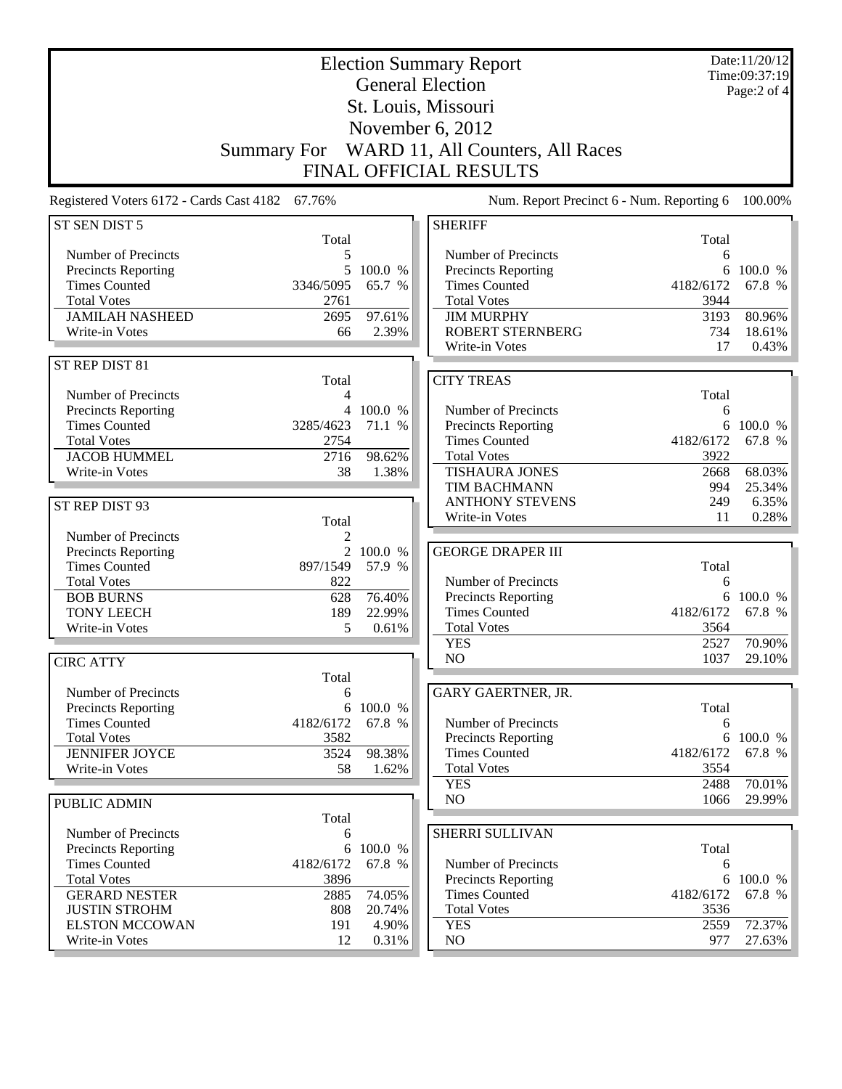| <b>Election Summary Report</b><br><b>General Election</b> |                    |                 |                                              |                   | Date:11/20/12<br>Time:09:37:19 |
|-----------------------------------------------------------|--------------------|-----------------|----------------------------------------------|-------------------|--------------------------------|
|                                                           |                    |                 |                                              |                   | Page: $2$ of $4$               |
| St. Louis, Missouri                                       |                    |                 |                                              |                   |                                |
|                                                           |                    |                 | November 6, 2012                             |                   |                                |
|                                                           | <b>Summary For</b> |                 | WARD 11, All Counters, All Races             |                   |                                |
|                                                           |                    |                 |                                              |                   |                                |
|                                                           |                    |                 | FINAL OFFICIAL RESULTS                       |                   |                                |
| Registered Voters 6172 - Cards Cast 4182 67.76%           |                    |                 | Num. Report Precinct 6 - Num. Reporting 6    |                   | 100.00%                        |
| ST SEN DIST 5                                             | Total              |                 | <b>SHERIFF</b>                               | Total             |                                |
| Number of Precincts                                       | 5                  |                 | Number of Precincts                          | 6                 |                                |
| <b>Precincts Reporting</b>                                | 5                  | 100.0 %         | Precincts Reporting                          | 6                 | 100.0 %                        |
| <b>Times Counted</b>                                      | 3346/5095          | 65.7 %          | <b>Times Counted</b>                         | 4182/6172         | 67.8 %                         |
| <b>Total Votes</b>                                        | 2761               |                 | <b>Total Votes</b>                           | 3944              |                                |
| <b>JAMILAH NASHEED</b><br>Write-in Votes                  | 2695<br>66         | 97.61%<br>2.39% | <b>JIM MURPHY</b><br><b>ROBERT STERNBERG</b> | 3193<br>734       | 80.96%<br>18.61%               |
|                                                           |                    |                 | Write-in Votes                               | 17                | 0.43%                          |
| ST REP DIST 81                                            |                    |                 |                                              |                   |                                |
|                                                           | Total              |                 | <b>CITY TREAS</b>                            |                   |                                |
| Number of Precincts                                       | 4                  |                 |                                              | Total             |                                |
| <b>Precincts Reporting</b>                                |                    | 4 100.0 %       | Number of Precincts                          | 6                 |                                |
| <b>Times Counted</b>                                      | 3285/4623          | 71.1 %          | Precincts Reporting                          |                   | 6 100.0 %                      |
| <b>Total Votes</b>                                        | 2754               |                 | <b>Times Counted</b><br><b>Total Votes</b>   | 4182/6172<br>3922 | 67.8 %                         |
| <b>JACOB HUMMEL</b><br>Write-in Votes                     | 2716<br>38         | 98.62%<br>1.38% | <b>TISHAURA JONES</b>                        | 2668              | 68.03%                         |
|                                                           |                    |                 | TIM BACHMANN                                 | 994               | 25.34%                         |
| ST REP DIST 93                                            |                    |                 | <b>ANTHONY STEVENS</b>                       | 249               | 6.35%                          |
|                                                           | Total              |                 | Write-in Votes                               | 11                | 0.28%                          |
| Number of Precincts                                       | 2                  |                 |                                              |                   |                                |
| <b>Precincts Reporting</b>                                | 2                  | 100.0 %         | <b>GEORGE DRAPER III</b>                     |                   |                                |
| <b>Times Counted</b>                                      | 897/1549           | 57.9 %          |                                              | Total             |                                |
| <b>Total Votes</b>                                        | 822                |                 | Number of Precincts                          | 6                 |                                |
| <b>BOB BURNS</b>                                          | 628                | 76.40%          | Precincts Reporting<br><b>Times Counted</b>  | 6<br>4182/6172    | 100.0 %<br>67.8 %              |
| <b>TONY LEECH</b><br>Write-in Votes                       | 189<br>5           | 22.99%<br>0.61% | <b>Total Votes</b>                           | 3564              |                                |
|                                                           |                    |                 | <b>YES</b>                                   | 2527              | 70.90%                         |
| <b>CIRC ATTY</b>                                          |                    |                 | N <sub>O</sub>                               | 1037              | 29.10%                         |
|                                                           | Total              |                 |                                              |                   |                                |
| Number of Precincts                                       | 6                  |                 | GARY GAERTNER, JR.                           |                   |                                |
| Precincts Reporting                                       | 6                  | 100.0 %         |                                              | Total             |                                |
| <b>Times Counted</b>                                      | 4182/6172          | 67.8 %          | Number of Precincts                          | 6                 |                                |
| <b>Total Votes</b>                                        | 3582               |                 | Precincts Reporting                          |                   | 6 100.0 %                      |
| <b>JENNIFER JOYCE</b><br>Write-in Votes                   | 3524<br>58         | 98.38%          | <b>Times Counted</b><br><b>Total Votes</b>   | 4182/6172<br>3554 | 67.8 %                         |
|                                                           |                    | 1.62%           | <b>YES</b>                                   | 2488              | 70.01%                         |
| PUBLIC ADMIN                                              |                    |                 | NO                                           | 1066              | 29.99%                         |
|                                                           | Total              |                 |                                              |                   |                                |
| Number of Precincts                                       | 6                  |                 | SHERRI SULLIVAN                              |                   |                                |
| Precincts Reporting                                       | 6                  | 100.0 %         |                                              | Total             |                                |
| <b>Times Counted</b>                                      | 4182/6172          | 67.8 %          | Number of Precincts                          | 6                 |                                |
| <b>Total Votes</b>                                        | 3896               |                 | <b>Precincts Reporting</b>                   |                   | 6 100.0 %                      |
| <b>GERARD NESTER</b>                                      | 2885               | 74.05%          | <b>Times Counted</b><br><b>Total Votes</b>   | 4182/6172<br>3536 | 67.8 %                         |
| <b>JUSTIN STROHM</b><br><b>ELSTON MCCOWAN</b>             | 808<br>191         | 20.74%<br>4.90% | <b>YES</b>                                   | 2559              | 72.37%                         |
| Write-in Votes                                            | 12                 | 0.31%           | NO                                           | 977               | 27.63%                         |
|                                                           |                    |                 |                                              |                   |                                |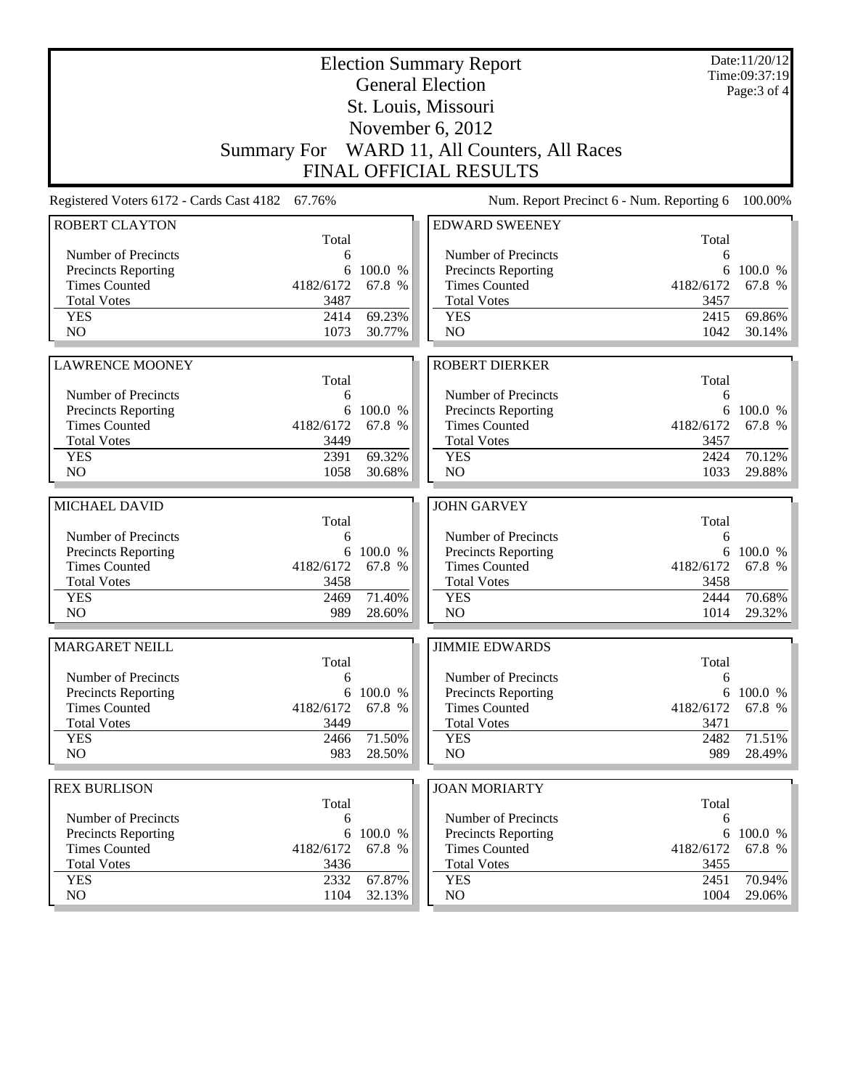|                                                 |             |                  | <b>Election Summary Report</b><br><b>General Election</b> |             | Date:11/20/12<br>Time:09:37:19<br>Page: 3 of 4 |
|-------------------------------------------------|-------------|------------------|-----------------------------------------------------------|-------------|------------------------------------------------|
|                                                 |             |                  | St. Louis, Missouri                                       |             |                                                |
|                                                 |             |                  | November 6, 2012                                          |             |                                                |
|                                                 |             |                  | Summary For WARD 11, All Counters, All Races              |             |                                                |
|                                                 |             |                  | <b>FINAL OFFICIAL RESULTS</b>                             |             |                                                |
|                                                 |             |                  |                                                           |             |                                                |
| Registered Voters 6172 - Cards Cast 4182 67.76% |             |                  | Num. Report Precinct 6 - Num. Reporting 6                 |             | 100.00%                                        |
| <b>ROBERT CLAYTON</b>                           | Total       |                  | <b>EDWARD SWEENEY</b>                                     | Total       |                                                |
| Number of Precincts                             | 6           |                  | Number of Precincts                                       | 6           |                                                |
| <b>Precincts Reporting</b>                      | 6           | 100.0 %          | <b>Precincts Reporting</b>                                | 6           | 100.0 %                                        |
| <b>Times Counted</b>                            | 4182/6172   | 67.8 %           | <b>Times Counted</b>                                      | 4182/6172   | 67.8 %                                         |
| <b>Total Votes</b>                              | 3487        |                  | <b>Total Votes</b>                                        | 3457        |                                                |
| <b>YES</b>                                      | 2414        | 69.23%           | <b>YES</b>                                                | 2415        | 69.86%                                         |
| N <sub>O</sub>                                  | 1073        | 30.77%           | NO                                                        | 1042        | 30.14%                                         |
|                                                 |             |                  | <b>ROBERT DIERKER</b>                                     |             |                                                |
| <b>LAWRENCE MOONEY</b>                          | Total       |                  |                                                           | Total       |                                                |
| Number of Precincts                             | 6           |                  | Number of Precincts                                       | 6           |                                                |
| <b>Precincts Reporting</b>                      | 6           | 100.0 %          | <b>Precincts Reporting</b>                                | 6           | 100.0 %                                        |
| <b>Times Counted</b>                            | 4182/6172   | 67.8 %           | <b>Times Counted</b>                                      | 4182/6172   | 67.8 %                                         |
| <b>Total Votes</b>                              | 3449        |                  | <b>Total Votes</b>                                        | 3457        |                                                |
| <b>YES</b>                                      | 2391        | 69.32%           | <b>YES</b>                                                | 2424        | 70.12%                                         |
| NO                                              | 1058        | 30.68%           | NO                                                        | 1033        | 29.88%                                         |
|                                                 |             |                  | <b>JOHN GARVEY</b>                                        |             |                                                |
| MICHAEL DAVID                                   | Total       |                  |                                                           | Total       |                                                |
| Number of Precincts                             | 6           |                  | Number of Precincts                                       | 6           |                                                |
| <b>Precincts Reporting</b>                      | 6           | 100.0 %          | Precincts Reporting                                       | 6           | 100.0 %                                        |
| <b>Times Counted</b>                            | 4182/6172   | 67.8 %           | <b>Times Counted</b>                                      | 4182/6172   | 67.8 %                                         |
| <b>Total Votes</b>                              | 3458        |                  | <b>Total Votes</b>                                        | 3458        |                                                |
| <b>YES</b>                                      | 2469        | 71.40%           | <b>YES</b>                                                | 2444        | 70.68%                                         |
| N <sub>O</sub>                                  | 989         | 28.60%           | NO                                                        | 1014        | 29.32%                                         |
| <b>MARGARET NEILL</b>                           |             |                  | <b>JIMMIE EDWARDS</b>                                     |             |                                                |
|                                                 | Total       |                  |                                                           | Total       |                                                |
| Number of Precincts                             | 6           |                  | Number of Precincts                                       | 6           |                                                |
| <b>Precincts Reporting</b>                      |             | 6 100.0 %        | <b>Precincts Reporting</b>                                | 6           | 100.0 %                                        |
| <b>Times Counted</b>                            | 4182/6172   | 67.8 %           | <b>Times Counted</b>                                      | 4182/6172   | 67.8 %                                         |
| <b>Total Votes</b>                              | 3449        |                  | <b>Total Votes</b>                                        | 3471        |                                                |
| <b>YES</b><br>NO                                | 2466<br>983 | 71.50%<br>28.50% | <b>YES</b><br>NO                                          | 2482<br>989 | 71.51%<br>28.49%                               |
|                                                 |             |                  |                                                           |             |                                                |
| <b>REX BURLISON</b>                             |             |                  | <b>JOAN MORIARTY</b>                                      |             |                                                |
|                                                 | Total       |                  |                                                           | Total       |                                                |
| Number of Precincts                             | 6           |                  | Number of Precincts                                       | 6           |                                                |
| <b>Precincts Reporting</b>                      | 6           | 100.0 %          | <b>Precincts Reporting</b>                                | 6           | 100.0 %                                        |
| <b>Times Counted</b>                            | 4182/6172   | 67.8 %           | <b>Times Counted</b>                                      | 4182/6172   | 67.8 %                                         |
| <b>Total Votes</b>                              | 3436        |                  | <b>Total Votes</b>                                        | 3455        |                                                |
| <b>YES</b>                                      | 2332        | 67.87%           | <b>YES</b>                                                | 2451        | 70.94%                                         |
| NO.                                             | 1104        | 32.13%           | NO                                                        | 1004        | 29.06%                                         |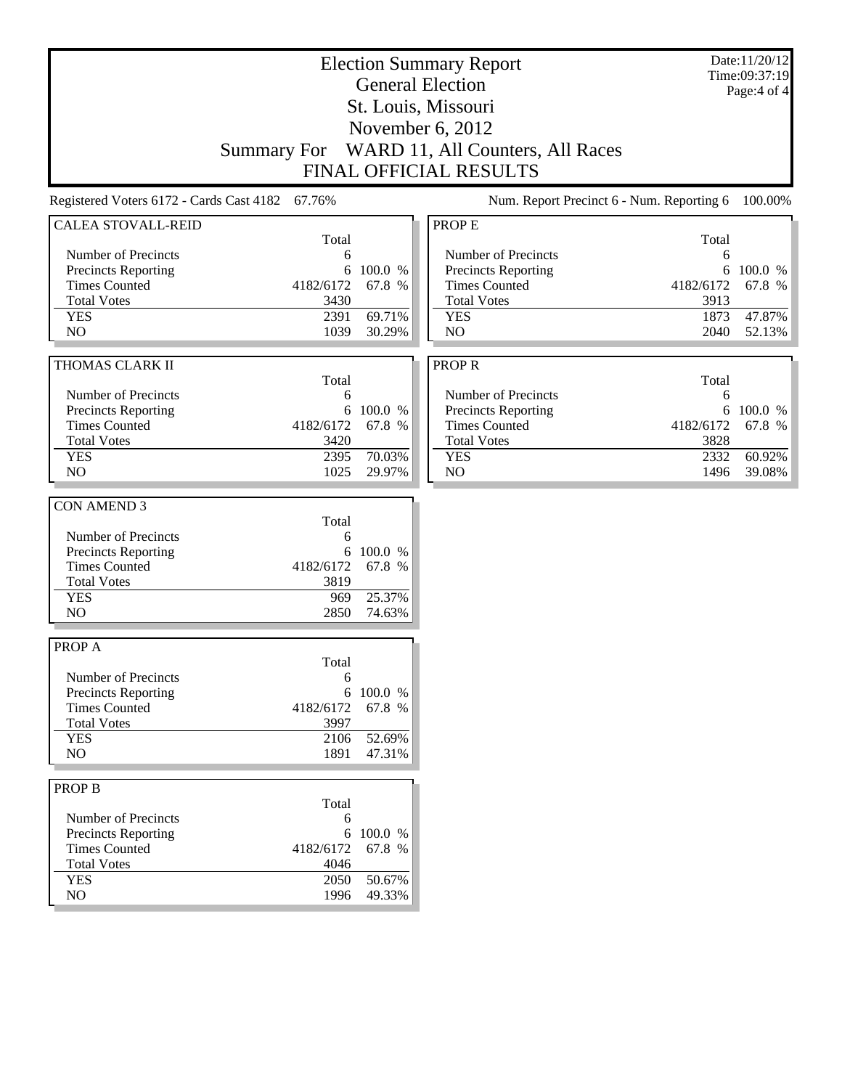| <b>Election Summary Report</b><br><b>General Election</b> |                    |           |                                           | Date:11/20/12<br>Time:09:37:19 |             |
|-----------------------------------------------------------|--------------------|-----------|-------------------------------------------|--------------------------------|-------------|
|                                                           |                    |           |                                           |                                | Page:4 of 4 |
|                                                           |                    |           | St. Louis, Missouri                       |                                |             |
|                                                           |                    |           | November 6, 2012                          |                                |             |
|                                                           | <b>Summary For</b> |           | WARD 11, All Counters, All Races          |                                |             |
|                                                           |                    |           | FINAL OFFICIAL RESULTS                    |                                |             |
| Registered Voters 6172 - Cards Cast 4182 67.76%           |                    |           | Num. Report Precinct 6 - Num. Reporting 6 |                                | 100.00%     |
| <b>CALEA STOVALL-REID</b>                                 |                    |           | PROP E                                    |                                |             |
| Number of Precincts                                       | Total              |           | Number of Precincts                       | Total                          |             |
| Precincts Reporting                                       | 6<br>6             | 100.0 %   | Precincts Reporting                       | 6<br>6                         | 100.0 %     |
| <b>Times Counted</b>                                      | 4182/6172          | 67.8 %    | <b>Times Counted</b>                      | 4182/6172                      | 67.8 %      |
| <b>Total Votes</b>                                        | 3430               |           | <b>Total Votes</b>                        | 3913                           |             |
| <b>YES</b>                                                | 2391               | 69.71%    | <b>YES</b>                                | 1873                           | 47.87%      |
| NO                                                        | 1039               | 30.29%    | NO                                        | 2040                           | 52.13%      |
|                                                           |                    |           |                                           |                                |             |
| THOMAS CLARK II                                           | Total              |           | <b>PROPR</b>                              | Total                          |             |
| Number of Precincts                                       | 6                  |           | Number of Precincts                       | 6                              |             |
| Precincts Reporting                                       | 6                  | 100.0 %   | Precincts Reporting                       | 6                              | 100.0 %     |
| <b>Times Counted</b>                                      | 4182/6172          | 67.8 %    | <b>Times Counted</b>                      | 4182/6172                      | 67.8 %      |
| <b>Total Votes</b>                                        | 3420               |           | <b>Total Votes</b>                        | 3828                           |             |
| <b>YES</b>                                                | 2395               | 70.03%    | <b>YES</b>                                | 2332                           | 60.92%      |
| NO                                                        | 1025               | 29.97%    | NO                                        | 1496                           | 39.08%      |
|                                                           |                    |           |                                           |                                |             |
| <b>CON AMEND 3</b>                                        |                    |           |                                           |                                |             |
|                                                           | Total<br>6         |           |                                           |                                |             |
| Number of Precincts<br>Precincts Reporting                |                    | 6 100.0 % |                                           |                                |             |
| <b>Times Counted</b>                                      | 4182/6172          | 67.8 %    |                                           |                                |             |
| <b>Total Votes</b>                                        | 3819               |           |                                           |                                |             |
| <b>YES</b>                                                | 969                | 25.37%    |                                           |                                |             |
| N <sub>O</sub>                                            | 2850               | 74.63%    |                                           |                                |             |
|                                                           |                    |           |                                           |                                |             |
| PROP A                                                    |                    |           |                                           |                                |             |
|                                                           | Total              |           |                                           |                                |             |
| Number of Precincts                                       | 6                  |           |                                           |                                |             |
| Precincts Reporting                                       | 6                  | 100.0 %   |                                           |                                |             |
| <b>Times Counted</b>                                      | 4182/6172          | 67.8 %    |                                           |                                |             |
| <b>Total Votes</b><br><b>YES</b>                          | 3997<br>2106       | 52.69%    |                                           |                                |             |
| NO                                                        | 1891               | 47.31%    |                                           |                                |             |
|                                                           |                    |           |                                           |                                |             |
| <b>PROP B</b>                                             |                    |           |                                           |                                |             |
| Number of Precincts                                       | Total<br>6         |           |                                           |                                |             |
| Precincts Reporting                                       |                    | 6 100.0 % |                                           |                                |             |
| <b>Times Counted</b>                                      | 4182/6172          | 67.8 %    |                                           |                                |             |
| <b>Total Votes</b>                                        | 4046               |           |                                           |                                |             |
| <b>YES</b>                                                | 2050               | 50.67%    |                                           |                                |             |
| NO                                                        | 1996               | 49.33%    |                                           |                                |             |
|                                                           |                    |           |                                           |                                |             |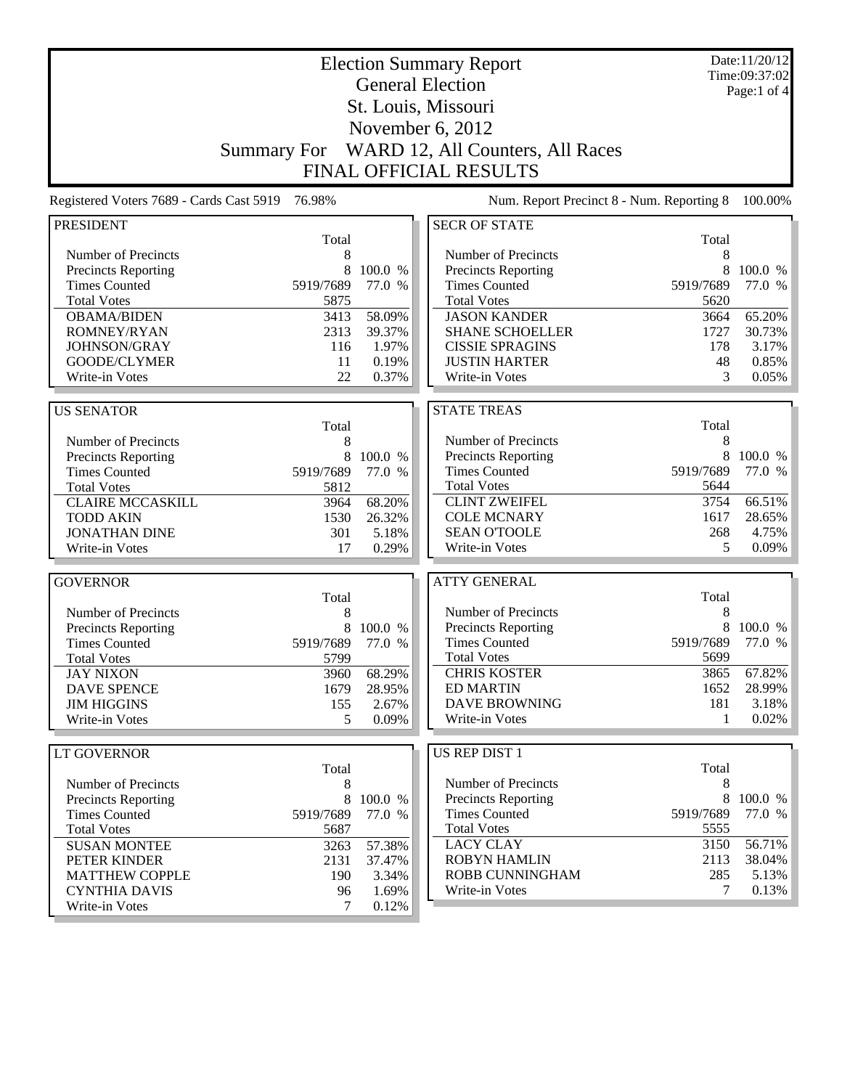| <b>Election Summary Report</b><br><b>General Election</b> |                    |                   |                                             | Date:11/20/12<br>Time:09:37:02 |                   |
|-----------------------------------------------------------|--------------------|-------------------|---------------------------------------------|--------------------------------|-------------------|
|                                                           |                    |                   |                                             |                                | Page:1 of 4       |
|                                                           |                    |                   | St. Louis, Missouri                         |                                |                   |
|                                                           |                    |                   | November 6, 2012                            |                                |                   |
|                                                           | <b>Summary For</b> |                   | WARD 12, All Counters, All Races            |                                |                   |
|                                                           |                    |                   | <b>FINAL OFFICIAL RESULTS</b>               |                                |                   |
|                                                           |                    |                   |                                             |                                |                   |
| Registered Voters 7689 - Cards Cast 5919                  | 76.98%             |                   | Num. Report Precinct 8 - Num. Reporting 8   |                                | 100.00%           |
| <b>PRESIDENT</b>                                          |                    |                   | <b>SECR OF STATE</b>                        |                                |                   |
|                                                           | Total              |                   |                                             | Total                          |                   |
| Number of Precincts                                       | 8                  |                   | Number of Precincts                         | 8                              |                   |
| Precincts Reporting<br><b>Times Counted</b>               | 8<br>5919/7689     | 100.0 %<br>77.0 % | Precincts Reporting<br><b>Times Counted</b> | 8<br>5919/7689                 | 100.0 %<br>77.0 % |
|                                                           |                    |                   |                                             |                                |                   |
| <b>Total Votes</b>                                        | 5875<br>3413       | 58.09%            | <b>Total Votes</b><br><b>JASON KANDER</b>   | 5620                           | 65.20%            |
| <b>OBAMA/BIDEN</b><br>ROMNEY/RYAN                         | 2313               | 39.37%            | <b>SHANE SCHOELLER</b>                      | 3664<br>1727                   | 30.73%            |
| JOHNSON/GRAY                                              | 116                | 1.97%             | <b>CISSIE SPRAGINS</b>                      | 178                            | 3.17%             |
| GOODE/CLYMER                                              | 11                 | 0.19%             | <b>JUSTIN HARTER</b>                        | 48                             | 0.85%             |
| Write-in Votes                                            | 22                 | 0.37%             | Write-in Votes                              | 3                              | 0.05%             |
|                                                           |                    |                   |                                             |                                |                   |
| <b>US SENATOR</b>                                         |                    |                   | <b>STATE TREAS</b>                          |                                |                   |
|                                                           | Total              |                   |                                             | Total                          |                   |
| Number of Precincts                                       | 8                  |                   | Number of Precincts                         | 8                              |                   |
| <b>Precincts Reporting</b>                                | 8                  | 100.0 %           | Precincts Reporting                         | 8                              | 100.0 %           |
| <b>Times Counted</b>                                      | 5919/7689          | 77.0 %            | <b>Times Counted</b>                        | 5919/7689                      | 77.0 %            |
| <b>Total Votes</b>                                        | 5812               |                   | <b>Total Votes</b>                          | 5644                           |                   |
| <b>CLAIRE MCCASKILL</b>                                   | 3964               | 68.20%            | <b>CLINT ZWEIFEL</b>                        | 3754                           | 66.51%            |
| <b>TODD AKIN</b>                                          | 1530               | 26.32%            | <b>COLE MCNARY</b>                          | 1617                           | 28.65%            |
| <b>JONATHAN DINE</b>                                      | 301                | 5.18%             | <b>SEAN O'TOOLE</b>                         | 268                            | 4.75%             |
| Write-in Votes                                            | 17                 | 0.29%             | Write-in Votes                              | 5                              | 0.09%             |
|                                                           |                    |                   | <b>ATTY GENERAL</b>                         |                                |                   |
| <b>GOVERNOR</b>                                           | Total              |                   |                                             | Total                          |                   |
| Number of Precincts                                       | 8                  |                   | Number of Precincts                         | 8                              |                   |
| <b>Precincts Reporting</b>                                | 8                  | 100.0 %           | Precincts Reporting                         | 8                              | 100.0 %           |
| <b>Times Counted</b>                                      | 5919/7689          | 77.0 %            | <b>Times Counted</b>                        | 5919/7689                      | 77.0 %            |
| <b>Total Votes</b>                                        | 5799               |                   | <b>Total Votes</b>                          | 5699                           |                   |
| <b>JAY NIXON</b>                                          | 3960               | 68.29%            | <b>CHRIS KOSTER</b>                         | 3865                           | 67.82%            |
| <b>DAVE SPENCE</b>                                        | 1679               | 28.95%            | <b>ED MARTIN</b>                            | 1652                           | 28.99%            |
| <b>JIM HIGGINS</b>                                        | 155                | 2.67%             | <b>DAVE BROWNING</b>                        | 181                            | 3.18%             |
| Write-in Votes                                            | 5                  | 0.09%             | Write-in Votes                              | 1                              | 0.02%             |
|                                                           |                    |                   |                                             |                                |                   |
| <b>LT GOVERNOR</b>                                        |                    |                   | US REP DIST 1                               | Total                          |                   |
| Number of Precincts                                       | Total              |                   | Number of Precincts                         | 8                              |                   |
| Precincts Reporting                                       | 8<br>8             | 100.0 %           | <b>Precincts Reporting</b>                  | 8                              | 100.0 %           |
| <b>Times Counted</b>                                      | 5919/7689          | 77.0 %            | <b>Times Counted</b>                        | 5919/7689                      | 77.0 %            |
| <b>Total Votes</b>                                        | 5687               |                   | <b>Total Votes</b>                          | 5555                           |                   |
| <b>SUSAN MONTEE</b>                                       | 3263               | 57.38%            | <b>LACY CLAY</b>                            | 3150                           | 56.71%            |
| PETER KINDER                                              | 2131               | 37.47%            | <b>ROBYN HAMLIN</b>                         | 2113                           | 38.04%            |
| <b>MATTHEW COPPLE</b>                                     | 190                | 3.34%             | ROBB CUNNINGHAM                             | 285                            | 5.13%             |
| <b>CYNTHIA DAVIS</b>                                      | 96                 | 1.69%             | Write-in Votes                              | $\tau$                         | 0.13%             |
| Write-in Votes                                            | 7                  | $0.12\%$          |                                             |                                |                   |

Write-in Votes 7 0.12%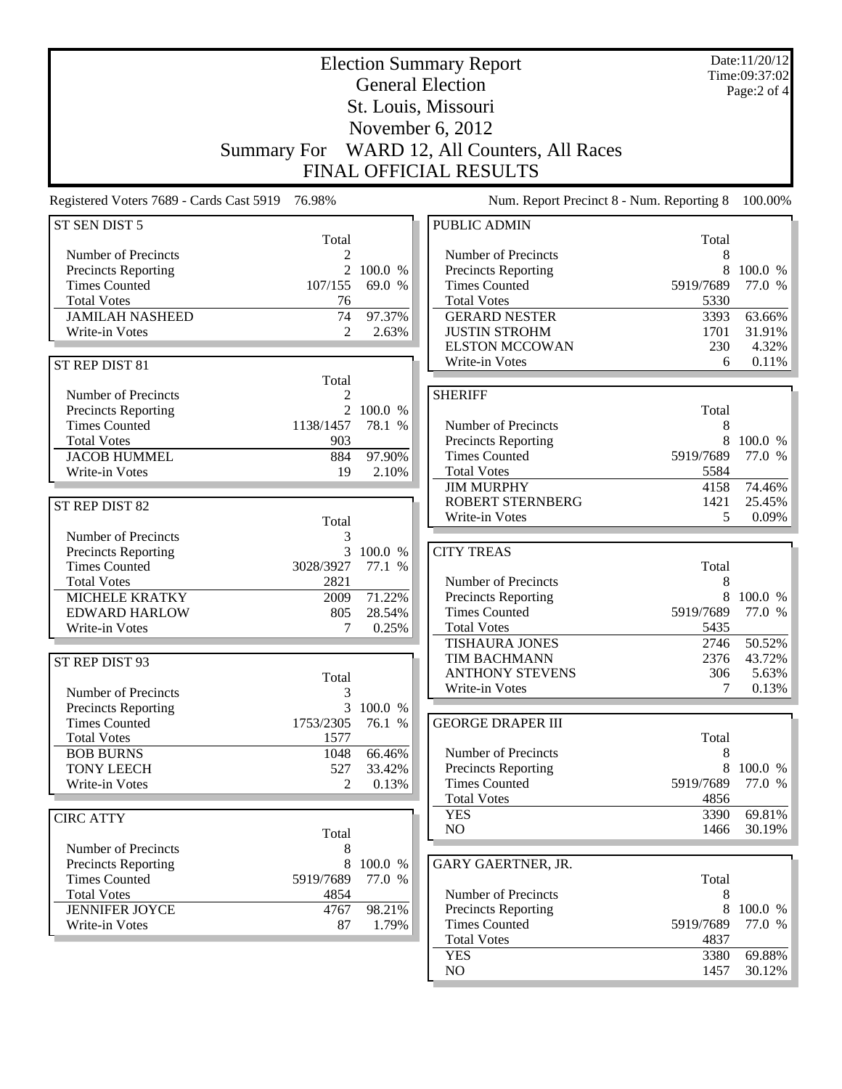|                                                 | <b>Election Summary Report</b> |                         |                                                    |                   |                                   |  |  |  |
|-------------------------------------------------|--------------------------------|-------------------------|----------------------------------------------------|-------------------|-----------------------------------|--|--|--|
|                                                 |                                | <b>General Election</b> |                                                    |                   | Time:09:37:02<br>Page: $2$ of $4$ |  |  |  |
|                                                 |                                |                         | St. Louis, Missouri                                |                   |                                   |  |  |  |
|                                                 |                                |                         | November 6, 2012                                   |                   |                                   |  |  |  |
| <b>Summary For</b>                              |                                |                         | WARD 12, All Counters, All Races                   |                   |                                   |  |  |  |
|                                                 | FINAL OFFICIAL RESULTS         |                         |                                                    |                   |                                   |  |  |  |
| Registered Voters 7689 - Cards Cast 5919 76.98% |                                |                         | Num. Report Precinct 8 - Num. Reporting 8          |                   | 100.00%                           |  |  |  |
| ST SEN DIST 5                                   |                                |                         | <b>PUBLIC ADMIN</b>                                |                   |                                   |  |  |  |
|                                                 | Total                          |                         |                                                    | Total             |                                   |  |  |  |
| Number of Precincts                             | $\mathfrak{D}$                 |                         | Number of Precincts                                | 8                 |                                   |  |  |  |
| Precincts Reporting                             | $\overline{2}$                 | 100.0 %                 | <b>Precincts Reporting</b>                         | 8                 | 100.0 %                           |  |  |  |
| <b>Times Counted</b><br><b>Total Votes</b>      | 107/155                        | 69.0 %                  | <b>Times Counted</b><br><b>Total Votes</b>         | 5919/7689<br>5330 | 77.0 %                            |  |  |  |
| <b>JAMILAH NASHEED</b>                          | 76<br>74                       | 97.37%                  | <b>GERARD NESTER</b>                               | 3393              | 63.66%                            |  |  |  |
| Write-in Votes                                  | 2                              | 2.63%                   | <b>JUSTIN STROHM</b>                               | 1701              | 31.91%                            |  |  |  |
|                                                 |                                |                         | <b>ELSTON MCCOWAN</b>                              | 230               | 4.32%                             |  |  |  |
| ST REP DIST 81                                  |                                |                         | Write-in Votes                                     | 6                 | 0.11%                             |  |  |  |
|                                                 | Total                          |                         |                                                    |                   |                                   |  |  |  |
| Number of Precincts                             | 2                              |                         | <b>SHERIFF</b>                                     |                   |                                   |  |  |  |
| <b>Precincts Reporting</b>                      | $\overline{2}$                 | 100.0 %                 |                                                    | Total             |                                   |  |  |  |
| <b>Times Counted</b>                            | 1138/1457                      | 78.1 %                  | Number of Precincts                                | 8                 |                                   |  |  |  |
| <b>Total Votes</b>                              | 903                            |                         | Precincts Reporting                                | 8                 | 100.0 %                           |  |  |  |
| <b>JACOB HUMMEL</b>                             | 884                            | 97.90%                  | <b>Times Counted</b>                               | 5919/7689         | 77.0 %                            |  |  |  |
| Write-in Votes                                  | 19                             | 2.10%                   | <b>Total Votes</b>                                 | 5584              |                                   |  |  |  |
|                                                 |                                |                         | <b>JIM MURPHY</b>                                  | 4158              | 74.46%                            |  |  |  |
| ST REP DIST 82                                  |                                |                         | <b>ROBERT STERNBERG</b>                            | 1421              | 25.45%                            |  |  |  |
|                                                 | Total                          |                         | Write-in Votes                                     | 5                 | 0.09%                             |  |  |  |
| Number of Precincts                             | 3                              |                         |                                                    |                   |                                   |  |  |  |
| Precincts Reporting                             |                                | 3 100.0 %               | <b>CITY TREAS</b>                                  |                   |                                   |  |  |  |
| <b>Times Counted</b>                            | 3028/3927                      | 77.1 %                  |                                                    | Total             |                                   |  |  |  |
| <b>Total Votes</b>                              | 2821                           |                         | Number of Precincts                                | 8                 |                                   |  |  |  |
| <b>MICHELE KRATKY</b>                           | 2009                           | 71.22%                  | <b>Precincts Reporting</b><br><b>Times Counted</b> | 5919/7689         | 100.0 %<br>77.0 %                 |  |  |  |
| <b>EDWARD HARLOW</b><br>Write-in Votes          | 805<br>7                       | 28.54%<br>0.25%         | <b>Total Votes</b>                                 | 5435              |                                   |  |  |  |
|                                                 |                                |                         | <b>TISHAURA JONES</b>                              | 2746              | 50.52%                            |  |  |  |
|                                                 |                                |                         | <b>TIM BACHMANN</b>                                | 2376              | 43.72%                            |  |  |  |
| ST REP DIST 93                                  | Total                          |                         | <b>ANTHONY STEVENS</b>                             | 306               | 5.63%                             |  |  |  |
| Number of Precincts                             |                                |                         | Write-in Votes                                     | 7                 | 0.13%                             |  |  |  |
| <b>Precincts Reporting</b>                      | $\overline{3}$                 | 100.0 %                 |                                                    |                   |                                   |  |  |  |
| <b>Times Counted</b>                            | 1753/2305                      | 76.1 %                  | <b>GEORGE DRAPER III</b>                           |                   |                                   |  |  |  |
| <b>Total Votes</b>                              | 1577                           |                         |                                                    | Total             |                                   |  |  |  |
| <b>BOB BURNS</b>                                | 1048                           | 66.46%                  | Number of Precincts                                | 8                 |                                   |  |  |  |
| <b>TONY LEECH</b>                               | 527                            | 33.42%                  | Precincts Reporting                                | 8                 | 100.0 %                           |  |  |  |
| Write-in Votes                                  | 2                              | 0.13%                   | <b>Times Counted</b>                               | 5919/7689         | 77.0 %                            |  |  |  |
|                                                 |                                |                         | <b>Total Votes</b>                                 | 4856              |                                   |  |  |  |
| <b>CIRC ATTY</b>                                |                                |                         | <b>YES</b>                                         | 3390              | 69.81%                            |  |  |  |
|                                                 | Total                          |                         | $\rm NO$                                           | 1466              | 30.19%                            |  |  |  |
| Number of Precincts                             | 8                              |                         |                                                    |                   |                                   |  |  |  |
| Precincts Reporting                             | 8                              | 100.0 %                 | GARY GAERTNER, JR.                                 |                   |                                   |  |  |  |
| <b>Times Counted</b>                            | 5919/7689                      | 77.0 %                  |                                                    | Total             |                                   |  |  |  |
| <b>Total Votes</b>                              | 4854                           |                         | Number of Precincts                                | 8                 |                                   |  |  |  |
| <b>JENNIFER JOYCE</b>                           | 4767                           | 98.21%                  | Precincts Reporting                                | 8                 | 100.0 %                           |  |  |  |
| Write-in Votes                                  | 87                             | 1.79%                   | <b>Times Counted</b>                               | 5919/7689         | 77.0 %                            |  |  |  |
|                                                 |                                |                         | <b>Total Votes</b>                                 | 4837              |                                   |  |  |  |
|                                                 |                                |                         | <b>YES</b><br>NO                                   | 3380<br>1457      | 69.88%                            |  |  |  |
|                                                 |                                |                         |                                                    |                   | 30.12%                            |  |  |  |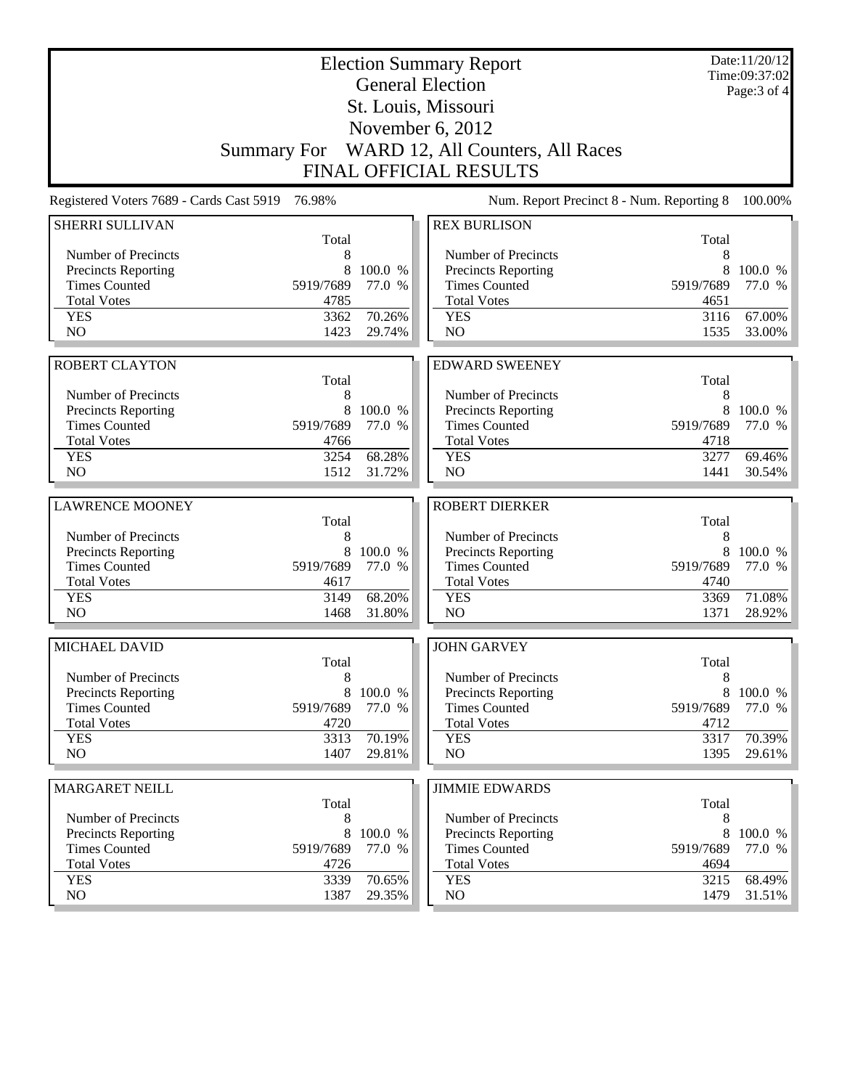|                                                    |                   |                   | <b>Election Summary Report</b><br><b>General Election</b> |                   | Date:11/20/12<br>Time:09:37:02 |
|----------------------------------------------------|-------------------|-------------------|-----------------------------------------------------------|-------------------|--------------------------------|
|                                                    |                   |                   | St. Louis, Missouri                                       |                   | Page: 3 of 4                   |
|                                                    |                   |                   | November 6, 2012                                          |                   |                                |
|                                                    |                   |                   | Summary For WARD 12, All Counters, All Races              |                   |                                |
|                                                    |                   |                   | <b>FINAL OFFICIAL RESULTS</b>                             |                   |                                |
|                                                    |                   |                   |                                                           |                   |                                |
| Registered Voters 7689 - Cards Cast 5919           | 76.98%            |                   | Num. Report Precinct 8 - Num. Reporting 8                 |                   | 100.00%                        |
| <b>SHERRI SULLIVAN</b>                             | Total             |                   | <b>REX BURLISON</b>                                       | Total             |                                |
| Number of Precincts                                | 8                 |                   | Number of Precincts                                       | 8                 |                                |
| <b>Precincts Reporting</b>                         | 8                 | 100.0 %           | <b>Precincts Reporting</b>                                | 8                 | 100.0 %                        |
| <b>Times Counted</b>                               | 5919/7689         | 77.0 %            | <b>Times Counted</b>                                      | 5919/7689         | 77.0 %                         |
| <b>Total Votes</b>                                 | 4785              |                   | <b>Total Votes</b>                                        | 4651              |                                |
| <b>YES</b>                                         | 3362              | 70.26%            | <b>YES</b>                                                | 3116              | 67.00%                         |
| NO                                                 | 1423              | 29.74%            | NO                                                        | 1535              | 33.00%                         |
|                                                    |                   |                   |                                                           |                   |                                |
| <b>ROBERT CLAYTON</b>                              |                   |                   | <b>EDWARD SWEENEY</b>                                     |                   |                                |
|                                                    | Total             |                   |                                                           | Total             |                                |
| Number of Precincts                                | 8                 |                   | Number of Precincts                                       | 8                 |                                |
| Precincts Reporting                                | 8                 | 100.0 %           | Precincts Reporting                                       | 8                 | 100.0 %                        |
| <b>Times Counted</b>                               | 5919/7689         | 77.0 %            | <b>Times Counted</b>                                      | 5919/7689         | 77.0 %                         |
| <b>Total Votes</b>                                 | 4766              |                   | <b>Total Votes</b>                                        | 4718              |                                |
| <b>YES</b><br>NO                                   | 3254              | 68.28%            | <b>YES</b><br>NO                                          | 3277              | 69.46%                         |
|                                                    | 1512              | 31.72%            |                                                           | 1441              | 30.54%                         |
| <b>LAWRENCE MOONEY</b>                             |                   |                   | <b>ROBERT DIERKER</b>                                     |                   |                                |
|                                                    | Total             |                   |                                                           | Total             |                                |
| Number of Precincts                                | 8                 |                   | Number of Precincts                                       | 8                 |                                |
| <b>Precincts Reporting</b>                         | 8                 | 100.0 %           | Precincts Reporting                                       | 8                 | 100.0 %                        |
| <b>Times Counted</b>                               | 5919/7689         | 77.0 %            | <b>Times Counted</b>                                      | 5919/7689         | 77.0 %                         |
| <b>Total Votes</b>                                 | 4617              |                   | <b>Total Votes</b>                                        | 4740              |                                |
| <b>YES</b>                                         | 3149              | 68.20%            | <b>YES</b>                                                | 3369              | 71.08%                         |
| N <sub>O</sub>                                     | 1468              | 31.80%            | NO                                                        | 1371              | 28.92%                         |
|                                                    |                   |                   |                                                           |                   |                                |
| MICHAEL DAVID                                      |                   |                   | <b>JOHN GARVEY</b>                                        |                   |                                |
|                                                    | Total             |                   |                                                           | Total             |                                |
| Number of Precincts                                | 8                 |                   | Number of Precincts                                       | 8                 |                                |
| <b>Precincts Reporting</b><br><b>Times Counted</b> | 8<br>5919/7689    | 100.0 %<br>77.0 % | <b>Precincts Reporting</b><br><b>Times Counted</b>        | 8<br>5919/7689    | 100.0 %<br>77.0 %              |
| <b>Total Votes</b>                                 | 4720              |                   | <b>Total Votes</b>                                        | 4712              |                                |
| <b>YES</b>                                         | 3313              | 70.19%            | <b>YES</b>                                                | 3317              | 70.39%                         |
| NO                                                 | 1407              | 29.81%            | NO                                                        | 1395              | 29.61%                         |
|                                                    |                   |                   |                                                           |                   |                                |
| <b>MARGARET NEILL</b>                              |                   |                   | <b>JIMMIE EDWARDS</b>                                     |                   |                                |
|                                                    | Total             |                   |                                                           | Total             |                                |
| Number of Precincts                                | 8                 |                   | Number of Precincts                                       | 8                 |                                |
| Precincts Reporting                                | 8                 | 100.0 %           | <b>Precincts Reporting</b>                                | 8                 | 100.0 %                        |
| <b>Times Counted</b><br><b>Total Votes</b>         | 5919/7689<br>4726 | 77.0 %            | <b>Times Counted</b><br><b>Total Votes</b>                | 5919/7689<br>4694 | 77.0 %                         |
| <b>YES</b>                                         | 3339              | 70.65%            | <b>YES</b>                                                | 3215              | 68.49%                         |
| NO                                                 | 1387              | 29.35%            | NO                                                        | 1479              | 31.51%                         |
|                                                    |                   |                   |                                                           |                   |                                |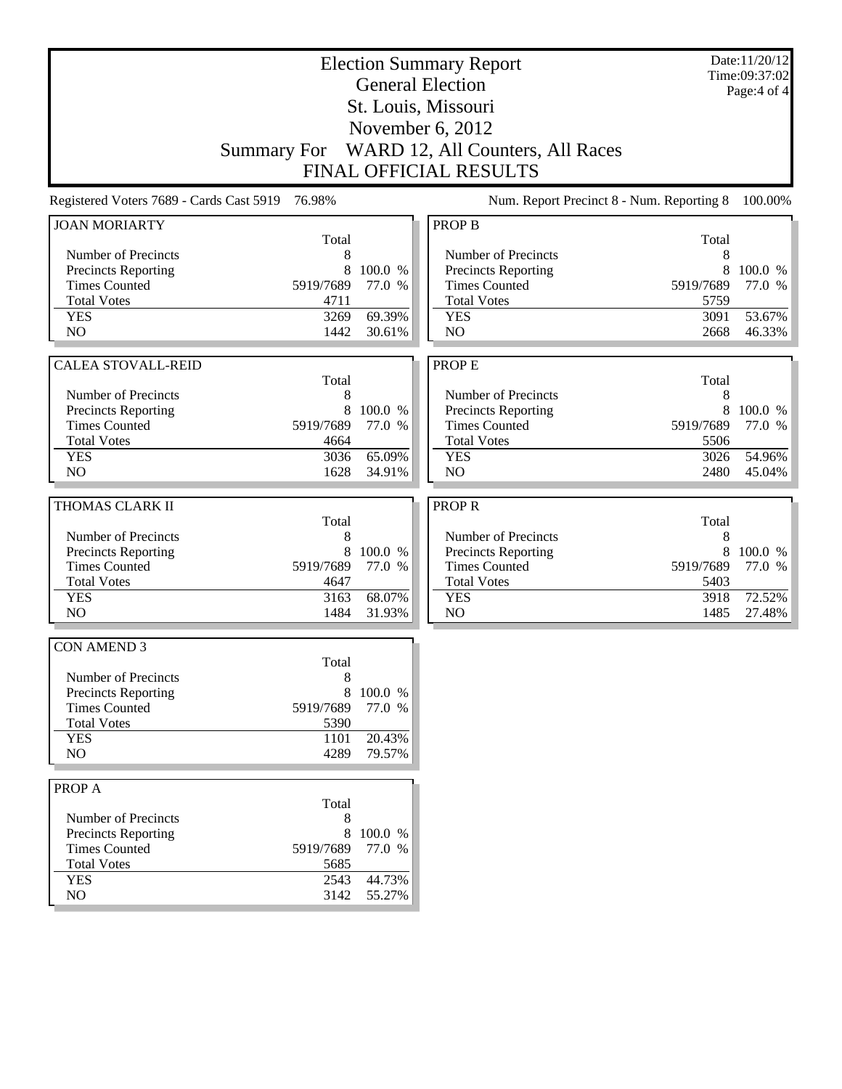|                                                    | <b>Election Summary Report</b><br><b>General Election</b> |                   |                                              |              |                  |
|----------------------------------------------------|-----------------------------------------------------------|-------------------|----------------------------------------------|--------------|------------------|
|                                                    |                                                           |                   |                                              |              | Page: $4$ of $4$ |
|                                                    |                                                           |                   | St. Louis, Missouri                          |              |                  |
|                                                    |                                                           |                   | November 6, 2012                             |              |                  |
|                                                    |                                                           |                   | Summary For WARD 12, All Counters, All Races |              |                  |
|                                                    |                                                           |                   | <b>FINAL OFFICIAL RESULTS</b>                |              |                  |
| Registered Voters 7689 - Cards Cast 5919 76.98%    |                                                           |                   | Num. Report Precinct 8 - Num. Reporting 8    |              | 100.00%          |
| <b>JOAN MORIARTY</b>                               |                                                           |                   | <b>PROP B</b>                                |              |                  |
|                                                    | Total                                                     |                   |                                              | Total        |                  |
| Number of Precincts<br>Precincts Reporting         | 8<br>8                                                    | 100.0 %           | Number of Precincts<br>Precincts Reporting   | 8<br>8       | 100.0 %          |
| <b>Times Counted</b>                               | 5919/7689                                                 | 77.0 %            | <b>Times Counted</b>                         | 5919/7689    | 77.0 %           |
| <b>Total Votes</b>                                 | 4711                                                      |                   | <b>Total Votes</b>                           | 5759         |                  |
| <b>YES</b>                                         | 3269                                                      | 69.39%            | <b>YES</b>                                   | 3091         | 53.67%           |
| N <sub>O</sub>                                     | 1442                                                      | 30.61%            | N <sub>O</sub>                               | 2668         | 46.33%           |
|                                                    |                                                           |                   |                                              |              |                  |
| <b>CALEA STOVALL-REID</b>                          |                                                           |                   | <b>PROPE</b>                                 |              |                  |
|                                                    | Total                                                     |                   |                                              | Total        |                  |
| Number of Precincts                                | 8                                                         |                   | Number of Precincts                          | $\,8\,$      |                  |
| Precincts Reporting                                | 8                                                         | 100.0 %           | Precincts Reporting                          | 8            | 100.0 %          |
| <b>Times Counted</b>                               | 5919/7689                                                 | 77.0 %            | <b>Times Counted</b>                         | 5919/7689    | 77.0 %           |
| <b>Total Votes</b><br><b>YES</b>                   | 4664<br>3036                                              | 65.09%            | <b>Total Votes</b><br><b>YES</b>             | 5506<br>3026 | 54.96%           |
| NO                                                 | 1628                                                      | 34.91%            | N <sub>O</sub>                               | 2480         | 45.04%           |
|                                                    |                                                           |                   |                                              |              |                  |
| THOMAS CLARK II                                    |                                                           |                   | <b>PROPR</b>                                 |              |                  |
|                                                    | Total                                                     |                   |                                              | Total        |                  |
| Number of Precincts                                | 8                                                         |                   | Number of Precincts                          | 8            |                  |
| Precincts Reporting                                | 8                                                         | 100.0 %           | Precincts Reporting                          | 8            | 100.0 %          |
| <b>Times Counted</b>                               | 5919/7689                                                 | 77.0 %            | <b>Times Counted</b>                         | 5919/7689    | 77.0 %           |
| <b>Total Votes</b>                                 | 4647                                                      |                   | <b>Total Votes</b>                           | 5403         |                  |
| <b>YES</b>                                         | 3163                                                      | 68.07%            | <b>YES</b>                                   | 3918         | 72.52%           |
| N <sub>O</sub>                                     | 1484                                                      | 31.93%            | N <sub>O</sub>                               | 1485         | 27.48%           |
| <b>CON AMEND 3</b>                                 |                                                           |                   |                                              |              |                  |
|                                                    | Total                                                     |                   |                                              |              |                  |
| Number of Precincts                                | 8                                                         |                   |                                              |              |                  |
| Precincts Reporting                                | 8                                                         | 100.0 %           |                                              |              |                  |
| <b>Times Counted</b>                               | 5919/7689                                                 | 77.0 %            |                                              |              |                  |
| <b>Total Votes</b>                                 | 5390                                                      |                   |                                              |              |                  |
| <b>YES</b>                                         | 1101                                                      | 20.43%            |                                              |              |                  |
| NO                                                 | 4289                                                      | 79.57%            |                                              |              |                  |
| PROP A                                             |                                                           |                   |                                              |              |                  |
|                                                    | Total                                                     |                   |                                              |              |                  |
| Number of Precincts                                | 8                                                         |                   |                                              |              |                  |
| <b>Precincts Reporting</b><br><b>Times Counted</b> | 8<br>5919/7689                                            | 100.0 %<br>77.0 % |                                              |              |                  |
| <b>Total Votes</b>                                 | 5685                                                      |                   |                                              |              |                  |
| <b>YES</b>                                         | 2543                                                      | 44.73%            |                                              |              |                  |
| NO                                                 | 3142                                                      | 55.27%            |                                              |              |                  |
|                                                    |                                                           |                   |                                              |              |                  |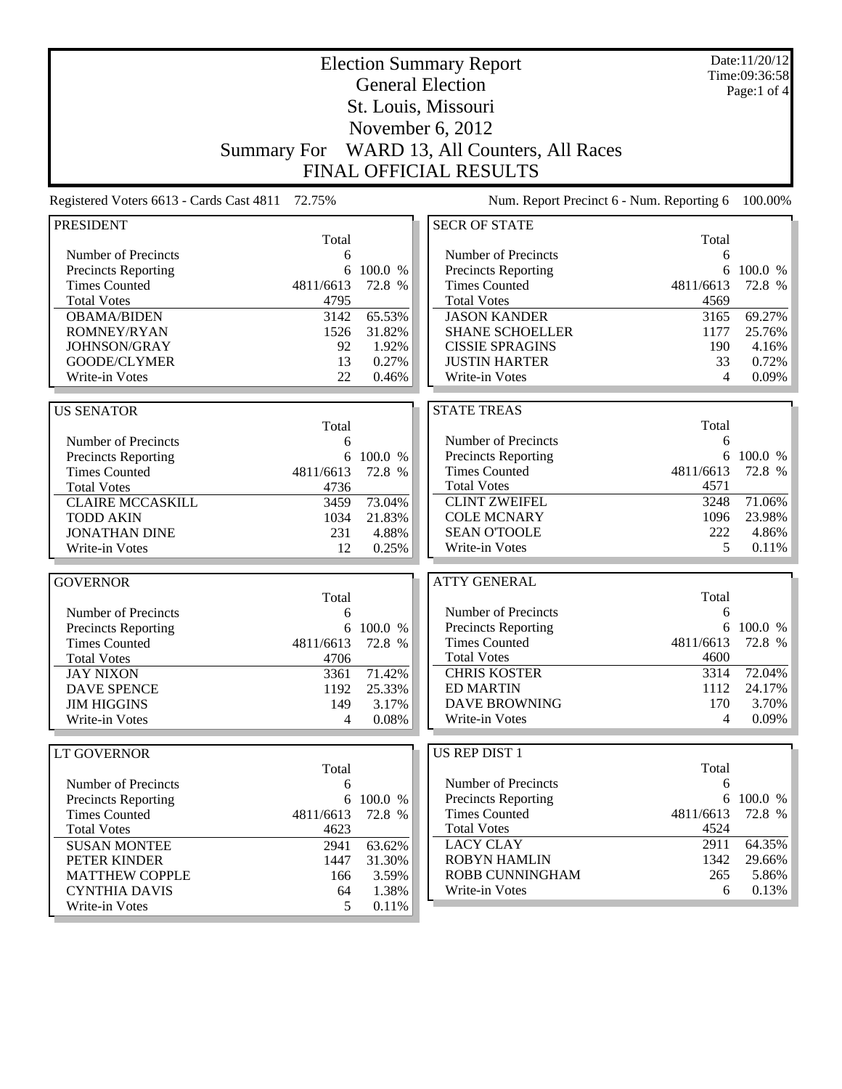| <b>Election Summary Report</b>           |                    |           |                                           |           | Date:11/20/12<br>Time:09:36:58 |
|------------------------------------------|--------------------|-----------|-------------------------------------------|-----------|--------------------------------|
|                                          |                    |           | <b>General Election</b>                   |           | Page:1 of 4                    |
|                                          |                    |           | St. Louis, Missouri                       |           |                                |
|                                          |                    |           |                                           |           |                                |
|                                          |                    |           | November 6, 2012                          |           |                                |
|                                          | <b>Summary For</b> |           | WARD 13, All Counters, All Races          |           |                                |
|                                          |                    |           | <b>FINAL OFFICIAL RESULTS</b>             |           |                                |
| Registered Voters 6613 - Cards Cast 4811 | 72.75%             |           | Num. Report Precinct 6 - Num. Reporting 6 |           | 100.00%                        |
| <b>PRESIDENT</b>                         |                    |           | <b>SECR OF STATE</b>                      |           |                                |
|                                          | Total              |           |                                           | Total     |                                |
| Number of Precincts                      | 6                  |           | Number of Precincts                       | 6         |                                |
| <b>Precincts Reporting</b>               | 6                  | 100.0 %   | <b>Precincts Reporting</b>                | 6         | 100.0 %                        |
| <b>Times Counted</b>                     | 4811/6613          | 72.8 %    | <b>Times Counted</b>                      | 4811/6613 | 72.8 %                         |
| <b>Total Votes</b>                       | 4795               |           | <b>Total Votes</b>                        | 4569      |                                |
| <b>OBAMA/BIDEN</b>                       | 3142               | 65.53%    | <b>JASON KANDER</b>                       | 3165      | 69.27%                         |
| ROMNEY/RYAN                              | 1526               | 31.82%    | <b>SHANE SCHOELLER</b>                    | 1177      | 25.76%                         |
| JOHNSON/GRAY                             | 92                 | 1.92%     | <b>CISSIE SPRAGINS</b>                    | 190       | 4.16%                          |
| GOODE/CLYMER                             | 13                 | 0.27%     | <b>JUSTIN HARTER</b>                      | 33        | 0.72%                          |
| Write-in Votes                           | 22                 | 0.46%     | Write-in Votes                            | 4         | 0.09%                          |
| <b>US SENATOR</b>                        |                    |           | <b>STATE TREAS</b>                        |           |                                |
|                                          | Total              |           |                                           | Total     |                                |
| Number of Precincts                      | 6                  |           | Number of Precincts                       | 6         |                                |
| Precincts Reporting                      |                    | 6 100.0 % | Precincts Reporting                       | 6         | 100.0 %                        |
| <b>Times Counted</b>                     | 4811/6613          | 72.8 %    | <b>Times Counted</b>                      | 4811/6613 | 72.8 %                         |
| <b>Total Votes</b>                       | 4736               |           | <b>Total Votes</b>                        | 4571      |                                |
| <b>CLAIRE MCCASKILL</b>                  | 3459               | 73.04%    | <b>CLINT ZWEIFEL</b>                      | 3248      | 71.06%                         |
| <b>TODD AKIN</b>                         | 1034               | 21.83%    | <b>COLE MCNARY</b>                        | 1096      | 23.98%                         |
| <b>JONATHAN DINE</b>                     | 231                | 4.88%     | <b>SEAN O'TOOLE</b>                       | 222       | 4.86%                          |
| Write-in Votes                           | 12                 | 0.25%     | Write-in Votes                            | 5         | $0.11\%$                       |
|                                          |                    |           |                                           |           |                                |
| <b>GOVERNOR</b>                          |                    |           | <b>ATTY GENERAL</b>                       |           |                                |
|                                          | Total              |           |                                           | Total     |                                |
| Number of Precincts                      | 6                  |           | Number of Precincts                       | 6         |                                |
| <b>Precincts Reporting</b>               | 6                  | 100.0 %   | <b>Precincts Reporting</b>                |           | 6 100.0 %                      |
| <b>Times Counted</b>                     | 4811/6613          | 72.8 %    | <b>Times Counted</b>                      | 4811/6613 | 72.8 %                         |
| <b>Total Votes</b>                       | 4706               |           | <b>Total Votes</b>                        | 4600      |                                |
| <b>JAY NIXON</b>                         | 3361               | 71.42%    | <b>CHRIS KOSTER</b>                       | 3314      | 72.04%                         |
| <b>DAVE SPENCE</b>                       | 1192               | 25.33%    | <b>ED MARTIN</b>                          | 1112      | 24.17%                         |
| <b>JIM HIGGINS</b>                       | 149                | 3.17%     | <b>DAVE BROWNING</b>                      | 170       | 3.70%                          |
| Write-in Votes                           | 4                  | 0.08%     | Write-in Votes                            | 4         | $0.09\%$                       |
| <b>LT GOVERNOR</b>                       |                    |           | <b>US REP DIST 1</b>                      |           |                                |
|                                          | Total              |           |                                           | Total     |                                |
| Number of Precincts                      | 6                  |           | Number of Precincts                       | 6         |                                |
| <b>Precincts Reporting</b>               |                    | 6 100.0 % | <b>Precincts Reporting</b>                |           | 6 100.0 %                      |
| <b>Times Counted</b>                     | 4811/6613          | 72.8 %    | <b>Times Counted</b>                      | 4811/6613 | 72.8 %                         |
| <b>Total Votes</b>                       | 4623               |           | <b>Total Votes</b>                        | 4524      |                                |
| <b>SUSAN MONTEE</b>                      | 2941               | 63.62%    | <b>LACY CLAY</b>                          | 2911      | 64.35%                         |
| PETER KINDER                             | 1447               | 31.30%    | <b>ROBYN HAMLIN</b>                       | 1342      | 29.66%                         |
| <b>MATTHEW COPPLE</b>                    | 166                | 3.59%     | ROBB CUNNINGHAM                           | 265       | 5.86%                          |
| <b>CYNTHIA DAVIS</b>                     | 64                 | 1.38%     | Write-in Votes                            | 6         | 0.13%                          |
| Write-in Votes                           | 5                  | 0.11%     |                                           |           |                                |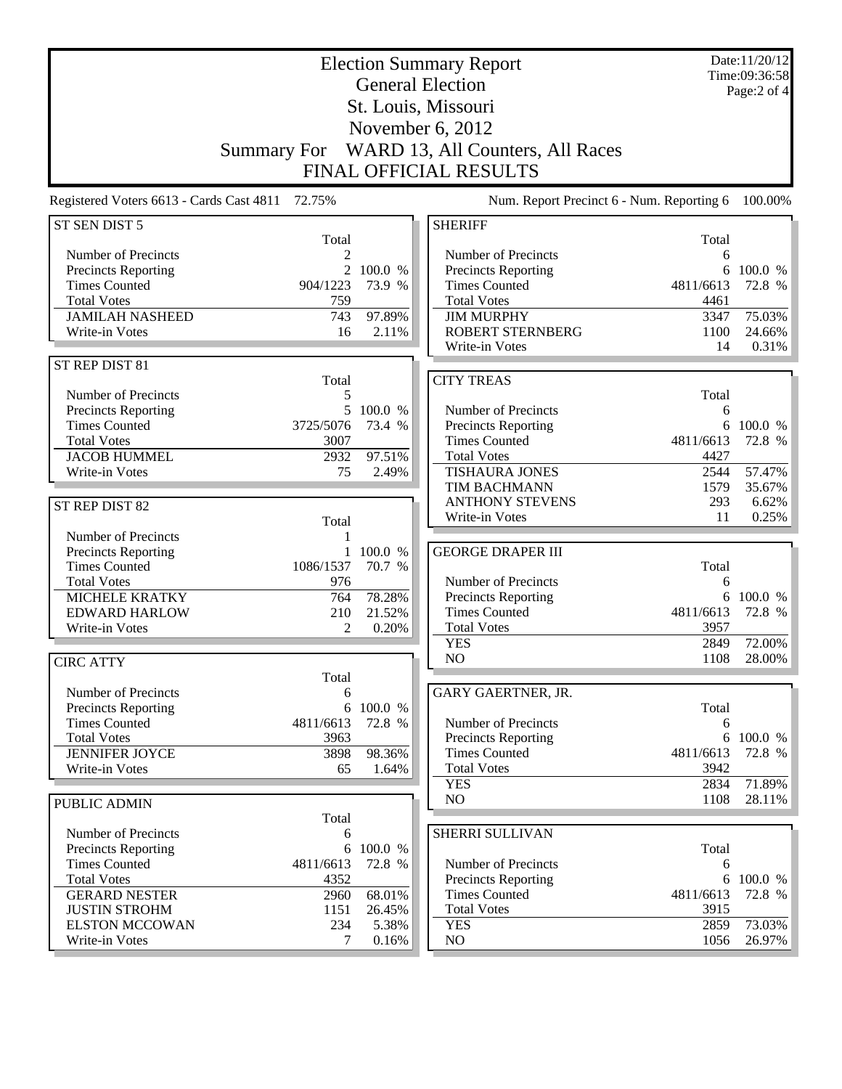| <b>Election Summary Report</b><br><b>General Election</b> |                         |                   |                                                   |              | Date:11/20/12<br>Time:09:36:58 |
|-----------------------------------------------------------|-------------------------|-------------------|---------------------------------------------------|--------------|--------------------------------|
|                                                           |                         |                   |                                                   |              | Page:2 of 4                    |
|                                                           |                         |                   | St. Louis, Missouri                               |              |                                |
|                                                           |                         |                   | November 6, 2012                                  |              |                                |
|                                                           | <b>Summary For</b>      |                   | WARD 13, All Counters, All Races                  |              |                                |
|                                                           |                         |                   |                                                   |              |                                |
|                                                           |                         |                   | FINAL OFFICIAL RESULTS                            |              |                                |
| Registered Voters 6613 - Cards Cast 4811 72.75%           |                         |                   | Num. Report Precinct 6 - Num. Reporting 6         |              | 100.00%                        |
| ST SEN DIST 5                                             |                         |                   | <b>SHERIFF</b>                                    |              |                                |
| Number of Precincts                                       | Total<br>$\overline{c}$ |                   | Number of Precincts                               | Total<br>6   |                                |
| Precincts Reporting                                       | $\overline{2}$          | 100.0 %           | Precincts Reporting                               |              | 6 100.0 %                      |
| <b>Times Counted</b>                                      | 904/1223                | 73.9 %            | <b>Times Counted</b>                              | 4811/6613    | 72.8 %                         |
| <b>Total Votes</b>                                        | 759                     |                   | <b>Total Votes</b>                                | 4461         |                                |
| <b>JAMILAH NASHEED</b>                                    | 743                     | 97.89%            | <b>JIM MURPHY</b>                                 | 3347         | 75.03%                         |
| Write-in Votes                                            | 16                      | 2.11%             | <b>ROBERT STERNBERG</b>                           | 1100         | 24.66%                         |
|                                                           |                         |                   | Write-in Votes                                    | 14           | 0.31%                          |
| ST REP DIST 81                                            |                         |                   |                                                   |              |                                |
|                                                           | Total                   |                   | <b>CITY TREAS</b>                                 |              |                                |
| Number of Precincts                                       | 5                       |                   |                                                   | Total        |                                |
| Precincts Reporting<br><b>Times Counted</b>               | 5<br>3725/5076          | 100.0 %<br>73.4 % | Number of Precincts                               | 6            | 6 100.0 %                      |
| <b>Total Votes</b>                                        | 3007                    |                   | Precincts Reporting<br><b>Times Counted</b>       | 4811/6613    | 72.8 %                         |
| <b>JACOB HUMMEL</b>                                       | 2932                    | 97.51%            | <b>Total Votes</b>                                | 4427         |                                |
| Write-in Votes                                            | 75                      | 2.49%             | <b>TISHAURA JONES</b>                             | 2544         | 57.47%                         |
|                                                           |                         |                   | TIM BACHMANN                                      | 1579         | 35.67%                         |
| ST REP DIST 82                                            |                         |                   | <b>ANTHONY STEVENS</b>                            | 293          | 6.62%                          |
|                                                           | Total                   |                   | Write-in Votes                                    | 11           | 0.25%                          |
| Number of Precincts                                       | 1                       |                   |                                                   |              |                                |
| Precincts Reporting                                       |                         | 1 100.0 %         | <b>GEORGE DRAPER III</b>                          |              |                                |
| <b>Times Counted</b>                                      | 1086/1537               | 70.7 %            |                                                   | Total        |                                |
| <b>Total Votes</b>                                        | 976                     |                   | Number of Precincts                               | 6            |                                |
| <b>MICHELE KRATKY</b>                                     | 764                     | 78.28%            | Precincts Reporting                               |              | 6 100.0 %                      |
| <b>EDWARD HARLOW</b>                                      | 210                     | 21.52%            | <b>Times Counted</b>                              | 4811/6613    | 72.8 %                         |
| Write-in Votes                                            | 2                       | 0.20%             | <b>Total Votes</b><br><b>YES</b>                  | 3957<br>2849 | 72.00%                         |
|                                                           |                         |                   | NO                                                | 1108         | 28.00%                         |
| <b>CIRC ATTY</b>                                          | Total                   |                   |                                                   |              |                                |
| Number of Precincts                                       | 6                       |                   | <b>GARY GAERTNER, JR.</b>                         |              |                                |
| Precincts Reporting                                       | 6                       | 100.0 %           |                                                   | Total        |                                |
| <b>Times Counted</b>                                      | 4811/6613               | 72.8 %            | Number of Precincts                               | 6            |                                |
| <b>Total Votes</b>                                        | 3963                    |                   | Precincts Reporting                               |              | 6 100.0 %                      |
| <b>JENNIFER JOYCE</b>                                     | 3898                    | 98.36%            | <b>Times Counted</b>                              | 4811/6613    | 72.8 %                         |
| Write-in Votes                                            | 65                      | 1.64%             | <b>Total Votes</b>                                | 3942         |                                |
|                                                           |                         |                   | <b>YES</b>                                        | 2834         | 71.89%                         |
| <b>PUBLIC ADMIN</b>                                       |                         |                   | N <sub>O</sub>                                    | 1108         | 28.11%                         |
|                                                           | Total                   |                   |                                                   |              |                                |
| Number of Precincts                                       | 6                       |                   | <b>SHERRI SULLIVAN</b>                            |              |                                |
| Precincts Reporting                                       | 6                       | 100.0 %           |                                                   | Total        |                                |
| <b>Times Counted</b><br><b>Total Votes</b>                | 4811/6613<br>4352       | 72.8 %            | Number of Precincts<br><b>Precincts Reporting</b> | 6            | 6 100.0 %                      |
| <b>GERARD NESTER</b>                                      | 2960                    | 68.01%            | <b>Times Counted</b>                              | 4811/6613    | 72.8 %                         |
| <b>JUSTIN STROHM</b>                                      | 1151                    | 26.45%            | <b>Total Votes</b>                                | 3915         |                                |
| <b>ELSTON MCCOWAN</b>                                     | 234                     | 5.38%             | <b>YES</b>                                        | 2859         | 73.03%                         |
| Write-in Votes                                            | 7                       | 0.16%             | NO                                                | 1056         | 26.97%                         |
|                                                           |                         |                   |                                                   |              |                                |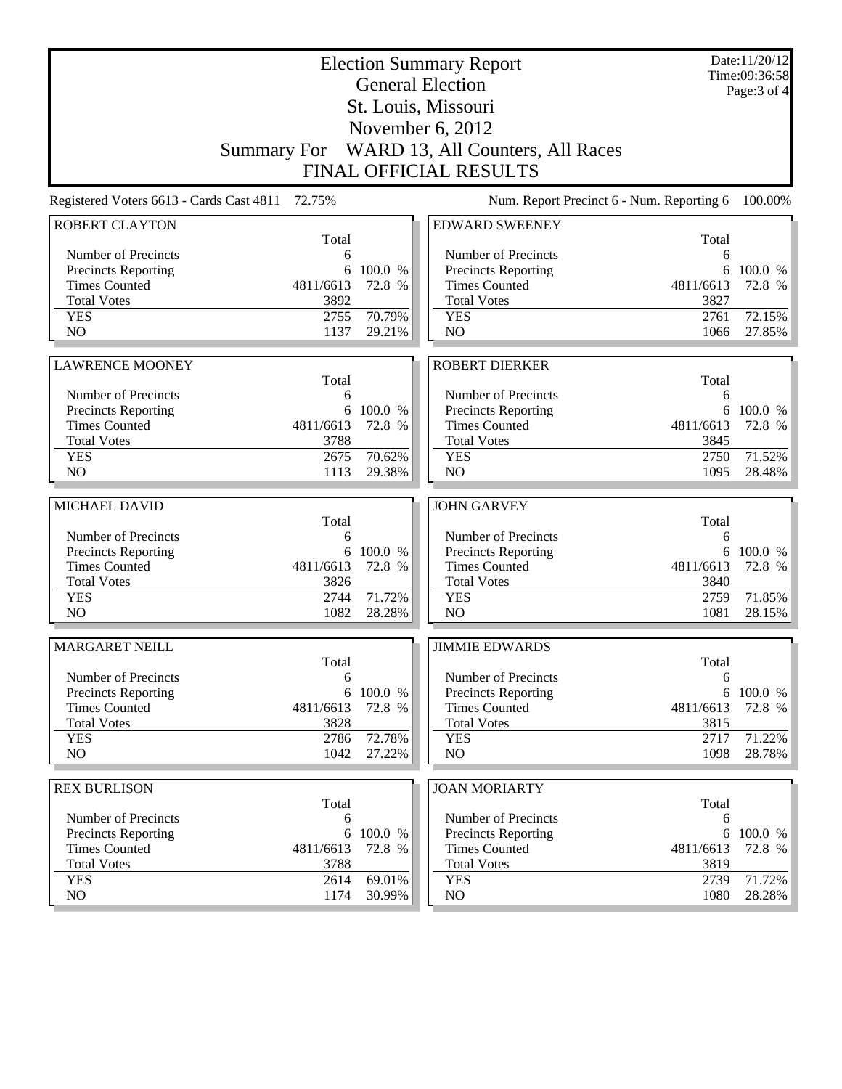|                                          |              |                  | <b>Election Summary Report</b><br><b>General Election</b> |              | Date:11/20/12<br>Time:09:36:58<br>Page: 3 of 4 |
|------------------------------------------|--------------|------------------|-----------------------------------------------------------|--------------|------------------------------------------------|
|                                          |              |                  | St. Louis, Missouri                                       |              |                                                |
|                                          |              |                  | November $6, 2012$                                        |              |                                                |
|                                          |              |                  | Summary For WARD 13, All Counters, All Races              |              |                                                |
|                                          |              |                  | <b>FINAL OFFICIAL RESULTS</b>                             |              |                                                |
|                                          |              |                  |                                                           |              |                                                |
| Registered Voters 6613 - Cards Cast 4811 | 72.75%       |                  | Num. Report Precinct 6 - Num. Reporting 6                 |              | 100.00%                                        |
| <b>ROBERT CLAYTON</b>                    | Total        |                  | <b>EDWARD SWEENEY</b>                                     | Total        |                                                |
| Number of Precincts                      | 6            |                  | Number of Precincts                                       | 6            |                                                |
| <b>Precincts Reporting</b>               | 6            | 100.0 %          | <b>Precincts Reporting</b>                                | 6            | 100.0 %                                        |
| <b>Times Counted</b>                     | 4811/6613    | 72.8 %           | <b>Times Counted</b>                                      | 4811/6613    | 72.8 %                                         |
| <b>Total Votes</b>                       | 3892         |                  | <b>Total Votes</b>                                        | 3827         |                                                |
| <b>YES</b>                               | 2755         | 70.79%           | <b>YES</b>                                                | 2761         | 72.15%                                         |
| NO                                       | 1137         | 29.21%           | NO                                                        | 1066         | 27.85%                                         |
|                                          |              |                  |                                                           |              |                                                |
| <b>LAWRENCE MOONEY</b>                   | Total        |                  | <b>ROBERT DIERKER</b>                                     | Total        |                                                |
| Number of Precincts                      | 6            |                  | Number of Precincts                                       | 6            |                                                |
| Precincts Reporting                      | 6            | 100.0 %          | Precincts Reporting                                       | 6            | 100.0 %                                        |
| <b>Times Counted</b>                     | 4811/6613    | 72.8 %           | <b>Times Counted</b>                                      | 4811/6613    | 72.8 %                                         |
| <b>Total Votes</b>                       | 3788         |                  | <b>Total Votes</b>                                        | 3845         |                                                |
| <b>YES</b>                               | 2675         | 70.62%           | <b>YES</b>                                                | 2750         | 71.52%                                         |
| N <sub>O</sub>                           | 1113         | 29.38%           | NO                                                        | 1095         | 28.48%                                         |
| MICHAEL DAVID                            |              |                  | <b>JOHN GARVEY</b>                                        |              |                                                |
|                                          | Total        |                  |                                                           | Total        |                                                |
| Number of Precincts                      | 6            |                  | Number of Precincts                                       | 6            |                                                |
| <b>Precincts Reporting</b>               |              | 6 100.0 %        | Precincts Reporting                                       | 6            | 100.0 %                                        |
| <b>Times Counted</b>                     | 4811/6613    | 72.8 %           | <b>Times Counted</b>                                      | 4811/6613    | 72.8 %                                         |
| <b>Total Votes</b>                       | 3826         |                  | <b>Total Votes</b>                                        | 3840         |                                                |
| <b>YES</b>                               | 2744         | 71.72%           | <b>YES</b>                                                | 2759         | 71.85%                                         |
| N <sub>O</sub>                           | 1082         | 28.28%           | NO                                                        | 1081         | 28.15%                                         |
| <b>MARGARET NEILL</b>                    |              |                  | <b>JIMMIE EDWARDS</b>                                     |              |                                                |
|                                          | Total        |                  |                                                           | Total        |                                                |
| Number of Precincts                      | 6            |                  | Number of Precincts                                       | 6            |                                                |
| <b>Precincts Reporting</b>               |              | 6 100.0 %        | <b>Precincts Reporting</b>                                | 6            | 100.0 %                                        |
| <b>Times Counted</b>                     | 4811/6613    | 72.8 %           | <b>Times Counted</b>                                      | 4811/6613    | 72.8 %                                         |
| <b>Total Votes</b>                       | 3828         |                  | <b>Total Votes</b>                                        | 3815         |                                                |
| <b>YES</b><br>NO                         | 2786<br>1042 | 72.78%<br>27.22% | <b>YES</b><br>NO                                          | 2717<br>1098 | 71.22%<br>28.78%                               |
|                                          |              |                  |                                                           |              |                                                |
| <b>REX BURLISON</b>                      |              |                  | <b>JOAN MORIARTY</b>                                      |              |                                                |
|                                          | Total        |                  |                                                           | Total        |                                                |
| Number of Precincts                      | 6            |                  | Number of Precincts                                       | 6            |                                                |
| <b>Precincts Reporting</b>               | 6            | 100.0 %          | Precincts Reporting                                       | 6            | 100.0 %                                        |
| <b>Times Counted</b>                     | 4811/6613    | 72.8 %           | <b>Times Counted</b>                                      | 4811/6613    | 72.8 %                                         |
| <b>Total Votes</b>                       | 3788         |                  | <b>Total Votes</b>                                        | 3819         |                                                |
| <b>YES</b><br>NO                         | 2614<br>1174 | 69.01%<br>30.99% | <b>YES</b><br>NO                                          | 2739<br>1080 | 71.72%<br>28.28%                               |
|                                          |              |                  |                                                           |              |                                                |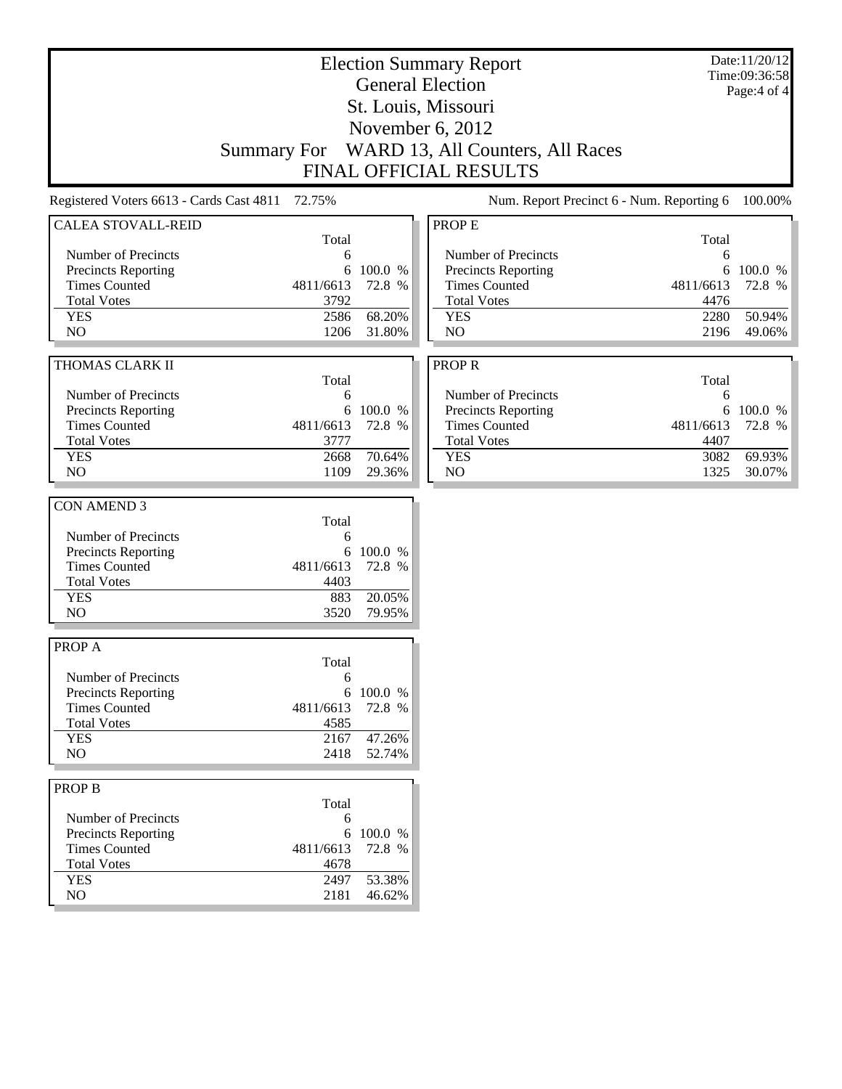|                                                                                                                                                |                                                      |                                         | <b>Election Summary Report</b><br><b>General Election</b><br>St. Louis, Missouri<br>November 6, 2012                         |                                                 | Date:11/20/12<br>Time:09:36:58<br>Page:4 of 4 |
|------------------------------------------------------------------------------------------------------------------------------------------------|------------------------------------------------------|-----------------------------------------|------------------------------------------------------------------------------------------------------------------------------|-------------------------------------------------|-----------------------------------------------|
|                                                                                                                                                | <b>Summary For</b>                                   |                                         | WARD 13, All Counters, All Races<br><b>FINAL OFFICIAL RESULTS</b>                                                            |                                                 |                                               |
| Registered Voters 6613 - Cards Cast 4811                                                                                                       | 72.75%                                               |                                         | Num. Report Precinct 6 - Num. Reporting 6                                                                                    |                                                 | 100.00%                                       |
| <b>CALEA STOVALL-REID</b><br>Number of Precincts<br><b>Precincts Reporting</b><br><b>Times Counted</b><br><b>Total Votes</b>                   | Total<br>6<br>6<br>4811/6613<br>3792                 | 100.0 %<br>72.8 %                       | PROP E<br>Number of Precincts<br>Precincts Reporting<br><b>Times Counted</b><br><b>Total Votes</b>                           | Total<br>6<br>4811/6613<br>4476                 | 6 100.0 %<br>72.8 %                           |
| <b>YES</b><br>NO                                                                                                                               | 2586<br>1206                                         | 68.20%<br>31.80%                        | <b>YES</b><br>N <sub>O</sub>                                                                                                 | 2280<br>2196                                    | 50.94%<br>49.06%                              |
| THOMAS CLARK II<br>Number of Precincts<br>Precincts Reporting<br><b>Times Counted</b><br><b>Total Votes</b><br><b>YES</b><br>NO                | Total<br>6<br>4811/6613<br>3777<br>2668<br>1109      | 6 100.0 %<br>72.8 %<br>70.64%<br>29.36% | <b>PROPR</b><br>Number of Precincts<br>Precincts Reporting<br><b>Times Counted</b><br><b>Total Votes</b><br><b>YES</b><br>NO | Total<br>6<br>4811/6613<br>4407<br>3082<br>1325 | 6 100.0 %<br>72.8 %<br>69.93%<br>30.07%       |
| <b>CON AMEND 3</b><br>Number of Precincts<br>Precincts Reporting<br><b>Times Counted</b><br><b>Total Votes</b><br><b>YES</b><br>N <sub>O</sub> | Total<br>6<br>6<br>4811/6613<br>4403<br>883<br>3520  | 100.0 %<br>72.8 %<br>20.05%<br>79.95%   |                                                                                                                              |                                                 |                                               |
| PROP A<br>Number of Precincts<br><b>Precincts Reporting</b><br><b>Times Counted</b><br><b>Total Votes</b><br><b>YES</b><br>NO                  | Total<br>6<br>4811/6613<br>4585<br>2167<br>2418      | 6 100.0 %<br>72.8 %<br>47.26%<br>52.74% |                                                                                                                              |                                                 |                                               |
| <b>PROP B</b><br>Number of Precincts<br><b>Precincts Reporting</b><br><b>Times Counted</b><br><b>Total Votes</b><br><b>YES</b><br>NO           | Total<br>6<br>6<br>4811/6613<br>4678<br>2497<br>2181 | 100.0 %<br>72.8 %<br>53.38%<br>46.62%   |                                                                                                                              |                                                 |                                               |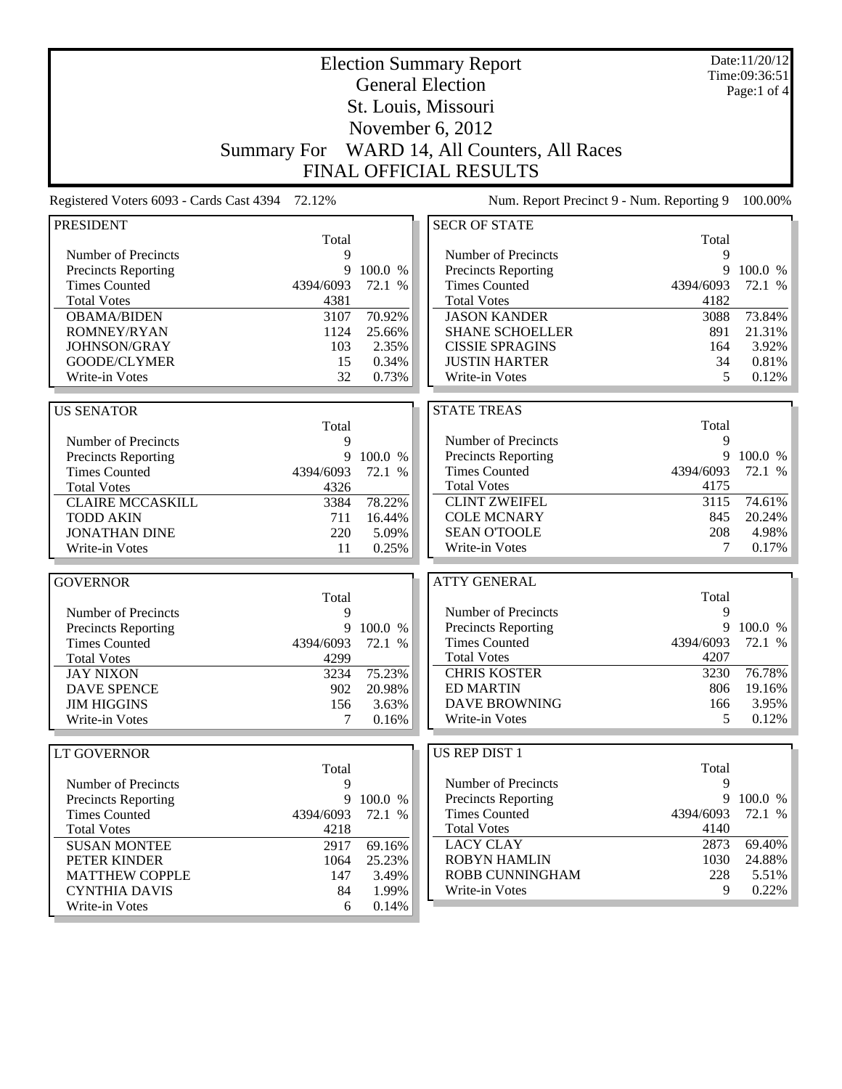| <b>Election Summary Report</b>           |                    |           |                                           |           | Date:11/20/12<br>Time:09:36:51 |
|------------------------------------------|--------------------|-----------|-------------------------------------------|-----------|--------------------------------|
|                                          |                    |           | <b>General Election</b>                   |           | Page:1 of $4$                  |
|                                          |                    |           | St. Louis, Missouri                       |           |                                |
|                                          |                    |           |                                           |           |                                |
|                                          |                    |           | November 6, 2012                          |           |                                |
|                                          | <b>Summary For</b> |           | WARD 14, All Counters, All Races          |           |                                |
|                                          |                    |           | <b>FINAL OFFICIAL RESULTS</b>             |           |                                |
| Registered Voters 6093 - Cards Cast 4394 | 72.12%             |           | Num. Report Precinct 9 - Num. Reporting 9 |           | 100.00%                        |
| <b>PRESIDENT</b>                         |                    |           | <b>SECR OF STATE</b>                      |           |                                |
|                                          | Total              |           |                                           | Total     |                                |
| Number of Precincts                      | 9                  |           | Number of Precincts                       | 9         |                                |
| <b>Precincts Reporting</b>               | 9                  | 100.0 %   | <b>Precincts Reporting</b>                | 9         | 100.0 %                        |
| <b>Times Counted</b>                     | 4394/6093          | 72.1 %    | <b>Times Counted</b>                      | 4394/6093 | 72.1 %                         |
| <b>Total Votes</b>                       | 4381               |           | <b>Total Votes</b>                        | 4182      |                                |
| <b>OBAMA/BIDEN</b>                       | 3107               | 70.92%    | <b>JASON KANDER</b>                       | 3088      | 73.84%                         |
| ROMNEY/RYAN                              | 1124               | 25.66%    | <b>SHANE SCHOELLER</b>                    | 891       | 21.31%                         |
| JOHNSON/GRAY                             | 103                | 2.35%     | <b>CISSIE SPRAGINS</b>                    | 164       | 3.92%                          |
| GOODE/CLYMER                             | 15                 | 0.34%     | <b>JUSTIN HARTER</b>                      | 34        | 0.81%                          |
| Write-in Votes                           | 32                 | 0.73%     | Write-in Votes                            | 5         | 0.12%                          |
|                                          |                    |           |                                           |           |                                |
| <b>US SENATOR</b>                        |                    |           | <b>STATE TREAS</b>                        |           |                                |
|                                          | Total              |           |                                           | Total     |                                |
| Number of Precincts                      | 9                  |           | Number of Precincts                       | 9<br>9    |                                |
| Precincts Reporting                      | 9                  | 100.0 %   | Precincts Reporting                       |           | 100.0 %                        |
| <b>Times Counted</b>                     | 4394/6093          | 72.1 %    | <b>Times Counted</b>                      | 4394/6093 | 72.1 %                         |
| <b>Total Votes</b>                       | 4326               |           | <b>Total Votes</b>                        | 4175      |                                |
| <b>CLAIRE MCCASKILL</b>                  | 3384               | 78.22%    | <b>CLINT ZWEIFEL</b>                      | 3115      | 74.61%                         |
| <b>TODD AKIN</b>                         | 711                | 16.44%    | <b>COLE MCNARY</b>                        | 845       | 20.24%                         |
| <b>JONATHAN DINE</b>                     | 220                | 5.09%     | <b>SEAN O'TOOLE</b>                       | 208       | 4.98%                          |
| Write-in Votes                           | 11                 | 0.25%     | Write-in Votes                            | 7         | 0.17%                          |
| <b>GOVERNOR</b>                          |                    |           | <b>ATTY GENERAL</b>                       |           |                                |
|                                          | Total              |           |                                           | Total     |                                |
| Number of Precincts                      | 9                  |           | Number of Precincts                       | 9         |                                |
| <b>Precincts Reporting</b>               | 9                  | 100.0 %   | <b>Precincts Reporting</b>                | 9         | 100.0 %                        |
| <b>Times Counted</b>                     | 4394/6093          | 72.1 %    | <b>Times Counted</b>                      | 4394/6093 | 72.1 %                         |
| <b>Total Votes</b>                       | 4299               |           | <b>Total Votes</b>                        | 4207      |                                |
| <b>JAY NIXON</b>                         | 3234               | 75.23%    | <b>CHRIS KOSTER</b>                       | 3230      | 76.78%                         |
| <b>DAVE SPENCE</b>                       | 902                | 20.98%    | <b>ED MARTIN</b>                          | 806       | 19.16%                         |
| <b>JIM HIGGINS</b>                       | 156                | 3.63%     | <b>DAVE BROWNING</b>                      | 166       | 3.95%                          |
| Write-in Votes                           | 7                  | 0.16%     | Write-in Votes                            | 5         | 0.12%                          |
|                                          |                    |           |                                           |           |                                |
| <b>LT GOVERNOR</b>                       |                    |           | US REP DIST 1                             |           |                                |
|                                          | Total              |           |                                           | Total     |                                |
| Number of Precincts                      | 9                  |           | Number of Precincts                       | 9         |                                |
| <b>Precincts Reporting</b>               |                    | 9 100.0 % | <b>Precincts Reporting</b>                | 9         | 100.0 %                        |
| <b>Times Counted</b>                     | 4394/6093          | 72.1 %    | <b>Times Counted</b>                      | 4394/6093 | 72.1 %                         |
| <b>Total Votes</b>                       | 4218               |           | <b>Total Votes</b>                        | 4140      |                                |
| <b>SUSAN MONTEE</b>                      | 2917               | 69.16%    | <b>LACY CLAY</b>                          | 2873      | 69.40%                         |
| PETER KINDER                             | 1064               | 25.23%    | <b>ROBYN HAMLIN</b>                       | 1030      | 24.88%                         |
| <b>MATTHEW COPPLE</b>                    | 147                | 3.49%     | ROBB CUNNINGHAM                           | 228       | 5.51%                          |
| <b>CYNTHIA DAVIS</b>                     | 84                 | 1.99%     | Write-in Votes                            | 9         | 0.22%                          |
| Write-in Votes                           | 6                  | 0.14%     |                                           |           |                                |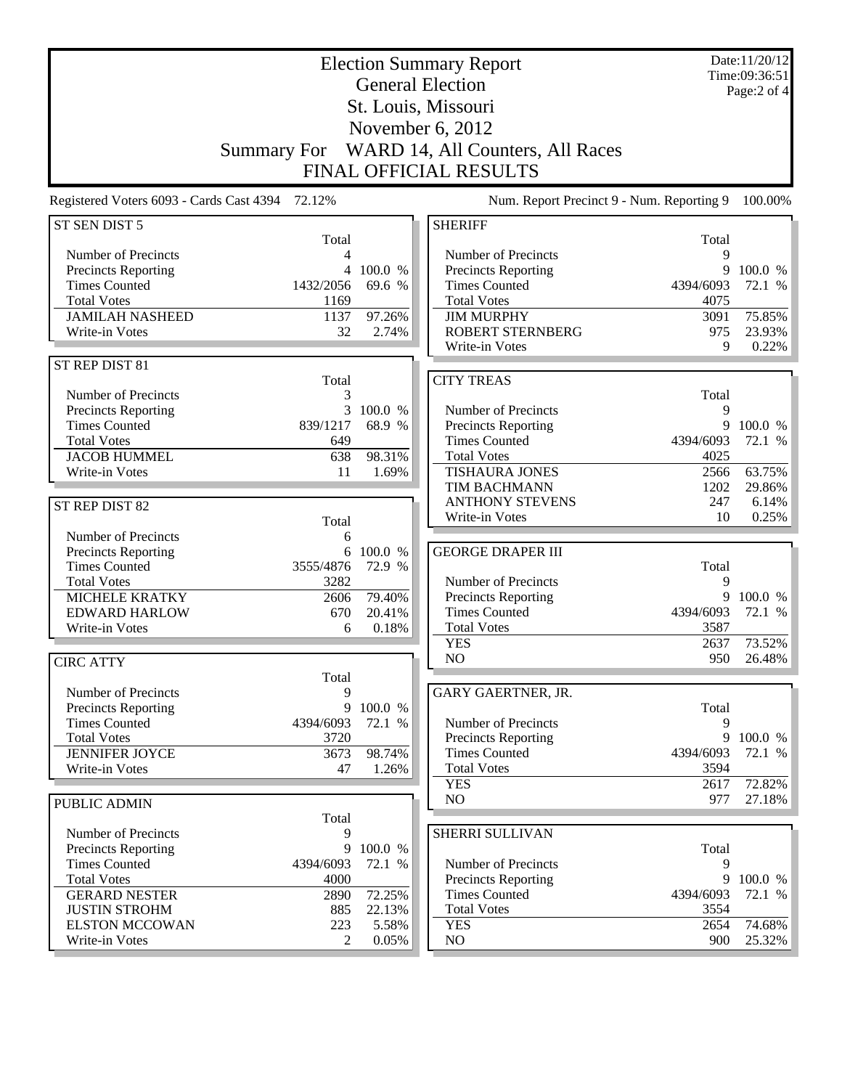| <b>Election Summary Report</b>                  |                    |                 |                                            |                   | Date:11/20/12<br>Time:09:36:51 |
|-------------------------------------------------|--------------------|-----------------|--------------------------------------------|-------------------|--------------------------------|
|                                                 |                    |                 | <b>General Election</b>                    |                   | Page: 2 of 4                   |
| St. Louis, Missouri                             |                    |                 |                                            |                   |                                |
|                                                 |                    |                 | November 6, 2012                           |                   |                                |
|                                                 |                    |                 |                                            |                   |                                |
|                                                 | <b>Summary For</b> |                 | WARD 14, All Counters, All Races           |                   |                                |
|                                                 |                    |                 | FINAL OFFICIAL RESULTS                     |                   |                                |
| Registered Voters 6093 - Cards Cast 4394 72.12% |                    |                 | Num. Report Precinct 9 - Num. Reporting 9  |                   | 100.00%                        |
| ST SEN DIST 5                                   |                    |                 | <b>SHERIFF</b>                             |                   |                                |
| Number of Precincts                             | Total<br>4         |                 | Number of Precincts                        | Total<br>9        |                                |
| <b>Precincts Reporting</b>                      | 4                  | 100.0 %         | <b>Precincts Reporting</b>                 | 9                 | 100.0 %                        |
| <b>Times Counted</b>                            | 1432/2056          | 69.6 %          | <b>Times Counted</b>                       | 4394/6093         | 72.1 %                         |
| <b>Total Votes</b>                              | 1169               |                 | <b>Total Votes</b>                         | 4075              |                                |
| <b>JAMILAH NASHEED</b>                          | 1137               | 97.26%          | <b>JIM MURPHY</b>                          | 3091              | 75.85%                         |
| Write-in Votes                                  | 32                 | 2.74%           | <b>ROBERT STERNBERG</b>                    | 975               | 23.93%                         |
|                                                 |                    |                 | Write-in Votes                             | 9                 | 0.22%                          |
| ST REP DIST 81                                  |                    |                 |                                            |                   |                                |
|                                                 | Total              |                 | <b>CITY TREAS</b>                          |                   |                                |
| Number of Precincts                             | 3                  | 100.0 %         |                                            | Total             |                                |
| Precincts Reporting<br><b>Times Counted</b>     | 3<br>839/1217      | 68.9 %          | Number of Precincts<br>Precincts Reporting | 9<br>9            | 100.0 %                        |
| <b>Total Votes</b>                              | 649                |                 | <b>Times Counted</b>                       | 4394/6093         | 72.1 %                         |
| <b>JACOB HUMMEL</b>                             | 638                | 98.31%          | <b>Total Votes</b>                         | 4025              |                                |
| Write-in Votes                                  | 11                 | 1.69%           | <b>TISHAURA JONES</b>                      | 2566              | 63.75%                         |
|                                                 |                    |                 | TIM BACHMANN                               | 1202              | 29.86%                         |
| ST REP DIST 82                                  |                    |                 | <b>ANTHONY STEVENS</b>                     | 247               | 6.14%                          |
|                                                 | Total              |                 | Write-in Votes                             | 10                | 0.25%                          |
| Number of Precincts                             | 6                  |                 |                                            |                   |                                |
| Precincts Reporting                             |                    | 6 100.0 %       | <b>GEORGE DRAPER III</b>                   |                   |                                |
| <b>Times Counted</b>                            | 3555/4876          | 72.9 %          |                                            | Total             |                                |
| <b>Total Votes</b><br>MICHELE KRATKY            | 3282<br>2606       | 79.40%          | Number of Precincts<br>Precincts Reporting | 9<br>9            | 100.0 %                        |
| <b>EDWARD HARLOW</b>                            | 670                | 20.41%          | <b>Times Counted</b>                       | 4394/6093         | 72.1 %                         |
| Write-in Votes                                  | 6                  | 0.18%           | <b>Total Votes</b>                         | 3587              |                                |
|                                                 |                    |                 | <b>YES</b>                                 | 2637              | 73.52%                         |
| <b>CIRC ATTY</b>                                |                    |                 | NO                                         | 950               | 26.48%                         |
|                                                 | Total              |                 |                                            |                   |                                |
| Number of Precincts                             | 9                  |                 | <b>GARY GAERTNER, JR.</b>                  |                   |                                |
| Precincts Reporting                             |                    | 9 100.0 %       |                                            | Total             |                                |
| <b>Times Counted</b>                            | 4394/6093          | 72.1 %          | Number of Precincts                        | 9                 |                                |
| <b>Total Votes</b>                              | 3720               |                 | <b>Precincts Reporting</b>                 | 9                 | 100.0 %                        |
| <b>JENNIFER JOYCE</b><br>Write-in Votes         | 3673<br>47         | 98.74%<br>1.26% | <b>Times Counted</b><br><b>Total Votes</b> | 4394/6093<br>3594 | 72.1 %                         |
|                                                 |                    |                 | <b>YES</b>                                 | 2617              | 72.82%                         |
| <b>PUBLIC ADMIN</b>                             |                    |                 | NO                                         | 977               | 27.18%                         |
|                                                 | Total              |                 |                                            |                   |                                |
| Number of Precincts                             | 9                  |                 | SHERRI SULLIVAN                            |                   |                                |
| Precincts Reporting                             |                    | 9 100.0 %       |                                            | Total             |                                |
| <b>Times Counted</b>                            | 4394/6093          | 72.1 %          | Number of Precincts                        | 9                 |                                |
| <b>Total Votes</b>                              | 4000               |                 | <b>Precincts Reporting</b>                 | 9                 | 100.0 %                        |
| <b>GERARD NESTER</b>                            | 2890               | 72.25%          | <b>Times Counted</b>                       | 4394/6093         | 72.1 %                         |
| <b>JUSTIN STROHM</b>                            | 885                | 22.13%          | <b>Total Votes</b>                         | 3554              |                                |
| <b>ELSTON MCCOWAN</b>                           | 223                | 5.58%           | <b>YES</b>                                 | 2654              | 74.68%                         |
| Write-in Votes                                  | 2                  | 0.05%           | NO                                         | 900               | 25.32%                         |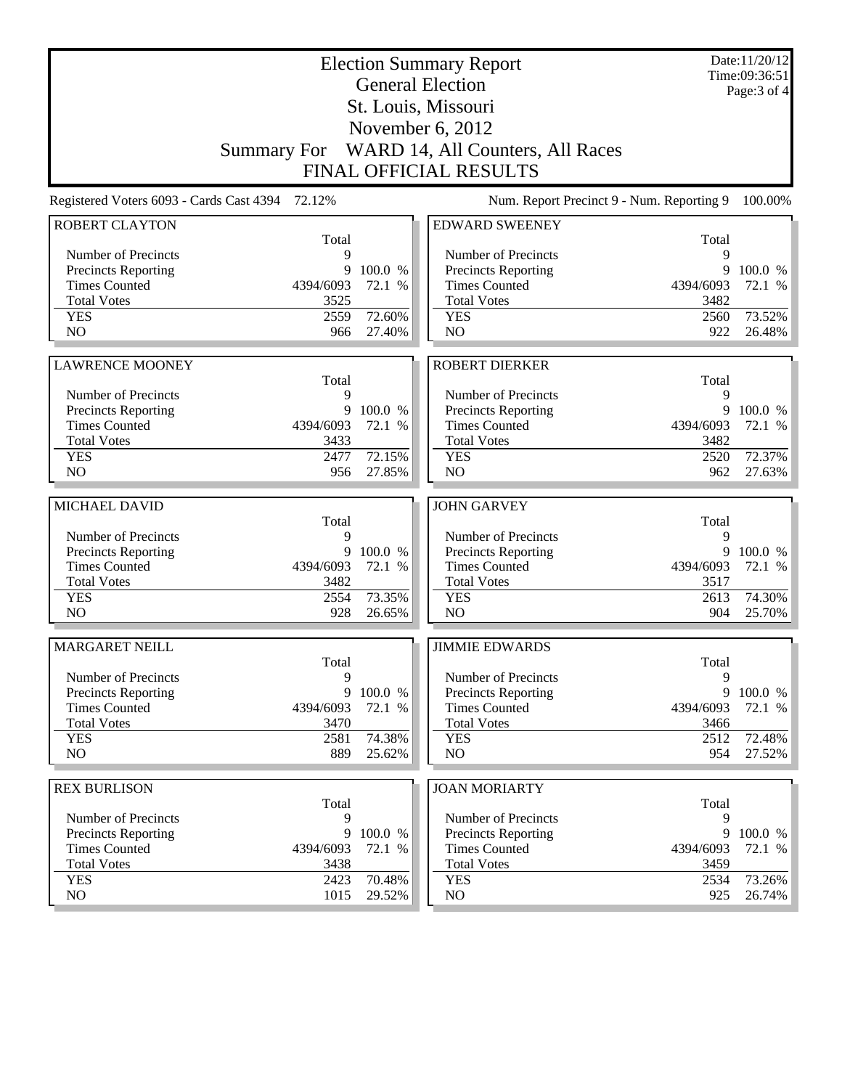|                                                    |              |                   | <b>Election Summary Report</b><br><b>General Election</b> |             | Date:11/20/12<br>Time:09:36:51 |
|----------------------------------------------------|--------------|-------------------|-----------------------------------------------------------|-------------|--------------------------------|
|                                                    |              |                   | St. Louis, Missouri                                       |             | Page: $3$ of $4$               |
|                                                    |              |                   | November 6, 2012                                          |             |                                |
|                                                    |              |                   | Summary For WARD 14, All Counters, All Races              |             |                                |
|                                                    |              |                   | <b>FINAL OFFICIAL RESULTS</b>                             |             |                                |
|                                                    |              |                   |                                                           |             |                                |
| Registered Voters 6093 - Cards Cast 4394           | 72.12%       |                   | Num. Report Precinct 9 - Num. Reporting 9                 |             | 100.00%                        |
| <b>ROBERT CLAYTON</b>                              | Total        |                   | <b>EDWARD SWEENEY</b>                                     | Total       |                                |
| Number of Precincts                                | 9            |                   | Number of Precincts                                       | 9           |                                |
| <b>Precincts Reporting</b>                         | 9            | 100.0 %           | Precincts Reporting                                       | 9           | 100.0 %                        |
| <b>Times Counted</b>                               | 4394/6093    | 72.1 %            | <b>Times Counted</b>                                      | 4394/6093   | 72.1 %                         |
| <b>Total Votes</b>                                 | 3525         |                   | <b>Total Votes</b>                                        | 3482        |                                |
| <b>YES</b>                                         | 2559         | 72.60%            | <b>YES</b>                                                | 2560        | 73.52%                         |
| N <sub>O</sub>                                     | 966          | 27.40%            | NO                                                        | 922         | 26.48%                         |
|                                                    |              |                   |                                                           |             |                                |
| <b>LAWRENCE MOONEY</b>                             | Total        |                   | <b>ROBERT DIERKER</b>                                     | Total       |                                |
| Number of Precincts                                | 9            |                   | Number of Precincts                                       | 9           |                                |
| <b>Precincts Reporting</b>                         | 9            | 100.0 %           | Precincts Reporting                                       | 9           | 100.0 %                        |
| <b>Times Counted</b>                               | 4394/6093    | 72.1 %            | <b>Times Counted</b>                                      | 4394/6093   | 72.1 %                         |
| <b>Total Votes</b>                                 | 3433         |                   | <b>Total Votes</b>                                        | 3482        |                                |
| <b>YES</b>                                         | 2477         | 72.15%            | <b>YES</b>                                                | 2520        | 72.37%                         |
| N <sub>O</sub>                                     | 956          | 27.85%            | NO                                                        | 962         | 27.63%                         |
|                                                    |              |                   |                                                           |             |                                |
| MICHAEL DAVID                                      | Total        |                   | <b>JOHN GARVEY</b>                                        | Total       |                                |
| Number of Precincts                                | 9            |                   | Number of Precincts                                       | 9           |                                |
| <b>Precincts Reporting</b>                         |              | 9 100.0 %         | Precincts Reporting                                       | 9           | 100.0 %                        |
| <b>Times Counted</b>                               | 4394/6093    | 72.1 %            | <b>Times Counted</b>                                      | 4394/6093   | 72.1 %                         |
| <b>Total Votes</b>                                 | 3482         |                   | <b>Total Votes</b>                                        | 3517        |                                |
| <b>YES</b>                                         | 2554         | 73.35%            |                                                           |             |                                |
| N <sub>O</sub>                                     |              |                   | <b>YES</b>                                                | 2613        | 74.30%                         |
|                                                    | 928          | 26.65%            | NO                                                        | 904         | 25.70%                         |
|                                                    |              |                   |                                                           |             |                                |
| <b>MARGARET NEILL</b>                              |              |                   | <b>JIMMIE EDWARDS</b>                                     |             |                                |
|                                                    | Total<br>9   |                   |                                                           | Total       |                                |
| Number of Precincts                                |              | 9 100.0 %         | Number of Precincts                                       | 9<br>9      | 100.0 %                        |
| <b>Precincts Reporting</b><br><b>Times Counted</b> | 4394/6093    | 72.1 %            | <b>Precincts Reporting</b><br><b>Times Counted</b>        | 4394/6093   | 72.1 %                         |
| <b>Total Votes</b>                                 | 3470         |                   | <b>Total Votes</b>                                        | 3466        |                                |
| <b>YES</b>                                         | 2581         | 74.38%            | <b>YES</b>                                                | 2512        | 72.48%                         |
| NO.                                                | 889          | 25.62%            | NO                                                        | 954         | 27.52%                         |
|                                                    |              |                   |                                                           |             |                                |
| <b>REX BURLISON</b>                                |              |                   | <b>JOAN MORIARTY</b>                                      |             |                                |
| Number of Precincts                                | Total<br>9   |                   | Number of Precincts                                       | Total<br>9  |                                |
|                                                    | 9            |                   |                                                           | 9           |                                |
| Precincts Reporting<br><b>Times Counted</b>        | 4394/6093    | 100.0 %<br>72.1 % | <b>Precincts Reporting</b><br><b>Times Counted</b>        | 4394/6093   | 100.0 %<br>72.1 %              |
| <b>Total Votes</b>                                 | 3438         |                   | <b>Total Votes</b>                                        | 3459        |                                |
| <b>YES</b><br>NO.                                  | 2423<br>1015 | 70.48%<br>29.52%  | <b>YES</b><br>NO                                          | 2534<br>925 | 73.26%<br>26.74%               |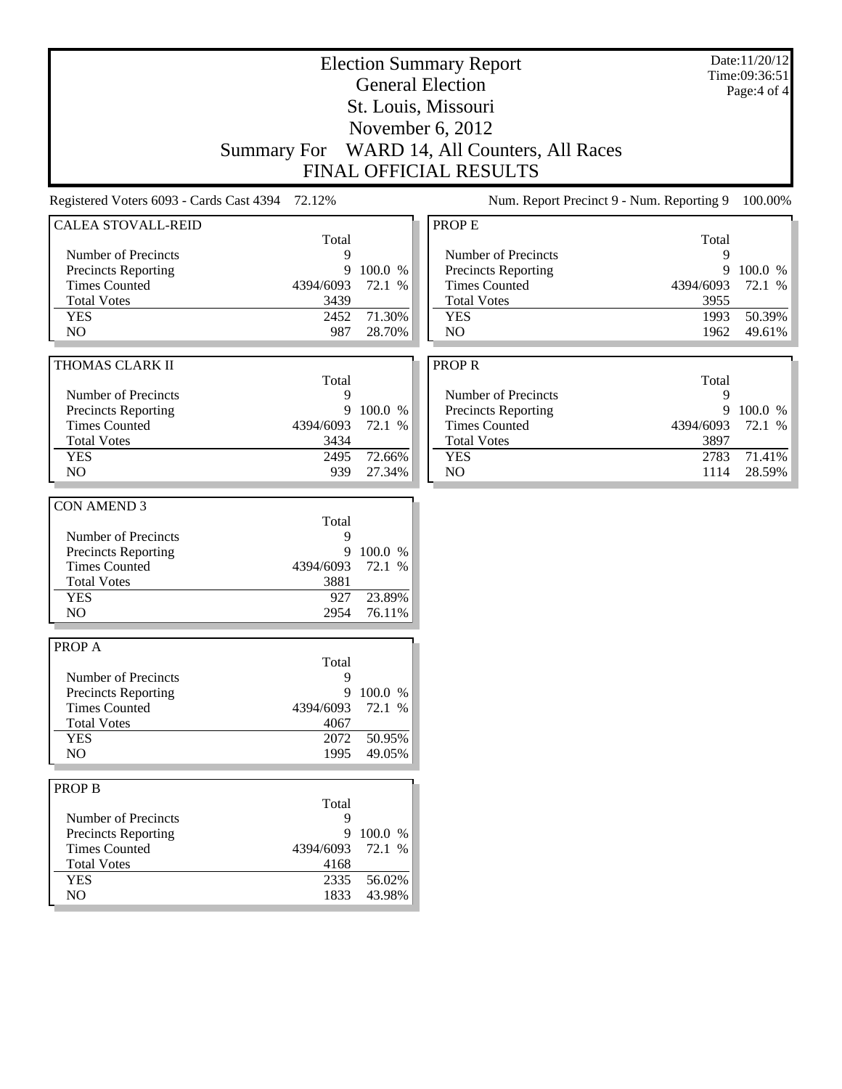| <b>Election Summary Report</b>                  |                    |           |                                           | Date:11/20/12<br>Time:09:36:51 |                  |
|-------------------------------------------------|--------------------|-----------|-------------------------------------------|--------------------------------|------------------|
|                                                 |                    |           | <b>General Election</b>                   |                                | Page:4 of 4      |
|                                                 |                    |           | St. Louis, Missouri                       |                                |                  |
|                                                 |                    |           | November 6, 2012                          |                                |                  |
|                                                 | <b>Summary For</b> |           | WARD 14, All Counters, All Races          |                                |                  |
|                                                 |                    |           | <b>FINAL OFFICIAL RESULTS</b>             |                                |                  |
| Registered Voters 6093 - Cards Cast 4394 72.12% |                    |           | Num. Report Precinct 9 - Num. Reporting 9 |                                | 100.00%          |
| <b>CALEA STOVALL-REID</b>                       |                    |           | PROP E                                    |                                |                  |
|                                                 | Total              |           |                                           | Total                          |                  |
| Number of Precincts                             | 9                  |           | Number of Precincts                       | 9                              |                  |
| <b>Precincts Reporting</b>                      | 9                  | 100.0 %   | Precincts Reporting                       | 9                              | 100.0 %          |
| <b>Times Counted</b>                            | 4394/6093          | 72.1 %    | <b>Times Counted</b>                      | 4394/6093                      | 72.1 %           |
| <b>Total Votes</b>                              | 3439               |           | <b>Total Votes</b>                        | 3955                           |                  |
| <b>YES</b>                                      | 2452               | 71.30%    | <b>YES</b>                                | 1993                           | 50.39%           |
| NO                                              | 987                | 28.70%    | N <sub>O</sub>                            | 1962                           | 49.61%           |
|                                                 |                    |           |                                           |                                |                  |
| THOMAS CLARK II                                 |                    |           | <b>PROPR</b>                              |                                |                  |
|                                                 | Total              |           |                                           | Total                          |                  |
| Number of Precincts                             | 9                  |           | Number of Precincts                       | 9                              |                  |
| Precincts Reporting                             | 9                  | 100.0 %   | Precincts Reporting                       |                                | 9 100.0 %        |
| <b>Times Counted</b>                            | 4394/6093          | 72.1 %    | <b>Times Counted</b>                      | 4394/6093                      | 72.1 %           |
| <b>Total Votes</b>                              | 3434               |           | <b>Total Votes</b>                        | 3897                           |                  |
| <b>YES</b><br>NO                                | 2495               | 72.66%    | <b>YES</b><br>NO                          | 2783                           | 71.41%<br>28.59% |
|                                                 | 939                | 27.34%    |                                           | 1114                           |                  |
| <b>CON AMEND 3</b>                              |                    |           |                                           |                                |                  |
|                                                 | Total              |           |                                           |                                |                  |
| Number of Precincts                             | 9                  |           |                                           |                                |                  |
| Precincts Reporting                             | 9                  | 100.0 %   |                                           |                                |                  |
| <b>Times Counted</b>                            | 4394/6093          | 72.1 %    |                                           |                                |                  |
| <b>Total Votes</b>                              | 3881               |           |                                           |                                |                  |
| <b>YES</b>                                      | 927                | 23.89%    |                                           |                                |                  |
| NO                                              | 2954               | 76.11%    |                                           |                                |                  |
|                                                 |                    |           |                                           |                                |                  |
| PROP A                                          |                    |           |                                           |                                |                  |
|                                                 | Total              |           |                                           |                                |                  |
| Number of Precincts                             | 9                  |           |                                           |                                |                  |
| <b>Precincts Reporting</b>                      |                    | 9 100.0 % |                                           |                                |                  |
| <b>Times Counted</b>                            | 4394/6093          | 72.1 %    |                                           |                                |                  |
| <b>Total Votes</b>                              | 4067               |           |                                           |                                |                  |
| <b>YES</b>                                      | 2072               | 50.95%    |                                           |                                |                  |
| NO                                              | 1995               | 49.05%    |                                           |                                |                  |
|                                                 |                    |           |                                           |                                |                  |
| <b>PROP B</b>                                   |                    |           |                                           |                                |                  |
|                                                 | Total              |           |                                           |                                |                  |
| Number of Precincts                             | 9                  |           |                                           |                                |                  |
| Precincts Reporting                             | 9                  | 100.0 %   |                                           |                                |                  |
| <b>Times Counted</b>                            | 4394/6093          | 72.1 %    |                                           |                                |                  |
| <b>Total Votes</b>                              | 4168               |           |                                           |                                |                  |
| <b>YES</b>                                      | 2335               | 56.02%    |                                           |                                |                  |
| $\rm NO$                                        | 1833               | 43.98%    |                                           |                                |                  |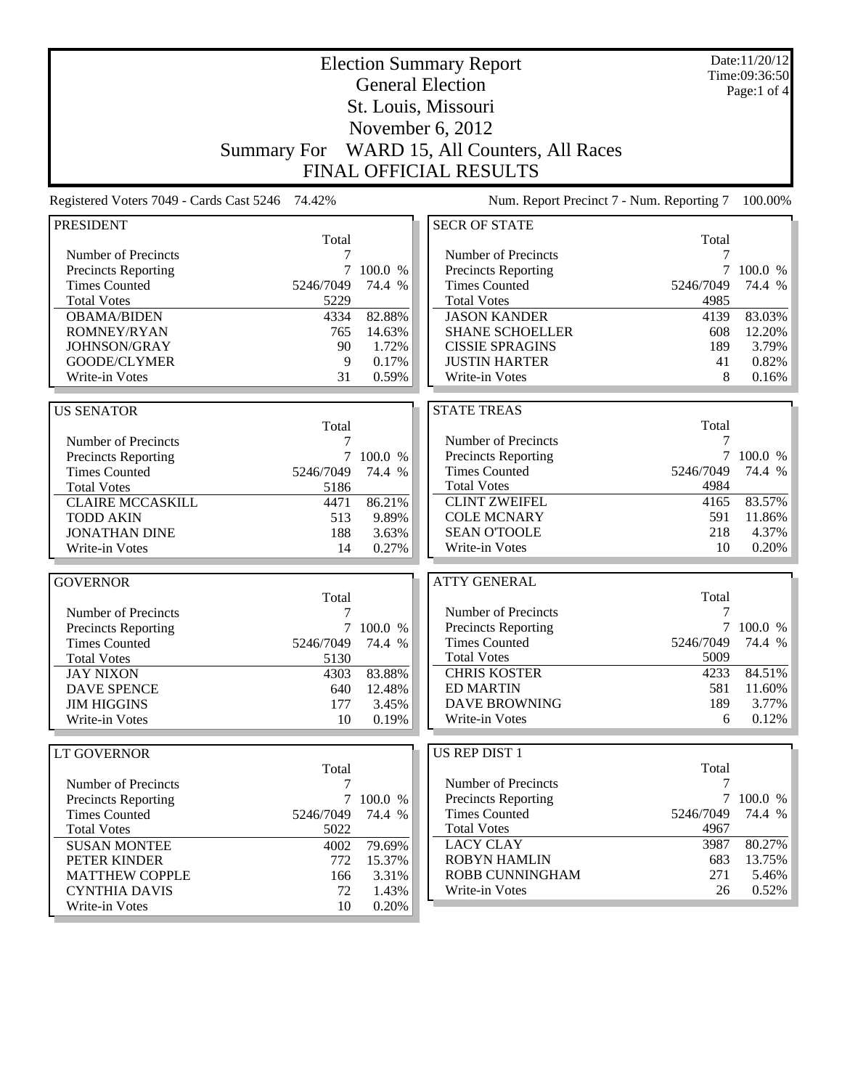| <b>Election Summary Report</b>                  |                    |           |                                           |           | Date:11/20/12<br>Time:09:36:50 |
|-------------------------------------------------|--------------------|-----------|-------------------------------------------|-----------|--------------------------------|
|                                                 |                    |           | <b>General Election</b>                   |           | Page:1 of $4$                  |
|                                                 |                    |           | St. Louis, Missouri                       |           |                                |
|                                                 |                    |           |                                           |           |                                |
|                                                 |                    |           | November 6, 2012                          |           |                                |
|                                                 | <b>Summary For</b> |           | WARD 15, All Counters, All Races          |           |                                |
|                                                 |                    |           | <b>FINAL OFFICIAL RESULTS</b>             |           |                                |
| Registered Voters 7049 - Cards Cast 5246 74.42% |                    |           | Num. Report Precinct 7 - Num. Reporting 7 |           | 100.00%                        |
| <b>PRESIDENT</b>                                |                    |           | <b>SECR OF STATE</b>                      |           |                                |
|                                                 | Total              |           |                                           | Total     |                                |
| Number of Precincts                             |                    |           | Number of Precincts                       | 7         |                                |
| <b>Precincts Reporting</b>                      | 7                  | 100.0 %   | Precincts Reporting                       |           | 100.0 %                        |
| <b>Times Counted</b>                            | 5246/7049          | 74.4 %    | <b>Times Counted</b>                      | 5246/7049 | 74.4 %                         |
| <b>Total Votes</b>                              | 5229               |           | <b>Total Votes</b>                        | 4985      |                                |
| <b>OBAMA/BIDEN</b>                              | 4334               | 82.88%    | <b>JASON KANDER</b>                       | 4139      | 83.03%                         |
| ROMNEY/RYAN                                     | 765                | 14.63%    | <b>SHANE SCHOELLER</b>                    | 608       | 12.20%                         |
| JOHNSON/GRAY                                    | 90                 | 1.72%     | <b>CISSIE SPRAGINS</b>                    | 189       | 3.79%                          |
| <b>GOODE/CLYMER</b>                             | 9                  | 0.17%     | <b>JUSTIN HARTER</b>                      | 41        | 0.82%                          |
| Write-in Votes                                  | 31                 | 0.59%     | Write-in Votes                            | 8         | 0.16%                          |
|                                                 |                    |           |                                           |           |                                |
| <b>US SENATOR</b>                               |                    |           | <b>STATE TREAS</b>                        | Total     |                                |
| Number of Precincts                             | Total<br>7         |           | Number of Precincts                       | 7         |                                |
|                                                 |                    | 7 100.0 % | <b>Precincts Reporting</b>                | 7         | 100.0 %                        |
| Precincts Reporting<br><b>Times Counted</b>     | 5246/7049          | 74.4 %    | <b>Times Counted</b>                      | 5246/7049 | 74.4 %                         |
| <b>Total Votes</b>                              | 5186               |           | <b>Total Votes</b>                        | 4984      |                                |
| <b>CLAIRE MCCASKILL</b>                         | 4471               | 86.21%    | <b>CLINT ZWEIFEL</b>                      | 4165      | 83.57%                         |
| <b>TODD AKIN</b>                                | 513                | 9.89%     | <b>COLE MCNARY</b>                        | 591       | 11.86%                         |
| <b>JONATHAN DINE</b>                            | 188                | 3.63%     | <b>SEAN O'TOOLE</b>                       | 218       | 4.37%                          |
| Write-in Votes                                  | 14                 | 0.27%     | Write-in Votes                            | 10        | 0.20%                          |
|                                                 |                    |           |                                           |           |                                |
| <b>GOVERNOR</b>                                 |                    |           | <b>ATTY GENERAL</b>                       |           |                                |
|                                                 | Total              |           |                                           | Total     |                                |
| Number of Precincts                             | 7                  |           | Number of Precincts                       | 7         |                                |
| Precincts Reporting                             | 7                  | 100.0 %   | <b>Precincts Reporting</b>                | $\tau$    | 100.0 %                        |
| <b>Times Counted</b>                            | 5246/7049          | 74.4 %    | <b>Times Counted</b>                      | 5246/7049 | 74.4 %                         |
| <b>Total Votes</b>                              | 5130               |           | <b>Total Votes</b>                        | 5009      |                                |
| <b>JAY NIXON</b>                                | 4303               | 83.88%    | <b>CHRIS KOSTER</b>                       | 4233      | 84.51%                         |
| <b>DAVE SPENCE</b>                              | 640                | 12.48%    | <b>ED MARTIN</b>                          | 581       | $11.60\%$                      |
| <b>JIM HIGGINS</b>                              | 177                | 3.45%     | <b>DAVE BROWNING</b>                      | 189       | 3.77%                          |
| Write-in Votes                                  | 10                 | 0.19%     | Write-in Votes                            | 6         | 0.12%                          |
| <b>LT GOVERNOR</b>                              |                    |           | US REP DIST 1                             |           |                                |
|                                                 | Total              |           |                                           | Total     |                                |
| Number of Precincts                             | 7                  |           | Number of Precincts                       | 7         |                                |
| Precincts Reporting                             |                    | 7 100.0 % | <b>Precincts Reporting</b>                |           | 7 100.0 %                      |
| <b>Times Counted</b>                            | 5246/7049          | 74.4 %    | <b>Times Counted</b>                      | 5246/7049 | 74.4 %                         |
| <b>Total Votes</b>                              | 5022               |           | <b>Total Votes</b>                        | 4967      |                                |
| <b>SUSAN MONTEE</b>                             | 4002               | 79.69%    | <b>LACY CLAY</b>                          | 3987      | 80.27%                         |
| PETER KINDER                                    | 772                | 15.37%    | <b>ROBYN HAMLIN</b>                       | 683       | 13.75%                         |
| <b>MATTHEW COPPLE</b>                           | 166                | 3.31%     | ROBB CUNNINGHAM                           | 271       | 5.46%                          |
| <b>CYNTHIA DAVIS</b>                            | 72                 | 1.43%     | Write-in Votes                            | 26        | 0.52%                          |
| Write-in Votes                                  | 10                 | 0.20%     |                                           |           |                                |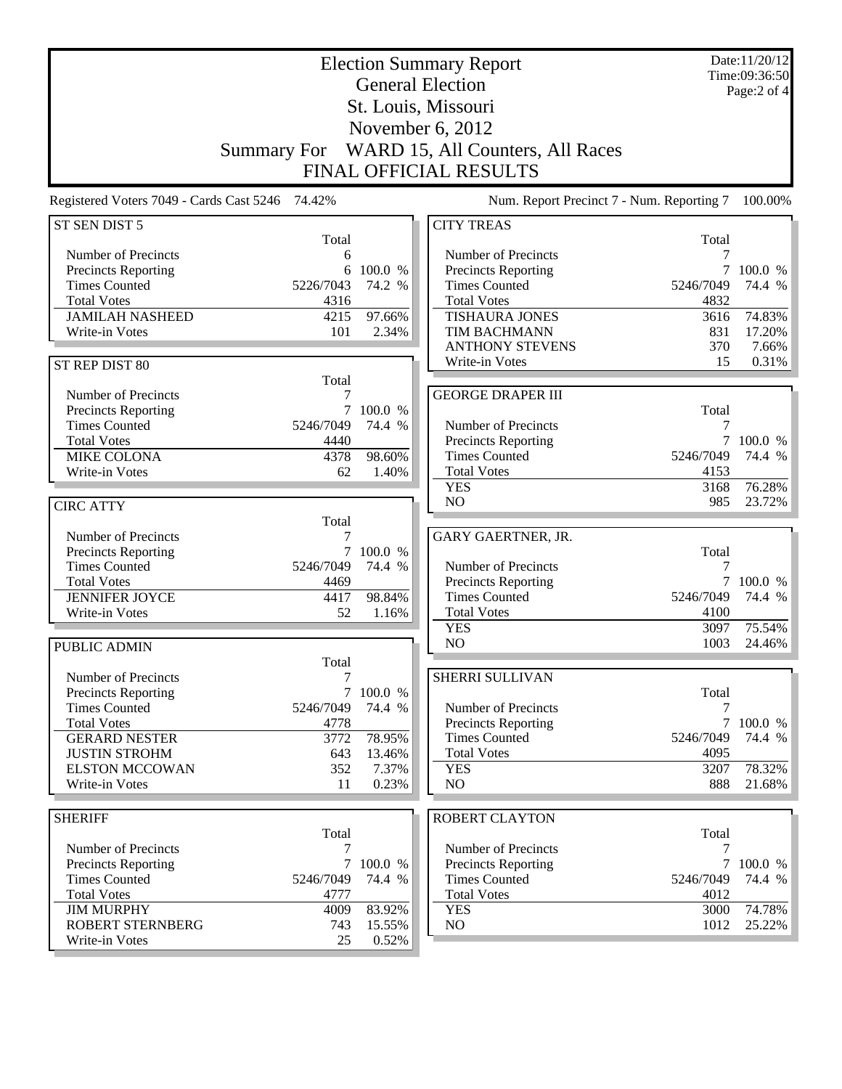| <b>Election Summary Report</b>                  |                    |                     |                                           |                | Date:11/20/12<br>Time:09:36:50 |
|-------------------------------------------------|--------------------|---------------------|-------------------------------------------|----------------|--------------------------------|
|                                                 |                    |                     | <b>General Election</b>                   |                | Page:2 of 4                    |
|                                                 |                    |                     | St. Louis, Missouri                       |                |                                |
|                                                 |                    |                     | November 6, 2012                          |                |                                |
|                                                 |                    |                     | WARD 15, All Counters, All Races          |                |                                |
|                                                 | <b>Summary For</b> |                     |                                           |                |                                |
|                                                 |                    |                     | <b>FINAL OFFICIAL RESULTS</b>             |                |                                |
| Registered Voters 7049 - Cards Cast 5246 74.42% |                    |                     | Num. Report Precinct 7 - Num. Reporting 7 |                | 100.00%                        |
| ST SEN DIST 5                                   | Total              |                     | <b>CITY TREAS</b>                         | Total          |                                |
| Number of Precincts                             | 6                  |                     | Number of Precincts                       | 7              |                                |
| <b>Precincts Reporting</b>                      | 6                  | 100.0 %             | Precincts Reporting                       | 7              | 100.0 %                        |
| <b>Times Counted</b>                            | 5226/7043          | 74.2 %              | <b>Times Counted</b>                      | 5246/7049      | 74.4 %                         |
| <b>Total Votes</b>                              | 4316               |                     | <b>Total Votes</b>                        | 4832           |                                |
| <b>JAMILAH NASHEED</b>                          | 4215               | 97.66%              | <b>TISHAURA JONES</b>                     | 3616           | 74.83%                         |
| Write-in Votes                                  | 101                | 2.34%               | <b>TIM BACHMANN</b>                       | 831            | 17.20%                         |
|                                                 |                    |                     | <b>ANTHONY STEVENS</b><br>Write-in Votes  | 370<br>15      | 7.66%<br>0.31%                 |
| ST REP DIST 80                                  | Total              |                     |                                           |                |                                |
| Number of Precincts                             | 7                  |                     | <b>GEORGE DRAPER III</b>                  |                |                                |
| Precincts Reporting                             | $\overline{7}$     | 100.0 %             |                                           | Total          |                                |
| <b>Times Counted</b>                            | 5246/7049          | 74.4 %              | Number of Precincts                       | 7              |                                |
| <b>Total Votes</b>                              | 4440               |                     | <b>Precincts Reporting</b>                |                | 7 100.0 %                      |
| <b>MIKE COLONA</b>                              | 4378               | 98.60%              | <b>Times Counted</b>                      | 5246/7049      | 74.4 %                         |
| Write-in Votes                                  | 62                 | 1.40%               | <b>Total Votes</b>                        | 4153           |                                |
|                                                 |                    |                     | <b>YES</b>                                | 3168           | 76.28%                         |
| <b>CIRC ATTY</b>                                |                    |                     | N <sub>O</sub>                            | 985            | 23.72%                         |
|                                                 | Total              |                     |                                           |                |                                |
| Number of Precincts<br>Precincts Reporting      | 7                  | 7 100.0 %           | GARY GAERTNER, JR.                        | Total          |                                |
| <b>Times Counted</b>                            | 5246/7049          | 74.4 %              | Number of Precincts                       | 7              |                                |
| <b>Total Votes</b>                              | 4469               |                     | Precincts Reporting                       | $\tau$         | 100.0 %                        |
| <b>JENNIFER JOYCE</b>                           | 4417               | 98.84%              | <b>Times Counted</b>                      | 5246/7049      | 74.4 %                         |
| Write-in Votes                                  | 52                 | 1.16%               | <b>Total Votes</b>                        | 4100           |                                |
|                                                 |                    |                     | <b>YES</b>                                | 3097           | 75.54%                         |
| <b>PUBLIC ADMIN</b>                             |                    |                     | NO                                        | 1003           | 24.46%                         |
|                                                 | Total              |                     |                                           |                |                                |
| Number of Precincts                             | $\boldsymbol{7}$   |                     | SHERRI SULLIVAN                           |                |                                |
| Precincts Reporting<br><b>Times Counted</b>     | 5246/7049          | 7 100.0 %<br>74.4 % | Number of Precincts                       | Total<br>7     |                                |
| <b>Total Votes</b>                              | 4778               |                     | Precincts Reporting                       | $\overline{7}$ | 100.0 %                        |
| <b>GERARD NESTER</b>                            | 3772               | 78.95%              | <b>Times Counted</b>                      | 5246/7049      | 74.4 %                         |
| <b>JUSTIN STROHM</b>                            | 643                | 13.46%              | <b>Total Votes</b>                        | 4095           |                                |
| <b>ELSTON MCCOWAN</b>                           | 352                | 7.37%               | <b>YES</b>                                | 3207           | 78.32%                         |
| Write-in Votes                                  | 11                 | 0.23%               | NO                                        | 888            | 21.68%                         |
|                                                 |                    |                     |                                           |                |                                |
| <b>SHERIFF</b>                                  |                    |                     | <b>ROBERT CLAYTON</b>                     |                |                                |
| Number of Precincts                             | Total<br>7         |                     | Number of Precincts                       | Total<br>7     |                                |
| Precincts Reporting                             | $\overline{7}$     | 100.0 %             | Precincts Reporting                       | $\overline{7}$ | 100.0 %                        |
| <b>Times Counted</b>                            | 5246/7049          | 74.4 %              | <b>Times Counted</b>                      | 5246/7049      | 74.4 %                         |
| <b>Total Votes</b>                              | 4777               |                     | <b>Total Votes</b>                        | 4012           |                                |
| <b>JIM MURPHY</b>                               | 4009               | 83.92%              | <b>YES</b>                                | 3000           | 74.78%                         |
| <b>ROBERT STERNBERG</b>                         | 743                | 15.55%              | NO                                        | 1012           | 25.22%                         |
| Write-in Votes                                  | 25                 | 0.52%               |                                           |                |                                |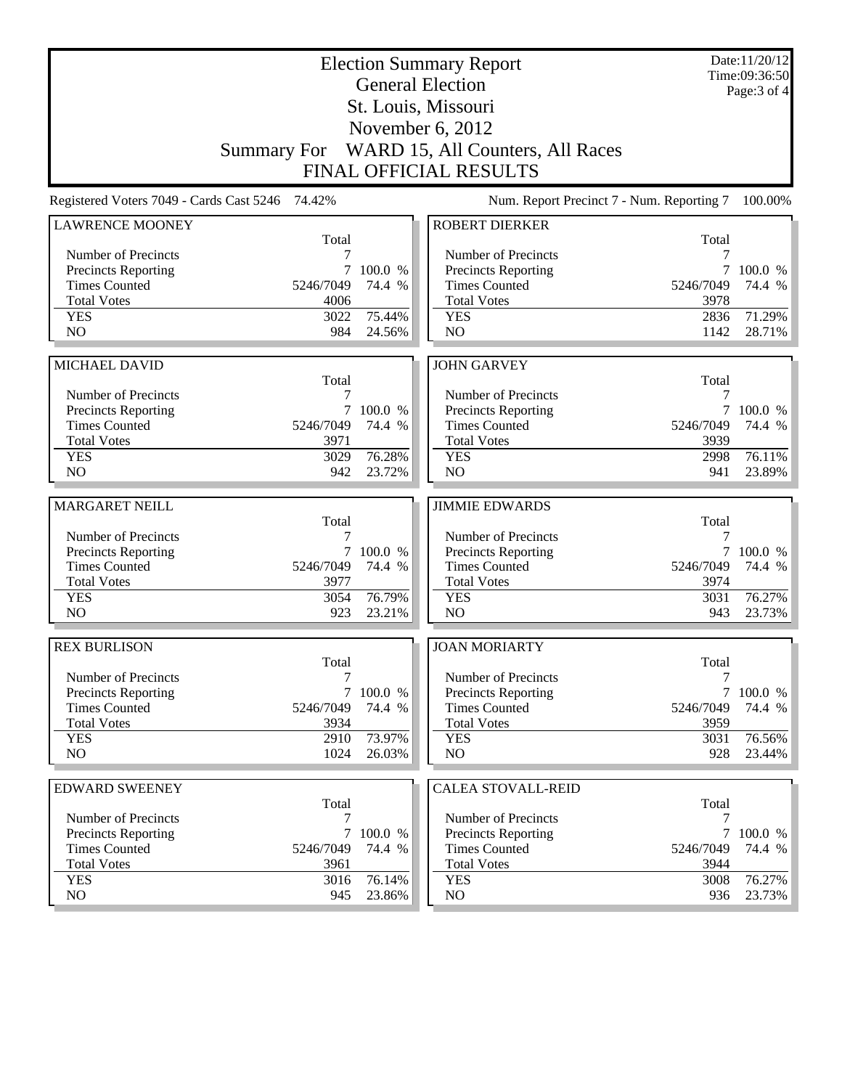| St. Louis, Missouri<br>November $6, 2012$<br>Summary For WARD 15, All Counters, All Races<br><b>FINAL OFFICIAL RESULTS</b><br>Registered Voters 7049 - Cards Cast 5246<br>74.42%<br>Num. Report Precinct 7 - Num. Reporting 7<br><b>ROBERT DIERKER</b><br><b>LAWRENCE MOONEY</b><br>Total<br>Total<br>Number of Precincts<br>Number of Precincts<br>7<br>7<br><b>Precincts Reporting</b><br><b>Precincts Reporting</b><br>7<br>100.0 %<br>7<br>100.0 %<br><b>Times Counted</b><br>5246/7049<br>74.4 %<br><b>Times Counted</b><br>5246/7049<br>74.4 %<br><b>Total Votes</b><br>4006<br><b>Total Votes</b><br>3978<br>75.44%<br>2836<br>71.29%<br><b>YES</b><br>3022<br><b>YES</b><br>N <sub>O</sub><br>984<br>N <sub>O</sub><br>1142<br>28.71%<br>24.56%<br><b>JOHN GARVEY</b><br><b>MICHAEL DAVID</b><br>Total<br>Total<br>Number of Precincts<br>Number of Precincts<br>7<br>7<br>Precincts Reporting<br>7<br>100.0 %<br>Precincts Reporting<br>7<br>100.0 %<br><b>Times Counted</b><br><b>Times Counted</b><br>5246/7049<br>74.4 %<br>5246/7049<br>74.4 %<br><b>Total Votes</b><br><b>Total Votes</b><br>3971<br>3939<br>76.28%<br><b>YES</b><br>3029<br>76.11%<br><b>YES</b><br>2998<br>NO<br>NO<br>942<br>23.72%<br>941<br>23.89%<br><b>MARGARET NEILL</b><br><b>JIMMIE EDWARDS</b><br>Total<br>Total<br>Number of Precincts<br>Number of Precincts<br>7<br>7<br>Precincts Reporting<br>Precincts Reporting<br>7 100.0 %<br>7 100.0 %<br><b>Times Counted</b><br>5246/7049<br>74.4 %<br><b>Times Counted</b><br>5246/7049<br>74.4 %<br><b>Total Votes</b><br>3977<br><b>Total Votes</b><br>3974<br>76.79%<br>76.27%<br><b>YES</b><br>3054<br><b>YES</b><br>3031<br>NO<br>N <sub>O</sub><br>923<br>23.21%<br>943<br><b>REX BURLISON</b><br><b>JOAN MORIARTY</b><br>Total<br>Total<br>Number of Precincts<br>7<br>Number of Precincts<br>7<br><b>Precincts Reporting</b><br>7 100.0 %<br>Precincts Reporting<br><b>Times Counted</b><br><b>Times Counted</b><br>5246/7049<br>74.4 %<br>5246/7049<br><b>Total Votes</b><br><b>Total Votes</b><br>3934<br>3959<br><b>YES</b><br>2910<br>73.97%<br><b>YES</b><br>76.56%<br>3031<br>NO.<br>1024<br>NO<br>928<br>26.03%<br><b>EDWARD SWEENEY</b><br><b>CALEA STOVALL-REID</b><br>Total<br>Total<br>Number of Precincts<br>Number of Precincts<br>7<br>7<br>Precincts Reporting<br>7<br>100.0 %<br><b>Precincts Reporting</b><br><b>Times Counted</b><br><b>Times Counted</b><br>5246/7049<br>74.4 %<br>5246/7049<br>74.4 %<br><b>Total Votes</b><br>3961<br><b>Total Votes</b><br>3944 |            |      | <b>Election Summary Report</b><br><b>General Election</b> |            | Date:11/20/12<br>Time:09:36:50 |              |
|-------------------------------------------------------------------------------------------------------------------------------------------------------------------------------------------------------------------------------------------------------------------------------------------------------------------------------------------------------------------------------------------------------------------------------------------------------------------------------------------------------------------------------------------------------------------------------------------------------------------------------------------------------------------------------------------------------------------------------------------------------------------------------------------------------------------------------------------------------------------------------------------------------------------------------------------------------------------------------------------------------------------------------------------------------------------------------------------------------------------------------------------------------------------------------------------------------------------------------------------------------------------------------------------------------------------------------------------------------------------------------------------------------------------------------------------------------------------------------------------------------------------------------------------------------------------------------------------------------------------------------------------------------------------------------------------------------------------------------------------------------------------------------------------------------------------------------------------------------------------------------------------------------------------------------------------------------------------------------------------------------------------------------------------------------------------------------------------------------------------------------------------------------------------------------------------------------------------------------------------------------------------------------------------------------------------------------------------------------------------------------------------------------------------------------------------------------------------------------------------------------------------------------------|------------|------|-----------------------------------------------------------|------------|--------------------------------|--------------|
|                                                                                                                                                                                                                                                                                                                                                                                                                                                                                                                                                                                                                                                                                                                                                                                                                                                                                                                                                                                                                                                                                                                                                                                                                                                                                                                                                                                                                                                                                                                                                                                                                                                                                                                                                                                                                                                                                                                                                                                                                                                                                                                                                                                                                                                                                                                                                                                                                                                                                                                                     |            |      |                                                           |            |                                | Page: 3 of 4 |
|                                                                                                                                                                                                                                                                                                                                                                                                                                                                                                                                                                                                                                                                                                                                                                                                                                                                                                                                                                                                                                                                                                                                                                                                                                                                                                                                                                                                                                                                                                                                                                                                                                                                                                                                                                                                                                                                                                                                                                                                                                                                                                                                                                                                                                                                                                                                                                                                                                                                                                                                     |            |      |                                                           |            |                                |              |
|                                                                                                                                                                                                                                                                                                                                                                                                                                                                                                                                                                                                                                                                                                                                                                                                                                                                                                                                                                                                                                                                                                                                                                                                                                                                                                                                                                                                                                                                                                                                                                                                                                                                                                                                                                                                                                                                                                                                                                                                                                                                                                                                                                                                                                                                                                                                                                                                                                                                                                                                     |            |      |                                                           |            |                                |              |
| 100.00%                                                                                                                                                                                                                                                                                                                                                                                                                                                                                                                                                                                                                                                                                                                                                                                                                                                                                                                                                                                                                                                                                                                                                                                                                                                                                                                                                                                                                                                                                                                                                                                                                                                                                                                                                                                                                                                                                                                                                                                                                                                                                                                                                                                                                                                                                                                                                                                                                                                                                                                             |            |      |                                                           |            |                                |              |
| 23.73%<br>7 100.0 %<br>74.4 %<br>23.44%<br>100.0 %                                                                                                                                                                                                                                                                                                                                                                                                                                                                                                                                                                                                                                                                                                                                                                                                                                                                                                                                                                                                                                                                                                                                                                                                                                                                                                                                                                                                                                                                                                                                                                                                                                                                                                                                                                                                                                                                                                                                                                                                                                                                                                                                                                                                                                                                                                                                                                                                                                                                                  |            |      |                                                           |            |                                |              |
|                                                                                                                                                                                                                                                                                                                                                                                                                                                                                                                                                                                                                                                                                                                                                                                                                                                                                                                                                                                                                                                                                                                                                                                                                                                                                                                                                                                                                                                                                                                                                                                                                                                                                                                                                                                                                                                                                                                                                                                                                                                                                                                                                                                                                                                                                                                                                                                                                                                                                                                                     |            |      |                                                           |            |                                |              |
|                                                                                                                                                                                                                                                                                                                                                                                                                                                                                                                                                                                                                                                                                                                                                                                                                                                                                                                                                                                                                                                                                                                                                                                                                                                                                                                                                                                                                                                                                                                                                                                                                                                                                                                                                                                                                                                                                                                                                                                                                                                                                                                                                                                                                                                                                                                                                                                                                                                                                                                                     |            |      |                                                           |            |                                |              |
|                                                                                                                                                                                                                                                                                                                                                                                                                                                                                                                                                                                                                                                                                                                                                                                                                                                                                                                                                                                                                                                                                                                                                                                                                                                                                                                                                                                                                                                                                                                                                                                                                                                                                                                                                                                                                                                                                                                                                                                                                                                                                                                                                                                                                                                                                                                                                                                                                                                                                                                                     |            |      |                                                           |            |                                |              |
|                                                                                                                                                                                                                                                                                                                                                                                                                                                                                                                                                                                                                                                                                                                                                                                                                                                                                                                                                                                                                                                                                                                                                                                                                                                                                                                                                                                                                                                                                                                                                                                                                                                                                                                                                                                                                                                                                                                                                                                                                                                                                                                                                                                                                                                                                                                                                                                                                                                                                                                                     |            |      |                                                           |            |                                |              |
|                                                                                                                                                                                                                                                                                                                                                                                                                                                                                                                                                                                                                                                                                                                                                                                                                                                                                                                                                                                                                                                                                                                                                                                                                                                                                                                                                                                                                                                                                                                                                                                                                                                                                                                                                                                                                                                                                                                                                                                                                                                                                                                                                                                                                                                                                                                                                                                                                                                                                                                                     |            |      |                                                           |            |                                |              |
|                                                                                                                                                                                                                                                                                                                                                                                                                                                                                                                                                                                                                                                                                                                                                                                                                                                                                                                                                                                                                                                                                                                                                                                                                                                                                                                                                                                                                                                                                                                                                                                                                                                                                                                                                                                                                                                                                                                                                                                                                                                                                                                                                                                                                                                                                                                                                                                                                                                                                                                                     |            |      |                                                           |            |                                |              |
|                                                                                                                                                                                                                                                                                                                                                                                                                                                                                                                                                                                                                                                                                                                                                                                                                                                                                                                                                                                                                                                                                                                                                                                                                                                                                                                                                                                                                                                                                                                                                                                                                                                                                                                                                                                                                                                                                                                                                                                                                                                                                                                                                                                                                                                                                                                                                                                                                                                                                                                                     |            |      |                                                           |            |                                |              |
|                                                                                                                                                                                                                                                                                                                                                                                                                                                                                                                                                                                                                                                                                                                                                                                                                                                                                                                                                                                                                                                                                                                                                                                                                                                                                                                                                                                                                                                                                                                                                                                                                                                                                                                                                                                                                                                                                                                                                                                                                                                                                                                                                                                                                                                                                                                                                                                                                                                                                                                                     |            |      |                                                           |            |                                |              |
|                                                                                                                                                                                                                                                                                                                                                                                                                                                                                                                                                                                                                                                                                                                                                                                                                                                                                                                                                                                                                                                                                                                                                                                                                                                                                                                                                                                                                                                                                                                                                                                                                                                                                                                                                                                                                                                                                                                                                                                                                                                                                                                                                                                                                                                                                                                                                                                                                                                                                                                                     |            |      |                                                           |            |                                |              |
|                                                                                                                                                                                                                                                                                                                                                                                                                                                                                                                                                                                                                                                                                                                                                                                                                                                                                                                                                                                                                                                                                                                                                                                                                                                                                                                                                                                                                                                                                                                                                                                                                                                                                                                                                                                                                                                                                                                                                                                                                                                                                                                                                                                                                                                                                                                                                                                                                                                                                                                                     |            |      |                                                           |            |                                |              |
|                                                                                                                                                                                                                                                                                                                                                                                                                                                                                                                                                                                                                                                                                                                                                                                                                                                                                                                                                                                                                                                                                                                                                                                                                                                                                                                                                                                                                                                                                                                                                                                                                                                                                                                                                                                                                                                                                                                                                                                                                                                                                                                                                                                                                                                                                                                                                                                                                                                                                                                                     |            |      |                                                           |            |                                |              |
|                                                                                                                                                                                                                                                                                                                                                                                                                                                                                                                                                                                                                                                                                                                                                                                                                                                                                                                                                                                                                                                                                                                                                                                                                                                                                                                                                                                                                                                                                                                                                                                                                                                                                                                                                                                                                                                                                                                                                                                                                                                                                                                                                                                                                                                                                                                                                                                                                                                                                                                                     |            |      |                                                           |            |                                |              |
|                                                                                                                                                                                                                                                                                                                                                                                                                                                                                                                                                                                                                                                                                                                                                                                                                                                                                                                                                                                                                                                                                                                                                                                                                                                                                                                                                                                                                                                                                                                                                                                                                                                                                                                                                                                                                                                                                                                                                                                                                                                                                                                                                                                                                                                                                                                                                                                                                                                                                                                                     |            |      |                                                           |            |                                |              |
|                                                                                                                                                                                                                                                                                                                                                                                                                                                                                                                                                                                                                                                                                                                                                                                                                                                                                                                                                                                                                                                                                                                                                                                                                                                                                                                                                                                                                                                                                                                                                                                                                                                                                                                                                                                                                                                                                                                                                                                                                                                                                                                                                                                                                                                                                                                                                                                                                                                                                                                                     |            |      |                                                           |            |                                |              |
|                                                                                                                                                                                                                                                                                                                                                                                                                                                                                                                                                                                                                                                                                                                                                                                                                                                                                                                                                                                                                                                                                                                                                                                                                                                                                                                                                                                                                                                                                                                                                                                                                                                                                                                                                                                                                                                                                                                                                                                                                                                                                                                                                                                                                                                                                                                                                                                                                                                                                                                                     |            |      |                                                           |            |                                |              |
|                                                                                                                                                                                                                                                                                                                                                                                                                                                                                                                                                                                                                                                                                                                                                                                                                                                                                                                                                                                                                                                                                                                                                                                                                                                                                                                                                                                                                                                                                                                                                                                                                                                                                                                                                                                                                                                                                                                                                                                                                                                                                                                                                                                                                                                                                                                                                                                                                                                                                                                                     |            |      |                                                           |            |                                |              |
|                                                                                                                                                                                                                                                                                                                                                                                                                                                                                                                                                                                                                                                                                                                                                                                                                                                                                                                                                                                                                                                                                                                                                                                                                                                                                                                                                                                                                                                                                                                                                                                                                                                                                                                                                                                                                                                                                                                                                                                                                                                                                                                                                                                                                                                                                                                                                                                                                                                                                                                                     |            |      |                                                           |            |                                |              |
|                                                                                                                                                                                                                                                                                                                                                                                                                                                                                                                                                                                                                                                                                                                                                                                                                                                                                                                                                                                                                                                                                                                                                                                                                                                                                                                                                                                                                                                                                                                                                                                                                                                                                                                                                                                                                                                                                                                                                                                                                                                                                                                                                                                                                                                                                                                                                                                                                                                                                                                                     |            |      |                                                           |            |                                |              |
|                                                                                                                                                                                                                                                                                                                                                                                                                                                                                                                                                                                                                                                                                                                                                                                                                                                                                                                                                                                                                                                                                                                                                                                                                                                                                                                                                                                                                                                                                                                                                                                                                                                                                                                                                                                                                                                                                                                                                                                                                                                                                                                                                                                                                                                                                                                                                                                                                                                                                                                                     |            |      |                                                           |            |                                |              |
|                                                                                                                                                                                                                                                                                                                                                                                                                                                                                                                                                                                                                                                                                                                                                                                                                                                                                                                                                                                                                                                                                                                                                                                                                                                                                                                                                                                                                                                                                                                                                                                                                                                                                                                                                                                                                                                                                                                                                                                                                                                                                                                                                                                                                                                                                                                                                                                                                                                                                                                                     |            |      |                                                           |            |                                |              |
|                                                                                                                                                                                                                                                                                                                                                                                                                                                                                                                                                                                                                                                                                                                                                                                                                                                                                                                                                                                                                                                                                                                                                                                                                                                                                                                                                                                                                                                                                                                                                                                                                                                                                                                                                                                                                                                                                                                                                                                                                                                                                                                                                                                                                                                                                                                                                                                                                                                                                                                                     |            |      |                                                           |            |                                |              |
|                                                                                                                                                                                                                                                                                                                                                                                                                                                                                                                                                                                                                                                                                                                                                                                                                                                                                                                                                                                                                                                                                                                                                                                                                                                                                                                                                                                                                                                                                                                                                                                                                                                                                                                                                                                                                                                                                                                                                                                                                                                                                                                                                                                                                                                                                                                                                                                                                                                                                                                                     |            |      |                                                           |            |                                |              |
|                                                                                                                                                                                                                                                                                                                                                                                                                                                                                                                                                                                                                                                                                                                                                                                                                                                                                                                                                                                                                                                                                                                                                                                                                                                                                                                                                                                                                                                                                                                                                                                                                                                                                                                                                                                                                                                                                                                                                                                                                                                                                                                                                                                                                                                                                                                                                                                                                                                                                                                                     |            |      |                                                           |            |                                |              |
|                                                                                                                                                                                                                                                                                                                                                                                                                                                                                                                                                                                                                                                                                                                                                                                                                                                                                                                                                                                                                                                                                                                                                                                                                                                                                                                                                                                                                                                                                                                                                                                                                                                                                                                                                                                                                                                                                                                                                                                                                                                                                                                                                                                                                                                                                                                                                                                                                                                                                                                                     |            |      |                                                           |            |                                |              |
|                                                                                                                                                                                                                                                                                                                                                                                                                                                                                                                                                                                                                                                                                                                                                                                                                                                                                                                                                                                                                                                                                                                                                                                                                                                                                                                                                                                                                                                                                                                                                                                                                                                                                                                                                                                                                                                                                                                                                                                                                                                                                                                                                                                                                                                                                                                                                                                                                                                                                                                                     |            |      |                                                           |            |                                |              |
|                                                                                                                                                                                                                                                                                                                                                                                                                                                                                                                                                                                                                                                                                                                                                                                                                                                                                                                                                                                                                                                                                                                                                                                                                                                                                                                                                                                                                                                                                                                                                                                                                                                                                                                                                                                                                                                                                                                                                                                                                                                                                                                                                                                                                                                                                                                                                                                                                                                                                                                                     |            |      |                                                           |            |                                |              |
|                                                                                                                                                                                                                                                                                                                                                                                                                                                                                                                                                                                                                                                                                                                                                                                                                                                                                                                                                                                                                                                                                                                                                                                                                                                                                                                                                                                                                                                                                                                                                                                                                                                                                                                                                                                                                                                                                                                                                                                                                                                                                                                                                                                                                                                                                                                                                                                                                                                                                                                                     |            |      |                                                           |            |                                |              |
|                                                                                                                                                                                                                                                                                                                                                                                                                                                                                                                                                                                                                                                                                                                                                                                                                                                                                                                                                                                                                                                                                                                                                                                                                                                                                                                                                                                                                                                                                                                                                                                                                                                                                                                                                                                                                                                                                                                                                                                                                                                                                                                                                                                                                                                                                                                                                                                                                                                                                                                                     |            |      |                                                           |            |                                |              |
|                                                                                                                                                                                                                                                                                                                                                                                                                                                                                                                                                                                                                                                                                                                                                                                                                                                                                                                                                                                                                                                                                                                                                                                                                                                                                                                                                                                                                                                                                                                                                                                                                                                                                                                                                                                                                                                                                                                                                                                                                                                                                                                                                                                                                                                                                                                                                                                                                                                                                                                                     |            |      |                                                           |            |                                |              |
|                                                                                                                                                                                                                                                                                                                                                                                                                                                                                                                                                                                                                                                                                                                                                                                                                                                                                                                                                                                                                                                                                                                                                                                                                                                                                                                                                                                                                                                                                                                                                                                                                                                                                                                                                                                                                                                                                                                                                                                                                                                                                                                                                                                                                                                                                                                                                                                                                                                                                                                                     |            |      |                                                           |            |                                |              |
|                                                                                                                                                                                                                                                                                                                                                                                                                                                                                                                                                                                                                                                                                                                                                                                                                                                                                                                                                                                                                                                                                                                                                                                                                                                                                                                                                                                                                                                                                                                                                                                                                                                                                                                                                                                                                                                                                                                                                                                                                                                                                                                                                                                                                                                                                                                                                                                                                                                                                                                                     |            |      |                                                           |            |                                |              |
|                                                                                                                                                                                                                                                                                                                                                                                                                                                                                                                                                                                                                                                                                                                                                                                                                                                                                                                                                                                                                                                                                                                                                                                                                                                                                                                                                                                                                                                                                                                                                                                                                                                                                                                                                                                                                                                                                                                                                                                                                                                                                                                                                                                                                                                                                                                                                                                                                                                                                                                                     |            |      |                                                           |            |                                |              |
|                                                                                                                                                                                                                                                                                                                                                                                                                                                                                                                                                                                                                                                                                                                                                                                                                                                                                                                                                                                                                                                                                                                                                                                                                                                                                                                                                                                                                                                                                                                                                                                                                                                                                                                                                                                                                                                                                                                                                                                                                                                                                                                                                                                                                                                                                                                                                                                                                                                                                                                                     |            |      |                                                           |            |                                |              |
|                                                                                                                                                                                                                                                                                                                                                                                                                                                                                                                                                                                                                                                                                                                                                                                                                                                                                                                                                                                                                                                                                                                                                                                                                                                                                                                                                                                                                                                                                                                                                                                                                                                                                                                                                                                                                                                                                                                                                                                                                                                                                                                                                                                                                                                                                                                                                                                                                                                                                                                                     |            |      |                                                           |            |                                |              |
|                                                                                                                                                                                                                                                                                                                                                                                                                                                                                                                                                                                                                                                                                                                                                                                                                                                                                                                                                                                                                                                                                                                                                                                                                                                                                                                                                                                                                                                                                                                                                                                                                                                                                                                                                                                                                                                                                                                                                                                                                                                                                                                                                                                                                                                                                                                                                                                                                                                                                                                                     |            |      |                                                           |            |                                |              |
|                                                                                                                                                                                                                                                                                                                                                                                                                                                                                                                                                                                                                                                                                                                                                                                                                                                                                                                                                                                                                                                                                                                                                                                                                                                                                                                                                                                                                                                                                                                                                                                                                                                                                                                                                                                                                                                                                                                                                                                                                                                                                                                                                                                                                                                                                                                                                                                                                                                                                                                                     |            |      |                                                           |            |                                |              |
|                                                                                                                                                                                                                                                                                                                                                                                                                                                                                                                                                                                                                                                                                                                                                                                                                                                                                                                                                                                                                                                                                                                                                                                                                                                                                                                                                                                                                                                                                                                                                                                                                                                                                                                                                                                                                                                                                                                                                                                                                                                                                                                                                                                                                                                                                                                                                                                                                                                                                                                                     |            |      |                                                           |            |                                |              |
|                                                                                                                                                                                                                                                                                                                                                                                                                                                                                                                                                                                                                                                                                                                                                                                                                                                                                                                                                                                                                                                                                                                                                                                                                                                                                                                                                                                                                                                                                                                                                                                                                                                                                                                                                                                                                                                                                                                                                                                                                                                                                                                                                                                                                                                                                                                                                                                                                                                                                                                                     |            |      |                                                           |            |                                |              |
|                                                                                                                                                                                                                                                                                                                                                                                                                                                                                                                                                                                                                                                                                                                                                                                                                                                                                                                                                                                                                                                                                                                                                                                                                                                                                                                                                                                                                                                                                                                                                                                                                                                                                                                                                                                                                                                                                                                                                                                                                                                                                                                                                                                                                                                                                                                                                                                                                                                                                                                                     | <b>YES</b> | 3016 | 76.14%                                                    | <b>YES</b> | 3008                           | 76.27%       |
| NO.<br>NO.<br>23.73%<br>945<br>23.86%<br>936                                                                                                                                                                                                                                                                                                                                                                                                                                                                                                                                                                                                                                                                                                                                                                                                                                                                                                                                                                                                                                                                                                                                                                                                                                                                                                                                                                                                                                                                                                                                                                                                                                                                                                                                                                                                                                                                                                                                                                                                                                                                                                                                                                                                                                                                                                                                                                                                                                                                                        |            |      |                                                           |            |                                |              |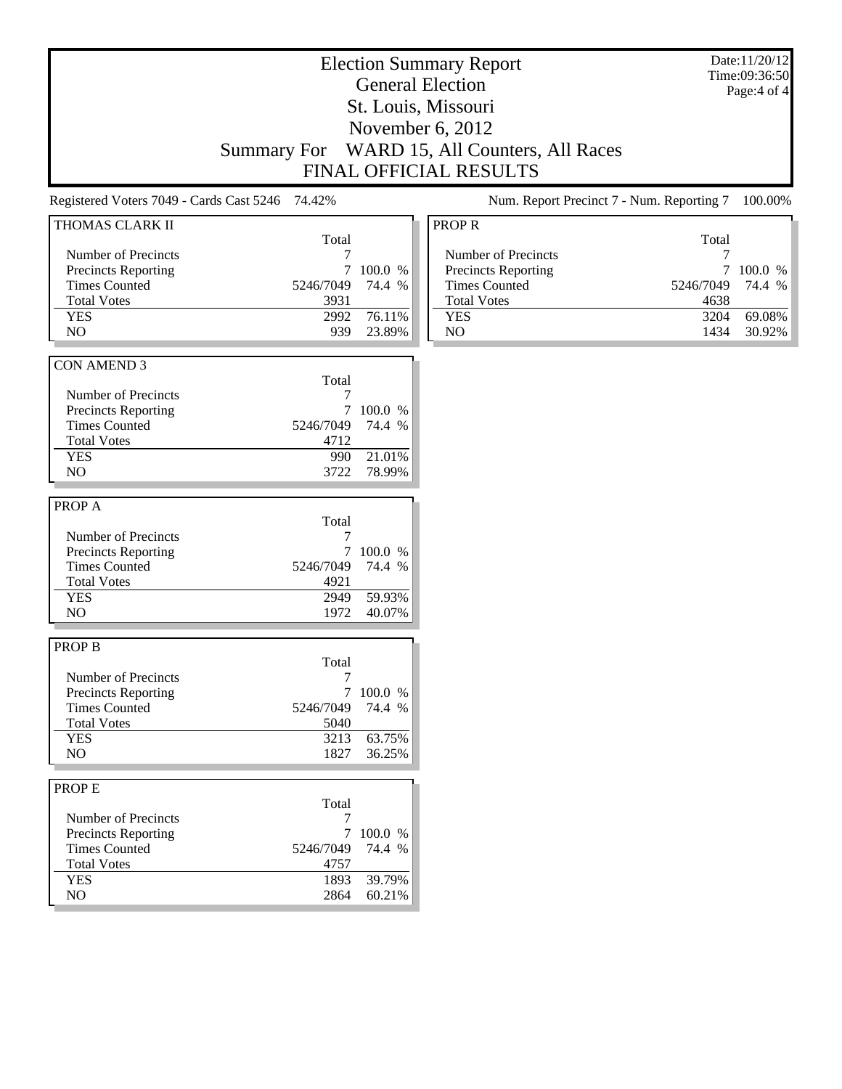|                                                                                                                                    | <b>Summary For</b>                                        |                                         | <b>Election Summary Report</b><br><b>General Election</b><br>St. Louis, Missouri<br>November 6, 2012<br>WARD 15, All Counters, All Races<br>FINAL OFFICIAL RESULTS |                                                   | Date:11/20/12<br>Time:09:36:50<br>Page: 4 of 4 |
|------------------------------------------------------------------------------------------------------------------------------------|-----------------------------------------------------------|-----------------------------------------|--------------------------------------------------------------------------------------------------------------------------------------------------------------------|---------------------------------------------------|------------------------------------------------|
| Registered Voters 7049 - Cards Cast 5246                                                                                           | 74.42%                                                    |                                         | Num. Report Precinct 7 - Num. Reporting 7                                                                                                                          |                                                   | 100.00%                                        |
| THOMAS CLARK II<br>Number of Precincts<br><b>Precincts Reporting</b><br><b>Times Counted</b><br><b>Total Votes</b><br><b>YES</b>   | Total<br>7<br>7<br>5246/7049<br>3931<br>2992              | 100.0 %<br>74.4 %<br>76.11%             | <b>PROPR</b><br>Number of Precincts<br><b>Precincts Reporting</b><br><b>Times Counted</b><br><b>Total Votes</b><br><b>YES</b>                                      | Total<br>7<br>$\tau$<br>5246/7049<br>4638<br>3204 | 100.0 %<br>74.4 %<br>69.08%                    |
| NO.                                                                                                                                | 939                                                       | 23.89%                                  | NO                                                                                                                                                                 | 1434                                              | 30.92%                                         |
| <b>CON AMEND 3</b><br>Number of Precincts<br>Precincts Reporting<br><b>Times Counted</b><br><b>Total Votes</b><br><b>YES</b><br>NO | Total<br>7<br>7<br>5246/7049<br>4712<br>990<br>3722       | 100.0 %<br>74.4 %<br>21.01%<br>78.99%   |                                                                                                                                                                    |                                                   |                                                |
| PROP A<br>Number of Precincts<br><b>Precincts Reporting</b><br><b>Times Counted</b><br><b>Total Votes</b><br><b>YES</b><br>NO.     | Total<br>7<br>7<br>5246/7049<br>4921<br>2949<br>1972      | 100.0 %<br>74.4 %<br>59.93%<br>40.07%   |                                                                                                                                                                    |                                                   |                                                |
| <b>PROP B</b><br>Number of Precincts<br>Precincts Reporting<br><b>Times Counted</b><br><b>Total Votes</b><br><b>YES</b><br>NO      | Total<br>7<br>$\tau$<br>5246/7049<br>5040<br>3213<br>1827 | 100.0 %<br>74.4 %<br>63.75%<br>36.25%   |                                                                                                                                                                    |                                                   |                                                |
| PROP E<br>Number of Precincts<br>Precincts Reporting<br><b>Times Counted</b><br><b>Total Votes</b><br><b>YES</b><br>$\rm NO$       | Total<br>7<br>5246/7049<br>4757<br>1893<br>2864           | 7 100.0 %<br>74.4 %<br>39.79%<br>60.21% |                                                                                                                                                                    |                                                   |                                                |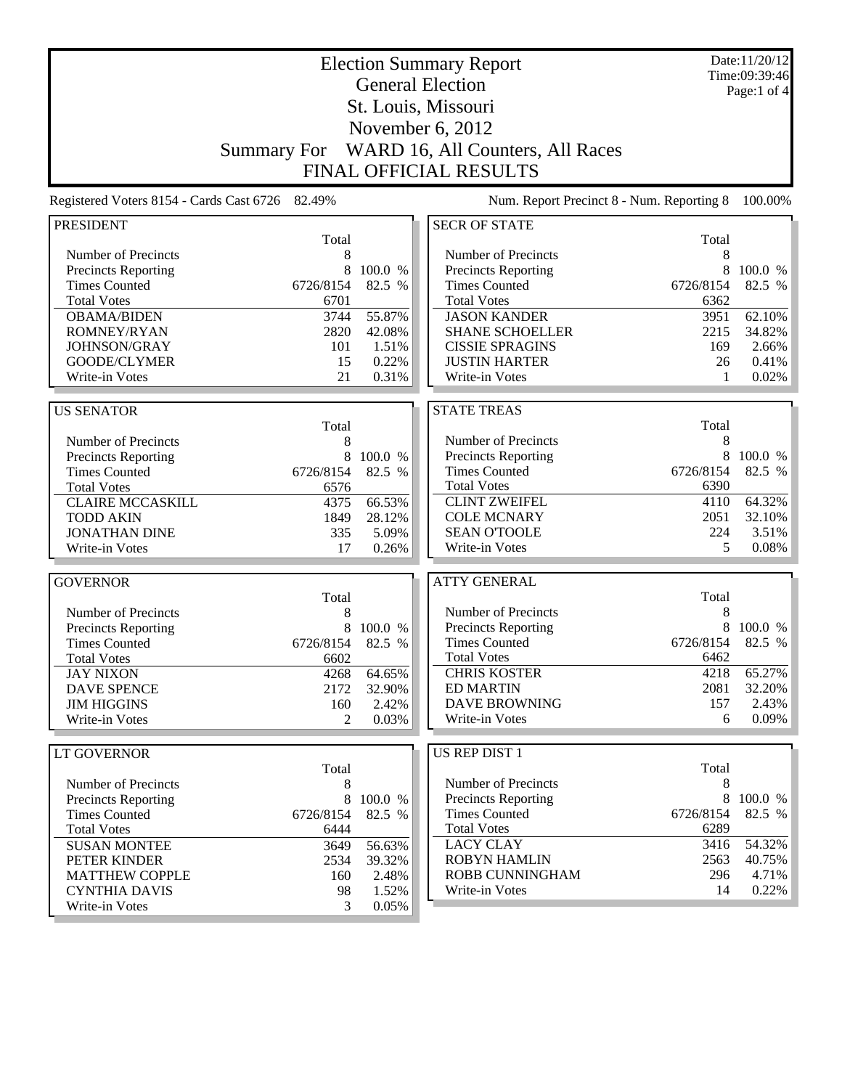| <b>General Election</b><br>Page:1 of 4<br>St. Louis, Missouri<br>November 6, 2012<br>WARD 16, All Counters, All Races<br><b>Summary For</b><br><b>FINAL OFFICIAL RESULTS</b><br>Num. Report Precinct 8 - Num. Reporting 8<br>Registered Voters 8154 - Cards Cast 6726 82.49%<br><b>SECR OF STATE</b><br><b>PRESIDENT</b><br>Total<br>Total<br>Number of Precincts<br>Number of Precincts<br>8<br>8<br>8<br>100.0 %<br>8<br>100.0 %<br>Precincts Reporting<br>Precincts Reporting<br>82.5 %<br>82.5 %<br><b>Times Counted</b><br>6726/8154<br><b>Times Counted</b><br>6726/8154<br><b>Total Votes</b><br><b>Total Votes</b><br>6701<br>6362<br>3744<br>55.87%<br><b>JASON KANDER</b><br><b>OBAMA/BIDEN</b><br>3951<br>62.10%<br>ROMNEY/RYAN<br>2820<br>42.08%<br><b>SHANE SCHOELLER</b><br>2215<br>34.82%<br>JOHNSON/GRAY<br>101<br>1.51%<br><b>CISSIE SPRAGINS</b><br>169<br>2.66%<br>GOODE/CLYMER<br>0.22%<br><b>JUSTIN HARTER</b><br>0.41%<br>15<br>26<br>0.31%<br>0.02%<br>21<br>Write-in Votes<br>Write-in Votes<br>1<br><b>STATE TREAS</b><br><b>US SENATOR</b><br>Total<br>Total<br>Number of Precincts<br>Number of Precincts<br>8<br>8<br>Precincts Reporting<br>8<br>100.0 %<br>Precincts Reporting<br>8<br>100.0 %<br>82.5 %<br><b>Times Counted</b><br>6726/8154<br>82.5 %<br><b>Times Counted</b><br>6726/8154<br><b>Total Votes</b><br>6390<br><b>Total Votes</b><br>6576<br><b>CLINT ZWEIFEL</b><br>64.32%<br><b>CLAIRE MCCASKILL</b><br>66.53%<br>4110<br>4375<br><b>COLE MCNARY</b><br>2051<br>32.10%<br><b>TODD AKIN</b><br>1849<br>28.12%<br><b>SEAN O'TOOLE</b><br>224<br>3.51%<br><b>JONATHAN DINE</b><br>5.09%<br>335<br>Write-in Votes<br>5<br>0.08%<br>Write-in Votes<br>17<br>0.26%<br><b>ATTY GENERAL</b><br><b>GOVERNOR</b><br>Total<br>Total<br>Number of Precincts<br>8<br>Number of Precincts<br>8<br>8<br>Precincts Reporting<br>100.0 %<br>8<br>Precincts Reporting<br>100.0 %<br><b>Times Counted</b><br>6726/8154<br>82.5 %<br><b>Times Counted</b><br>82.5 %<br>6726/8154<br><b>Total Votes</b><br>6462<br><b>Total Votes</b><br>6602<br><b>CHRIS KOSTER</b><br>4218<br><b>JAY NIXON</b><br>64.65%<br>4268<br><b>ED MARTIN</b><br>2081<br><b>DAVE SPENCE</b><br>2172<br>32.90%<br><b>DAVE BROWNING</b><br>2.43%<br>157<br><b>JIM HIGGINS</b><br>160<br>2.42%<br>Write-in Votes<br>0.09%<br>Write-in Votes<br>0.03%<br>6<br>2<br><b>US REP DIST 1</b><br><b>LT GOVERNOR</b><br>Total<br>Total<br>Number of Precincts<br>8<br>Number of Precincts<br>8<br>8<br>8 100.0 %<br>Precincts Reporting<br><b>Precincts Reporting</b><br>100.0 %<br>82.5 %<br><b>Times Counted</b><br>6726/8154<br><b>Times Counted</b><br>6726/8154<br><b>Total Votes</b><br>6289<br><b>Total Votes</b><br>6444<br><b>LACY CLAY</b><br>3416<br>54.32%<br><b>SUSAN MONTEE</b><br>3649<br>56.63%<br><b>ROBYN HAMLIN</b><br>2563<br>2534<br>PETER KINDER<br>39.32%<br>ROBB CUNNINGHAM<br>296<br>4.71%<br><b>MATTHEW COPPLE</b><br>160<br>2.48%<br>Write-in Votes<br>14<br>0.22%<br><b>CYNTHIA DAVIS</b><br>1.52%<br>98<br>Write-in Votes<br>3<br>0.05% |  | <b>Election Summary Report</b> | Date:11/20/12<br>Time:09:39:46 |
|--------------------------------------------------------------------------------------------------------------------------------------------------------------------------------------------------------------------------------------------------------------------------------------------------------------------------------------------------------------------------------------------------------------------------------------------------------------------------------------------------------------------------------------------------------------------------------------------------------------------------------------------------------------------------------------------------------------------------------------------------------------------------------------------------------------------------------------------------------------------------------------------------------------------------------------------------------------------------------------------------------------------------------------------------------------------------------------------------------------------------------------------------------------------------------------------------------------------------------------------------------------------------------------------------------------------------------------------------------------------------------------------------------------------------------------------------------------------------------------------------------------------------------------------------------------------------------------------------------------------------------------------------------------------------------------------------------------------------------------------------------------------------------------------------------------------------------------------------------------------------------------------------------------------------------------------------------------------------------------------------------------------------------------------------------------------------------------------------------------------------------------------------------------------------------------------------------------------------------------------------------------------------------------------------------------------------------------------------------------------------------------------------------------------------------------------------------------------------------------------------------------------------------------------------------------------------------------------------------------------------------------------------------------------------------------------------------------------------------------------------------------------------------------------------------------------------------------------------------------------------------------------------------------------------------------------------------------------------------------------------------------------------------------------------------------|--|--------------------------------|--------------------------------|
|                                                                                                                                                                                                                                                                                                                                                                                                                                                                                                                                                                                                                                                                                                                                                                                                                                                                                                                                                                                                                                                                                                                                                                                                                                                                                                                                                                                                                                                                                                                                                                                                                                                                                                                                                                                                                                                                                                                                                                                                                                                                                                                                                                                                                                                                                                                                                                                                                                                                                                                                                                                                                                                                                                                                                                                                                                                                                                                                                                                                                                                              |  |                                |                                |
|                                                                                                                                                                                                                                                                                                                                                                                                                                                                                                                                                                                                                                                                                                                                                                                                                                                                                                                                                                                                                                                                                                                                                                                                                                                                                                                                                                                                                                                                                                                                                                                                                                                                                                                                                                                                                                                                                                                                                                                                                                                                                                                                                                                                                                                                                                                                                                                                                                                                                                                                                                                                                                                                                                                                                                                                                                                                                                                                                                                                                                                              |  |                                |                                |
|                                                                                                                                                                                                                                                                                                                                                                                                                                                                                                                                                                                                                                                                                                                                                                                                                                                                                                                                                                                                                                                                                                                                                                                                                                                                                                                                                                                                                                                                                                                                                                                                                                                                                                                                                                                                                                                                                                                                                                                                                                                                                                                                                                                                                                                                                                                                                                                                                                                                                                                                                                                                                                                                                                                                                                                                                                                                                                                                                                                                                                                              |  |                                |                                |
| 100.00%<br>65.27%<br>32.20%<br>82.5 %<br>40.75%                                                                                                                                                                                                                                                                                                                                                                                                                                                                                                                                                                                                                                                                                                                                                                                                                                                                                                                                                                                                                                                                                                                                                                                                                                                                                                                                                                                                                                                                                                                                                                                                                                                                                                                                                                                                                                                                                                                                                                                                                                                                                                                                                                                                                                                                                                                                                                                                                                                                                                                                                                                                                                                                                                                                                                                                                                                                                                                                                                                                              |  |                                |                                |
|                                                                                                                                                                                                                                                                                                                                                                                                                                                                                                                                                                                                                                                                                                                                                                                                                                                                                                                                                                                                                                                                                                                                                                                                                                                                                                                                                                                                                                                                                                                                                                                                                                                                                                                                                                                                                                                                                                                                                                                                                                                                                                                                                                                                                                                                                                                                                                                                                                                                                                                                                                                                                                                                                                                                                                                                                                                                                                                                                                                                                                                              |  |                                |                                |
|                                                                                                                                                                                                                                                                                                                                                                                                                                                                                                                                                                                                                                                                                                                                                                                                                                                                                                                                                                                                                                                                                                                                                                                                                                                                                                                                                                                                                                                                                                                                                                                                                                                                                                                                                                                                                                                                                                                                                                                                                                                                                                                                                                                                                                                                                                                                                                                                                                                                                                                                                                                                                                                                                                                                                                                                                                                                                                                                                                                                                                                              |  |                                |                                |
|                                                                                                                                                                                                                                                                                                                                                                                                                                                                                                                                                                                                                                                                                                                                                                                                                                                                                                                                                                                                                                                                                                                                                                                                                                                                                                                                                                                                                                                                                                                                                                                                                                                                                                                                                                                                                                                                                                                                                                                                                                                                                                                                                                                                                                                                                                                                                                                                                                                                                                                                                                                                                                                                                                                                                                                                                                                                                                                                                                                                                                                              |  |                                |                                |
|                                                                                                                                                                                                                                                                                                                                                                                                                                                                                                                                                                                                                                                                                                                                                                                                                                                                                                                                                                                                                                                                                                                                                                                                                                                                                                                                                                                                                                                                                                                                                                                                                                                                                                                                                                                                                                                                                                                                                                                                                                                                                                                                                                                                                                                                                                                                                                                                                                                                                                                                                                                                                                                                                                                                                                                                                                                                                                                                                                                                                                                              |  |                                |                                |
|                                                                                                                                                                                                                                                                                                                                                                                                                                                                                                                                                                                                                                                                                                                                                                                                                                                                                                                                                                                                                                                                                                                                                                                                                                                                                                                                                                                                                                                                                                                                                                                                                                                                                                                                                                                                                                                                                                                                                                                                                                                                                                                                                                                                                                                                                                                                                                                                                                                                                                                                                                                                                                                                                                                                                                                                                                                                                                                                                                                                                                                              |  |                                |                                |
|                                                                                                                                                                                                                                                                                                                                                                                                                                                                                                                                                                                                                                                                                                                                                                                                                                                                                                                                                                                                                                                                                                                                                                                                                                                                                                                                                                                                                                                                                                                                                                                                                                                                                                                                                                                                                                                                                                                                                                                                                                                                                                                                                                                                                                                                                                                                                                                                                                                                                                                                                                                                                                                                                                                                                                                                                                                                                                                                                                                                                                                              |  |                                |                                |
|                                                                                                                                                                                                                                                                                                                                                                                                                                                                                                                                                                                                                                                                                                                                                                                                                                                                                                                                                                                                                                                                                                                                                                                                                                                                                                                                                                                                                                                                                                                                                                                                                                                                                                                                                                                                                                                                                                                                                                                                                                                                                                                                                                                                                                                                                                                                                                                                                                                                                                                                                                                                                                                                                                                                                                                                                                                                                                                                                                                                                                                              |  |                                |                                |
|                                                                                                                                                                                                                                                                                                                                                                                                                                                                                                                                                                                                                                                                                                                                                                                                                                                                                                                                                                                                                                                                                                                                                                                                                                                                                                                                                                                                                                                                                                                                                                                                                                                                                                                                                                                                                                                                                                                                                                                                                                                                                                                                                                                                                                                                                                                                                                                                                                                                                                                                                                                                                                                                                                                                                                                                                                                                                                                                                                                                                                                              |  |                                |                                |
|                                                                                                                                                                                                                                                                                                                                                                                                                                                                                                                                                                                                                                                                                                                                                                                                                                                                                                                                                                                                                                                                                                                                                                                                                                                                                                                                                                                                                                                                                                                                                                                                                                                                                                                                                                                                                                                                                                                                                                                                                                                                                                                                                                                                                                                                                                                                                                                                                                                                                                                                                                                                                                                                                                                                                                                                                                                                                                                                                                                                                                                              |  |                                |                                |
|                                                                                                                                                                                                                                                                                                                                                                                                                                                                                                                                                                                                                                                                                                                                                                                                                                                                                                                                                                                                                                                                                                                                                                                                                                                                                                                                                                                                                                                                                                                                                                                                                                                                                                                                                                                                                                                                                                                                                                                                                                                                                                                                                                                                                                                                                                                                                                                                                                                                                                                                                                                                                                                                                                                                                                                                                                                                                                                                                                                                                                                              |  |                                |                                |
|                                                                                                                                                                                                                                                                                                                                                                                                                                                                                                                                                                                                                                                                                                                                                                                                                                                                                                                                                                                                                                                                                                                                                                                                                                                                                                                                                                                                                                                                                                                                                                                                                                                                                                                                                                                                                                                                                                                                                                                                                                                                                                                                                                                                                                                                                                                                                                                                                                                                                                                                                                                                                                                                                                                                                                                                                                                                                                                                                                                                                                                              |  |                                |                                |
|                                                                                                                                                                                                                                                                                                                                                                                                                                                                                                                                                                                                                                                                                                                                                                                                                                                                                                                                                                                                                                                                                                                                                                                                                                                                                                                                                                                                                                                                                                                                                                                                                                                                                                                                                                                                                                                                                                                                                                                                                                                                                                                                                                                                                                                                                                                                                                                                                                                                                                                                                                                                                                                                                                                                                                                                                                                                                                                                                                                                                                                              |  |                                |                                |
|                                                                                                                                                                                                                                                                                                                                                                                                                                                                                                                                                                                                                                                                                                                                                                                                                                                                                                                                                                                                                                                                                                                                                                                                                                                                                                                                                                                                                                                                                                                                                                                                                                                                                                                                                                                                                                                                                                                                                                                                                                                                                                                                                                                                                                                                                                                                                                                                                                                                                                                                                                                                                                                                                                                                                                                                                                                                                                                                                                                                                                                              |  |                                |                                |
|                                                                                                                                                                                                                                                                                                                                                                                                                                                                                                                                                                                                                                                                                                                                                                                                                                                                                                                                                                                                                                                                                                                                                                                                                                                                                                                                                                                                                                                                                                                                                                                                                                                                                                                                                                                                                                                                                                                                                                                                                                                                                                                                                                                                                                                                                                                                                                                                                                                                                                                                                                                                                                                                                                                                                                                                                                                                                                                                                                                                                                                              |  |                                |                                |
|                                                                                                                                                                                                                                                                                                                                                                                                                                                                                                                                                                                                                                                                                                                                                                                                                                                                                                                                                                                                                                                                                                                                                                                                                                                                                                                                                                                                                                                                                                                                                                                                                                                                                                                                                                                                                                                                                                                                                                                                                                                                                                                                                                                                                                                                                                                                                                                                                                                                                                                                                                                                                                                                                                                                                                                                                                                                                                                                                                                                                                                              |  |                                |                                |
|                                                                                                                                                                                                                                                                                                                                                                                                                                                                                                                                                                                                                                                                                                                                                                                                                                                                                                                                                                                                                                                                                                                                                                                                                                                                                                                                                                                                                                                                                                                                                                                                                                                                                                                                                                                                                                                                                                                                                                                                                                                                                                                                                                                                                                                                                                                                                                                                                                                                                                                                                                                                                                                                                                                                                                                                                                                                                                                                                                                                                                                              |  |                                |                                |
|                                                                                                                                                                                                                                                                                                                                                                                                                                                                                                                                                                                                                                                                                                                                                                                                                                                                                                                                                                                                                                                                                                                                                                                                                                                                                                                                                                                                                                                                                                                                                                                                                                                                                                                                                                                                                                                                                                                                                                                                                                                                                                                                                                                                                                                                                                                                                                                                                                                                                                                                                                                                                                                                                                                                                                                                                                                                                                                                                                                                                                                              |  |                                |                                |
|                                                                                                                                                                                                                                                                                                                                                                                                                                                                                                                                                                                                                                                                                                                                                                                                                                                                                                                                                                                                                                                                                                                                                                                                                                                                                                                                                                                                                                                                                                                                                                                                                                                                                                                                                                                                                                                                                                                                                                                                                                                                                                                                                                                                                                                                                                                                                                                                                                                                                                                                                                                                                                                                                                                                                                                                                                                                                                                                                                                                                                                              |  |                                |                                |
|                                                                                                                                                                                                                                                                                                                                                                                                                                                                                                                                                                                                                                                                                                                                                                                                                                                                                                                                                                                                                                                                                                                                                                                                                                                                                                                                                                                                                                                                                                                                                                                                                                                                                                                                                                                                                                                                                                                                                                                                                                                                                                                                                                                                                                                                                                                                                                                                                                                                                                                                                                                                                                                                                                                                                                                                                                                                                                                                                                                                                                                              |  |                                |                                |
|                                                                                                                                                                                                                                                                                                                                                                                                                                                                                                                                                                                                                                                                                                                                                                                                                                                                                                                                                                                                                                                                                                                                                                                                                                                                                                                                                                                                                                                                                                                                                                                                                                                                                                                                                                                                                                                                                                                                                                                                                                                                                                                                                                                                                                                                                                                                                                                                                                                                                                                                                                                                                                                                                                                                                                                                                                                                                                                                                                                                                                                              |  |                                |                                |
|                                                                                                                                                                                                                                                                                                                                                                                                                                                                                                                                                                                                                                                                                                                                                                                                                                                                                                                                                                                                                                                                                                                                                                                                                                                                                                                                                                                                                                                                                                                                                                                                                                                                                                                                                                                                                                                                                                                                                                                                                                                                                                                                                                                                                                                                                                                                                                                                                                                                                                                                                                                                                                                                                                                                                                                                                                                                                                                                                                                                                                                              |  |                                |                                |
|                                                                                                                                                                                                                                                                                                                                                                                                                                                                                                                                                                                                                                                                                                                                                                                                                                                                                                                                                                                                                                                                                                                                                                                                                                                                                                                                                                                                                                                                                                                                                                                                                                                                                                                                                                                                                                                                                                                                                                                                                                                                                                                                                                                                                                                                                                                                                                                                                                                                                                                                                                                                                                                                                                                                                                                                                                                                                                                                                                                                                                                              |  |                                |                                |
|                                                                                                                                                                                                                                                                                                                                                                                                                                                                                                                                                                                                                                                                                                                                                                                                                                                                                                                                                                                                                                                                                                                                                                                                                                                                                                                                                                                                                                                                                                                                                                                                                                                                                                                                                                                                                                                                                                                                                                                                                                                                                                                                                                                                                                                                                                                                                                                                                                                                                                                                                                                                                                                                                                                                                                                                                                                                                                                                                                                                                                                              |  |                                |                                |
|                                                                                                                                                                                                                                                                                                                                                                                                                                                                                                                                                                                                                                                                                                                                                                                                                                                                                                                                                                                                                                                                                                                                                                                                                                                                                                                                                                                                                                                                                                                                                                                                                                                                                                                                                                                                                                                                                                                                                                                                                                                                                                                                                                                                                                                                                                                                                                                                                                                                                                                                                                                                                                                                                                                                                                                                                                                                                                                                                                                                                                                              |  |                                |                                |
|                                                                                                                                                                                                                                                                                                                                                                                                                                                                                                                                                                                                                                                                                                                                                                                                                                                                                                                                                                                                                                                                                                                                                                                                                                                                                                                                                                                                                                                                                                                                                                                                                                                                                                                                                                                                                                                                                                                                                                                                                                                                                                                                                                                                                                                                                                                                                                                                                                                                                                                                                                                                                                                                                                                                                                                                                                                                                                                                                                                                                                                              |  |                                |                                |
|                                                                                                                                                                                                                                                                                                                                                                                                                                                                                                                                                                                                                                                                                                                                                                                                                                                                                                                                                                                                                                                                                                                                                                                                                                                                                                                                                                                                                                                                                                                                                                                                                                                                                                                                                                                                                                                                                                                                                                                                                                                                                                                                                                                                                                                                                                                                                                                                                                                                                                                                                                                                                                                                                                                                                                                                                                                                                                                                                                                                                                                              |  |                                |                                |
|                                                                                                                                                                                                                                                                                                                                                                                                                                                                                                                                                                                                                                                                                                                                                                                                                                                                                                                                                                                                                                                                                                                                                                                                                                                                                                                                                                                                                                                                                                                                                                                                                                                                                                                                                                                                                                                                                                                                                                                                                                                                                                                                                                                                                                                                                                                                                                                                                                                                                                                                                                                                                                                                                                                                                                                                                                                                                                                                                                                                                                                              |  |                                |                                |
|                                                                                                                                                                                                                                                                                                                                                                                                                                                                                                                                                                                                                                                                                                                                                                                                                                                                                                                                                                                                                                                                                                                                                                                                                                                                                                                                                                                                                                                                                                                                                                                                                                                                                                                                                                                                                                                                                                                                                                                                                                                                                                                                                                                                                                                                                                                                                                                                                                                                                                                                                                                                                                                                                                                                                                                                                                                                                                                                                                                                                                                              |  |                                |                                |
|                                                                                                                                                                                                                                                                                                                                                                                                                                                                                                                                                                                                                                                                                                                                                                                                                                                                                                                                                                                                                                                                                                                                                                                                                                                                                                                                                                                                                                                                                                                                                                                                                                                                                                                                                                                                                                                                                                                                                                                                                                                                                                                                                                                                                                                                                                                                                                                                                                                                                                                                                                                                                                                                                                                                                                                                                                                                                                                                                                                                                                                              |  |                                |                                |
|                                                                                                                                                                                                                                                                                                                                                                                                                                                                                                                                                                                                                                                                                                                                                                                                                                                                                                                                                                                                                                                                                                                                                                                                                                                                                                                                                                                                                                                                                                                                                                                                                                                                                                                                                                                                                                                                                                                                                                                                                                                                                                                                                                                                                                                                                                                                                                                                                                                                                                                                                                                                                                                                                                                                                                                                                                                                                                                                                                                                                                                              |  |                                |                                |
|                                                                                                                                                                                                                                                                                                                                                                                                                                                                                                                                                                                                                                                                                                                                                                                                                                                                                                                                                                                                                                                                                                                                                                                                                                                                                                                                                                                                                                                                                                                                                                                                                                                                                                                                                                                                                                                                                                                                                                                                                                                                                                                                                                                                                                                                                                                                                                                                                                                                                                                                                                                                                                                                                                                                                                                                                                                                                                                                                                                                                                                              |  |                                |                                |
|                                                                                                                                                                                                                                                                                                                                                                                                                                                                                                                                                                                                                                                                                                                                                                                                                                                                                                                                                                                                                                                                                                                                                                                                                                                                                                                                                                                                                                                                                                                                                                                                                                                                                                                                                                                                                                                                                                                                                                                                                                                                                                                                                                                                                                                                                                                                                                                                                                                                                                                                                                                                                                                                                                                                                                                                                                                                                                                                                                                                                                                              |  |                                |                                |
|                                                                                                                                                                                                                                                                                                                                                                                                                                                                                                                                                                                                                                                                                                                                                                                                                                                                                                                                                                                                                                                                                                                                                                                                                                                                                                                                                                                                                                                                                                                                                                                                                                                                                                                                                                                                                                                                                                                                                                                                                                                                                                                                                                                                                                                                                                                                                                                                                                                                                                                                                                                                                                                                                                                                                                                                                                                                                                                                                                                                                                                              |  |                                |                                |
|                                                                                                                                                                                                                                                                                                                                                                                                                                                                                                                                                                                                                                                                                                                                                                                                                                                                                                                                                                                                                                                                                                                                                                                                                                                                                                                                                                                                                                                                                                                                                                                                                                                                                                                                                                                                                                                                                                                                                                                                                                                                                                                                                                                                                                                                                                                                                                                                                                                                                                                                                                                                                                                                                                                                                                                                                                                                                                                                                                                                                                                              |  |                                |                                |
|                                                                                                                                                                                                                                                                                                                                                                                                                                                                                                                                                                                                                                                                                                                                                                                                                                                                                                                                                                                                                                                                                                                                                                                                                                                                                                                                                                                                                                                                                                                                                                                                                                                                                                                                                                                                                                                                                                                                                                                                                                                                                                                                                                                                                                                                                                                                                                                                                                                                                                                                                                                                                                                                                                                                                                                                                                                                                                                                                                                                                                                              |  |                                |                                |
|                                                                                                                                                                                                                                                                                                                                                                                                                                                                                                                                                                                                                                                                                                                                                                                                                                                                                                                                                                                                                                                                                                                                                                                                                                                                                                                                                                                                                                                                                                                                                                                                                                                                                                                                                                                                                                                                                                                                                                                                                                                                                                                                                                                                                                                                                                                                                                                                                                                                                                                                                                                                                                                                                                                                                                                                                                                                                                                                                                                                                                                              |  |                                |                                |
|                                                                                                                                                                                                                                                                                                                                                                                                                                                                                                                                                                                                                                                                                                                                                                                                                                                                                                                                                                                                                                                                                                                                                                                                                                                                                                                                                                                                                                                                                                                                                                                                                                                                                                                                                                                                                                                                                                                                                                                                                                                                                                                                                                                                                                                                                                                                                                                                                                                                                                                                                                                                                                                                                                                                                                                                                                                                                                                                                                                                                                                              |  |                                |                                |
|                                                                                                                                                                                                                                                                                                                                                                                                                                                                                                                                                                                                                                                                                                                                                                                                                                                                                                                                                                                                                                                                                                                                                                                                                                                                                                                                                                                                                                                                                                                                                                                                                                                                                                                                                                                                                                                                                                                                                                                                                                                                                                                                                                                                                                                                                                                                                                                                                                                                                                                                                                                                                                                                                                                                                                                                                                                                                                                                                                                                                                                              |  |                                |                                |
|                                                                                                                                                                                                                                                                                                                                                                                                                                                                                                                                                                                                                                                                                                                                                                                                                                                                                                                                                                                                                                                                                                                                                                                                                                                                                                                                                                                                                                                                                                                                                                                                                                                                                                                                                                                                                                                                                                                                                                                                                                                                                                                                                                                                                                                                                                                                                                                                                                                                                                                                                                                                                                                                                                                                                                                                                                                                                                                                                                                                                                                              |  |                                |                                |
|                                                                                                                                                                                                                                                                                                                                                                                                                                                                                                                                                                                                                                                                                                                                                                                                                                                                                                                                                                                                                                                                                                                                                                                                                                                                                                                                                                                                                                                                                                                                                                                                                                                                                                                                                                                                                                                                                                                                                                                                                                                                                                                                                                                                                                                                                                                                                                                                                                                                                                                                                                                                                                                                                                                                                                                                                                                                                                                                                                                                                                                              |  |                                |                                |
|                                                                                                                                                                                                                                                                                                                                                                                                                                                                                                                                                                                                                                                                                                                                                                                                                                                                                                                                                                                                                                                                                                                                                                                                                                                                                                                                                                                                                                                                                                                                                                                                                                                                                                                                                                                                                                                                                                                                                                                                                                                                                                                                                                                                                                                                                                                                                                                                                                                                                                                                                                                                                                                                                                                                                                                                                                                                                                                                                                                                                                                              |  |                                |                                |
|                                                                                                                                                                                                                                                                                                                                                                                                                                                                                                                                                                                                                                                                                                                                                                                                                                                                                                                                                                                                                                                                                                                                                                                                                                                                                                                                                                                                                                                                                                                                                                                                                                                                                                                                                                                                                                                                                                                                                                                                                                                                                                                                                                                                                                                                                                                                                                                                                                                                                                                                                                                                                                                                                                                                                                                                                                                                                                                                                                                                                                                              |  |                                |                                |
|                                                                                                                                                                                                                                                                                                                                                                                                                                                                                                                                                                                                                                                                                                                                                                                                                                                                                                                                                                                                                                                                                                                                                                                                                                                                                                                                                                                                                                                                                                                                                                                                                                                                                                                                                                                                                                                                                                                                                                                                                                                                                                                                                                                                                                                                                                                                                                                                                                                                                                                                                                                                                                                                                                                                                                                                                                                                                                                                                                                                                                                              |  |                                |                                |
|                                                                                                                                                                                                                                                                                                                                                                                                                                                                                                                                                                                                                                                                                                                                                                                                                                                                                                                                                                                                                                                                                                                                                                                                                                                                                                                                                                                                                                                                                                                                                                                                                                                                                                                                                                                                                                                                                                                                                                                                                                                                                                                                                                                                                                                                                                                                                                                                                                                                                                                                                                                                                                                                                                                                                                                                                                                                                                                                                                                                                                                              |  |                                |                                |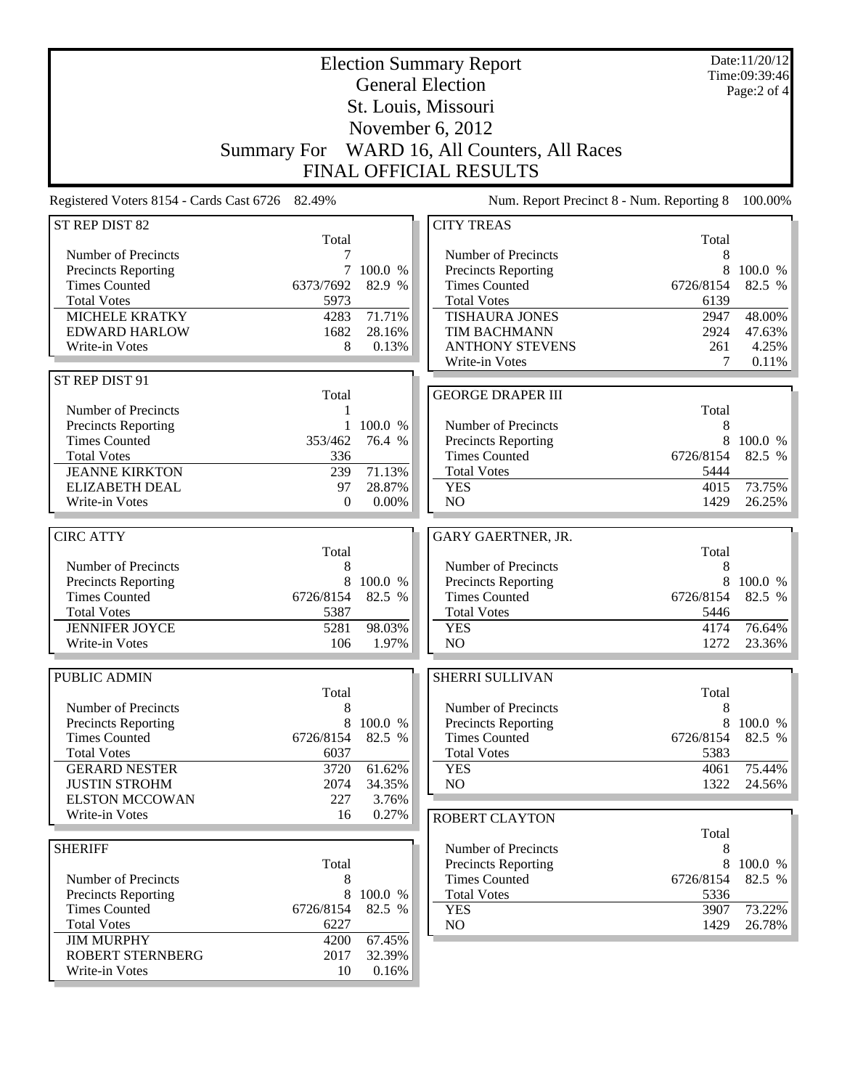|                                                   | <b>Election Summary Report</b><br><b>General Election</b> |           |                                                    |              | Date:11/20/12<br>Time:09:39:46<br>Page:2 of 4 |
|---------------------------------------------------|-----------------------------------------------------------|-----------|----------------------------------------------------|--------------|-----------------------------------------------|
|                                                   |                                                           |           | St. Louis, Missouri                                |              |                                               |
|                                                   |                                                           |           | November 6, 2012                                   |              |                                               |
|                                                   |                                                           |           | Summary For WARD 16, All Counters, All Races       |              |                                               |
|                                                   |                                                           |           | <b>FINAL OFFICIAL RESULTS</b>                      |              |                                               |
| Registered Voters 8154 - Cards Cast 6726 82.49%   |                                                           |           | Num. Report Precinct 8 - Num. Reporting 8          |              | 100.00%                                       |
| ST REP DIST 82                                    |                                                           |           | <b>CITY TREAS</b>                                  |              |                                               |
|                                                   | Total                                                     |           |                                                    | Total        |                                               |
| Number of Precincts<br>Precincts Reporting        | 7                                                         | 7 100.0 % | Number of Precincts<br>Precincts Reporting         | 8<br>8       | 100.0 %                                       |
| <b>Times Counted</b>                              | 6373/7692                                                 | 82.9 %    | <b>Times Counted</b>                               | 6726/8154    | 82.5 %                                        |
| <b>Total Votes</b>                                | 5973                                                      |           | <b>Total Votes</b>                                 | 6139         |                                               |
| <b>MICHELE KRATKY</b>                             | 4283                                                      | 71.71%    | <b>TISHAURA JONES</b>                              | 2947         | 48.00%                                        |
| <b>EDWARD HARLOW</b>                              | 1682                                                      | 28.16%    | TIM BACHMANN                                       | 2924         | 47.63%                                        |
| Write-in Votes                                    | 8                                                         | 0.13%     | <b>ANTHONY STEVENS</b><br>Write-in Votes           | 261<br>7     | 4.25%<br>0.11%                                |
| ST REP DIST 91                                    |                                                           |           |                                                    |              |                                               |
|                                                   | Total                                                     |           | <b>GEORGE DRAPER III</b>                           |              |                                               |
| Number of Precincts                               | 1                                                         |           |                                                    | Total        |                                               |
| Precincts Reporting                               | $\mathbf{1}$                                              | 100.0 %   | Number of Precincts                                | 8            |                                               |
| <b>Times Counted</b><br><b>Total Votes</b>        | 353/462<br>336                                            | 76.4 %    | <b>Precincts Reporting</b><br><b>Times Counted</b> | 6726/8154    | 8 100.0 %<br>82.5 %                           |
| <b>JEANNE KIRKTON</b>                             | 239                                                       | 71.13%    | <b>Total Votes</b>                                 | 5444         |                                               |
| <b>ELIZABETH DEAL</b>                             | 97                                                        | 28.87%    | <b>YES</b>                                         | 4015         | 73.75%                                        |
| Write-in Votes                                    | 0                                                         | $0.00\%$  | NO                                                 | 1429         | 26.25%                                        |
|                                                   |                                                           |           |                                                    |              |                                               |
| <b>CIRC ATTY</b>                                  | Total                                                     |           | GARY GAERTNER, JR.                                 | Total        |                                               |
| Number of Precincts                               | 8                                                         |           | Number of Precincts                                | 8            |                                               |
| Precincts Reporting                               | 8                                                         | 100.0 %   | Precincts Reporting                                | 8            | 100.0 %                                       |
| <b>Times Counted</b>                              | 6726/8154                                                 | 82.5 %    | <b>Times Counted</b>                               | 6726/8154    | 82.5 %                                        |
| <b>Total Votes</b><br><b>JENNIFER JOYCE</b>       | 5387                                                      | 98.03%    | <b>Total Votes</b>                                 | 5446         | 76.64%                                        |
| Write-in Votes                                    | 5281<br>106                                               | 1.97%     | <b>YES</b><br>NO                                   | 4174<br>1272 | 23.36%                                        |
|                                                   |                                                           |           |                                                    |              |                                               |
| PUBLIC ADMIN                                      |                                                           |           | SHERRI SULLIVAN                                    |              |                                               |
|                                                   | Total                                                     |           |                                                    | Total        |                                               |
| Number of Precincts<br><b>Precincts Reporting</b> | 8<br>8                                                    | 100.0 %   | Number of Precincts<br><b>Precincts Reporting</b>  | 8<br>8       | 100.0 %                                       |
| <b>Times Counted</b>                              | 6726/8154                                                 | 82.5 %    | <b>Times Counted</b>                               | 6726/8154    | 82.5 %                                        |
| <b>Total Votes</b>                                | 6037                                                      |           | <b>Total Votes</b>                                 | 5383         |                                               |
| <b>GERARD NESTER</b>                              | 3720                                                      | 61.62%    | <b>YES</b>                                         | 4061         | 75.44%                                        |
| <b>JUSTIN STROHM</b>                              | 2074                                                      | 34.35%    | NO                                                 | 1322         | 24.56%                                        |
| <b>ELSTON MCCOWAN</b>                             | 227                                                       | 3.76%     |                                                    |              |                                               |
| Write-in Votes                                    | 16                                                        | 0.27%     | <b>ROBERT CLAYTON</b>                              |              |                                               |
| <b>SHERIFF</b>                                    |                                                           |           | Number of Precincts                                | Total<br>8   |                                               |
|                                                   | Total                                                     |           | Precincts Reporting                                | 8            | 100.0 %                                       |
| Number of Precincts                               | 8                                                         |           | <b>Times Counted</b>                               | 6726/8154    | 82.5 %                                        |
| Precincts Reporting                               | 8                                                         | 100.0 %   | <b>Total Votes</b>                                 | 5336         |                                               |
| <b>Times Counted</b>                              | 6726/8154                                                 | 82.5 %    | <b>YES</b>                                         | 3907         | 73.22%                                        |
| <b>Total Votes</b><br><b>JIM MURPHY</b>           | 6227<br>4200                                              | 67.45%    | N <sub>O</sub>                                     | 1429         | 26.78%                                        |
| ROBERT STERNBERG                                  | 2017                                                      | 32.39%    |                                                    |              |                                               |
| Write-in Votes                                    | 10                                                        | 0.16%     |                                                    |              |                                               |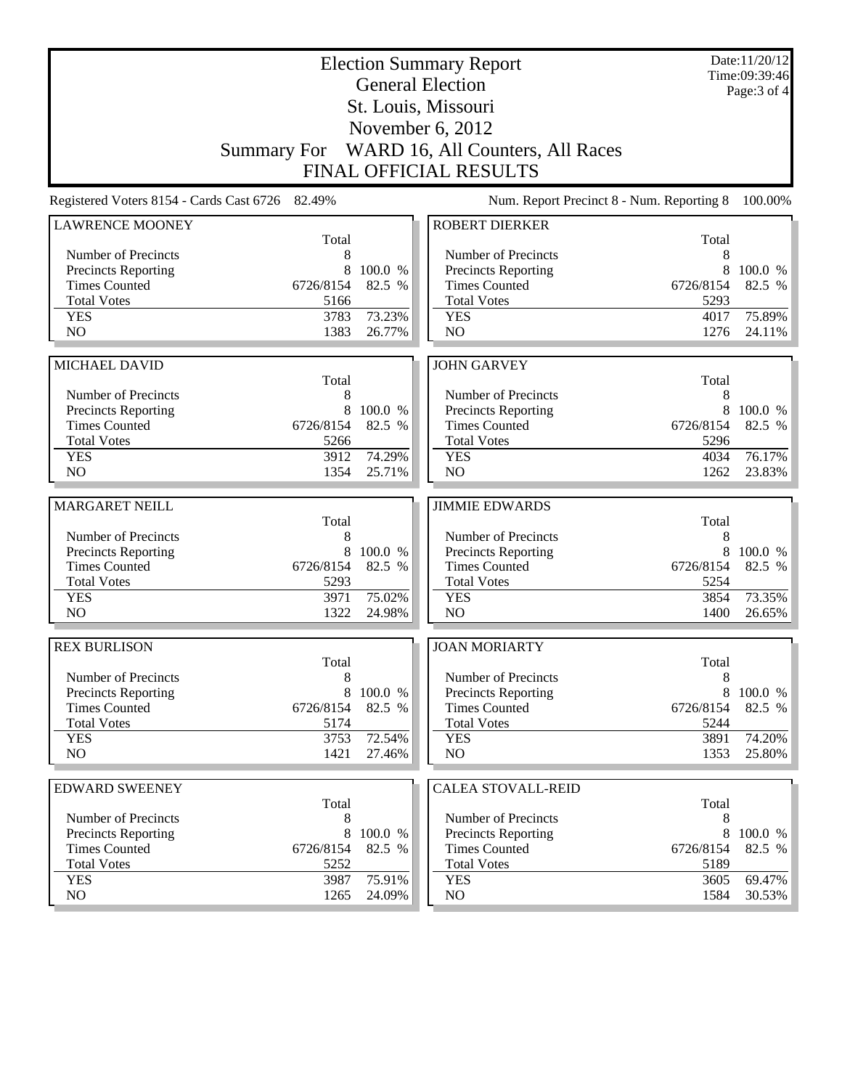| <b>Election Summary Report</b><br><b>General Election</b> |              |                  |                                              |              | Date:11/20/12<br>Time:09:39:46 |
|-----------------------------------------------------------|--------------|------------------|----------------------------------------------|--------------|--------------------------------|
|                                                           |              |                  | St. Louis, Missouri                          |              | Page: 3 of 4                   |
|                                                           |              |                  | November 6, 2012                             |              |                                |
|                                                           |              |                  | Summary For WARD 16, All Counters, All Races |              |                                |
|                                                           |              |                  | <b>FINAL OFFICIAL RESULTS</b>                |              |                                |
|                                                           |              |                  |                                              |              |                                |
| Registered Voters 8154 - Cards Cast 6726 82.49%           |              |                  | Num. Report Precinct 8 - Num. Reporting 8    |              | 100.00%                        |
| <b>LAWRENCE MOONEY</b>                                    | Total        |                  | <b>ROBERT DIERKER</b>                        | Total        |                                |
| Number of Precincts                                       | 8            |                  | Number of Precincts                          | 8            |                                |
| <b>Precincts Reporting</b>                                | 8            | 100.0 %          | <b>Precincts Reporting</b>                   | 8            | 100.0 %                        |
| <b>Times Counted</b>                                      | 6726/8154    | 82.5 %           | <b>Times Counted</b>                         | 6726/8154    | 82.5 %                         |
| <b>Total Votes</b>                                        | 5166         |                  | <b>Total Votes</b>                           | 5293         |                                |
| <b>YES</b>                                                | 3783         | 73.23%           | <b>YES</b>                                   | 4017         | 75.89%                         |
| N <sub>O</sub>                                            | 1383         | 26.77%           | N <sub>O</sub>                               | 1276         | 24.11%                         |
|                                                           |              |                  |                                              |              |                                |
| <b>MICHAEL DAVID</b>                                      | Total        |                  | <b>JOHN GARVEY</b>                           | Total        |                                |
| Number of Precincts                                       | 8            |                  | Number of Precincts                          | 8            |                                |
| <b>Precincts Reporting</b>                                | 8            | 100.0 %          | Precincts Reporting                          | 8            | 100.0 %                        |
| <b>Times Counted</b>                                      | 6726/8154    | 82.5 %           | <b>Times Counted</b>                         | 6726/8154    | 82.5 %                         |
| <b>Total Votes</b>                                        | 5266         |                  | <b>Total Votes</b>                           | 5296         |                                |
| <b>YES</b>                                                | 3912         | 74.29%           | <b>YES</b>                                   | 4034         | 76.17%                         |
| NO                                                        | 1354         | 25.71%           | NO                                           | 1262         | 23.83%                         |
|                                                           |              |                  |                                              |              |                                |
|                                                           |              |                  |                                              |              |                                |
| <b>MARGARET NEILL</b>                                     |              |                  | <b>JIMMIE EDWARDS</b>                        |              |                                |
|                                                           | Total        |                  |                                              | Total        |                                |
| Number of Precincts                                       | 8            |                  | Number of Precincts                          | 8            |                                |
| <b>Precincts Reporting</b>                                | 8            | 100.0 %          | Precincts Reporting                          | 8            | 100.0 %                        |
| <b>Times Counted</b>                                      | 6726/8154    | 82.5 %           | <b>Times Counted</b>                         | 6726/8154    | 82.5 %                         |
| <b>Total Votes</b><br><b>YES</b>                          | 5293<br>3971 | 75.02%           | <b>Total Votes</b><br><b>YES</b>             | 5254<br>3854 | 73.35%                         |
| N <sub>O</sub>                                            | 1322         | 24.98%           | NO                                           | 1400         |                                |
|                                                           |              |                  |                                              |              |                                |
| <b>REX BURLISON</b>                                       |              |                  | <b>JOAN MORIARTY</b>                         |              | 26.65%                         |
| Number of Precincts                                       | Total<br>8   |                  | Number of Precincts                          | Total<br>8   |                                |
| <b>Precincts Reporting</b>                                |              | 8 100.0 %        | <b>Precincts Reporting</b>                   | 8            | 100.0 %                        |
| <b>Times Counted</b>                                      | 6726/8154    | 82.5 %           | <b>Times Counted</b>                         | 6726/8154    | 82.5 %                         |
| <b>Total Votes</b>                                        | 5174         |                  | <b>Total Votes</b>                           | 5244         |                                |
| <b>YES</b>                                                | 3753         | 72.54%           | <b>YES</b>                                   | 3891         | 74.20%                         |
| NO                                                        | 1421         | 27.46%           | NO                                           | 1353         | 25.80%                         |
|                                                           |              |                  |                                              |              |                                |
| <b>EDWARD SWEENEY</b>                                     | Total        |                  | <b>CALEA STOVALL-REID</b>                    | Total        |                                |
| Number of Precincts                                       | 8            |                  | Number of Precincts                          | 8            |                                |
| Precincts Reporting                                       | 8            | 100.0 %          | <b>Precincts Reporting</b>                   | 8            | 100.0 %                        |
| <b>Times Counted</b>                                      | 6726/8154    | 82.5 %           | <b>Times Counted</b>                         | 6726/8154    | 82.5 %                         |
| <b>Total Votes</b>                                        | 5252         |                  | <b>Total Votes</b>                           | 5189         |                                |
| <b>YES</b><br>NO.                                         | 3987<br>1265 | 75.91%<br>24.09% | <b>YES</b><br>NO                             | 3605<br>1584 | 69.47%<br>$30.53\%$            |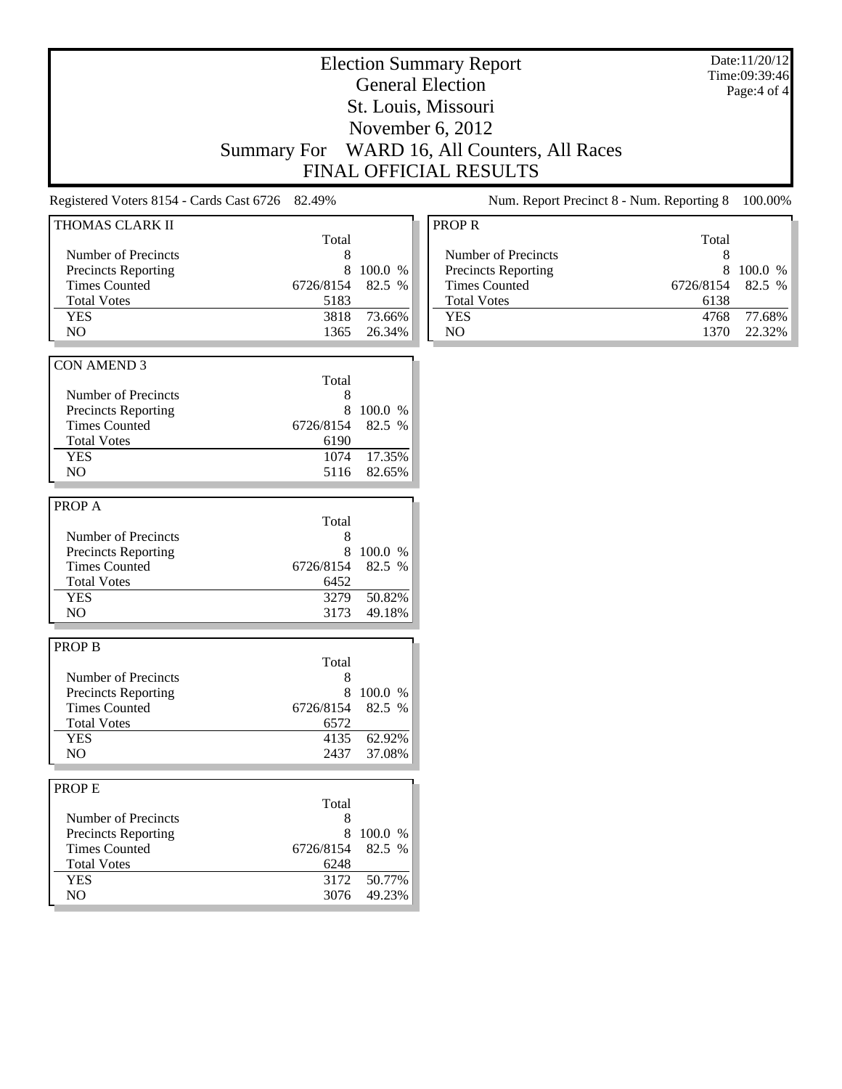## Election Summary Report General Election St. Louis, Missouri November 6, 2012 Summary For WARD 16, All Counters, All Races FINAL OFFICIAL RESULTS

Date:11/20/12 Time:09:39:46 Page:4 of 4

Registered Voters 8154 - Cards Cast 6726 82.49% Num. Report Precinct 8 - Num. Reporting 8 100.00%

| THOMAS CLARK II            |           |         |  |
|----------------------------|-----------|---------|--|
|                            | Total     |         |  |
| Number of Precincts        | 8         |         |  |
| <b>Precincts Reporting</b> | 8         | 100.0 % |  |
| <b>Times Counted</b>       | 6726/8154 | 82.5 %  |  |
| <b>Total Votes</b>         | 5183      |         |  |
| <b>YES</b>                 | 3818      | 73.66%  |  |
| NO                         | 1365      | 26.34%  |  |
|                            |           |         |  |
| <b>CON AMEND 3</b>         |           |         |  |
|                            | Total     |         |  |
| Number of Precincts        | 8         |         |  |
| <b>Precincts Reporting</b> | 8         | 100.0 % |  |
|                            |           |         |  |
| <b>Times Counted</b>       | 6726/8154 | 82.5 %  |  |
| <b>Total Votes</b>         | 6190      |         |  |
| <b>YES</b>                 | 1074      | 17.35%  |  |
| NO                         | 5116      | 82.65%  |  |
|                            |           |         |  |
| PROP A                     |           |         |  |
|                            | Total     |         |  |
| <b>Number of Precincts</b> | 8         |         |  |
| <b>Precincts Reporting</b> | 8         | 100.0 % |  |
| <b>Times Counted</b>       | 6726/8154 | 82.5 %  |  |
| <b>Total Votes</b>         | 6452      |         |  |
|                            | 3279      |         |  |
| <b>YES</b>                 |           | 50.82%  |  |
| NO                         | 3173      | 49.18%  |  |
|                            |           |         |  |
| <b>PROP B</b>              |           |         |  |
|                            | Total     |         |  |
| <b>Number of Precincts</b> | 8         |         |  |
| <b>Precincts Reporting</b> | 8         | 100.0 % |  |
| <b>Times Counted</b>       | 6726/8154 | 82.5 %  |  |
| <b>Total Votes</b>         | 6572      |         |  |
| <b>YES</b>                 | 4135      | 62.92%  |  |
| NO                         | 2437      | 37.08%  |  |
|                            |           |         |  |
|                            |           |         |  |
| <b>PROPE</b>               |           |         |  |
|                            | Total     |         |  |
| Number of Precincts        | 8         |         |  |
| <b>Precincts Reporting</b> | 8         | 100.0 % |  |
| <b>Times Counted</b>       | 6726/8154 | 82.5 %  |  |
| <b>Total Votes</b>         | 6248      |         |  |
| <b>YES</b>                 | 3172      | 50.77%  |  |
| NO                         | 3076      | 49.23%  |  |
|                            |           |         |  |

| PROP <sub>R</sub>    |                  |             |
|----------------------|------------------|-------------|
|                      | Total            |             |
| Number of Precincts  | 8                |             |
| Precincts Reporting  | x                | $100.0\%$   |
| <b>Times Counted</b> | 6726/8154 82.5 % |             |
| <b>Total Votes</b>   | 6138             |             |
| YES                  |                  | 4768 77.68% |
| NΩ                   |                  | 22.32%      |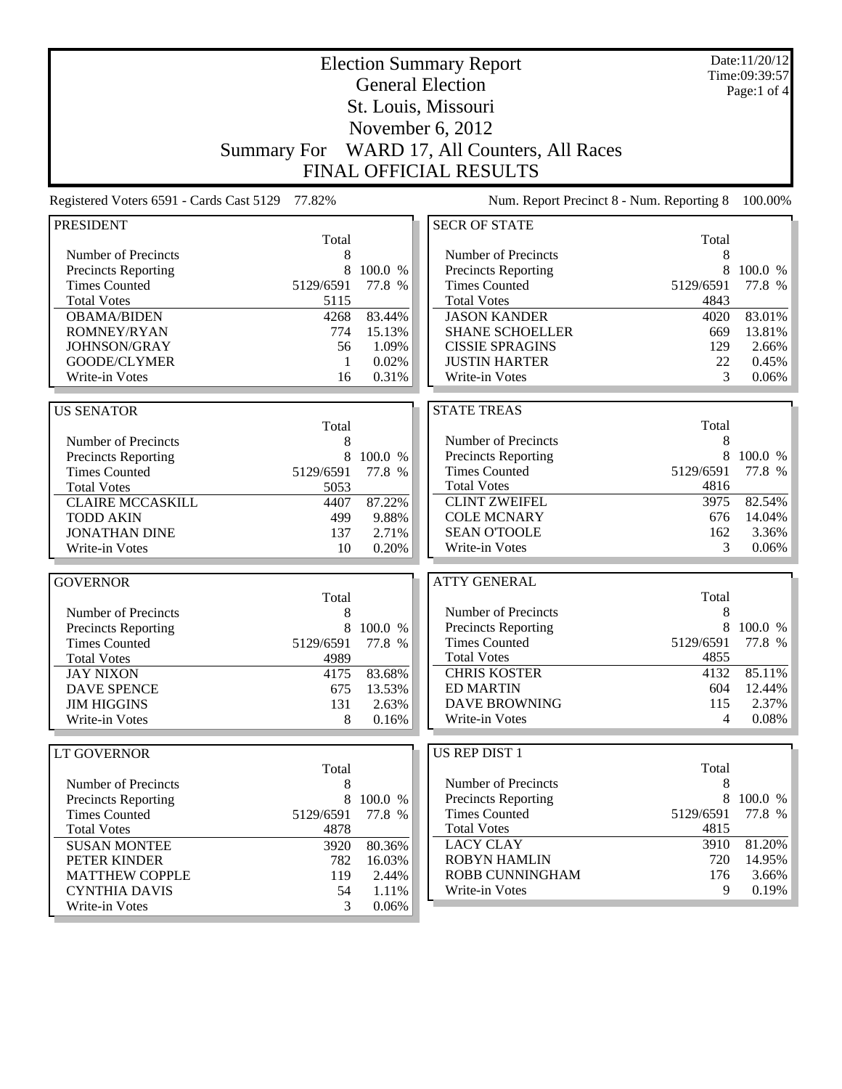|                                          |                         |         | <b>Election Summary Report</b>            |           | Date:11/20/12<br>Time:09:39:57 |
|------------------------------------------|-------------------------|---------|-------------------------------------------|-----------|--------------------------------|
|                                          | <b>General Election</b> |         |                                           |           |                                |
|                                          |                         |         | St. Louis, Missouri                       |           | Page:1 of $4$                  |
|                                          |                         |         |                                           |           |                                |
|                                          |                         |         | November 6, 2012                          |           |                                |
|                                          | <b>Summary For</b>      |         | WARD 17, All Counters, All Races          |           |                                |
|                                          |                         |         | <b>FINAL OFFICIAL RESULTS</b>             |           |                                |
| Registered Voters 6591 - Cards Cast 5129 | 77.82%                  |         | Num. Report Precinct 8 - Num. Reporting 8 |           | 100.00%                        |
| <b>PRESIDENT</b>                         |                         |         | <b>SECR OF STATE</b>                      |           |                                |
|                                          | Total                   |         |                                           | Total     |                                |
| Number of Precincts                      | 8                       |         | Number of Precincts                       | 8         |                                |
| Precincts Reporting                      | 8                       | 100.0 % | <b>Precincts Reporting</b>                | 8         | 100.0 %                        |
| <b>Times Counted</b>                     | 5129/6591               | 77.8 %  | <b>Times Counted</b>                      | 5129/6591 | 77.8 %                         |
| <b>Total Votes</b>                       | 5115                    |         | <b>Total Votes</b>                        | 4843      |                                |
| <b>OBAMA/BIDEN</b>                       | 4268                    | 83.44%  | <b>JASON KANDER</b>                       | 4020      | 83.01%                         |
| <b>ROMNEY/RYAN</b>                       | 774                     | 15.13%  | <b>SHANE SCHOELLER</b>                    | 669       | 13.81%                         |
| JOHNSON/GRAY                             | 56                      | 1.09%   | <b>CISSIE SPRAGINS</b>                    | 129       | 2.66%                          |
| GOODE/CLYMER                             | 1                       | 0.02%   | <b>JUSTIN HARTER</b>                      | 22        | 0.45%                          |
| Write-in Votes                           | 16                      | 0.31%   | Write-in Votes                            | 3         | 0.06%                          |
| <b>US SENATOR</b>                        |                         |         | <b>STATE TREAS</b>                        |           |                                |
|                                          | Total                   |         |                                           | Total     |                                |
| Number of Precincts                      | 8                       |         | Number of Precincts                       | 8         |                                |
| Precincts Reporting                      | 8                       | 100.0 % | Precincts Reporting                       | 8         | 100.0 %                        |
| <b>Times Counted</b>                     | 5129/6591               | 77.8 %  | <b>Times Counted</b>                      | 5129/6591 | 77.8 %                         |
| <b>Total Votes</b>                       | 5053                    |         | <b>Total Votes</b>                        | 4816      |                                |
| <b>CLAIRE MCCASKILL</b>                  | 4407                    | 87.22%  | <b>CLINT ZWEIFEL</b>                      | 3975      | 82.54%                         |
| <b>TODD AKIN</b>                         | 499                     | 9.88%   | <b>COLE MCNARY</b>                        | 676       | 14.04%                         |
| <b>JONATHAN DINE</b>                     | 137                     | 2.71%   | <b>SEAN O'TOOLE</b>                       | 162       | 3.36%                          |
| Write-in Votes                           | 10                      | 0.20%   | Write-in Votes                            | 3         | 0.06%                          |
|                                          |                         |         |                                           |           |                                |
| <b>GOVERNOR</b>                          |                         |         | <b>ATTY GENERAL</b>                       |           |                                |
|                                          | Total                   |         |                                           | Total     |                                |
| Number of Precincts                      | 8                       |         | Number of Precincts                       | 8         |                                |
| Precincts Reporting                      | 8                       | 100.0 % | Precincts Reporting                       | 8         | 100.0 %                        |
| <b>Times Counted</b>                     | 5129/6591               | 77.8 %  | <b>Times Counted</b>                      | 5129/6591 | 77.8 %                         |
| <b>Total Votes</b>                       | 4989                    |         | <b>Total Votes</b>                        | 4855      |                                |
| <b>JAY NIXON</b>                         | 4175                    | 83.68%  | <b>CHRIS KOSTER</b>                       | 4132      | 85.11%                         |
| <b>DAVE SPENCE</b>                       | 675                     | 13.53%  | <b>ED MARTIN</b>                          | 604       | 12.44%                         |
| <b>JIM HIGGINS</b>                       | 131                     | 2.63%   | <b>DAVE BROWNING</b>                      | 115       | 2.37%                          |
| Write-in Votes                           | 8                       | 0.16%   | Write-in Votes                            | 4         | 0.08%                          |
|                                          |                         |         | <b>US REP DIST 1</b>                      |           |                                |
| <b>LT GOVERNOR</b>                       | Total                   |         |                                           | Total     |                                |
| Number of Precincts                      | 8                       |         | Number of Precincts                       | 8         |                                |
| Precincts Reporting                      | 8                       | 100.0 % | <b>Precincts Reporting</b>                | $8\,$     | 100.0 %                        |
| <b>Times Counted</b>                     | 5129/6591               | 77.8 %  | <b>Times Counted</b>                      | 5129/6591 | 77.8 %                         |
| <b>Total Votes</b>                       | 4878                    |         | <b>Total Votes</b>                        | 4815      |                                |
| <b>SUSAN MONTEE</b>                      | 3920                    | 80.36%  | <b>LACY CLAY</b>                          | 3910      | 81.20%                         |
| PETER KINDER                             | 782                     | 16.03%  | <b>ROBYN HAMLIN</b>                       | 720       | 14.95%                         |
| <b>MATTHEW COPPLE</b>                    | 119                     | 2.44%   | ROBB CUNNINGHAM                           | 176       | 3.66%                          |
| <b>CYNTHIA DAVIS</b>                     | 54                      | 1.11%   | Write-in Votes                            | 9         | 0.19%                          |
| Write-in Votes                           | 3                       | 0.06%   |                                           |           |                                |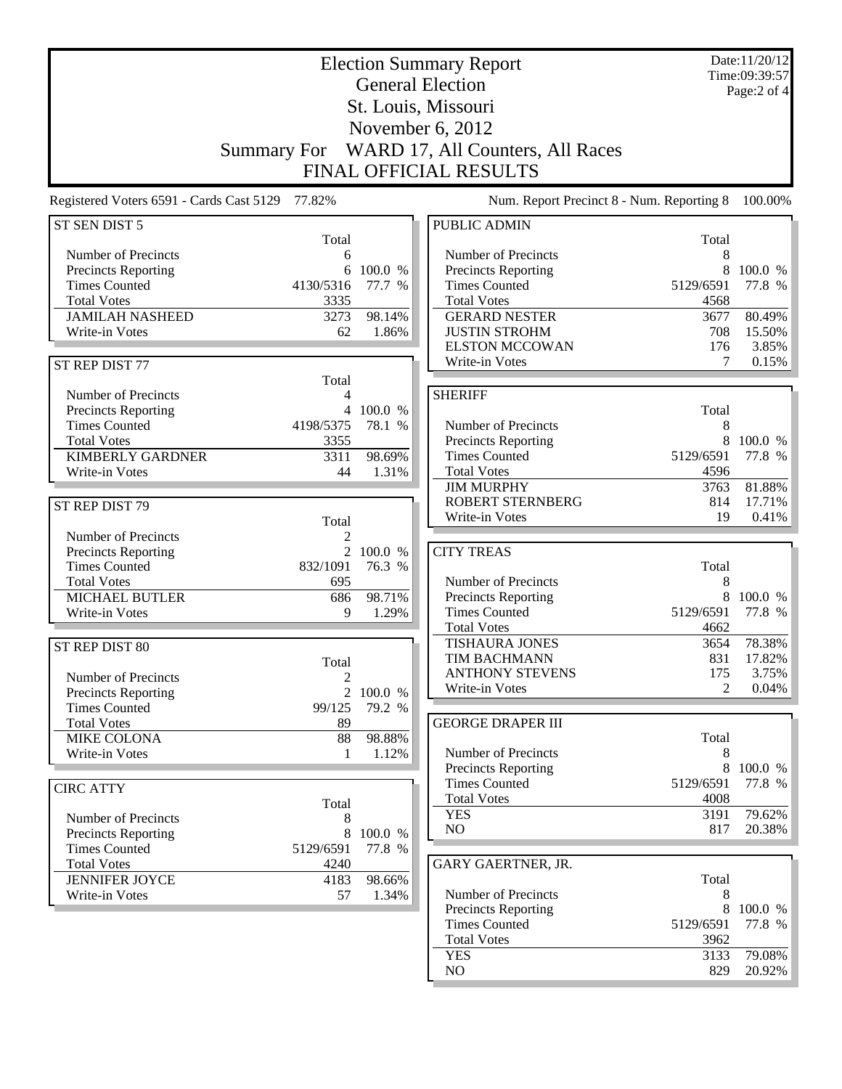|                                          |                    |                         | <b>Election Summary Report</b>              |                | Date:11/20/12<br>Time:09:39:57 |
|------------------------------------------|--------------------|-------------------------|---------------------------------------------|----------------|--------------------------------|
|                                          |                    | <b>General Election</b> |                                             |                |                                |
|                                          |                    |                         | St. Louis, Missouri                         |                | Page:2 of 4                    |
|                                          |                    |                         |                                             |                |                                |
|                                          |                    |                         | November 6, 2012                            |                |                                |
|                                          | <b>Summary For</b> |                         | WARD 17, All Counters, All Races            |                |                                |
|                                          |                    |                         | FINAL OFFICIAL RESULTS                      |                |                                |
| Registered Voters 6591 - Cards Cast 5129 | 77.82%             |                         | Num. Report Precinct 8 - Num. Reporting 8   |                | 100.00%                        |
| ST SEN DIST 5                            |                    |                         | <b>PUBLIC ADMIN</b>                         |                |                                |
|                                          | Total              |                         |                                             | Total          |                                |
| Number of Precincts                      | 6                  |                         | Number of Precincts                         | 8              |                                |
| <b>Precincts Reporting</b>               | 6                  | 100.0 %                 | <b>Precincts Reporting</b>                  |                | 100.0 %                        |
| <b>Times Counted</b>                     | 4130/5316          | 77.7 %                  | <b>Times Counted</b>                        | 5129/6591      | 77.8 %                         |
| <b>Total Votes</b>                       | 3335               |                         | <b>Total Votes</b>                          | 4568           |                                |
| <b>JAMILAH NASHEED</b>                   | 3273               | 98.14%                  | <b>GERARD NESTER</b>                        | 3677           | 80.49%                         |
| Write-in Votes                           | 62                 | 1.86%                   | <b>JUSTIN STROHM</b>                        | 708            | 15.50%                         |
|                                          |                    |                         | <b>ELSTON MCCOWAN</b>                       | 176            | 3.85%                          |
| ST REP DIST 77                           |                    |                         | Write-in Votes                              | 7              | 0.15%                          |
|                                          | Total              |                         |                                             |                |                                |
| Number of Precincts                      | 4                  |                         | <b>SHERIFF</b>                              |                |                                |
| Precincts Reporting                      |                    | 4 100.0 %               |                                             | Total          |                                |
| <b>Times Counted</b>                     | 4198/5375          | 78.1 %                  | Number of Precincts                         | 8              |                                |
| <b>Total Votes</b>                       | 3355               |                         | Precincts Reporting                         |                | 8 100.0 %                      |
| <b>KIMBERLY GARDNER</b>                  | 3311               | 98.69%                  | <b>Times Counted</b>                        | 5129/6591      | 77.8 %                         |
| Write-in Votes                           | 44                 | 1.31%                   | <b>Total Votes</b>                          | 4596           |                                |
|                                          |                    |                         | <b>JIM MURPHY</b>                           | 3763           | 81.88%                         |
| ST REP DIST 79                           |                    |                         | <b>ROBERT STERNBERG</b>                     | 814            | 17.71%                         |
|                                          | Total              |                         | Write-in Votes                              | 19             | 0.41%                          |
| Number of Precincts                      | 2                  |                         |                                             |                |                                |
| Precincts Reporting                      | $\overline{2}$     | 100.0 %                 | <b>CITY TREAS</b>                           |                |                                |
| <b>Times Counted</b>                     | 832/1091           | 76.3 %                  |                                             | Total          |                                |
| <b>Total Votes</b>                       | 695                |                         | Number of Precincts                         | 8              |                                |
| MICHAEL BUTLER                           | 686                | 98.71%                  | Precincts Reporting                         | 8              | 100.0 %                        |
| Write-in Votes                           | 9                  | 1.29%                   | <b>Times Counted</b>                        | 5129/6591      | 77.8 %                         |
|                                          |                    |                         | <b>Total Votes</b><br><b>TISHAURA JONES</b> | 4662<br>3654   | 78.38%                         |
| ST REP DIST 80                           |                    |                         | <b>TIM BACHMANN</b>                         | 831            | 17.82%                         |
|                                          | Total              |                         | <b>ANTHONY STEVENS</b>                      | 175            | 3.75%                          |
| Number of Precincts                      | $\boldsymbol{2}$   |                         | Write-in Votes                              | 2              | $0.04\%$                       |
| Precincts Reporting                      |                    | 2 100.0 $\%$            |                                             |                |                                |
| <b>Times Counted</b>                     | 99/125             | 79.2 %                  |                                             |                |                                |
| <b>Total Votes</b>                       | 89                 |                         | <b>GEORGE DRAPER III</b>                    |                |                                |
| <b>MIKE COLONA</b>                       | 88                 | 98.88%                  |                                             | Total          |                                |
| Write-in Votes                           | 1                  | 1.12%                   | Number of Precincts                         | 8              |                                |
|                                          |                    |                         | Precincts Reporting<br><b>Times Counted</b> | 5129/6591      | 8 100.0 %<br>77.8 %            |
| <b>CIRC ATTY</b>                         |                    |                         | <b>Total Votes</b>                          | 4008           |                                |
|                                          | Total              |                         | <b>YES</b>                                  |                |                                |
| Number of Precincts                      | 8                  |                         | NO                                          | 3191<br>817    | 79.62%<br>20.38%               |
| Precincts Reporting                      |                    | $8\,$ 100.0 $\%$        |                                             |                |                                |
| <b>Times Counted</b>                     | 5129/6591          | 77.8 %                  |                                             |                |                                |
| <b>Total Votes</b>                       | 4240               |                         | GARY GAERTNER, JR.                          |                |                                |
| <b>JENNIFER JOYCE</b>                    | 4183               | 98.66%                  |                                             | Total          |                                |
| Write-in Votes                           | 57                 | 1.34%                   | Number of Precincts                         | 8              |                                |
|                                          |                    |                         | Precincts Reporting<br><b>Times Counted</b> | 8<br>5129/6591 | 100.0 %                        |
|                                          |                    |                         | <b>Total Votes</b>                          | 3962           | 77.8 %                         |
|                                          |                    |                         | <b>YES</b>                                  |                | 79.08%                         |
|                                          |                    |                         | NO                                          | 3133<br>829    |                                |
|                                          |                    |                         |                                             |                | $20.92\%$                      |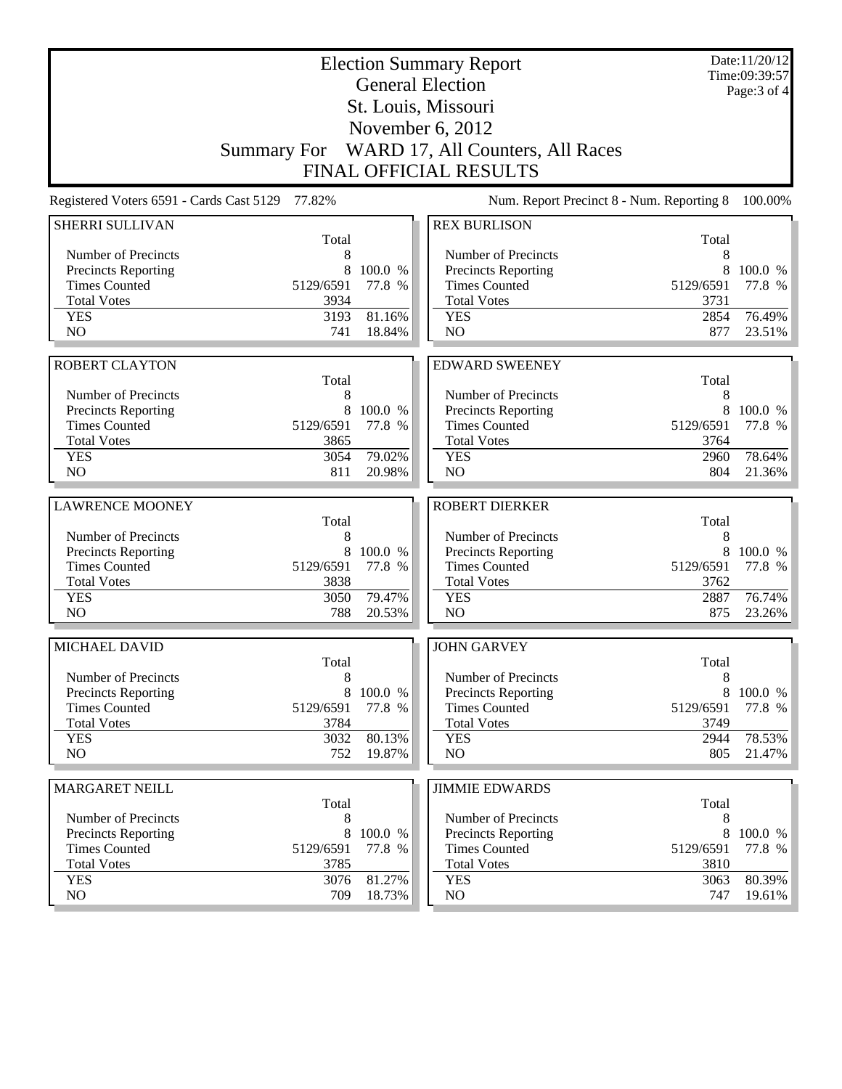|                                                    |                |                   | <b>Election Summary Report</b><br><b>General Election</b> |                |                   |  |
|----------------------------------------------------|----------------|-------------------|-----------------------------------------------------------|----------------|-------------------|--|
|                                                    |                |                   | St. Louis, Missouri                                       |                | Page: 3 of 4      |  |
|                                                    |                |                   | November 6, 2012                                          |                |                   |  |
|                                                    |                |                   | Summary For WARD 17, All Counters, All Races              |                |                   |  |
|                                                    |                |                   | <b>FINAL OFFICIAL RESULTS</b>                             |                |                   |  |
| Registered Voters 6591 - Cards Cast 5129           | 77.82%         |                   | Num. Report Precinct 8 - Num. Reporting 8                 |                | 100.00%           |  |
| <b>SHERRI SULLIVAN</b>                             |                |                   | <b>REX BURLISON</b>                                       |                |                   |  |
|                                                    | Total          |                   |                                                           | Total          |                   |  |
| Number of Precincts                                | 8              |                   | Number of Precincts                                       | 8              |                   |  |
| <b>Precincts Reporting</b>                         | 8              | 100.0 %           | <b>Precincts Reporting</b>                                | 8              | 100.0 %           |  |
| <b>Times Counted</b>                               | 5129/6591      | 77.8 %            | <b>Times Counted</b>                                      | 5129/6591      | 77.8 %            |  |
| <b>Total Votes</b>                                 | 3934           |                   | <b>Total Votes</b>                                        | 3731           |                   |  |
| <b>YES</b>                                         | 3193           | 81.16%            | <b>YES</b>                                                | 2854           | 76.49%            |  |
| NO                                                 | 741            | 18.84%            | NO                                                        | 877            | 23.51%            |  |
|                                                    |                |                   |                                                           |                |                   |  |
| <b>ROBERT CLAYTON</b>                              |                |                   | <b>EDWARD SWEENEY</b>                                     |                |                   |  |
|                                                    | Total          |                   |                                                           | Total          |                   |  |
| Number of Precincts                                | 8              |                   | Number of Precincts                                       | 8<br>8         |                   |  |
| Precincts Reporting<br><b>Times Counted</b>        | 8<br>5129/6591 | 100.0 %<br>77.8 % | <b>Precincts Reporting</b><br><b>Times Counted</b>        | 5129/6591      | 100.0 %<br>77.8 % |  |
| <b>Total Votes</b>                                 | 3865           |                   | <b>Total Votes</b>                                        | 3764           |                   |  |
| <b>YES</b>                                         | 3054           | 79.02%            | <b>YES</b>                                                | 2960           | 78.64%            |  |
| NO                                                 | 811            | 20.98%            | NO                                                        | 804            | 21.36%            |  |
|                                                    |                |                   |                                                           |                |                   |  |
| <b>LAWRENCE MOONEY</b>                             |                |                   | <b>ROBERT DIERKER</b>                                     |                |                   |  |
|                                                    | Total          |                   |                                                           | Total          |                   |  |
| Number of Precincts                                | 8              |                   | Number of Precincts                                       | 8              |                   |  |
| <b>Precincts Reporting</b>                         | 8              | 100.0 %           | Precincts Reporting                                       | 8              | 100.0 %           |  |
| <b>Times Counted</b>                               | 5129/6591      | 77.8 %            | <b>Times Counted</b>                                      | 5129/6591      | 77.8 %            |  |
| <b>Total Votes</b>                                 | 3838           |                   | <b>Total Votes</b>                                        | 3762           |                   |  |
| <b>YES</b>                                         | 3050           | 79.47%            | <b>YES</b>                                                | 2887           | 76.74%            |  |
| N <sub>O</sub>                                     | 788            | 20.53%            | NO                                                        | 875            | 23.26%            |  |
| MICHAEL DAVID                                      |                |                   | <b>JOHN GARVEY</b>                                        |                |                   |  |
|                                                    | Total          |                   |                                                           | Total          |                   |  |
| Number of Precincts                                | 8              |                   | Number of Precincts                                       | 8              |                   |  |
| <b>Precincts Reporting</b>                         | 8              | 100.0 %           | Precincts Reporting                                       | 8              | 100.0 %           |  |
| <b>Times Counted</b>                               | 5129/6591      | 77.8 %            | <b>Times Counted</b>                                      | 5129/6591      | 77.8 %            |  |
| <b>Total Votes</b>                                 | 3784           |                   | <b>Total Votes</b>                                        | 3749           |                   |  |
| <b>YES</b><br>NO                                   | 3032<br>752    | 80.13%<br>19.87%  | <b>YES</b><br>NO                                          | 2944<br>805    | 78.53%<br>21.47%  |  |
|                                                    |                |                   |                                                           |                |                   |  |
| <b>MARGARET NEILL</b>                              |                |                   | <b>JIMMIE EDWARDS</b>                                     |                |                   |  |
|                                                    | Total          |                   |                                                           | Total          |                   |  |
| Number of Precincts                                | 8              |                   | Number of Precincts                                       | 8              |                   |  |
| <b>Precincts Reporting</b><br><b>Times Counted</b> | 8<br>5129/6591 | 100.0 %<br>77.8 % | Precincts Reporting<br><b>Times Counted</b>               | 8<br>5129/6591 | 100.0 %<br>77.8 % |  |
| <b>Total Votes</b>                                 | 3785           |                   | <b>Total Votes</b>                                        | 3810           |                   |  |
| <b>YES</b>                                         | 3076           | 81.27%            | <b>YES</b>                                                | 3063           | 80.39%            |  |
| NO                                                 | 709            | 18.73%            | NO                                                        | 747            | 19.61%            |  |
|                                                    |                |                   |                                                           |                |                   |  |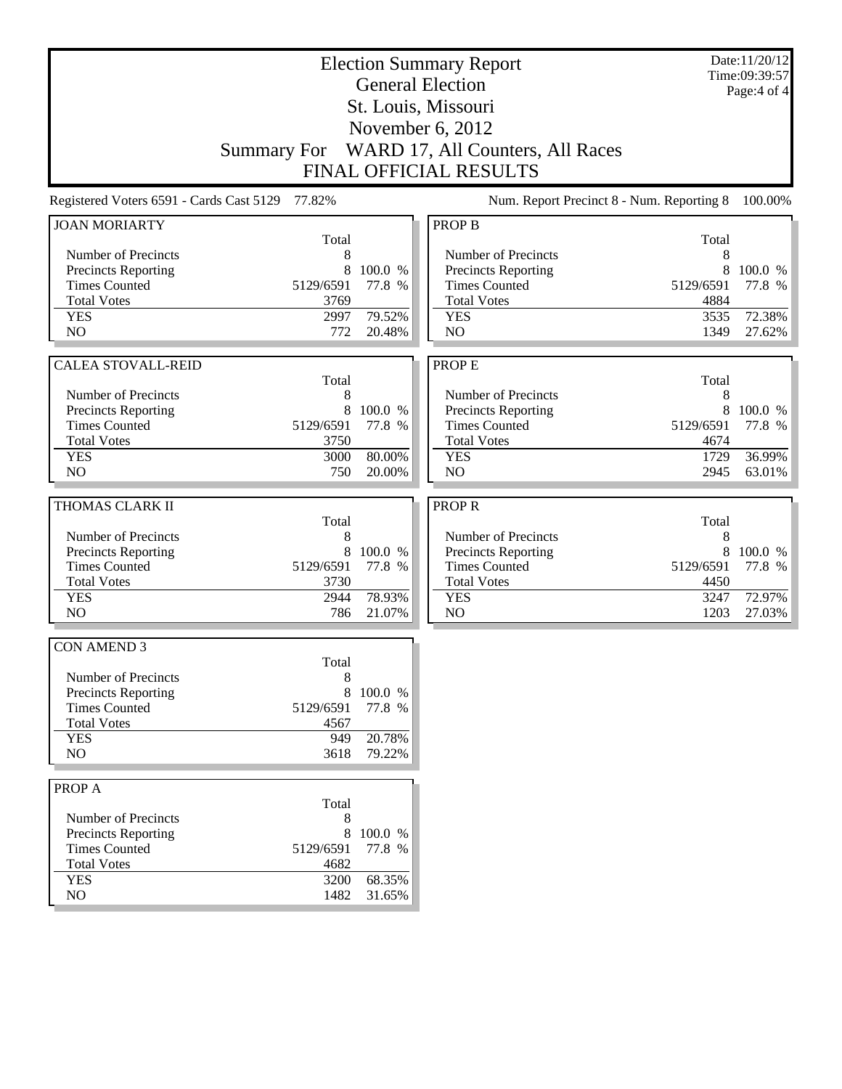|                                          |              |         | <b>Election Summary Report</b><br><b>General Election</b> |              | Date:11/20/12<br>Time:09:39:57 |  |
|------------------------------------------|--------------|---------|-----------------------------------------------------------|--------------|--------------------------------|--|
|                                          |              |         | St. Louis, Missouri                                       |              | Page:4 of 4                    |  |
|                                          |              |         | November 6, 2012                                          |              |                                |  |
|                                          |              |         | Summary For WARD 17, All Counters, All Races              |              |                                |  |
|                                          |              |         | <b>FINAL OFFICIAL RESULTS</b>                             |              |                                |  |
|                                          |              |         |                                                           |              |                                |  |
| Registered Voters 6591 - Cards Cast 5129 | 77.82%       |         | Num. Report Precinct 8 - Num. Reporting 8                 |              | 100.00%                        |  |
| <b>JOAN MORIARTY</b>                     | Total        |         | <b>PROP B</b>                                             | Total        |                                |  |
| Number of Precincts                      | 8            |         | Number of Precincts                                       | 8            |                                |  |
| Precincts Reporting                      | 8            | 100.0 % | Precincts Reporting                                       | 8            | 100.0 %                        |  |
| <b>Times Counted</b>                     | 5129/6591    | 77.8 %  | <b>Times Counted</b>                                      | 5129/6591    | 77.8 %                         |  |
| <b>Total Votes</b>                       | 3769         |         | <b>Total Votes</b>                                        | 4884         |                                |  |
| <b>YES</b>                               | 2997         | 79.52%  | <b>YES</b>                                                | 3535         | 72.38%                         |  |
| N <sub>O</sub>                           | 772          | 20.48%  | N <sub>O</sub>                                            | 1349         | 27.62%                         |  |
|                                          |              |         |                                                           |              |                                |  |
| <b>CALEA STOVALL-REID</b>                |              |         | PROP E                                                    |              |                                |  |
|                                          | Total        |         |                                                           | Total        |                                |  |
| Number of Precincts                      | 8            |         | Number of Precincts                                       | 8            |                                |  |
| Precincts Reporting                      | 8            | 100.0 % | Precincts Reporting                                       |              | 8 100.0 %                      |  |
| <b>Times Counted</b>                     | 5129/6591    | 77.8 %  | <b>Times Counted</b>                                      | 5129/6591    | 77.8 %                         |  |
| <b>Total Votes</b>                       | 3750<br>3000 | 80.00%  | <b>Total Votes</b>                                        | 4674         | 36.99%                         |  |
| <b>YES</b><br>NO                         | 750          | 20.00%  | <b>YES</b><br>N <sub>O</sub>                              | 1729<br>2945 | 63.01%                         |  |
|                                          |              |         |                                                           |              |                                |  |
| THOMAS CLARK II                          |              |         | <b>PROPR</b>                                              |              |                                |  |
|                                          | Total        |         |                                                           | Total        |                                |  |
| Number of Precincts                      | 8            |         | Number of Precincts                                       | 8            |                                |  |
| Precincts Reporting                      | 8            | 100.0 % | Precincts Reporting                                       | 8            | 100.0 %                        |  |
| <b>Times Counted</b>                     | 5129/6591    | 77.8 %  | <b>Times Counted</b>                                      | 5129/6591    | 77.8 %                         |  |
| <b>Total Votes</b>                       | 3730         |         | <b>Total Votes</b>                                        | 4450         |                                |  |
| <b>YES</b>                               | 2944         | 78.93%  | <b>YES</b>                                                | 3247         | 72.97%                         |  |
| N <sub>O</sub>                           | 786          | 21.07%  | N <sub>O</sub>                                            | 1203         | 27.03%                         |  |
| <b>CON AMEND 3</b>                       |              |         |                                                           |              |                                |  |
|                                          | Total        |         |                                                           |              |                                |  |
| Number of Precincts                      | 8            |         |                                                           |              |                                |  |
| Precincts Reporting                      | 8            | 100.0 % |                                                           |              |                                |  |
| <b>Times Counted</b>                     | 5129/6591    | 77.8 %  |                                                           |              |                                |  |
| <b>Total Votes</b>                       | 4567         |         |                                                           |              |                                |  |
| <b>YES</b>                               | 949          | 20.78%  |                                                           |              |                                |  |
| NO                                       | 3618         | 79.22%  |                                                           |              |                                |  |
| PROP A                                   |              |         |                                                           |              |                                |  |
|                                          | Total        |         |                                                           |              |                                |  |
| Number of Precincts                      | 8            |         |                                                           |              |                                |  |
| Precincts Reporting                      | 8            | 100.0 % |                                                           |              |                                |  |
| <b>Times Counted</b>                     | 5129/6591    | 77.8 %  |                                                           |              |                                |  |
| <b>Total Votes</b>                       | 4682         |         |                                                           |              |                                |  |
| <b>YES</b>                               | 3200         | 68.35%  |                                                           |              |                                |  |
| NO                                       | 1482         | 31.65%  |                                                           |              |                                |  |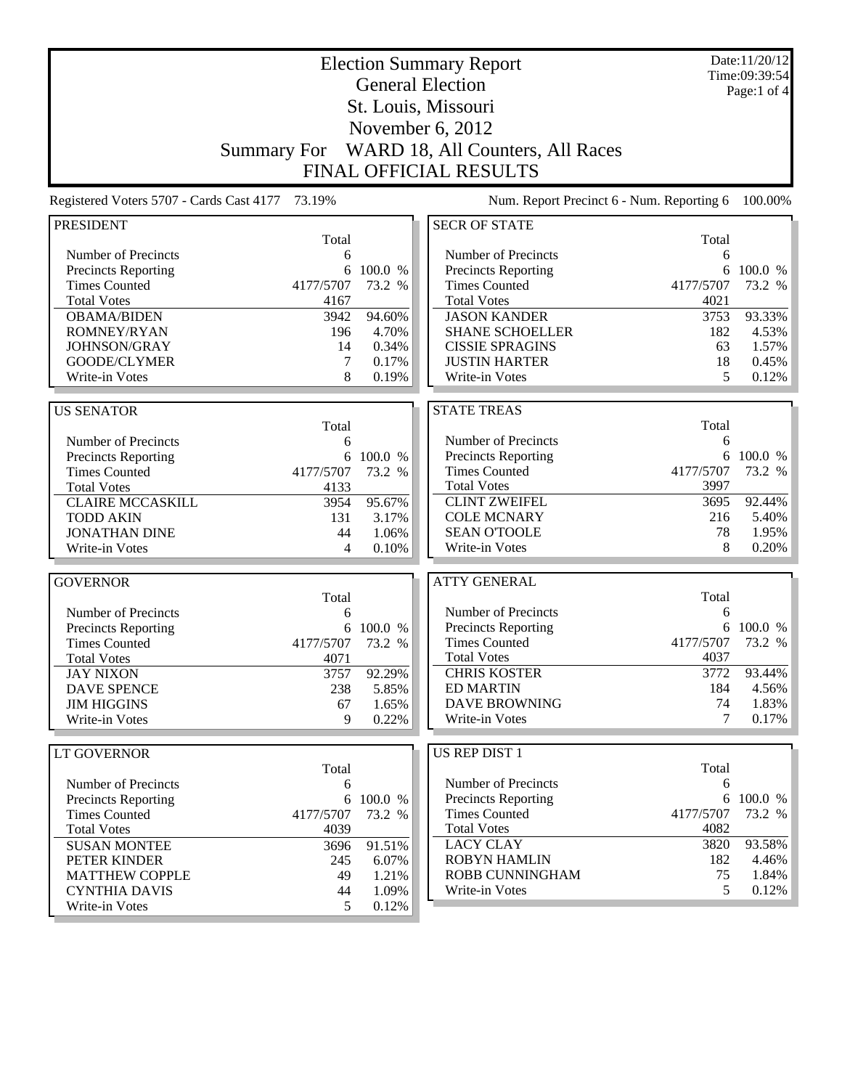|                                             |                    |           | <b>Election Summary Report</b>            |           | Date:11/20/12<br>Time:09:39:54 |
|---------------------------------------------|--------------------|-----------|-------------------------------------------|-----------|--------------------------------|
|                                             |                    |           | <b>General Election</b>                   |           | Page:1 of $4$                  |
|                                             |                    |           | St. Louis, Missouri                       |           |                                |
|                                             |                    |           |                                           |           |                                |
|                                             |                    |           | November 6, 2012                          |           |                                |
|                                             | <b>Summary For</b> |           | WARD 18, All Counters, All Races          |           |                                |
|                                             |                    |           | <b>FINAL OFFICIAL RESULTS</b>             |           |                                |
| Registered Voters 5707 - Cards Cast 4177    | 73.19%             |           | Num. Report Precinct 6 - Num. Reporting 6 |           | 100.00%                        |
| <b>PRESIDENT</b>                            |                    |           | <b>SECR OF STATE</b>                      |           |                                |
|                                             | Total              |           |                                           | Total     |                                |
| Number of Precincts                         | 6                  |           | Number of Precincts                       | 6         |                                |
| <b>Precincts Reporting</b>                  | 6                  | 100.0 %   | Precincts Reporting                       | 6         | 100.0 %                        |
| <b>Times Counted</b>                        | 4177/5707          | 73.2 %    | <b>Times Counted</b>                      | 4177/5707 | 73.2 %                         |
| <b>Total Votes</b>                          | 4167               |           | <b>Total Votes</b>                        | 4021      |                                |
| <b>OBAMA/BIDEN</b>                          | 3942               | 94.60%    | <b>JASON KANDER</b>                       | 3753      | 93.33%                         |
| ROMNEY/RYAN                                 | 196                | 4.70%     | <b>SHANE SCHOELLER</b>                    | 182       | 4.53%                          |
| JOHNSON/GRAY                                | 14                 | 0.34%     | <b>CISSIE SPRAGINS</b>                    | 63        | 1.57%                          |
| GOODE/CLYMER                                | 7                  | 0.17%     | <b>JUSTIN HARTER</b>                      | 18        | 0.45%                          |
| Write-in Votes                              | 8                  | 0.19%     | Write-in Votes                            | 5         | 0.12%                          |
| <b>US SENATOR</b>                           |                    |           | <b>STATE TREAS</b>                        |           |                                |
|                                             | Total              |           |                                           | Total     |                                |
| Number of Precincts                         | 6                  |           | Number of Precincts                       | 6         |                                |
|                                             | 6                  | 100.0 %   | Precincts Reporting                       | 6         | 100.0 %                        |
| Precincts Reporting<br><b>Times Counted</b> | 4177/5707          | 73.2 %    | <b>Times Counted</b>                      | 4177/5707 | 73.2 %                         |
| <b>Total Votes</b>                          | 4133               |           | <b>Total Votes</b>                        | 3997      |                                |
| <b>CLAIRE MCCASKILL</b>                     | 3954               | 95.67%    | <b>CLINT ZWEIFEL</b>                      | 3695      | 92.44%                         |
| <b>TODD AKIN</b>                            | 131                | 3.17%     | <b>COLE MCNARY</b>                        | 216       | 5.40%                          |
| <b>JONATHAN DINE</b>                        | 44                 | 1.06%     | <b>SEAN O'TOOLE</b>                       | 78        | 1.95%                          |
| Write-in Votes                              | 4                  | 0.10%     | Write-in Votes                            | 8         | 0.20%                          |
|                                             |                    |           |                                           |           |                                |
| <b>GOVERNOR</b>                             |                    |           | <b>ATTY GENERAL</b>                       |           |                                |
|                                             | Total              |           |                                           | Total     |                                |
| Number of Precincts                         | 6                  |           | Number of Precincts                       | 6         |                                |
| Precincts Reporting                         | 6                  | 100.0 %   | Precincts Reporting                       |           | 6 100.0 %                      |
| <b>Times Counted</b>                        | 4177/5707          | 73.2 %    | <b>Times Counted</b>                      | 4177/5707 | 73.2 %                         |
| <b>Total Votes</b>                          | 4071               |           | <b>Total Votes</b>                        | 4037      |                                |
| <b>JAY NIXON</b>                            | 3757               | 92.29%    | <b>CHRIS KOSTER</b>                       | 3772      | 93.44%                         |
| <b>DAVE SPENCE</b>                          | 238                | 5.85%     | <b>ED MARTIN</b>                          | 184       | 4.56%                          |
| <b>JIM HIGGINS</b>                          | 67                 | 1.65%     | <b>DAVE BROWNING</b>                      | 74        | 1.83%                          |
| Write-in Votes                              | 9                  | 0.22%     | Write-in Votes                            | 7         | 0.17%                          |
| <b>LT GOVERNOR</b>                          |                    |           | US REP DIST 1                             |           |                                |
|                                             | Total              |           |                                           | Total     |                                |
| Number of Precincts                         | 6                  |           | Number of Precincts                       | 6         |                                |
| Precincts Reporting                         |                    | 6 100.0 % | <b>Precincts Reporting</b>                |           | 6 100.0 %                      |
| <b>Times Counted</b>                        | 4177/5707          | 73.2 %    | <b>Times Counted</b>                      | 4177/5707 | 73.2 %                         |
| <b>Total Votes</b>                          | 4039               |           | <b>Total Votes</b>                        | 4082      |                                |
| <b>SUSAN MONTEE</b>                         | 3696               | 91.51%    | <b>LACY CLAY</b>                          | 3820      | 93.58%                         |
| PETER KINDER                                | 245                | 6.07%     | <b>ROBYN HAMLIN</b>                       | 182       | 4.46%                          |
| <b>MATTHEW COPPLE</b>                       | 49                 | 1.21%     | ROBB CUNNINGHAM                           | 75        | 1.84%                          |
| <b>CYNTHIA DAVIS</b>                        | 44                 | 1.09%     | Write-in Votes                            | 5         | 0.12%                          |
| Write-in Votes                              | 5                  | 0.12%     |                                           |           |                                |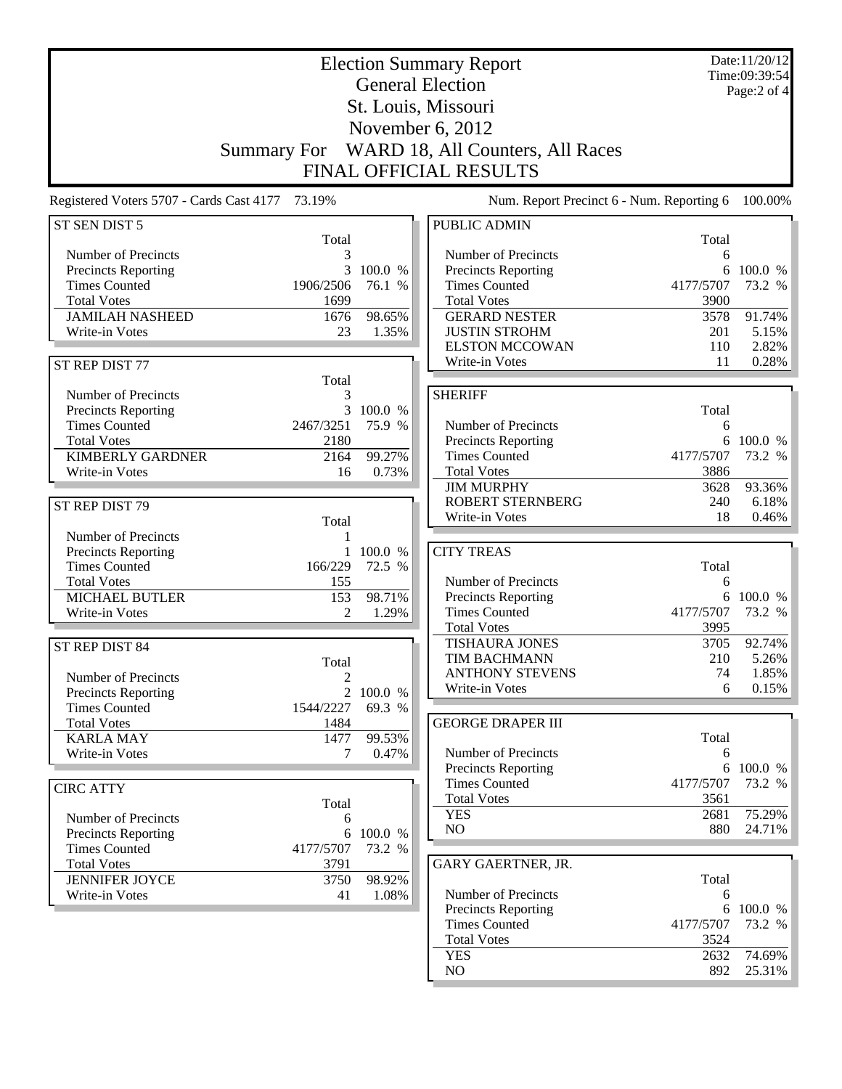|                                                 |                    |                     | <b>Election Summary Report</b>            |            | Date:11/20/12<br>Time:09:39:54 |
|-------------------------------------------------|--------------------|---------------------|-------------------------------------------|------------|--------------------------------|
| <b>General Election</b>                         |                    |                     |                                           |            | Page:2 of 4                    |
|                                                 |                    |                     | St. Louis, Missouri                       |            |                                |
|                                                 |                    |                     | November 6, 2012                          |            |                                |
|                                                 | <b>Summary For</b> |                     | WARD 18, All Counters, All Races          |            |                                |
|                                                 |                    |                     | <b>FINAL OFFICIAL RESULTS</b>             |            |                                |
| Registered Voters 5707 - Cards Cast 4177 73.19% |                    |                     | Num. Report Precinct 6 - Num. Reporting 6 |            | 100.00%                        |
| ST SEN DIST 5                                   |                    |                     | <b>PUBLIC ADMIN</b>                       |            |                                |
|                                                 | Total              |                     |                                           | Total      |                                |
| Number of Precincts                             | 3                  |                     | Number of Precincts                       | 6          |                                |
| Precincts Reporting                             | 3                  | 100.0 %             | Precincts Reporting                       | 6          | 100.0 %                        |
| <b>Times Counted</b>                            | 1906/2506          | 76.1 %              | <b>Times Counted</b>                      | 4177/5707  | 73.2 %                         |
| <b>Total Votes</b>                              | 1699               |                     | <b>Total Votes</b>                        | 3900       |                                |
| <b>JAMILAH NASHEED</b>                          | 1676               | 98.65%              | <b>GERARD NESTER</b>                      | 3578       | 91.74%                         |
| Write-in Votes                                  | 23                 | 1.35%               | <b>JUSTIN STROHM</b>                      | 201        | 5.15%                          |
|                                                 |                    |                     | <b>ELSTON MCCOWAN</b>                     | 110        | 2.82%                          |
| ST REP DIST 77                                  |                    |                     | Write-in Votes                            | 11         | 0.28%                          |
|                                                 | Total              |                     |                                           |            |                                |
| Number of Precincts                             | 3                  |                     | <b>SHERIFF</b>                            |            |                                |
| Precincts Reporting<br><b>Times Counted</b>     | 2467/3251          | 3 100.0 %<br>75.9 % | Number of Precincts                       | Total<br>6 |                                |
| <b>Total Votes</b>                              | 2180               |                     | Precincts Reporting                       |            | 6 100.0 %                      |
| <b>KIMBERLY GARDNER</b>                         | 2164               | 99.27%              | <b>Times Counted</b>                      | 4177/5707  | 73.2 %                         |
| Write-in Votes                                  | 16                 | 0.73%               | <b>Total Votes</b>                        | 3886       |                                |
|                                                 |                    |                     | <b>JIM MURPHY</b>                         | 3628       | 93.36%                         |
|                                                 |                    |                     | <b>ROBERT STERNBERG</b>                   | 240        | 6.18%                          |
| ST REP DIST 79                                  | Total              |                     | Write-in Votes                            | 18         | 0.46%                          |
| Number of Precincts                             |                    |                     |                                           |            |                                |
| <b>Precincts Reporting</b>                      |                    | 100.0 %             | <b>CITY TREAS</b>                         |            |                                |
| <b>Times Counted</b>                            | 166/229            | 72.5 %              |                                           | Total      |                                |
| <b>Total Votes</b>                              | 155                |                     | Number of Precincts                       | 6          |                                |
| <b>MICHAEL BUTLER</b>                           | 153                | 98.71%              | <b>Precincts Reporting</b>                |            | 6 100.0 %                      |
| Write-in Votes                                  | $\overline{2}$     | 1.29%               | <b>Times Counted</b>                      | 4177/5707  | 73.2 %                         |
|                                                 |                    |                     | <b>Total Votes</b>                        | 3995       |                                |
| ST REP DIST 84                                  |                    |                     | <b>TISHAURA JONES</b>                     | 3705       | 92.74%                         |
|                                                 | Total              |                     | TIM BACHMANN                              | 210        | 5.26%                          |
| Number of Precincts                             | $\overline{c}$     |                     | ANTHONY STEVENS                           | 74         | 1.85%                          |
| Precincts Reporting                             |                    | 2 100.0 %           | Write-in Votes                            | 6          | 0.15%                          |
| <b>Times Counted</b>                            | 1544/2227          | 69.3 %              |                                           |            |                                |
| <b>Total Votes</b>                              | 1484               |                     | <b>GEORGE DRAPER III</b>                  |            |                                |
| <b>KARLA MAY</b>                                | 1477               | 99.53%              |                                           | Total      |                                |
| Write-in Votes                                  | 7                  | 0.47%               | Number of Precincts                       | 6          |                                |
|                                                 |                    |                     | Precincts Reporting                       |            | 6 100.0 %                      |
| <b>CIRC ATTY</b>                                |                    |                     | <b>Times Counted</b>                      | 4177/5707  | 73.2 %                         |
|                                                 | Total              |                     | <b>Total Votes</b>                        | 3561       |                                |
| Number of Precincts                             | 6                  |                     | <b>YES</b>                                | 2681       | 75.29%                         |
| <b>Precincts Reporting</b>                      | 6                  | 100.0 %             | NO                                        | 880        | 24.71%                         |
| <b>Times Counted</b>                            | 4177/5707          | 73.2 %              |                                           |            |                                |
| <b>Total Votes</b>                              | 3791               |                     | GARY GAERTNER, JR.                        |            |                                |
| <b>JENNIFER JOYCE</b>                           | 3750               | 98.92%              |                                           | Total      |                                |
| Write-in Votes                                  | 41                 | 1.08%               | Number of Precincts                       | 6          |                                |
|                                                 |                    |                     | Precincts Reporting                       |            | 6 100.0 %                      |
|                                                 |                    |                     | <b>Times Counted</b>                      | 4177/5707  | 73.2 %                         |
|                                                 |                    |                     | <b>Total Votes</b>                        | 3524       |                                |
|                                                 |                    |                     | <b>YES</b>                                | 2632       | 74.69%                         |
|                                                 |                    |                     | NO                                        | 892        | 25.31%                         |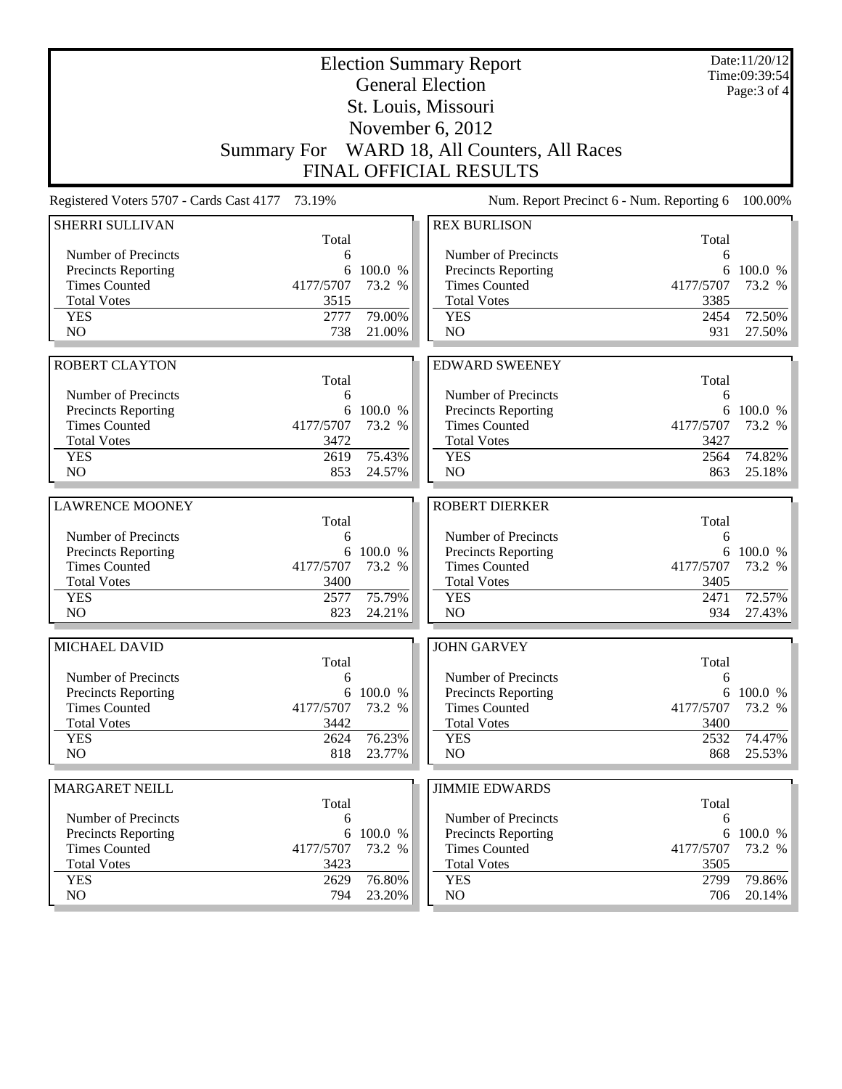| <b>Election Summary Report</b><br><b>General Election</b><br>St. Louis, Missouri |                   |           |                                            |                   | Date:11/20/12<br>Time:09:39:54<br>Page: 3 of 4 |
|----------------------------------------------------------------------------------|-------------------|-----------|--------------------------------------------|-------------------|------------------------------------------------|
| November 6, 2012<br>Summary For WARD 18, All Counters, All Races                 |                   |           |                                            |                   |                                                |
|                                                                                  |                   |           | <b>FINAL OFFICIAL RESULTS</b>              |                   |                                                |
|                                                                                  |                   |           |                                            |                   |                                                |
| Registered Voters 5707 - Cards Cast 4177                                         | 73.19%            |           | Num. Report Precinct 6 - Num. Reporting 6  |                   | 100.00%                                        |
| <b>SHERRI SULLIVAN</b>                                                           | Total             |           | <b>REX BURLISON</b>                        | Total             |                                                |
| Number of Precincts                                                              | 6                 |           | Number of Precincts                        | 6                 |                                                |
| Precincts Reporting                                                              | 6                 | 100.0 %   | Precincts Reporting                        | 6                 | 100.0 %                                        |
| <b>Times Counted</b>                                                             | 4177/5707         | 73.2 %    | <b>Times Counted</b>                       | 4177/5707         | 73.2 %                                         |
| <b>Total Votes</b>                                                               | 3515              |           | <b>Total Votes</b>                         | 3385              |                                                |
| <b>YES</b>                                                                       | 2777              | 79.00%    | <b>YES</b>                                 | 2454              | 72.50%                                         |
| N <sub>O</sub>                                                                   | 738               | 21.00%    | N <sub>O</sub>                             | 931               | 27.50%                                         |
|                                                                                  |                   |           |                                            |                   |                                                |
| <b>ROBERT CLAYTON</b>                                                            |                   |           | <b>EDWARD SWEENEY</b>                      |                   |                                                |
|                                                                                  | Total             |           |                                            | Total             |                                                |
| Number of Precincts                                                              | 6                 |           | Number of Precincts                        | 6                 |                                                |
| Precincts Reporting                                                              | 6                 | 100.0 %   | Precincts Reporting                        | 6                 | 100.0 %                                        |
| <b>Times Counted</b>                                                             | 4177/5707         | 73.2 %    | <b>Times Counted</b>                       | 4177/5707         | 73.2 %                                         |
| <b>Total Votes</b><br><b>YES</b>                                                 | 3472<br>2619      | 75.43%    | <b>Total Votes</b><br><b>YES</b>           | 3427<br>2564      | 74.82%                                         |
| N <sub>O</sub>                                                                   | 853               | 24.57%    | N <sub>O</sub>                             | 863               | 25.18%                                         |
|                                                                                  |                   |           |                                            |                   |                                                |
| <b>LAWRENCE MOONEY</b>                                                           |                   |           | <b>ROBERT DIERKER</b>                      |                   |                                                |
|                                                                                  | Total             |           |                                            | Total             |                                                |
| Number of Precincts                                                              | 6                 |           | Number of Precincts                        | 6                 |                                                |
| Precincts Reporting                                                              | 6                 | 100.0 %   | Precincts Reporting                        | 6                 | 100.0 %                                        |
| <b>Times Counted</b>                                                             | 4177/5707         | 73.2 %    | <b>Times Counted</b>                       | 4177/5707         | 73.2 %                                         |
| <b>Total Votes</b>                                                               | 3400              |           |                                            |                   |                                                |
| <b>YES</b>                                                                       |                   |           | <b>Total Votes</b>                         | 3405              |                                                |
|                                                                                  | 2577              | 75.79%    | <b>YES</b>                                 | 2471              | 72.57%                                         |
| NO                                                                               | 823               | 24.21%    | N <sub>O</sub>                             | 934               | 27.43%                                         |
|                                                                                  |                   |           |                                            |                   |                                                |
| <b>MICHAEL DAVID</b>                                                             |                   |           | <b>JOHN GARVEY</b>                         |                   |                                                |
|                                                                                  | Total             |           |                                            | Total             |                                                |
| Number of Precincts                                                              | 6                 |           | Number of Precincts                        | 6                 |                                                |
| Precincts Reporting                                                              |                   | 6 100.0 % | Precincts Reporting                        | 6                 |                                                |
| <b>Times Counted</b><br><b>Total Votes</b>                                       | 4177/5707<br>3442 | 73.2 %    | <b>Times Counted</b>                       | 4177/5707<br>3400 | 73.2 %                                         |
| <b>YES</b>                                                                       | 2624              | 76.23%    | <b>Total Votes</b><br><b>YES</b>           | 2532              | 74.47%                                         |
| NO                                                                               | 818               | 23.77%    | NO                                         | 868               |                                                |
|                                                                                  |                   |           |                                            |                   | 100.0 %<br>25.53%                              |
| <b>MARGARET NEILL</b>                                                            |                   |           | <b>JIMMIE EDWARDS</b>                      |                   |                                                |
|                                                                                  | Total             |           |                                            | Total             |                                                |
| Number of Precincts                                                              | 6                 |           | Number of Precincts                        | 6                 |                                                |
| Precincts Reporting                                                              | 6                 | 100.0 %   | <b>Precincts Reporting</b>                 | 6                 | 100.0 %                                        |
| <b>Times Counted</b><br><b>Total Votes</b>                                       | 4177/5707<br>3423 | 73.2 %    | <b>Times Counted</b><br><b>Total Votes</b> | 4177/5707<br>3505 | 73.2 %                                         |
| <b>YES</b>                                                                       | 2629              | 76.80%    | <b>YES</b>                                 | 2799              | 79.86%                                         |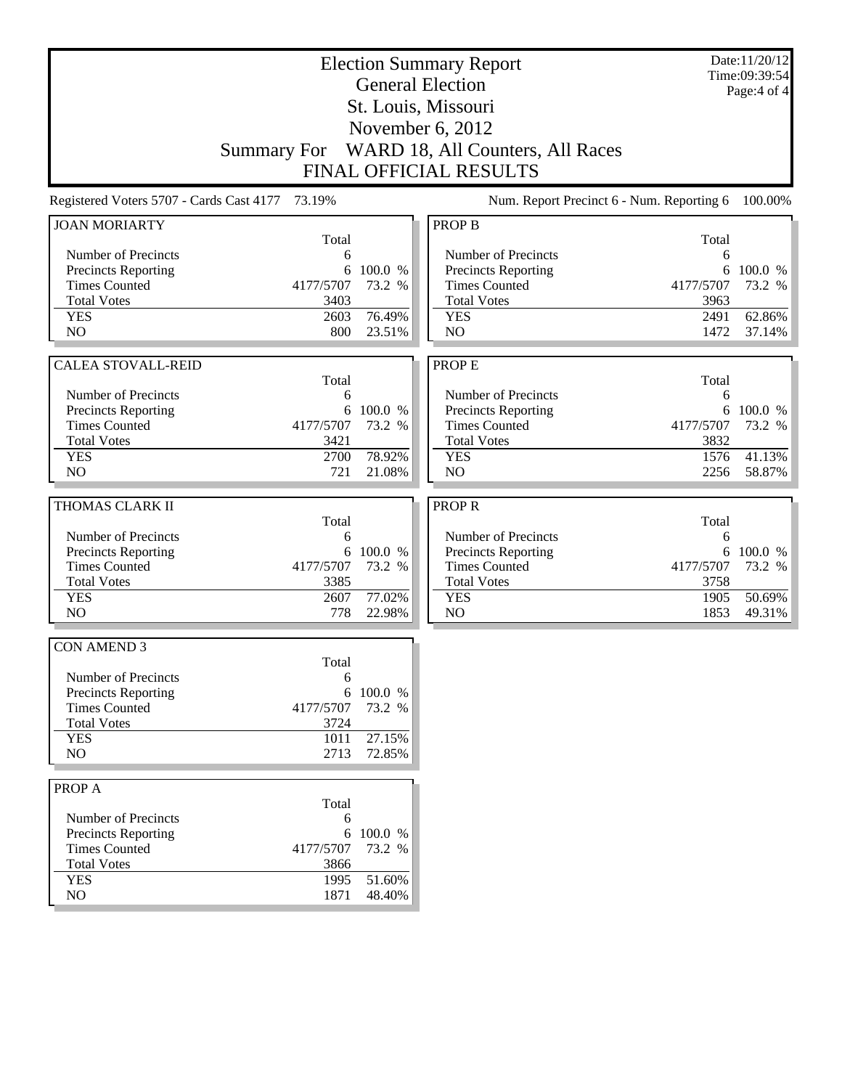| <b>Election Summary Report</b>                  |            |           |                                           | Date:11/20/12<br>Time:09:39:54 |           |
|-------------------------------------------------|------------|-----------|-------------------------------------------|--------------------------------|-----------|
| <b>General Election</b>                         |            |           |                                           | Page:4 of 4                    |           |
| St. Louis, Missouri                             |            |           |                                           |                                |           |
| November 6, 2012                                |            |           |                                           |                                |           |
| Summary For WARD 18, All Counters, All Races    |            |           |                                           |                                |           |
|                                                 |            |           |                                           |                                |           |
| <b>FINAL OFFICIAL RESULTS</b>                   |            |           |                                           |                                |           |
| Registered Voters 5707 - Cards Cast 4177 73.19% |            |           | Num. Report Precinct 6 - Num. Reporting 6 |                                | 100.00%   |
| <b>JOAN MORIARTY</b>                            |            |           | <b>PROP B</b>                             |                                |           |
|                                                 | Total<br>6 |           | Number of Precincts                       | Total                          |           |
| Number of Precincts<br>Precincts Reporting      | 6          | 100.0 %   | Precincts Reporting                       | 6                              | 6 100.0 % |
| <b>Times Counted</b>                            | 4177/5707  | 73.2 %    | <b>Times Counted</b>                      | 4177/5707                      | 73.2 %    |
| <b>Total Votes</b>                              | 3403       |           | <b>Total Votes</b>                        | 3963                           |           |
| <b>YES</b>                                      | 2603       | 76.49%    | <b>YES</b>                                | 2491                           | 62.86%    |
| N <sub>O</sub>                                  | 800        | 23.51%    | N <sub>O</sub>                            | 1472                           | 37.14%    |
|                                                 |            |           |                                           |                                |           |
| <b>CALEA STOVALL-REID</b>                       |            |           | <b>PROPE</b>                              |                                |           |
|                                                 | Total      |           |                                           | Total                          |           |
| Number of Precincts                             | 6          |           | Number of Precincts                       | 6                              |           |
| Precincts Reporting                             |            | 6 100.0 % | Precincts Reporting                       |                                | 6 100.0 % |
| <b>Times Counted</b>                            | 4177/5707  | 73.2 %    | <b>Times Counted</b>                      | 4177/5707                      | 73.2 %    |
| <b>Total Votes</b>                              | 3421       |           | <b>Total Votes</b>                        | 3832                           |           |
| <b>YES</b>                                      | 2700       | 78.92%    | <b>YES</b>                                | 1576                           | 41.13%    |
| N <sub>O</sub>                                  | 721        | 21.08%    | N <sub>O</sub>                            | 2256                           | 58.87%    |
| THOMAS CLARK II                                 |            |           | <b>PROPR</b>                              |                                |           |
|                                                 | Total      |           |                                           | Total                          |           |
| Number of Precincts                             | 6          |           | Number of Precincts                       | 6                              |           |
| Precincts Reporting                             | 6          | 100.0 %   | Precincts Reporting                       |                                | 6 100.0 % |
| <b>Times Counted</b>                            | 4177/5707  | 73.2 %    | <b>Times Counted</b>                      | 4177/5707                      | 73.2 %    |
| <b>Total Votes</b>                              | 3385       |           | <b>Total Votes</b>                        | 3758                           |           |
| <b>YES</b>                                      | 2607       | 77.02%    | <b>YES</b>                                | 1905                           | 50.69%    |
| N <sub>O</sub>                                  | 778        | 22.98%    | N <sub>O</sub>                            | 1853                           | 49.31%    |
|                                                 |            |           |                                           |                                |           |
| <b>CON AMEND 3</b>                              | Total      |           |                                           |                                |           |
| Number of Precincts                             | 6          |           |                                           |                                |           |
| <b>Precincts Reporting</b>                      | 6          | 100.0 %   |                                           |                                |           |
| <b>Times Counted</b>                            | 4177/5707  | 73.2 %    |                                           |                                |           |
| <b>Total Votes</b>                              | 3724       |           |                                           |                                |           |
| <b>YES</b>                                      | 1011       | 27.15%    |                                           |                                |           |
| NO                                              | 2713       | 72.85%    |                                           |                                |           |
|                                                 |            |           |                                           |                                |           |
| PROP A                                          | Total      |           |                                           |                                |           |
| Number of Precincts                             | 6          |           |                                           |                                |           |
| Precincts Reporting                             |            | 6 100.0 % |                                           |                                |           |
| <b>Times Counted</b>                            | 4177/5707  | 73.2 %    |                                           |                                |           |
| <b>Total Votes</b>                              | 3866       |           |                                           |                                |           |
| <b>YES</b>                                      | 1995       | 51.60%    |                                           |                                |           |
| NO                                              | 1871       | 48.40%    |                                           |                                |           |
|                                                 |            |           |                                           |                                |           |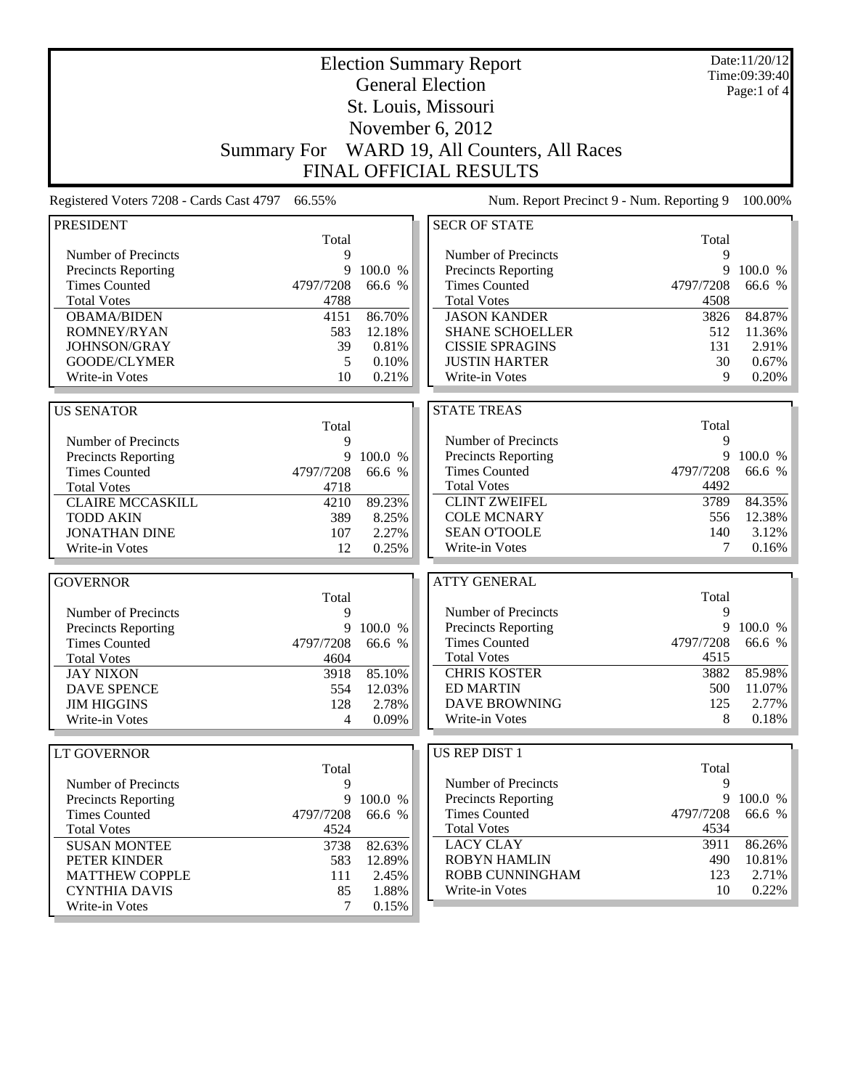|                                          |                    |                | <b>Election Summary Report</b>                     |           | Date:11/20/12<br>Time:09:39:40 |
|------------------------------------------|--------------------|----------------|----------------------------------------------------|-----------|--------------------------------|
|                                          |                    |                | <b>General Election</b>                            |           | Page:1 of 4                    |
|                                          |                    |                | St. Louis, Missouri                                |           |                                |
|                                          |                    |                | November 6, 2012                                   |           |                                |
|                                          |                    |                |                                                    |           |                                |
|                                          | <b>Summary For</b> |                | WARD 19, All Counters, All Races                   |           |                                |
|                                          |                    |                | <b>FINAL OFFICIAL RESULTS</b>                      |           |                                |
| Registered Voters 7208 - Cards Cast 4797 | 66.55%             |                | Num. Report Precinct 9 - Num. Reporting 9          |           | 100.00%                        |
| <b>PRESIDENT</b>                         |                    |                | <b>SECR OF STATE</b>                               |           |                                |
|                                          | Total              |                |                                                    | Total     |                                |
| Number of Precincts                      | 9                  |                | Number of Precincts                                | 9         |                                |
| Precincts Reporting                      | 9                  | 100.0 %        | Precincts Reporting                                | 9         | 100.0 %                        |
| <b>Times Counted</b>                     | 4797/7208          | 66.6 %         | <b>Times Counted</b>                               | 4797/7208 | 66.6 %                         |
| <b>Total Votes</b>                       | 4788               |                | <b>Total Votes</b>                                 | 4508      |                                |
| <b>OBAMA/BIDEN</b>                       | 4151               | 86.70%         | <b>JASON KANDER</b>                                | 3826      | 84.87%                         |
| ROMNEY/RYAN                              | 583                | 12.18%         | <b>SHANE SCHOELLER</b>                             | 512       | 11.36%                         |
| JOHNSON/GRAY                             | 39                 | 0.81%          | <b>CISSIE SPRAGINS</b>                             | 131       | 2.91%                          |
| GOODE/CLYMER                             | 5                  | 0.10%          | <b>JUSTIN HARTER</b>                               | 30        | 0.67%                          |
| Write-in Votes                           | 10                 | 0.21%          | Write-in Votes                                     | 9         | 0.20%                          |
|                                          |                    |                |                                                    |           |                                |
| <b>US SENATOR</b>                        |                    |                | <b>STATE TREAS</b>                                 |           |                                |
|                                          | Total              |                |                                                    | Total     |                                |
| Number of Precincts                      | 9                  |                | Number of Precincts                                | 9<br>9    |                                |
| Precincts Reporting                      | 9                  | 100.0 %        | <b>Precincts Reporting</b><br><b>Times Counted</b> | 4797/7208 | 100.0 %<br>66.6 %              |
| <b>Times Counted</b>                     | 4797/7208          | 66.6 %         | <b>Total Votes</b>                                 | 4492      |                                |
| <b>Total Votes</b>                       | 4718               | 89.23%         | <b>CLINT ZWEIFEL</b>                               | 3789      | 84.35%                         |
| <b>CLAIRE MCCASKILL</b>                  | 4210               |                | <b>COLE MCNARY</b>                                 | 556       | 12.38%                         |
| <b>TODD AKIN</b><br><b>JONATHAN DINE</b> | 389<br>107         | 8.25%<br>2.27% | <b>SEAN O'TOOLE</b>                                | 140       | 3.12%                          |
| Write-in Votes                           | 12                 | 0.25%          | Write-in Votes                                     | 7         | 0.16%                          |
|                                          |                    |                |                                                    |           |                                |
| <b>GOVERNOR</b>                          |                    |                | <b>ATTY GENERAL</b>                                |           |                                |
|                                          | Total              |                |                                                    | Total     |                                |
| Number of Precincts                      | 9                  |                | Number of Precincts                                | 9         |                                |
| Precincts Reporting                      | 9                  | 100.0 %        | Precincts Reporting                                | 9         | 100.0 %                        |
| <b>Times Counted</b>                     | 4797/7208          | 66.6 %         | <b>Times Counted</b>                               | 4797/7208 | 66.6 %                         |
| <b>Total Votes</b>                       | 4604               |                | <b>Total Votes</b>                                 | 4515      |                                |
| <b>JAY NIXON</b>                         | 3918               | 85.10%         | <b>CHRIS KOSTER</b>                                | 3882      | 85.98%                         |
| <b>DAVE SPENCE</b>                       | 554                | 12.03%         | <b>ED MARTIN</b>                                   | 500       | 11.07%                         |
| <b>JIM HIGGINS</b>                       | 128                | 2.78%          | <b>DAVE BROWNING</b>                               | 125       | 2.77%                          |
| Write-in Votes                           | 4                  | 0.09%          | Write-in Votes                                     | 8         | 0.18%                          |
|                                          |                    |                |                                                    |           |                                |
| <b>LT GOVERNOR</b>                       |                    |                | US REP DIST 1                                      |           |                                |
|                                          | Total              |                |                                                    | Total     |                                |
| Number of Precincts                      | 9                  |                | Number of Precincts                                | 9         |                                |
| Precincts Reporting                      |                    | 9 100.0 %      | <b>Precincts Reporting</b>                         |           | 9 100.0 %                      |
| <b>Times Counted</b>                     | 4797/7208          | 66.6 %         | <b>Times Counted</b>                               | 4797/7208 | 66.6 %                         |
| <b>Total Votes</b>                       | 4524               |                | <b>Total Votes</b>                                 | 4534      |                                |
| <b>SUSAN MONTEE</b>                      | 3738               | 82.63%         | <b>LACY CLAY</b>                                   | 3911      | 86.26%                         |
| PETER KINDER                             | 583                | 12.89%         | <b>ROBYN HAMLIN</b>                                | 490       | 10.81%                         |
| <b>MATTHEW COPPLE</b>                    | 111                | 2.45%          | ROBB CUNNINGHAM                                    | 123       | 2.71%                          |
| <b>CYNTHIA DAVIS</b>                     | 85                 | 1.88%          | Write-in Votes                                     | 10        | 0.22%                          |
| Write-in Votes                           | $\tau$             | 0.15%          |                                                    |           |                                |

Write-in Votes 7 0.15%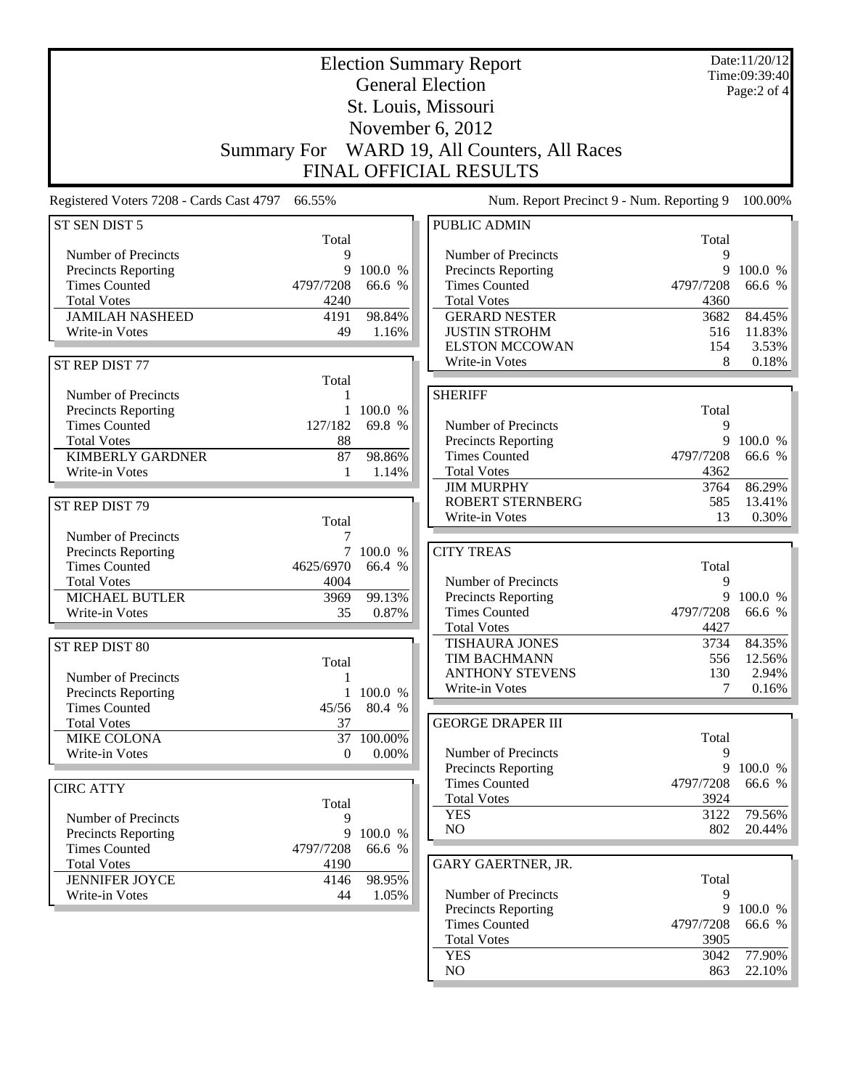|                                                           |                     |                  | <b>Election Summary Report</b><br><b>General Election</b>         |                   | Date:11/20/12<br>Time:09:39:40 |  |
|-----------------------------------------------------------|---------------------|------------------|-------------------------------------------------------------------|-------------------|--------------------------------|--|
|                                                           |                     | Page:2 of 4      |                                                                   |                   |                                |  |
|                                                           | St. Louis, Missouri |                  |                                                                   |                   |                                |  |
|                                                           | November 6, 2012    |                  |                                                                   |                   |                                |  |
|                                                           |                     |                  |                                                                   |                   |                                |  |
|                                                           | <b>Summary For</b>  |                  | WARD 19, All Counters, All Races<br><b>FINAL OFFICIAL RESULTS</b> |                   |                                |  |
|                                                           |                     |                  |                                                                   |                   |                                |  |
| Registered Voters 7208 - Cards Cast 4797<br>ST SEN DIST 5 | 66.55%              |                  | Num. Report Precinct 9 - Num. Reporting 9<br><b>PUBLIC ADMIN</b>  |                   | 100.00%                        |  |
|                                                           | Total               |                  |                                                                   | Total             |                                |  |
| Number of Precincts                                       | 9                   |                  | Number of Precincts                                               | 9                 |                                |  |
| Precincts Reporting<br><b>Times Counted</b>               | 9                   | 100.0 %          | <b>Precincts Reporting</b><br><b>Times Counted</b>                | 9                 | 100.0 %                        |  |
| <b>Total Votes</b>                                        | 4797/7208<br>4240   | 66.6 %           | <b>Total Votes</b>                                                | 4797/7208<br>4360 | 66.6 %                         |  |
| <b>JAMILAH NASHEED</b>                                    | 4191                | 98.84%           | <b>GERARD NESTER</b>                                              | 3682              | 84.45%                         |  |
| Write-in Votes                                            | 49                  | 1.16%            | <b>JUSTIN STROHM</b>                                              | 516               | 11.83%                         |  |
|                                                           |                     |                  | <b>ELSTON MCCOWAN</b>                                             | 154               | 3.53%                          |  |
| ST REP DIST 77                                            |                     |                  | Write-in Votes                                                    | 8                 | 0.18%                          |  |
|                                                           | Total               |                  |                                                                   |                   |                                |  |
| Number of Precincts                                       |                     |                  | <b>SHERIFF</b>                                                    |                   |                                |  |
| Precincts Reporting                                       | $\mathbf{1}$        | 100.0 %          |                                                                   | Total             |                                |  |
| <b>Times Counted</b>                                      | 127/182             | 69.8 %           | Number of Precincts                                               | 9                 |                                |  |
| <b>Total Votes</b>                                        | 88                  |                  | Precincts Reporting                                               | 9                 | 100.0 %                        |  |
| <b>KIMBERLY GARDNER</b>                                   | 87                  | 98.86%           | <b>Times Counted</b>                                              | 4797/7208         | 66.6 %                         |  |
| Write-in Votes                                            | 1                   | 1.14%            | <b>Total Votes</b>                                                | 4362              |                                |  |
|                                                           |                     |                  | <b>JIM MURPHY</b>                                                 | 3764              | 86.29%                         |  |
| ST REP DIST 79                                            |                     |                  | <b>ROBERT STERNBERG</b>                                           | 585               | 13.41%                         |  |
|                                                           | Total               |                  | Write-in Votes                                                    | 13                | 0.30%                          |  |
| Number of Precincts                                       | 7                   |                  |                                                                   |                   |                                |  |
| <b>Precincts Reporting</b>                                |                     | 100.0 %          | <b>CITY TREAS</b>                                                 |                   |                                |  |
| <b>Times Counted</b>                                      | 4625/6970           | 66.4 %           |                                                                   | Total             |                                |  |
| <b>Total Votes</b>                                        | 4004                |                  | Number of Precincts                                               | 9                 |                                |  |
| <b>MICHAEL BUTLER</b>                                     | 3969                | 99.13%           | Precincts Reporting                                               | 9                 | 100.0 %                        |  |
| Write-in Votes                                            | 35                  | 0.87%            | <b>Times Counted</b>                                              | 4797/7208         | 66.6 %                         |  |
|                                                           |                     |                  | <b>Total Votes</b>                                                | 4427              |                                |  |
| ST REP DIST 80                                            |                     |                  | <b>TISHAURA JONES</b>                                             | 3734              | 84.35%                         |  |
|                                                           | Total               |                  | TIM BACHMANN                                                      | 556               | 12.56%                         |  |
| Number of Precincts                                       | $\mathbf{1}$        |                  | <b>ANTHONY STEVENS</b><br>Write-in Votes                          | 130<br>7          | 2.94%<br>0.16%                 |  |
| <b>Precincts Reporting</b>                                | $\mathbf{1}$        | 100.0 %          |                                                                   |                   |                                |  |
| <b>Times Counted</b>                                      | 45/56               | 80.4 %           | <b>GEORGE DRAPER III</b>                                          |                   |                                |  |
| <b>Total Votes</b>                                        | 37                  |                  |                                                                   | Total             |                                |  |
| MIKE COLONA<br>Write-in Votes                             | 37<br>$\theta$      | 100.00%<br>0.00% | Number of Precincts                                               | 9                 |                                |  |
|                                                           |                     |                  | Precincts Reporting                                               | 9                 | 100.0 %                        |  |
|                                                           |                     |                  | <b>Times Counted</b>                                              | 4797/7208         | 66.6 %                         |  |
| <b>CIRC ATTY</b>                                          |                     |                  | <b>Total Votes</b>                                                | 3924              |                                |  |
| Number of Precincts                                       | Total<br>9          |                  | <b>YES</b>                                                        | 3122              | 79.56%                         |  |
| Precincts Reporting                                       | 9                   | 100.0 %          | NO                                                                | 802               | 20.44%                         |  |
| <b>Times Counted</b>                                      | 4797/7208           | 66.6 %           |                                                                   |                   |                                |  |
| <b>Total Votes</b>                                        | 4190                |                  | GARY GAERTNER, JR.                                                |                   |                                |  |
| <b>JENNIFER JOYCE</b>                                     | 4146                | 98.95%           |                                                                   | Total             |                                |  |
| Write-in Votes                                            | 44                  | 1.05%            | Number of Precincts                                               | 9                 |                                |  |
|                                                           |                     |                  | <b>Precincts Reporting</b>                                        | 9                 | 100.0 %                        |  |
|                                                           |                     |                  | <b>Times Counted</b>                                              | 4797/7208         | 66.6 %                         |  |
|                                                           |                     |                  | <b>Total Votes</b>                                                | 3905              |                                |  |
|                                                           |                     |                  | <b>YES</b>                                                        | 3042              | 77.90%                         |  |

NO 863 22.10%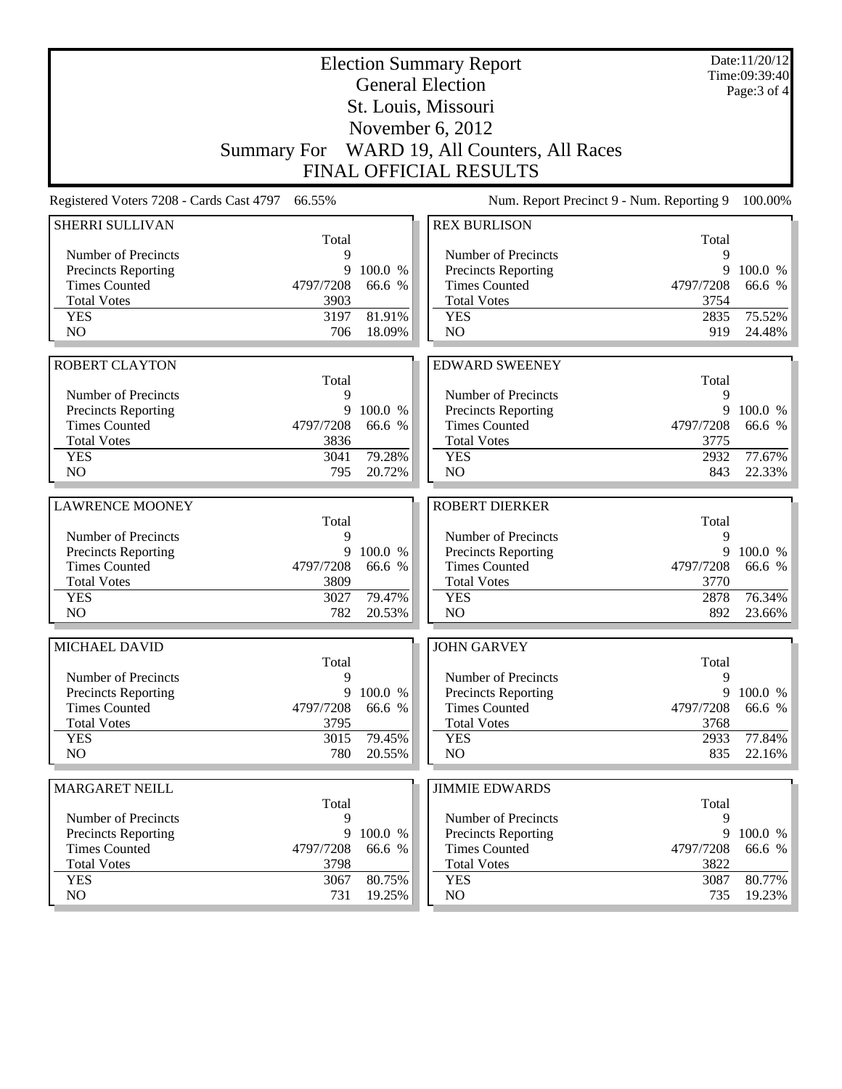|                                                    |                |                   | <b>Election Summary Report</b><br><b>General Election</b> |                | Date:11/20/12<br>Time:09:39:40<br>Page: $3$ of $4$ |
|----------------------------------------------------|----------------|-------------------|-----------------------------------------------------------|----------------|----------------------------------------------------|
|                                                    |                |                   | St. Louis, Missouri                                       |                |                                                    |
|                                                    |                |                   | November $6, 2012$                                        |                |                                                    |
|                                                    |                |                   | Summary For WARD 19, All Counters, All Races              |                |                                                    |
|                                                    |                |                   | FINAL OFFICIAL RESULTS                                    |                |                                                    |
| Registered Voters 7208 - Cards Cast 4797           | 66.55%         |                   | Num. Report Precinct 9 - Num. Reporting 9                 |                | 100.00%                                            |
| <b>SHERRI SULLIVAN</b>                             |                |                   | <b>REX BURLISON</b>                                       |                |                                                    |
| Number of Precincts                                | Total<br>9     |                   | Number of Precincts                                       | Total<br>9     |                                                    |
| <b>Precincts Reporting</b>                         | 9              | 100.0 %           | <b>Precincts Reporting</b>                                | 9              | 100.0 %                                            |
| <b>Times Counted</b>                               | 4797/7208      | 66.6 %            | <b>Times Counted</b>                                      | 4797/7208      | 66.6 %                                             |
| <b>Total Votes</b>                                 | 3903           |                   | <b>Total Votes</b>                                        | 3754           |                                                    |
| <b>YES</b>                                         | 3197           | 81.91%            | <b>YES</b>                                                | 2835           | 75.52%                                             |
| NO                                                 | 706            | 18.09%            | NO                                                        | 919            | 24.48%                                             |
|                                                    |                |                   |                                                           |                |                                                    |
| <b>ROBERT CLAYTON</b>                              |                |                   | <b>EDWARD SWEENEY</b>                                     |                |                                                    |
|                                                    | Total          |                   |                                                           | Total          |                                                    |
| Number of Precincts                                | 9<br>9         | 100.0 %           | Number of Precincts                                       | 9<br>9         | 100.0 %                                            |
| Precincts Reporting<br><b>Times Counted</b>        | 4797/7208      | 66.6 %            | Precincts Reporting<br><b>Times Counted</b>               | 4797/7208      | 66.6 %                                             |
| <b>Total Votes</b>                                 | 3836           |                   | <b>Total Votes</b>                                        | 3775           |                                                    |
| <b>YES</b>                                         | 3041           | 79.28%            | <b>YES</b>                                                | 2932           | 77.67%                                             |
| N <sub>O</sub>                                     | 795            | 20.72%            | NO                                                        | 843            | 22.33%                                             |
|                                                    |                |                   |                                                           |                |                                                    |
| <b>LAWRENCE MOONEY</b>                             |                |                   | <b>ROBERT DIERKER</b>                                     |                |                                                    |
| Number of Precincts                                | Total<br>9     |                   | Number of Precincts                                       | Total<br>9     |                                                    |
| Precincts Reporting                                | 9              | 100.0 %           | Precincts Reporting                                       | 9              | 100.0 %                                            |
| <b>Times Counted</b>                               | 4797/7208      | 66.6 %            | <b>Times Counted</b>                                      | 4797/7208      | 66.6 %                                             |
| <b>Total Votes</b>                                 | 3809           |                   | <b>Total Votes</b>                                        | 3770           |                                                    |
| <b>YES</b>                                         | 3027           | 79.47%            | <b>YES</b>                                                | 2878           | 76.34%                                             |
| N <sub>O</sub>                                     | 782            | 20.53%            | NO                                                        | 892            | 23.66%                                             |
| MICHAEL DAVID                                      |                |                   | <b>JOHN GARVEY</b>                                        |                |                                                    |
|                                                    | Total          |                   |                                                           | Total          |                                                    |
| Number of Precincts                                | 9              |                   | Number of Precincts                                       | 9              |                                                    |
| Precincts Reporting                                | 9              | 100.0 %           | Precincts Reporting                                       | 9              | 100.0 %                                            |
| <b>Times Counted</b>                               | 4797/7208      | 66.6 %            | <b>Times Counted</b>                                      | 4797/7208      | 66.6 %                                             |
| <b>Total Votes</b><br><b>YES</b>                   | 3795<br>3015   | 79.45%            | <b>Total Votes</b><br><b>YES</b>                          | 3768<br>2933   | 77.84%                                             |
| NO                                                 | 780            | 20.55%            | NO                                                        | 835            | $22.16\%$                                          |
|                                                    |                |                   |                                                           |                |                                                    |
| <b>MARGARET NEILL</b>                              |                |                   | <b>JIMMIE EDWARDS</b>                                     |                |                                                    |
|                                                    | Total          |                   |                                                           | Total          |                                                    |
| Number of Precincts                                | 9              |                   | Number of Precincts                                       | 9              |                                                    |
| <b>Precincts Reporting</b><br><b>Times Counted</b> | 9<br>4797/7208 | 100.0 %<br>66.6 % | Precincts Reporting<br><b>Times Counted</b>               | 9<br>4797/7208 | 100.0 %<br>66.6 %                                  |
| <b>Total Votes</b>                                 | 3798           |                   | <b>Total Votes</b>                                        | 3822           |                                                    |
| <b>YES</b>                                         | 3067           | 80.75%            | <b>YES</b>                                                | 3087           | 80.77%                                             |
| NO                                                 | 731            | 19.25%            | NO                                                        | 735            | 19.23%                                             |
|                                                    |                |                   |                                                           |                |                                                    |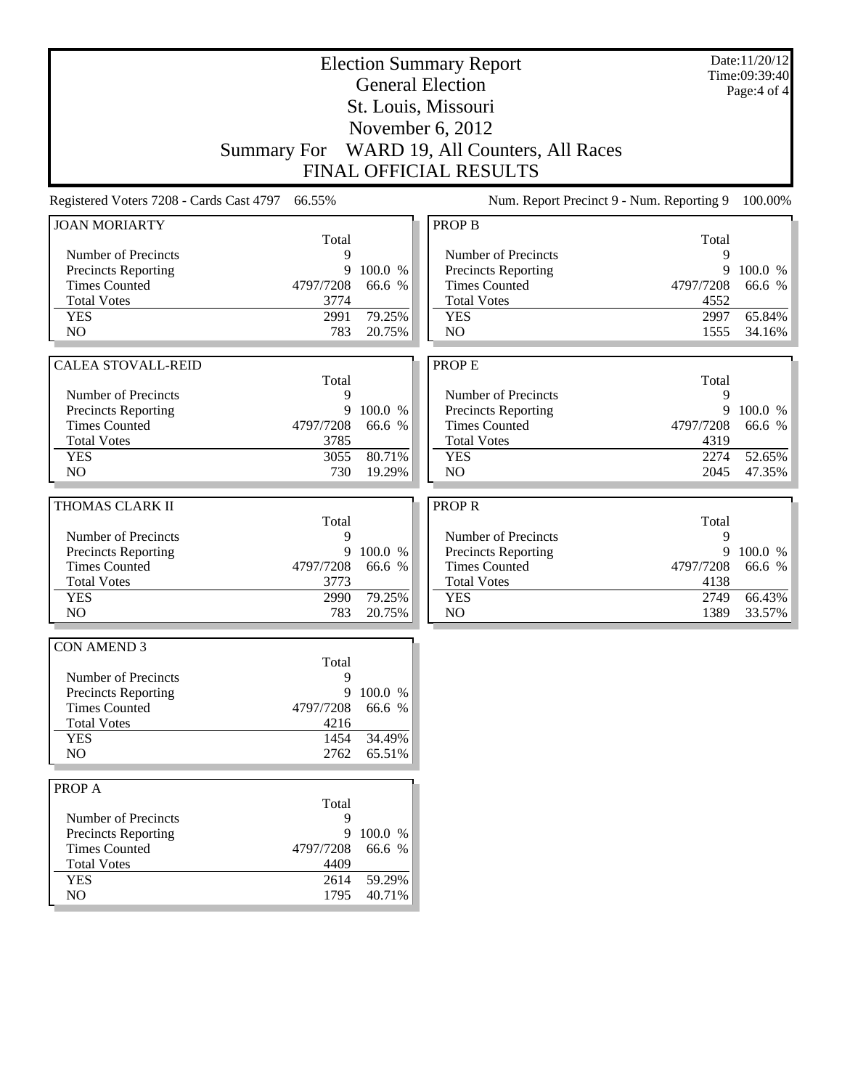| <b>Election Summary Report</b><br><b>General Election</b> |                     |           |                                              |            | Date:11/20/12<br>Time:09:39:40<br>Page: 4 of 4 |
|-----------------------------------------------------------|---------------------|-----------|----------------------------------------------|------------|------------------------------------------------|
|                                                           | St. Louis, Missouri |           |                                              |            |                                                |
|                                                           |                     |           | November 6, 2012                             |            |                                                |
|                                                           |                     |           |                                              |            |                                                |
|                                                           |                     |           | Summary For WARD 19, All Counters, All Races |            |                                                |
|                                                           |                     |           | <b>FINAL OFFICIAL RESULTS</b>                |            |                                                |
| Registered Voters 7208 - Cards Cast 4797                  | 66.55%              |           | Num. Report Precinct 9 - Num. Reporting 9    |            | 100.00%                                        |
| <b>JOAN MORIARTY</b>                                      | Total               |           | <b>PROP B</b>                                | Total      |                                                |
| Number of Precincts                                       | 9                   |           | Number of Precincts                          | 9          |                                                |
| Precincts Reporting                                       | 9                   | 100.0 %   | Precincts Reporting                          | 9          | 100.0 %                                        |
| <b>Times Counted</b>                                      | 4797/7208           | 66.6 %    | <b>Times Counted</b>                         | 4797/7208  | 66.6 %                                         |
| <b>Total Votes</b>                                        | 3774                |           | <b>Total Votes</b>                           | 4552       |                                                |
| <b>YES</b>                                                | 2991                | 79.25%    | <b>YES</b>                                   | 2997       | 65.84%                                         |
| N <sub>O</sub>                                            | 783                 | 20.75%    | N <sub>O</sub>                               | 1555       | 34.16%                                         |
|                                                           |                     |           |                                              |            |                                                |
| <b>CALEA STOVALL-REID</b>                                 | Total               |           | <b>PROPE</b>                                 | Total      |                                                |
| Number of Precincts                                       | 9                   |           | Number of Precincts                          | 9          |                                                |
| Precincts Reporting                                       | 9                   | 100.0 %   | Precincts Reporting                          | 9          | 100.0 %                                        |
| <b>Times Counted</b>                                      | 4797/7208           | 66.6 %    | <b>Times Counted</b>                         | 4797/7208  | 66.6 %                                         |
| <b>Total Votes</b>                                        | 3785                |           | <b>Total Votes</b>                           | 4319       |                                                |
| <b>YES</b>                                                | 3055                | 80.71%    | <b>YES</b>                                   | 2274       | 52.65%                                         |
| NO.                                                       | 730                 | 19.29%    | N <sub>O</sub>                               | 2045       | 47.35%                                         |
|                                                           |                     |           |                                              |            |                                                |
| THOMAS CLARK II                                           |                     |           | <b>PROPR</b>                                 |            |                                                |
| Number of Precincts                                       | Total<br>9          |           | Number of Precincts                          | Total<br>9 |                                                |
| Precincts Reporting                                       | 9                   | 100.0 %   | Precincts Reporting                          | 9          | 100.0 %                                        |
| <b>Times Counted</b>                                      | 4797/7208           | 66.6 %    | <b>Times Counted</b>                         | 4797/7208  | 66.6 %                                         |
| <b>Total Votes</b>                                        | 3773                |           | <b>Total Votes</b>                           | 4138       |                                                |
| <b>YES</b>                                                | 2990                | 79.25%    | <b>YES</b>                                   | 2749       | 66.43%                                         |
| N <sub>O</sub>                                            | 783                 | 20.75%    | NO                                           | 1389       | 33.57%                                         |
|                                                           |                     |           |                                              |            |                                                |
| <b>CON AMEND 3</b>                                        | Total               |           |                                              |            |                                                |
| Number of Precincts                                       | 9                   |           |                                              |            |                                                |
| <b>Precincts Reporting</b>                                |                     | 9 100.0 % |                                              |            |                                                |
| <b>Times Counted</b>                                      | 4797/7208           | 66.6 %    |                                              |            |                                                |
| <b>Total Votes</b>                                        | 4216                |           |                                              |            |                                                |
| <b>YES</b>                                                | 1454                | 34.49%    |                                              |            |                                                |
| NO                                                        | 2762                | 65.51%    |                                              |            |                                                |
| PROP A                                                    |                     |           |                                              |            |                                                |
|                                                           | Total               |           |                                              |            |                                                |
| Number of Precincts                                       | 9                   |           |                                              |            |                                                |
| <b>Precincts Reporting</b>                                | 9                   | 100.0 %   |                                              |            |                                                |
| <b>Times Counted</b>                                      | 4797/7208           | 66.6 %    |                                              |            |                                                |
| <b>Total Votes</b>                                        | 4409                |           |                                              |            |                                                |
| <b>YES</b>                                                | 2614                | 59.29%    |                                              |            |                                                |
| NO                                                        | 1795                | 40.71%    |                                              |            |                                                |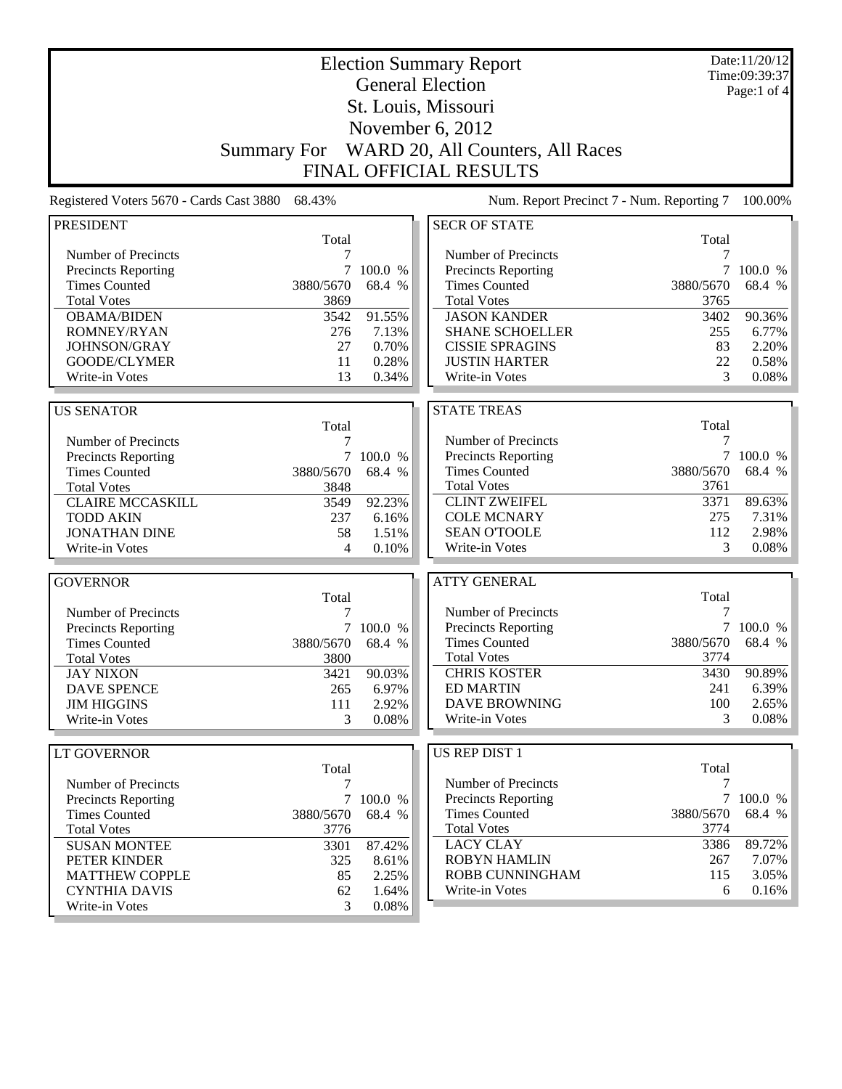| <b>Election Summary Report</b>             |                    |                |                                            | Date:11/20/12<br>Time:09:39:37 |                 |
|--------------------------------------------|--------------------|----------------|--------------------------------------------|--------------------------------|-----------------|
|                                            |                    |                | <b>General Election</b>                    |                                | Page:1 of 4     |
|                                            |                    |                | St. Louis, Missouri                        |                                |                 |
|                                            |                    |                | November 6, 2012                           |                                |                 |
|                                            | <b>Summary For</b> |                | WARD 20, All Counters, All Races           |                                |                 |
|                                            |                    |                |                                            |                                |                 |
|                                            |                    |                | <b>FINAL OFFICIAL RESULTS</b>              |                                |                 |
| Registered Voters 5670 - Cards Cast 3880   | 68.43%             |                | Num. Report Precinct 7 - Num. Reporting 7  |                                | 100.00%         |
| <b>PRESIDENT</b>                           |                    |                | <b>SECR OF STATE</b>                       |                                |                 |
|                                            | Total              |                |                                            | Total                          |                 |
| Number of Precincts<br>Precincts Reporting | 7<br>7             | 100.0 %        | Number of Precincts<br>Precincts Reporting | 7<br>7                         | 100.0 %         |
| <b>Times Counted</b>                       | 3880/5670          | 68.4 %         | <b>Times Counted</b>                       | 3880/5670                      | 68.4 %          |
| <b>Total Votes</b>                         | 3869               |                | <b>Total Votes</b>                         | 3765                           |                 |
| <b>OBAMA/BIDEN</b>                         | 3542               | 91.55%         | <b>JASON KANDER</b>                        | 3402                           | 90.36%          |
| ROMNEY/RYAN                                | 276                | 7.13%          | <b>SHANE SCHOELLER</b>                     | 255                            | 6.77%           |
| JOHNSON/GRAY                               | 27                 | 0.70%          | <b>CISSIE SPRAGINS</b>                     | 83                             | 2.20%           |
| GOODE/CLYMER                               | 11                 | 0.28%          | <b>JUSTIN HARTER</b>                       | 22                             | 0.58%           |
| Write-in Votes                             | 13                 | 0.34%          | Write-in Votes                             | 3                              | 0.08%           |
|                                            |                    |                |                                            |                                |                 |
| <b>US SENATOR</b>                          |                    |                | <b>STATE TREAS</b>                         |                                |                 |
|                                            | Total              |                |                                            | Total                          |                 |
| Number of Precincts                        | 7                  |                | Number of Precincts                        | 7                              |                 |
| Precincts Reporting                        |                    | 7 100.0 %      | Precincts Reporting                        | $\tau$                         | 100.0 %         |
| <b>Times Counted</b>                       | 3880/5670          | 68.4 %         | <b>Times Counted</b>                       | 3880/5670                      | 68.4 %          |
| <b>Total Votes</b>                         | 3848               |                | <b>Total Votes</b>                         | 3761                           |                 |
| <b>CLAIRE MCCASKILL</b>                    | 3549               | 92.23%         | <b>CLINT ZWEIFEL</b><br><b>COLE MCNARY</b> | 3371<br>275                    | 89.63%<br>7.31% |
| <b>TODD AKIN</b>                           | 237                | 6.16%          | <b>SEAN O'TOOLE</b>                        | 112                            | 2.98%           |
| <b>JONATHAN DINE</b><br>Write-in Votes     | 58<br>4            | 1.51%<br>0.10% | Write-in Votes                             | 3                              | 0.08%           |
|                                            |                    |                |                                            |                                |                 |
| <b>GOVERNOR</b>                            |                    |                | <b>ATTY GENERAL</b>                        |                                |                 |
|                                            | Total              |                |                                            | Total                          |                 |
| Number of Precincts                        | 7                  |                | Number of Precincts                        | 7                              |                 |
| Precincts Reporting                        | 7                  | 100.0 %        | <b>Precincts Reporting</b>                 | $\tau$                         | 100.0 %         |
| <b>Times Counted</b>                       | 3880/5670          | 68.4 %         | <b>Times Counted</b>                       | 3880/5670                      | 68.4 %          |
| <b>Total Votes</b>                         | 3800               |                | <b>Total Votes</b>                         | 3774                           |                 |
| <b>JAY NIXON</b>                           | 3421               | 90.03%         | <b>CHRIS KOSTER</b>                        | 3430                           | 90.89%          |
| <b>DAVE SPENCE</b>                         | 265                | 6.97%          | <b>ED MARTIN</b>                           | 241                            | 6.39%           |
| <b>JIM HIGGINS</b>                         | 111                | 2.92%          | <b>DAVE BROWNING</b><br>Write-in Votes     | 100<br>3                       | 2.65%           |
| Write-in Votes                             | 3                  | 0.08%          |                                            |                                | 0.08%           |
| LT GOVERNOR                                |                    |                | US REP DIST 1                              |                                |                 |
|                                            | Total              |                |                                            | Total                          |                 |
| Number of Precincts                        | 7                  |                | Number of Precincts                        | 7                              |                 |
| Precincts Reporting                        |                    | 7 100.0 %      | <b>Precincts Reporting</b>                 |                                | 7 100.0 %       |
| <b>Times Counted</b>                       | 3880/5670          | 68.4 %         | <b>Times Counted</b>                       | 3880/5670                      | 68.4 %          |
| <b>Total Votes</b>                         | 3776               |                | <b>Total Votes</b>                         | 3774                           |                 |
| <b>SUSAN MONTEE</b>                        | 3301               | 87.42%         | <b>LACY CLAY</b>                           | 3386                           | 89.72%          |
| PETER KINDER                               | 325                | 8.61%          | <b>ROBYN HAMLIN</b>                        | 267                            | 7.07%           |
| <b>MATTHEW COPPLE</b>                      | 85                 | 2.25%          | ROBB CUNNINGHAM                            | 115                            | 3.05%           |
| <b>CYNTHIA DAVIS</b>                       | 62                 | 1.64%          | Write-in Votes                             | 6                              | 0.16%           |
| Write-in Votes                             | 3                  | 0.08%          |                                            |                                |                 |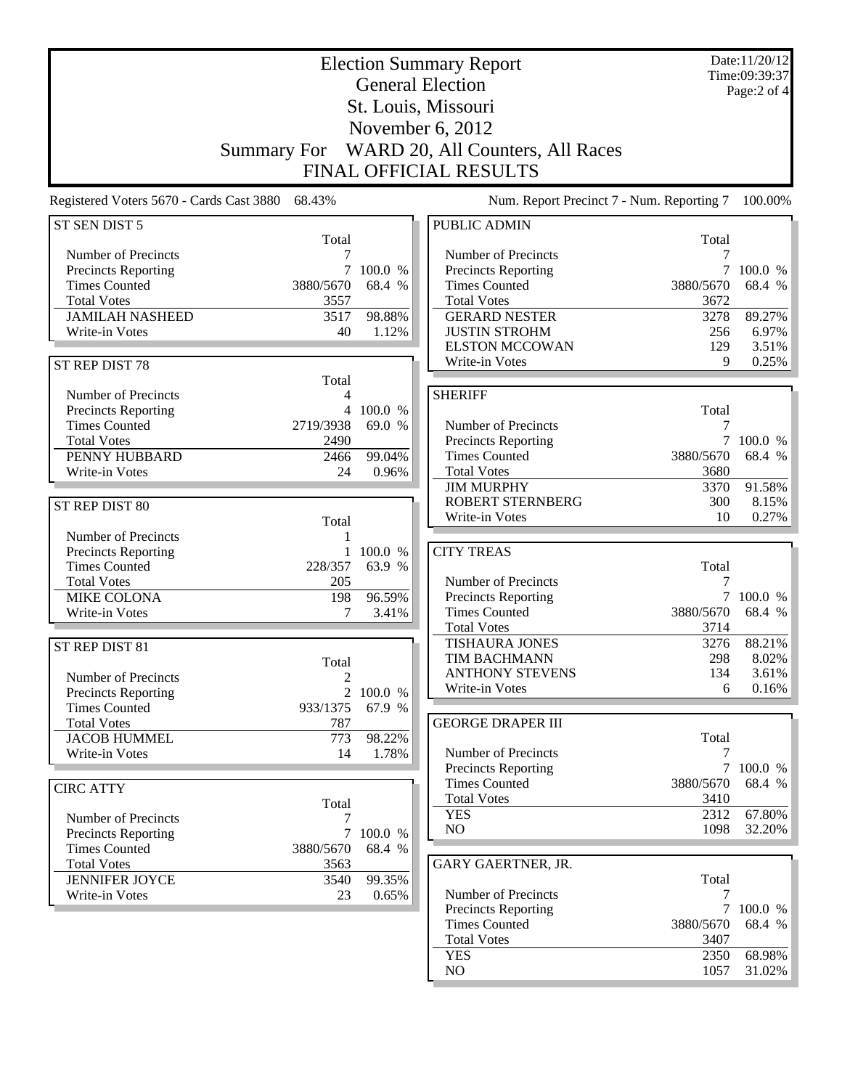|                                             |                     |              | <b>Election Summary Report</b>            |           | Date:11/20/12<br>Time:09:39:37 |
|---------------------------------------------|---------------------|--------------|-------------------------------------------|-----------|--------------------------------|
|                                             |                     |              | <b>General Election</b>                   |           | Page:2 of 4                    |
|                                             | St. Louis, Missouri |              |                                           |           |                                |
|                                             |                     |              | November 6, 2012                          |           |                                |
|                                             |                     |              | WARD 20, All Counters, All Races          |           |                                |
|                                             | <b>Summary For</b>  |              |                                           |           |                                |
|                                             |                     |              | FINAL OFFICIAL RESULTS                    |           |                                |
| Registered Voters 5670 - Cards Cast 3880    | 68.43%              |              | Num. Report Precinct 7 - Num. Reporting 7 |           | 100.00%                        |
| ST SEN DIST 5                               | Total               |              | <b>PUBLIC ADMIN</b>                       |           |                                |
| Number of Precincts                         | 7                   |              | Number of Precincts                       | Total     |                                |
| Precincts Reporting                         |                     | 100.0 %      | Precincts Reporting                       |           | 100.0 %                        |
| <b>Times Counted</b>                        | 3880/5670           | 68.4 %       | <b>Times Counted</b>                      | 3880/5670 | 68.4 %                         |
| <b>Total Votes</b>                          | 3557                |              | <b>Total Votes</b>                        | 3672      |                                |
| <b>JAMILAH NASHEED</b>                      | 3517                | 98.88%       | <b>GERARD NESTER</b>                      | 3278      | 89.27%                         |
| Write-in Votes                              | 40                  | 1.12%        | <b>JUSTIN STROHM</b>                      | 256       | 6.97%                          |
|                                             |                     |              | <b>ELSTON MCCOWAN</b>                     | 129       | 3.51%                          |
| ST REP DIST 78                              |                     |              | Write-in Votes                            | 9         | 0.25%                          |
|                                             | Total               |              |                                           |           |                                |
| Number of Precincts                         | 4                   |              | <b>SHERIFF</b>                            |           |                                |
| Precincts Reporting                         | $\overline{4}$      | 100.0 %      |                                           | Total     |                                |
| <b>Times Counted</b>                        | 2719/3938           | 69.0 %       | Number of Precincts                       | 7         |                                |
| <b>Total Votes</b>                          | 2490                |              | Precincts Reporting                       |           | 7 100.0 %                      |
| PENNY HUBBARD                               | 2466                | 99.04%       | <b>Times Counted</b>                      | 3880/5670 | 68.4 %                         |
| Write-in Votes                              | 24                  | 0.96%        | <b>Total Votes</b>                        | 3680      |                                |
|                                             |                     |              | <b>JIM MURPHY</b>                         | 3370      | 91.58%                         |
| ST REP DIST 80                              |                     |              | <b>ROBERT STERNBERG</b>                   | 300       | 8.15%                          |
|                                             | Total               |              | Write-in Votes                            | 10        | 0.27%                          |
| Number of Precincts                         | 1                   |              |                                           |           |                                |
| Precincts Reporting                         | $\mathbf{1}$        | 100.0 %      | <b>CITY TREAS</b>                         |           |                                |
| <b>Times Counted</b>                        | 228/357             | 63.9 %       |                                           | Total     |                                |
| <b>Total Votes</b>                          | 205                 |              | Number of Precincts                       | 7         |                                |
| <b>MIKE COLONA</b>                          | 198                 | 96.59%       | Precincts Reporting                       |           | 7 100.0 %                      |
| Write-in Votes                              | 7                   | 3.41%        | <b>Times Counted</b>                      | 3880/5670 | 68.4 %                         |
|                                             |                     |              | <b>Total Votes</b>                        | 3714      |                                |
| ST REP DIST 81                              |                     |              | <b>TISHAURA JONES</b>                     | 3276      | 88.21%                         |
|                                             | Total               |              | <b>TIM BACHMANN</b>                       | 298       | 8.02%                          |
| Number of Precincts                         | $\boldsymbol{2}$    |              | <b>ANTHONY STEVENS</b><br>Write-in Votes  | 134<br>6  | 3.61%<br>0.16%                 |
| Precincts Reporting                         |                     | 2 100.0 $\%$ |                                           |           |                                |
| <b>Times Counted</b>                        | 933/1375            | 67.9 %       |                                           |           |                                |
| <b>Total Votes</b>                          | 787                 |              | <b>GEORGE DRAPER III</b>                  | Total     |                                |
| <b>JACOB HUMMEL</b><br>Write-in Votes       | 773                 | 98.22%       | Number of Precincts                       | 7         |                                |
|                                             | 14                  | 1.78%        | Precincts Reporting                       |           | 7 100.0 %                      |
|                                             |                     |              | <b>Times Counted</b>                      | 3880/5670 | 68.4 %                         |
| <b>CIRC ATTY</b>                            |                     |              | <b>Total Votes</b>                        | 3410      |                                |
|                                             | Total               |              | <b>YES</b>                                | 2312      | 67.80%                         |
| Number of Precincts                         | 7                   | 7 100.0 %    | NO                                        | 1098      | 32.20%                         |
| Precincts Reporting<br><b>Times Counted</b> | 3880/5670           | 68.4 %       |                                           |           |                                |
| <b>Total Votes</b>                          | 3563                |              | GARY GAERTNER, JR.                        |           |                                |
| <b>JENNIFER JOYCE</b>                       | 3540                | 99.35%       |                                           | Total     |                                |
| Write-in Votes                              | 23                  | 0.65%        | Number of Precincts                       | 7         |                                |
|                                             |                     |              | Precincts Reporting                       |           | 7 100.0 %                      |
|                                             |                     |              | <b>Times Counted</b>                      | 3880/5670 | 68.4 %                         |
|                                             |                     |              | <b>Total Votes</b>                        | 3407      |                                |
|                                             |                     |              | <b>YES</b>                                | 2350      | 68.98%                         |

NO 1057 31.02%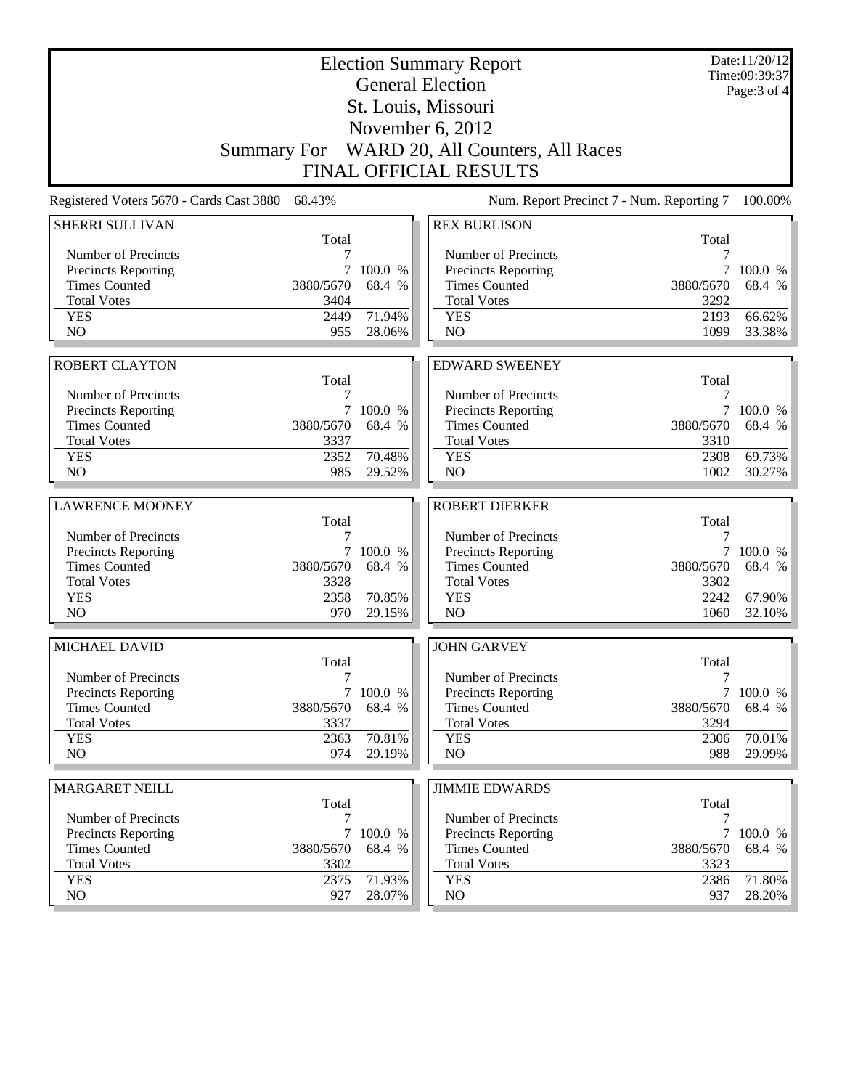| St. Louis, Missouri<br>November $6, 2012$<br>Summary For WARD 20, All Counters, All Races<br><b>FINAL OFFICIAL RESULTS</b><br>Registered Voters 5670 - Cards Cast 3880<br>68.43%<br>Num. Report Precinct 7 - Num. Reporting 7<br><b>REX BURLISON</b><br>SHERRI SULLIVAN<br>Total<br>Total<br>Number of Precincts<br>Number of Precincts<br>7<br>Precincts Reporting<br>100.0 %<br><b>Precincts Reporting</b><br>7<br>100.0 %<br><b>Times Counted</b><br>3880/5670<br>68.4 %<br><b>Times Counted</b><br>3880/5670<br>68.4 %<br><b>Total Votes</b><br>3404<br><b>Total Votes</b><br>3292<br>71.94%<br>66.62%<br><b>YES</b><br>2193<br>2449<br><b>YES</b><br>NO<br>NO<br>955<br>28.06%<br>1099<br>33.38%<br><b>ROBERT CLAYTON</b><br><b>EDWARD SWEENEY</b><br>Total<br>Total<br>Number of Precincts<br>Number of Precincts<br>7<br>7<br>Precincts Reporting<br>7<br>100.0 %<br>Precincts Reporting<br>7<br>100.0 %<br><b>Times Counted</b><br>3880/5670<br>68.4 %<br><b>Times Counted</b><br>3880/5670<br>68.4 %<br><b>Total Votes</b><br>3337<br><b>Total Votes</b><br>3310<br><b>YES</b><br>2352<br>70.48%<br>2308<br>69.73%<br><b>YES</b><br>NO<br>985<br>29.52%<br>N <sub>O</sub><br>1002<br>30.27%<br><b>ROBERT DIERKER</b><br><b>LAWRENCE MOONEY</b><br>Total<br>Total<br>Number of Precincts<br>Number of Precincts<br>7<br>7<br><b>Precincts Reporting</b><br>7 100.0 %<br>Precincts Reporting<br>100.0 %<br>7<br><b>Times Counted</b><br>3880/5670<br>68.4 %<br><b>Times Counted</b><br>3880/5670<br>68.4 %<br><b>Total Votes</b><br>3328<br><b>Total Votes</b><br>3302<br>70.85%<br><b>YES</b><br>2358<br>67.90%<br><b>YES</b><br>2242<br>NO<br>N <sub>O</sub><br>970<br>29.15%<br>1060<br>MICHAEL DAVID<br><b>JOHN GARVEY</b><br>Total<br>Total<br>Number of Precincts<br>7<br>Number of Precincts<br>7<br><b>Precincts Reporting</b><br>7 100.0 %<br>Precincts Reporting<br><b>Times Counted</b><br>68.4 %<br><b>Times Counted</b><br>3880/5670<br>3880/5670<br><b>Total Votes</b><br><b>Total Votes</b><br>3337<br>3294<br>70.81%<br><b>YES</b><br>2363<br><b>YES</b><br>2306<br>70.01%<br>NO<br>NO<br>974<br>29.19%<br>988<br><b>MARGARET NEILL</b><br><b>JIMMIE EDWARDS</b><br>Total<br>Total<br>Number of Precincts<br>Number of Precincts<br>7<br>7<br><b>Precincts Reporting</b><br>7<br><b>Precincts Reporting</b><br>100.0 %<br><b>Times Counted</b><br>68.4 %<br><b>Times Counted</b><br>68.4 %<br>3880/5670<br>3880/5670<br><b>Total Votes</b><br><b>Total Votes</b><br>3302<br>3323<br>71.80%<br><b>YES</b><br>2375<br>71.93%<br><b>YES</b><br>2386<br>NO<br>NO<br>927<br>28.07%<br>937 |  | <b>Election Summary Report</b><br><b>General Election</b> | Date:11/20/12<br>Time:09:39:37 |
|-------------------------------------------------------------------------------------------------------------------------------------------------------------------------------------------------------------------------------------------------------------------------------------------------------------------------------------------------------------------------------------------------------------------------------------------------------------------------------------------------------------------------------------------------------------------------------------------------------------------------------------------------------------------------------------------------------------------------------------------------------------------------------------------------------------------------------------------------------------------------------------------------------------------------------------------------------------------------------------------------------------------------------------------------------------------------------------------------------------------------------------------------------------------------------------------------------------------------------------------------------------------------------------------------------------------------------------------------------------------------------------------------------------------------------------------------------------------------------------------------------------------------------------------------------------------------------------------------------------------------------------------------------------------------------------------------------------------------------------------------------------------------------------------------------------------------------------------------------------------------------------------------------------------------------------------------------------------------------------------------------------------------------------------------------------------------------------------------------------------------------------------------------------------------------------------------------------------------------------------------------------------------------------------------------------------------------------------------------------------------------------------------------------------------------------------------------------------------------------------------------------------------------------------------------------------------------------------------------------|--|-----------------------------------------------------------|--------------------------------|
|                                                                                                                                                                                                                                                                                                                                                                                                                                                                                                                                                                                                                                                                                                                                                                                                                                                                                                                                                                                                                                                                                                                                                                                                                                                                                                                                                                                                                                                                                                                                                                                                                                                                                                                                                                                                                                                                                                                                                                                                                                                                                                                                                                                                                                                                                                                                                                                                                                                                                                                                                                                                             |  |                                                           | Page: 3 of 4                   |
|                                                                                                                                                                                                                                                                                                                                                                                                                                                                                                                                                                                                                                                                                                                                                                                                                                                                                                                                                                                                                                                                                                                                                                                                                                                                                                                                                                                                                                                                                                                                                                                                                                                                                                                                                                                                                                                                                                                                                                                                                                                                                                                                                                                                                                                                                                                                                                                                                                                                                                                                                                                                             |  |                                                           |                                |
|                                                                                                                                                                                                                                                                                                                                                                                                                                                                                                                                                                                                                                                                                                                                                                                                                                                                                                                                                                                                                                                                                                                                                                                                                                                                                                                                                                                                                                                                                                                                                                                                                                                                                                                                                                                                                                                                                                                                                                                                                                                                                                                                                                                                                                                                                                                                                                                                                                                                                                                                                                                                             |  |                                                           |                                |
|                                                                                                                                                                                                                                                                                                                                                                                                                                                                                                                                                                                                                                                                                                                                                                                                                                                                                                                                                                                                                                                                                                                                                                                                                                                                                                                                                                                                                                                                                                                                                                                                                                                                                                                                                                                                                                                                                                                                                                                                                                                                                                                                                                                                                                                                                                                                                                                                                                                                                                                                                                                                             |  |                                                           |                                |
| 100.00%<br>32.10%<br>100.0 %                                                                                                                                                                                                                                                                                                                                                                                                                                                                                                                                                                                                                                                                                                                                                                                                                                                                                                                                                                                                                                                                                                                                                                                                                                                                                                                                                                                                                                                                                                                                                                                                                                                                                                                                                                                                                                                                                                                                                                                                                                                                                                                                                                                                                                                                                                                                                                                                                                                                                                                                                                                |  |                                                           |                                |
| 68.4 %                                                                                                                                                                                                                                                                                                                                                                                                                                                                                                                                                                                                                                                                                                                                                                                                                                                                                                                                                                                                                                                                                                                                                                                                                                                                                                                                                                                                                                                                                                                                                                                                                                                                                                                                                                                                                                                                                                                                                                                                                                                                                                                                                                                                                                                                                                                                                                                                                                                                                                                                                                                                      |  |                                                           |                                |
|                                                                                                                                                                                                                                                                                                                                                                                                                                                                                                                                                                                                                                                                                                                                                                                                                                                                                                                                                                                                                                                                                                                                                                                                                                                                                                                                                                                                                                                                                                                                                                                                                                                                                                                                                                                                                                                                                                                                                                                                                                                                                                                                                                                                                                                                                                                                                                                                                                                                                                                                                                                                             |  |                                                           |                                |
|                                                                                                                                                                                                                                                                                                                                                                                                                                                                                                                                                                                                                                                                                                                                                                                                                                                                                                                                                                                                                                                                                                                                                                                                                                                                                                                                                                                                                                                                                                                                                                                                                                                                                                                                                                                                                                                                                                                                                                                                                                                                                                                                                                                                                                                                                                                                                                                                                                                                                                                                                                                                             |  |                                                           |                                |
|                                                                                                                                                                                                                                                                                                                                                                                                                                                                                                                                                                                                                                                                                                                                                                                                                                                                                                                                                                                                                                                                                                                                                                                                                                                                                                                                                                                                                                                                                                                                                                                                                                                                                                                                                                                                                                                                                                                                                                                                                                                                                                                                                                                                                                                                                                                                                                                                                                                                                                                                                                                                             |  |                                                           |                                |
|                                                                                                                                                                                                                                                                                                                                                                                                                                                                                                                                                                                                                                                                                                                                                                                                                                                                                                                                                                                                                                                                                                                                                                                                                                                                                                                                                                                                                                                                                                                                                                                                                                                                                                                                                                                                                                                                                                                                                                                                                                                                                                                                                                                                                                                                                                                                                                                                                                                                                                                                                                                                             |  |                                                           |                                |
|                                                                                                                                                                                                                                                                                                                                                                                                                                                                                                                                                                                                                                                                                                                                                                                                                                                                                                                                                                                                                                                                                                                                                                                                                                                                                                                                                                                                                                                                                                                                                                                                                                                                                                                                                                                                                                                                                                                                                                                                                                                                                                                                                                                                                                                                                                                                                                                                                                                                                                                                                                                                             |  |                                                           |                                |
|                                                                                                                                                                                                                                                                                                                                                                                                                                                                                                                                                                                                                                                                                                                                                                                                                                                                                                                                                                                                                                                                                                                                                                                                                                                                                                                                                                                                                                                                                                                                                                                                                                                                                                                                                                                                                                                                                                                                                                                                                                                                                                                                                                                                                                                                                                                                                                                                                                                                                                                                                                                                             |  |                                                           |                                |
|                                                                                                                                                                                                                                                                                                                                                                                                                                                                                                                                                                                                                                                                                                                                                                                                                                                                                                                                                                                                                                                                                                                                                                                                                                                                                                                                                                                                                                                                                                                                                                                                                                                                                                                                                                                                                                                                                                                                                                                                                                                                                                                                                                                                                                                                                                                                                                                                                                                                                                                                                                                                             |  |                                                           |                                |
|                                                                                                                                                                                                                                                                                                                                                                                                                                                                                                                                                                                                                                                                                                                                                                                                                                                                                                                                                                                                                                                                                                                                                                                                                                                                                                                                                                                                                                                                                                                                                                                                                                                                                                                                                                                                                                                                                                                                                                                                                                                                                                                                                                                                                                                                                                                                                                                                                                                                                                                                                                                                             |  |                                                           |                                |
|                                                                                                                                                                                                                                                                                                                                                                                                                                                                                                                                                                                                                                                                                                                                                                                                                                                                                                                                                                                                                                                                                                                                                                                                                                                                                                                                                                                                                                                                                                                                                                                                                                                                                                                                                                                                                                                                                                                                                                                                                                                                                                                                                                                                                                                                                                                                                                                                                                                                                                                                                                                                             |  |                                                           |                                |
|                                                                                                                                                                                                                                                                                                                                                                                                                                                                                                                                                                                                                                                                                                                                                                                                                                                                                                                                                                                                                                                                                                                                                                                                                                                                                                                                                                                                                                                                                                                                                                                                                                                                                                                                                                                                                                                                                                                                                                                                                                                                                                                                                                                                                                                                                                                                                                                                                                                                                                                                                                                                             |  |                                                           |                                |
|                                                                                                                                                                                                                                                                                                                                                                                                                                                                                                                                                                                                                                                                                                                                                                                                                                                                                                                                                                                                                                                                                                                                                                                                                                                                                                                                                                                                                                                                                                                                                                                                                                                                                                                                                                                                                                                                                                                                                                                                                                                                                                                                                                                                                                                                                                                                                                                                                                                                                                                                                                                                             |  |                                                           |                                |
|                                                                                                                                                                                                                                                                                                                                                                                                                                                                                                                                                                                                                                                                                                                                                                                                                                                                                                                                                                                                                                                                                                                                                                                                                                                                                                                                                                                                                                                                                                                                                                                                                                                                                                                                                                                                                                                                                                                                                                                                                                                                                                                                                                                                                                                                                                                                                                                                                                                                                                                                                                                                             |  |                                                           |                                |
|                                                                                                                                                                                                                                                                                                                                                                                                                                                                                                                                                                                                                                                                                                                                                                                                                                                                                                                                                                                                                                                                                                                                                                                                                                                                                                                                                                                                                                                                                                                                                                                                                                                                                                                                                                                                                                                                                                                                                                                                                                                                                                                                                                                                                                                                                                                                                                                                                                                                                                                                                                                                             |  |                                                           |                                |
|                                                                                                                                                                                                                                                                                                                                                                                                                                                                                                                                                                                                                                                                                                                                                                                                                                                                                                                                                                                                                                                                                                                                                                                                                                                                                                                                                                                                                                                                                                                                                                                                                                                                                                                                                                                                                                                                                                                                                                                                                                                                                                                                                                                                                                                                                                                                                                                                                                                                                                                                                                                                             |  |                                                           |                                |
|                                                                                                                                                                                                                                                                                                                                                                                                                                                                                                                                                                                                                                                                                                                                                                                                                                                                                                                                                                                                                                                                                                                                                                                                                                                                                                                                                                                                                                                                                                                                                                                                                                                                                                                                                                                                                                                                                                                                                                                                                                                                                                                                                                                                                                                                                                                                                                                                                                                                                                                                                                                                             |  |                                                           |                                |
|                                                                                                                                                                                                                                                                                                                                                                                                                                                                                                                                                                                                                                                                                                                                                                                                                                                                                                                                                                                                                                                                                                                                                                                                                                                                                                                                                                                                                                                                                                                                                                                                                                                                                                                                                                                                                                                                                                                                                                                                                                                                                                                                                                                                                                                                                                                                                                                                                                                                                                                                                                                                             |  |                                                           |                                |
|                                                                                                                                                                                                                                                                                                                                                                                                                                                                                                                                                                                                                                                                                                                                                                                                                                                                                                                                                                                                                                                                                                                                                                                                                                                                                                                                                                                                                                                                                                                                                                                                                                                                                                                                                                                                                                                                                                                                                                                                                                                                                                                                                                                                                                                                                                                                                                                                                                                                                                                                                                                                             |  |                                                           |                                |
|                                                                                                                                                                                                                                                                                                                                                                                                                                                                                                                                                                                                                                                                                                                                                                                                                                                                                                                                                                                                                                                                                                                                                                                                                                                                                                                                                                                                                                                                                                                                                                                                                                                                                                                                                                                                                                                                                                                                                                                                                                                                                                                                                                                                                                                                                                                                                                                                                                                                                                                                                                                                             |  |                                                           |                                |
|                                                                                                                                                                                                                                                                                                                                                                                                                                                                                                                                                                                                                                                                                                                                                                                                                                                                                                                                                                                                                                                                                                                                                                                                                                                                                                                                                                                                                                                                                                                                                                                                                                                                                                                                                                                                                                                                                                                                                                                                                                                                                                                                                                                                                                                                                                                                                                                                                                                                                                                                                                                                             |  |                                                           |                                |
|                                                                                                                                                                                                                                                                                                                                                                                                                                                                                                                                                                                                                                                                                                                                                                                                                                                                                                                                                                                                                                                                                                                                                                                                                                                                                                                                                                                                                                                                                                                                                                                                                                                                                                                                                                                                                                                                                                                                                                                                                                                                                                                                                                                                                                                                                                                                                                                                                                                                                                                                                                                                             |  |                                                           |                                |
|                                                                                                                                                                                                                                                                                                                                                                                                                                                                                                                                                                                                                                                                                                                                                                                                                                                                                                                                                                                                                                                                                                                                                                                                                                                                                                                                                                                                                                                                                                                                                                                                                                                                                                                                                                                                                                                                                                                                                                                                                                                                                                                                                                                                                                                                                                                                                                                                                                                                                                                                                                                                             |  |                                                           |                                |
|                                                                                                                                                                                                                                                                                                                                                                                                                                                                                                                                                                                                                                                                                                                                                                                                                                                                                                                                                                                                                                                                                                                                                                                                                                                                                                                                                                                                                                                                                                                                                                                                                                                                                                                                                                                                                                                                                                                                                                                                                                                                                                                                                                                                                                                                                                                                                                                                                                                                                                                                                                                                             |  |                                                           |                                |
| 7 100.0 %<br>29.99%<br>28.20%                                                                                                                                                                                                                                                                                                                                                                                                                                                                                                                                                                                                                                                                                                                                                                                                                                                                                                                                                                                                                                                                                                                                                                                                                                                                                                                                                                                                                                                                                                                                                                                                                                                                                                                                                                                                                                                                                                                                                                                                                                                                                                                                                                                                                                                                                                                                                                                                                                                                                                                                                                               |  |                                                           |                                |
|                                                                                                                                                                                                                                                                                                                                                                                                                                                                                                                                                                                                                                                                                                                                                                                                                                                                                                                                                                                                                                                                                                                                                                                                                                                                                                                                                                                                                                                                                                                                                                                                                                                                                                                                                                                                                                                                                                                                                                                                                                                                                                                                                                                                                                                                                                                                                                                                                                                                                                                                                                                                             |  |                                                           |                                |
|                                                                                                                                                                                                                                                                                                                                                                                                                                                                                                                                                                                                                                                                                                                                                                                                                                                                                                                                                                                                                                                                                                                                                                                                                                                                                                                                                                                                                                                                                                                                                                                                                                                                                                                                                                                                                                                                                                                                                                                                                                                                                                                                                                                                                                                                                                                                                                                                                                                                                                                                                                                                             |  |                                                           |                                |
|                                                                                                                                                                                                                                                                                                                                                                                                                                                                                                                                                                                                                                                                                                                                                                                                                                                                                                                                                                                                                                                                                                                                                                                                                                                                                                                                                                                                                                                                                                                                                                                                                                                                                                                                                                                                                                                                                                                                                                                                                                                                                                                                                                                                                                                                                                                                                                                                                                                                                                                                                                                                             |  |                                                           |                                |
|                                                                                                                                                                                                                                                                                                                                                                                                                                                                                                                                                                                                                                                                                                                                                                                                                                                                                                                                                                                                                                                                                                                                                                                                                                                                                                                                                                                                                                                                                                                                                                                                                                                                                                                                                                                                                                                                                                                                                                                                                                                                                                                                                                                                                                                                                                                                                                                                                                                                                                                                                                                                             |  |                                                           |                                |
|                                                                                                                                                                                                                                                                                                                                                                                                                                                                                                                                                                                                                                                                                                                                                                                                                                                                                                                                                                                                                                                                                                                                                                                                                                                                                                                                                                                                                                                                                                                                                                                                                                                                                                                                                                                                                                                                                                                                                                                                                                                                                                                                                                                                                                                                                                                                                                                                                                                                                                                                                                                                             |  |                                                           |                                |
|                                                                                                                                                                                                                                                                                                                                                                                                                                                                                                                                                                                                                                                                                                                                                                                                                                                                                                                                                                                                                                                                                                                                                                                                                                                                                                                                                                                                                                                                                                                                                                                                                                                                                                                                                                                                                                                                                                                                                                                                                                                                                                                                                                                                                                                                                                                                                                                                                                                                                                                                                                                                             |  |                                                           |                                |
|                                                                                                                                                                                                                                                                                                                                                                                                                                                                                                                                                                                                                                                                                                                                                                                                                                                                                                                                                                                                                                                                                                                                                                                                                                                                                                                                                                                                                                                                                                                                                                                                                                                                                                                                                                                                                                                                                                                                                                                                                                                                                                                                                                                                                                                                                                                                                                                                                                                                                                                                                                                                             |  |                                                           |                                |
|                                                                                                                                                                                                                                                                                                                                                                                                                                                                                                                                                                                                                                                                                                                                                                                                                                                                                                                                                                                                                                                                                                                                                                                                                                                                                                                                                                                                                                                                                                                                                                                                                                                                                                                                                                                                                                                                                                                                                                                                                                                                                                                                                                                                                                                                                                                                                                                                                                                                                                                                                                                                             |  |                                                           |                                |
|                                                                                                                                                                                                                                                                                                                                                                                                                                                                                                                                                                                                                                                                                                                                                                                                                                                                                                                                                                                                                                                                                                                                                                                                                                                                                                                                                                                                                                                                                                                                                                                                                                                                                                                                                                                                                                                                                                                                                                                                                                                                                                                                                                                                                                                                                                                                                                                                                                                                                                                                                                                                             |  |                                                           |                                |
|                                                                                                                                                                                                                                                                                                                                                                                                                                                                                                                                                                                                                                                                                                                                                                                                                                                                                                                                                                                                                                                                                                                                                                                                                                                                                                                                                                                                                                                                                                                                                                                                                                                                                                                                                                                                                                                                                                                                                                                                                                                                                                                                                                                                                                                                                                                                                                                                                                                                                                                                                                                                             |  |                                                           |                                |
|                                                                                                                                                                                                                                                                                                                                                                                                                                                                                                                                                                                                                                                                                                                                                                                                                                                                                                                                                                                                                                                                                                                                                                                                                                                                                                                                                                                                                                                                                                                                                                                                                                                                                                                                                                                                                                                                                                                                                                                                                                                                                                                                                                                                                                                                                                                                                                                                                                                                                                                                                                                                             |  |                                                           |                                |
|                                                                                                                                                                                                                                                                                                                                                                                                                                                                                                                                                                                                                                                                                                                                                                                                                                                                                                                                                                                                                                                                                                                                                                                                                                                                                                                                                                                                                                                                                                                                                                                                                                                                                                                                                                                                                                                                                                                                                                                                                                                                                                                                                                                                                                                                                                                                                                                                                                                                                                                                                                                                             |  |                                                           |                                |
|                                                                                                                                                                                                                                                                                                                                                                                                                                                                                                                                                                                                                                                                                                                                                                                                                                                                                                                                                                                                                                                                                                                                                                                                                                                                                                                                                                                                                                                                                                                                                                                                                                                                                                                                                                                                                                                                                                                                                                                                                                                                                                                                                                                                                                                                                                                                                                                                                                                                                                                                                                                                             |  |                                                           |                                |
|                                                                                                                                                                                                                                                                                                                                                                                                                                                                                                                                                                                                                                                                                                                                                                                                                                                                                                                                                                                                                                                                                                                                                                                                                                                                                                                                                                                                                                                                                                                                                                                                                                                                                                                                                                                                                                                                                                                                                                                                                                                                                                                                                                                                                                                                                                                                                                                                                                                                                                                                                                                                             |  |                                                           |                                |
|                                                                                                                                                                                                                                                                                                                                                                                                                                                                                                                                                                                                                                                                                                                                                                                                                                                                                                                                                                                                                                                                                                                                                                                                                                                                                                                                                                                                                                                                                                                                                                                                                                                                                                                                                                                                                                                                                                                                                                                                                                                                                                                                                                                                                                                                                                                                                                                                                                                                                                                                                                                                             |  |                                                           |                                |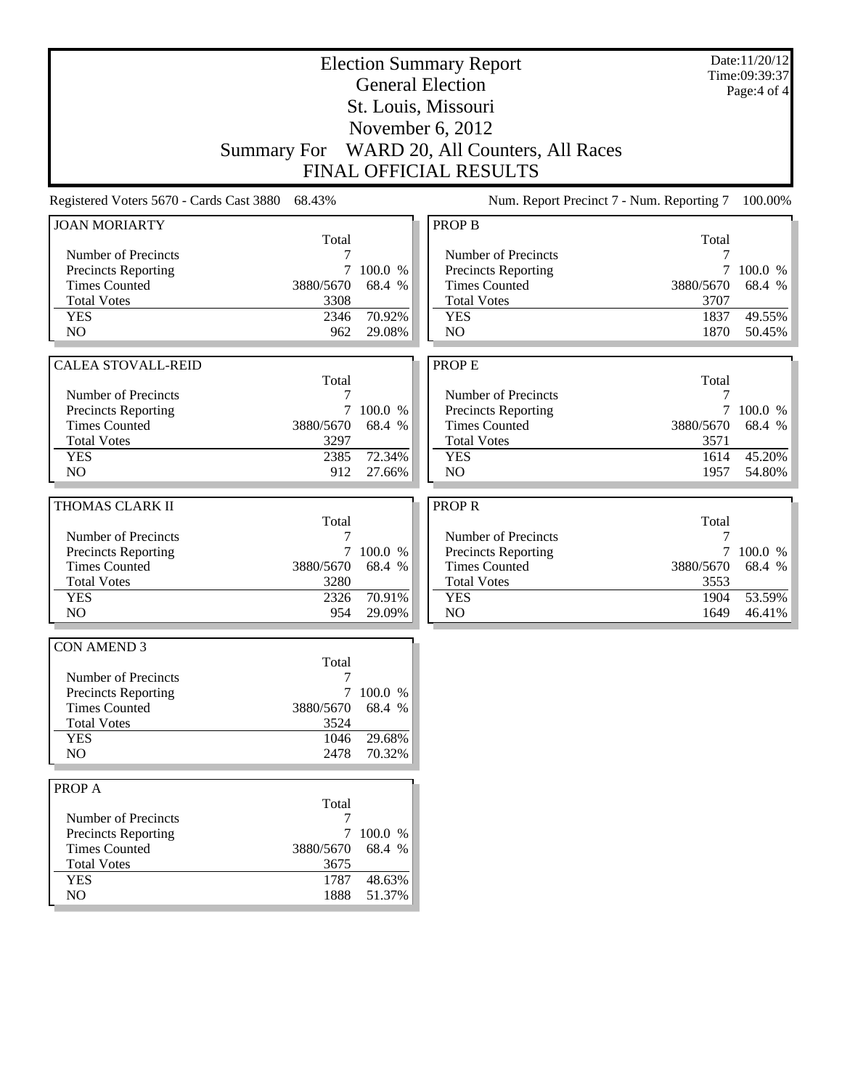| <b>Election Summary Report</b><br><b>General Election</b> |                    |                     |                                             |                   | Date:11/20/12<br>Time:09:39:37 |
|-----------------------------------------------------------|--------------------|---------------------|---------------------------------------------|-------------------|--------------------------------|
|                                                           |                    |                     |                                             |                   | Page: $4$ of $4$               |
|                                                           |                    |                     | St. Louis, Missouri                         |                   |                                |
|                                                           |                    |                     | November 6, 2012                            |                   |                                |
|                                                           | <b>Summary For</b> |                     | WARD 20, All Counters, All Races            |                   |                                |
|                                                           |                    |                     | <b>FINAL OFFICIAL RESULTS</b>               |                   |                                |
| Registered Voters 5670 - Cards Cast 3880                  | 68.43%             |                     | Num. Report Precinct 7 - Num. Reporting 7   |                   | 100.00%                        |
| <b>JOAN MORIARTY</b>                                      |                    |                     | <b>PROP B</b>                               |                   |                                |
| Number of Precincts                                       | Total<br>7         |                     | Number of Precincts                         | Total             |                                |
| Precincts Reporting                                       | $\tau$             | 100.0 %             | Precincts Reporting                         | $\tau$            | 100.0 %                        |
| <b>Times Counted</b>                                      | 3880/5670          | 68.4 %              | <b>Times Counted</b>                        | 3880/5670         | 68.4 %                         |
| <b>Total Votes</b>                                        | 3308               |                     | <b>Total Votes</b>                          | 3707              |                                |
| <b>YES</b>                                                | 2346               | 70.92%              | <b>YES</b>                                  | 1837              | 49.55%                         |
| N <sub>O</sub>                                            | 962                | 29.08%              | N <sub>O</sub>                              | 1870              | 50.45%                         |
|                                                           |                    |                     |                                             |                   |                                |
| <b>CALEA STOVALL-REID</b>                                 |                    |                     | <b>PROPE</b>                                |                   |                                |
|                                                           | Total              |                     |                                             | Total             |                                |
| Number of Precincts                                       | 7                  |                     | Number of Precincts                         | 7                 |                                |
| <b>Precincts Reporting</b><br><b>Times Counted</b>        | 3880/5670          | 7 100.0 %<br>68.4 % | Precincts Reporting<br><b>Times Counted</b> | 3880/5670         | 7 100.0 %<br>68.4 %            |
| <b>Total Votes</b>                                        | 3297               |                     | <b>Total Votes</b>                          | 3571              |                                |
| <b>YES</b>                                                | 2385               | 72.34%              | <b>YES</b>                                  | 1614              | 45.20%                         |
| N <sub>O</sub>                                            | 912                | 27.66%              | N <sub>O</sub>                              | 1957              | 54.80%                         |
|                                                           |                    |                     |                                             |                   |                                |
| THOMAS CLARK II                                           |                    |                     | <b>PROPR</b>                                |                   |                                |
|                                                           | Total              |                     |                                             | Total             |                                |
| Number of Precincts                                       | 7                  |                     | Number of Precincts                         | 7                 |                                |
| Precincts Reporting                                       | 7                  | 100.0 %             | Precincts Reporting                         | $\tau$            | 100.0 %                        |
| <b>Times Counted</b><br><b>Total Votes</b>                | 3880/5670<br>3280  | 68.4 %              | <b>Times Counted</b><br><b>Total Votes</b>  | 3880/5670<br>3553 | 68.4 %                         |
| <b>YES</b>                                                | 2326               | 70.91%              | <b>YES</b>                                  | 1904              | 53.59%                         |
| N <sub>O</sub>                                            | 954                | 29.09%              | NO                                          | 1649              | 46.41%                         |
|                                                           |                    |                     |                                             |                   |                                |
| <b>CON AMEND 3</b>                                        |                    |                     |                                             |                   |                                |
|                                                           | Total              |                     |                                             |                   |                                |
| Number of Precincts                                       | 7                  |                     |                                             |                   |                                |
| Precincts Reporting                                       |                    | 7 100.0 %           |                                             |                   |                                |
| <b>Times Counted</b>                                      | 3880/5670          | 68.4 %              |                                             |                   |                                |
| <b>Total Votes</b>                                        | 3524               |                     |                                             |                   |                                |
| <b>YES</b><br>NO                                          | 1046<br>2478       | 29.68%<br>70.32%    |                                             |                   |                                |
|                                                           |                    |                     |                                             |                   |                                |
| PROP A                                                    |                    |                     |                                             |                   |                                |
| Number of Precincts                                       | Total<br>7         |                     |                                             |                   |                                |
| Precincts Reporting                                       |                    | 7 100.0 %           |                                             |                   |                                |
| <b>Times Counted</b>                                      | 3880/5670          | 68.4 %              |                                             |                   |                                |
| <b>Total Votes</b>                                        | 3675               |                     |                                             |                   |                                |
| <b>YES</b>                                                | 1787               | 48.63%              |                                             |                   |                                |
| NO                                                        | 1888               | 51.37%              |                                             |                   |                                |
|                                                           |                    |                     |                                             |                   |                                |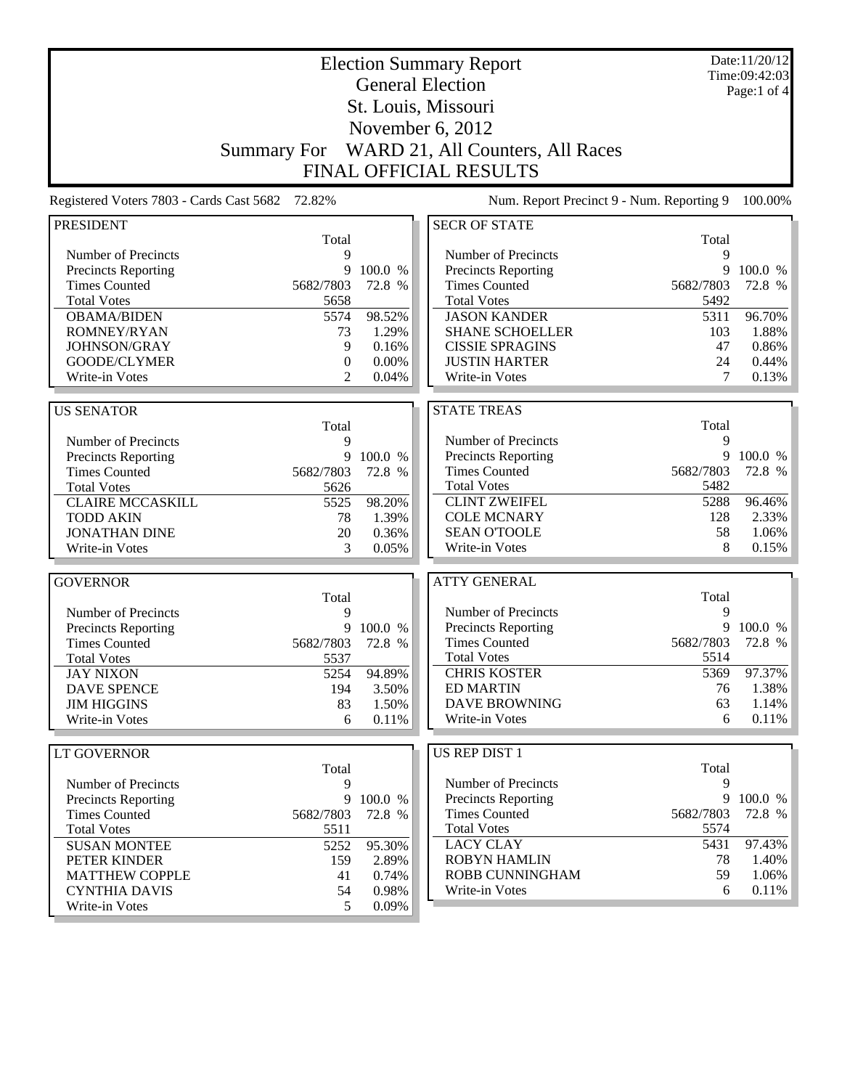| <b>Election Summary Report</b>           |                    |           |                                           |           | Date:11/20/12<br>Time:09:42:03 |
|------------------------------------------|--------------------|-----------|-------------------------------------------|-----------|--------------------------------|
|                                          |                    |           | <b>General Election</b>                   |           | Page:1 of $4$                  |
|                                          |                    |           | St. Louis, Missouri                       |           |                                |
|                                          |                    |           |                                           |           |                                |
|                                          |                    |           | November 6, 2012                          |           |                                |
|                                          | <b>Summary For</b> |           | WARD 21, All Counters, All Races          |           |                                |
|                                          |                    |           | <b>FINAL OFFICIAL RESULTS</b>             |           |                                |
| Registered Voters 7803 - Cards Cast 5682 | 72.82%             |           | Num. Report Precinct 9 - Num. Reporting 9 |           | 100.00%                        |
| <b>PRESIDENT</b>                         |                    |           | <b>SECR OF STATE</b>                      |           |                                |
|                                          | Total              |           |                                           | Total     |                                |
| Number of Precincts                      | 9                  |           | Number of Precincts                       | 9         |                                |
| Precincts Reporting                      | 9                  | 100.0 %   | Precincts Reporting                       | 9         | 100.0 %                        |
| <b>Times Counted</b>                     | 5682/7803          | 72.8 %    | <b>Times Counted</b>                      | 5682/7803 | 72.8 %                         |
| <b>Total Votes</b>                       | 5658               |           | <b>Total Votes</b>                        | 5492      |                                |
| <b>OBAMA/BIDEN</b>                       | 5574               | 98.52%    | <b>JASON KANDER</b>                       | 5311      | 96.70%                         |
| <b>ROMNEY/RYAN</b>                       | 73                 | 1.29%     | <b>SHANE SCHOELLER</b>                    | 103       | 1.88%                          |
| JOHNSON/GRAY                             | 9                  | 0.16%     | <b>CISSIE SPRAGINS</b>                    | 47        | 0.86%                          |
| GOODE/CLYMER                             | $\mathbf{0}$       | 0.00%     | <b>JUSTIN HARTER</b>                      | 24        | 0.44%                          |
| Write-in Votes                           | $\mathfrak{D}$     | 0.04%     | Write-in Votes                            | 7         | 0.13%                          |
|                                          |                    |           |                                           |           |                                |
| <b>US SENATOR</b>                        |                    |           | <b>STATE TREAS</b>                        |           |                                |
|                                          | Total              |           |                                           | Total     |                                |
| Number of Precincts                      | 9                  |           | Number of Precincts                       | 9         |                                |
| Precincts Reporting                      | 9                  | 100.0 %   | Precincts Reporting                       | 9         | 100.0 %                        |
| <b>Times Counted</b>                     | 5682/7803          | 72.8 %    | <b>Times Counted</b>                      | 5682/7803 | 72.8 %                         |
| <b>Total Votes</b>                       | 5626               |           | <b>Total Votes</b>                        | 5482      |                                |
| <b>CLAIRE MCCASKILL</b>                  | 5525               | 98.20%    | <b>CLINT ZWEIFEL</b>                      | 5288      | 96.46%                         |
| <b>TODD AKIN</b>                         | 78                 | 1.39%     | <b>COLE MCNARY</b>                        | 128       | 2.33%                          |
| <b>JONATHAN DINE</b>                     | 20                 | 0.36%     | <b>SEAN O'TOOLE</b>                       | 58        | 1.06%                          |
| Write-in Votes                           | 3                  | 0.05%     | Write-in Votes                            | 8         | 0.15%                          |
| <b>GOVERNOR</b>                          |                    |           | <b>ATTY GENERAL</b>                       |           |                                |
|                                          | Total              |           |                                           | Total     |                                |
| Number of Precincts                      | 9                  |           | Number of Precincts                       | 9         |                                |
| Precincts Reporting                      | 9                  | 100.0 %   | Precincts Reporting                       | 9         | 100.0 %                        |
| <b>Times Counted</b>                     | 5682/7803          | 72.8 %    | <b>Times Counted</b>                      | 5682/7803 | 72.8 %                         |
| <b>Total Votes</b>                       | 5537               |           | <b>Total Votes</b>                        | 5514      |                                |
| <b>JAY NIXON</b>                         | 5254               | 94.89%    | <b>CHRIS KOSTER</b>                       | 5369      | 97.37%                         |
| <b>DAVE SPENCE</b>                       | 194                | 3.50%     | <b>ED MARTIN</b>                          | 76        | 1.38%                          |
| <b>JIM HIGGINS</b>                       | 83                 | 1.50%     | <b>DAVE BROWNING</b>                      | 63        | 1.14%                          |
| Write-in Votes                           | 6                  | 0.11%     | Write-in Votes                            | 6         | 0.11%                          |
|                                          |                    |           |                                           |           |                                |
| <b>LT GOVERNOR</b>                       |                    |           | <b>US REP DIST 1</b>                      |           |                                |
|                                          | Total              |           |                                           | Total     |                                |
| Number of Precincts                      | 9                  |           | Number of Precincts                       | 9         |                                |
| Precincts Reporting                      |                    | 9 100.0 % | <b>Precincts Reporting</b>                | 9         | 100.0 %                        |
| <b>Times Counted</b>                     | 5682/7803          | 72.8 %    | <b>Times Counted</b>                      | 5682/7803 | 72.8 %                         |
| <b>Total Votes</b>                       | 5511               |           | <b>Total Votes</b>                        | 5574      |                                |
| <b>SUSAN MONTEE</b>                      | 5252               | 95.30%    | <b>LACY CLAY</b>                          | 5431      | 97.43%                         |
| PETER KINDER                             | 159                | 2.89%     | <b>ROBYN HAMLIN</b>                       | 78        | 1.40%                          |
| <b>MATTHEW COPPLE</b>                    | 41                 | 0.74%     | ROBB CUNNINGHAM                           | 59        | 1.06%                          |
| <b>CYNTHIA DAVIS</b>                     | 54                 | 0.98%     | Write-in Votes                            | 6         | 0.11%                          |
| Write-in Votes                           | 5                  | 0.09%     |                                           |           |                                |

<u> 1980 - Johann Barnett, mars et al. 1980 - Anna ann an t-</u>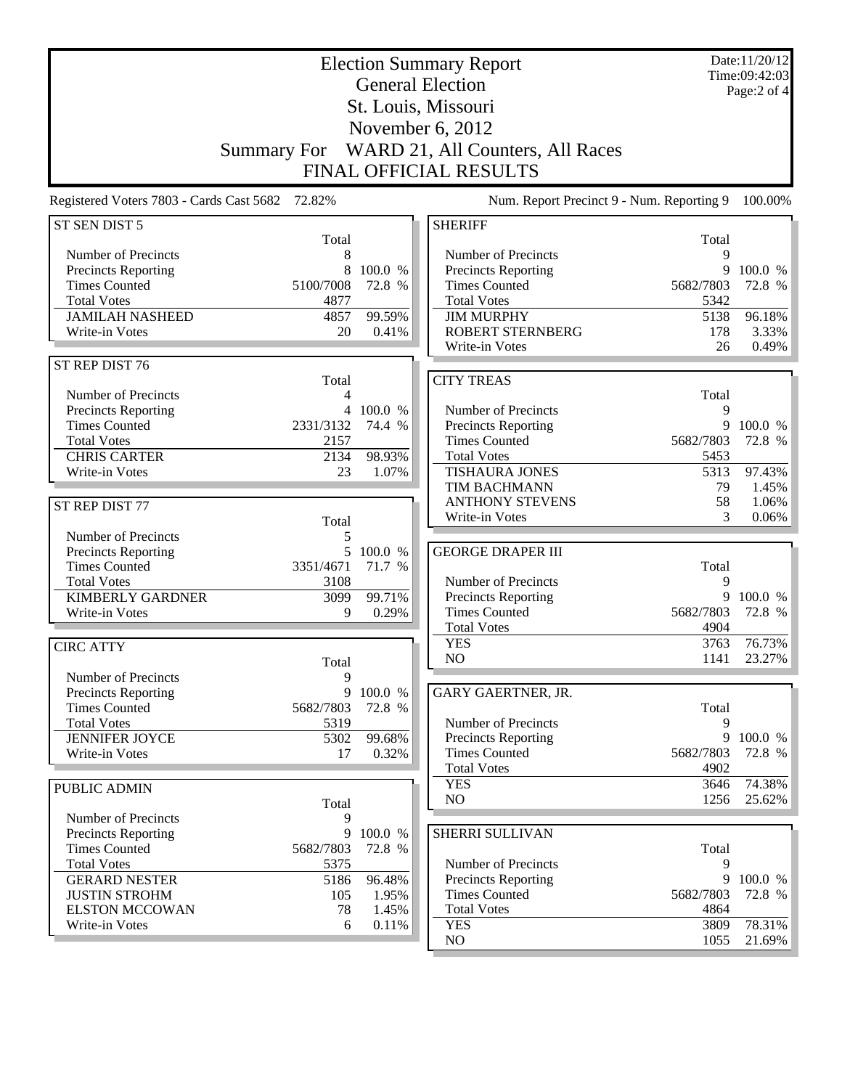| Date:11/20/12<br><b>Election Summary Report</b><br>Time:09:42:03<br><b>General Election</b><br>Page:2 of 4<br>St. Louis, Missouri<br>November 6, 2012<br>WARD 21, All Counters, All Races<br><b>Summary For</b><br><b>FINAL OFFICIAL RESULTS</b> |              |                   |                                              |                   |                  |
|--------------------------------------------------------------------------------------------------------------------------------------------------------------------------------------------------------------------------------------------------|--------------|-------------------|----------------------------------------------|-------------------|------------------|
| Registered Voters 7803 - Cards Cast 5682 72.82%                                                                                                                                                                                                  |              |                   | Num. Report Precinct 9 - Num. Reporting 9    |                   | 100.00%          |
| ST SEN DIST 5                                                                                                                                                                                                                                    |              |                   | <b>SHERIFF</b>                               |                   |                  |
| Number of Precincts                                                                                                                                                                                                                              | Total<br>8   |                   | Number of Precincts                          | Total<br>9        |                  |
| Precincts Reporting                                                                                                                                                                                                                              | 8            | 100.0 %           | Precincts Reporting                          | 9                 | 100.0 %          |
| <b>Times Counted</b><br>5100/7008                                                                                                                                                                                                                |              | 72.8 %            | <b>Times Counted</b>                         | 5682/7803         | 72.8 %           |
| <b>Total Votes</b>                                                                                                                                                                                                                               | 4877         |                   | <b>Total Votes</b>                           | 5342              |                  |
| <b>JAMILAH NASHEED</b>                                                                                                                                                                                                                           | 4857         | 99.59%            | <b>JIM MURPHY</b><br><b>ROBERT STERNBERG</b> | 5138              | 96.18%           |
| Write-in Votes                                                                                                                                                                                                                                   | 20           | 0.41%             | Write-in Votes                               | 178<br>26         | 3.33%<br>0.49%   |
| ST REP DIST 76                                                                                                                                                                                                                                   |              |                   |                                              |                   |                  |
|                                                                                                                                                                                                                                                  | Total        |                   | <b>CITY TREAS</b>                            |                   |                  |
| Number of Precincts                                                                                                                                                                                                                              | 4            |                   |                                              | Total             |                  |
| Precincts Reporting                                                                                                                                                                                                                              |              | 4 100.0 %         | Number of Precincts                          | 9                 |                  |
| <b>Times Counted</b><br>2331/3132                                                                                                                                                                                                                |              | 74.4 %            | Precincts Reporting                          | 9                 | 100.0 %          |
| <b>Total Votes</b><br><b>CHRIS CARTER</b>                                                                                                                                                                                                        | 2157<br>2134 | 98.93%            | <b>Times Counted</b><br><b>Total Votes</b>   | 5682/7803<br>5453 | 72.8 %           |
| Write-in Votes                                                                                                                                                                                                                                   | 23           | 1.07%             | <b>TISHAURA JONES</b>                        | 5313              | 97.43%           |
|                                                                                                                                                                                                                                                  |              |                   | TIM BACHMANN                                 | 79                | 1.45%            |
| ST REP DIST 77                                                                                                                                                                                                                                   |              |                   | <b>ANTHONY STEVENS</b>                       | 58                | 1.06%            |
|                                                                                                                                                                                                                                                  | Total        |                   | Write-in Votes                               | 3                 | 0.06%            |
| Number of Precincts                                                                                                                                                                                                                              | 5            |                   |                                              |                   |                  |
| <b>Precincts Reporting</b>                                                                                                                                                                                                                       | 5            | 100.0 %           | <b>GEORGE DRAPER III</b>                     |                   |                  |
| <b>Times Counted</b><br>3351/4671<br><b>Total Votes</b>                                                                                                                                                                                          | 3108         | 71.7 %            | Number of Precincts                          | Total<br>9        |                  |
| <b>KIMBERLY GARDNER</b>                                                                                                                                                                                                                          | 3099         | 99.71%            | Precincts Reporting                          |                   | 9 100.0 %        |
| Write-in Votes                                                                                                                                                                                                                                   | 9            | 0.29%             | <b>Times Counted</b>                         | 5682/7803         | 72.8 %           |
|                                                                                                                                                                                                                                                  |              |                   | <b>Total Votes</b>                           | 4904              |                  |
| <b>CIRC ATTY</b>                                                                                                                                                                                                                                 |              |                   | <b>YES</b>                                   | 3763              | 76.73%           |
|                                                                                                                                                                                                                                                  | Total        |                   | NO                                           | 1141              | 23.27%           |
| Number of Precincts                                                                                                                                                                                                                              | 9            |                   |                                              |                   |                  |
| Precincts Reporting<br><b>Times Counted</b><br>5682/7803                                                                                                                                                                                         | 9            | 100.0 %<br>72.8 % | GARY GAERTNER, JR.                           | Total             |                  |
| <b>Total Votes</b>                                                                                                                                                                                                                               | 5319         |                   | Number of Precincts                          | 9                 |                  |
| <b>JENNIFER JOYCE</b>                                                                                                                                                                                                                            | 5302         | 99.68%            | Precincts Reporting                          |                   | 9 100.0 %        |
| Write-in Votes                                                                                                                                                                                                                                   | 17           | 0.32%             | <b>Times Counted</b>                         | 5682/7803         | 72.8 %           |
|                                                                                                                                                                                                                                                  |              |                   | <b>Total Votes</b>                           | 4902              |                  |
| PUBLIC ADMIN                                                                                                                                                                                                                                     |              |                   | <b>YES</b><br>NO                             | 3646<br>1256      | 74.38%<br>25.62% |
|                                                                                                                                                                                                                                                  | Total        |                   |                                              |                   |                  |
| Number of Precincts<br>Precincts Reporting                                                                                                                                                                                                       | 9<br>9       | 100.0 %           | SHERRI SULLIVAN                              |                   |                  |
| <b>Times Counted</b><br>5682/7803                                                                                                                                                                                                                |              | 72.8 %            |                                              | Total             |                  |
| <b>Total Votes</b>                                                                                                                                                                                                                               | 5375         |                   | Number of Precincts                          | 9                 |                  |
| <b>GERARD NESTER</b>                                                                                                                                                                                                                             | 5186         | 96.48%            | <b>Precincts Reporting</b>                   | 9                 | 100.0 %          |
| <b>JUSTIN STROHM</b>                                                                                                                                                                                                                             | 105          | 1.95%             | <b>Times Counted</b>                         | 5682/7803         | 72.8 %           |
| <b>ELSTON MCCOWAN</b><br>Write-in Votes                                                                                                                                                                                                          | 78           | 1.45%             | <b>Total Votes</b><br><b>YES</b>             | 4864<br>3809      | 78.31%           |
|                                                                                                                                                                                                                                                  | 6            | 0.11%             | $\rm NO$                                     | 1055              | $21.69\%$        |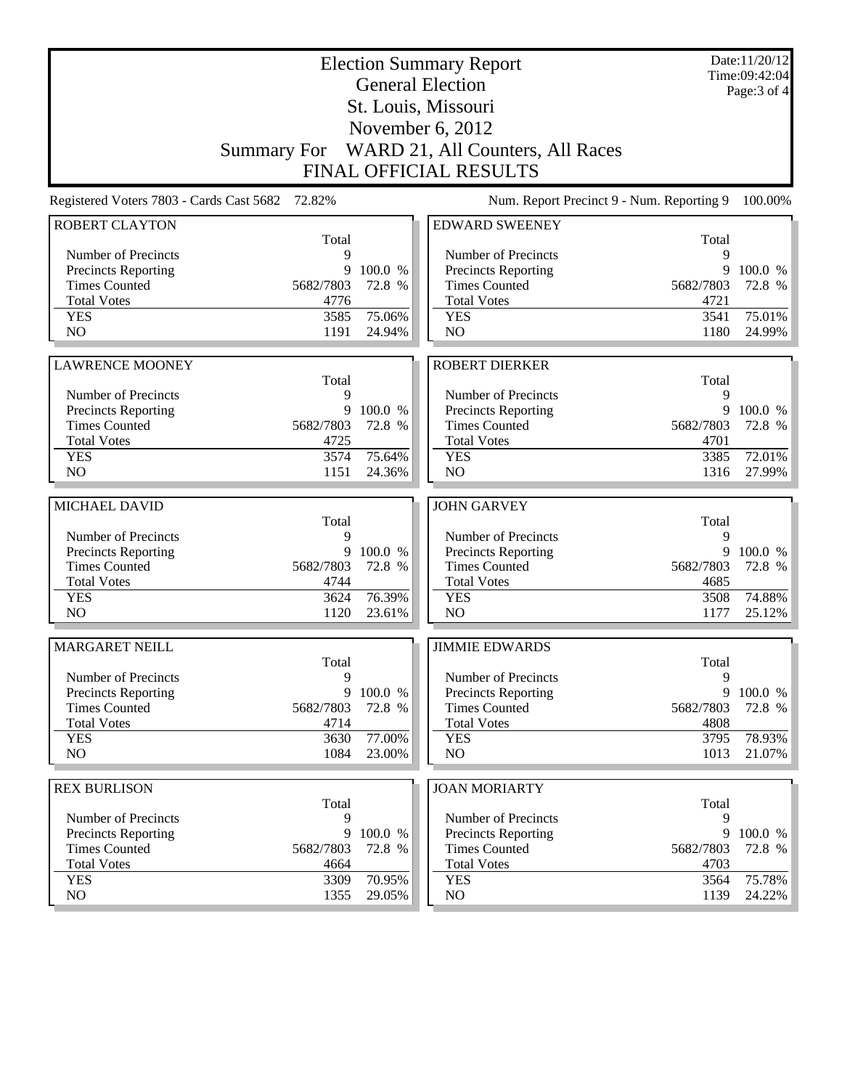| <b>General Election</b>                                                                         | Date:11/20/12<br>Time:09:42:04   |
|-------------------------------------------------------------------------------------------------|----------------------------------|
| St. Louis, Missouri                                                                             | Page: $3$ of $4$                 |
| November 6, 2012                                                                                |                                  |
| Summary For WARD 21, All Counters, All Races                                                    |                                  |
| <b>FINAL OFFICIAL RESULTS</b>                                                                   |                                  |
| Num. Report Precinct 9 - Num. Reporting 9<br>Registered Voters 7803 - Cards Cast 5682<br>72.82% | 100.00%                          |
| <b>ROBERT CLAYTON</b><br><b>EDWARD SWEENEY</b>                                                  |                                  |
| Total                                                                                           | Total                            |
| 9<br>Number of Precincts<br>Number of Precincts                                                 | 9                                |
| <b>Precincts Reporting</b><br>9<br>100.0 %<br>Precincts Reporting                               | 9<br>100.0 %                     |
| <b>Times Counted</b><br><b>Times Counted</b><br>5682/7803<br>72.8 %<br>5682/7803                | 72.8 %                           |
| <b>Total Votes</b><br>4776<br><b>Total Votes</b>                                                | 4721                             |
| 75.06%<br><b>YES</b><br>3585<br><b>YES</b>                                                      | 75.01%<br>3541                   |
| NO<br>N <sub>O</sub><br>1191<br>24.94%                                                          | 1180<br>24.99%                   |
| <b>ROBERT DIERKER</b><br><b>LAWRENCE MOONEY</b>                                                 |                                  |
| Total                                                                                           | Total                            |
| Number of Precincts<br>9<br>Number of Precincts                                                 | 9                                |
| 9<br><b>Precincts Reporting</b><br>100.0 %<br><b>Precincts Reporting</b>                        | 9<br>100.0 %                     |
| <b>Times Counted</b><br><b>Times Counted</b><br>5682/7803<br>72.8 %<br>5682/7803                | 72.8 %                           |
| <b>Total Votes</b><br>4725<br><b>Total Votes</b>                                                | 4701                             |
| 75.64%<br>3574<br><b>YES</b><br><b>YES</b>                                                      | 3385<br>72.01%                   |
| NO<br>N <sub>O</sub><br>1151<br>24.36%                                                          | 27.99%<br>1316                   |
| <b>JOHN GARVEY</b><br>MICHAEL DAVID                                                             |                                  |
| Total                                                                                           | Total                            |
| 9<br>Number of Precincts<br>Number of Precincts                                                 | 9                                |
| <b>Precincts Reporting</b><br>9<br>100.0 %<br><b>Precincts Reporting</b>                        | 9<br>100.0 %                     |
| <b>Times Counted</b><br><b>Times Counted</b><br>5682/7803<br>72.8 %<br>5682/7803                | 72.8 %                           |
| <b>Total Votes</b><br>4744<br><b>Total Votes</b>                                                | 4685                             |
| 76.39%<br><b>YES</b><br>3624<br><b>YES</b>                                                      | 74.88%<br>3508                   |
| NO<br>N <sub>O</sub><br>1120<br>23.61%                                                          | 1177<br>25.12%                   |
| <b>MARGARET NEILL</b><br><b>JIMMIE EDWARDS</b>                                                  |                                  |
| Total                                                                                           | Total                            |
| Number of Precincts<br>9<br>Number of Precincts                                                 | 9                                |
| <b>Precincts Reporting</b><br>9<br>100.0 %<br>Precincts Reporting                               | 9<br>100.0 %                     |
| <b>Times Counted</b><br>5682/7803<br>72.8 %<br><b>Times Counted</b><br>5682/7803                | 72.8 %                           |
| <b>Total Votes</b><br><b>Total Votes</b><br>4714                                                | 4808                             |
|                                                                                                 | 78.93%<br>3795                   |
| <b>YES</b><br>77.00%<br><b>YES</b><br>3630                                                      |                                  |
| NO.<br>1084<br>NO<br>23.00%                                                                     | 1013<br>21.07%                   |
|                                                                                                 |                                  |
| <b>REX BURLISON</b><br><b>JOAN MORIARTY</b><br>Total                                            | Total                            |
| Number of Precincts<br>9<br>Number of Precincts                                                 | 9                                |
| 9<br>100.0 %<br>Precincts Reporting<br><b>Precincts Reporting</b>                               | 9<br>100.0 %                     |
| <b>Times Counted</b><br><b>Times Counted</b><br>5682/7803<br>72.8 %<br>5682/7803                | 72.8 %                           |
| <b>Total Votes</b><br><b>Total Votes</b><br>4664                                                | 4703                             |
| 70.95%<br><b>YES</b><br>3309<br><b>YES</b><br>NO.<br>1355<br>NO<br>29.05%                       | 75.78%<br>3564<br>24.22%<br>1139 |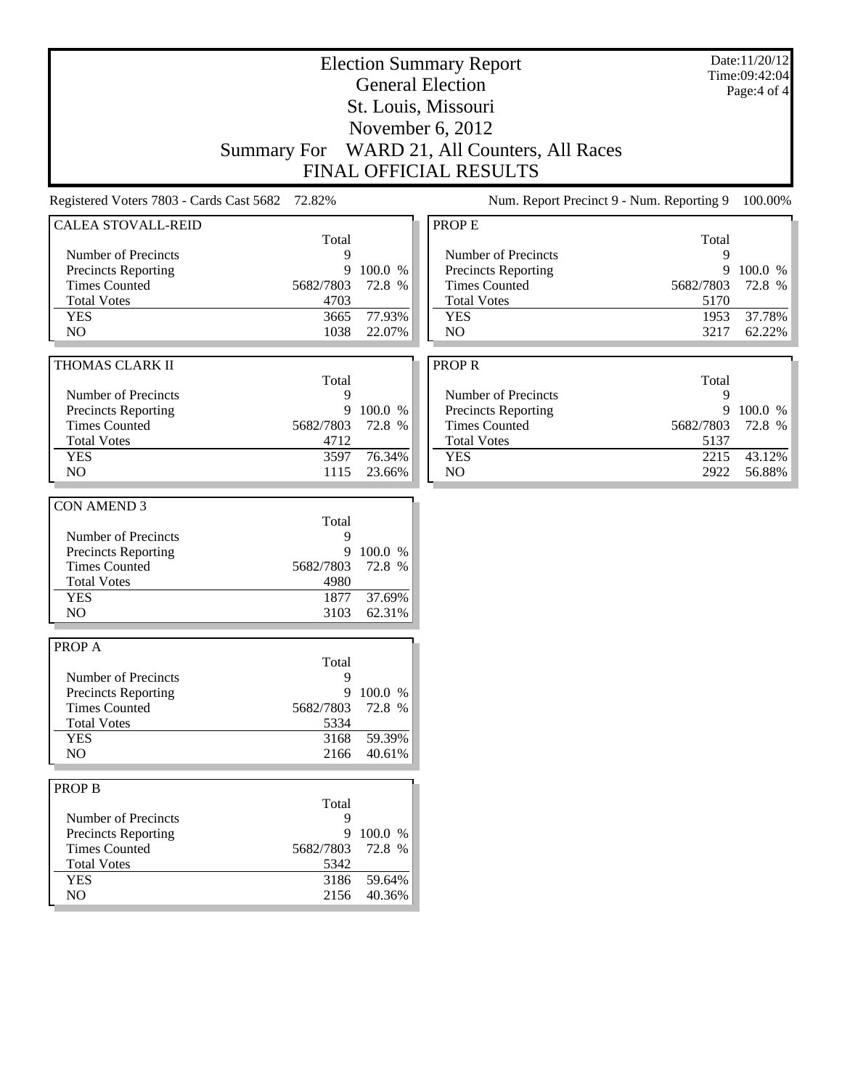| <b>Election Summary Report</b><br><b>General Election</b> |                    |                   |                                           |            | Date:11/20/12<br>Time:09:42:04 |
|-----------------------------------------------------------|--------------------|-------------------|-------------------------------------------|------------|--------------------------------|
|                                                           |                    |                   |                                           |            | Page:4 of 4                    |
|                                                           |                    |                   | St. Louis, Missouri                       |            |                                |
|                                                           |                    |                   | November 6, 2012                          |            |                                |
|                                                           | <b>Summary For</b> |                   | WARD 21, All Counters, All Races          |            |                                |
|                                                           |                    |                   | <b>FINAL OFFICIAL RESULTS</b>             |            |                                |
| Registered Voters 7803 - Cards Cast 5682 72.82%           |                    |                   | Num. Report Precinct 9 - Num. Reporting 9 |            | 100.00%                        |
| <b>CALEA STOVALL-REID</b>                                 |                    |                   | PROP E                                    |            |                                |
| Number of Precincts                                       | Total<br>9         |                   | Number of Precincts                       | Total<br>9 |                                |
| Precincts Reporting                                       | 9                  | 100.0 %           | Precincts Reporting                       | 9          | 100.0 %                        |
| <b>Times Counted</b>                                      | 5682/7803          | 72.8 %            | <b>Times Counted</b>                      | 5682/7803  | 72.8 %                         |
| <b>Total Votes</b>                                        | 4703               |                   | <b>Total Votes</b>                        | 5170       |                                |
| <b>YES</b>                                                | 3665               | 77.93%            | <b>YES</b>                                | 1953       | 37.78%                         |
| NO                                                        | 1038               | 22.07%            | N <sub>O</sub>                            | 3217       | 62.22%                         |
|                                                           |                    |                   |                                           |            |                                |
| THOMAS CLARK II                                           |                    |                   | <b>PROPR</b>                              | Total      |                                |
| Number of Precincts                                       | Total<br>9         |                   | Number of Precincts                       | 9          |                                |
| Precincts Reporting                                       | 9                  | 100.0 %           | Precincts Reporting                       | 9          | 100.0 %                        |
| <b>Times Counted</b>                                      | 5682/7803          | 72.8 %            | <b>Times Counted</b>                      | 5682/7803  | 72.8 %                         |
| <b>Total Votes</b>                                        | 4712               |                   | <b>Total Votes</b>                        | 5137       |                                |
| <b>YES</b>                                                | 3597               | 76.34%            | <b>YES</b>                                | 2215       | 43.12%                         |
| NO                                                        | 1115               | 23.66%            | NO                                        | 2922       | 56.88%                         |
|                                                           |                    |                   |                                           |            |                                |
| <b>CON AMEND 3</b>                                        |                    |                   |                                           |            |                                |
|                                                           | Total              |                   |                                           |            |                                |
| Number of Precincts                                       | 9                  |                   |                                           |            |                                |
| Precincts Reporting<br><b>Times Counted</b>               | 9<br>5682/7803     | 100.0 %<br>72.8 % |                                           |            |                                |
| <b>Total Votes</b>                                        | 4980               |                   |                                           |            |                                |
| <b>YES</b>                                                | 1877               | 37.69%            |                                           |            |                                |
| NO                                                        | 3103               | 62.31%            |                                           |            |                                |
|                                                           |                    |                   |                                           |            |                                |
| PROP A                                                    |                    |                   |                                           |            |                                |
|                                                           | Total              |                   |                                           |            |                                |
| Number of Precincts                                       | 9                  |                   |                                           |            |                                |
| Precincts Reporting                                       | 9                  | 100.0 %           |                                           |            |                                |
| <b>Times Counted</b><br><b>Total Votes</b>                | 5682/7803          | 72.8 %            |                                           |            |                                |
| <b>YES</b>                                                | 5334<br>3168       | 59.39%            |                                           |            |                                |
| NO                                                        | 2166               | 40.61%            |                                           |            |                                |
|                                                           |                    |                   |                                           |            |                                |
| <b>PROP B</b>                                             |                    |                   |                                           |            |                                |
|                                                           | Total              |                   |                                           |            |                                |
| Number of Precincts                                       | 9                  |                   |                                           |            |                                |
| Precincts Reporting                                       | 9                  | 100.0 %           |                                           |            |                                |
| <b>Times Counted</b>                                      | 5682/7803          | 72.8 %            |                                           |            |                                |
| <b>Total Votes</b>                                        | 5342               |                   |                                           |            |                                |
| <b>YES</b><br>$\rm NO$                                    | 3186<br>2156       | 59.64%<br>40.36%  |                                           |            |                                |
|                                                           |                    |                   |                                           |            |                                |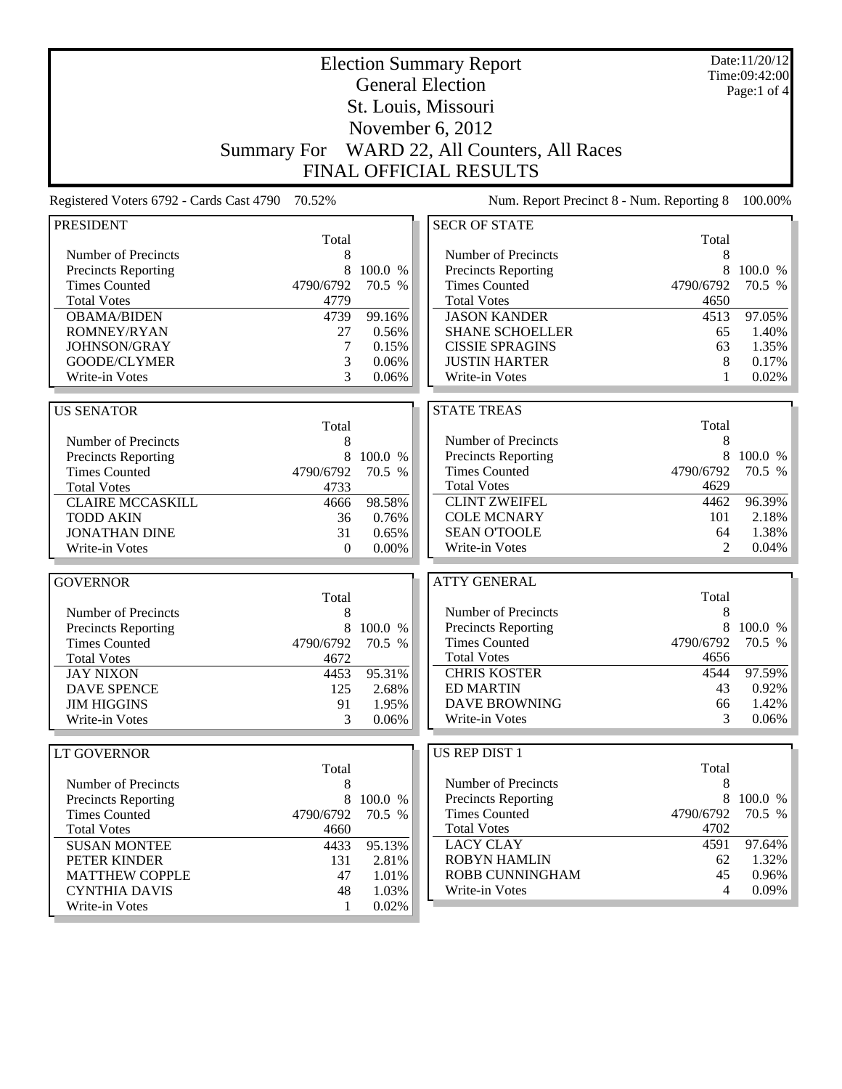| <b>Election Summary Report</b><br><b>General Election</b> |                    |             |                                           |                | Date:11/20/12<br>Time:09:42:00 |
|-----------------------------------------------------------|--------------------|-------------|-------------------------------------------|----------------|--------------------------------|
|                                                           |                    | Page:1 of 4 |                                           |                |                                |
|                                                           |                    |             | St. Louis, Missouri                       |                |                                |
|                                                           |                    |             |                                           |                |                                |
|                                                           |                    |             | November 6, 2012                          |                |                                |
|                                                           | <b>Summary For</b> |             | WARD 22, All Counters, All Races          |                |                                |
|                                                           |                    |             | <b>FINAL OFFICIAL RESULTS</b>             |                |                                |
| Registered Voters 6792 - Cards Cast 4790                  | 70.52%             |             | Num. Report Precinct 8 - Num. Reporting 8 |                | 100.00%                        |
| <b>PRESIDENT</b>                                          |                    |             | <b>SECR OF STATE</b>                      |                |                                |
|                                                           | Total              |             |                                           | Total          |                                |
| Number of Precincts                                       | 8                  |             | Number of Precincts                       | 8              |                                |
| Precincts Reporting                                       | 8                  | 100.0 %     | <b>Precincts Reporting</b>                | 8              | 100.0 %                        |
| <b>Times Counted</b>                                      | 4790/6792          | 70.5 %      | <b>Times Counted</b>                      | 4790/6792      | 70.5 %                         |
| <b>Total Votes</b>                                        | 4779               |             | <b>Total Votes</b>                        | 4650           |                                |
| <b>OBAMA/BIDEN</b>                                        | 4739               | 99.16%      | <b>JASON KANDER</b>                       | 4513           | 97.05%                         |
| ROMNEY/RYAN                                               | 27                 | 0.56%       | <b>SHANE SCHOELLER</b>                    | 65             | 1.40%                          |
| JOHNSON/GRAY                                              | 7                  | 0.15%       | <b>CISSIE SPRAGINS</b>                    | 63             | 1.35%                          |
| GOODE/CLYMER                                              | 3                  | 0.06%       | <b>JUSTIN HARTER</b>                      | 8              | 0.17%                          |
| Write-in Votes                                            | 3                  | 0.06%       | Write-in Votes                            | 1              | 0.02%                          |
| <b>US SENATOR</b>                                         |                    |             | <b>STATE TREAS</b>                        |                |                                |
|                                                           | Total              |             |                                           | Total          |                                |
| Number of Precincts                                       | 8                  |             | Number of Precincts                       | 8              |                                |
| Precincts Reporting                                       | 8                  | 100.0 %     | <b>Precincts Reporting</b>                | 8              | 100.0 %                        |
| <b>Times Counted</b>                                      | 4790/6792          | 70.5 %      | <b>Times Counted</b>                      | 4790/6792      | 70.5 %                         |
| <b>Total Votes</b>                                        | 4733               |             | <b>Total Votes</b>                        | 4629           |                                |
| <b>CLAIRE MCCASKILL</b>                                   | 4666               | 98.58%      | <b>CLINT ZWEIFEL</b>                      | 4462           | 96.39%                         |
| <b>TODD AKIN</b>                                          | 36                 | 0.76%       | <b>COLE MCNARY</b>                        | 101            | 2.18%                          |
| <b>JONATHAN DINE</b>                                      | 31                 | 0.65%       | <b>SEAN O'TOOLE</b>                       | 64             | 1.38%                          |
| Write-in Votes                                            | $\theta$           | 0.00%       | Write-in Votes                            | $\overline{2}$ | 0.04%                          |
|                                                           |                    |             |                                           |                |                                |
| <b>GOVERNOR</b>                                           |                    |             | <b>ATTY GENERAL</b>                       |                |                                |
|                                                           | Total              |             |                                           | Total          |                                |
| Number of Precincts                                       | 8                  |             | Number of Precincts                       | 8              |                                |
| Precincts Reporting                                       | 8                  | 100.0 %     | Precincts Reporting                       | 8              | 100.0 %                        |
| <b>Times Counted</b>                                      | 4790/6792          | 70.5 %      | <b>Times Counted</b>                      | 4790/6792      | 70.5 %                         |
| <b>Total Votes</b>                                        | 4672               |             | <b>Total Votes</b>                        | 4656           |                                |
| <b>JAY NIXON</b>                                          | 4453               | 95.31%      | <b>CHRIS KOSTER</b>                       | 4544           | 97.59%                         |
| <b>DAVE SPENCE</b>                                        | 125                | 2.68%       | <b>ED MARTIN</b>                          | 43             | $0.92\%$                       |
| <b>JIM HIGGINS</b>                                        | 91                 | 1.95%       | <b>DAVE BROWNING</b>                      | 66             | 1.42%                          |
| Write-in Votes                                            | 3                  | 0.06%       | Write-in Votes                            | 3              | 0.06%                          |
| <b>LT GOVERNOR</b>                                        |                    |             | US REP DIST 1                             |                |                                |
|                                                           | Total              |             |                                           | Total          |                                |
| Number of Precincts                                       | 8                  |             | Number of Precincts                       | 8              |                                |
| Precincts Reporting                                       | 8                  | 100.0 %     | <b>Precincts Reporting</b>                | 8              | 100.0 %                        |
| <b>Times Counted</b>                                      | 4790/6792          | 70.5 %      | <b>Times Counted</b>                      | 4790/6792      | 70.5 %                         |
| <b>Total Votes</b>                                        | 4660               |             | <b>Total Votes</b>                        | 4702           |                                |
| <b>SUSAN MONTEE</b>                                       | 4433               | 95.13%      | <b>LACY CLAY</b>                          | 4591           | 97.64%                         |
| PETER KINDER                                              | 131                | 2.81%       | <b>ROBYN HAMLIN</b>                       | 62             | 1.32%                          |
| <b>MATTHEW COPPLE</b>                                     | 47                 | 1.01%       | ROBB CUNNINGHAM                           | 45             | 0.96%                          |
| <b>CYNTHIA DAVIS</b>                                      | 48                 | 1.03%       | Write-in Votes                            | 4              | 0.09%                          |
| Write-in Votes                                            | 1                  | 0.02%       |                                           |                |                                |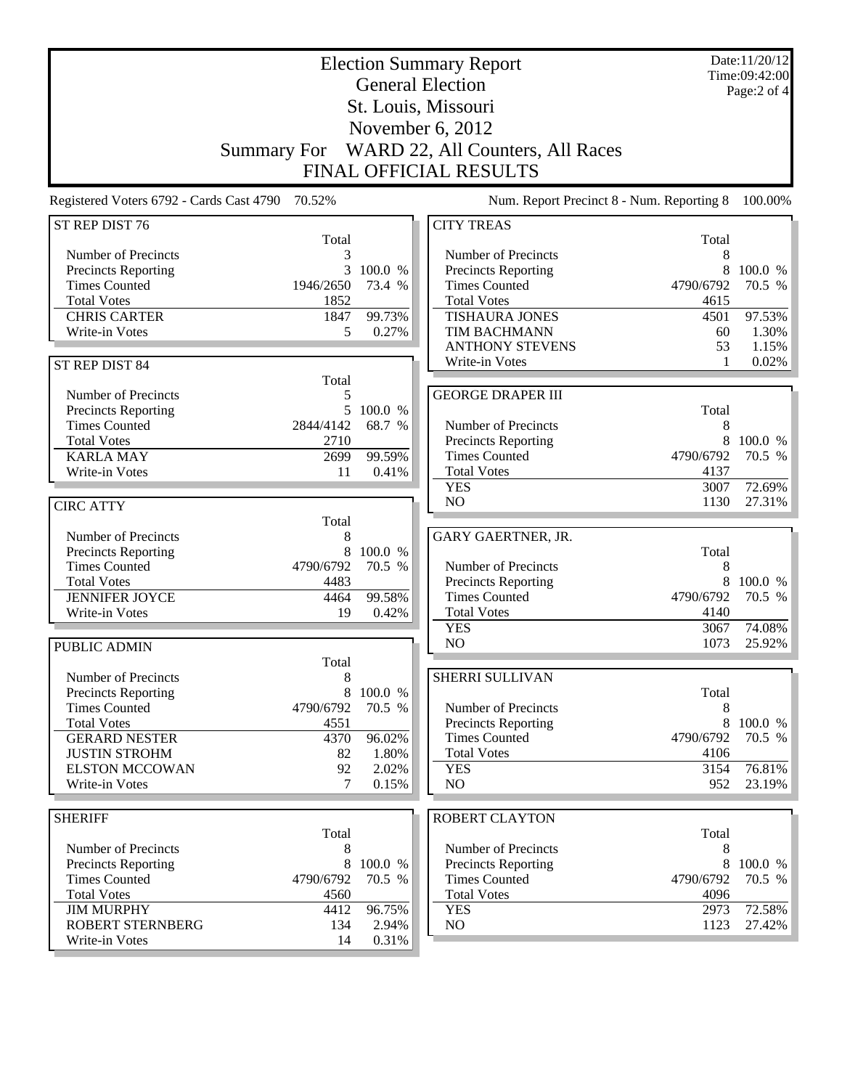| <b>Election Summary Report</b><br><b>General Election</b> |                     |                   |                                              |              | Date:11/20/12<br>Time:09:42:00 |
|-----------------------------------------------------------|---------------------|-------------------|----------------------------------------------|--------------|--------------------------------|
|                                                           |                     |                   |                                              |              | Page:2 of 4                    |
|                                                           | St. Louis, Missouri |                   |                                              |              |                                |
|                                                           |                     |                   | November 6, 2012                             |              |                                |
|                                                           |                     |                   | Summary For WARD 22, All Counters, All Races |              |                                |
|                                                           |                     |                   | <b>FINAL OFFICIAL RESULTS</b>                |              |                                |
| Registered Voters 6792 - Cards Cast 4790 70.52%           |                     |                   | Num. Report Precinct 8 - Num. Reporting 8    |              | 100.00%                        |
| ST REP DIST 76                                            |                     |                   | <b>CITY TREAS</b>                            |              |                                |
|                                                           | Total               |                   |                                              | Total        |                                |
| Number of Precincts                                       |                     |                   | Number of Precincts                          | 8            |                                |
| <b>Precincts Reporting</b>                                | 3                   | 100.0 %           | <b>Precincts Reporting</b>                   | 8            | 100.0 %                        |
| <b>Times Counted</b>                                      | 1946/2650           | 73.4 %            | <b>Times Counted</b>                         | 4790/6792    | 70.5 %                         |
| <b>Total Votes</b><br><b>CHRIS CARTER</b>                 | 1852<br>1847        | 99.73%            | <b>Total Votes</b><br><b>TISHAURA JONES</b>  | 4615<br>4501 | 97.53%                         |
| Write-in Votes                                            | 5                   | 0.27%             | TIM BACHMANN                                 | 60           | 1.30%                          |
|                                                           |                     |                   | <b>ANTHONY STEVENS</b>                       | 53           | 1.15%                          |
| ST REP DIST 84                                            |                     |                   | Write-in Votes                               | 1            | 0.02%                          |
|                                                           | Total               |                   |                                              |              |                                |
| Number of Precincts                                       | 5                   |                   | <b>GEORGE DRAPER III</b>                     |              |                                |
| Precincts Reporting                                       | 5 <sup>5</sup>      | 100.0 %           |                                              | Total        |                                |
| <b>Times Counted</b>                                      | 2844/4142           | 68.7 %            | Number of Precincts                          | 8            |                                |
| <b>Total Votes</b>                                        | 2710                |                   | Precincts Reporting                          | 8            | 100.0 %                        |
| <b>KARLA MAY</b>                                          | 2699                | 99.59%            | <b>Times Counted</b>                         | 4790/6792    | 70.5 %                         |
| Write-in Votes                                            | 11                  | 0.41%             | <b>Total Votes</b>                           | 4137         |                                |
|                                                           |                     |                   | <b>YES</b><br>N <sub>O</sub>                 | 3007<br>1130 | 72.69%<br>27.31%               |
| <b>CIRC ATTY</b>                                          | Total               |                   |                                              |              |                                |
| Number of Precincts                                       | 8                   |                   | GARY GAERTNER, JR.                           |              |                                |
| Precincts Reporting                                       | 8                   | 100.0 %           |                                              | Total        |                                |
| <b>Times Counted</b>                                      | 4790/6792           | 70.5 %            | Number of Precincts                          | 8            |                                |
| <b>Total Votes</b>                                        | 4483                |                   | <b>Precincts Reporting</b>                   | 8            | 100.0 %                        |
| <b>JENNIFER JOYCE</b>                                     | 4464                | 99.58%            | <b>Times Counted</b>                         | 4790/6792    | 70.5 %                         |
| Write-in Votes                                            | 19                  | 0.42%             | <b>Total Votes</b>                           | 4140         |                                |
|                                                           |                     |                   | <b>YES</b>                                   | 3067         | 74.08%                         |
| PUBLIC ADMIN                                              |                     |                   | N <sub>O</sub>                               | 1073         | 25.92%                         |
|                                                           | Total               |                   |                                              |              |                                |
| Number of Precincts                                       | 8                   |                   | SHERRI SULLIVAN                              |              |                                |
| Precincts Reporting<br><b>Times Counted</b>               | 8<br>4790/6792      | 100.0 %<br>70.5 % | Number of Precincts                          | Total<br>8   |                                |
| <b>Total Votes</b>                                        | 4551                |                   | Precincts Reporting                          | 8            | 100.0 %                        |
| <b>GERARD NESTER</b>                                      | 4370                | 96.02%            | <b>Times Counted</b>                         | 4790/6792    | 70.5 %                         |
| <b>JUSTIN STROHM</b>                                      | 82                  | 1.80%             | <b>Total Votes</b>                           | 4106         |                                |
| <b>ELSTON MCCOWAN</b>                                     | 92                  | 2.02%             | <b>YES</b>                                   | 3154         | 76.81%                         |
| Write-in Votes                                            | 7                   | 0.15%             | NO                                           | 952          | 23.19%                         |
|                                                           |                     |                   |                                              |              |                                |
| <b>SHERIFF</b>                                            |                     |                   | <b>ROBERT CLAYTON</b>                        |              |                                |
| Number of Precincts                                       | Total<br>8          |                   | Number of Precincts                          | Total<br>8   |                                |
| Precincts Reporting                                       | 8                   | 100.0 %           | Precincts Reporting                          | 8            | 100.0 %                        |
| <b>Times Counted</b>                                      | 4790/6792           | 70.5 %            | <b>Times Counted</b>                         | 4790/6792    | 70.5 %                         |
| <b>Total Votes</b>                                        | 4560                |                   | <b>Total Votes</b>                           | 4096         |                                |
| <b>JIM MURPHY</b>                                         | 4412                | 96.75%            | <b>YES</b>                                   | 2973         | 72.58%                         |
| <b>ROBERT STERNBERG</b>                                   | 134                 | 2.94%             | NO                                           | 1123         | 27.42%                         |
| Write-in Votes                                            | 14                  | 0.31%             |                                              |              |                                |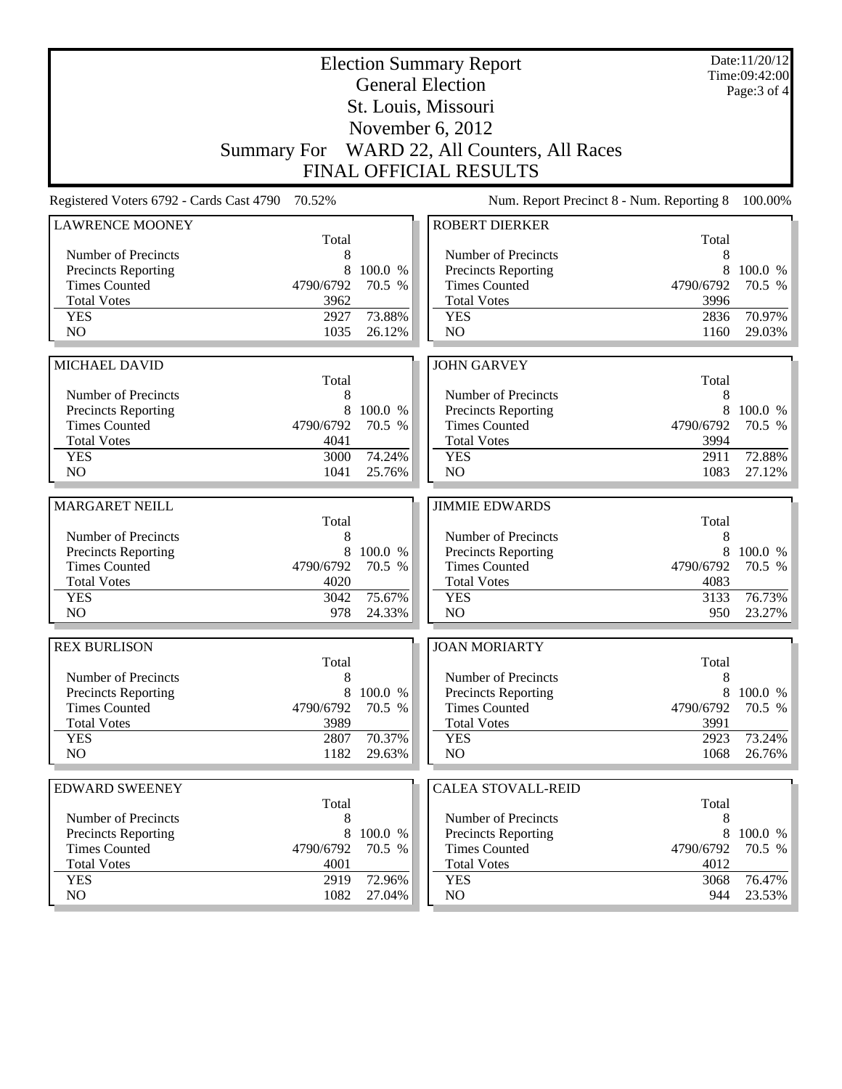|                                                    |                   |                   | <b>Election Summary Report</b><br><b>General Election</b> |                   | Date:11/20/12<br>Time:09:42:00 |
|----------------------------------------------------|-------------------|-------------------|-----------------------------------------------------------|-------------------|--------------------------------|
|                                                    |                   |                   |                                                           |                   | Page: 3 of 4                   |
|                                                    |                   |                   | St. Louis, Missouri                                       |                   |                                |
|                                                    |                   |                   | November 6, 2012                                          |                   |                                |
|                                                    |                   |                   | Summary For WARD 22, All Counters, All Races              |                   |                                |
|                                                    |                   |                   | <b>FINAL OFFICIAL RESULTS</b>                             |                   |                                |
| Registered Voters 6792 - Cards Cast 4790           | 70.52%            |                   | Num. Report Precinct 8 - Num. Reporting 8                 |                   | 100.00%                        |
| <b>LAWRENCE MOONEY</b>                             |                   |                   | <b>ROBERT DIERKER</b>                                     |                   |                                |
|                                                    | Total             |                   | Number of Precincts                                       | Total             |                                |
| Number of Precincts<br><b>Precincts Reporting</b>  | 8<br>8            | 100.0 %           | Precincts Reporting                                       | 8<br>8            | 100.0 %                        |
| <b>Times Counted</b>                               | 4790/6792         | 70.5 %            | <b>Times Counted</b>                                      | 4790/6792         | 70.5 %                         |
| <b>Total Votes</b>                                 | 3962              |                   | <b>Total Votes</b>                                        | 3996              |                                |
| <b>YES</b>                                         | 2927              | 73.88%            | <b>YES</b>                                                | 2836              | 70.97%                         |
| N <sub>O</sub>                                     | 1035              | 26.12%            | NO                                                        | 1160              | 29.03%                         |
|                                                    |                   |                   |                                                           |                   |                                |
| MICHAEL DAVID                                      |                   |                   | <b>JOHN GARVEY</b>                                        |                   |                                |
|                                                    | Total             |                   |                                                           | Total             |                                |
| Number of Precincts                                | 8                 |                   | Number of Precincts                                       | 8                 |                                |
| <b>Precincts Reporting</b>                         | 8                 | 100.0 %           | <b>Precincts Reporting</b>                                | 8                 | 100.0 %                        |
| <b>Times Counted</b>                               | 4790/6792         | 70.5 %            | <b>Times Counted</b>                                      | 4790/6792         | 70.5 %                         |
| <b>Total Votes</b><br><b>YES</b>                   | 4041<br>3000      | 74.24%            | <b>Total Votes</b><br><b>YES</b>                          | 3994<br>2911      | 72.88%                         |
| N <sub>O</sub>                                     | 1041              | 25.76%            | NO                                                        | 1083              | 27.12%                         |
|                                                    |                   |                   |                                                           |                   |                                |
| <b>MARGARET NEILL</b>                              |                   |                   | <b>JIMMIE EDWARDS</b>                                     |                   |                                |
|                                                    | Total             |                   |                                                           | Total             |                                |
| Number of Precincts                                | 8                 |                   | Number of Precincts                                       | 8                 |                                |
| <b>Precincts Reporting</b>                         | 8                 | 100.0 %           | Precincts Reporting                                       | 8                 | 100.0 %                        |
| <b>Times Counted</b>                               | 4790/6792         | 70.5 %            | <b>Times Counted</b>                                      | 4790/6792         | 70.5 %                         |
| <b>Total Votes</b>                                 | 4020              |                   | <b>Total Votes</b>                                        | 4083              |                                |
| <b>YES</b>                                         | 3042              | 75.67%            | <b>YES</b>                                                | 3133              | 76.73%                         |
| N <sub>O</sub>                                     | 978               | 24.33%            | NO                                                        | 950               | 23.27%                         |
| <b>REX BURLISON</b>                                |                   |                   | <b>JOAN MORIARTY</b>                                      |                   |                                |
|                                                    | Total             |                   |                                                           | Total             |                                |
| Number of Precincts                                | 8                 |                   | Number of Precincts                                       | 8                 |                                |
| <b>Precincts Reporting</b><br><b>Times Counted</b> | 8                 | 100.0 %<br>70.5 % | Precincts Reporting<br><b>Times Counted</b>               | 8                 | 100.0 %                        |
| <b>Total Votes</b>                                 | 4790/6792<br>3989 |                   | <b>Total Votes</b>                                        | 4790/6792<br>3991 | 70.5 %                         |
| <b>YES</b>                                         | 2807              | 70.37%            | <b>YES</b>                                                | 2923              | 73.24%                         |
| NO.                                                | 1182              | 29.63%            | NO                                                        | 1068              | 26.76%                         |
|                                                    |                   |                   |                                                           |                   |                                |
| <b>EDWARD SWEENEY</b>                              |                   |                   | <b>CALEA STOVALL-REID</b>                                 |                   |                                |
|                                                    | Total             |                   |                                                           | Total             |                                |
| Number of Precincts                                | 8                 |                   | Number of Precincts                                       | 8                 |                                |
| <b>Precincts Reporting</b>                         | 8                 | 100.0 %           | <b>Precincts Reporting</b>                                | 8                 | 100.0 %                        |
|                                                    |                   |                   |                                                           |                   |                                |
| <b>Times Counted</b>                               | 4790/6792         | 70.5 %            | <b>Times Counted</b>                                      | 4790/6792         | 70.5 %                         |
| <b>Total Votes</b>                                 | 4001              |                   | <b>Total Votes</b>                                        | 4012              |                                |
| <b>YES</b><br>NO                                   | 2919<br>1082      | 72.96%<br>27.04%  | <b>YES</b><br>NO                                          | 3068<br>944       | 76.47%<br>23.53%               |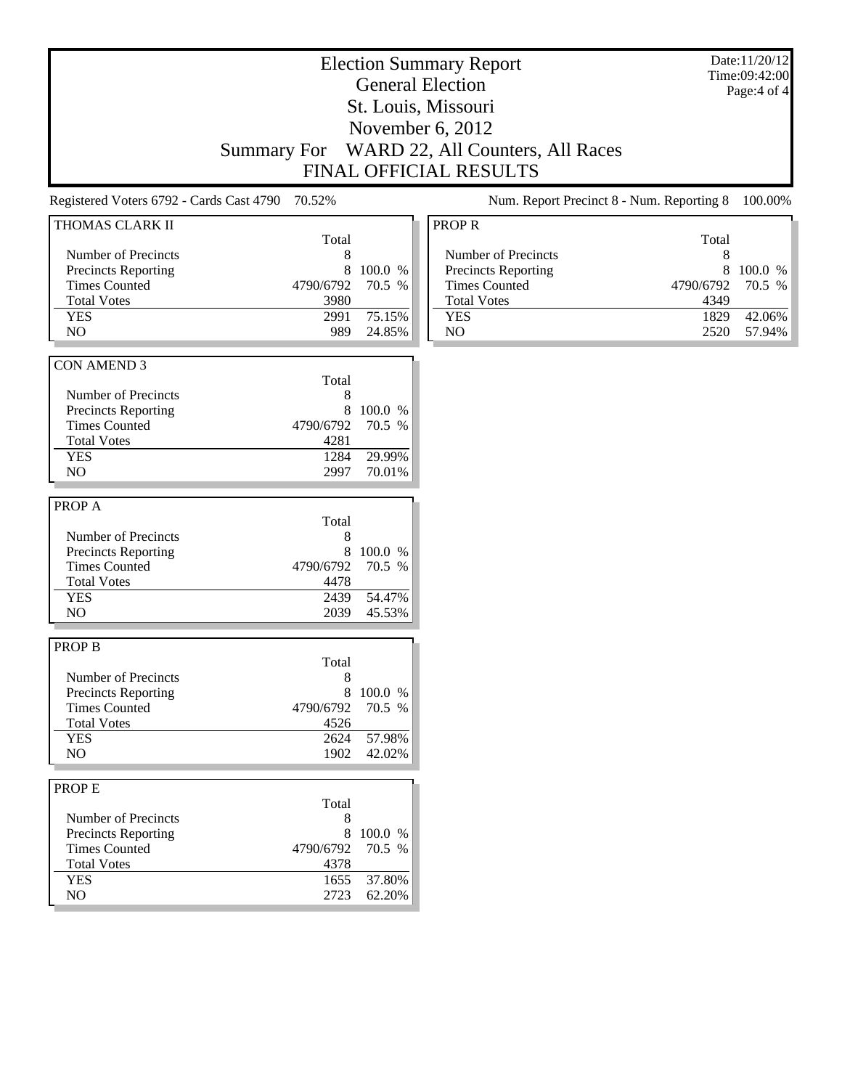#### Election Summary Report General Election St. Louis, Missouri November 6, 2012 Summary For WARD 22, All Counters, All Races FINAL OFFICIAL RESULTS

Registered Voters 6792 - Cards Cast 4790 70.52% Num. Report Precinct 8 - Num. Reporting 8 100.00%

| THOMAS CLARK II                                    |           |                   |
|----------------------------------------------------|-----------|-------------------|
|                                                    | Total     |                   |
| Number of Precincts                                | 8         |                   |
| Precincts Reporting                                | 8         | 100.0 %           |
| <b>Times Counted</b>                               | 4790/6792 | 70.5 %            |
| <b>Total Votes</b>                                 | 3980      |                   |
| <b>YES</b>                                         | 2991      | 75.15%            |
| N <sub>O</sub>                                     | 989       | 24.85%            |
|                                                    |           |                   |
| <b>CON AMEND 3</b>                                 |           |                   |
|                                                    | Total     |                   |
| Number of Precincts                                | 8         |                   |
| <b>Precincts Reporting</b>                         | 8         | 100.0 %           |
| <b>Times Counted</b>                               | 4790/6792 | 70.5 %            |
| <b>Total Votes</b>                                 | 4281      |                   |
| <b>YES</b>                                         | 1284      | 29.99%            |
| N <sub>O</sub>                                     | 2997      | 70.01%            |
|                                                    |           |                   |
| PROP A                                             |           |                   |
|                                                    | Total     |                   |
| Number of Precincts                                | 8         |                   |
|                                                    | 8         |                   |
| <b>Precincts Reporting</b><br><b>Times Counted</b> | 4790/6792 | 100.0 %<br>70.5 % |
|                                                    |           |                   |
| <b>Total Votes</b>                                 | 4478      |                   |
| <b>YES</b>                                         | 2439      | 54.47%            |
| NO.                                                | 2039      | 45.53%            |
|                                                    |           |                   |
| <b>PROP B</b>                                      |           |                   |
|                                                    | Total     |                   |
| Number of Precincts                                | 8         |                   |
| <b>Precincts Reporting</b>                         | 8         | 100.0 %           |
| <b>Times Counted</b>                               | 4790/6792 | 70.5 %            |
| <b>Total Votes</b>                                 | 4526      |                   |
| <b>YES</b>                                         | 2624      | 57.98%            |
| NO                                                 | 1902      | 42.02%            |
|                                                    |           |                   |
| PROP E                                             |           |                   |
|                                                    | Total     |                   |
| Number of Precincts                                | 8         |                   |
| <b>Precincts Reporting</b>                         | 8         | 100.0 %           |
| <b>Times Counted</b>                               | 4790/6792 | 70.5 %            |
| <b>Total Votes</b>                                 | 4378      |                   |
| <b>YES</b>                                         | 1655      | 37.80%            |
| NO                                                 | 2723      | 62.20%            |
|                                                    |           |                   |

#### $\overline{ROPR}$ Total Number of Precincts<br>
Precincts Reporting
8 100.0 % Precincts Reporting 8 100.0 %<br>Times Counted 4790/6792 70.5 % Times Counted Total Votes 4349 YES 1829 42.06% NO 2520 57.94%

Date:11/20/12 Time:09:42:00 Page:4 of 4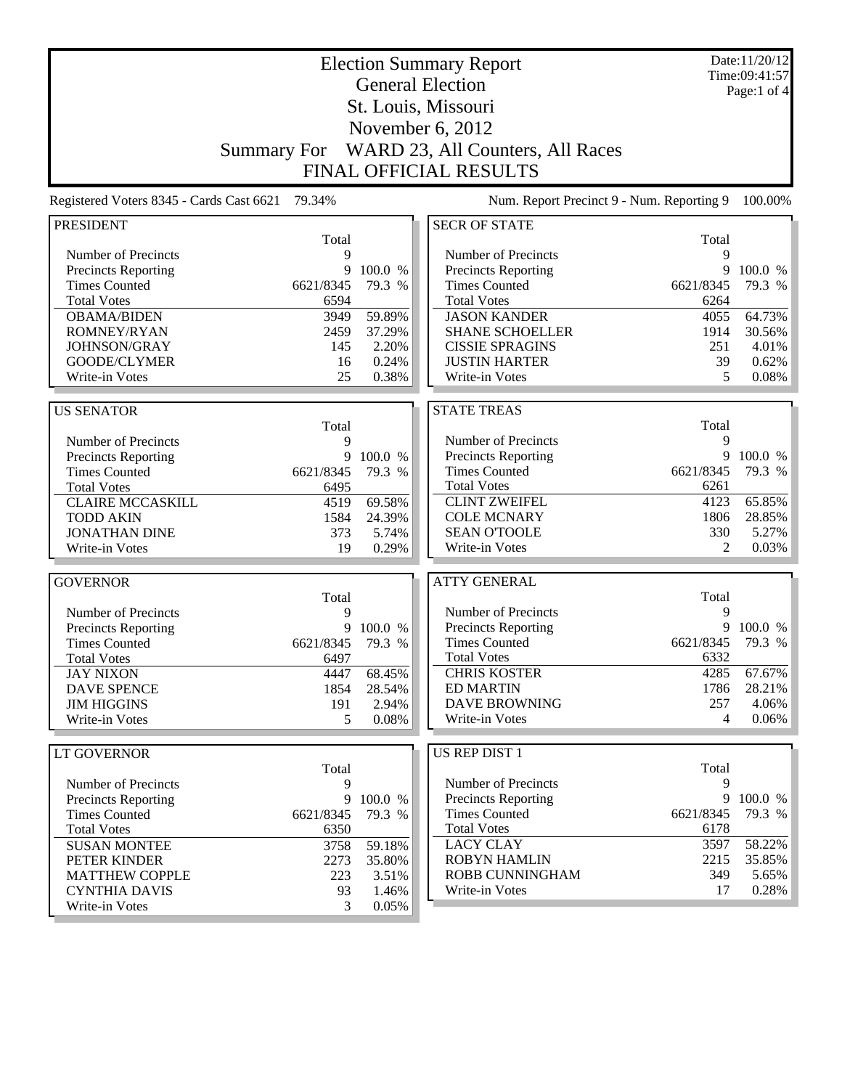| <b>General Election</b><br>Page:1 of $4$<br>St. Louis, Missouri<br>November 6, 2012<br>WARD 23, All Counters, All Races<br><b>Summary For</b><br><b>FINAL OFFICIAL RESULTS</b><br>79.34%<br>Registered Voters 8345 - Cards Cast 6621<br>Num. Report Precinct 9 - Num. Reporting 9<br><b>SECR OF STATE</b><br><b>PRESIDENT</b><br>Total<br>Total<br>Number of Precincts<br>Number of Precincts<br>9<br>9<br>9<br>100.0 %<br>9<br>100.0 %<br>Precincts Reporting<br>Precincts Reporting<br><b>Times Counted</b><br>6621/8345<br>79.3 %<br><b>Times Counted</b><br>6621/8345<br>79.3 %<br><b>Total Votes</b><br>6594<br><b>Total Votes</b><br>6264<br>59.89%<br><b>JASON KANDER</b><br>4055<br>64.73%<br><b>OBAMA/BIDEN</b><br>3949<br>ROMNEY/RYAN<br>2459<br>37.29%<br><b>SHANE SCHOELLER</b><br>1914<br>30.56%<br>JOHNSON/GRAY<br>145<br>2.20%<br><b>CISSIE SPRAGINS</b><br>251<br>GOODE/CLYMER<br>0.24%<br><b>JUSTIN HARTER</b><br>39<br>16<br>0.08%<br>25<br>0.38%<br>5<br>Write-in Votes<br>Write-in Votes<br><b>STATE TREAS</b><br><b>US SENATOR</b><br>Total<br>Total<br>Number of Precincts<br>9<br>Number of Precincts<br>9<br>Precincts Reporting<br>9<br>100.0 %<br>Precincts Reporting<br>9<br>100.0 %<br><b>Times Counted</b><br>6621/8345<br>79.3 %<br><b>Times Counted</b><br>6621/8345<br>79.3 %<br><b>Total Votes</b><br>6495<br><b>Total Votes</b><br>6261<br><b>CLINT ZWEIFEL</b><br>69.58%<br>65.85%<br><b>CLAIRE MCCASKILL</b><br>4123<br>4519<br><b>COLE MCNARY</b><br>1806<br>28.85%<br><b>TODD AKIN</b><br>1584<br>24.39%<br><b>SEAN O'TOOLE</b><br>330<br><b>JONATHAN DINE</b><br>373<br>5.74%<br>Write-in Votes<br>2<br>Write-in Votes<br>19<br>0.29%<br><b>ATTY GENERAL</b><br><b>GOVERNOR</b><br>Total<br>Total<br>Number of Precincts<br>9<br>Number of Precincts<br>9<br>9<br>Precincts Reporting<br>100.0 %<br>9<br>Precincts Reporting<br>100.0 %<br><b>Times Counted</b><br>6621/8345<br>79.3 %<br><b>Times Counted</b><br>6621/8345<br>79.3 %<br><b>Total Votes</b><br>6332<br>6497<br><b>Total Votes</b><br>68.45%<br><b>CHRIS KOSTER</b><br>4285<br><b>JAY NIXON</b><br>4447<br><b>ED MARTIN</b><br>1786<br><b>DAVE SPENCE</b><br>1854<br>28.54%<br><b>DAVE BROWNING</b><br>257<br>2.94%<br><b>JIM HIGGINS</b><br>191<br>Write-in Votes<br>Write-in Votes<br>5<br>0.08%<br>4<br>US REP DIST 1<br>LT GOVERNOR<br>Total<br>Total<br>Number of Precincts<br>9<br>9<br>Number of Precincts<br>9<br>9<br>100.0 %<br><b>Precincts Reporting</b><br>Precincts Reporting<br><b>Times Counted</b><br><b>Times Counted</b><br>79.3 %<br>6621/8345<br>6621/8345<br><b>Total Votes</b><br>6178<br><b>Total Votes</b><br>6350<br><b>LACY CLAY</b><br>3597<br><b>SUSAN MONTEE</b><br>3758<br>59.18%<br>2215<br><b>ROBYN HAMLIN</b><br>PETER KINDER<br>2273<br>35.80%<br>ROBB CUNNINGHAM<br>349<br><b>MATTHEW COPPLE</b><br>223<br>3.51%<br>Write-in Votes<br>17<br><b>CYNTHIA DAVIS</b><br>93<br>1.46%<br>3<br>Write-in Votes<br>0.05% | <b>Election Summary Report</b> |  |  |  | Date:11/20/12<br>Time:09:41:57 |  |
|-----------------------------------------------------------------------------------------------------------------------------------------------------------------------------------------------------------------------------------------------------------------------------------------------------------------------------------------------------------------------------------------------------------------------------------------------------------------------------------------------------------------------------------------------------------------------------------------------------------------------------------------------------------------------------------------------------------------------------------------------------------------------------------------------------------------------------------------------------------------------------------------------------------------------------------------------------------------------------------------------------------------------------------------------------------------------------------------------------------------------------------------------------------------------------------------------------------------------------------------------------------------------------------------------------------------------------------------------------------------------------------------------------------------------------------------------------------------------------------------------------------------------------------------------------------------------------------------------------------------------------------------------------------------------------------------------------------------------------------------------------------------------------------------------------------------------------------------------------------------------------------------------------------------------------------------------------------------------------------------------------------------------------------------------------------------------------------------------------------------------------------------------------------------------------------------------------------------------------------------------------------------------------------------------------------------------------------------------------------------------------------------------------------------------------------------------------------------------------------------------------------------------------------------------------------------------------------------------------------------------------------------------------------------------------------------------------------------------------------------------------------------------------------------------------------------------------------------------------------------------------------------------------------------------------------------------------------|--------------------------------|--|--|--|--------------------------------|--|
|                                                                                                                                                                                                                                                                                                                                                                                                                                                                                                                                                                                                                                                                                                                                                                                                                                                                                                                                                                                                                                                                                                                                                                                                                                                                                                                                                                                                                                                                                                                                                                                                                                                                                                                                                                                                                                                                                                                                                                                                                                                                                                                                                                                                                                                                                                                                                                                                                                                                                                                                                                                                                                                                                                                                                                                                                                                                                                                                                           |                                |  |  |  |                                |  |
|                                                                                                                                                                                                                                                                                                                                                                                                                                                                                                                                                                                                                                                                                                                                                                                                                                                                                                                                                                                                                                                                                                                                                                                                                                                                                                                                                                                                                                                                                                                                                                                                                                                                                                                                                                                                                                                                                                                                                                                                                                                                                                                                                                                                                                                                                                                                                                                                                                                                                                                                                                                                                                                                                                                                                                                                                                                                                                                                                           |                                |  |  |  |                                |  |
|                                                                                                                                                                                                                                                                                                                                                                                                                                                                                                                                                                                                                                                                                                                                                                                                                                                                                                                                                                                                                                                                                                                                                                                                                                                                                                                                                                                                                                                                                                                                                                                                                                                                                                                                                                                                                                                                                                                                                                                                                                                                                                                                                                                                                                                                                                                                                                                                                                                                                                                                                                                                                                                                                                                                                                                                                                                                                                                                                           |                                |  |  |  |                                |  |
| 4.01%<br>58.22%                                                                                                                                                                                                                                                                                                                                                                                                                                                                                                                                                                                                                                                                                                                                                                                                                                                                                                                                                                                                                                                                                                                                                                                                                                                                                                                                                                                                                                                                                                                                                                                                                                                                                                                                                                                                                                                                                                                                                                                                                                                                                                                                                                                                                                                                                                                                                                                                                                                                                                                                                                                                                                                                                                                                                                                                                                                                                                                                           |                                |  |  |  |                                |  |
| 100.00%                                                                                                                                                                                                                                                                                                                                                                                                                                                                                                                                                                                                                                                                                                                                                                                                                                                                                                                                                                                                                                                                                                                                                                                                                                                                                                                                                                                                                                                                                                                                                                                                                                                                                                                                                                                                                                                                                                                                                                                                                                                                                                                                                                                                                                                                                                                                                                                                                                                                                                                                                                                                                                                                                                                                                                                                                                                                                                                                                   |                                |  |  |  |                                |  |
|                                                                                                                                                                                                                                                                                                                                                                                                                                                                                                                                                                                                                                                                                                                                                                                                                                                                                                                                                                                                                                                                                                                                                                                                                                                                                                                                                                                                                                                                                                                                                                                                                                                                                                                                                                                                                                                                                                                                                                                                                                                                                                                                                                                                                                                                                                                                                                                                                                                                                                                                                                                                                                                                                                                                                                                                                                                                                                                                                           |                                |  |  |  |                                |  |
|                                                                                                                                                                                                                                                                                                                                                                                                                                                                                                                                                                                                                                                                                                                                                                                                                                                                                                                                                                                                                                                                                                                                                                                                                                                                                                                                                                                                                                                                                                                                                                                                                                                                                                                                                                                                                                                                                                                                                                                                                                                                                                                                                                                                                                                                                                                                                                                                                                                                                                                                                                                                                                                                                                                                                                                                                                                                                                                                                           |                                |  |  |  |                                |  |
|                                                                                                                                                                                                                                                                                                                                                                                                                                                                                                                                                                                                                                                                                                                                                                                                                                                                                                                                                                                                                                                                                                                                                                                                                                                                                                                                                                                                                                                                                                                                                                                                                                                                                                                                                                                                                                                                                                                                                                                                                                                                                                                                                                                                                                                                                                                                                                                                                                                                                                                                                                                                                                                                                                                                                                                                                                                                                                                                                           |                                |  |  |  |                                |  |
|                                                                                                                                                                                                                                                                                                                                                                                                                                                                                                                                                                                                                                                                                                                                                                                                                                                                                                                                                                                                                                                                                                                                                                                                                                                                                                                                                                                                                                                                                                                                                                                                                                                                                                                                                                                                                                                                                                                                                                                                                                                                                                                                                                                                                                                                                                                                                                                                                                                                                                                                                                                                                                                                                                                                                                                                                                                                                                                                                           |                                |  |  |  |                                |  |
| 0.62%<br>5.27%<br>0.03%<br>67.67%<br>28.21%<br>4.06%<br>0.06%<br>100.0 %<br>79.3 %<br>35.85%<br>5.65%<br>0.28%                                                                                                                                                                                                                                                                                                                                                                                                                                                                                                                                                                                                                                                                                                                                                                                                                                                                                                                                                                                                                                                                                                                                                                                                                                                                                                                                                                                                                                                                                                                                                                                                                                                                                                                                                                                                                                                                                                                                                                                                                                                                                                                                                                                                                                                                                                                                                                                                                                                                                                                                                                                                                                                                                                                                                                                                                                            |                                |  |  |  |                                |  |
|                                                                                                                                                                                                                                                                                                                                                                                                                                                                                                                                                                                                                                                                                                                                                                                                                                                                                                                                                                                                                                                                                                                                                                                                                                                                                                                                                                                                                                                                                                                                                                                                                                                                                                                                                                                                                                                                                                                                                                                                                                                                                                                                                                                                                                                                                                                                                                                                                                                                                                                                                                                                                                                                                                                                                                                                                                                                                                                                                           |                                |  |  |  |                                |  |
|                                                                                                                                                                                                                                                                                                                                                                                                                                                                                                                                                                                                                                                                                                                                                                                                                                                                                                                                                                                                                                                                                                                                                                                                                                                                                                                                                                                                                                                                                                                                                                                                                                                                                                                                                                                                                                                                                                                                                                                                                                                                                                                                                                                                                                                                                                                                                                                                                                                                                                                                                                                                                                                                                                                                                                                                                                                                                                                                                           |                                |  |  |  |                                |  |
|                                                                                                                                                                                                                                                                                                                                                                                                                                                                                                                                                                                                                                                                                                                                                                                                                                                                                                                                                                                                                                                                                                                                                                                                                                                                                                                                                                                                                                                                                                                                                                                                                                                                                                                                                                                                                                                                                                                                                                                                                                                                                                                                                                                                                                                                                                                                                                                                                                                                                                                                                                                                                                                                                                                                                                                                                                                                                                                                                           |                                |  |  |  |                                |  |
|                                                                                                                                                                                                                                                                                                                                                                                                                                                                                                                                                                                                                                                                                                                                                                                                                                                                                                                                                                                                                                                                                                                                                                                                                                                                                                                                                                                                                                                                                                                                                                                                                                                                                                                                                                                                                                                                                                                                                                                                                                                                                                                                                                                                                                                                                                                                                                                                                                                                                                                                                                                                                                                                                                                                                                                                                                                                                                                                                           |                                |  |  |  |                                |  |
|                                                                                                                                                                                                                                                                                                                                                                                                                                                                                                                                                                                                                                                                                                                                                                                                                                                                                                                                                                                                                                                                                                                                                                                                                                                                                                                                                                                                                                                                                                                                                                                                                                                                                                                                                                                                                                                                                                                                                                                                                                                                                                                                                                                                                                                                                                                                                                                                                                                                                                                                                                                                                                                                                                                                                                                                                                                                                                                                                           |                                |  |  |  |                                |  |
|                                                                                                                                                                                                                                                                                                                                                                                                                                                                                                                                                                                                                                                                                                                                                                                                                                                                                                                                                                                                                                                                                                                                                                                                                                                                                                                                                                                                                                                                                                                                                                                                                                                                                                                                                                                                                                                                                                                                                                                                                                                                                                                                                                                                                                                                                                                                                                                                                                                                                                                                                                                                                                                                                                                                                                                                                                                                                                                                                           |                                |  |  |  |                                |  |
|                                                                                                                                                                                                                                                                                                                                                                                                                                                                                                                                                                                                                                                                                                                                                                                                                                                                                                                                                                                                                                                                                                                                                                                                                                                                                                                                                                                                                                                                                                                                                                                                                                                                                                                                                                                                                                                                                                                                                                                                                                                                                                                                                                                                                                                                                                                                                                                                                                                                                                                                                                                                                                                                                                                                                                                                                                                                                                                                                           |                                |  |  |  |                                |  |
|                                                                                                                                                                                                                                                                                                                                                                                                                                                                                                                                                                                                                                                                                                                                                                                                                                                                                                                                                                                                                                                                                                                                                                                                                                                                                                                                                                                                                                                                                                                                                                                                                                                                                                                                                                                                                                                                                                                                                                                                                                                                                                                                                                                                                                                                                                                                                                                                                                                                                                                                                                                                                                                                                                                                                                                                                                                                                                                                                           |                                |  |  |  |                                |  |
|                                                                                                                                                                                                                                                                                                                                                                                                                                                                                                                                                                                                                                                                                                                                                                                                                                                                                                                                                                                                                                                                                                                                                                                                                                                                                                                                                                                                                                                                                                                                                                                                                                                                                                                                                                                                                                                                                                                                                                                                                                                                                                                                                                                                                                                                                                                                                                                                                                                                                                                                                                                                                                                                                                                                                                                                                                                                                                                                                           |                                |  |  |  |                                |  |
|                                                                                                                                                                                                                                                                                                                                                                                                                                                                                                                                                                                                                                                                                                                                                                                                                                                                                                                                                                                                                                                                                                                                                                                                                                                                                                                                                                                                                                                                                                                                                                                                                                                                                                                                                                                                                                                                                                                                                                                                                                                                                                                                                                                                                                                                                                                                                                                                                                                                                                                                                                                                                                                                                                                                                                                                                                                                                                                                                           |                                |  |  |  |                                |  |
|                                                                                                                                                                                                                                                                                                                                                                                                                                                                                                                                                                                                                                                                                                                                                                                                                                                                                                                                                                                                                                                                                                                                                                                                                                                                                                                                                                                                                                                                                                                                                                                                                                                                                                                                                                                                                                                                                                                                                                                                                                                                                                                                                                                                                                                                                                                                                                                                                                                                                                                                                                                                                                                                                                                                                                                                                                                                                                                                                           |                                |  |  |  |                                |  |
|                                                                                                                                                                                                                                                                                                                                                                                                                                                                                                                                                                                                                                                                                                                                                                                                                                                                                                                                                                                                                                                                                                                                                                                                                                                                                                                                                                                                                                                                                                                                                                                                                                                                                                                                                                                                                                                                                                                                                                                                                                                                                                                                                                                                                                                                                                                                                                                                                                                                                                                                                                                                                                                                                                                                                                                                                                                                                                                                                           |                                |  |  |  |                                |  |
|                                                                                                                                                                                                                                                                                                                                                                                                                                                                                                                                                                                                                                                                                                                                                                                                                                                                                                                                                                                                                                                                                                                                                                                                                                                                                                                                                                                                                                                                                                                                                                                                                                                                                                                                                                                                                                                                                                                                                                                                                                                                                                                                                                                                                                                                                                                                                                                                                                                                                                                                                                                                                                                                                                                                                                                                                                                                                                                                                           |                                |  |  |  |                                |  |
|                                                                                                                                                                                                                                                                                                                                                                                                                                                                                                                                                                                                                                                                                                                                                                                                                                                                                                                                                                                                                                                                                                                                                                                                                                                                                                                                                                                                                                                                                                                                                                                                                                                                                                                                                                                                                                                                                                                                                                                                                                                                                                                                                                                                                                                                                                                                                                                                                                                                                                                                                                                                                                                                                                                                                                                                                                                                                                                                                           |                                |  |  |  |                                |  |
|                                                                                                                                                                                                                                                                                                                                                                                                                                                                                                                                                                                                                                                                                                                                                                                                                                                                                                                                                                                                                                                                                                                                                                                                                                                                                                                                                                                                                                                                                                                                                                                                                                                                                                                                                                                                                                                                                                                                                                                                                                                                                                                                                                                                                                                                                                                                                                                                                                                                                                                                                                                                                                                                                                                                                                                                                                                                                                                                                           |                                |  |  |  |                                |  |
|                                                                                                                                                                                                                                                                                                                                                                                                                                                                                                                                                                                                                                                                                                                                                                                                                                                                                                                                                                                                                                                                                                                                                                                                                                                                                                                                                                                                                                                                                                                                                                                                                                                                                                                                                                                                                                                                                                                                                                                                                                                                                                                                                                                                                                                                                                                                                                                                                                                                                                                                                                                                                                                                                                                                                                                                                                                                                                                                                           |                                |  |  |  |                                |  |
|                                                                                                                                                                                                                                                                                                                                                                                                                                                                                                                                                                                                                                                                                                                                                                                                                                                                                                                                                                                                                                                                                                                                                                                                                                                                                                                                                                                                                                                                                                                                                                                                                                                                                                                                                                                                                                                                                                                                                                                                                                                                                                                                                                                                                                                                                                                                                                                                                                                                                                                                                                                                                                                                                                                                                                                                                                                                                                                                                           |                                |  |  |  |                                |  |
|                                                                                                                                                                                                                                                                                                                                                                                                                                                                                                                                                                                                                                                                                                                                                                                                                                                                                                                                                                                                                                                                                                                                                                                                                                                                                                                                                                                                                                                                                                                                                                                                                                                                                                                                                                                                                                                                                                                                                                                                                                                                                                                                                                                                                                                                                                                                                                                                                                                                                                                                                                                                                                                                                                                                                                                                                                                                                                                                                           |                                |  |  |  |                                |  |
|                                                                                                                                                                                                                                                                                                                                                                                                                                                                                                                                                                                                                                                                                                                                                                                                                                                                                                                                                                                                                                                                                                                                                                                                                                                                                                                                                                                                                                                                                                                                                                                                                                                                                                                                                                                                                                                                                                                                                                                                                                                                                                                                                                                                                                                                                                                                                                                                                                                                                                                                                                                                                                                                                                                                                                                                                                                                                                                                                           |                                |  |  |  |                                |  |
|                                                                                                                                                                                                                                                                                                                                                                                                                                                                                                                                                                                                                                                                                                                                                                                                                                                                                                                                                                                                                                                                                                                                                                                                                                                                                                                                                                                                                                                                                                                                                                                                                                                                                                                                                                                                                                                                                                                                                                                                                                                                                                                                                                                                                                                                                                                                                                                                                                                                                                                                                                                                                                                                                                                                                                                                                                                                                                                                                           |                                |  |  |  |                                |  |
|                                                                                                                                                                                                                                                                                                                                                                                                                                                                                                                                                                                                                                                                                                                                                                                                                                                                                                                                                                                                                                                                                                                                                                                                                                                                                                                                                                                                                                                                                                                                                                                                                                                                                                                                                                                                                                                                                                                                                                                                                                                                                                                                                                                                                                                                                                                                                                                                                                                                                                                                                                                                                                                                                                                                                                                                                                                                                                                                                           |                                |  |  |  |                                |  |
|                                                                                                                                                                                                                                                                                                                                                                                                                                                                                                                                                                                                                                                                                                                                                                                                                                                                                                                                                                                                                                                                                                                                                                                                                                                                                                                                                                                                                                                                                                                                                                                                                                                                                                                                                                                                                                                                                                                                                                                                                                                                                                                                                                                                                                                                                                                                                                                                                                                                                                                                                                                                                                                                                                                                                                                                                                                                                                                                                           |                                |  |  |  |                                |  |
|                                                                                                                                                                                                                                                                                                                                                                                                                                                                                                                                                                                                                                                                                                                                                                                                                                                                                                                                                                                                                                                                                                                                                                                                                                                                                                                                                                                                                                                                                                                                                                                                                                                                                                                                                                                                                                                                                                                                                                                                                                                                                                                                                                                                                                                                                                                                                                                                                                                                                                                                                                                                                                                                                                                                                                                                                                                                                                                                                           |                                |  |  |  |                                |  |
|                                                                                                                                                                                                                                                                                                                                                                                                                                                                                                                                                                                                                                                                                                                                                                                                                                                                                                                                                                                                                                                                                                                                                                                                                                                                                                                                                                                                                                                                                                                                                                                                                                                                                                                                                                                                                                                                                                                                                                                                                                                                                                                                                                                                                                                                                                                                                                                                                                                                                                                                                                                                                                                                                                                                                                                                                                                                                                                                                           |                                |  |  |  |                                |  |
|                                                                                                                                                                                                                                                                                                                                                                                                                                                                                                                                                                                                                                                                                                                                                                                                                                                                                                                                                                                                                                                                                                                                                                                                                                                                                                                                                                                                                                                                                                                                                                                                                                                                                                                                                                                                                                                                                                                                                                                                                                                                                                                                                                                                                                                                                                                                                                                                                                                                                                                                                                                                                                                                                                                                                                                                                                                                                                                                                           |                                |  |  |  |                                |  |
|                                                                                                                                                                                                                                                                                                                                                                                                                                                                                                                                                                                                                                                                                                                                                                                                                                                                                                                                                                                                                                                                                                                                                                                                                                                                                                                                                                                                                                                                                                                                                                                                                                                                                                                                                                                                                                                                                                                                                                                                                                                                                                                                                                                                                                                                                                                                                                                                                                                                                                                                                                                                                                                                                                                                                                                                                                                                                                                                                           |                                |  |  |  |                                |  |
|                                                                                                                                                                                                                                                                                                                                                                                                                                                                                                                                                                                                                                                                                                                                                                                                                                                                                                                                                                                                                                                                                                                                                                                                                                                                                                                                                                                                                                                                                                                                                                                                                                                                                                                                                                                                                                                                                                                                                                                                                                                                                                                                                                                                                                                                                                                                                                                                                                                                                                                                                                                                                                                                                                                                                                                                                                                                                                                                                           |                                |  |  |  |                                |  |
|                                                                                                                                                                                                                                                                                                                                                                                                                                                                                                                                                                                                                                                                                                                                                                                                                                                                                                                                                                                                                                                                                                                                                                                                                                                                                                                                                                                                                                                                                                                                                                                                                                                                                                                                                                                                                                                                                                                                                                                                                                                                                                                                                                                                                                                                                                                                                                                                                                                                                                                                                                                                                                                                                                                                                                                                                                                                                                                                                           |                                |  |  |  |                                |  |
|                                                                                                                                                                                                                                                                                                                                                                                                                                                                                                                                                                                                                                                                                                                                                                                                                                                                                                                                                                                                                                                                                                                                                                                                                                                                                                                                                                                                                                                                                                                                                                                                                                                                                                                                                                                                                                                                                                                                                                                                                                                                                                                                                                                                                                                                                                                                                                                                                                                                                                                                                                                                                                                                                                                                                                                                                                                                                                                                                           |                                |  |  |  |                                |  |
|                                                                                                                                                                                                                                                                                                                                                                                                                                                                                                                                                                                                                                                                                                                                                                                                                                                                                                                                                                                                                                                                                                                                                                                                                                                                                                                                                                                                                                                                                                                                                                                                                                                                                                                                                                                                                                                                                                                                                                                                                                                                                                                                                                                                                                                                                                                                                                                                                                                                                                                                                                                                                                                                                                                                                                                                                                                                                                                                                           |                                |  |  |  |                                |  |
|                                                                                                                                                                                                                                                                                                                                                                                                                                                                                                                                                                                                                                                                                                                                                                                                                                                                                                                                                                                                                                                                                                                                                                                                                                                                                                                                                                                                                                                                                                                                                                                                                                                                                                                                                                                                                                                                                                                                                                                                                                                                                                                                                                                                                                                                                                                                                                                                                                                                                                                                                                                                                                                                                                                                                                                                                                                                                                                                                           |                                |  |  |  |                                |  |
|                                                                                                                                                                                                                                                                                                                                                                                                                                                                                                                                                                                                                                                                                                                                                                                                                                                                                                                                                                                                                                                                                                                                                                                                                                                                                                                                                                                                                                                                                                                                                                                                                                                                                                                                                                                                                                                                                                                                                                                                                                                                                                                                                                                                                                                                                                                                                                                                                                                                                                                                                                                                                                                                                                                                                                                                                                                                                                                                                           |                                |  |  |  |                                |  |
|                                                                                                                                                                                                                                                                                                                                                                                                                                                                                                                                                                                                                                                                                                                                                                                                                                                                                                                                                                                                                                                                                                                                                                                                                                                                                                                                                                                                                                                                                                                                                                                                                                                                                                                                                                                                                                                                                                                                                                                                                                                                                                                                                                                                                                                                                                                                                                                                                                                                                                                                                                                                                                                                                                                                                                                                                                                                                                                                                           |                                |  |  |  |                                |  |
|                                                                                                                                                                                                                                                                                                                                                                                                                                                                                                                                                                                                                                                                                                                                                                                                                                                                                                                                                                                                                                                                                                                                                                                                                                                                                                                                                                                                                                                                                                                                                                                                                                                                                                                                                                                                                                                                                                                                                                                                                                                                                                                                                                                                                                                                                                                                                                                                                                                                                                                                                                                                                                                                                                                                                                                                                                                                                                                                                           |                                |  |  |  |                                |  |
|                                                                                                                                                                                                                                                                                                                                                                                                                                                                                                                                                                                                                                                                                                                                                                                                                                                                                                                                                                                                                                                                                                                                                                                                                                                                                                                                                                                                                                                                                                                                                                                                                                                                                                                                                                                                                                                                                                                                                                                                                                                                                                                                                                                                                                                                                                                                                                                                                                                                                                                                                                                                                                                                                                                                                                                                                                                                                                                                                           |                                |  |  |  |                                |  |
|                                                                                                                                                                                                                                                                                                                                                                                                                                                                                                                                                                                                                                                                                                                                                                                                                                                                                                                                                                                                                                                                                                                                                                                                                                                                                                                                                                                                                                                                                                                                                                                                                                                                                                                                                                                                                                                                                                                                                                                                                                                                                                                                                                                                                                                                                                                                                                                                                                                                                                                                                                                                                                                                                                                                                                                                                                                                                                                                                           |                                |  |  |  |                                |  |
|                                                                                                                                                                                                                                                                                                                                                                                                                                                                                                                                                                                                                                                                                                                                                                                                                                                                                                                                                                                                                                                                                                                                                                                                                                                                                                                                                                                                                                                                                                                                                                                                                                                                                                                                                                                                                                                                                                                                                                                                                                                                                                                                                                                                                                                                                                                                                                                                                                                                                                                                                                                                                                                                                                                                                                                                                                                                                                                                                           |                                |  |  |  |                                |  |
|                                                                                                                                                                                                                                                                                                                                                                                                                                                                                                                                                                                                                                                                                                                                                                                                                                                                                                                                                                                                                                                                                                                                                                                                                                                                                                                                                                                                                                                                                                                                                                                                                                                                                                                                                                                                                                                                                                                                                                                                                                                                                                                                                                                                                                                                                                                                                                                                                                                                                                                                                                                                                                                                                                                                                                                                                                                                                                                                                           |                                |  |  |  |                                |  |
|                                                                                                                                                                                                                                                                                                                                                                                                                                                                                                                                                                                                                                                                                                                                                                                                                                                                                                                                                                                                                                                                                                                                                                                                                                                                                                                                                                                                                                                                                                                                                                                                                                                                                                                                                                                                                                                                                                                                                                                                                                                                                                                                                                                                                                                                                                                                                                                                                                                                                                                                                                                                                                                                                                                                                                                                                                                                                                                                                           |                                |  |  |  |                                |  |
|                                                                                                                                                                                                                                                                                                                                                                                                                                                                                                                                                                                                                                                                                                                                                                                                                                                                                                                                                                                                                                                                                                                                                                                                                                                                                                                                                                                                                                                                                                                                                                                                                                                                                                                                                                                                                                                                                                                                                                                                                                                                                                                                                                                                                                                                                                                                                                                                                                                                                                                                                                                                                                                                                                                                                                                                                                                                                                                                                           |                                |  |  |  |                                |  |
|                                                                                                                                                                                                                                                                                                                                                                                                                                                                                                                                                                                                                                                                                                                                                                                                                                                                                                                                                                                                                                                                                                                                                                                                                                                                                                                                                                                                                                                                                                                                                                                                                                                                                                                                                                                                                                                                                                                                                                                                                                                                                                                                                                                                                                                                                                                                                                                                                                                                                                                                                                                                                                                                                                                                                                                                                                                                                                                                                           |                                |  |  |  |                                |  |

Write-in Votes 3 0.05%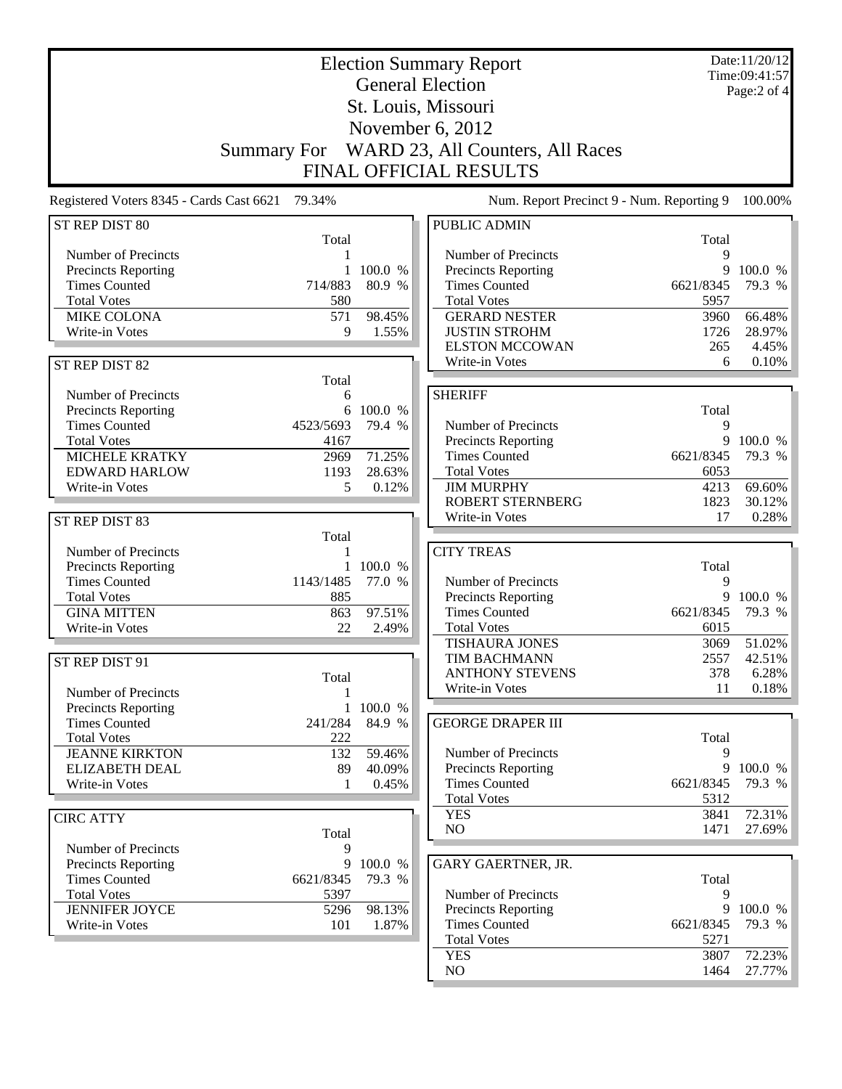|                                             | Date:11/20/12<br><b>Election Summary Report</b><br>Time:09:41:57 |                   |                                             |                |                   |
|---------------------------------------------|------------------------------------------------------------------|-------------------|---------------------------------------------|----------------|-------------------|
|                                             |                                                                  |                   | <b>General Election</b>                     |                | Page: $2$ of $4$  |
|                                             |                                                                  |                   | St. Louis, Missouri                         |                |                   |
|                                             |                                                                  |                   | November 6, 2012                            |                |                   |
|                                             |                                                                  |                   | WARD 23, All Counters, All Races            |                |                   |
|                                             | <b>Summary For</b>                                               |                   |                                             |                |                   |
|                                             |                                                                  |                   | FINAL OFFICIAL RESULTS                      |                |                   |
| Registered Voters 8345 - Cards Cast 6621    | 79.34%                                                           |                   | Num. Report Precinct 9 - Num. Reporting 9   |                | 100.00%           |
| ST REP DIST 80                              |                                                                  |                   | <b>PUBLIC ADMIN</b>                         |                |                   |
|                                             | Total                                                            |                   |                                             | Total          |                   |
| Number of Precincts                         | 1                                                                |                   | Number of Precincts                         | Q              |                   |
| Precincts Reporting<br><b>Times Counted</b> | 714/883                                                          | 100.0 %<br>80.9 % | Precincts Reporting<br><b>Times Counted</b> | 9<br>6621/8345 | 100.0 %<br>79.3 % |
| <b>Total Votes</b>                          | 580                                                              |                   | <b>Total Votes</b>                          | 5957           |                   |
| MIKE COLONA                                 | 571                                                              | 98.45%            | <b>GERARD NESTER</b>                        | 3960           | 66.48%            |
| Write-in Votes                              | 9                                                                | 1.55%             | <b>JUSTIN STROHM</b>                        | 1726           | 28.97%            |
|                                             |                                                                  |                   | <b>ELSTON MCCOWAN</b>                       | 265            | 4.45%             |
| ST REP DIST 82                              |                                                                  |                   | Write-in Votes                              | 6              | 0.10%             |
|                                             | Total                                                            |                   |                                             |                |                   |
| Number of Precincts                         | 6                                                                |                   | <b>SHERIFF</b>                              |                |                   |
| Precincts Reporting                         | 6                                                                | 100.0 %           |                                             | Total          |                   |
| <b>Times Counted</b>                        | 4523/5693                                                        | 79.4 %            | Number of Precincts                         | 9              |                   |
| <b>Total Votes</b>                          | 4167                                                             |                   | <b>Precincts Reporting</b>                  | 9              | 100.0 %           |
| <b>MICHELE KRATKY</b>                       | 2969                                                             | 71.25%            | <b>Times Counted</b>                        | 6621/8345      | 79.3 %            |
| <b>EDWARD HARLOW</b>                        | 1193                                                             | 28.63%            | <b>Total Votes</b>                          | 6053           |                   |
| Write-in Votes                              | 5                                                                | 0.12%             | <b>JIM MURPHY</b>                           | 4213           | 69.60%            |
|                                             |                                                                  |                   | <b>ROBERT STERNBERG</b>                     | 1823           | 30.12%            |
| ST REP DIST 83                              |                                                                  |                   | Write-in Votes                              | 17             | 0.28%             |
|                                             | Total                                                            |                   |                                             |                |                   |
| Number of Precincts                         | 1                                                                |                   | <b>CITY TREAS</b>                           |                |                   |
| Precincts Reporting                         |                                                                  | 100.0 %           |                                             | Total          |                   |
| <b>Times Counted</b><br><b>Total Votes</b>  | 1143/1485<br>885                                                 | 77.0 %            | Number of Precincts<br>Precincts Reporting  | 9<br>9         | 100.0 %           |
| <b>GINA MITTEN</b>                          | 863                                                              | 97.51%            | <b>Times Counted</b>                        | 6621/8345      | 79.3 %            |
| Write-in Votes                              | 22                                                               | 2.49%             | <b>Total Votes</b>                          | 6015           |                   |
|                                             |                                                                  |                   | <b>TISHAURA JONES</b>                       | 3069           | 51.02%            |
| ST REP DIST 91                              |                                                                  |                   | <b>TIM BACHMANN</b>                         | 2557           | 42.51%            |
|                                             | Total                                                            |                   | <b>ANTHONY STEVENS</b>                      | 378            | 6.28%             |
| Number of Precincts                         |                                                                  |                   | Write-in Votes                              | 11             | 0.18%             |
| Precincts Reporting                         | 1                                                                | 100.0 %           |                                             |                |                   |
| <b>Times Counted</b>                        | 241/284                                                          | 84.9 %            | <b>GEORGE DRAPER III</b>                    |                |                   |
| <b>Total Votes</b>                          | 222                                                              |                   |                                             | Total          |                   |
| <b>JEANNE KIRKTON</b>                       | 132                                                              | 59.46%            | Number of Precincts                         | 9              |                   |
| <b>ELIZABETH DEAL</b>                       | 89                                                               | 40.09%            | Precincts Reporting                         |                | 9 100.0 %         |
| Write-in Votes                              | 1                                                                | 0.45%             | <b>Times Counted</b>                        | 6621/8345      | 79.3 %            |
|                                             |                                                                  |                   | <b>Total Votes</b>                          | 5312           |                   |
| <b>CIRC ATTY</b>                            |                                                                  |                   | <b>YES</b><br>NO                            | 3841           | 72.31%<br>27.69%  |
|                                             | Total                                                            |                   |                                             | 1471           |                   |
| Number of Precincts                         | 9                                                                |                   |                                             |                |                   |
| Precincts Reporting<br><b>Times Counted</b> | 9                                                                | 100.0 %           | GARY GAERTNER, JR.                          |                |                   |
| <b>Total Votes</b>                          | 6621/8345<br>5397                                                | 79.3 %            | Number of Precincts                         | Total<br>9     |                   |
| <b>JENNIFER JOYCE</b>                       | 5296                                                             | 98.13%            | Precincts Reporting                         | 9              | 100.0 %           |
| Write-in Votes                              | 101                                                              | 1.87%             | <b>Times Counted</b>                        | 6621/8345      | 79.3 %            |
|                                             |                                                                  |                   | <b>Total Votes</b>                          | 5271           |                   |
|                                             |                                                                  |                   | <b>YES</b>                                  | 3807           | 72.23%            |
|                                             |                                                                  |                   | NO                                          | 1464           | 27.77%            |
|                                             |                                                                  |                   |                                             |                |                   |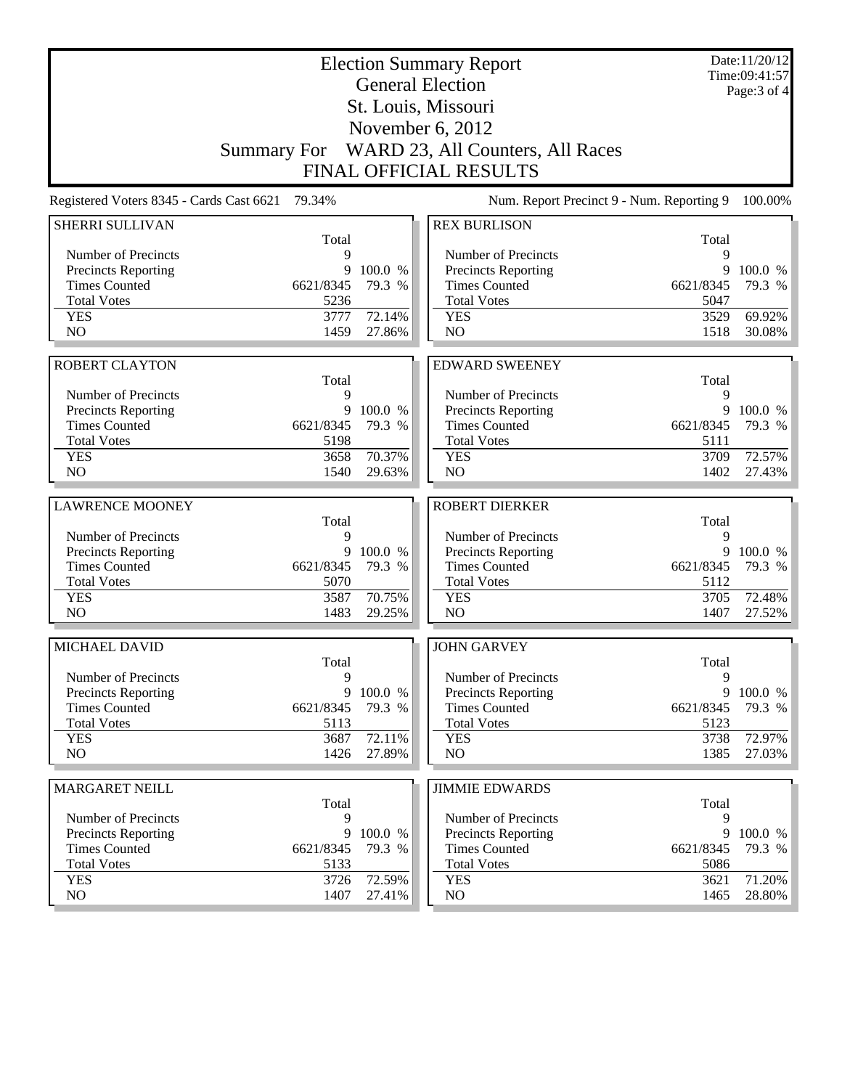| <b>Election Summary Report</b><br><b>General Election</b>                                                  |                |                   |                                                   |                | Date:11/20/12<br>Time:09:41:57<br>Page: 3 of 4 |  |
|------------------------------------------------------------------------------------------------------------|----------------|-------------------|---------------------------------------------------|----------------|------------------------------------------------|--|
|                                                                                                            |                |                   | St. Louis, Missouri                               |                |                                                |  |
|                                                                                                            |                |                   | November $6, 2012$                                |                |                                                |  |
|                                                                                                            |                |                   | Summary For WARD 23, All Counters, All Races      |                |                                                |  |
|                                                                                                            |                |                   | <b>FINAL OFFICIAL RESULTS</b>                     |                |                                                |  |
| Num. Report Precinct 9 - Num. Reporting 9<br>Registered Voters 8345 - Cards Cast 6621<br>79.34%<br>100.00% |                |                   |                                                   |                |                                                |  |
| <b>SHERRI SULLIVAN</b>                                                                                     |                |                   | <b>REX BURLISON</b>                               |                |                                                |  |
|                                                                                                            | Total          |                   |                                                   | Total          |                                                |  |
| Number of Precincts<br><b>Precincts Reporting</b>                                                          | 9<br>9         | 100.0 %           | Number of Precincts<br><b>Precincts Reporting</b> | 9<br>9         | 100.0 %                                        |  |
| <b>Times Counted</b>                                                                                       | 6621/8345      | 79.3 %            | <b>Times Counted</b>                              | 6621/8345      | 79.3 %                                         |  |
| <b>Total Votes</b>                                                                                         | 5236           |                   | <b>Total Votes</b>                                | 5047           |                                                |  |
| <b>YES</b>                                                                                                 | 3777           | 72.14%            | <b>YES</b>                                        | 3529           | 69.92%                                         |  |
| NO                                                                                                         | 1459           | 27.86%            | NO                                                | 1518           | 30.08%                                         |  |
|                                                                                                            |                |                   |                                                   |                |                                                |  |
| <b>ROBERT CLAYTON</b>                                                                                      |                |                   | <b>EDWARD SWEENEY</b>                             |                |                                                |  |
|                                                                                                            | Total          |                   |                                                   | Total          |                                                |  |
| Number of Precincts<br>Precincts Reporting                                                                 | 9<br>9         | 100.0 %           | Number of Precincts<br>Precincts Reporting        | 9<br>9         | 100.0 %                                        |  |
| <b>Times Counted</b>                                                                                       | 6621/8345      | 79.3 %            | <b>Times Counted</b>                              | 6621/8345      | 79.3 %                                         |  |
| <b>Total Votes</b>                                                                                         | 5198           |                   | <b>Total Votes</b>                                | 5111           |                                                |  |
| <b>YES</b>                                                                                                 | 3658           | 70.37%            | <b>YES</b>                                        | 3709           | 72.57%                                         |  |
| NO                                                                                                         | 1540           | 29.63%            | NO                                                | 1402           | 27.43%                                         |  |
|                                                                                                            |                |                   |                                                   |                |                                                |  |
| <b>LAWRENCE MOONEY</b>                                                                                     |                |                   | <b>ROBERT DIERKER</b>                             |                |                                                |  |
| Number of Precincts                                                                                        | Total<br>9     |                   | Number of Precincts                               | Total<br>9     |                                                |  |
| Precincts Reporting                                                                                        | 9              | 100.0 %           | <b>Precincts Reporting</b>                        | 9              | 100.0 %                                        |  |
| <b>Times Counted</b>                                                                                       | 6621/8345      | 79.3 %            | <b>Times Counted</b>                              | 6621/8345      | 79.3 %                                         |  |
| <b>Total Votes</b>                                                                                         | 5070           |                   | <b>Total Votes</b>                                | 5112           |                                                |  |
| <b>YES</b>                                                                                                 | 3587           | 70.75%            | <b>YES</b>                                        | 3705           | 72.48%                                         |  |
| NO                                                                                                         | 1483           | 29.25%            | NO                                                | 1407           | 27.52%                                         |  |
| MICHAEL DAVID                                                                                              |                |                   | <b>JOHN GARVEY</b>                                |                |                                                |  |
|                                                                                                            | Total          |                   |                                                   | Total          |                                                |  |
| Number of Precincts                                                                                        | 9              |                   | Number of Precincts                               | 9              |                                                |  |
| <b>Precincts Reporting</b><br><b>Times Counted</b>                                                         | 9<br>6621/8345 | 100.0 %<br>79.3 % | Precincts Reporting<br><b>Times Counted</b>       | 9<br>6621/8345 | 100.0 %<br>79.3 %                              |  |
| <b>Total Votes</b>                                                                                         | 5113           |                   | <b>Total Votes</b>                                | 5123           |                                                |  |
| <b>YES</b>                                                                                                 | 3687           | 72.11%            | <b>YES</b>                                        | 3738           | 72.97%                                         |  |
| NO                                                                                                         | 1426           | 27.89%            | NO.                                               | 1385           | 27.03%                                         |  |
|                                                                                                            |                |                   |                                                   |                |                                                |  |
| <b>MARGARET NEILL</b>                                                                                      | Total          |                   | <b>JIMMIE EDWARDS</b>                             | Total          |                                                |  |
| Number of Precincts                                                                                        | 9              |                   | Number of Precincts                               | 9              |                                                |  |
| <b>Precincts Reporting</b>                                                                                 | 9              | 100.0 %           | <b>Precincts Reporting</b>                        | 9              | 100.0 %                                        |  |
| <b>Times Counted</b>                                                                                       | 6621/8345      | 79.3 %            | <b>Times Counted</b>                              | 6621/8345      | 79.3 %                                         |  |
| <b>Total Votes</b>                                                                                         | 5133           |                   | <b>Total Votes</b>                                | 5086           |                                                |  |
| <b>YES</b>                                                                                                 | 3726           | 72.59%            | <b>YES</b>                                        | 3621           | 71.20%                                         |  |
| NO                                                                                                         | 1407           | 27.41%            | NO.                                               | 1465           | 28.80%                                         |  |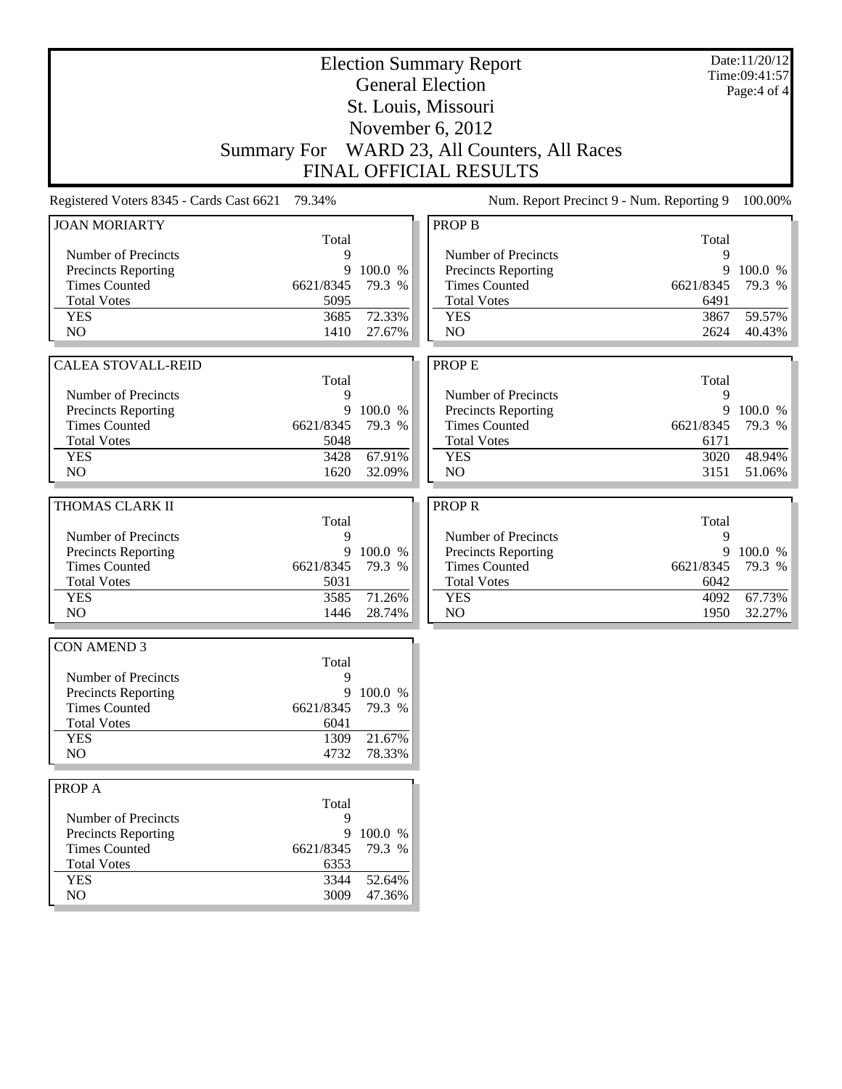| <b>Election Summary Report</b>                  |           |                   |                                              |           | Date:11/20/12<br>Time:09:41:57 |
|-------------------------------------------------|-----------|-------------------|----------------------------------------------|-----------|--------------------------------|
|                                                 |           |                   | <b>General Election</b>                      |           | Page:4 of 4                    |
|                                                 |           |                   | St. Louis, Missouri                          |           |                                |
|                                                 |           |                   | November 6, 2012                             |           |                                |
|                                                 |           |                   |                                              |           |                                |
|                                                 |           |                   | Summary For WARD 23, All Counters, All Races |           |                                |
|                                                 |           |                   | <b>FINAL OFFICIAL RESULTS</b>                |           |                                |
| Registered Voters 8345 - Cards Cast 6621 79.34% |           |                   | Num. Report Precinct 9 - Num. Reporting 9    |           | 100.00%                        |
| <b>JOAN MORIARTY</b>                            |           |                   | <b>PROP B</b>                                |           |                                |
|                                                 | Total     |                   |                                              | Total     |                                |
| Number of Precincts                             | 9<br>9    |                   | Number of Precincts                          | 9         |                                |
| Precincts Reporting<br><b>Times Counted</b>     | 6621/8345 | 100.0 %<br>79.3 % | Precincts Reporting<br><b>Times Counted</b>  | 6621/8345 | 9 100.0 %<br>79.3 %            |
| <b>Total Votes</b>                              | 5095      |                   | <b>Total Votes</b>                           | 6491      |                                |
| <b>YES</b>                                      | 3685      | 72.33%            | <b>YES</b>                                   | 3867      | 59.57%                         |
| N <sub>O</sub>                                  | 1410      | 27.67%            | N <sub>O</sub>                               | 2624      | 40.43%                         |
|                                                 |           |                   |                                              |           |                                |
| <b>CALEA STOVALL-REID</b>                       |           |                   | <b>PROPE</b>                                 |           |                                |
|                                                 | Total     |                   |                                              | Total     |                                |
| Number of Precincts                             | 9         |                   | Number of Precincts                          | 9         |                                |
| Precincts Reporting                             |           | 9 100.0 %         | Precincts Reporting                          |           | 9 100.0 %                      |
| <b>Times Counted</b>                            | 6621/8345 | 79.3 %            | <b>Times Counted</b>                         | 6621/8345 | 79.3 %                         |
| <b>Total Votes</b>                              | 5048      |                   | <b>Total Votes</b>                           | 6171      |                                |
| <b>YES</b>                                      | 3428      | 67.91%            | <b>YES</b>                                   | 3020      | 48.94%                         |
| N <sub>O</sub>                                  | 1620      | 32.09%            | N <sub>O</sub>                               | 3151      | 51.06%                         |
| THOMAS CLARK II                                 |           |                   | <b>PROPR</b>                                 |           |                                |
|                                                 | Total     |                   |                                              | Total     |                                |
| Number of Precincts                             | 9         |                   | Number of Precincts                          | 9         |                                |
| Precincts Reporting                             |           | 9 100.0 %         | Precincts Reporting                          |           | 9 100.0 %                      |
| <b>Times Counted</b>                            | 6621/8345 | 79.3 %            | <b>Times Counted</b>                         | 6621/8345 | 79.3 %                         |
| <b>Total Votes</b>                              | 5031      |                   | <b>Total Votes</b>                           | 6042      |                                |
| <b>YES</b>                                      | 3585      | 71.26%            | <b>YES</b>                                   | 4092      | 67.73%                         |
| N <sub>O</sub>                                  | 1446      | 28.74%            | N <sub>O</sub>                               | 1950      | 32.27%                         |
|                                                 |           |                   |                                              |           |                                |
| <b>CON AMEND 3</b>                              | Total     |                   |                                              |           |                                |
| Number of Precincts                             | 9         |                   |                                              |           |                                |
| Precincts Reporting                             |           | 9 100.0 %         |                                              |           |                                |
| <b>Times Counted</b>                            | 6621/8345 | 79.3 %            |                                              |           |                                |
| <b>Total Votes</b>                              | 6041      |                   |                                              |           |                                |
| <b>YES</b>                                      | 1309      | 21.67%            |                                              |           |                                |
| NO                                              | 4732      | 78.33%            |                                              |           |                                |
|                                                 |           |                   |                                              |           |                                |
| PROP A                                          | Total     |                   |                                              |           |                                |
| Number of Precincts                             | 9         |                   |                                              |           |                                |
| Precincts Reporting                             | 9         | 100.0 %           |                                              |           |                                |
| <b>Times Counted</b>                            | 6621/8345 | 79.3 %            |                                              |           |                                |
| <b>Total Votes</b>                              | 6353      |                   |                                              |           |                                |
| <b>YES</b>                                      | 3344      | 52.64%            |                                              |           |                                |
| NO                                              | 3009      | 47.36%            |                                              |           |                                |
|                                                 |           |                   |                                              |           |                                |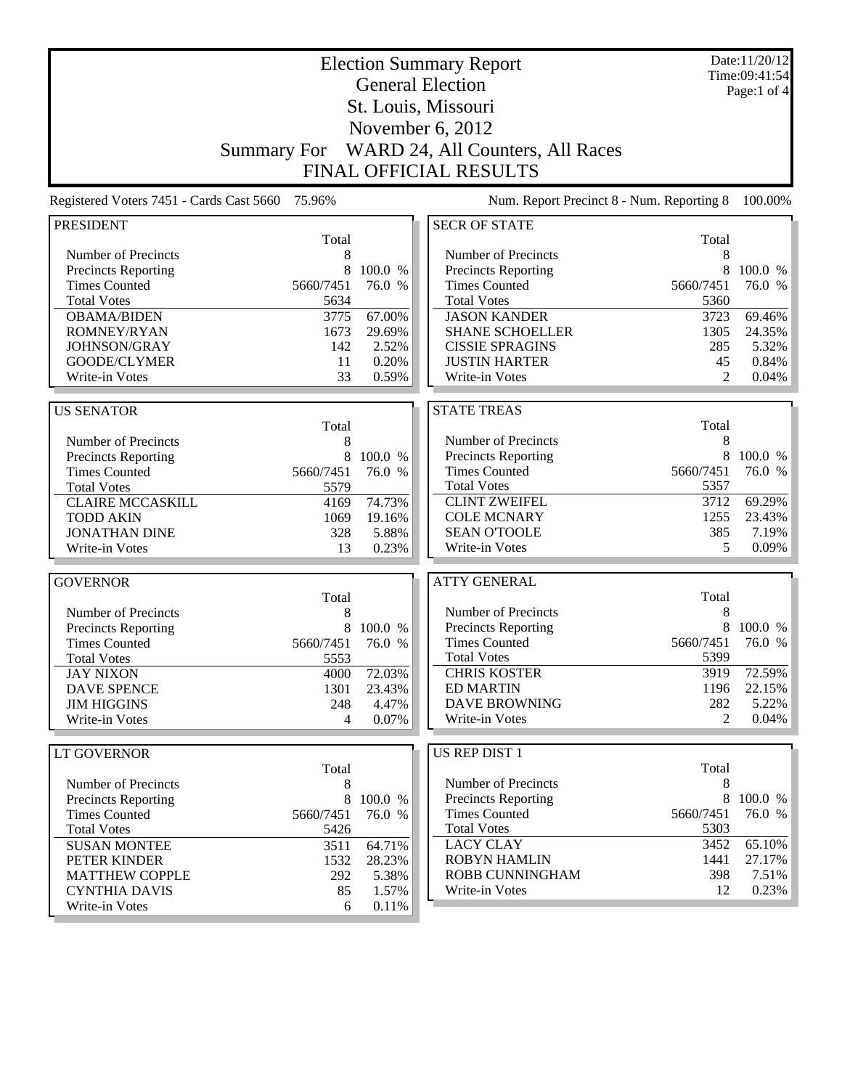| <b>Election Summary Report</b>              |                    |                   |                                                    |              | Date:11/20/12<br>Time:09:41:54 |
|---------------------------------------------|--------------------|-------------------|----------------------------------------------------|--------------|--------------------------------|
| <b>General Election</b>                     |                    |                   |                                                    |              | Page:1 of 4                    |
|                                             |                    |                   | St. Louis, Missouri                                |              |                                |
|                                             |                    |                   | November 6, 2012                                   |              |                                |
|                                             | <b>Summary For</b> |                   | WARD 24, All Counters, All Races                   |              |                                |
|                                             |                    |                   | <b>FINAL OFFICIAL RESULTS</b>                      |              |                                |
| Registered Voters 7451 - Cards Cast 5660    | 75.96%             |                   | Num. Report Precinct 8 - Num. Reporting 8          |              | 100.00%                        |
| <b>PRESIDENT</b>                            |                    |                   | <b>SECR OF STATE</b>                               |              |                                |
|                                             | Total              |                   |                                                    | Total        |                                |
| Number of Precincts                         | 8                  |                   | Number of Precincts                                | 8            |                                |
| Precincts Reporting                         | 8                  | 100.0 %           | <b>Precincts Reporting</b>                         | 8            | 100.0 %                        |
| <b>Times Counted</b>                        | 5660/7451          | 76.0 %            | <b>Times Counted</b>                               | 5660/7451    | 76.0 %                         |
| <b>Total Votes</b>                          | 5634               |                   | <b>Total Votes</b>                                 | 5360         |                                |
| <b>OBAMA/BIDEN</b>                          | 3775               | 67.00%            | <b>JASON KANDER</b>                                | 3723         | 69.46%                         |
| <b>ROMNEY/RYAN</b>                          | 1673               | 29.69%            | <b>SHANE SCHOELLER</b>                             | 1305         | 24.35%                         |
| JOHNSON/GRAY                                | 142                | 2.52%             | <b>CISSIE SPRAGINS</b>                             | 285          | 5.32%                          |
| GOODE/CLYMER                                | 11                 | 0.20%             | <b>JUSTIN HARTER</b>                               | 45           | 0.84%                          |
| Write-in Votes                              | 33                 | 0.59%             | Write-in Votes                                     | 2            | 0.04%                          |
|                                             |                    |                   |                                                    |              |                                |
| <b>US SENATOR</b>                           |                    |                   | <b>STATE TREAS</b>                                 |              |                                |
|                                             | Total              |                   |                                                    | Total        |                                |
| Number of Precincts                         | 8                  |                   | Number of Precincts                                | 8            |                                |
| Precincts Reporting                         | 8                  | 100.0 %           | <b>Precincts Reporting</b>                         | 8            | 100.0 %                        |
| <b>Times Counted</b>                        | 5660/7451          | 76.0 %            | <b>Times Counted</b>                               | 5660/7451    | 76.0 %                         |
| <b>Total Votes</b>                          | 5579               |                   | <b>Total Votes</b><br><b>CLINT ZWEIFEL</b>         | 5357<br>3712 | 69.29%                         |
| <b>CLAIRE MCCASKILL</b>                     | 4169               | 74.73%            | <b>COLE MCNARY</b>                                 | 1255         | 23.43%                         |
| <b>TODD AKIN</b><br><b>JONATHAN DINE</b>    | 1069<br>328        | 19.16%<br>5.88%   | <b>SEAN O'TOOLE</b>                                | 385          | 7.19%                          |
| Write-in Votes                              | 13                 | 0.23%             | Write-in Votes                                     | 5            | 0.09%                          |
|                                             |                    |                   |                                                    |              |                                |
| <b>GOVERNOR</b>                             |                    |                   | <b>ATTY GENERAL</b>                                |              |                                |
|                                             | Total              |                   |                                                    | Total        |                                |
| Number of Precincts                         | 8                  |                   | Number of Precincts                                | 8            |                                |
| Precincts Reporting                         | $\,8\,$            | 100.0 %           | Precincts Reporting                                | 8            | 100.0 %                        |
| <b>Times Counted</b>                        | 5660/7451          | 76.0 %            | <b>Times Counted</b>                               | 5660/7451    | 76.0 %                         |
| <b>Total Votes</b>                          | 5553               |                   | <b>Total Votes</b>                                 | 5399         |                                |
| <b>JAY NIXON</b>                            | 4000               | 72.03%            | <b>CHRIS KOSTER</b>                                | 3919         | 72.59%                         |
| <b>DAVE SPENCE</b>                          | 1301               | 23.43%            | <b>ED MARTIN</b>                                   | 1196         | 22.15%                         |
| <b>JIM HIGGINS</b>                          | 248                | 4.47%             | <b>DAVE BROWNING</b>                               | 282          | 5.22%                          |
| Write-in Votes                              | 4                  | 0.07%             | Write-in Votes                                     | 2            | 0.04%                          |
|                                             |                    |                   |                                                    |              |                                |
| LT GOVERNOR                                 |                    |                   | US REP DIST 1                                      |              |                                |
|                                             | Total              |                   |                                                    | Total        |                                |
| Number of Precincts                         | 8                  |                   | Number of Precincts                                | 8<br>$8\,$   |                                |
| Precincts Reporting<br><b>Times Counted</b> | 8<br>5660/7451     | 100.0 %<br>76.0 % | <b>Precincts Reporting</b><br><b>Times Counted</b> | 5660/7451    | 100.0 %<br>76.0 %              |
| <b>Total Votes</b>                          | 5426               |                   | <b>Total Votes</b>                                 | 5303         |                                |
| <b>SUSAN MONTEE</b>                         | 3511               | 64.71%            | <b>LACY CLAY</b>                                   | 3452         | 65.10%                         |
| PETER KINDER                                | 1532               | 28.23%            | <b>ROBYN HAMLIN</b>                                | 1441         | 27.17%                         |
| <b>MATTHEW COPPLE</b>                       | 292                | 5.38%             | ROBB CUNNINGHAM                                    | 398          | 7.51%                          |
| <b>CYNTHIA DAVIS</b>                        | 85                 | 1.57%             | Write-in Votes                                     | 12           | 0.23%                          |
| Write-in Votes                              | 6                  | 0.11%             |                                                    |              |                                |
|                                             |                    |                   |                                                    |              |                                |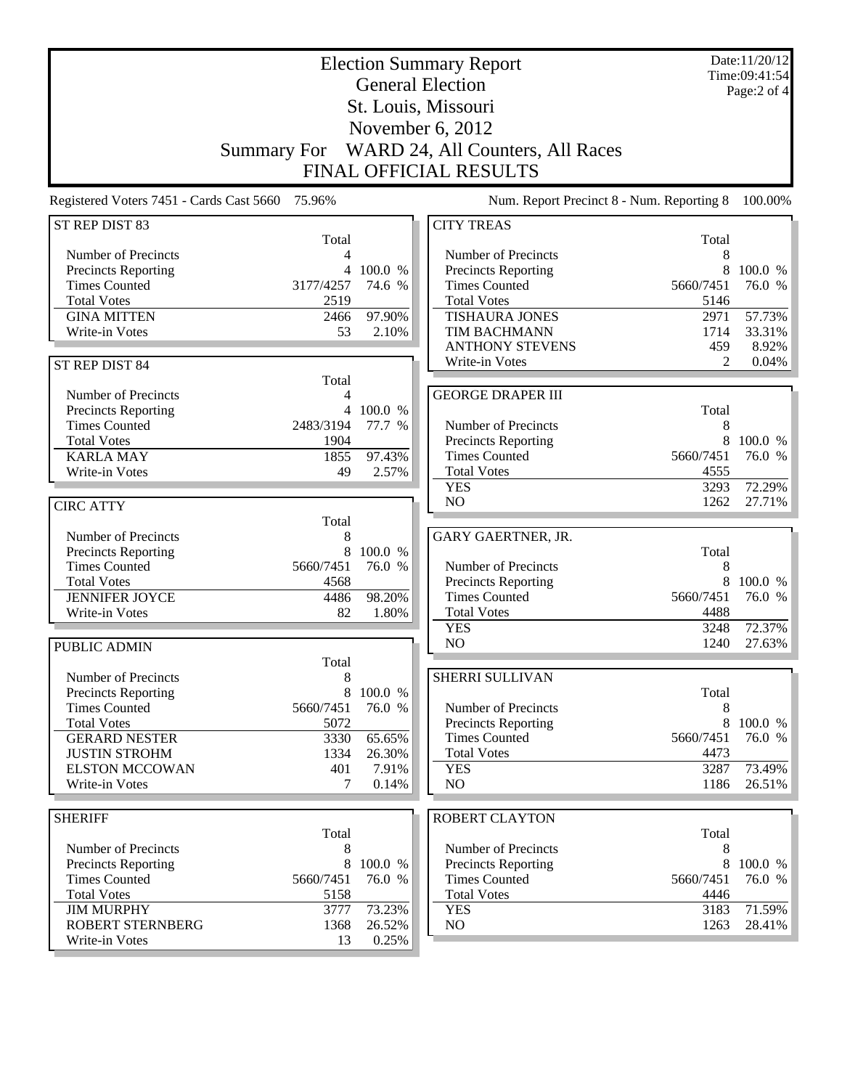| <b>Election Summary Report</b><br><b>General Election</b> |              |                   |                                             |                   | Date:11/20/12<br>Time:09:41:54 |
|-----------------------------------------------------------|--------------|-------------------|---------------------------------------------|-------------------|--------------------------------|
|                                                           |              |                   |                                             |                   | Page:2 of 4                    |
|                                                           |              |                   | St. Louis, Missouri                         |                   |                                |
|                                                           |              |                   | November 6, 2012                            |                   |                                |
| <b>Summary For</b>                                        |              |                   | WARD 24, All Counters, All Races            |                   |                                |
|                                                           |              |                   | <b>FINAL OFFICIAL RESULTS</b>               |                   |                                |
| Registered Voters 7451 - Cards Cast 5660 75.96%           |              |                   | Num. Report Precinct 8 - Num. Reporting 8   |                   | 100.00%                        |
| ST REP DIST 83                                            |              |                   | <b>CITY TREAS</b>                           |                   |                                |
|                                                           | Total        |                   |                                             | Total             |                                |
| Number of Precincts                                       | 4            |                   | Number of Precincts                         | 8                 |                                |
| Precincts Reporting<br><b>Times Counted</b><br>3177/4257  | 4            | 100.0 %<br>74.6 % | Precincts Reporting<br><b>Times Counted</b> | 8<br>5660/7451    | 100.0 %<br>76.0 %              |
| <b>Total Votes</b>                                        | 2519         |                   | <b>Total Votes</b>                          | 5146              |                                |
| <b>GINA MITTEN</b>                                        | 2466         | 97.90%            | <b>TISHAURA JONES</b>                       | 2971              | 57.73%                         |
| Write-in Votes                                            | 53           | 2.10%             | TIM BACHMANN                                | 1714              | 33.31%                         |
|                                                           |              |                   | <b>ANTHONY STEVENS</b>                      | 459               | 8.92%                          |
| ST REP DIST 84                                            |              |                   | Write-in Votes                              | $\mathfrak{D}$    | $0.04\%$                       |
| Number of Precincts                                       | Total<br>4   |                   | <b>GEORGE DRAPER III</b>                    |                   |                                |
| Precincts Reporting                                       | 4            | 100.0 %           |                                             | Total             |                                |
| <b>Times Counted</b><br>2483/3194                         |              | 77.7 %            | Number of Precincts                         | 8                 |                                |
| <b>Total Votes</b>                                        | 1904         |                   | Precincts Reporting                         | 8                 | 100.0 %                        |
| <b>KARLA MAY</b>                                          | 1855         | 97.43%            | <b>Times Counted</b>                        | 5660/7451         | 76.0 %                         |
| Write-in Votes                                            | 49           | 2.57%             | <b>Total Votes</b>                          | 4555              |                                |
|                                                           |              |                   | <b>YES</b><br>N <sub>O</sub>                | 3293<br>1262      | 72.29%<br>27.71%               |
| <b>CIRC ATTY</b>                                          | Total        |                   |                                             |                   |                                |
| Number of Precincts                                       | 8            |                   | GARY GAERTNER, JR.                          |                   |                                |
| Precincts Reporting                                       | 8            | 100.0 %           |                                             | Total             |                                |
| <b>Times Counted</b><br>5660/7451                         |              | 76.0 %            | Number of Precincts                         | 8                 |                                |
| <b>Total Votes</b>                                        | 4568         |                   | <b>Precincts Reporting</b>                  | 8                 | 100.0 %                        |
| <b>JENNIFER JOYCE</b>                                     | 4486         | 98.20%            | <b>Times Counted</b><br><b>Total Votes</b>  | 5660/7451         | 76.0 %                         |
| Write-in Votes                                            | 82           | 1.80%             | <b>YES</b>                                  | 4488<br>3248      | 72.37%                         |
| <b>PUBLIC ADMIN</b>                                       |              |                   | NO                                          | 1240              | 27.63%                         |
|                                                           | Total        |                   |                                             |                   |                                |
| Number of Precincts                                       | $8\,$        |                   | SHERRI SULLIVAN                             |                   |                                |
| <b>Precincts Reporting</b>                                | 8            | 100.0 %           |                                             | Total             |                                |
| <b>Times Counted</b><br>5660/7451                         |              | 76.0 %            | Number of Precincts                         | 8                 |                                |
| <b>Total Votes</b>                                        | 5072         |                   | <b>Precincts Reporting</b>                  | 8                 | 100.0 %                        |
| <b>GERARD NESTER</b><br><b>JUSTIN STROHM</b>              | 3330<br>1334 | 65.65%<br>26.30%  | <b>Times Counted</b><br><b>Total Votes</b>  | 5660/7451<br>4473 | 76.0 %                         |
| <b>ELSTON MCCOWAN</b>                                     | 401          | 7.91%             | <b>YES</b>                                  | 3287              | 73.49%                         |
| Write-in Votes                                            | 7            | 0.14%             | NO                                          | 1186              | 26.51%                         |
|                                                           |              |                   |                                             |                   |                                |
| <b>SHERIFF</b>                                            |              |                   | <b>ROBERT CLAYTON</b>                       |                   |                                |
| Number of Precincts                                       | Total<br>8   |                   | Number of Precincts                         | Total<br>8        |                                |
| Precincts Reporting                                       | 8            | 100.0 %           | Precincts Reporting                         | 8                 | 100.0 %                        |
| <b>Times Counted</b><br>5660/7451                         |              | 76.0 %            | <b>Times Counted</b>                        | 5660/7451         | 76.0 %                         |
| <b>Total Votes</b>                                        | 5158         |                   | <b>Total Votes</b>                          | 4446              |                                |
| <b>JIM MURPHY</b>                                         | 3777         | 73.23%            | <b>YES</b>                                  | 3183              | 71.59%                         |
| <b>ROBERT STERNBERG</b>                                   | 1368         | 26.52%            | NO                                          | 1263              | 28.41%                         |
| Write-in Votes                                            | 13           | 0.25%             |                                             |                   |                                |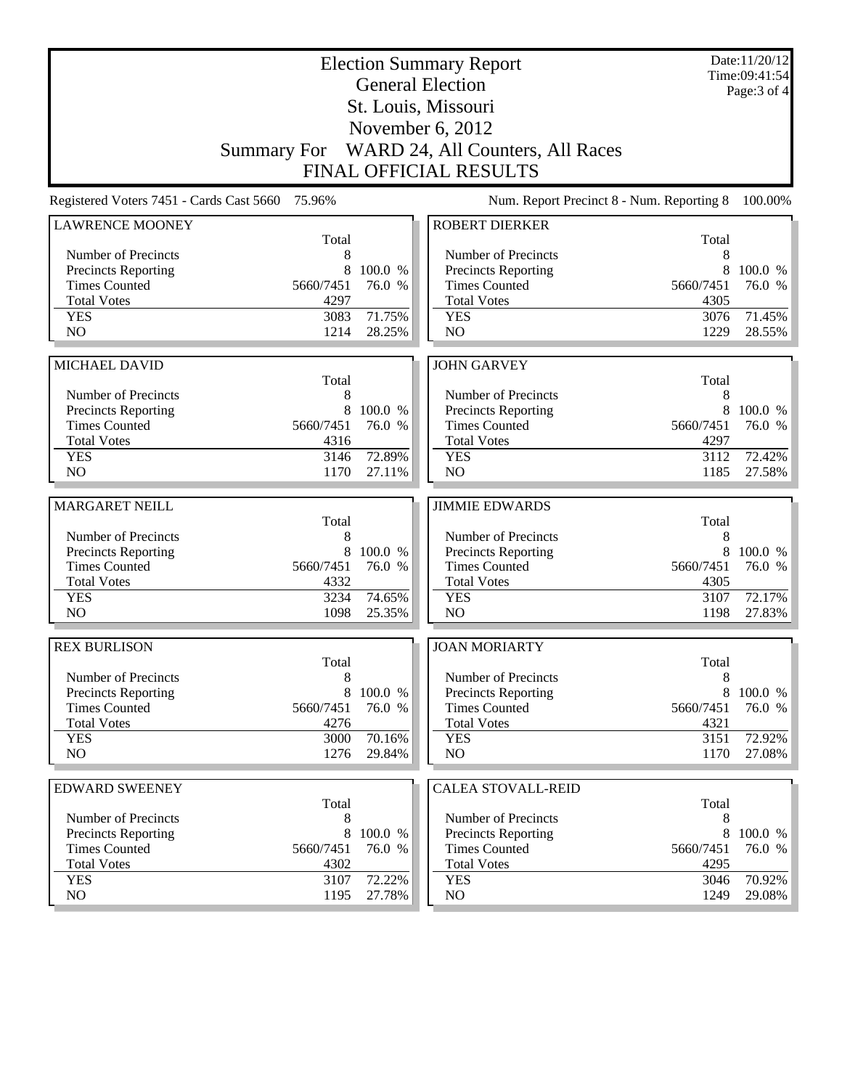|                                                    | <b>Election Summary Report</b><br><b>General Election</b> |                   |                                              |                |                  |
|----------------------------------------------------|-----------------------------------------------------------|-------------------|----------------------------------------------|----------------|------------------|
|                                                    |                                                           |                   | St. Louis, Missouri                          |                | Page: 3 of 4     |
|                                                    |                                                           |                   | November 6, 2012                             |                |                  |
|                                                    |                                                           |                   | Summary For WARD 24, All Counters, All Races |                |                  |
|                                                    |                                                           |                   | <b>FINAL OFFICIAL RESULTS</b>                |                |                  |
| Registered Voters 7451 - Cards Cast 5660           | 75.96%                                                    |                   | Num. Report Precinct 8 - Num. Reporting 8    |                | 100.00%          |
| <b>LAWRENCE MOONEY</b>                             |                                                           |                   | <b>ROBERT DIERKER</b>                        |                |                  |
|                                                    | Total                                                     |                   |                                              | Total          |                  |
| Number of Precincts                                | 8                                                         |                   | Number of Precincts                          | 8              |                  |
| <b>Precincts Reporting</b>                         | 8                                                         | 100.0 %           | <b>Precincts Reporting</b>                   | 8              | 100.0 %          |
| <b>Times Counted</b>                               | 5660/7451                                                 | 76.0 %            | <b>Times Counted</b>                         | 5660/7451      | 76.0 %           |
| <b>Total Votes</b>                                 | 4297                                                      |                   | <b>Total Votes</b>                           | 4305           |                  |
| <b>YES</b>                                         | 3083                                                      | 71.75%            | <b>YES</b>                                   | 3076           | 71.45%           |
| N <sub>O</sub>                                     | 1214                                                      | 28.25%            | N <sub>O</sub>                               | 1229           | 28.55%           |
|                                                    |                                                           |                   |                                              |                |                  |
| <b>MICHAEL DAVID</b>                               |                                                           |                   | <b>JOHN GARVEY</b>                           |                |                  |
| Number of Precincts                                | Total<br>8                                                |                   | Number of Precincts                          | Total<br>8     |                  |
| <b>Precincts Reporting</b>                         | 8                                                         | 100.0 %           | Precincts Reporting                          | 8              | 100.0 %          |
| <b>Times Counted</b>                               | 5660/7451                                                 | 76.0 %            | <b>Times Counted</b>                         | 5660/7451      | 76.0 %           |
| <b>Total Votes</b>                                 | 4316                                                      |                   | <b>Total Votes</b>                           | 4297           |                  |
| <b>YES</b>                                         | 3146                                                      | 72.89%            | <b>YES</b>                                   | 3112           | 72.42%           |
| NO                                                 | 1170                                                      | 27.11%            | NO                                           | 1185           | 27.58%           |
|                                                    |                                                           |                   |                                              |                |                  |
|                                                    |                                                           |                   |                                              |                |                  |
| <b>MARGARET NEILL</b>                              |                                                           |                   | <b>JIMMIE EDWARDS</b>                        |                |                  |
|                                                    | Total                                                     |                   |                                              | Total          |                  |
| Number of Precincts                                | 8                                                         |                   | Number of Precincts                          | 8              |                  |
| <b>Precincts Reporting</b><br><b>Times Counted</b> | 8<br>5660/7451                                            | 100.0 %<br>76.0 % | Precincts Reporting<br><b>Times Counted</b>  | 8<br>5660/7451 | 100.0 %          |
| <b>Total Votes</b>                                 | 4332                                                      |                   | <b>Total Votes</b>                           | 4305           | 76.0 %           |
| <b>YES</b>                                         | 3234                                                      | 74.65%            | <b>YES</b>                                   | 3107           | 72.17%           |
| N <sub>O</sub>                                     | 1098                                                      | 25.35%            | NO                                           | 1198           | 27.83%           |
|                                                    |                                                           |                   |                                              |                |                  |
| <b>REX BURLISON</b>                                |                                                           |                   | <b>JOAN MORIARTY</b>                         |                |                  |
| Number of Precincts                                | Total<br>8                                                |                   | Number of Precincts                          | Total<br>8     |                  |
| <b>Precincts Reporting</b>                         | 8                                                         | 100.0 %           | <b>Precincts Reporting</b>                   | 8              | 100.0 %          |
| <b>Times Counted</b>                               | 5660/7451                                                 | 76.0 %            | <b>Times Counted</b>                         | 5660/7451      | 76.0 %           |
| <b>Total Votes</b>                                 | 4276                                                      |                   | <b>Total Votes</b>                           | 4321           |                  |
| <b>YES</b>                                         | 3000                                                      | 70.16%            | <b>YES</b>                                   | 3151           | 72.92%           |
| NO                                                 | 1276                                                      | 29.84%            | NO                                           | 1170           | 27.08%           |
|                                                    |                                                           |                   |                                              |                |                  |
| <b>EDWARD SWEENEY</b>                              | Total                                                     |                   | <b>CALEA STOVALL-REID</b>                    | Total          |                  |
| Number of Precincts                                | 8                                                         |                   | Number of Precincts                          | 8              |                  |
| <b>Precincts Reporting</b>                         | 8                                                         | 100.0 %           | <b>Precincts Reporting</b>                   | 8              | 100.0 %          |
| <b>Times Counted</b>                               | 5660/7451                                                 | 76.0 %            | <b>Times Counted</b>                         | 5660/7451      | 76.0 %           |
| <b>Total Votes</b>                                 | 4302                                                      |                   | <b>Total Votes</b>                           | 4295           |                  |
| <b>YES</b><br>NO.                                  | 3107<br>1195                                              | 72.22%<br>27.78%  | <b>YES</b><br>NO                             | 3046<br>1249   | 70.92%<br>29.08% |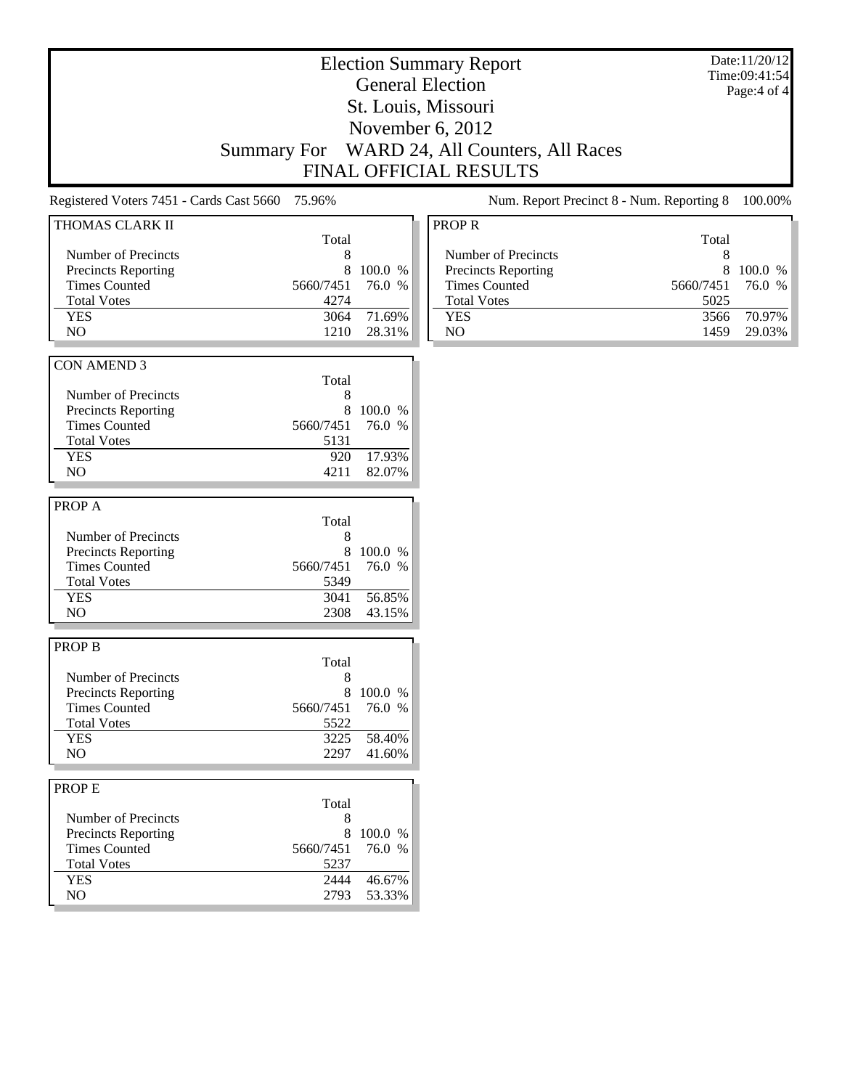# Election Summary Report General Election St. Louis, Missouri November 6, 2012 Summary For WARD 24, All Counters, All Races FINAL OFFICIAL RESULTS

Date:11/20/12 Time:09:41:54 Page:4 of 4

Registered Voters 7451 - Cards Cast 5660 75.96% Num. Report Precinct 8 - Num. Reporting 8 100.00%

| THOMAS CLARK II            |           |         | $\mathbf{P}$ |
|----------------------------|-----------|---------|--------------|
|                            | Total     |         |              |
| Number of Precincts        | 8         |         |              |
| <b>Precincts Reporting</b> | 8         | 100.0 % |              |
| <b>Times Counted</b>       | 5660/7451 | 76.0 %  |              |
| <b>Total Votes</b>         | 4274      |         |              |
| <b>YES</b>                 | 3064      | 71.69%  |              |
| NO                         | 1210      | 28.31%  |              |
|                            |           |         |              |
| <b>CON AMEND 3</b>         |           |         |              |
|                            | Total     |         |              |
| Number of Precincts        | 8         |         |              |
| <b>Precincts Reporting</b> | 8         | 100.0 % |              |
| <b>Times Counted</b>       | 5660/7451 | 76.0 %  |              |
| <b>Total Votes</b>         | 5131      |         |              |
| <b>YES</b>                 | 920       | 17.93%  |              |
| NO                         | 4211      | 82.07%  |              |
|                            |           |         |              |
| PROP A                     |           |         |              |
|                            | Total     |         |              |
| Number of Precincts        | 8         |         |              |
| <b>Precincts Reporting</b> | 8         | 100.0 % |              |
| <b>Times Counted</b>       | 5660/7451 | 76.0 %  |              |
| <b>Total Votes</b>         | 5349      |         |              |
| <b>YES</b>                 | 3041      | 56.85%  |              |
| N <sub>O</sub>             | 2308      | 43.15%  |              |
|                            |           |         |              |
| <b>PROP B</b>              |           |         |              |
|                            | Total     |         |              |
| Number of Precincts        | 8         |         |              |
|                            | 8         |         |              |
| <b>Precincts Reporting</b> |           | 100.0 % |              |
| <b>Times Counted</b>       | 5660/7451 | 76.0 %  |              |
| <b>Total Votes</b>         | 5522      |         |              |
| <b>YES</b>                 | 3225      | 58.40%  |              |
| NO.                        | 2297      | 41.60%  |              |
|                            |           |         |              |
| PROP E                     |           |         |              |
|                            | Total     |         |              |
| Number of Precincts        | 8         |         |              |
| <b>Precincts Reporting</b> | 8         | 100.0 % |              |
| <b>Times Counted</b>       | 5660/7451 | 76.0 %  |              |
| <b>Total Votes</b>         | 5237      |         |              |
| <b>YES</b>                 | 2444      | 46.67%  |              |
| NO                         | 2793      | 53.33%  |              |
|                            |           |         |              |

| <b>PROP R</b>              |                  |           |  |
|----------------------------|------------------|-----------|--|
|                            | Total            |           |  |
| Number of Precincts        |                  |           |  |
| <b>Precincts Reporting</b> | 8                | $100.0\%$ |  |
| <b>Times Counted</b>       | 5660/7451 76.0 % |           |  |
| <b>Total Votes</b>         | 5025             |           |  |
| <b>YES</b>                 | 3566             | 70.97%    |  |
| NΟ                         | 1459             | 29.03%    |  |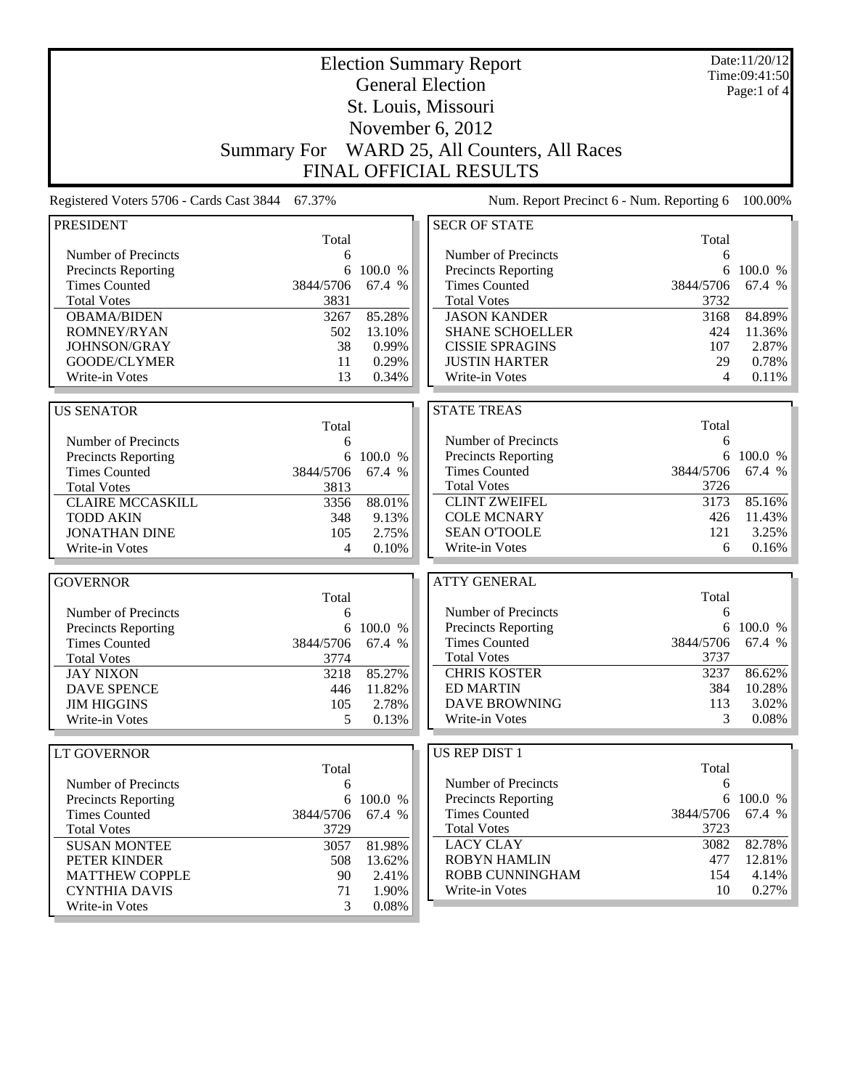|                                          |                    |           | <b>Election Summary Report</b>            |           | Date:11/20/12<br>Time:09:41:50 |
|------------------------------------------|--------------------|-----------|-------------------------------------------|-----------|--------------------------------|
|                                          |                    |           | <b>General Election</b>                   |           | Page:1 of 4                    |
|                                          |                    |           | St. Louis, Missouri                       |           |                                |
|                                          |                    |           |                                           |           |                                |
|                                          |                    |           | November 6, 2012                          |           |                                |
|                                          | <b>Summary For</b> |           | WARD 25, All Counters, All Races          |           |                                |
|                                          |                    |           | <b>FINAL OFFICIAL RESULTS</b>             |           |                                |
| Registered Voters 5706 - Cards Cast 3844 | 67.37%             |           | Num. Report Precinct 6 - Num. Reporting 6 |           | 100.00%                        |
| <b>PRESIDENT</b>                         |                    |           | <b>SECR OF STATE</b>                      |           |                                |
|                                          | Total              |           |                                           | Total     |                                |
| Number of Precincts                      | 6                  |           | Number of Precincts                       | 6         |                                |
| Precincts Reporting                      | 6                  | 100.0 %   | <b>Precincts Reporting</b>                | 6         | 100.0 %                        |
| <b>Times Counted</b>                     | 3844/5706          | 67.4 %    | <b>Times Counted</b>                      | 3844/5706 | 67.4 %                         |
| <b>Total Votes</b>                       | 3831               |           | <b>Total Votes</b>                        | 3732      |                                |
| <b>OBAMA/BIDEN</b>                       | 3267               | 85.28%    | <b>JASON KANDER</b>                       | 3168      | 84.89%                         |
| ROMNEY/RYAN                              | 502                | 13.10%    | <b>SHANE SCHOELLER</b>                    | 424       | 11.36%                         |
| JOHNSON/GRAY                             | 38                 | 0.99%     | <b>CISSIE SPRAGINS</b>                    | 107       | 2.87%                          |
| GOODE/CLYMER                             | 11                 | 0.29%     | <b>JUSTIN HARTER</b>                      | 29        | 0.78%                          |
| Write-in Votes                           | 13                 | 0.34%     | Write-in Votes                            | 4         | 0.11%                          |
| <b>US SENATOR</b>                        |                    |           | <b>STATE TREAS</b>                        |           |                                |
|                                          | Total              |           |                                           | Total     |                                |
| Number of Precincts                      | 6                  |           | Number of Precincts                       | 6         |                                |
| Precincts Reporting                      |                    | 6 100.0 % | Precincts Reporting                       | 6         | 100.0 %                        |
| <b>Times Counted</b>                     | 3844/5706          | 67.4 %    | <b>Times Counted</b>                      | 3844/5706 | 67.4 %                         |
| <b>Total Votes</b>                       | 3813               |           | <b>Total Votes</b>                        | 3726      |                                |
| <b>CLAIRE MCCASKILL</b>                  | 3356               | 88.01%    | <b>CLINT ZWEIFEL</b>                      | 3173      | 85.16%                         |
| <b>TODD AKIN</b>                         | 348                | 9.13%     | <b>COLE MCNARY</b>                        | 426       | 11.43%                         |
| <b>JONATHAN DINE</b>                     | 105                | 2.75%     | <b>SEAN O'TOOLE</b>                       | 121       | 3.25%                          |
| Write-in Votes                           | 4                  | 0.10%     | Write-in Votes                            | 6         | 0.16%                          |
|                                          |                    |           |                                           |           |                                |
| <b>GOVERNOR</b>                          |                    |           | <b>ATTY GENERAL</b>                       |           |                                |
|                                          | Total              |           |                                           | Total     |                                |
| Number of Precincts                      | 6                  |           | Number of Precincts                       | 6         |                                |
| <b>Precincts Reporting</b>               | 6                  | 100.0 %   | <b>Precincts Reporting</b>                | 6         | 100.0 %                        |
| <b>Times Counted</b>                     | 3844/5706          | 67.4 %    | <b>Times Counted</b>                      | 3844/5706 | 67.4 %                         |
| <b>Total Votes</b>                       | 3774               |           | <b>Total Votes</b>                        | 3737      |                                |
| <b>JAY NIXON</b>                         | 3218               | 85.27%    | <b>CHRIS KOSTER</b>                       | 3237      | 86.62%                         |
| <b>DAVE SPENCE</b>                       | 446                | 11.82%    | <b>ED MARTIN</b>                          | 384       | 10.28%                         |
| <b>JIM HIGGINS</b>                       | 105                | 2.78%     | <b>DAVE BROWNING</b>                      | 113       | 3.02%                          |
| Write-in Votes                           | 5                  | 0.13%     | Write-in Votes                            | 3         | $0.08\%$                       |
| <b>LT GOVERNOR</b>                       |                    |           | US REP DIST 1                             |           |                                |
|                                          | Total              |           |                                           | Total     |                                |
| Number of Precincts                      | 6                  |           | Number of Precincts                       | 6         |                                |
| <b>Precincts Reporting</b>               |                    | 6 100.0 % | <b>Precincts Reporting</b>                |           | 6 100.0 %                      |
| <b>Times Counted</b>                     | 3844/5706          | 67.4 %    | <b>Times Counted</b>                      | 3844/5706 | 67.4 %                         |
| <b>Total Votes</b>                       | 3729               |           | <b>Total Votes</b>                        | 3723      |                                |
| <b>SUSAN MONTEE</b>                      | 3057               | 81.98%    | <b>LACY CLAY</b>                          | 3082      | 82.78%                         |
| PETER KINDER                             | 508                | 13.62%    | <b>ROBYN HAMLIN</b>                       | 477       | 12.81%                         |
| <b>MATTHEW COPPLE</b>                    | 90                 | 2.41%     | ROBB CUNNINGHAM                           | 154       | $4.14\%$                       |
| <b>CYNTHIA DAVIS</b>                     | 71                 | 1.90%     | Write-in Votes                            | 10        | 0.27%                          |
| Write-in Votes                           | 3                  | 0.08%     |                                           |           |                                |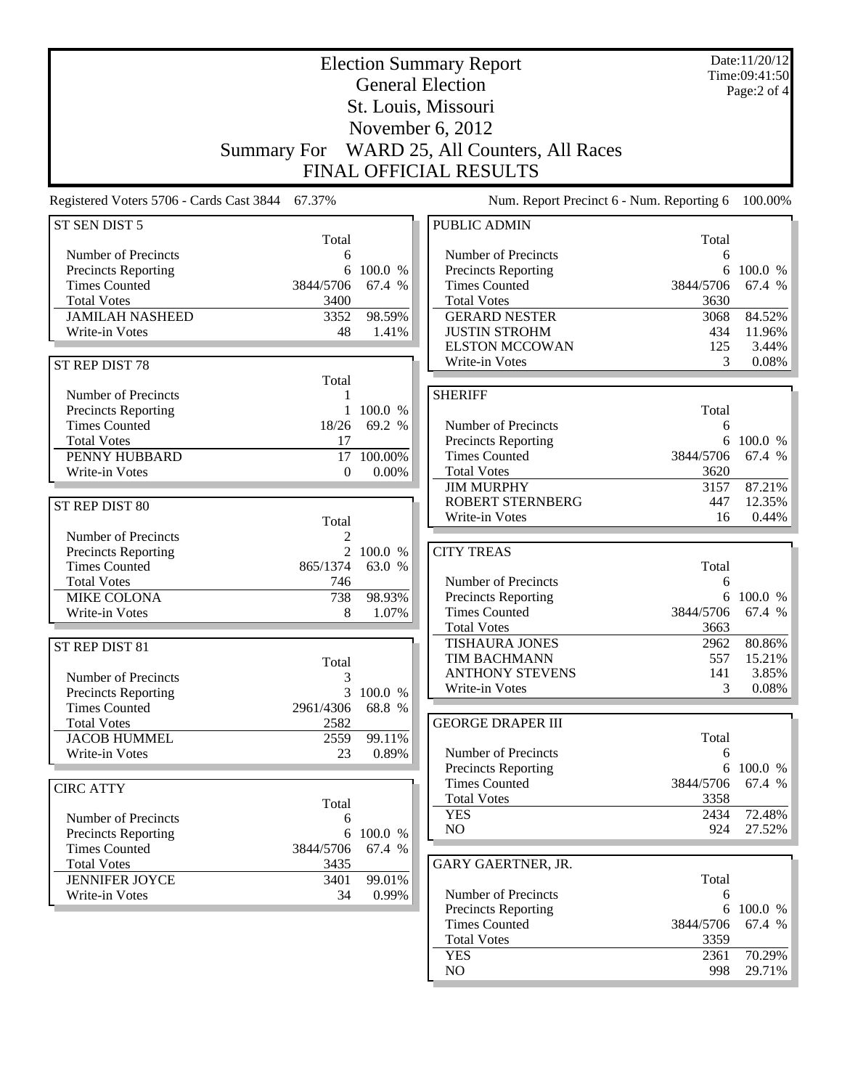|                                                 |                    |          | <b>Election Summary Report</b>                |            | Date:11/20/12<br>Time:09:41:50 |
|-------------------------------------------------|--------------------|----------|-----------------------------------------------|------------|--------------------------------|
|                                                 |                    |          | <b>General Election</b>                       |            | Page:2 of 4                    |
|                                                 |                    |          | St. Louis, Missouri                           |            |                                |
|                                                 |                    |          |                                               |            |                                |
|                                                 |                    |          | November 6, 2012                              |            |                                |
|                                                 | <b>Summary For</b> |          | WARD 25, All Counters, All Races              |            |                                |
|                                                 |                    |          | <b>FINAL OFFICIAL RESULTS</b>                 |            |                                |
| Registered Voters 5706 - Cards Cast 3844 67.37% |                    |          | Num. Report Precinct 6 - Num. Reporting 6     |            | 100.00%                        |
| ST SEN DIST 5                                   |                    |          | <b>PUBLIC ADMIN</b>                           |            |                                |
|                                                 | Total              |          |                                               | Total      |                                |
| Number of Precincts                             | 6                  |          | Number of Precincts                           | 6          |                                |
| <b>Precincts Reporting</b>                      | 6                  | 100.0 %  | Precincts Reporting                           | 6          | 100.0 %                        |
| <b>Times Counted</b>                            | 3844/5706          | 67.4 %   | <b>Times Counted</b>                          | 3844/5706  | 67.4 %                         |
| <b>Total Votes</b>                              | 3400               |          | <b>Total Votes</b>                            | 3630       |                                |
| <b>JAMILAH NASHEED</b>                          | 3352               | 98.59%   | <b>GERARD NESTER</b>                          | 3068       | 84.52%                         |
| Write-in Votes                                  | 48                 | 1.41%    | <b>JUSTIN STROHM</b><br><b>ELSTON MCCOWAN</b> | 434<br>125 | 11.96%<br>3.44%                |
|                                                 |                    |          | Write-in Votes                                | 3          | 0.08%                          |
| ST REP DIST 78                                  |                    |          |                                               |            |                                |
| Number of Precincts                             | Total<br>1         |          | <b>SHERIFF</b>                                |            |                                |
| Precincts Reporting                             | $\mathbf{1}$       | 100.0 %  |                                               | Total      |                                |
| <b>Times Counted</b>                            | 18/26              | 69.2 %   | Number of Precincts                           | 6          |                                |
| <b>Total Votes</b>                              | 17                 |          | Precincts Reporting                           |            | 6 100.0 %                      |
| PENNY HUBBARD                                   | 17                 | 100.00%  | <b>Times Counted</b>                          | 3844/5706  | 67.4 %                         |
| Write-in Votes                                  | $\mathbf{0}$       | $0.00\%$ | <b>Total Votes</b>                            | 3620       |                                |
|                                                 |                    |          | <b>JIM MURPHY</b>                             | 3157       | 87.21%                         |
| ST REP DIST 80                                  |                    |          | <b>ROBERT STERNBERG</b>                       | 447        | 12.35%                         |
|                                                 | Total              |          | Write-in Votes                                | 16         | 0.44%                          |
| Number of Precincts                             | 2                  |          |                                               |            |                                |
| <b>Precincts Reporting</b>                      | $\overline{2}$     | 100.0 %  | <b>CITY TREAS</b>                             |            |                                |
| <b>Times Counted</b>                            | 865/1374           | 63.0 %   |                                               | Total      |                                |
| <b>Total Votes</b>                              | 746                |          | Number of Precincts                           | 6          |                                |
| <b>MIKE COLONA</b>                              | 738                | 98.93%   | <b>Precincts Reporting</b>                    |            | 6 100.0 %                      |
| Write-in Votes                                  | 8                  | 1.07%    | <b>Times Counted</b>                          | 3844/5706  | 67.4 %                         |
|                                                 |                    |          | <b>Total Votes</b>                            | 3663       |                                |
| ST REP DIST 81                                  |                    |          | <b>TISHAURA JONES</b>                         | 2962       | 80.86%                         |
|                                                 | Total              |          | <b>TIM BACHMANN</b>                           | 557        | 15.21%                         |
| Number of Precincts                             | 3                  |          | <b>ANTHONY STEVENS</b>                        | 141        | 3.85%                          |
| <b>Precincts Reporting</b>                      | 3                  | 100.0 %  | Write-in Votes                                | 3          | 0.08%                          |
| <b>Times Counted</b>                            | 2961/4306          | 68.8 %   |                                               |            |                                |
| <b>Total Votes</b>                              | 2582               |          | <b>GEORGE DRAPER III</b>                      |            |                                |
| <b>JACOB HUMMEL</b>                             | 2559               | 99.11%   |                                               | Total      |                                |
| Write-in Votes                                  | 23                 | 0.89%    | Number of Precincts                           | 6          |                                |
|                                                 |                    |          | Precincts Reporting                           |            | 6 100.0 %                      |
| <b>CIRC ATTY</b>                                |                    |          | <b>Times Counted</b>                          | 3844/5706  | 67.4 %                         |
|                                                 | Total              |          | <b>Total Votes</b>                            | 3358       |                                |
| Number of Precincts                             | 6                  |          | <b>YES</b>                                    | 2434       | 72.48%                         |
| Precincts Reporting                             | 6                  | 100.0 %  | NO                                            | 924        | 27.52%                         |
| <b>Times Counted</b>                            | 3844/5706          | 67.4 %   |                                               |            |                                |
| <b>Total Votes</b>                              | 3435               |          | GARY GAERTNER, JR.                            |            |                                |
| <b>JENNIFER JOYCE</b>                           | 3401               | 99.01%   |                                               | Total      |                                |
| Write-in Votes                                  | 34                 | 0.99%    | Number of Precincts                           | 6          |                                |
|                                                 |                    |          | Precincts Reporting                           |            | 6 100.0 %                      |
|                                                 |                    |          | <b>Times Counted</b>                          | 3844/5706  | 67.4 %                         |
|                                                 |                    |          | <b>Total Votes</b>                            | 3359       |                                |
|                                                 |                    |          | <b>YES</b>                                    | 2361       | 70.29%                         |
|                                                 |                    |          | NO                                            | 998        | $29.71\%$                      |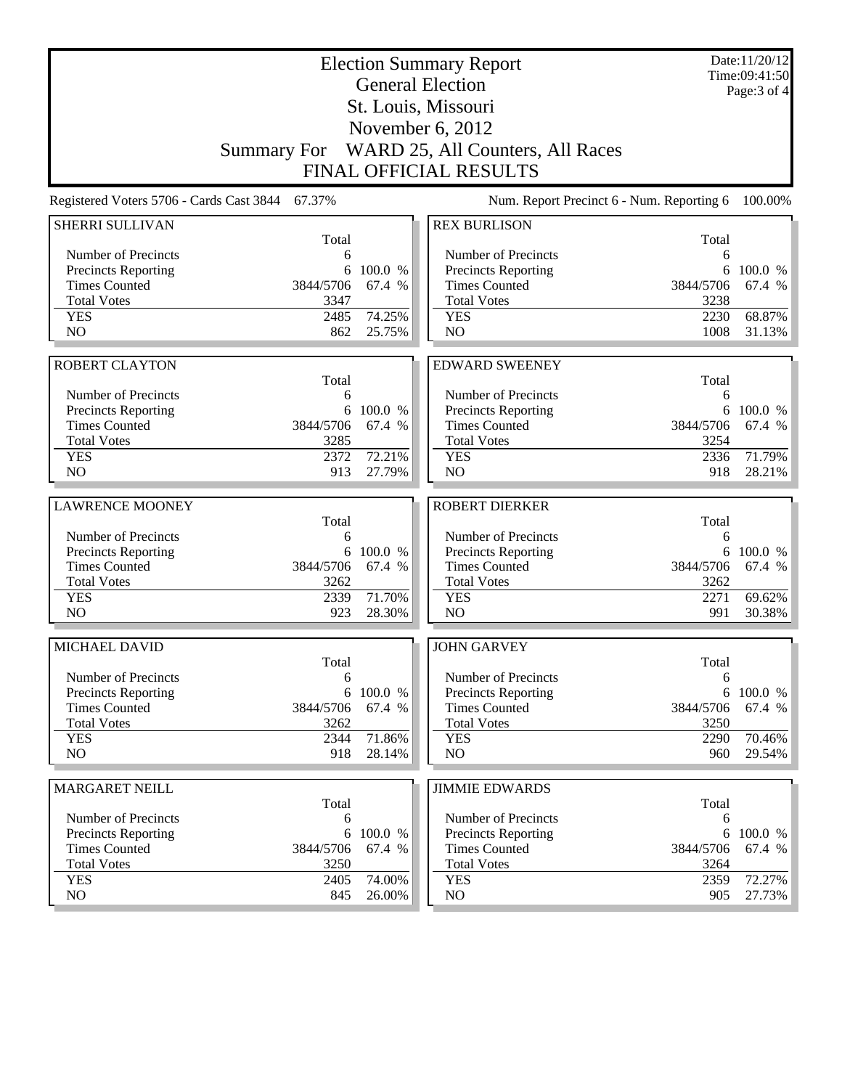| <b>Election Summary Report</b><br><b>General Election</b> |                   |                   |                                              |                   | Date:11/20/12<br>Time:09:41:50<br>Page: 3 of 4 |
|-----------------------------------------------------------|-------------------|-------------------|----------------------------------------------|-------------------|------------------------------------------------|
|                                                           |                   |                   | St. Louis, Missouri                          |                   |                                                |
|                                                           |                   |                   | November $6, 2012$                           |                   |                                                |
|                                                           |                   |                   | Summary For WARD 25, All Counters, All Races |                   |                                                |
|                                                           |                   |                   | <b>FINAL OFFICIAL RESULTS</b>                |                   |                                                |
| Registered Voters 5706 - Cards Cast 3844                  | 67.37%            |                   | Num. Report Precinct 6 - Num. Reporting 6    |                   | 100.00%                                        |
| <b>SHERRI SULLIVAN</b>                                    |                   |                   | <b>REX BURLISON</b>                          |                   |                                                |
|                                                           | Total             |                   |                                              | Total             |                                                |
| Number of Precincts                                       | 6                 |                   | Number of Precincts                          | 6                 |                                                |
| <b>Precincts Reporting</b>                                | 6                 | 100.0 %           | <b>Precincts Reporting</b>                   | 6                 | 100.0 %                                        |
| <b>Times Counted</b><br><b>Total Votes</b>                | 3844/5706<br>3347 | 67.4 %            | <b>Times Counted</b><br><b>Total Votes</b>   | 3844/5706<br>3238 | 67.4 %                                         |
| <b>YES</b>                                                | 2485              | 74.25%            | <b>YES</b>                                   | 2230              | 68.87%                                         |
| NO                                                        | 862               | 25.75%            | NO                                           | 1008              | 31.13%                                         |
|                                                           |                   |                   |                                              |                   |                                                |
| <b>ROBERT CLAYTON</b>                                     |                   |                   | <b>EDWARD SWEENEY</b>                        |                   |                                                |
|                                                           | Total             |                   |                                              | Total             |                                                |
| Number of Precincts                                       | 6                 |                   | Number of Precincts                          | 6                 |                                                |
| <b>Precincts Reporting</b><br><b>Times Counted</b>        | 6<br>3844/5706    | 100.0 %<br>67.4 % | Precincts Reporting<br><b>Times Counted</b>  | 6<br>3844/5706    | 100.0 %<br>67.4 %                              |
| <b>Total Votes</b>                                        | 3285              |                   | <b>Total Votes</b>                           | 3254              |                                                |
| <b>YES</b>                                                | 2372              | 72.21%            | <b>YES</b>                                   | 2336              | 71.79%                                         |
| NO                                                        | 913               | 27.79%            | N <sub>O</sub>                               | 918               | 28.21%                                         |
|                                                           |                   |                   |                                              |                   |                                                |
| <b>LAWRENCE MOONEY</b>                                    | Total             |                   | <b>ROBERT DIERKER</b>                        |                   |                                                |
| Number of Precincts                                       | 6                 |                   | Number of Precincts                          | Total<br>6        |                                                |
| Precincts Reporting                                       | 6                 | 100.0 %           | <b>Precincts Reporting</b>                   | 6                 | 100.0 %                                        |
| <b>Times Counted</b>                                      | 3844/5706         | 67.4 %            | <b>Times Counted</b>                         | 3844/5706         | 67.4 %                                         |
| <b>Total Votes</b>                                        | 3262              |                   | <b>Total Votes</b>                           | 3262              |                                                |
| <b>YES</b>                                                | 2339              | 71.70%            | <b>YES</b>                                   | 2271              | 69.62%                                         |
| NO                                                        | 923               | 28.30%            | NO                                           | 991               | 30.38%                                         |
| <b>MICHAEL DAVID</b>                                      |                   |                   | <b>JOHN GARVEY</b>                           |                   |                                                |
|                                                           | Total             |                   |                                              | Total             |                                                |
| Number of Precincts                                       | 6                 |                   | Number of Precincts                          | 6                 |                                                |
| Precincts Reporting<br><b>Times Counted</b>               | 6<br>3844/5706    | 100.0 %<br>67.4 % | Precincts Reporting<br><b>Times Counted</b>  | 6<br>3844/5706    | 100.0 %<br>67.4 %                              |
| <b>Total Votes</b>                                        | 3262              |                   | <b>Total Votes</b>                           | 3250              |                                                |
| <b>YES</b>                                                | 2344              | 71.86%            | <b>YES</b>                                   | 2290              | 70.46%                                         |
| NO                                                        | 918               | 28.14%            | NO.                                          | 960               | 29.54%                                         |
|                                                           |                   |                   |                                              |                   |                                                |
| <b>MARGARET NEILL</b>                                     | Total             |                   | <b>JIMMIE EDWARDS</b>                        | Total             |                                                |
| Number of Precincts                                       | 6                 |                   | Number of Precincts                          | 6                 |                                                |
| <b>Precincts Reporting</b>                                | 6                 | 100.0 %           | <b>Precincts Reporting</b>                   | 6                 | 100.0 %                                        |
| <b>Times Counted</b>                                      | 3844/5706         | 67.4 %            | <b>Times Counted</b>                         | 3844/5706         | 67.4 %                                         |
| <b>Total Votes</b>                                        | 3250              |                   | <b>Total Votes</b>                           | 3264              |                                                |
| <b>YES</b>                                                | 2405              | 74.00%            | <b>YES</b>                                   | 2359              | 72.27%                                         |
| NO                                                        | 845               | 26.00%            | NO.                                          | 905               | 27.73%                                         |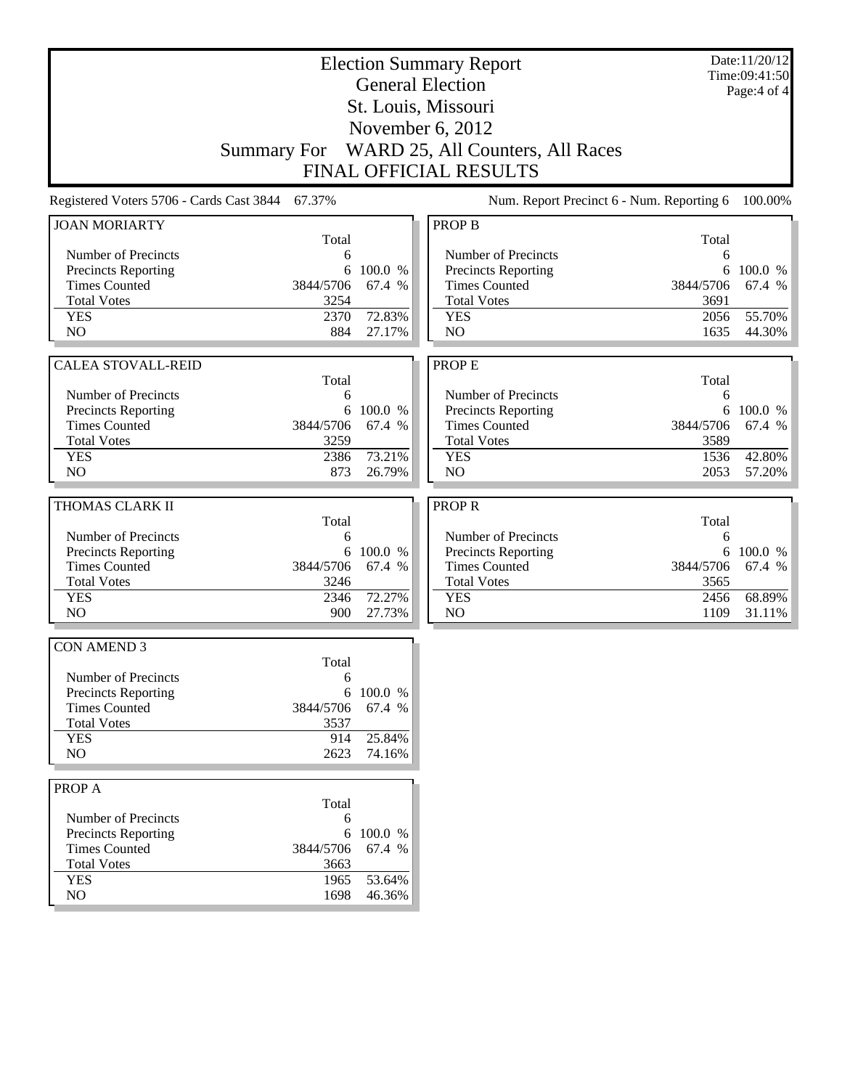|                                          |            |           | <b>Election Summary Report</b><br><b>General Election</b> |            | Date:11/20/12<br>Time:09:41:50 |
|------------------------------------------|------------|-----------|-----------------------------------------------------------|------------|--------------------------------|
|                                          |            |           | St. Louis, Missouri                                       |            | Page:4 of 4                    |
|                                          |            |           |                                                           |            |                                |
|                                          |            |           | November 6, 2012                                          |            |                                |
|                                          |            |           | Summary For WARD 25, All Counters, All Races              |            |                                |
|                                          |            |           | <b>FINAL OFFICIAL RESULTS</b>                             |            |                                |
| Registered Voters 5706 - Cards Cast 3844 | 67.37%     |           | Num. Report Precinct 6 - Num. Reporting 6                 |            | 100.00%                        |
| <b>JOAN MORIARTY</b>                     | Total      |           | <b>PROP B</b>                                             | Total      |                                |
| Number of Precincts                      | 6          |           | Number of Precincts                                       | 6          |                                |
| Precincts Reporting                      | 6          | 100.0 %   | Precincts Reporting                                       |            | 6 100.0 %                      |
| <b>Times Counted</b>                     | 3844/5706  | 67.4 %    | <b>Times Counted</b>                                      | 3844/5706  | 67.4 %                         |
| <b>Total Votes</b>                       | 3254       |           | <b>Total Votes</b>                                        | 3691       |                                |
| <b>YES</b>                               | 2370       | 72.83%    | <b>YES</b>                                                | 2056       | 55.70%                         |
| N <sub>O</sub>                           | 884        | 27.17%    | N <sub>O</sub>                                            | 1635       | 44.30%                         |
|                                          |            |           |                                                           |            |                                |
| <b>CALEA STOVALL-REID</b>                | Total      |           | <b>PROPE</b>                                              | Total      |                                |
| Number of Precincts                      | 6          |           | Number of Precincts                                       | 6          |                                |
| Precincts Reporting                      |            | 6 100.0 % | Precincts Reporting                                       |            | 6 100.0 %                      |
| <b>Times Counted</b>                     | 3844/5706  | 67.4 %    | <b>Times Counted</b>                                      | 3844/5706  | 67.4 %                         |
| <b>Total Votes</b>                       | 3259       |           | <b>Total Votes</b>                                        | 3589       |                                |
| <b>YES</b>                               | 2386       | 73.21%    | <b>YES</b>                                                | 1536       | 42.80%                         |
| NO                                       | 873        | 26.79%    | N <sub>O</sub>                                            | 2053       | 57.20%                         |
|                                          |            |           |                                                           |            |                                |
| THOMAS CLARK II                          |            |           | <b>PROPR</b>                                              |            |                                |
| Number of Precincts                      | Total<br>6 |           | Number of Precincts                                       | Total<br>6 |                                |
| Precincts Reporting                      | 6          | 100.0 %   | Precincts Reporting                                       |            | 6 100.0 %                      |
| <b>Times Counted</b>                     | 3844/5706  | 67.4 %    | <b>Times Counted</b>                                      | 3844/5706  | 67.4 %                         |
| <b>Total Votes</b>                       | 3246       |           | <b>Total Votes</b>                                        | 3565       |                                |
| <b>YES</b>                               | 2346       | 72.27%    | <b>YES</b>                                                | 2456       | 68.89%                         |
| N <sub>O</sub>                           | 900        | 27.73%    | N <sub>O</sub>                                            | 1109       | 31.11%                         |
| <b>CON AMEND 3</b>                       |            |           |                                                           |            |                                |
|                                          | Total      |           |                                                           |            |                                |
| Number of Precincts                      | 6          |           |                                                           |            |                                |
| <b>Precincts Reporting</b>               | 6          | 100.0 %   |                                                           |            |                                |
| <b>Times Counted</b>                     | 3844/5706  | 67.4 %    |                                                           |            |                                |
| <b>Total Votes</b>                       | 3537       |           |                                                           |            |                                |
| <b>YES</b>                               | 914        | 25.84%    |                                                           |            |                                |
| NO                                       | 2623       | 74.16%    |                                                           |            |                                |
| PROP A                                   |            |           |                                                           |            |                                |
|                                          | Total      |           |                                                           |            |                                |
| Number of Precincts                      | 6          |           |                                                           |            |                                |
| Precincts Reporting                      | 6          | 100.0 %   |                                                           |            |                                |
| <b>Times Counted</b>                     | 3844/5706  | 67.4 %    |                                                           |            |                                |
| <b>Total Votes</b>                       | 3663       |           |                                                           |            |                                |
| <b>YES</b>                               | 1965       | 53.64%    |                                                           |            |                                |
| NO                                       | 1698       | 46.36%    |                                                           |            |                                |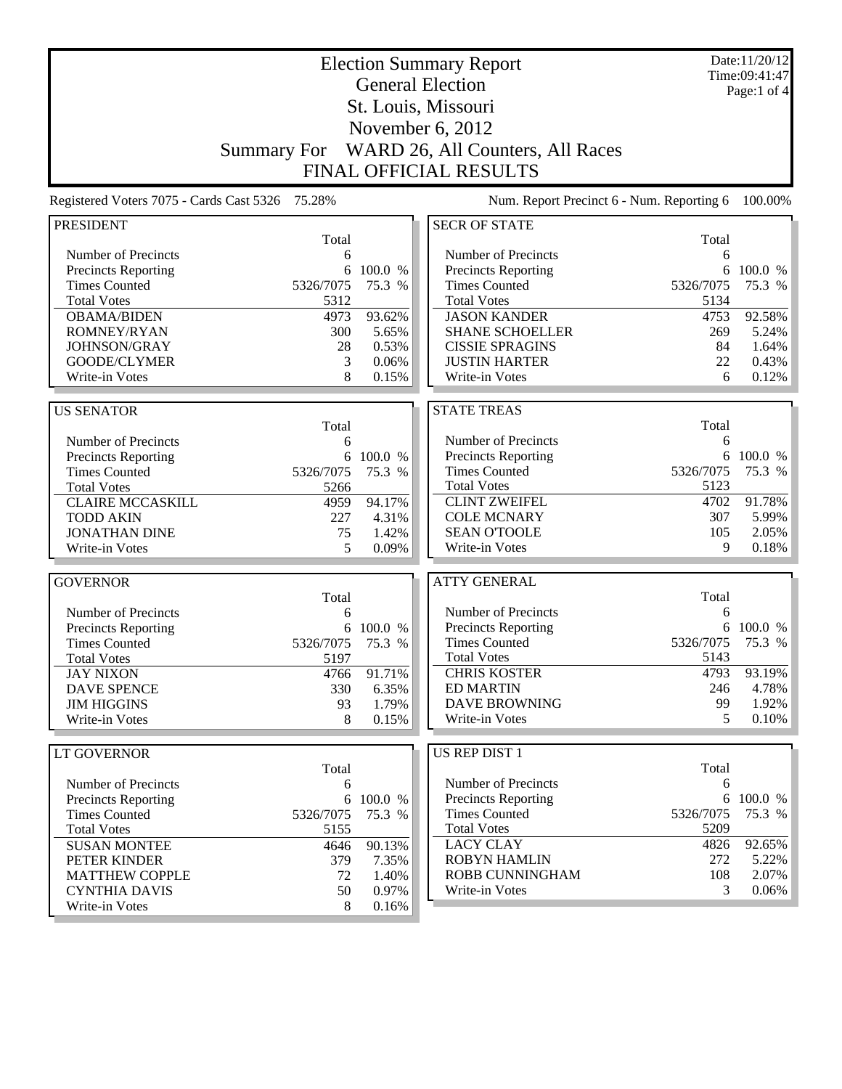|                                          |                    |           | <b>Election Summary Report</b>            |           | Date:11/20/12<br>Time:09:41:47 |
|------------------------------------------|--------------------|-----------|-------------------------------------------|-----------|--------------------------------|
|                                          |                    |           | <b>General Election</b>                   |           | Page:1 of $4$                  |
|                                          |                    |           | St. Louis, Missouri                       |           |                                |
|                                          |                    |           | November 6, 2012                          |           |                                |
|                                          | <b>Summary For</b> |           | WARD 26, All Counters, All Races          |           |                                |
|                                          |                    |           | <b>FINAL OFFICIAL RESULTS</b>             |           |                                |
|                                          |                    |           |                                           |           |                                |
| Registered Voters 7075 - Cards Cast 5326 | 75.28%             |           | Num. Report Precinct 6 - Num. Reporting 6 |           | 100.00%                        |
| <b>PRESIDENT</b>                         | Total              |           | <b>SECR OF STATE</b>                      | Total     |                                |
| Number of Precincts                      | 6                  |           | Number of Precincts                       | 6         |                                |
| Precincts Reporting                      | 6                  | 100.0 %   | <b>Precincts Reporting</b>                | 6         | 100.0 %                        |
| <b>Times Counted</b>                     | 5326/7075          | 75.3 %    | <b>Times Counted</b>                      | 5326/7075 | 75.3 %                         |
| <b>Total Votes</b>                       | 5312               |           | <b>Total Votes</b>                        | 5134      |                                |
| <b>OBAMA/BIDEN</b>                       | 4973               | 93.62%    | <b>JASON KANDER</b>                       | 4753      | 92.58%                         |
| ROMNEY/RYAN                              | 300                | 5.65%     | <b>SHANE SCHOELLER</b>                    | 269       | 5.24%                          |
| JOHNSON/GRAY                             | 28                 | 0.53%     | <b>CISSIE SPRAGINS</b>                    | 84        | 1.64%                          |
| GOODE/CLYMER                             | 3                  | 0.06%     | <b>JUSTIN HARTER</b>                      | 22        | 0.43%                          |
| Write-in Votes                           | 8                  | 0.15%     | Write-in Votes                            | 6         | 0.12%                          |
|                                          |                    |           |                                           |           |                                |
| <b>US SENATOR</b>                        | Total              |           | <b>STATE TREAS</b>                        | Total     |                                |
| Number of Precincts                      | 6                  |           | Number of Precincts                       | 6         |                                |
| Precincts Reporting                      |                    | 6 100.0 % | Precincts Reporting                       | 6         | 100.0 %                        |
| <b>Times Counted</b>                     | 5326/7075          | 75.3 %    | <b>Times Counted</b>                      | 5326/7075 | 75.3 %                         |
| <b>Total Votes</b>                       | 5266               |           | <b>Total Votes</b>                        | 5123      |                                |
| <b>CLAIRE MCCASKILL</b>                  | 4959               | 94.17%    | <b>CLINT ZWEIFEL</b>                      | 4702      | 91.78%                         |
| <b>TODD AKIN</b>                         | 227                | 4.31%     | <b>COLE MCNARY</b>                        | 307       | 5.99%                          |
| <b>JONATHAN DINE</b>                     | 75                 | 1.42%     | <b>SEAN O'TOOLE</b>                       | 105       | 2.05%                          |
| Write-in Votes                           | 5                  | 0.09%     | Write-in Votes                            | 9         | 0.18%                          |
|                                          |                    |           |                                           |           |                                |
| <b>GOVERNOR</b>                          |                    |           | <b>ATTY GENERAL</b>                       | Total     |                                |
| Number of Precincts                      | Total              |           | Number of Precincts                       | 6         |                                |
| <b>Precincts Reporting</b>               | 6<br>6             | 100.0 %   | <b>Precincts Reporting</b>                |           | 6 100.0 %                      |
| <b>Times Counted</b>                     | 5326/7075          | 75.3 %    | <b>Times Counted</b>                      | 5326/7075 | 75.3 %                         |
| <b>Total Votes</b>                       | 5197               |           | <b>Total Votes</b>                        | 5143      |                                |
| <b>JAY NIXON</b>                         | 4766               | 91.71%    | <b>CHRIS KOSTER</b>                       | 4793      | 93.19%                         |
| <b>DAVE SPENCE</b>                       | 330                | 6.35%     | <b>ED MARTIN</b>                          | 246       | 4.78%                          |
| <b>JIM HIGGINS</b>                       | 93                 | 1.79%     | <b>DAVE BROWNING</b>                      | 99        | 1.92%                          |
| Write-in Votes                           | 8                  | 0.15%     | Write-in Votes                            | 5         | 0.10%                          |
|                                          |                    |           |                                           |           |                                |
| LT GOVERNOR                              | Total              |           | US REP DIST 1                             | Total     |                                |
| Number of Precincts                      | 6                  |           | Number of Precincts                       | 6         |                                |
| Precincts Reporting                      |                    | 6 100.0 % | <b>Precincts Reporting</b>                | 6         | 100.0 %                        |
| <b>Times Counted</b>                     | 5326/7075          | 75.3 %    | <b>Times Counted</b>                      | 5326/7075 | 75.3 %                         |
| <b>Total Votes</b>                       | 5155               |           | <b>Total Votes</b>                        | 5209      |                                |
| <b>SUSAN MONTEE</b>                      | 4646               | 90.13%    | <b>LACY CLAY</b>                          | 4826      | 92.65%                         |
| PETER KINDER                             | 379                | 7.35%     | <b>ROBYN HAMLIN</b>                       | 272       | 5.22%                          |
| <b>MATTHEW COPPLE</b>                    | 72                 | 1.40%     | ROBB CUNNINGHAM                           | 108       | 2.07%                          |
| <b>CYNTHIA DAVIS</b>                     | 50                 | 0.97%     | Write-in Votes                            | 3         | 0.06%                          |
| Write-in Votes                           | 8                  | 0.16%     |                                           |           |                                |
|                                          |                    |           |                                           |           |                                |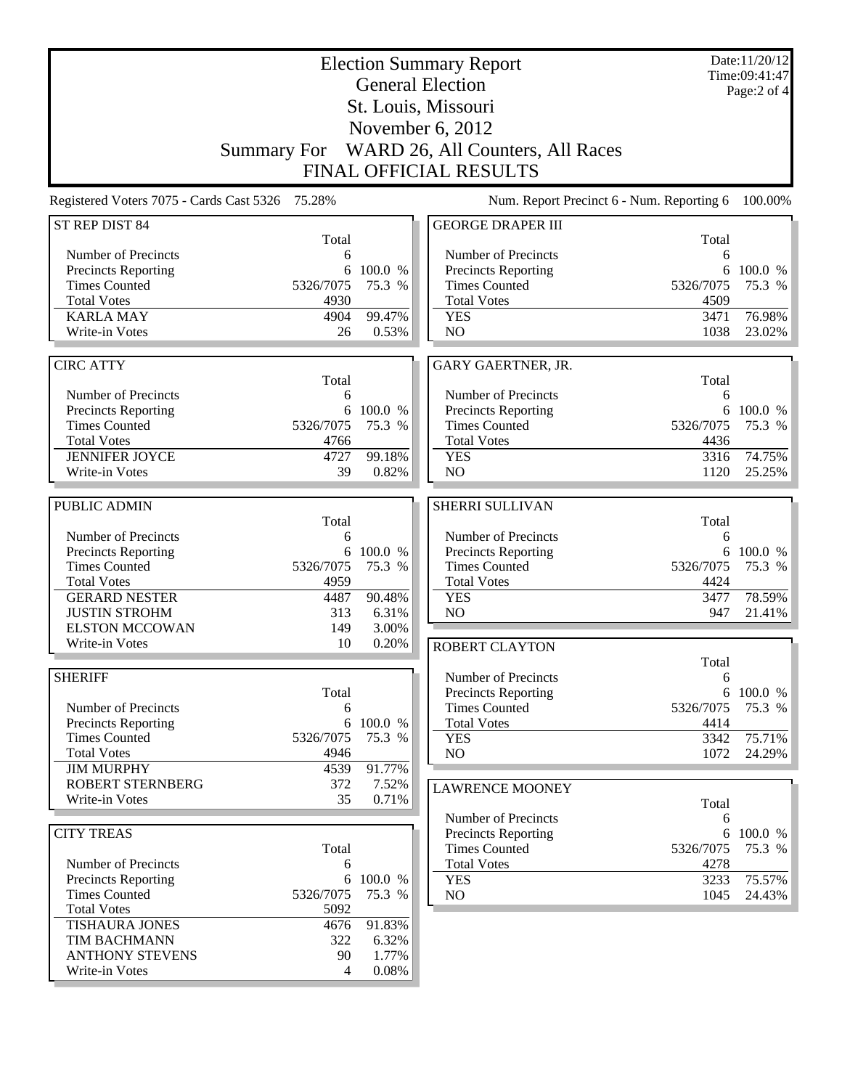|                                                                                                                                                                          | <b>Election Summary Report</b><br><b>General Election</b><br>St. Louis, Missouri<br>November 6, 2012 |                                               |                                                                                                                          |                                                      | Date:11/20/12<br>Time:09:41:47<br>Page:2 of 4 |
|--------------------------------------------------------------------------------------------------------------------------------------------------------------------------|------------------------------------------------------------------------------------------------------|-----------------------------------------------|--------------------------------------------------------------------------------------------------------------------------|------------------------------------------------------|-----------------------------------------------|
|                                                                                                                                                                          | <b>Summary For</b>                                                                                   |                                               | WARD 26, All Counters, All Races<br><b>FINAL OFFICIAL RESULTS</b>                                                        |                                                      |                                               |
| Registered Voters 7075 - Cards Cast 5326 75.28%                                                                                                                          |                                                                                                      |                                               | Num. Report Precinct 6 - Num. Reporting 6                                                                                |                                                      | 100.00%                                       |
| ST REP DIST 84                                                                                                                                                           | Total                                                                                                |                                               | <b>GEORGE DRAPER III</b>                                                                                                 | Total                                                |                                               |
| Number of Precincts<br><b>Precincts Reporting</b><br><b>Times Counted</b><br><b>Total Votes</b><br><b>KARLA MAY</b><br>Write-in Votes                                    | 6<br>6<br>5326/7075<br>4930<br>4904<br>26                                                            | 100.0 %<br>75.3 %<br>99.47%<br>0.53%          | Number of Precincts<br><b>Precincts Reporting</b><br><b>Times Counted</b><br><b>Total Votes</b><br><b>YES</b><br>NO      | 6<br>6<br>5326/7075<br>4509<br>3471<br>1038          | 100.0 %<br>75.3 %<br>76.98%<br>23.02%         |
| <b>CIRC ATTY</b>                                                                                                                                                         | Total                                                                                                |                                               | <b>GARY GAERTNER, JR.</b>                                                                                                |                                                      |                                               |
| Number of Precincts<br><b>Precincts Reporting</b><br><b>Times Counted</b><br><b>Total Votes</b><br><b>JENNIFER JOYCE</b><br>Write-in Votes                               | 6<br>6<br>5326/7075<br>4766<br>4727<br>39                                                            | 100.0 %<br>75.3 %<br>99.18%<br>0.82%          | Number of Precincts<br>Precincts Reporting<br><b>Times Counted</b><br><b>Total Votes</b><br><b>YES</b><br>N <sub>O</sub> | Total<br>6<br>6<br>5326/7075<br>4436<br>3316<br>1120 | 100.0 %<br>75.3 %<br>74.75%<br>25.25%         |
| PUBLIC ADMIN                                                                                                                                                             |                                                                                                      |                                               | <b>SHERRI SULLIVAN</b>                                                                                                   |                                                      |                                               |
| Number of Precincts<br><b>Precincts Reporting</b><br><b>Times Counted</b><br><b>Total Votes</b><br><b>GERARD NESTER</b><br><b>JUSTIN STROHM</b><br><b>ELSTON MCCOWAN</b> | Total<br>6<br>6<br>5326/7075<br>4959<br>4487<br>313<br>149                                           | 100.0 %<br>75.3 %<br>90.48%<br>6.31%<br>3.00% | Number of Precincts<br>Precincts Reporting<br><b>Times Counted</b><br><b>Total Votes</b><br><b>YES</b><br>NO             | Total<br>6<br>6<br>5326/7075<br>4424<br>3477<br>947  | 100.0 %<br>75.3 %<br>78.59%<br>21.41%         |
| Write-in Votes                                                                                                                                                           | 10                                                                                                   | 0.20%                                         | <b>ROBERT CLAYTON</b>                                                                                                    |                                                      |                                               |
| <b>SHERIFF</b><br>Number of Precincts<br><b>Precincts Reporting</b><br><b>Times Counted</b><br><b>Total Votes</b><br><b>JIM MURPHY</b>                                   | Total<br>6<br>6<br>5326/7075<br>4946                                                                 | 100.0 %<br>75.3 %                             | Number of Precincts<br>Precincts Reporting<br><b>Times Counted</b><br><b>Total Votes</b><br><b>YES</b><br>NO             | Total<br>6<br>5326/7075<br>4414<br>3342<br>1072      | 6 100.0 %<br>75.3 %<br>75.71%<br>24.29%       |
| <b>ROBERT STERNBERG</b><br>Write-in Votes                                                                                                                                | 4539<br>372<br>35                                                                                    | 91.77%<br>7.52%<br>0.71%                      | <b>LAWRENCE MOONEY</b>                                                                                                   | Total                                                |                                               |
|                                                                                                                                                                          |                                                                                                      |                                               | Number of Precincts                                                                                                      | 6                                                    |                                               |
| <b>CITY TREAS</b><br>Number of Precincts<br>Precincts Reporting<br><b>Times Counted</b><br><b>Total Votes</b>                                                            | Total<br>6<br>5326/7075<br>5092                                                                      | 6 100.0 %<br>75.3 %                           | <b>Precincts Reporting</b><br><b>Times Counted</b><br><b>Total Votes</b><br><b>YES</b><br>NO                             | 5326/7075<br>4278<br>3233<br>1045                    | 6 100.0 %<br>75.3 %<br>75.57%<br>24.43%       |
| <b>TISHAURA JONES</b><br><b>TIM BACHMANN</b><br><b>ANTHONY STEVENS</b><br>Write-in Votes                                                                                 | 4676<br>322<br>90<br>4                                                                               | 91.83%<br>6.32%<br>1.77%<br>0.08%             |                                                                                                                          |                                                      |                                               |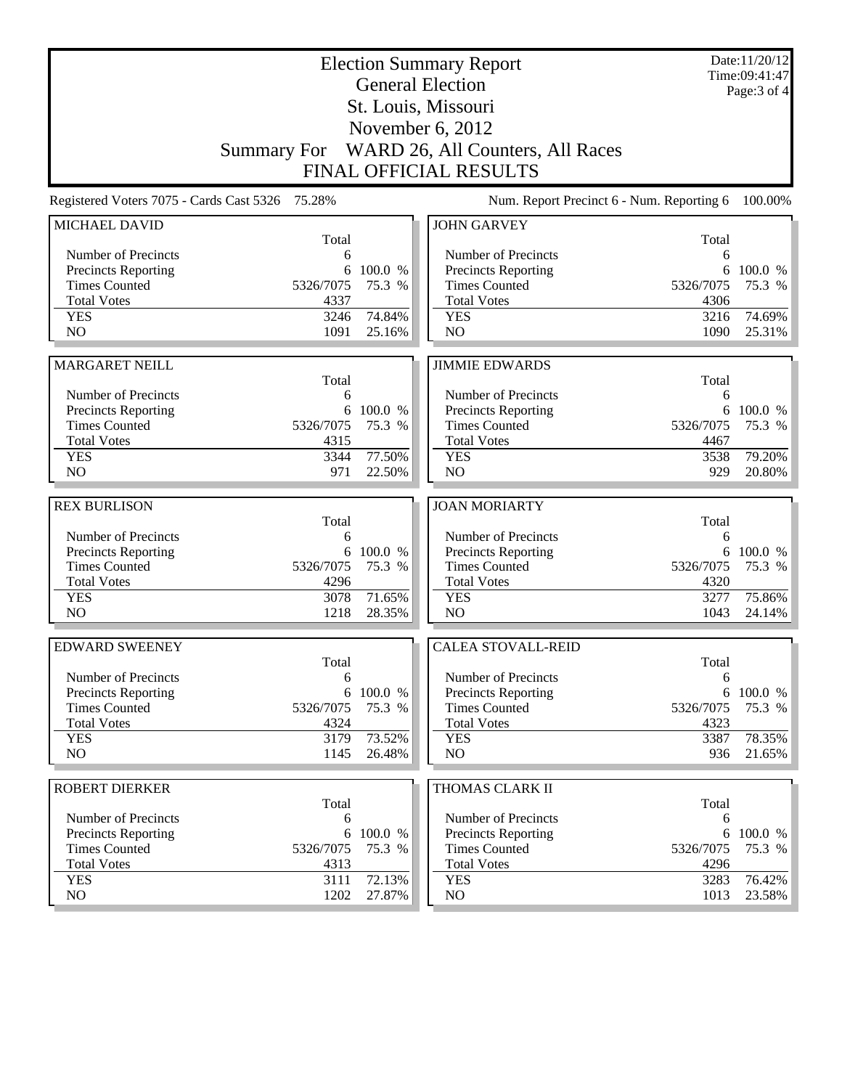| <b>Election Summary Report</b><br><b>General Election</b><br>St. Louis, Missouri |              |                  |                                                   |                                           | Date:11/20/12<br>Time:09:41:47<br>Page: 3 of 4 |
|----------------------------------------------------------------------------------|--------------|------------------|---------------------------------------------------|-------------------------------------------|------------------------------------------------|
|                                                                                  |              |                  |                                                   |                                           |                                                |
| November 6, 2012<br>Summary For WARD 26, All Counters, All Races                 |              |                  |                                                   |                                           |                                                |
|                                                                                  |              |                  | <b>FINAL OFFICIAL RESULTS</b>                     |                                           |                                                |
|                                                                                  |              |                  |                                                   |                                           |                                                |
| Registered Voters 7075 - Cards Cast 5326 75.28%                                  |              |                  |                                                   | Num. Report Precinct 6 - Num. Reporting 6 | 100.00%                                        |
| <b>MICHAEL DAVID</b>                                                             | Total        |                  | <b>JOHN GARVEY</b>                                | Total                                     |                                                |
| Number of Precincts                                                              | 6            |                  | Number of Precincts                               | 6                                         |                                                |
| Precincts Reporting                                                              | 6            | 100.0 %          | <b>Precincts Reporting</b>                        | 6                                         | 100.0 %                                        |
| <b>Times Counted</b>                                                             | 5326/7075    | 75.3 %           | <b>Times Counted</b>                              | 5326/7075                                 | 75.3 %                                         |
| <b>Total Votes</b>                                                               | 4337         |                  | <b>Total Votes</b>                                | 4306                                      |                                                |
| <b>YES</b>                                                                       | 3246         | 74.84%           | <b>YES</b>                                        | 3216                                      | 74.69%                                         |
| N <sub>O</sub>                                                                   | 1091         | 25.16%           | N <sub>O</sub>                                    | 1090                                      | 25.31%                                         |
|                                                                                  |              |                  |                                                   |                                           |                                                |
| <b>MARGARET NEILL</b>                                                            | Total        |                  | <b>JIMMIE EDWARDS</b>                             | Total                                     |                                                |
| Number of Precincts                                                              | 6            |                  | Number of Precincts                               | 6                                         |                                                |
| Precincts Reporting                                                              |              | 6 100.0 %        | Precincts Reporting                               | 6                                         | 100.0 %                                        |
| <b>Times Counted</b>                                                             | 5326/7075    | 75.3 %           | <b>Times Counted</b>                              | 5326/7075                                 | 75.3 %                                         |
| <b>Total Votes</b>                                                               | 4315         |                  | <b>Total Votes</b>                                | 4467                                      |                                                |
| <b>YES</b>                                                                       | 3344         | 77.50%           | <b>YES</b>                                        | 3538                                      | 79.20%                                         |
| NO                                                                               | 971          | 22.50%           | N <sub>O</sub>                                    | 929                                       | 20.80%                                         |
|                                                                                  |              |                  |                                                   |                                           |                                                |
|                                                                                  |              |                  |                                                   |                                           |                                                |
| <b>REX BURLISON</b>                                                              |              |                  | <b>JOAN MORIARTY</b>                              |                                           |                                                |
|                                                                                  | Total        |                  |                                                   | Total                                     |                                                |
| Number of Precincts                                                              | 6            |                  | Number of Precincts                               | 6                                         |                                                |
| Precincts Reporting                                                              | 6            | 100.0 %          | <b>Precincts Reporting</b>                        | 6                                         | 100.0 %                                        |
| <b>Times Counted</b>                                                             | 5326/7075    | 75.3 %           | <b>Times Counted</b>                              | 5326/7075                                 | 75.3 %                                         |
| <b>Total Votes</b>                                                               | 4296         |                  | <b>Total Votes</b>                                | 4320                                      |                                                |
| <b>YES</b><br>NO                                                                 | 3078<br>1218 | 71.65%<br>28.35% | <b>YES</b><br>NO                                  | 3277<br>1043                              | 75.86%<br>24.14%                               |
|                                                                                  |              |                  |                                                   |                                           |                                                |
| <b>EDWARD SWEENEY</b>                                                            |              |                  | <b>CALEA STOVALL-REID</b>                         |                                           |                                                |
|                                                                                  | Total<br>6   |                  |                                                   | Total<br>6                                |                                                |
| Number of Precincts<br>Precincts Reporting                                       |              | 6 100.0 %        | Number of Precincts<br><b>Precincts Reporting</b> |                                           | 6 100.0 %                                      |
| <b>Times Counted</b>                                                             | 5326/7075    | 75.3 %           | <b>Times Counted</b>                              | 5326/7075                                 | 75.3 %                                         |
| <b>Total Votes</b>                                                               | 4324         |                  | <b>Total Votes</b>                                | 4323                                      |                                                |
| <b>YES</b>                                                                       | 3179         | 73.52%           | <b>YES</b>                                        | 3387                                      | 78.35%                                         |
| NO                                                                               | 1145         | 26.48%           | NO                                                | 936                                       | $21.65\%$                                      |
|                                                                                  |              |                  |                                                   |                                           |                                                |
| <b>ROBERT DIERKER</b>                                                            |              |                  | THOMAS CLARK II                                   |                                           |                                                |
| Number of Precincts                                                              | Total<br>6   |                  | Number of Precincts                               | Total<br>6                                |                                                |
| <b>Precincts Reporting</b>                                                       | 6            | 100.0 %          | <b>Precincts Reporting</b>                        | 6                                         | 100.0 %                                        |
| <b>Times Counted</b>                                                             | 5326/7075    | 75.3 %           | <b>Times Counted</b>                              | 5326/7075                                 | 75.3 %                                         |
| <b>Total Votes</b>                                                               | 4313         |                  | <b>Total Votes</b>                                | 4296                                      |                                                |
| <b>YES</b><br>NO                                                                 | 3111<br>1202 | 72.13%<br>27.87% | <b>YES</b><br>NO                                  | 3283<br>1013                              | 76.42%<br>23.58%                               |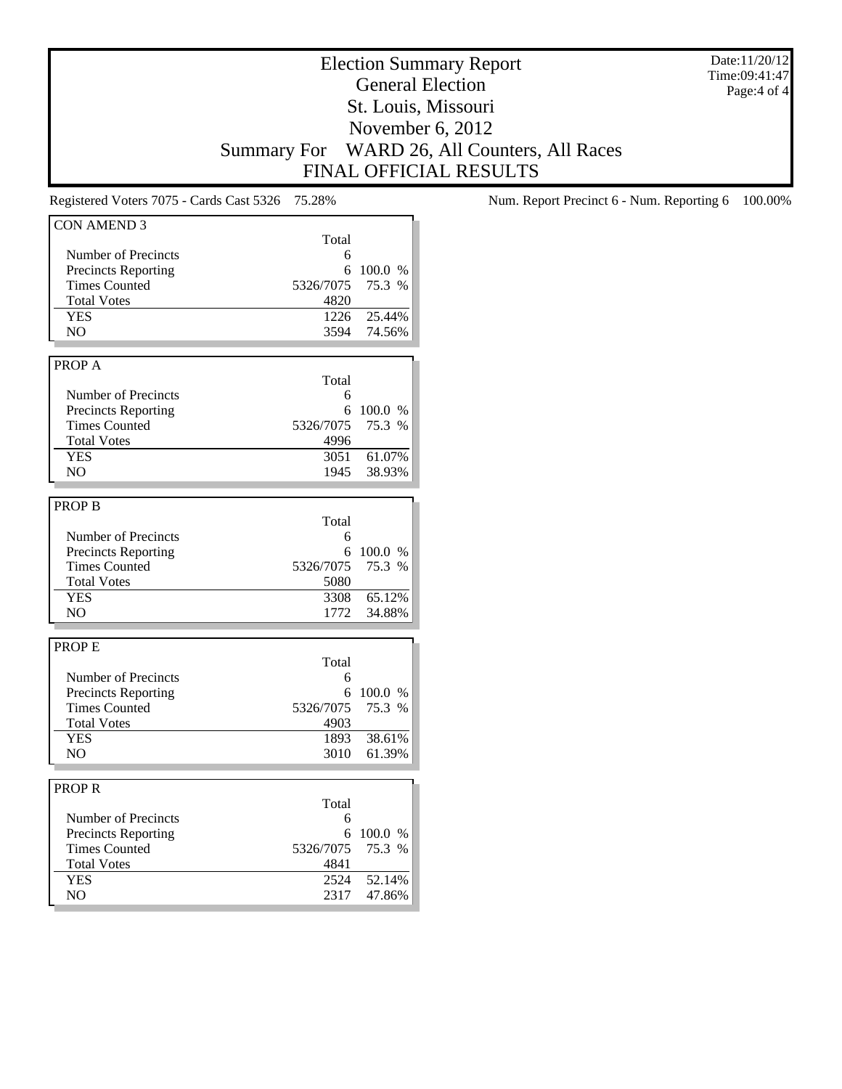Date:11/20/12 Time:09:41:47 Page:4 of 4

# Election Summary Report General Election St. Louis, Missouri November 6, 2012 Summary For WARD 26, All Counters, All Races FINAL OFFICIAL RESULTS

| <b>CON AMEND 3</b>         |                   |         |
|----------------------------|-------------------|---------|
|                            | Total             |         |
| Number of Precincts        | 6                 |         |
| <b>Precincts Reporting</b> | 6                 | 100.0 % |
| <b>Times Counted</b>       | 5326/7075         | 75.3 %  |
| <b>Total Votes</b>         | 4820              |         |
| <b>YES</b>                 | 1226              | 25.44%  |
| NO                         | 3594              | 74.56%  |
|                            |                   |         |
| PROP A                     |                   |         |
|                            |                   |         |
|                            | Total             |         |
| Number of Precincts        | 6                 |         |
| <b>Precincts Reporting</b> | 6                 | 100.0 % |
| <b>Times Counted</b>       | 5326/7075         | 75.3 %  |
| <b>Total Votes</b>         | 4996              |         |
| <b>YES</b>                 | 3051              | 61.07%  |
| NO.                        | 1945              | 38.93%  |
|                            |                   |         |
| <b>PROP B</b>              |                   |         |
|                            | Total             |         |
| Number of Precincts        | 6                 |         |
| <b>Precincts Reporting</b> | 6                 | 100.0 % |
| <b>Times Counted</b>       | 5326/7075         | 75.3 %  |
| <b>Total Votes</b>         | 5080              |         |
| <b>YES</b>                 | 3308              | 65.12%  |
| NO.                        | 1772              | 34.88%  |
|                            |                   |         |
| <b>PROPE</b>               |                   |         |
|                            | Total             |         |
| Number of Precincts        | 6                 |         |
| <b>Precincts Reporting</b> | 6                 | 100.0 % |
| <b>Times Counted</b>       |                   | 75.3 %  |
| <b>Total Votes</b>         | 5326/7075<br>4903 |         |
|                            |                   |         |
| <b>YES</b>                 | 1893              | 38.61%  |
| NO                         | 3010              | 61.39%  |
|                            |                   |         |
| <b>PROPR</b>               |                   |         |
|                            | Total             |         |
| Number of Precincts        | 6                 |         |
| <b>Precincts Reporting</b> | 6                 | 100.0 % |
| <b>Times Counted</b>       | 5326/7075         | 75.3 %  |
| <b>Total Votes</b>         | 4841              |         |
| <b>YES</b>                 | 2524              | 52.14%  |
| NO                         | 2317              | 47.86%  |

Registered Voters 7075 - Cards Cast 5326 75.28% Num. Report Precinct 6 - Num. Reporting 6 100.00%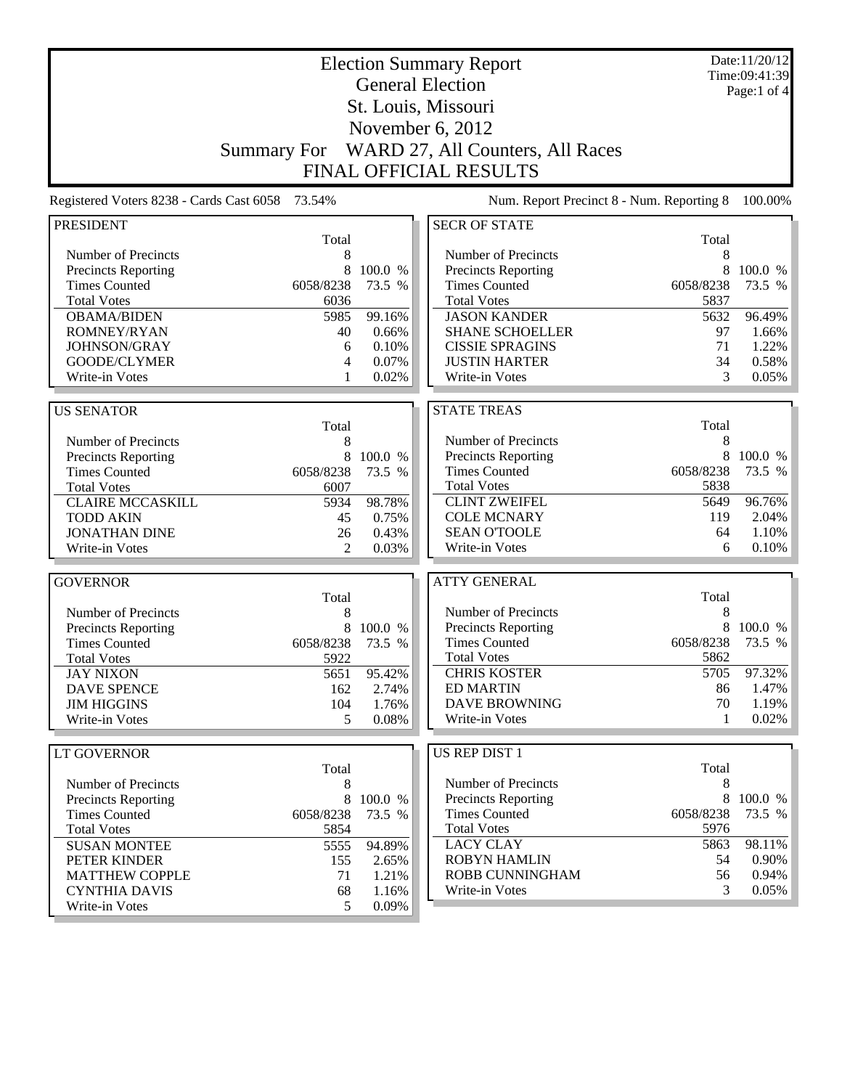| <b>Election Summary Report</b>                                                                                     | Time:09:41:39 | Date:11/20/12 |
|--------------------------------------------------------------------------------------------------------------------|---------------|---------------|
| <b>General Election</b>                                                                                            |               | Page:1 of $4$ |
| St. Louis, Missouri                                                                                                |               |               |
| November 6, 2012                                                                                                   |               |               |
|                                                                                                                    |               |               |
| WARD 27, All Counters, All Races<br><b>Summary For</b>                                                             |               |               |
| <b>FINAL OFFICIAL RESULTS</b>                                                                                      |               |               |
| Registered Voters 8238 - Cards Cast 6058<br>73.54%<br>Num. Report Precinct 8 - Num. Reporting 8                    |               | 100.00%       |
| <b>SECR OF STATE</b><br><b>PRESIDENT</b>                                                                           |               |               |
| Total                                                                                                              | Total         |               |
| Number of Precincts<br>Number of Precincts<br>8                                                                    | 8             |               |
| 8<br>100.0 %<br>Precincts Reporting<br>Precincts Reporting                                                         | 8             | 100.0 %       |
| <b>Times Counted</b><br><b>Times Counted</b><br>6058/8238<br>73.5 %<br>6058/8238                                   |               | 73.5 %        |
| <b>Total Votes</b><br>6036<br><b>Total Votes</b>                                                                   | 5837          |               |
| <b>JASON KANDER</b><br><b>OBAMA/BIDEN</b><br>5985<br>99.16%                                                        | 5632          | 96.49%        |
| <b>ROMNEY/RYAN</b><br>40<br><b>SHANE SCHOELLER</b><br>0.66%                                                        | 97            | 1.66%         |
| JOHNSON/GRAY<br>0.10%<br><b>CISSIE SPRAGINS</b><br>6                                                               | 71            | 1.22%         |
| GOODE/CLYMER<br>0.07%<br><b>JUSTIN HARTER</b><br>4                                                                 | 34            | 0.58%         |
| 0.02%<br>Write-in Votes<br>Write-in Votes<br>1                                                                     | 3             | $0.05\%$      |
| <b>STATE TREAS</b><br><b>US SENATOR</b>                                                                            |               |               |
| Total                                                                                                              | Total         |               |
| Number of Precincts<br>Number of Precincts<br>8                                                                    | 8             |               |
| Precincts Reporting<br>8<br>Precincts Reporting<br>100.0 %                                                         | 8             | 100.0 %       |
| <b>Times Counted</b><br>6058/8238<br><b>Times Counted</b><br>6058/8238<br>73.5 %                                   |               | 73.5 %        |
| <b>Total Votes</b><br>6007<br><b>Total Votes</b>                                                                   | 5838          |               |
| <b>CLINT ZWEIFEL</b><br>98.78%<br><b>CLAIRE MCCASKILL</b><br>5934                                                  | 5649          | 96.76%        |
| <b>COLE MCNARY</b><br><b>TODD AKIN</b><br>45<br>0.75%                                                              | 119           | 2.04%         |
| <b>SEAN O'TOOLE</b><br><b>JONATHAN DINE</b><br>26<br>0.43%                                                         | 64            | $1.10\%$      |
| Write-in Votes<br>2<br>Write-in Votes<br>0.03%                                                                     | 6             | 0.10%         |
|                                                                                                                    |               |               |
| <b>ATTY GENERAL</b><br><b>GOVERNOR</b>                                                                             |               |               |
| Total<br>Number of Precincts<br>Number of Precincts                                                                | Total<br>8    |               |
| 8<br>8<br>Precincts Reporting                                                                                      | 8             | 100.0 %       |
| Precincts Reporting<br>100.0 %<br><b>Times Counted</b><br>6058/8238<br><b>Times Counted</b><br>6058/8238<br>73.5 % |               | 73.5 %        |
| <b>Total Votes</b><br>5922<br><b>Total Votes</b>                                                                   | 5862          |               |
| <b>JAY NIXON</b><br>95.42%<br><b>CHRIS KOSTER</b><br>5651                                                          | 5705          | 97.32%        |
| <b>ED MARTIN</b><br><b>DAVE SPENCE</b><br>2.74%<br>162                                                             | 86            | 1.47%         |
| <b>DAVE BROWNING</b><br>1.76%<br><b>JIM HIGGINS</b><br>104                                                         | 70            | 1.19%         |
| Write-in Votes<br>Write-in Votes<br>5<br>0.08%                                                                     | 1             | 0.02%         |
|                                                                                                                    |               |               |
| <b>US REP DIST 1</b><br>LT GOVERNOR                                                                                |               |               |
| Total                                                                                                              | Total         |               |
| Number of Precincts<br>Number of Precincts<br>8                                                                    | 8             |               |
| 8<br>100.0 %<br><b>Precincts Reporting</b><br>Precincts Reporting<br><b>Times Counted</b><br>6058/8238             | 8             | 100.0 %       |
| <b>Times Counted</b><br>6058/8238<br>73.5 %<br><b>Total Votes</b>                                                  | 5976          | 73.5 %        |
| <b>Total Votes</b><br>5854<br><b>LACY CLAY</b><br><b>SUSAN MONTEE</b>                                              | 5863          | 98.11%        |
| 5555<br>94.89%<br><b>ROBYN HAMLIN</b>                                                                              | 54            | $0.90\%$      |
| PETER KINDER<br>155<br>2.65%<br>ROBB CUNNINGHAM<br><b>MATTHEW COPPLE</b><br>1.21%<br>71                            | 56            | $0.94\%$      |
| Write-in Votes<br><b>CYNTHIA DAVIS</b><br>68<br>1.16%                                                              | 3             | $0.05\%$      |
| Write-in Votes<br>5<br>0.09%                                                                                       |               |               |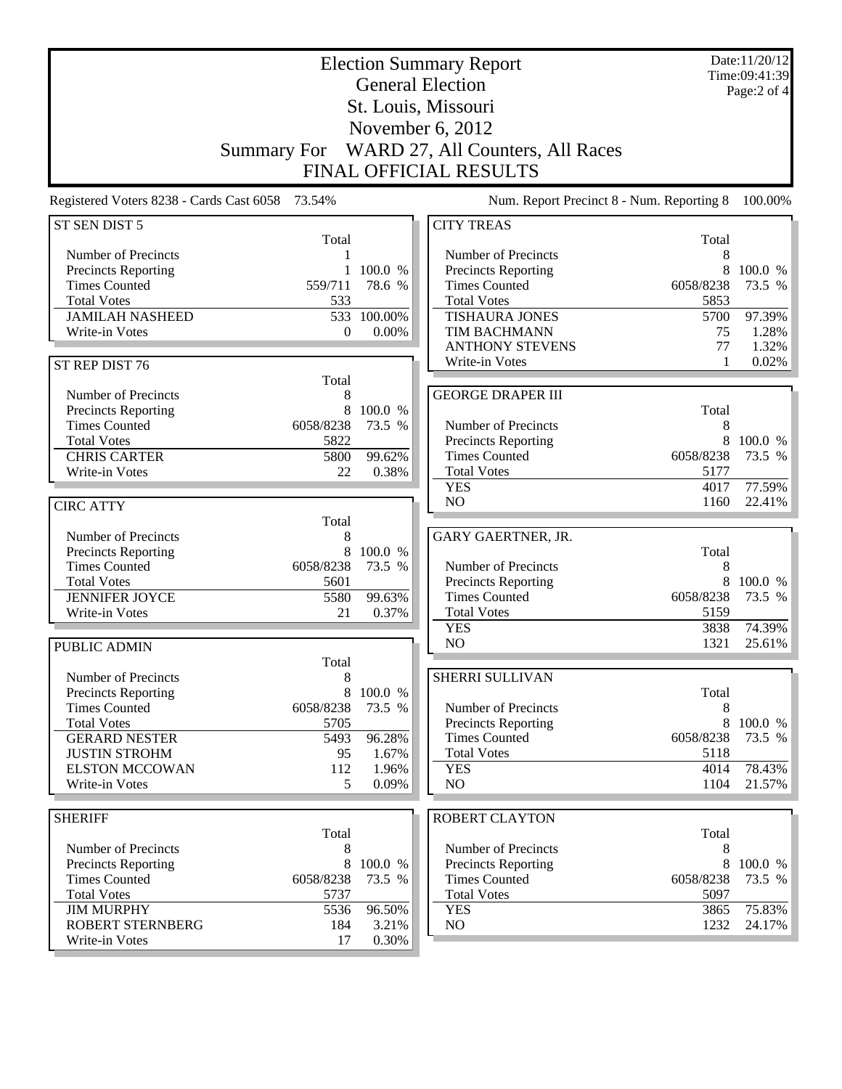|                                                 |                    |                   | <b>Election Summary Report</b>             |                   | Date:11/20/12<br>Time:09:41:39 |
|-------------------------------------------------|--------------------|-------------------|--------------------------------------------|-------------------|--------------------------------|
|                                                 |                    |                   | <b>General Election</b>                    |                   | Page:2 of 4                    |
|                                                 |                    |                   | St. Louis, Missouri                        |                   |                                |
|                                                 |                    |                   | November 6, 2012                           |                   |                                |
|                                                 | <b>Summary For</b> |                   | WARD 27, All Counters, All Races           |                   |                                |
|                                                 |                    |                   | <b>FINAL OFFICIAL RESULTS</b>              |                   |                                |
| Registered Voters 8238 - Cards Cast 6058 73.54% |                    |                   | Num. Report Precinct 8 - Num. Reporting 8  |                   | 100.00%                        |
| ST SEN DIST 5                                   |                    |                   | <b>CITY TREAS</b>                          |                   |                                |
|                                                 | Total              |                   |                                            | Total             |                                |
| Number of Precincts                             |                    |                   | Number of Precincts                        | 8                 |                                |
| Precincts Reporting                             |                    | 100.0 %           | Precincts Reporting                        | 8                 | 100.0 %                        |
| <b>Times Counted</b><br><b>Total Votes</b>      | 559/711<br>533     | 78.6 %            | <b>Times Counted</b><br><b>Total Votes</b> | 6058/8238<br>5853 | 73.5 %                         |
| <b>JAMILAH NASHEED</b>                          | 533                | 100.00%           | <b>TISHAURA JONES</b>                      | 5700              | 97.39%                         |
| Write-in Votes                                  | $\theta$           | 0.00%             | TIM BACHMANN                               | 75                | 1.28%                          |
|                                                 |                    |                   | <b>ANTHONY STEVENS</b>                     | 77                | 1.32%                          |
| ST REP DIST 76                                  |                    |                   | Write-in Votes                             | 1                 | 0.02%                          |
|                                                 | Total              |                   |                                            |                   |                                |
| Number of Precincts                             | 8                  |                   | <b>GEORGE DRAPER III</b>                   |                   |                                |
| Precincts Reporting<br><b>Times Counted</b>     | 8<br>6058/8238     | 100.0 %<br>73.5 % | Number of Precincts                        | Total<br>8        |                                |
| <b>Total Votes</b>                              | 5822               |                   | <b>Precincts Reporting</b>                 | 8                 | 100.0 %                        |
| <b>CHRIS CARTER</b>                             | 5800               | 99.62%            | <b>Times Counted</b>                       | 6058/8238         | 73.5 %                         |
| Write-in Votes                                  | 22                 | 0.38%             | <b>Total Votes</b>                         | 5177              |                                |
|                                                 |                    |                   | <b>YES</b>                                 | 4017              | 77.59%                         |
| <b>CIRC ATTY</b>                                |                    |                   | N <sub>O</sub>                             | 1160              | 22.41%                         |
|                                                 | Total              |                   |                                            |                   |                                |
| Number of Precincts<br>Precincts Reporting      | 8<br>8             | 100.0 %           | GARY GAERTNER, JR.                         | Total             |                                |
| <b>Times Counted</b>                            | 6058/8238          | 73.5 %            | Number of Precincts                        | 8                 |                                |
| <b>Total Votes</b>                              | 5601               |                   | <b>Precincts Reporting</b>                 | 8                 | 100.0 %                        |
| <b>JENNIFER JOYCE</b>                           | 5580               | 99.63%            | <b>Times Counted</b>                       | 6058/8238         | 73.5 %                         |
| Write-in Votes                                  | 21                 | 0.37%             | <b>Total Votes</b>                         | 5159              |                                |
|                                                 |                    |                   | <b>YES</b>                                 | 3838              | 74.39%                         |
| <b>PUBLIC ADMIN</b>                             |                    |                   | NO                                         | 1321              | 25.61%                         |
| Number of Precincts                             | Total<br>8         |                   | SHERRI SULLIVAN                            |                   |                                |
| Precincts Reporting                             | 8                  | 100.0 %           |                                            | Total             |                                |
| <b>Times Counted</b>                            | 6058/8238          | 73.5 %            | Number of Precincts                        | 8                 |                                |
| <b>Total Votes</b>                              | 5705               |                   | Precincts Reporting                        | 8                 | 100.0 %                        |
| <b>GERARD NESTER</b>                            | 5493               | 96.28%            | <b>Times Counted</b>                       | 6058/8238         | 73.5 %                         |
| <b>JUSTIN STROHM</b>                            | 95                 | 1.67%             | <b>Total Votes</b>                         | 5118              |                                |
| <b>ELSTON MCCOWAN</b>                           | 112                | 1.96%             | <b>YES</b>                                 | 4014              | 78.43%                         |
| Write-in Votes                                  | 5                  | 0.09%             | NO                                         | 1104              | 21.57%                         |
| <b>SHERIFF</b>                                  |                    |                   | <b>ROBERT CLAYTON</b>                      |                   |                                |
|                                                 | Total              |                   |                                            | Total             |                                |
| Number of Precincts                             | 8                  |                   | Number of Precincts                        | 8                 |                                |
| Precincts Reporting                             | 8                  | 100.0 %           | Precincts Reporting                        | 8                 | 100.0 %                        |
| <b>Times Counted</b>                            | 6058/8238          | 73.5 %            | <b>Times Counted</b>                       | 6058/8238         | 73.5 %                         |
| <b>Total Votes</b><br><b>JIM MURPHY</b>         | 5737<br>5536       | 96.50%            | <b>Total Votes</b><br><b>YES</b>           | 5097<br>3865      | 75.83%                         |
| <b>ROBERT STERNBERG</b>                         | 184                | 3.21%             | NO                                         | 1232              | 24.17%                         |
| Write-in Votes                                  | 17                 | 0.30%             |                                            |                   |                                |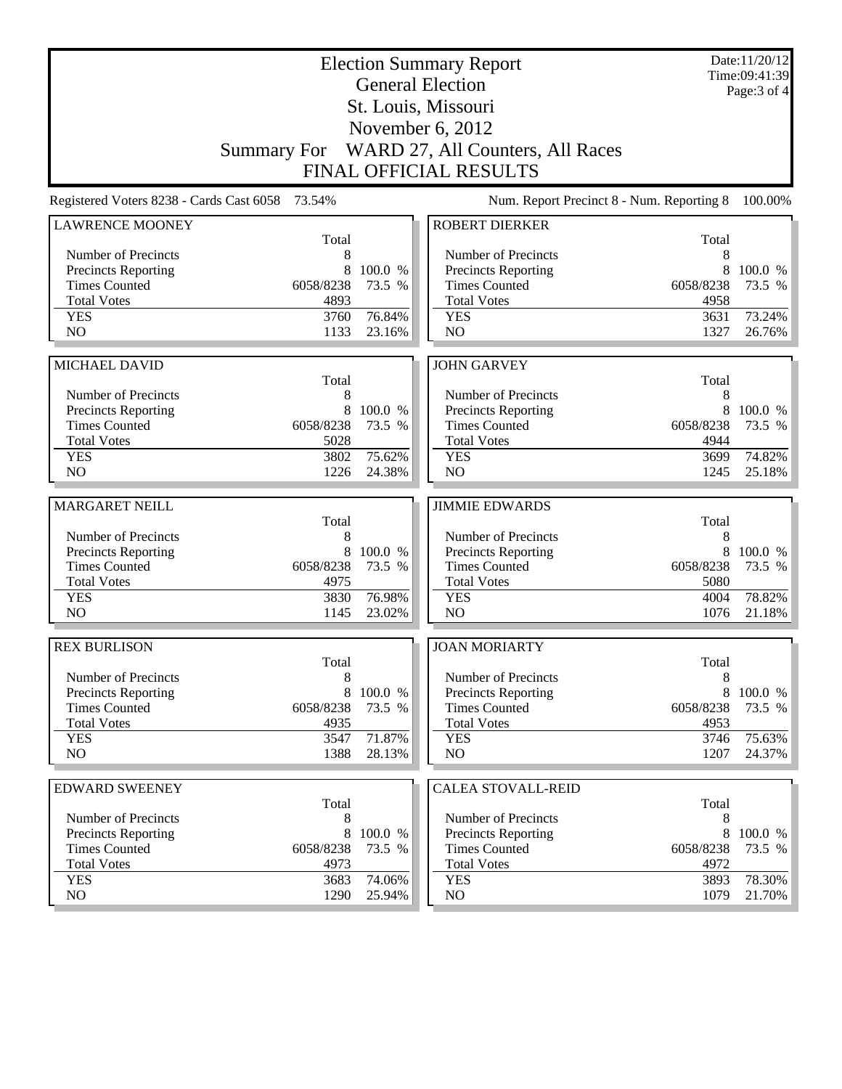| <b>Election Summary Report</b><br><b>General Election</b> |              |                   |                                              |              | Date:11/20/12<br>Time:09:41:39 |
|-----------------------------------------------------------|--------------|-------------------|----------------------------------------------|--------------|--------------------------------|
|                                                           |              |                   | St. Louis, Missouri                          |              | Page: 3 of 4                   |
|                                                           |              |                   | November 6, 2012                             |              |                                |
|                                                           |              |                   | Summary For WARD 27, All Counters, All Races |              |                                |
|                                                           |              |                   | <b>FINAL OFFICIAL RESULTS</b>                |              |                                |
|                                                           |              |                   |                                              |              |                                |
| Registered Voters 8238 - Cards Cast 6058                  | 73.54%       |                   | Num. Report Precinct 8 - Num. Reporting 8    |              | 100.00%                        |
| <b>LAWRENCE MOONEY</b>                                    | Total        |                   | <b>ROBERT DIERKER</b>                        | Total        |                                |
| Number of Precincts                                       | 8            |                   | Number of Precincts                          | 8            |                                |
| <b>Precincts Reporting</b>                                | 8            | 100.0 %           | <b>Precincts Reporting</b>                   | 8            | 100.0 %                        |
| <b>Times Counted</b>                                      | 6058/8238    | 73.5 %            | <b>Times Counted</b>                         | 6058/8238    | 73.5 %                         |
| <b>Total Votes</b>                                        | 4893         |                   | <b>Total Votes</b>                           | 4958         |                                |
| <b>YES</b>                                                | 3760         | 76.84%            | <b>YES</b>                                   | 3631         | 73.24%                         |
| N <sub>O</sub>                                            | 1133         | 23.16%            | NO                                           | 1327         | 26.76%                         |
|                                                           |              |                   |                                              |              |                                |
| <b>MICHAEL DAVID</b>                                      | Total        |                   | <b>JOHN GARVEY</b>                           | Total        |                                |
| Number of Precincts                                       | 8            |                   | Number of Precincts                          | 8            |                                |
| <b>Precincts Reporting</b>                                | 8            | 100.0 %           | Precincts Reporting                          | 8            | 100.0 %                        |
| <b>Times Counted</b>                                      | 6058/8238    | 73.5 %            | <b>Times Counted</b>                         | 6058/8238    | 73.5 %                         |
| <b>Total Votes</b>                                        | 5028         |                   | <b>Total Votes</b>                           | 4944         |                                |
| <b>YES</b>                                                | 3802         | 75.62%            | <b>YES</b>                                   | 3699         | 74.82%                         |
| NO                                                        | 1226         | 24.38%            | NO                                           | 1245         | 25.18%                         |
|                                                           |              |                   |                                              |              |                                |
|                                                           |              |                   |                                              |              |                                |
| <b>MARGARET NEILL</b>                                     |              |                   | <b>JIMMIE EDWARDS</b>                        |              |                                |
|                                                           | Total        |                   |                                              | Total        |                                |
| Number of Precincts                                       | 8<br>8       |                   | Number of Precincts                          | 8<br>8       |                                |
| Precincts Reporting<br><b>Times Counted</b>               | 6058/8238    | 100.0 %<br>73.5 % | Precincts Reporting<br><b>Times Counted</b>  | 6058/8238    | 100.0 %<br>73.5 %              |
| <b>Total Votes</b>                                        | 4975         |                   | <b>Total Votes</b>                           | 5080         |                                |
| <b>YES</b>                                                | 3830         | 76.98%            | <b>YES</b>                                   | 4004         | 78.82%                         |
| N <sub>O</sub>                                            | 1145         | 23.02%            | NO                                           | 1076         | 21.18%                         |
|                                                           |              |                   |                                              |              |                                |
| <b>REX BURLISON</b>                                       |              |                   | <b>JOAN MORIARTY</b>                         |              |                                |
| Number of Precincts                                       | Total<br>8   |                   | Number of Precincts                          | Total<br>8   |                                |
| <b>Precincts Reporting</b>                                | 8            | 100.0 %           | Precincts Reporting                          | 8            | 100.0 %                        |
| <b>Times Counted</b>                                      | 6058/8238    | 73.5 %            | <b>Times Counted</b>                         | 6058/8238    | 73.5 %                         |
| <b>Total Votes</b>                                        | 4935         |                   | <b>Total Votes</b>                           | 4953         |                                |
| <b>YES</b>                                                | 3547         | 71.87%            | <b>YES</b>                                   | 3746         | 75.63%                         |
| NO.                                                       | 1388         | 28.13%            | NO                                           | 1207         | 24.37%                         |
|                                                           |              |                   |                                              |              |                                |
| <b>EDWARD SWEENEY</b>                                     | Total        |                   | <b>CALEA STOVALL-REID</b>                    | Total        |                                |
| Number of Precincts                                       | 8            |                   | Number of Precincts                          | 8            |                                |
| Precincts Reporting                                       | 8            | 100.0 %           | Precincts Reporting                          | 8            | 100.0 %                        |
| <b>Times Counted</b>                                      | 6058/8238    | 73.5 %            | <b>Times Counted</b>                         | 6058/8238    | 73.5 %                         |
| <b>Total Votes</b>                                        | 4973         |                   | <b>Total Votes</b>                           | 4972         |                                |
| <b>YES</b><br>NO.                                         | 3683<br>1290 | 74.06%<br>25.94%  | <b>YES</b><br>NO.                            | 3893<br>1079 | 78.30%<br>21.70%               |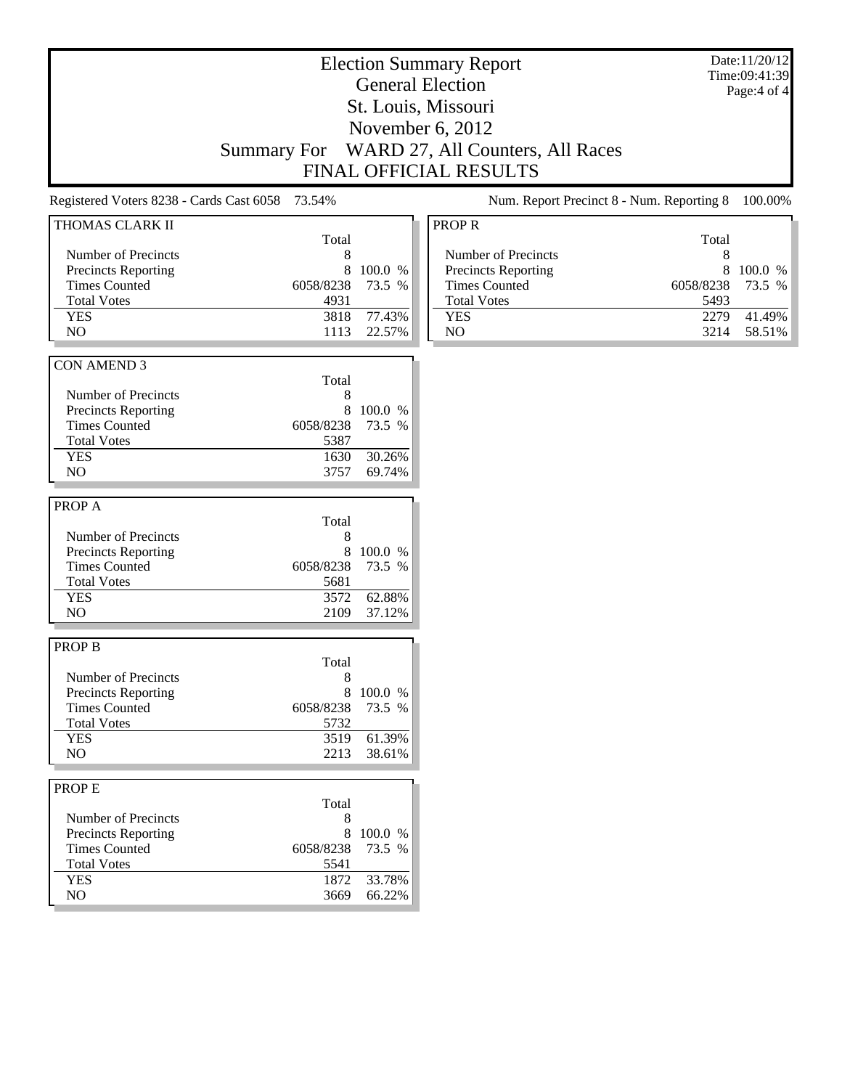# Election Summary Report General Election St. Louis, Missouri November 6, 2012 Summary For WARD 27, All Counters, All Races

FINAL OFFICIAL RESULTS

Registered Voters 8238 - Cards Cast 6058 73.54% Num. Report Precinct 8 - Num. Reporting 8 100.00%

Date:11/20/12 Time:09:41:39 Page:4 of 4

|           |                                                                                                                                               | PR <sub>(</sub>                                                                                   |
|-----------|-----------------------------------------------------------------------------------------------------------------------------------------------|---------------------------------------------------------------------------------------------------|
|           |                                                                                                                                               |                                                                                                   |
| Total     |                                                                                                                                               |                                                                                                   |
| 8         |                                                                                                                                               | N                                                                                                 |
| 8         | 100.0 %                                                                                                                                       | P                                                                                                 |
|           | 73.5 %                                                                                                                                        | T                                                                                                 |
| 4931      |                                                                                                                                               | T                                                                                                 |
| 3818      | 77.43%                                                                                                                                        | Y                                                                                                 |
| 1113      | 22.57%                                                                                                                                        | N                                                                                                 |
|           |                                                                                                                                               |                                                                                                   |
|           |                                                                                                                                               |                                                                                                   |
|           |                                                                                                                                               |                                                                                                   |
|           |                                                                                                                                               |                                                                                                   |
|           |                                                                                                                                               |                                                                                                   |
|           |                                                                                                                                               |                                                                                                   |
|           |                                                                                                                                               |                                                                                                   |
|           |                                                                                                                                               |                                                                                                   |
|           |                                                                                                                                               |                                                                                                   |
|           |                                                                                                                                               |                                                                                                   |
|           |                                                                                                                                               |                                                                                                   |
|           |                                                                                                                                               |                                                                                                   |
|           |                                                                                                                                               |                                                                                                   |
|           |                                                                                                                                               |                                                                                                   |
| 8         | 100.0 %                                                                                                                                       |                                                                                                   |
| 6058/8238 | 73.5 %                                                                                                                                        |                                                                                                   |
| 5681      |                                                                                                                                               |                                                                                                   |
| 3572      | 62.88%                                                                                                                                        |                                                                                                   |
| 2109      | 37.12%                                                                                                                                        |                                                                                                   |
|           |                                                                                                                                               |                                                                                                   |
|           |                                                                                                                                               |                                                                                                   |
|           |                                                                                                                                               |                                                                                                   |
| 8         |                                                                                                                                               |                                                                                                   |
|           |                                                                                                                                               |                                                                                                   |
|           |                                                                                                                                               |                                                                                                   |
|           |                                                                                                                                               |                                                                                                   |
|           |                                                                                                                                               |                                                                                                   |
|           |                                                                                                                                               |                                                                                                   |
|           |                                                                                                                                               |                                                                                                   |
|           |                                                                                                                                               |                                                                                                   |
|           |                                                                                                                                               |                                                                                                   |
|           |                                                                                                                                               |                                                                                                   |
|           |                                                                                                                                               |                                                                                                   |
|           |                                                                                                                                               |                                                                                                   |
| 6058/8238 | 73.5 %                                                                                                                                        |                                                                                                   |
|           |                                                                                                                                               |                                                                                                   |
| 5541      |                                                                                                                                               |                                                                                                   |
| 1872      | 33.78%                                                                                                                                        |                                                                                                   |
|           | 6058/8238<br>Total<br>8<br>8<br>6058/8238<br>5387<br>1630<br>3757<br>Total<br>8<br>Total<br>8<br>6058/8238<br>5732<br>2213<br>Total<br>8<br>8 | 100.0 %<br>73.5 %<br>30.26%<br>69.74%<br>100.0 %<br>73.5 %<br>61.39%<br>3519<br>38.61%<br>100.0 % |

| PROP R                     |                  |           |
|----------------------------|------------------|-----------|
|                            | Total            |           |
| Number of Precincts        | 8                |           |
| <b>Precincts Reporting</b> | x                | $100.0\%$ |
| <b>Times Counted</b>       | 6058/8238 73.5 % |           |
| <b>Total Votes</b>         | 5493             |           |
| YES                        | 2279             | 41.49%    |
| NΟ                         | 3214             | 58.51%    |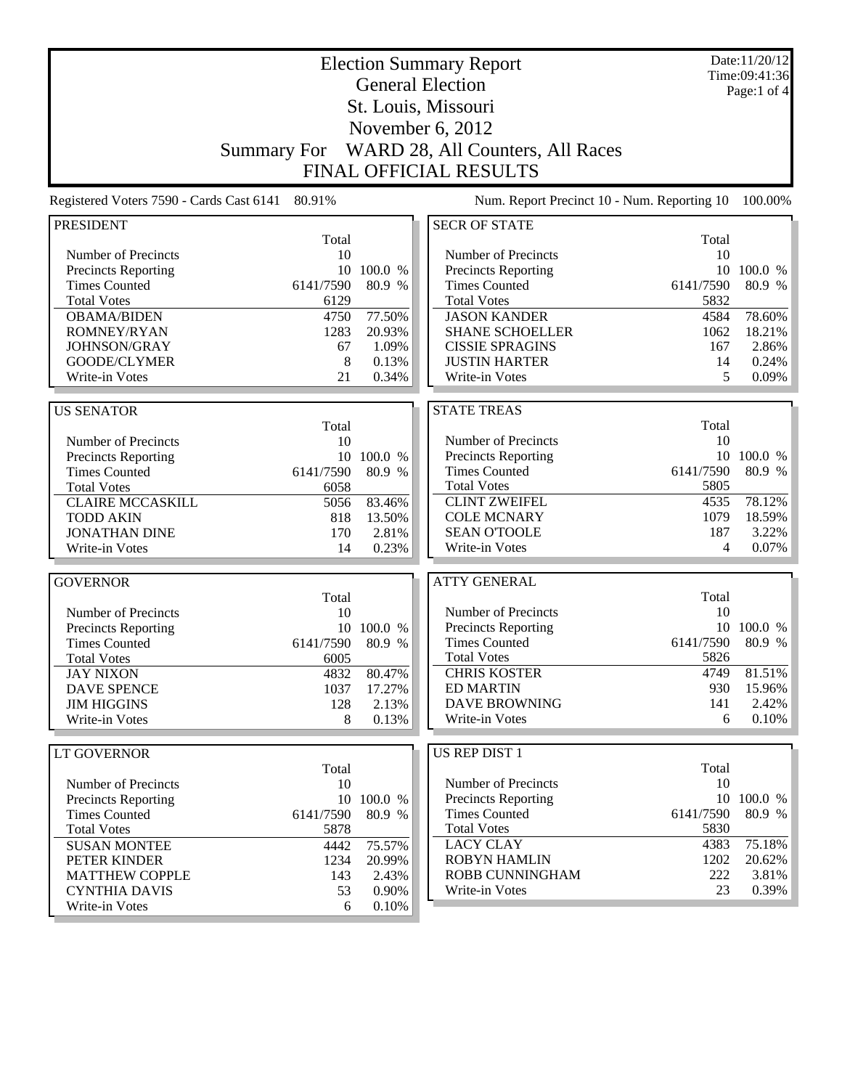| <b>Election Summary Report</b>                     |                    |            |                                             |           | Date:11/20/12<br>Time:09:41:36 |  |
|----------------------------------------------------|--------------------|------------|---------------------------------------------|-----------|--------------------------------|--|
| <b>General Election</b>                            |                    |            |                                             |           | Page:1 of 4                    |  |
|                                                    |                    |            | St. Louis, Missouri                         |           |                                |  |
|                                                    |                    |            |                                             |           |                                |  |
|                                                    |                    |            | November 6, 2012                            |           |                                |  |
|                                                    | <b>Summary For</b> |            | WARD 28, All Counters, All Races            |           |                                |  |
|                                                    |                    |            | <b>FINAL OFFICIAL RESULTS</b>               |           |                                |  |
| Registered Voters 7590 - Cards Cast 6141           | 80.91%             |            | Num. Report Precinct 10 - Num. Reporting 10 |           | 100.00%                        |  |
| <b>PRESIDENT</b>                                   |                    |            | <b>SECR OF STATE</b>                        |           |                                |  |
|                                                    | Total              |            |                                             | Total     |                                |  |
| Number of Precincts                                | 10                 |            | Number of Precincts                         | 10        |                                |  |
| <b>Precincts Reporting</b>                         | 10                 | 100.0 %    | Precincts Reporting                         | 10        | 100.0 %                        |  |
| <b>Times Counted</b>                               | 6141/7590          | 80.9 %     | <b>Times Counted</b>                        | 6141/7590 | 80.9 %                         |  |
| <b>Total Votes</b>                                 | 6129               |            | <b>Total Votes</b>                          | 5832      |                                |  |
| <b>OBAMA/BIDEN</b>                                 | 4750               | 77.50%     | <b>JASON KANDER</b>                         | 4584      | 78.60%                         |  |
| ROMNEY/RYAN                                        | 1283               | 20.93%     | <b>SHANE SCHOELLER</b>                      | 1062      | 18.21%                         |  |
| JOHNSON/GRAY                                       | 67                 | 1.09%      | <b>CISSIE SPRAGINS</b>                      | 167       | 2.86%                          |  |
| <b>GOODE/CLYMER</b>                                | 8                  | 0.13%      | <b>JUSTIN HARTER</b>                        | 14        | 0.24%                          |  |
| Write-in Votes                                     | 21                 | 0.34%      | Write-in Votes                              | 5         | 0.09%                          |  |
|                                                    |                    |            |                                             |           |                                |  |
| <b>US SENATOR</b>                                  | Total              |            | <b>STATE TREAS</b>                          | Total     |                                |  |
| Number of Precincts                                | 10                 |            | Number of Precincts                         | 10        |                                |  |
|                                                    |                    | 10 100.0 % | Precincts Reporting                         |           | 10 100.0 %                     |  |
| <b>Precincts Reporting</b><br><b>Times Counted</b> | 6141/7590          | 80.9 %     | <b>Times Counted</b>                        | 6141/7590 | 80.9 %                         |  |
| <b>Total Votes</b>                                 | 6058               |            | <b>Total Votes</b>                          | 5805      |                                |  |
| <b>CLAIRE MCCASKILL</b>                            | 5056               | 83.46%     | <b>CLINT ZWEIFEL</b>                        | 4535      | 78.12%                         |  |
| <b>TODD AKIN</b>                                   | 818                | 13.50%     | <b>COLE MCNARY</b>                          | 1079      | 18.59%                         |  |
| <b>JONATHAN DINE</b>                               | 170                | 2.81%      | <b>SEAN O'TOOLE</b>                         | 187       | 3.22%                          |  |
| Write-in Votes                                     | 14                 | 0.23%      | Write-in Votes                              | 4         | 0.07%                          |  |
|                                                    |                    |            |                                             |           |                                |  |
| <b>GOVERNOR</b>                                    |                    |            | <b>ATTY GENERAL</b>                         |           |                                |  |
|                                                    | Total              |            |                                             | Total     |                                |  |
| Number of Precincts                                | 10                 |            | Number of Precincts                         | 10        |                                |  |
| Precincts Reporting                                | 10                 | 100.0 %    | Precincts Reporting                         |           | 10 100.0 %                     |  |
| <b>Times Counted</b>                               | 6141/7590          | 80.9 %     | <b>Times Counted</b>                        | 6141/7590 | 80.9 %                         |  |
| <b>Total Votes</b>                                 | 6005               |            | <b>Total Votes</b>                          | 5826      |                                |  |
| <b>JAY NIXON</b>                                   | 4832               | 80.47%     | <b>CHRIS KOSTER</b>                         | 4749      | 81.51%                         |  |
| <b>DAVE SPENCE</b>                                 | 1037               | 17.27%     | <b>ED MARTIN</b>                            | 930       | 15.96%                         |  |
| <b>JIM HIGGINS</b>                                 | 128                | 2.13%      | <b>DAVE BROWNING</b>                        | 141       | 2.42%                          |  |
| Write-in Votes                                     | 8                  | 0.13%      | Write-in Votes                              | 6         | 0.10%                          |  |
|                                                    |                    |            |                                             |           |                                |  |
| LT GOVERNOR                                        |                    |            | <b>US REP DIST 1</b>                        |           |                                |  |
|                                                    | Total              |            |                                             | Total     |                                |  |
| Number of Precincts                                | 10                 |            | Number of Precincts                         | 10        |                                |  |
| <b>Precincts Reporting</b>                         |                    | 10 100.0 % | <b>Precincts Reporting</b>                  |           | 10 100.0 %                     |  |
| <b>Times Counted</b>                               | 6141/7590          | 80.9 %     | <b>Times Counted</b>                        | 6141/7590 | 80.9 %                         |  |
| <b>Total Votes</b>                                 | 5878               |            | <b>Total Votes</b>                          | 5830      |                                |  |
| <b>SUSAN MONTEE</b>                                | 4442               | 75.57%     | <b>LACY CLAY</b>                            | 4383      | 75.18%                         |  |
| PETER KINDER                                       | 1234               | 20.99%     | <b>ROBYN HAMLIN</b>                         | 1202      | 20.62%                         |  |
| <b>MATTHEW COPPLE</b>                              | 143                | 2.43%      | ROBB CUNNINGHAM                             | 222       | 3.81%                          |  |
| <b>CYNTHIA DAVIS</b>                               | 53                 | 0.90%      | Write-in Votes                              | 23        | 0.39%                          |  |
| Write-in Votes                                     | 6                  | 0.10%      |                                             |           |                                |  |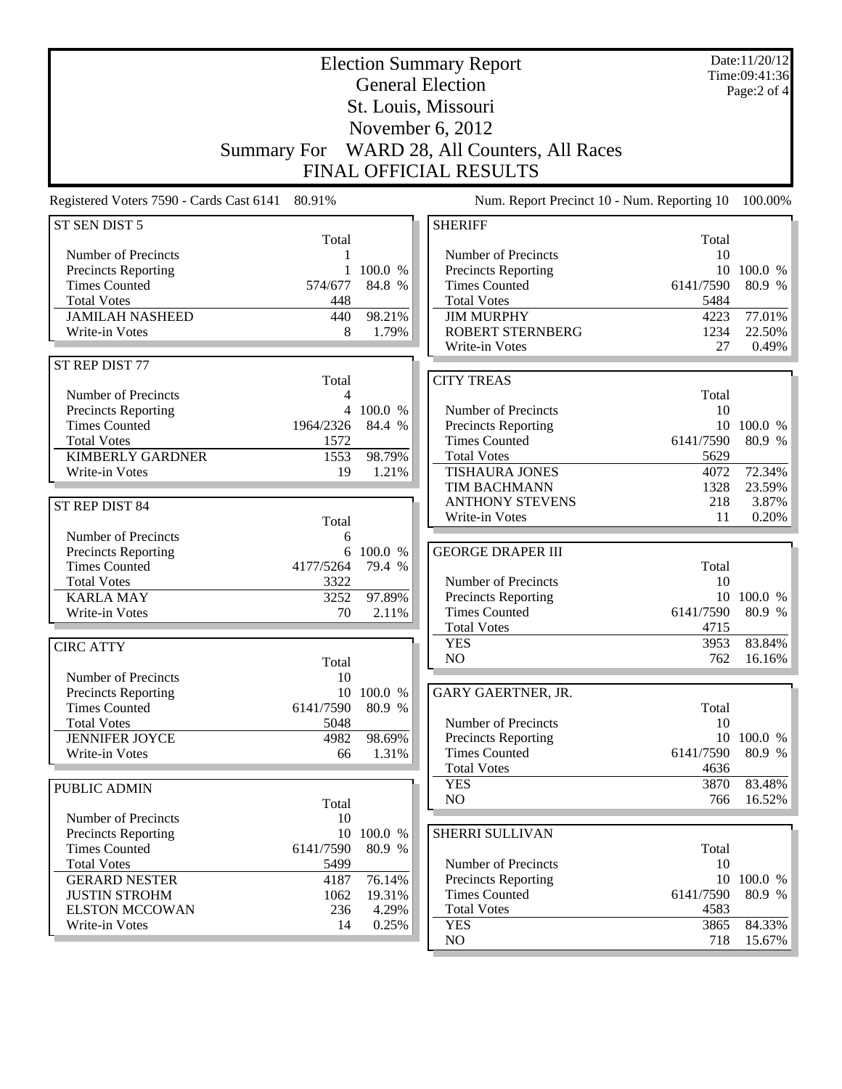| <b>Election Summary Report</b><br><b>General Election</b><br>St. Louis, Missouri<br>November 6, 2012<br>Summary For WARD 28, All Counters, All Races<br><b>FINAL OFFICIAL RESULTS</b> |                   |                   |                                             |             | Date:11/20/12<br>Time:09:41:36<br>Page: 2 of 4 |
|---------------------------------------------------------------------------------------------------------------------------------------------------------------------------------------|-------------------|-------------------|---------------------------------------------|-------------|------------------------------------------------|
| Registered Voters 7590 - Cards Cast 6141                                                                                                                                              | 80.91%            |                   | Num. Report Precinct 10 - Num. Reporting 10 |             | 100.00%                                        |
| ST SEN DIST 5                                                                                                                                                                         |                   |                   | <b>SHERIFF</b>                              |             |                                                |
|                                                                                                                                                                                       | Total             |                   |                                             | Total       |                                                |
| Number of Precincts<br>Precincts Reporting                                                                                                                                            | 1<br>1            | 100.0 %           | Number of Precincts<br>Precincts Reporting  | 10          | 10 100.0 %                                     |
| <b>Times Counted</b>                                                                                                                                                                  | 574/677           | 84.8 %            | <b>Times Counted</b>                        | 6141/7590   | 80.9 %                                         |
| <b>Total Votes</b>                                                                                                                                                                    | 448               |                   | <b>Total Votes</b>                          | 5484        |                                                |
| <b>JAMILAH NASHEED</b>                                                                                                                                                                | 440               | 98.21%            | <b>JIM MURPHY</b>                           | 4223        | 77.01%                                         |
| Write-in Votes                                                                                                                                                                        | 8                 | 1.79%             | <b>ROBERT STERNBERG</b>                     | 1234        | 22.50%                                         |
|                                                                                                                                                                                       |                   |                   | Write-in Votes                              | 27          | 0.49%                                          |
| ST REP DIST 77                                                                                                                                                                        |                   |                   |                                             |             |                                                |
|                                                                                                                                                                                       | Total             |                   | <b>CITY TREAS</b>                           |             |                                                |
| Number of Precincts                                                                                                                                                                   | 4                 | 4 100.0 %         | Number of Precincts                         | Total<br>10 |                                                |
| Precincts Reporting<br><b>Times Counted</b>                                                                                                                                           | 1964/2326         | 84.4 %            | Precincts Reporting                         |             | 10 100.0 %                                     |
| <b>Total Votes</b>                                                                                                                                                                    | 1572              |                   | <b>Times Counted</b>                        | 6141/7590   | 80.9 %                                         |
| <b>KIMBERLY GARDNER</b>                                                                                                                                                               | 1553              | 98.79%            | <b>Total Votes</b>                          | 5629        |                                                |
| Write-in Votes                                                                                                                                                                        | 19                | 1.21%             | <b>TISHAURA JONES</b>                       | 4072        | 72.34%                                         |
|                                                                                                                                                                                       |                   |                   | TIM BACHMANN                                | 1328        | 23.59%                                         |
| ST REP DIST 84                                                                                                                                                                        |                   |                   | <b>ANTHONY STEVENS</b>                      | 218         | 3.87%                                          |
|                                                                                                                                                                                       | Total             |                   | Write-in Votes                              | 11          | 0.20%                                          |
| Number of Precincts                                                                                                                                                                   | 6                 |                   |                                             |             |                                                |
| Precincts Reporting<br><b>Times Counted</b>                                                                                                                                           | 6<br>4177/5264    | 100.0 %<br>79.4 % | <b>GEORGE DRAPER III</b>                    | Total       |                                                |
| <b>Total Votes</b>                                                                                                                                                                    | 3322              |                   | Number of Precincts                         | 10          |                                                |
| <b>KARLA MAY</b>                                                                                                                                                                      | 3252              | 97.89%            | <b>Precincts Reporting</b>                  |             | 10 100.0 %                                     |
| Write-in Votes                                                                                                                                                                        | 70                | 2.11%             | <b>Times Counted</b>                        | 6141/7590   | 80.9 %                                         |
|                                                                                                                                                                                       |                   |                   | <b>Total Votes</b>                          | 4715        |                                                |
| <b>CIRC ATTY</b>                                                                                                                                                                      |                   |                   | <b>YES</b>                                  | 3953        | 83.84%                                         |
|                                                                                                                                                                                       | Total             |                   | NO                                          | 762         | 16.16%                                         |
| Number of Precincts                                                                                                                                                                   | 10                |                   |                                             |             |                                                |
| Precincts Reporting                                                                                                                                                                   | 10                | 100.0 %           | GARY GAERTNER, JR.                          |             |                                                |
| <b>Times Counted</b><br><b>Total Votes</b>                                                                                                                                            | 6141/7590<br>5048 | 80.9 %            | Number of Precincts                         | Total<br>10 |                                                |
| <b>JENNIFER JOYCE</b>                                                                                                                                                                 | 4982              | 98.69%            | Precincts Reporting                         | 10          | 100.0 %                                        |
| Write-in Votes                                                                                                                                                                        | 66                | 1.31%             | <b>Times Counted</b>                        | 6141/7590   | 80.9 %                                         |
|                                                                                                                                                                                       |                   |                   | <b>Total Votes</b>                          | 4636        |                                                |
| PUBLIC ADMIN                                                                                                                                                                          |                   |                   | <b>YES</b>                                  | 3870        | 83.48%                                         |
|                                                                                                                                                                                       | Total             |                   | NO                                          | 766         | 16.52%                                         |
| Number of Precincts                                                                                                                                                                   | 10                |                   |                                             |             |                                                |
| Precincts Reporting                                                                                                                                                                   | 10                | 100.0 %           | SHERRI SULLIVAN                             |             |                                                |
| <b>Times Counted</b><br><b>Total Votes</b>                                                                                                                                            | 6141/7590<br>5499 | 80.9 %            | Number of Precincts                         | Total<br>10 |                                                |
| <b>GERARD NESTER</b>                                                                                                                                                                  | 4187              | 76.14%            | <b>Precincts Reporting</b>                  |             | 10 100.0 %                                     |
| <b>JUSTIN STROHM</b>                                                                                                                                                                  | 1062              | 19.31%            | <b>Times Counted</b>                        | 6141/7590   | 80.9 %                                         |
| <b>ELSTON MCCOWAN</b>                                                                                                                                                                 | 236               | 4.29%             | <b>Total Votes</b>                          | 4583        |                                                |
| Write-in Votes                                                                                                                                                                        | 14                | 0.25%             | <b>YES</b>                                  | 3865        | 84.33%                                         |
|                                                                                                                                                                                       |                   |                   | NO                                          | 718         | $15.67\%$                                      |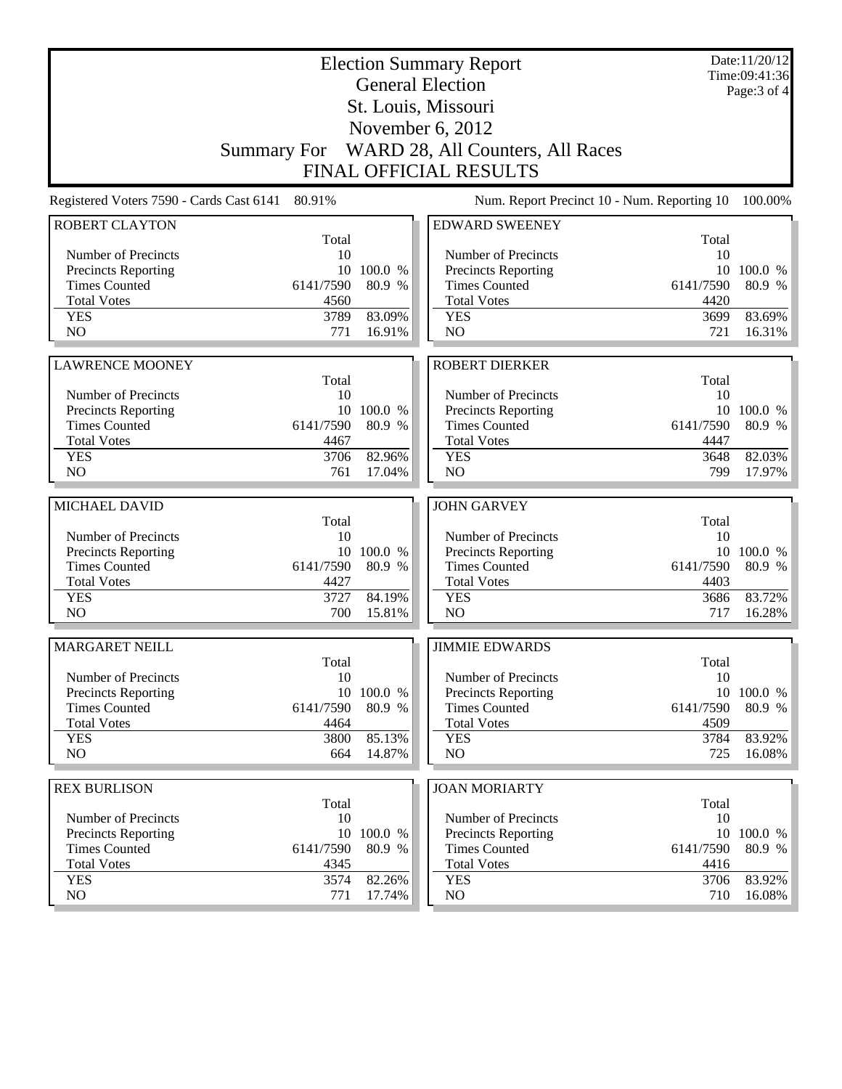| <b>General Election</b><br>St. Louis, Missouri<br>November 6, 2012                                | Page: 3 of 4 |  |  |  |  |  |
|---------------------------------------------------------------------------------------------------|--------------|--|--|--|--|--|
|                                                                                                   |              |  |  |  |  |  |
|                                                                                                   |              |  |  |  |  |  |
|                                                                                                   |              |  |  |  |  |  |
| Summary For WARD 28, All Counters, All Races                                                      |              |  |  |  |  |  |
| <b>FINAL OFFICIAL RESULTS</b>                                                                     |              |  |  |  |  |  |
| Num. Report Precinct 10 - Num. Reporting 10<br>Registered Voters 7590 - Cards Cast 6141<br>80.91% | 100.00%      |  |  |  |  |  |
| <b>ROBERT CLAYTON</b><br><b>EDWARD SWEENEY</b>                                                    |              |  |  |  |  |  |
| Total<br>Total<br>10<br>Number of Precincts<br>10<br>Number of Precincts                          |              |  |  |  |  |  |
| <b>Precincts Reporting</b><br>10<br>100.0 %<br><b>Precincts Reporting</b><br>10                   | 100.0 %      |  |  |  |  |  |
| <b>Times Counted</b><br><b>Times Counted</b><br>6141/7590<br>80.9 %<br>6141/7590                  | 80.9 %       |  |  |  |  |  |
| <b>Total Votes</b><br><b>Total Votes</b><br>4560<br>4420                                          |              |  |  |  |  |  |
| 83.09%<br><b>YES</b><br>3789<br><b>YES</b><br>3699                                                | 83.69%       |  |  |  |  |  |
| NO<br>NO<br>771<br>16.91%<br>721                                                                  | 16.31%       |  |  |  |  |  |
|                                                                                                   |              |  |  |  |  |  |
| <b>ROBERT DIERKER</b><br><b>LAWRENCE MOONEY</b>                                                   |              |  |  |  |  |  |
| Total<br>Total<br>Number of Precincts<br>Number of Precincts<br>10<br>10                          |              |  |  |  |  |  |
| <b>Precincts Reporting</b><br>10<br>100.0 %<br><b>Precincts Reporting</b>                         | 10 100.0 %   |  |  |  |  |  |
| <b>Times Counted</b><br><b>Times Counted</b><br>6141/7590<br>80.9 %<br>6141/7590                  | 80.9 %       |  |  |  |  |  |
| <b>Total Votes</b><br><b>Total Votes</b><br>4467<br>4447                                          |              |  |  |  |  |  |
| 82.96%<br>3648<br><b>YES</b><br>3706<br><b>YES</b>                                                | 82.03%       |  |  |  |  |  |
| NO<br>N <sub>O</sub><br>761<br>17.04%<br>799                                                      | 17.97%       |  |  |  |  |  |
|                                                                                                   |              |  |  |  |  |  |
| MICHAEL DAVID<br><b>JOHN GARVEY</b>                                                               |              |  |  |  |  |  |
| Total<br>Total<br>Number of Precincts<br>10<br>Number of Precincts<br>10                          |              |  |  |  |  |  |
| <b>Precincts Reporting</b><br>10 100.0 %<br>Precincts Reporting                                   | 10 100.0 %   |  |  |  |  |  |
| <b>Times Counted</b><br><b>Times Counted</b><br>6141/7590<br>80.9 %<br>6141/7590                  | 80.9 %       |  |  |  |  |  |
| <b>Total Votes</b><br>4427<br><b>Total Votes</b><br>4403                                          |              |  |  |  |  |  |
| 3727<br>84.19%<br><b>YES</b><br><b>YES</b><br>3686                                                | 83.72%       |  |  |  |  |  |
| 700<br>NO<br>N <sub>O</sub><br>15.81%<br>717                                                      | 16.28%       |  |  |  |  |  |
|                                                                                                   |              |  |  |  |  |  |
| <b>MARGARET NEILL</b><br><b>JIMMIE EDWARDS</b><br>Total                                           |              |  |  |  |  |  |
| Total<br>10<br>Number of Precincts<br>10<br>Number of Precincts                                   |              |  |  |  |  |  |
| <b>Precincts Reporting</b><br>10 100.0 %<br><b>Precincts Reporting</b>                            | 10 100.0 %   |  |  |  |  |  |
| <b>Times Counted</b><br>6141/7590<br>80.9 %<br><b>Times Counted</b><br>6141/7590                  | 80.9 %       |  |  |  |  |  |
| <b>Total Votes</b><br><b>Total Votes</b><br>4509<br>4464                                          |              |  |  |  |  |  |
| 85.13%<br><b>YES</b><br>3800<br><b>YES</b><br>3784                                                | 83.92%       |  |  |  |  |  |
| N <sub>O</sub><br>NO<br>725<br>664<br>14.87%                                                      | 16.08%       |  |  |  |  |  |
| <b>JOAN MORIARTY</b>                                                                              |              |  |  |  |  |  |
| <b>REX BURLISON</b><br>Total<br>Total                                                             |              |  |  |  |  |  |
| Number of Precincts<br>10<br>Number of Precincts<br>10                                            |              |  |  |  |  |  |
| <b>Precincts Reporting</b><br>100.0 %<br>10<br>Precincts Reporting                                | 10 100.0 $%$ |  |  |  |  |  |
| <b>Times Counted</b><br>6141/7590<br><b>Times Counted</b><br>6141/7590<br>80.9 %                  | 80.9 %       |  |  |  |  |  |
| <b>Total Votes</b><br><b>Total Votes</b><br>4345<br>4416                                          |              |  |  |  |  |  |
| <b>YES</b><br>3574<br>82.26%<br><b>YES</b><br>3706                                                | 83.92%       |  |  |  |  |  |
| NO.<br>NO.<br>771<br>17.74%<br>710                                                                | 16.08%       |  |  |  |  |  |